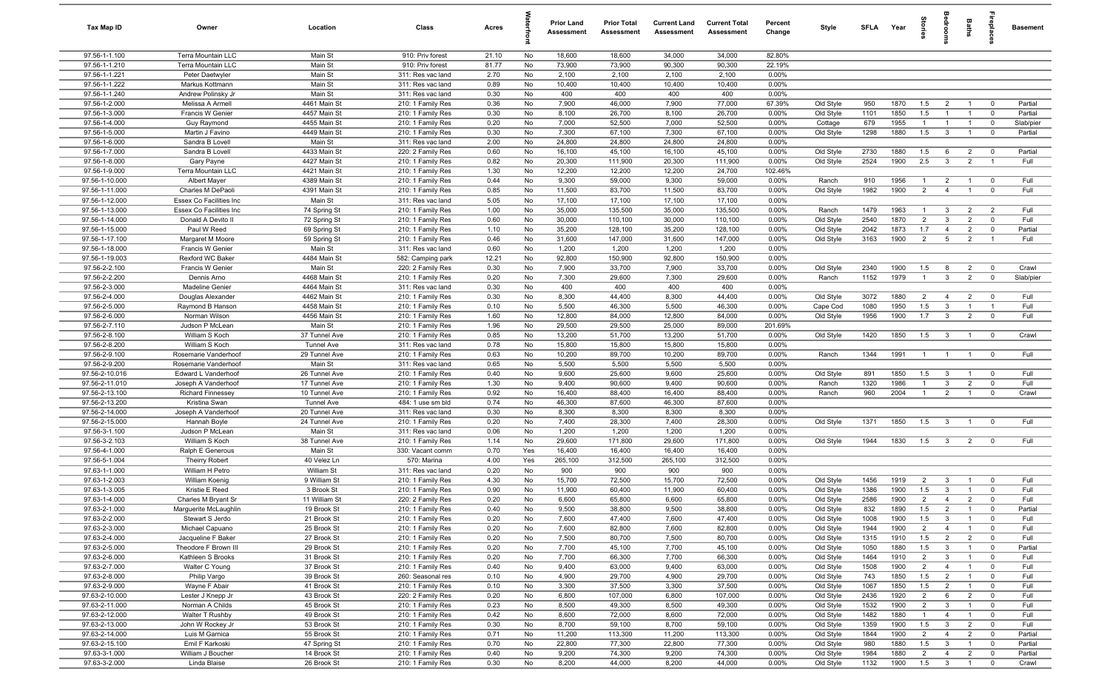| Tax Map ID                       | Owner                                        | Location                     | Class                                  | Acres        |          | <b>Prior Land</b><br>Assessment | <b>Prior Total</b><br>Assessment | <b>Current Land</b><br>Assessment | <b>Current Total</b><br>Assessment | Percent<br>Change | Style                  | <b>SFLA</b>  | Year         | tories                | ăroo                             | Baths                            | <b>E</b>                                  | <b>Basement</b>    |
|----------------------------------|----------------------------------------------|------------------------------|----------------------------------------|--------------|----------|---------------------------------|----------------------------------|-----------------------------------|------------------------------------|-------------------|------------------------|--------------|--------------|-----------------------|----------------------------------|----------------------------------|-------------------------------------------|--------------------|
| 97.56-1-1.100                    | Terra Mountain LLC                           | Main St                      | 910: Priv forest                       | 21.10        | No       | 18,600                          | 18,600                           | 34,000                            | 34,000                             | 82.80%            |                        |              |              |                       |                                  |                                  |                                           |                    |
| 97.56-1-1.210                    | Terra Mountain LLC                           | Main St                      | 910: Priv forest                       | 81.77        | No       | 73,900                          | 73,900                           | 90,300                            | 90,300                             | 22.19%            |                        |              |              |                       |                                  |                                  |                                           |                    |
| 97.56-1-1.221                    | Peter Daetwyler                              | Main St                      | 311: Res vac land                      | 2.70         | No       | 2,100                           | 2,100                            | 2,100                             | 2,100                              | 0.00%             |                        |              |              |                       |                                  |                                  |                                           |                    |
| 97.56-1-1.222<br>97.56-1-1.240   | Markus Kottmann<br>Andrew Polinsky Jr        | Main St<br>Main St           | 311: Res vac land<br>311: Res vac land | 0.89<br>0.30 | No<br>No | 10,400<br>400                   | 10,400<br>400                    | 10,400<br>400                     | 10,400<br>400                      | 0.00%<br>0.00%    |                        |              |              |                       |                                  |                                  |                                           |                    |
| 97.56-1-2.000                    | Melissa A Armell                             | 4461 Main St                 | 210: 1 Family Res                      | 0.36         | No       | 7,900                           | 46,000                           | 7,900                             | 77,000                             | 67.39%            | Old Style              | 950          | 1870         | 1.5                   | $\overline{2}$                   | $\overline{1}$                   | $\mathbf 0$                               | Partial            |
| 97.56-1-3.000                    | Francis W Genier                             | 4457 Main St                 | 210: 1 Family Res                      | 0.30         | No       | 8,100                           | 26,700                           | 8,100                             | 26,700                             | 0.00%             | Old Style              | 1101         | 1850         | 1.5                   |                                  | $\overline{1}$                   | $\mathbf 0$                               | Partial            |
| 97.56-1-4.000                    | Guy Raymond                                  | 4455 Main St                 | 210: 1 Family Res                      | 0.20         | No       | 7,000                           | 52,500                           | 7,000                             | 52,500                             | 0.00%             | Cottage                | 679          | 1955         | $\overline{1}$        |                                  | $\overline{1}$                   | $\mathbf 0$                               | Slab/pier          |
| 97.56-1-5.000                    | Martin J Favino                              | 4449 Main St                 | 210: 1 Family Res                      | 0.30         | No       | 7,300                           | 67,100                           | 7,300                             | 67,100                             | 0.00%             | Old Style              | 1298         | 1880         | 1.5                   | $\mathbf{3}$                     | $\overline{1}$                   | $\overline{\mathbf{0}}$                   | Partial            |
| 97.56-1-6.000                    | Sandra B Lovell                              | Main St                      | 311: Res vac land                      | 2.00         | No       | 24,800                          | 24,800                           | 24,800                            | 24,800                             | 0.00%             |                        |              |              |                       |                                  |                                  |                                           |                    |
| 97.56-1-7.000                    | Sandra B Lovell                              | 4433 Main St                 | 220: 2 Family Res                      | 0.60         | No       | 16,100                          | 45,100                           | 16,100                            | 45,100                             | 0.00%             | Old Style              | 2730         | 1880         | 1.5                   | 6                                | $\overline{2}$                   | $\mathbf 0$                               | Partial            |
| 97.56-1-8.000                    | Gary Payne                                   | 4427 Main St                 | 210: 1 Family Res                      | 0.82         | No       | 20,300                          | 111,900                          | 20,300                            | 111,900                            | 0.00%             | Old Style              | 2524         | 1900         | 2.5                   | $\mathbf{3}$                     | $\overline{2}$                   | $\overline{1}$                            | Full               |
| 97.56-1-9.000                    | Terra Mountain LLC                           | 4421 Main St                 | 210: 1 Family Res                      | 1.30         | No       | 12,200                          | 12,200                           | 12,200                            | 24,700                             | 102.46%           |                        |              |              |                       |                                  |                                  |                                           |                    |
| 97.56-1-10.000                   | Albert Mayer                                 | 4389 Main St                 | 210: 1 Family Res                      | 0.44         | No       | 9,300                           | 59,000                           | 9,300                             | 59,000                             | 0.00%             | Ranch                  | 910          | 1956         | $\overline{1}$        | $\overline{2}$                   | $\overline{1}$                   | $\mathbf 0$                               | Full               |
| 97.56-1-11.000                   | Charles M DePaoli                            | 4391 Main St                 | 210: 1 Family Res                      | 0.85         | No       | 11,500                          | 83,700                           | 11,500                            | 83,700                             | 0.00%             | Old Style              | 1982         | 1900         | $\overline{2}$        | $\overline{4}$                   | $\overline{1}$                   | $\overline{0}$                            | Full               |
| 97.56-1-12.000                   | Essex Co Facilities Inc                      | Main St                      | 311: Res vac land                      | 5.05         | No       | 17,100                          | 17,100                           | 17,100                            | 17,100                             | 0.00%             |                        |              |              |                       |                                  |                                  |                                           |                    |
| 97.56-1-13.000                   | Essex Co Facilities Inc                      | 74 Spring St                 | 210: 1 Family Res                      | 1.00         | No       | 35,000                          | 135,500                          | 35,000                            | 135,500                            | 0.00%             | Ranch                  | 1479         | 1963         | $\mathbf{1}$          | $\mathbf{3}$<br>$\overline{3}$   | $\overline{2}$                   | $\overline{2}$                            | Full<br>Full       |
| 97.56-1-14.000<br>97.56-1-15.000 | Donald A Devito II<br>Paul W Reed            | 72 Spring St<br>69 Spring St | 210: 1 Family Res                      | 0.60<br>1.10 | No<br>No | 30,000<br>35,200                | 110,100<br>128,100               | 30,000<br>35,200                  | 110,100<br>128,100                 | 0.00%<br>0.00%    | Old Style<br>Old Style | 2540<br>2042 | 1870<br>1873 | $\overline{2}$<br>1.7 | $\overline{4}$                   | $\overline{2}$<br>$\overline{2}$ | $\mathbf 0$<br>$\mathbf 0$                | Partial            |
| 97.56-1-17.100                   | Margaret M Moore                             | 59 Spring St                 | 210: 1 Family Res<br>210: 1 Family Res | 0.46         | No       | 31,600                          | 147,000                          | 31,600                            | 147,000                            | 0.00%             | Old Style              | 3163         | 1900         | $\overline{2}$        | 5                                | $\overline{2}$                   | $\overline{1}$                            | Full               |
| 97.56-1-18.000                   | Francis W Genier                             | Main St                      | 311: Res vac land                      | 0.60         | No       | 1,200                           | 1,200                            | 1,200                             | 1,200                              | 0.00%             |                        |              |              |                       |                                  |                                  |                                           |                    |
| 97.56-1-19.003                   | Rexford WC Baker                             | 4484 Main St                 | 582: Camping park                      | 12.21        | No       | 92,800                          | 150,900                          | 92,800                            | 150,900                            | 0.00%             |                        |              |              |                       |                                  |                                  |                                           |                    |
| 97.56-2-2.100                    | Francis W Genier                             | Main St                      | 220: 2 Family Res                      | 0.30         | No       | 7,900                           | 33,700                           | 7,900                             | 33,700                             | 0.00%             | Old Style              | 2340         | 1900         | 1.5                   | 8                                | $\overline{2}$                   | $\mathbf 0$                               | Crawl              |
| 97.56-2-2.200                    | Dennis Arno                                  | 4468 Main St                 | 210: 1 Family Res                      | 0.20         | No       | 7,300                           | 29,600                           | 7,300                             | 29,600                             | 0.00%             | Ranch                  | 1152         | 1979         | $\overline{1}$        | $\mathbf{3}$                     | $\overline{2}$                   | $\mathbf 0$                               | Slab/pier          |
| 97.56-2-3.000                    | Madeline Genier                              | 4464 Main St                 | 311: Res vac land                      | 0.30         | No       | 400                             | 400                              | 400                               | 400                                | 0.00%             |                        |              |              |                       |                                  |                                  |                                           |                    |
| 97.56-2-4.000                    | Douglas Alexander                            | 4462 Main St                 | 210: 1 Family Res                      | 0.30         | No       | 8,300                           | 44,400                           | 8,300                             | 44,400                             | 0.00%             | Old Style              | 3072         | 1880         | $\overline{2}$        | $\overline{4}$                   | $\overline{2}$                   | $\mathbf 0$                               | Full               |
| 97.56-2-5.000                    | Raymond B Hanson                             | 4458 Main St                 | 210: 1 Family Res                      | 0.10         | No       | 5,500                           | 46,300                           | 5,500                             | 46,300                             | 0.00%             | Cape Cod               | 1080         | 1950         | 1.5                   | $\mathbf{3}$                     | $\overline{1}$                   | $\overline{1}$                            | Full               |
| 97.56-2-6.000                    | Norman Wilson                                | 4456 Main St                 | 210: 1 Family Res                      | 1.60         | No       | 12,800                          | 84,000                           | 12,800                            | 84,000                             | 0.00%             | Old Style              | 1956         | 1900         | 1.7                   | $\mathbf{3}$                     | $\overline{2}$                   | $\mathbf 0$                               | Full               |
| 97.56-2-7.110                    | Judson P McLean                              | Main St                      | 210: 1 Family Res                      | 1.96         | No       | 29,500                          | 29,500                           | 25,000                            | 89,000                             | 201.69%           |                        |              |              |                       |                                  |                                  |                                           |                    |
| 97.56-2-8.100                    | William S Koch                               | 37 Tunnel Ave                | 210: 1 Family Res                      | 0.85         | No       | 13,200                          | 51,700                           | 13,200                            | 51,700                             | 0.00%             | Old Style              | 1420         | 1850         | 1.5                   | $\overline{\mathbf{3}}$          | $\overline{1}$                   | $\mathbf 0$                               | Crawl              |
| 97.56-2-8.200                    | William S Koch                               | <b>Tunnel Ave</b>            | 311: Res vac land                      | 0.78         | No       | 15,800                          | 15,800                           | 15,800                            | 15,800                             | 0.00%             |                        |              |              |                       |                                  |                                  |                                           |                    |
| 97.56-2-9.100<br>97.56-2-9.200   | Rosemarie Vanderhoof                         | 29 Tunnel Ave<br>Main St     | 210: 1 Family Res                      | 0.63<br>0.65 | No<br>No | 10,200<br>5,500                 | 89,700<br>5,500                  | 10,200<br>5,500                   | 89,700<br>5,500                    | 0.00%<br>0.00%    | Ranch                  | 1344         | 1991         | $\overline{1}$        | $\overline{1}$                   | $\overline{1}$                   | $\mathbf 0$                               | Full               |
| 97.56-2-10.016                   | Rosemarie Vanderhoof<br>Edward L Vanderhoof  | 26 Tunnel Ave                | 311: Res vac land<br>210: 1 Family Res | 0.40         | No       | 9,600                           | 25,600                           | 9,600                             | 25,600                             | 0.00%             | Old Style              | 891          | 1850         | 1.5                   | $\overline{3}$                   | $\overline{1}$                   | $\mathbf 0$                               | Full               |
| 97.56-2-11.010                   | Joseph A Vanderhoof                          | 17 Tunnel Ave                | 210: 1 Family Res                      | 1.30         | No       | 9,400                           | 90,600                           | 9,400                             | 90,600                             | 0.00%             | Ranch                  | 1320         | 1986         | $\overline{1}$        | $\mathbf{3}$                     | $\overline{2}$                   | $\mathbf 0$                               | Full               |
| 97.56-2-13.100                   | <b>Richard Finnessey</b>                     | 10 Tunnel Ave                | 210: 1 Family Res                      | 0.92         | No       | 16,400                          | 88,400                           | 16,400                            | 88,400                             | 0.00%             | Ranch                  | 960          | 2004         | $\overline{1}$        | 2                                | $\overline{1}$                   | $\mathbf 0$                               | Crawl              |
| 97.56-2-13.200                   | Kristina Swan                                | <b>Tunnel Ave</b>            | 484: 1 use sm bld                      | 0.74         | No       | 46,300                          | 87,600                           | 46,300                            | 87,600                             | 0.00%             |                        |              |              |                       |                                  |                                  |                                           |                    |
| 97.56-2-14.000                   | Joseph A Vanderhoof                          | 20 Tunnel Ave                | 311: Res vac land                      | 0.30         | No       | 8,300                           | 8,300                            | 8,300                             | 8,300                              | 0.00%             |                        |              |              |                       |                                  |                                  |                                           |                    |
| 97.56-2-15.000                   | Hannah Boyle                                 | 24 Tunnel Ave                | 210: 1 Family Res                      | 0.20         | No       | 7,400                           | 28,300                           | 7,400                             | 28,300                             | 0.00%             | Old Style              | 1371         | 1850         | 1.5                   | $\mathbf{3}$                     | $\overline{1}$                   | $\mathbf 0$                               | Full               |
| 97.56-3-1.100                    | Judson P McLean                              | Main St                      | 311: Res vac land                      | 0.06         | No       | 1,200                           | 1,200                            | 1,200                             | 1,200                              | 0.00%             |                        |              |              |                       |                                  |                                  |                                           |                    |
| 97.56-3-2.103                    | William S Koch                               | 38 Tunnel Ave                | 210: 1 Family Res                      | 1.14         | No       | 29,600                          | 171,800                          | 29,600                            | 171,800                            | 0.00%             | Old Style              | 1944         | 1830         | 1.5                   | $\overline{\mathbf{3}}$          | $\overline{2}$                   | $\mathbf 0$                               | Full               |
| 97.56-4-1.000                    | Ralph E Generous                             | Main St                      | 330: Vacant comm                       | 0.70         | Yes      | 16,400                          | 16,400                           | 16,400                            | 16,400                             | 0.00%             |                        |              |              |                       |                                  |                                  |                                           |                    |
| 97.56-5-1.004                    | <b>Theirry Robert</b>                        | 40 Velez Ln                  | 570: Marina                            | 4.00         | Yes      | 265,100                         | 312,500                          | 265,100                           | 312,500                            | 0.00%             |                        |              |              |                       |                                  |                                  |                                           |                    |
| 97.63-1-1.000                    | William H Petro                              | William St                   | 311: Res vac land                      | 0.20         | No       | 900                             | 900                              | 900                               | 900                                | 0.00%             |                        |              |              |                       |                                  |                                  |                                           |                    |
| 97.63-1-2.003                    | William Koenig                               | 9 William St                 | 210: 1 Family Res                      | 4.30         | No       | 15,700                          | 72,500                           | 15,700                            | 72,500                             | 0.00%             | Old Style              | 1456         | 1919         | $\overline{2}$        | $\mathbf{3}$                     | $\mathbf{1}$                     | $\mathbf 0$                               | Full               |
| 97.63-1-3.005<br>97.63-1-4.000   | Kristie E Reed                               | 3 Brook St<br>11 William St  | 210: 1 Family Res<br>220: 2 Family Res | 0.90<br>0.20 | No<br>No | 11,900<br>6,600                 | 60,400<br>65,800                 | 11,900<br>6,600                   | 60,400<br>65,800                   | 0.00%<br>$0.00\%$ | Old Style              | 1386<br>2586 | 1900<br>1900 | 1.5<br>2              | $\overline{3}$<br>$\overline{a}$ | $\overline{1}$<br>$\overline{2}$ | $\mathbf 0$                               | Full<br>Full       |
| 97.63-2-1.000                    | Charles M Bryant Sr<br>Marguerite McLaughlin | 19 Brook St                  | 210: 1 Family Res                      | 0.40         | No       | 9,500                           | 38,800                           | 9,500                             | 38,800                             | 0.00%             | Old Style<br>Old Style | 832          | 1890         | 1.5                   | $\overline{2}$                   | $\overline{1}$                   | $\mathbf 0$                               | Partial            |
| 97.63-2-2.000                    | Stewart S Jerdo                              | 21 Brook St                  | 210: 1 Family Res                      | 0.20         | No       | 7,600                           | 47,400                           | 7,600                             | 47,400                             | 0.00%             | Old Style              | 1008         | 1900         | 1.5                   | $\mathbf{3}$                     | $\overline{1}$                   | $\mathbf 0$                               | Full               |
| 97.63-2-3.000                    | Michael Capuano                              | 25 Brook St                  | 210: 1 Family Res                      | 0.20         | No       | 7,600                           | 82,800                           | 7,600                             | 82,800                             | 0.00%             | Old Style              | 1944         | 1900         | $\overline{2}$        | $\overline{4}$                   | $\overline{1}$                   | $\mathbf 0$                               | Full               |
| 97.63-2-4.000                    | Jacqueline F Baker                           | 27 Brook St                  | 210: 1 Family Res                      | 0.20         | No       | 7,500                           | 80,700                           | 7,500                             | 80,700                             | 0.00%             | Old Style              | 1315         | 1910         | 1.5                   | $\overline{2}$                   | $\overline{2}$                   | $\overline{\mathbf{0}}$                   | Full               |
| 97.63-2-5.000                    | Theodore F Brown III                         | 29 Brook St                  | 210: 1 Family Res                      | 0.20         | No       | 7,700                           | 45,100                           | 7,700                             | 45,100                             | 0.00%             | Old Style              | 1050         | 1880         | 1.5                   | $\mathbf{3}$                     | $\overline{1}$                   | $\mathbf 0$                               | Partial            |
| 97.63-2-6.000                    | Kathleen S Brooks                            | 31 Brook St                  | 210: 1 Family Res                      | 0.20         | No       | 7,700                           | 66,300                           | 7,700                             | 66,300                             | 0.00%             | Old Style              | 1464         | 1910         | $\overline{2}$        | $\mathbf{3}$                     | $\overline{1}$                   | $\mathbf 0$                               | Full               |
| 97.63-2-7.000                    | Walter C Young                               | 37 Brook St                  | 210: 1 Family Res                      | 0.40         | No       | 9,400                           | 63,000                           | 9,400                             | 63,000                             | 0.00%             | Old Style              | 1508         | 1900         | $\overline{2}$        | $\overline{4}$                   | $\overline{1}$                   | $\mathbf 0$                               | Full               |
| 97.63-2-8.000                    | Philip Vargo                                 | 39 Brook St                  | 260: Seasonal res                      | 0.10         | No       | 4,900                           | 29,700                           | 4,900                             | 29,700                             | 0.00%             | Old Style              | 743          | 1850         | 1.5                   | $\overline{2}$                   | $\overline{1}$                   | $\mathbf 0$                               | Full               |
| 97.63-2-9.000                    | Wayne F Abair                                | 41 Brook St                  | 210: 1 Family Res                      | 0.10         | No       | 3,300                           | 37,500                           | 3,300                             | 37,500                             | 0.00%             | Old Style              | 1067         | 1850         | 1.5                   | $\overline{2}$                   | $\overline{1}$                   | $\overline{0}$                            | Full               |
| 97.63-2-10.000                   | Lester J Knepp Jr                            | 43 Brook St                  | 220: 2 Family Res                      | 0.20         | No       | 6,800                           | 107,000                          | 6,800                             | 107,000                            | 0.00%             | Old Style              | 2436         | 1920         | $\overline{2}$        | 6                                | $\overline{2}$                   | $\overline{0}$                            | Full               |
| 97.63-2-11.000                   | Norman A Childs                              | 45 Brook St                  | 210: 1 Family Res                      | 0.23         | No       | 8,500                           | 49,300                           | 8,500                             | 49,300                             | 0.00%             | Old Style              | 1532         | 1900         | $\overline{2}$        | $\mathbf{3}$                     | $\overline{1}$                   | $\mathbf 0$                               | Full               |
| 97.63-2-12.000                   | Walter T Rushby                              | 49 Brook St                  | 210: 1 Family Res                      | 0.42         | No       | 8,600                           | 72,000                           | 8,600                             | 72,000                             | 0.00%             | Old Style              | 1482         | 1880         | $\overline{1}$        | $\overline{4}$                   | $\overline{1}$                   | $\mathbf 0$                               | Full               |
| 97.63-2-13.000                   | John W Rockey Jr                             | 53 Brook St                  | 210: 1 Family Res                      | 0.30         | No       | 8,700                           | 59,100                           | 8,700                             | 59,100                             | 0.00%             | Old Style              | 1359         | 1900         | 1.5                   | $\overline{\mathbf{3}}$          | $\overline{2}$                   | $\mathbf 0$                               | Full               |
| 97.63-2-14.000                   | Luis M Garnica                               | 55 Brook St                  | 210: 1 Family Res                      | 0.71         | No       | 11,200                          | 113,300                          | 11,200                            | 113,300                            | 0.00%             | Old Style              | 1844<br>980  | 1900         | $\overline{2}$<br>1.5 | $\overline{4}$<br>$\overline{3}$ | $\overline{2}$<br>$\overline{1}$ | $\overline{0}$<br>$\overline{\mathbf{0}}$ | Partial<br>Partial |
| 97.63-2-15.100<br>97.63-3-1.000  | Emil F Karkoski<br>William J Boucher         | 47 Spring St<br>14 Brook St  | 210: 1 Family Res<br>210: 1 Family Res | 0.70<br>0.40 | No<br>No | 22,800<br>9,200                 | 77,300<br>74,300                 | 22,800<br>9,200                   | 77,300<br>74,300                   | 0.00%<br>0.00%    | Old Style<br>Old Style | 1984         | 1880<br>1880 | 2                     | $\overline{4}$                   | $\overline{2}$                   | $\overline{0}$                            | Partial            |
| 97.63-3-2.000                    | Linda Blaise                                 | 26 Brook St                  | 210: 1 Family Res                      | 0.30         | No       | 8,200                           | 44,000                           | 8,200                             | 44,000                             | 0.00%             | Old Style              | 1132         | 1900         | 1.5                   | $\overline{\mathbf{3}}$          | $\overline{1}$                   | $\overline{0}$                            | Crawl              |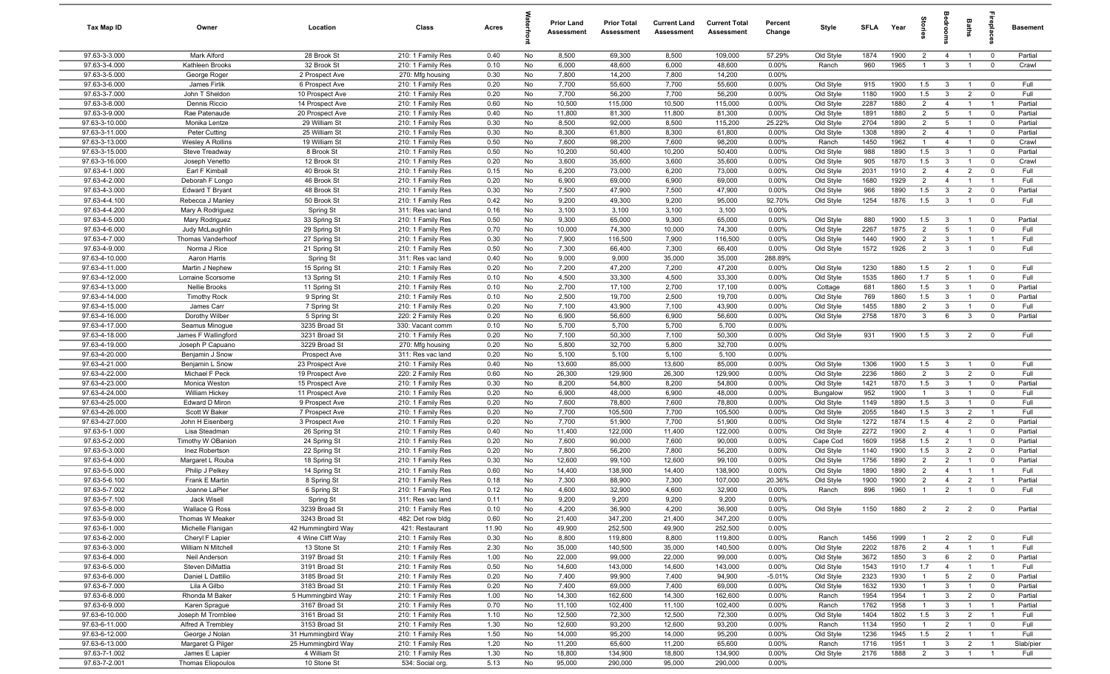| Tax Map ID                       | Owner                                   | Location                          | Class                                  | Acres        |          | <b>Prior Land</b><br>Assessment | <b>Prior Total</b><br>Assessment | <b>Current Land</b><br>Assessment | <b>Current Total</b><br>Assessment | Percent<br>Change | Style                  | <b>SFLA</b>  | Year         | tories                | ăroo                            | Baths                            |                                        | <b>Basement</b>    |
|----------------------------------|-----------------------------------------|-----------------------------------|----------------------------------------|--------------|----------|---------------------------------|----------------------------------|-----------------------------------|------------------------------------|-------------------|------------------------|--------------|--------------|-----------------------|---------------------------------|----------------------------------|----------------------------------------|--------------------|
| 97.63-3-3.000                    | Mark Alford                             | 28 Brook St                       | 210: 1 Family Res                      | 0.40         | No       | 8,500                           | 69,300                           | 8,500                             | 109,000                            | 57.29%            | Old Style              | 1874         | 1900         | $\overline{2}$        | $\overline{4}$                  | $\overline{1}$                   | $\overline{\mathbf{0}}$                | Partial            |
| 97.63-3-4.000                    | Kathleen Brooks                         | 32 Brook St                       | 210: 1 Family Res                      | 0.10         | No       | 6,000                           | 48,600                           | 6,000                             | 48,600                             | 0.00%             | Ranch                  | 960          | 1965         | $\overline{1}$        | $\mathbf{3}$                    | $\overline{1}$                   | $\mathbf 0$                            | Crawl              |
| 97.63-3-5.000<br>97.63-3-6.000   | George Roger                            | 2 Prospect Ave                    | 270: Mfg housing                       | 0.30         | No       | 7,800                           | 14,200                           | 7,800                             | 14,200                             | 0.00%             |                        |              |              |                       |                                 |                                  | $\overline{0}$                         | Full               |
| 97.63-3-7.000                    | James Firlik<br>John T Sheldon          | 6 Prospect Ave<br>10 Prospect Ave | 210: 1 Family Res<br>210: 1 Family Res | 0.20<br>0.20 | No<br>No | 7,700<br>7,700                  | 55,600<br>56,200                 | 7,700<br>7,700                    | 55,600<br>56,200                   | 0.00%<br>0.00%    | Old Style<br>Old Style | 915<br>1180  | 1900<br>1900 | 1.5<br>1.5            | $\mathbf{3}$<br>$\mathbf{3}$    | $\overline{1}$<br>$\overline{2}$ | $\mathbf 0$                            | Full               |
| 97.63-3-8.000                    | Dennis Riccio                           | 14 Prospect Ave                   | 210: 1 Family Res                      | 0.60         | No       | 10,500                          | 115,000                          | 10,500                            | 115,000                            | 0.00%             | Old Style              | 2287         | 1880         | $\overline{2}$        | $\overline{4}$                  | $\overline{1}$                   | $\overline{1}$                         | Partial            |
| 97.63-3-9.000                    | Rae Patenaude                           | 20 Prospect Ave                   | 210: 1 Family Res                      | 0.40         | No       | 11,800                          | 81,300                           | 11,800                            | 81,300                             | 0.00%             | Old Style              | 1891         | 1880         | $\overline{2}$        | $5\overline{5}$                 | $\overline{1}$                   | $\overline{\mathbf{0}}$                | Partial            |
| 97.63-3-10.000                   | Monika Lentze                           | 29 William St                     | 210: 1 Family Res                      | 0.30         | No       | 8,500                           | 92,000                           | 8,500                             | 115,200                            | 25.22%            | Old Style              | 2704         | 1890         | $\overline{2}$        | 5                               | $\overline{1}$                   | $\mathbf 0$                            | Partial            |
| 97.63-3-11.000                   | Peter Cutting                           | 25 William St                     | 210: 1 Family Res                      | 0.30         | No       | 8,300                           | 61,800                           | 8,300                             | 61,800                             | 0.00%             | Old Style              | 1308         | 1890         | $\overline{2}$        | $\overline{4}$                  | $\overline{1}$                   | $\mathbf 0$                            | Partial            |
| 97.63-3-13.000                   | <b>Wesley A Rollins</b>                 | 19 William St                     | 210: 1 Family Res                      | 0.50         | No       | 7,600                           | 98,200                           | 7,600                             | 98,200                             | 0.00%             | Ranch                  | 1450         | 1962         | $\overline{1}$        | $\overline{4}$                  | $\overline{1}$                   | $\mathbf 0$                            | Crawl              |
| 97.63-3-15.000                   | Steve Treadway                          | 8 Brook St                        | 210: 1 Family Res                      | 0.50         | No       | 10,200                          | 50,400                           | 10,200                            | 50,400                             | 0.00%             | Old Style              | 988          | 1890         | 1.5                   | 3                               | $\overline{1}$                   | $\mathbf 0$                            | Partial            |
| 97.63-3-16.000                   | Joseph Venetto                          | 12 Brook St                       | 210: 1 Family Res                      | 0.20         | No       | 3,600                           | 35,600                           | 3,600                             | 35,600                             | 0.00%             | Old Style              | 905          | 1870         | 1.5                   | $\mathbf{3}$                    | $\overline{1}$                   | $\mathbf 0$                            | Crawl              |
| 97.63-4-1.000                    | Earl F Kimball                          | 40 Brook St                       | 210: 1 Family Res                      | 0.15         | No       | 6,200                           | 73,000                           | 6,200                             | 73,000                             | 0.00%             | Old Style              | 2031         | 1910         | $\overline{2}$        | $\overline{4}$                  | $\overline{2}$                   | $\mathbf 0$                            | Full               |
| 97.63-4-2.000                    | Deborah F Longo                         | 46 Brook St                       | 210: 1 Family Res                      | 0.20         | No       | 6,900                           | 69,000                           | 6,900                             | 69,000                             | 0.00%             | Old Style              | 1680         | 1929         | $\overline{2}$        | $\overline{4}$                  | $\overline{1}$                   | $\overline{1}$                         | Full               |
| 97.63-4-3.000                    | Edward T Bryant                         | 48 Brook St                       | 210: 1 Family Res                      | 0.30         | No       | 7,500                           | 47,900                           | 7,500                             | 47,900                             | 0.00%             | Old Style              | 966          | 1890         | 1.5                   | $\mathbf{3}$                    | $\overline{2}$                   | $\mathbf 0$                            | Partial            |
| 97.63-4-4.100<br>97.63-4-4.200   | Rebecca J Manley                        | 50 Brook St                       | 210: 1 Family Res                      | 0.42         | No       | 9,200                           | 49,300<br>3,100                  | 9,200<br>3,100                    | 95,000                             | 92.70%<br>0.00%   | Old Style              | 1254         | 1876         | 1.5                   | $\mathbf{3}$                    | $\overline{1}$                   | $\mathbf 0$                            | Full               |
| 97.63-4-5.000                    | Mary A Rodriguez<br>Mary Rodriguez      | Spring St<br>33 Spring St         | 311: Res vac land<br>210: 1 Family Res | 0.16<br>0.50 | No<br>No | 3,100<br>9,300                  | 65,000                           | 9,300                             | 3,100<br>65,000                    | 0.00%             | Old Style              | 880          | 1900         | 1.5                   | $\mathbf{3}$                    | $\overline{1}$                   | $\mathbf 0$                            | Partial            |
| 97.63-4-6.000                    | Judy McLaughlin                         | 29 Spring St                      | 210: 1 Family Res                      | 0.70         | No       | 10,000                          | 74,300                           | 10,000                            | 74,300                             | 0.00%             | Old Style              | 2267         | 1875         | $\overline{2}$        | 5                               | $\overline{1}$                   | $\mathbf 0$                            | Full               |
| 97.63-4-7.000                    | Thomas Vanderhoof                       | 27 Spring St                      | 210: 1 Family Res                      | 0.30         | No       | 7,900                           | 116,500                          | 7,900                             | 116,500                            | 0.00%             | Old Style              | 1440         | 1900         | $\overline{2}$        | $\mathbf{3}$                    | $\overline{1}$                   | $\overline{1}$                         | Full               |
| 97.63-4-9.000                    | Norma J Rice                            | 21 Spring St                      | 210: 1 Family Res                      | 0.50         | No       | 7,300                           | 66,400                           | 7,300                             | 66,400                             | 0.00%             | Old Style              | 1572         | 1926         | $\overline{2}$        | $\mathbf{3}$                    | $\overline{1}$                   | $\mathbf 0$                            | Full               |
| 97.63-4-10.000                   | Aaron Harris                            | Spring St                         | 311: Res vac land                      | 0.40         | No       | 9,000                           | 9,000                            | 35,000                            | 35,000                             | 288.89%           |                        |              |              |                       |                                 |                                  |                                        |                    |
| 97.63-4-11.000                   | Martin J Nephew                         | 15 Spring St                      | 210: 1 Family Res                      | 0.20         | No       | 7,200                           | 47,200                           | 7,200                             | 47,200                             | 0.00%             | Old Style              | 1230         | 1880         | 1.5                   | $\overline{2}$                  | $\overline{1}$                   | $\overline{\mathbf{0}}$                | Full               |
| 97.63-4-12.000                   | Lorraine Scorsome                       | 13 Spring St                      | 210: 1 Family Res                      | 0.10         | No       | 4,500                           | 33,300                           | 4,500                             | 33,300                             | 0.00%             | Old Style              | 1535         | 1860         | 1.7                   | 5                               | $\overline{1}$                   | $\mathbf 0$                            | Full               |
| 97.63-4-13.000                   | Nellie Brooks                           | 11 Spring St                      | 210: 1 Family Res                      | 0.10         | No       | 2,700                           | 17,100                           | 2,700                             | 17,100                             | 0.00%             | Cottage                | 681          | 1860         | 1.5                   | $\mathbf{3}$                    | $\overline{1}$                   | $\mathbf 0$                            | Partial            |
| 97.63-4-14.000                   | <b>Timothy Rock</b>                     | 9 Spring St                       | 210: 1 Family Res                      | 0.10         | No       | 2,500                           | 19,700                           | 2,500                             | 19,700                             | 0.00%             | Old Style              | 769          | 1860         | 1.5                   | $\mathbf{3}$                    | $\overline{1}$                   | $\mathbf 0$                            | Partial            |
| 97.63-4-15.000                   | James Carr                              | 7 Spring St                       | 210: 1 Family Res                      | 0.20         | No       | 7,100                           | 43,900                           | 7,100                             | 43,900                             | 0.00%             | Old Style              | 1455         | 1880         | $\overline{2}$        | $\mathbf{3}$                    | $\overline{1}$                   | $\mathbf 0$                            | Full               |
| 97.63-4-16.000                   | Dorothy Wilber                          | 5 Spring St                       | 220: 2 Family Res                      | 0.20         | No       | 6,900                           | 56,600                           | 6,900                             | 56,600                             | 0.00%             | Old Style              | 2758         | 1870         | 3                     | 6                               | $\mathbf{3}$                     | $\mathbf 0$                            | Partial            |
| 97.63-4-17.000                   | Seamus Minogue                          | 3235 Broad St                     | 330: Vacant comm                       | 0.10         | No       | 5,700                           | 5,700                            | 5,700                             | 5,700                              | 0.00%             |                        |              |              |                       |                                 |                                  |                                        |                    |
| 97.63-4-18.000<br>97.63-4-19.000 | James F Wallingford<br>Joseph P Capuano | 3231 Broad St<br>3229 Broad St    | 210: 1 Family Res                      | 0.20<br>0.20 | No<br>No | 7,100<br>5,800                  | 50,300<br>32,700                 | 7,100<br>5,800                    | 50,300<br>32,700                   | 0.00%<br>0.00%    | Old Style              | 931          | 1900         | 1.5                   | $\overline{\mathbf{3}}$         | $\overline{2}$                   | $\mathbf 0$                            | Full               |
| 97.63-4-20.000                   | Benjamin J Snow                         | Prospect Ave                      | 270: Mfg housing<br>311: Res vac land  | 0.20         | No       | 5,100                           | 5,100                            | 5,100                             | 5,100                              | 0.00%             |                        |              |              |                       |                                 |                                  |                                        |                    |
| 97.63-4-21.000                   | Benjamin L Snow                         | 23 Prospect Ave                   | 210: 1 Family Res                      | 0.40         | No       | 13,600                          | 85,000                           | 13,600                            | 85,000                             | 0.00%             | Old Style              | 1306         | 1900         | 1.5                   | $\mathbf{3}$                    | $\overline{1}$                   | $\mathbf 0$                            | Full               |
| 97.63-4-22.000                   | Michael F Peck                          | 19 Prospect Ave                   | 220: 2 Family Res                      | 0.60         | No       | 26,300                          | 129,900                          | 26,300                            | 129,900                            | 0.00%             | Old Style              | 2236         | 1860         | $\overline{2}$        | $\mathbf{3}$                    | $\overline{2}$                   | $\mathbf 0$                            | Full               |
| 97.63-4-23.000                   | Monica Weston                           | 15 Prospect Ave                   | 210: 1 Family Res                      | 0.30         | No       | 8,200                           | 54,800                           | 8,200                             | 54,800                             | 0.00%             | Old Style              | 1421         | 1870         | 1.5                   | 3                               | $\overline{1}$                   | $\mathbf 0$                            | Partial            |
| 97.63-4-24.000                   | William Hickey                          | 11 Prospect Ave                   | 210: 1 Family Res                      | 0.20         | No       | 6,900                           | 48,000                           | 6,900                             | 48,000                             | $0.00\%$          | Bungalow               | 952          | 1900         | $\overline{1}$        | 3                               | $\overline{1}$                   | $\mathbf 0$                            | Full               |
| 97.63-4-25.000                   | Edward D Miron                          | 9 Prospect Ave                    | 210: 1 Family Res                      | 0.20         | No       | 7,600                           | 78,800                           | 7,600                             | 78,800                             | 0.00%             | Old Style              | 1149         | 1890         | 1.5                   | $\mathbf{3}$                    | $\overline{1}$                   | $\mathbf 0$                            | Full               |
| 97.63-4-26.000                   | Scott W Baker                           | 7 Prospect Ave                    | 210: 1 Family Res                      | 0.20         | No       | 7,700                           | 105,500                          | 7,700                             | 105,500                            | 0.00%             | Old Style              | 2055         | 1840         | 1.5                   | $\mathbf{3}$                    | $\overline{2}$                   | $\overline{1}$                         | Full               |
| 97.63-4-27.000                   | John H Eisenberg                        | 3 Prospect Ave                    | 210: 1 Family Res                      | 0.20         | No       | 7,700                           | 51,900                           | 7,700                             | 51,900                             | 0.00%             | Old Style              | 1272         | 1874         | 1.5                   | $\overline{4}$                  | $\overline{2}$                   | $\mathbf 0$                            | Partial            |
| 97.63-5-1.000                    | Lisa Steadman                           | 26 Spring St                      | 210: 1 Family Res                      | 0.40         | No       | 11,400                          | 122,000                          | 11,400                            | 122,000                            | 0.00%             | Old Style              | 2272         | 1900         | $\overline{2}$        | $\overline{4}$                  | $\overline{1}$                   | $\overline{\mathbf{0}}$                | Partial            |
| 97.63-5-2.000                    | Timothy W OBanion                       | 24 Spring St                      | 210: 1 Family Res                      | 0.20         | No       | 7,600                           | 90,000                           | 7,600                             | 90,000                             | 0.00%             | Cape Cod               | 1609         | 1958         | 1.5                   | $\overline{2}$                  | $\mathbf{1}$                     | $\mathbf 0$                            | Partial            |
| 97.63-5-3.000<br>97.63-5-4.000   | Inez Robertson                          | 22 Spring St                      | 210: 1 Family Res                      | 0.20         | No       | 7,800                           | 56,200<br>99,100                 | 7,800<br>12,600                   | 56,200<br>99,100                   | 0.00%<br>0.00%    | Old Style              | 1140         | 1900<br>1890 | 1.5<br>$\overline{2}$ | $\mathbf{3}$<br>$\overline{2}$  | $\overline{2}$<br>$\overline{1}$ | $\mathbf 0$<br>$\overline{0}$          | Partial<br>Partial |
| 97.63-5-5.000                    | Margaret L Rouba<br>Philip J Pelkey     | 18 Spring St<br>14 Spring St      | 210: 1 Family Res<br>210: 1 Family Res | 0.30<br>0.60 | No<br>No | 12,600<br>14,400                | 138,900                          | 14,400                            | 138,900                            | 0.00%             | Old Style<br>Old Style | 1756<br>1890 | 1890         | $\overline{2}$        | $\overline{4}$                  | $\overline{1}$                   | $\overline{1}$                         | Full               |
| 97.63-5-6.100                    | Frank E Martin                          | 8 Spring St                       | 210: 1 Family Res                      | 0.18         | No       | 7,300                           | 88,900                           | 7,300                             | 107,000                            | 20.36%            | Old Style              | 1900         | 1900         | $\overline{2}$        | $\overline{4}$                  | $\overline{2}$                   | $\overline{1}$                         | Partial            |
| 97.63-5-7.002                    | Joanne LaPier                           | 6 Spring St                       | 210: 1 Family Res                      | 0.12         | No       | 4,600                           | 32,900                           | 4,600                             | 32,900                             | 0.00%             | Ranch                  | 896          | 1960         | $\overline{1}$        | 2                               | $\overline{1}$                   | $\mathbf 0$                            | Full               |
| 97.63-5-7.100                    | Jack Wisell                             | Spring St                         | 311: Res vac land                      | 0.11         | No       | 9,200                           | 9,200                            | 9,200                             | 9,200                              | 0.00%             |                        |              |              |                       |                                 |                                  |                                        |                    |
| 97.63-5-8.000                    | Wallace G Ross                          | 3239 Broad St                     | 210: 1 Family Res                      | 0.10         | No       | 4,200                           | 36,900                           | 4,200                             | 36,900                             | 0.00%             | Old Style              | 1150         | 1880         | $\overline{2}$        | $\overline{2}$                  | $\overline{2}$                   | $\overline{\mathbf{0}}$                | Partial            |
| 97.63-5-9.000                    | Thomas W Meaker                         | 3243 Broad St                     | 482: Det row bldg                      | 0.60         | No       | 21,400                          | 347,200                          | 21,400                            | 347,200                            | 0.00%             |                        |              |              |                       |                                 |                                  |                                        |                    |
| 97.63-6-1.000                    | Michelle Flanigan                       | 42 Hummingbird Way                | 421: Restaurant                        | 11.90        | No       | 49,900                          | 252,500                          | 49,900                            | 252,500                            | 0.00%             |                        |              |              |                       |                                 |                                  |                                        |                    |
| 97.63-6-2.000                    | Cheryl F Lapier                         | 4 Wine Cliff Way                  | 210: 1 Family Res                      | 0.30         | No       | 8,800                           | 119,800                          | 8,800                             | 119,800                            | 0.00%             | Ranch                  | 1456         | 1999         | $\overline{1}$        | $\overline{2}$                  | $\overline{2}$                   | $\overline{0}$                         | Full               |
| 97.63-6-3.000                    | William N Mitchell                      | 13 Stone St                       | 210: 1 Family Res                      | 2.30         | No       | 35,000                          | 140,500                          | 35,000                            | 140,500                            | 0.00%             | Old Style              | 2202         | 1876         | $\overline{2}$        | $\overline{4}$                  | $\overline{1}$                   | $\overline{1}$                         | Full               |
| 97.63-6-4.000                    | Neil Anderson                           | 3197 Broad St                     | 210: 1 Family Res                      | 1.00         | No       | 22,000                          | 99,000                           | 22,000                            | 99,000                             | 0.00%             | Old Style              | 3672         | 1850         | 3                     | 6                               | $\overline{2}$                   | $\overline{0}$                         | Partial            |
| 97.63-6-5.000                    | Steven DiMattia                         | 3191 Broad St                     | 210: 1 Family Res<br>210: 1 Family Res | 0.50         | No       | 14,600                          | 143,000                          | 14,600                            | 143,000                            | 0.00%             | Old Style              | 1543         | 1910         | 1.7<br>$\mathbf{1}$   | $\overline{4}$                  | $\overline{1}$                   | $\overline{1}$                         | Full               |
| 97.63-6-6.000<br>97.63-6-7.000   | Daniel L Dattilio<br>Lila A Gilbo       | 3185 Broad St<br>3183 Broad St    | 210: 1 Family Res                      | 0.20<br>0.20 | No<br>No | 7,400<br>7,400                  | 99,900<br>69,000                 | 7,400<br>7,400                    | 94,900<br>69,000                   | $-5.01%$<br>0.00% | Old Style<br>Old Style | 2323<br>1632 | 1930<br>1930 | $\overline{1}$        | $5\overline{)}$<br>$\mathbf{3}$ | $\overline{2}$<br>$\overline{1}$ | $\overline{\mathbf{0}}$<br>$\mathbf 0$ | Partial<br>Partial |
| 97.63-6-8.000                    | Rhonda M Baker                          | 5 Hummingbird Way                 | 210: 1 Family Res                      | 1.00         | No       | 14,300                          | 162,600                          | 14,300                            | 162,600                            | 0.00%             | Ranch                  | 1954         | 1954         | $\overline{1}$        | $\mathbf{3}$                    | $\overline{2}$                   | $\overline{\mathbf{0}}$                | Partial            |
| 97.63-6-9.000                    | Karen Sprague                           | 3167 Broad St                     | 210: 1 Family Res                      | 0.70         | No       | 11,100                          | 102,400                          | 11,100                            | 102,400                            | 0.00%             | Ranch                  | 1762         | 1958         | $\overline{1}$        | $\mathbf{3}$                    | $\overline{1}$                   | $\overline{1}$                         | Partial            |
| 97.63-6-10.000                   | Joseph M Tromblee                       | 3161 Broad St                     | 210: 1 Family Res                      | 1.10         | No       | 12,500                          | 72,300                           | 12,500                            | 72,300                             | 0.00%             | Old Style              | 1404         | 1802         | 1.5                   | $\overline{3}$                  | $\overline{2}$                   | $\overline{1}$                         | Full               |
| 97.63-6-11.000                   | Alfred A Trembley                       | 3153 Broad St                     | 210: 1 Family Res                      | 1.30         | No       | 12,600                          | 93,200                           | 12,600                            | 93,200                             | 0.00%             | Ranch                  | 1134         | 1950         | $\overline{1}$        | $\overline{2}$                  | $\overline{1}$                   | $\mathbf 0$                            | Full               |
| 97.63-6-12.000                   | George J Nolan                          | 31 Hummingbird Way                | 210: 1 Family Res                      | 1.50         | No       | 14,000                          | 95,200                           | 14,000                            | 95,200                             | 0.00%             | Old Style              | 1236         | 1945         | 1.5                   | $\overline{2}$                  | $\overline{1}$                   | $\overline{1}$                         | Full               |
| 97.63-6-13.000                   | Margaret G Pilger                       | 25 Hummingbird Way                | 210: 1 Family Res                      | 1.20         | No       | 11,200                          | 65,600                           | 11,200                            | 65,600                             | 0.00%             | Ranch                  | 1716         | 1951         | $\overline{1}$        | $\mathbf{3}$                    | $\overline{2}$                   | $\overline{1}$                         | Slab/pier          |
| 97.63-7-1.002                    | James E Lapier                          | 4 William St                      | 210: 1 Family Res                      | 1.30         | No       | 18,800                          | 134,900                          | 18,800                            | 134,900                            | 0.00%             | Old Style              | 2176         | 1888         | $\overline{2}$        | $\overline{3}$                  | $\overline{1}$                   | $\overline{1}$                         | Full               |
| 97.63-7-2.001                    | <b>Thomas Eliopoulos</b>                | 10 Stone St                       | 534: Social org.                       | 5.13         | No       | 95,000                          | 290,000                          | 95,000                            | 290,000                            | $0.00\%$          |                        |              |              |                       |                                 |                                  |                                        |                    |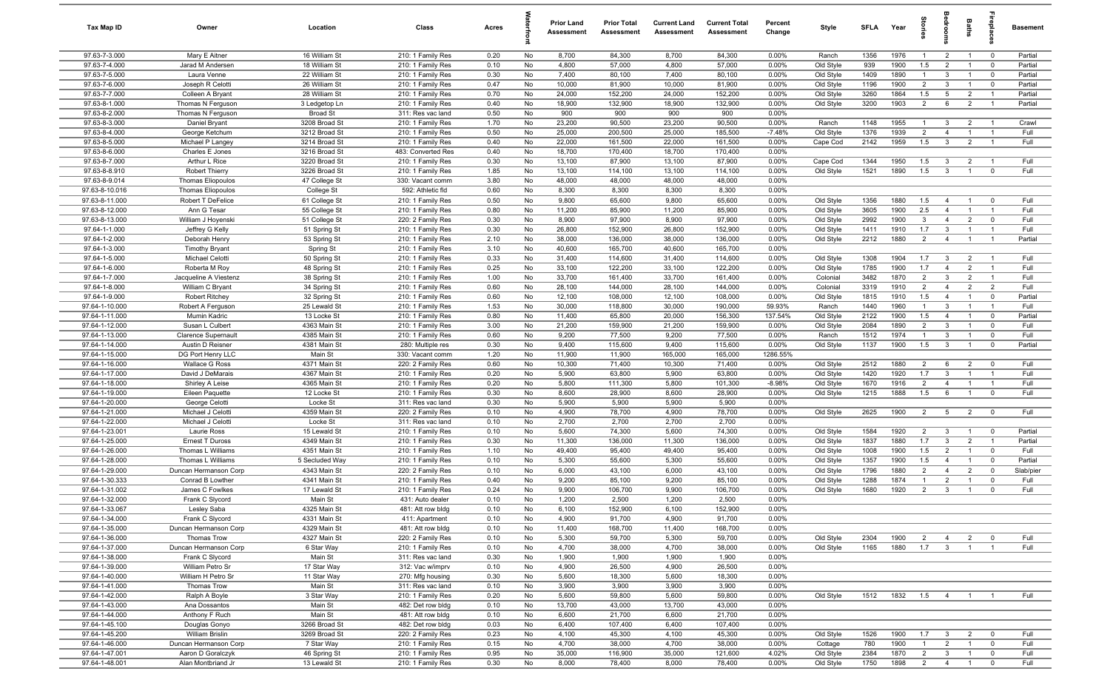| Tax Map ID                       | Owner                                    | Location                         | Class                                  | Acres        |          | <b>Prior Land</b><br>Assessment | <b>Prior Total</b><br>Assessment | <b>Current Land</b><br>Assessment | <b>Current Total</b><br>Assessment | Percent<br>Change | Style                 | <b>SFLA</b>  | Year         | ğ              |                                | Baths                            | epla           | <b>Basement</b> |
|----------------------------------|------------------------------------------|----------------------------------|----------------------------------------|--------------|----------|---------------------------------|----------------------------------|-----------------------------------|------------------------------------|-------------------|-----------------------|--------------|--------------|----------------|--------------------------------|----------------------------------|----------------|-----------------|
| 97.63-7-3.000                    | Mary E Aitner                            | 16 William St                    | 210: 1 Family Res                      | 0.20         | No       | 8,700                           | 84,300                           | 8,700                             | 84,300                             | 0.00%             | Ranch                 | 1356         | 1976         | $\mathbf{1}$   | $\overline{2}$                 | $\overline{1}$                   | $\mathbf 0$    | Partial         |
| 97.63-7-4.000                    | Jarad M Andersen                         | 18 William St                    | 210: 1 Family Res                      | 0.10         | No       | 4,800                           | 57,000                           | 4,800                             | 57,000                             | 0.00%             | Old Style             | 939          | 1900         | 1.5            | $\overline{2}$                 |                                  | $\mathbf 0$    | Partial         |
| 97.63-7-5.000                    | Laura Venne                              | 22 William St                    | 210: 1 Family Res                      | 0.30         | No       | 7,400                           | 80,100                           | 7,400                             | 80,100                             | 0.00%             | Old Style             | 1409         | 1890         | $\mathbf{1}$   | $\mathbf{3}$                   | $\overline{1}$                   | $^{\circ}$     | Partial         |
| 97.63-7-6.000                    | Joseph R Celotti                         | 26 William St                    | 210: 1 Family Res                      | 0.47         | No       | 10,000                          | 81,900                           | 10,000                            | 81,900                             | 0.00%             | Old Style             | 1196         | 1900         | $\overline{2}$ | $\mathbf{3}$                   |                                  | $^{\circ}$     | Partial         |
| 97.63-7-7.000                    | Colleen A Bryant                         | 28 William St                    | 210: 1 Family Res                      | 0.70         | No       | 24,000                          | 152,200                          | 24,000                            | 152,200                            | 0.00%             | Old Style             | 3260         | 1864         | 1.5            | 5                              | $\overline{2}$                   | $\overline{1}$ | Partial         |
| 97.63-8-1.000                    | Thomas N Ferguson                        | 3 Ledgetop Ln                    | 210: 1 Family Res                      | 0.40         | No       | 18,900                          | 132,900                          | 18,900                            | 132,900                            | 0.00%             | Old Style             | 3200         | 1903         | 2              | 6                              | $\overline{2}$                   | $\overline{1}$ | Partial         |
| 97.63-8-2.000<br>97.63-8-3.000   | Thomas N Ferguson<br>Daniel Bryant       | <b>Broad St</b><br>3208 Broad St | 311: Res vac land<br>210: 1 Family Res | 0.50<br>1.70 | No<br>No | 900<br>23,200                   | 900<br>90,500                    | 900<br>23,200                     | 900<br>90,500                      | 0.00%<br>0.00%    | Ranch                 | 1148         | 1955         | $\overline{1}$ | $\mathbf{3}$                   | $\overline{2}$                   | $\overline{1}$ | Crawl           |
| 97.63-8-4.000                    | George Ketchum                           | 3212 Broad St                    | 210: 1 Family Res                      | 0.50         | No       | 25,000                          | 200,500                          | 25,000                            | 185,500                            | $-7.48%$          | Old Style             | 1376         | 1939         | $\overline{2}$ | $\overline{4}$                 | $\overline{1}$                   | $\overline{1}$ | Full            |
| 97.63-8-5.000                    | Michael P Langey                         | 3214 Broad St                    | 210: 1 Family Res                      | 0.40         | No       | 22,000                          | 161,500                          | 22,000                            | 161,500                            | 0.00%             | Cape Cod              | 2142         | 1959         | 1.5            | $\mathbf{3}$                   | $\overline{2}$                   | $\overline{1}$ | Full            |
| 97.63-8-6.000                    | Charles E Jones                          | 3216 Broad St                    | 483: Converted Res                     | 0.40         | No       | 18,700                          | 170,400                          | 18,700                            | 170,400                            | 0.00%             |                       |              |              |                |                                |                                  |                |                 |
| 97.63-8-7.000                    | Arthur L Rice                            | 3220 Broad St                    | 210: 1 Family Res                      | 0.30         | No       | 13,100                          | 87,900                           | 13,100                            | 87,900                             | 0.00%             | Cape Cod              | 1344         | 1950         | 1.5            | $\mathbf{3}$                   | $\overline{2}$                   | $\overline{1}$ | Full            |
| 97.63-8-8.910                    | <b>Robert Thierry</b>                    | 3226 Broad St                    | 210: 1 Family Res                      | 1.85         | No       | 13,100                          | 114,100                          | 13,100                            | 114,100                            | 0.00%             | Old Style             | 1521         | 1890         | 1.5            | $\overline{3}$                 | $\overline{1}$                   | $\mathbf 0$    | Full            |
| 97.63-8-9.014                    | <b>Thomas Eliopoulos</b>                 | 47 College St                    | 330: Vacant comm                       | 3.80         | No       | 48,000                          | 48,000                           | 48,000                            | 48,000                             | 0.00%             |                       |              |              |                |                                |                                  |                |                 |
| 97.63-8-10.016                   | <b>Thomas Eliopoulos</b>                 | College St                       | 592: Athletic fld                      | 0.60         | No       | 8,300                           | 8,300                            | 8,300                             | 8,300                              | 0.00%             |                       |              |              |                |                                |                                  |                |                 |
| 97.63-8-11.000                   | Robert T DeFelice                        | 61 College St                    | 210: 1 Family Res                      | 0.50         | No       | 9,800                           | 65,600                           | 9,800                             | 65,600                             | 0.00%             | Old Style             | 1356         | 1880         | 1.5            | $\overline{4}$                 |                                  | $^{\circ}$     | Full            |
| 97.63-8-12.000                   | Ann G Tesar                              | 55 College St                    | 210: 1 Family Res                      | 0.80         | No       | 11,200                          | 85,900                           | 11,200                            | 85,900                             | 0.00%             | Old Style             | 3605         | 1900         | 2.5            | $\overline{4}$                 |                                  | $\overline{1}$ | Full            |
| 97.63-8-13.000                   | William J Hoyenski                       | 51 College St                    | 220: 2 Family Res                      | 0.30         | No       | 8,900                           | 97,900                           | 8,900                             | 97,900                             | 0.00%             | Old Style             | 2992         | 1900         | $\mathbf{3}$   | $\overline{4}$                 | $\overline{2}$                   | $^{\circ}$     | Full            |
| 97.64-1-1.000                    | Jeffrey G Kelly                          | 51 Spring St                     | 210: 1 Family Res                      | 0.30         | No       | 26,800                          | 152,900                          | 26,800                            | 152,900                            | 0.00%             | Old Style             | 1411         | 1910         | 1.7            | $\mathbf{3}$                   | $\overline{1}$                   | $\overline{1}$ | Full            |
| 97.64-1-2.000                    | Deborah Henry                            | 53 Spring St                     | 210: 1 Family Res                      | 2.10         | No       | 38,000                          | 136,000                          | 38,000                            | 136,000                            | 0.00%             | Old Style             | 2212         | 1880         | $\overline{2}$ | $\overline{4}$                 | $\overline{1}$                   | $\overline{1}$ | Partial         |
| 97.64-1-3.000                    | <b>Timothy Bryant</b>                    | Spring St                        | 210: 1 Family Res                      | 3.10         | No       | 40,600                          | 165,700                          | 40,600                            | 165,700                            | 0.00%             |                       |              |              |                |                                |                                  | $\overline{1}$ |                 |
| 97.64-1-5.000<br>97.64-1-6.000   | Michael Celotti                          | 50 Spring St                     | 210: 1 Family Res                      | 0.33         | No       | 31,400<br>33,100                | 114,600<br>122,200               | 31,400<br>33,100                  | 114,600<br>122,200                 | 0.00%<br>0.00%    | Old Style             | 1308<br>1785 | 1904<br>1900 | 1.7<br>1.7     | $\mathbf{3}$<br>$\overline{4}$ | $\overline{2}$<br>$\overline{2}$ | $\overline{1}$ | Full<br>Full    |
| 97.64-1-7.000                    | Roberta M Roy<br>Jacqueline A Viestenz   | 48 Spring St<br>38 Spring St     | 210: 1 Family Res<br>210: 1 Family Res | 0.25<br>1.00 | No<br>No | 33,700                          | 161,400                          | 33,700                            | 161,400                            | 0.00%             | Old Style<br>Colonial | 3482         | 1870         | 2              | $\mathbf{3}$                   | $\overline{2}$                   | - 1            | Full            |
| 97.64-1-8.000                    | William C Bryant                         | 34 Spring St                     | 210: 1 Family Res                      | 0.60         | No       | 28,100                          | 144,000                          | 28,100                            | 144,000                            | 0.00%             | Colonial              | 3319         | 1910         | $\overline{2}$ | $\overline{4}$                 | $\overline{2}$                   | $\overline{2}$ | Full            |
| 97.64-1-9.000                    | <b>Robert Ritchey</b>                    | 32 Spring St                     | 210: 1 Family Res                      | 0.60         | No       | 12,100                          | 108,000                          | 12,100                            | 108,000                            | 0.00%             | Old Style             | 1815         | 1910         | 1.5            | $\overline{4}$                 | $\overline{1}$                   | $\mathbf 0$    | Partial         |
| 97.64-1-10.000                   | Robert A Ferguson                        | 25 Lewald St                     | 210: 1 Family Res                      | 1.53         | No       | 30,000                          | 118,800                          | 30,000                            | 190,000                            | 59.93%            | Ranch                 | 1440         | 1960         | $\mathbf{1}$   | $\mathbf{3}$                   | $\overline{1}$                   | $\overline{1}$ | Full            |
| 97.64-1-11.000                   | Mumin Kadric                             | 13 Locke St                      | 210: 1 Family Res                      | 0.80         | No       | 11,400                          | 65,800                           | 20,000                            | 156,300                            | 137.54%           | Old Style             | 2122         | 1900         | 1.5            | $\overline{4}$                 |                                  | $^{\circ}$     | Partial         |
| 97.64-1-12.000                   | Susan L Culbert                          | 4363 Main St                     | 210: 1 Family Res                      | 3.00         | No       | 21,200                          | 159,900                          | 21,200                            | 159,900                            | 0.00%             | Old Style             | 2084         | 1890         | $\overline{2}$ | $\mathbf{3}$                   |                                  | $^{\circ}$     | Full            |
| 97.64-1-13.000                   | <b>Clarence Supernault</b>               | 4385 Main St                     | 210: 1 Family Res                      | 0.60         | No       | 9,200                           | 77,500                           | 9,200                             | 77,500                             | 0.00%             | Ranch                 | 1512         | 1974         | $\overline{1}$ | $\mathbf{3}$                   |                                  | $\mathbf 0$    | Full            |
| 97.64-1-14.000                   | Austin D Reisner                         | 4381 Main St                     | 280: Multiple res                      | 0.30         | No       | 9,400                           | 115,600                          | 9,400                             | 115,600                            | 0.00%             | Old Style             | 1137         | 1900         | 1.5            | $\mathbf{3}$                   | $\overline{1}$                   | $\mathbf 0$    | Partial         |
| 97.64-1-15.000                   | DG Port Henry LLC                        | Main St                          | 330: Vacant comm                       | 1.20         | No       | 11,900                          | 11,900                           | 165,000                           | 165,000                            | 1286.55%          |                       |              |              |                |                                |                                  |                |                 |
| 97.64-1-16.000                   | Wallace G Ross                           | 4371 Main St                     | 220: 2 Family Res                      | 0.60         | No       | 10,300                          | 71,400                           | 10,300                            | 71,400                             | 0.00%             | Old Style             | 2512         | 1880         | $\overline{2}$ | 6                              | $\overline{2}$                   | $^{\circ}$     | Full            |
| 97.64-1-17.000                   | David J DeMarais                         | 4367 Main St                     | 210: 1 Family Res                      | 0.20         | No       | 5,900                           | 63,800                           | 5,900                             | 63,800                             | 0.00%             | Old Style             | 1420         | 1920         | 1.7            | $\mathbf{3}$                   | $\overline{1}$                   | $\overline{1}$ | Full            |
| 97.64-1-18.000                   | Shirley A Leise                          | 4365 Main St                     | 210: 1 Family Res                      | 0.20         | No       | 5,800                           | 111,300                          | 5,800                             | 101,300                            | $-8.98%$          | Old Style             | 1670         | 1916         | $\overline{2}$ | $\overline{4}$                 | $\overline{1}$                   | $\overline{1}$ | Full            |
| 97.64-1-19.000                   | Eileen Paquette                          | 12 Locke St                      | 210: 1 Family Res                      | 0.30         | No       | 8,600                           | 28,900                           | 8,600                             | 28,900                             | 0.00%             | Old Style             | 1215         | 1888         | 1.5            | 6                              | $\overline{1}$                   | $\mathbf 0$    | Full            |
| 97.64-1-20.000<br>97.64-1-21.000 | George Celotti<br>Michael J Celotti      | Locke St<br>4359 Main St         | 311: Res vac land<br>220: 2 Family Res | 0.30<br>0.10 | No<br>No | 5,900<br>4,900                  | 5,900<br>78,700                  | 5,900<br>4,900                    | 5,900<br>78,700                    | 0.00%<br>0.00%    | Old Style             | 2625         | 1900         | $\overline{2}$ | $5\overline{)}$                | $\overline{2}$                   | $\mathbf 0$    | Full            |
| 97.64-1-22.000                   | Michael J Celotti                        | Locke St                         | 311: Res vac land                      | 0.10         | No       | 2,700                           | 2,700                            | 2,700                             | 2,700                              | 0.00%             |                       |              |              |                |                                |                                  |                |                 |
| 97.64-1-23.001                   | Laurie Ross                              | 15 Lewald St                     | 210: 1 Family Res                      | 0.10         | No       | 5,600                           | 74,300                           | 5,600                             | 74,300                             | 0.00%             | Old Style             | 1584         | 1920         | $\overline{2}$ | $\mathbf{3}$                   | $\overline{1}$                   | $\mathbf 0$    | Partial         |
| 97.64-1-25.000                   | Ernest T Duross                          | 4349 Main St                     | 210: 1 Family Res                      | 0.30         | No       | 11,300                          | 136,000                          | 11,300                            | 136,000                            | 0.00%             | Old Style             | 1837         | 1880         | 1.7            | $\mathbf{3}$                   | $\overline{2}$                   | -1             | Partial         |
| 97.64-1-26.000                   | Thomas L Williams                        | 4351 Main St                     | 210: 1 Family Res                      | 1.10         | No       | 49,400                          | 95,400                           | 49,400                            | 95,400                             | 0.00%             | Old Style             | 1008         | 1900         | 1.5            | $\overline{2}$                 | $\overline{1}$                   | $^{\circ}$     | Full            |
| 97.64-1-28.000                   | Thomas L Williams                        | 5 Secluded Way                   | 210: 1 Family Res                      | 0.10         | No       | 5,300                           | 55,600                           | 5,300                             | 55,600                             | 0.00%             | Old Style             | 1357         | 1900         | 1.5            | $\overline{4}$                 | $\overline{1}$                   | $\mathbf 0$    | Partial         |
| 97.64-1-29.000                   | Duncan Hermanson Corp                    | 4343 Main St                     | 220: 2 Family Res                      | 0.10         | No       | 6,000                           | 43,100                           | 6,000                             | 43,100                             | 0.00%             | Old Style             | 1796         | 1880         | $\overline{2}$ | $\overline{4}$                 | $\overline{2}$                   | $\mathbf 0$    | Slab/pier       |
| 97.64-1-30.333                   | Conrad B Lowther                         | 4341 Main St                     | 210: 1 Family Res                      | 0.40         | No       | 9,200                           | 85,100                           | 9,200                             | 85,100                             | 0.00%             | Old Style             | 1288         | 1874         | $\mathbf{1}$   | $\overline{2}$                 |                                  | $^{\circ}$     | Full            |
| 97.64-1-31.002                   | James C Fowlkes                          | 17 Lewald St                     | 210: 1 Family Res                      | 0.24         | No       | 9,900                           | 106,700                          | 9,900                             | 106,700                            | 0.00%             | Old Style             | 1680         | 1920         | $\overline{2}$ | $\mathbf{3}$                   | $\overline{1}$                   | $^{\circ}$     | Full            |
| 97.64-1-32.000                   | Frank C Slycord                          | Main St                          | 431: Auto dealer                       | 0.10         | No.      | 1,200                           | 2,500                            | 1,200                             | 2,500                              | 0.00%             |                       |              |              |                |                                |                                  |                |                 |
| 97.64-1-33.067                   | Lesley Saba                              | 4325 Main St                     | 481: Att row bldg                      | 0.10         | No       | 6,100                           | 152,900                          | 6,100                             | 152,900                            | 0.00%             |                       |              |              |                |                                |                                  |                |                 |
| 97.64-1-34.000                   | Frank C Slycord                          | 4331 Main St                     | 411: Apartment                         | 0.10         | No       | 4,900                           | 91,700                           | 4,900                             | 91,700                             | 0.00%             |                       |              |              |                |                                |                                  |                |                 |
| 97.64-1-35.000                   | Duncan Hermanson Corp                    | 4329 Main St                     | 481: Att row bldg                      | 0.10         | No       | 11,400                          | 168,700                          | 11,400                            | 168,700                            | 0.00%             |                       |              |              |                |                                |                                  |                |                 |
| 97.64-1-36.000                   | Thomas Trow                              | 4327 Main St                     | 220: 2 Family Res                      | 0.10         | No       | 5,300                           | 59,700                           | 5,300                             | 59,700                             | 0.00%             | Old Style             | 2304         | 1900         | $\overline{2}$ | $\overline{4}$                 | $\overline{2}$                   | $\mathbf 0$    | Full<br>Full    |
| 97.64-1-37.000<br>97.64-1-38.000 | Duncan Hermanson Corp<br>Frank C Slycord | 6 Star Way<br>Main St            | 210: 1 Family Res<br>311: Res vac land | 0.10<br>0.30 | No<br>No | 4,700<br>1,900                  | 38,000<br>1,900                  | 4,700<br>1,900                    | 38,000<br>1,900                    | 0.00%<br>0.00%    | Old Style             | 1165         | 1880         | 1.7            | $\mathbf{3}$                   | $\mathbf{1}$                     |                |                 |
| 97.64-1-39.000                   | William Petro Sr                         | 17 Star Way                      | 312: Vac w/imprv                       | 0.10         | No       | 4,900                           | 26,500                           | 4,900                             | 26,500                             | 0.00%             |                       |              |              |                |                                |                                  |                |                 |
| 97.64-1-40.000                   | William H Petro Sr                       | 11 Star Way                      | 270: Mfg housing                       | 0.30         | No       | 5,600                           | 18,300                           | 5,600                             | 18,300                             | 0.00%             |                       |              |              |                |                                |                                  |                |                 |
| 97.64-1-41.000                   | Thomas Trow                              | Main St                          | 311: Res vac land                      | 0.10         | No       | 3,900                           | 3,900                            | 3,900                             | 3,900                              | 0.00%             |                       |              |              |                |                                |                                  |                |                 |
| 97.64-1-42.000                   | Ralph A Boyle                            | 3 Star Way                       | 210: 1 Family Res                      | 0.20         | No       | 5,600                           | 59,800                           | 5,600                             | 59,800                             | 0.00%             | Old Style             | 1512         | 1832         | 1.5            | $\overline{4}$                 | $\overline{1}$                   |                | Full            |
| 97.64-1-43.000                   | Ana Dossantos                            | Main St                          | 482: Det row bldg                      | 0.10         | No       | 13,700                          | 43,000                           | 13,700                            | 43,000                             | 0.00%             |                       |              |              |                |                                |                                  |                |                 |
| 97.64-1-44.000                   | Anthony F Ruch                           | Main St                          | 481: Att row bldg                      | 0.10         | No       | 6,600                           | 21,700                           | 6,600                             | 21,700                             | 0.00%             |                       |              |              |                |                                |                                  |                |                 |
| 97.64-1-45.100                   | Douglas Gonyo                            | 3266 Broad St                    | 482: Det row bldg                      | 0.03         | No       | 6,400                           | 107,400                          | 6,400                             | 107,400                            | 0.00%             |                       |              |              |                |                                |                                  |                |                 |
| 97.64-1-45.200                   | <b>William Brislin</b>                   | 3269 Broad St                    | 220: 2 Family Res                      | 0.23         | No       | 4,100                           | 45,300                           | 4,100                             | 45,300                             | 0.00%             | Old Style             | 1526         | 1900         | 1.7            | $\mathbf{3}$                   | $\overline{2}$                   | $\mathbf 0$    | Full            |
| 97.64-1-46.000                   | Duncan Hermanson Corp                    | 7 Star Way                       | 210: 1 Family Res                      | 0.15         | No       | 4,700                           | 38,000                           | 4,700                             | 38,000                             | 0.00%             | Cottage               | 780          | 1900         | $\mathbf{1}$   | $\overline{2}$                 | $\overline{1}$                   | $\mathbf 0$    | Full            |
| 97.64-1-47.001                   | Aaron D Goralczyk                        | 46 Spring St                     | 210: 1 Family Res                      | 0.95         | No       | 35,000                          | 116,900                          | 35,000                            | 121,600                            | 4.02%             | Old Style             | 2384         | 1870         | $\overline{2}$ | $\mathbf{3}$                   | $\overline{1}$                   | $\mathbf 0$    | Full            |
| 97.64-1-48.001                   | Alan Montbriand Jr                       | 13 Lewald St                     | 210: 1 Family Res                      | 0.30         | No       | 8,000                           | 78,400                           | 8,000                             | 78,400                             | 0.00%             | Old Style             | 1750         | 1898         | $\overline{2}$ | $\overline{4}$                 | $\overline{1}$                   | $\mathbf 0$    | Full            |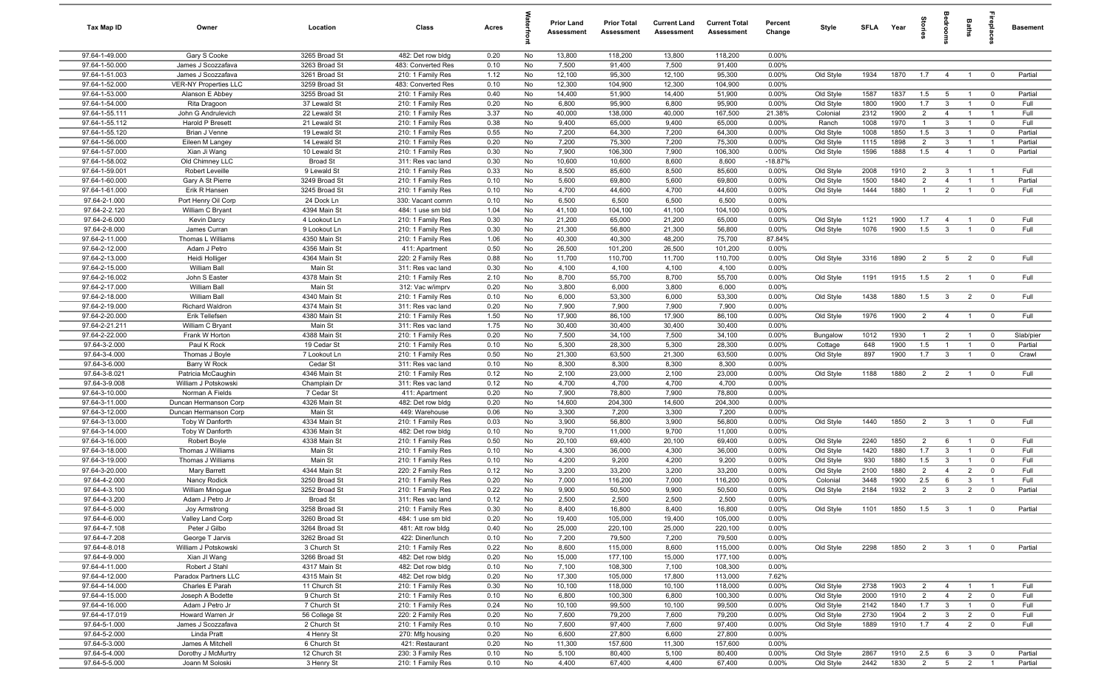| Tax Map ID                       | Owner                                    | Location                     | Class                                  | Acres        |          | <b>Prior Land</b><br>Assessment | <b>Prior Total</b><br>Assessment | <b>Current Land</b><br>Assessment | <b>Current Total</b><br>Assessment | Percent<br>Change | Style                  | <b>SFI A</b> | Year         | tories                           | adroom                       | Baths          | ireplace                      | <b>Basement</b> |
|----------------------------------|------------------------------------------|------------------------------|----------------------------------------|--------------|----------|---------------------------------|----------------------------------|-----------------------------------|------------------------------------|-------------------|------------------------|--------------|--------------|----------------------------------|------------------------------|----------------|-------------------------------|-----------------|
| 97.64-1-49.000                   | Gary S Cooke                             | 3265 Broad St                | 482: Det row bldg                      | 0.20         | No       | 13,800                          | 118,200                          | 13,800                            | 118,200                            | $0.00\%$          |                        |              |              |                                  |                              |                |                               |                 |
| 97.64-1-50.000                   | James J Scozzafava                       | 3263 Broad St                | 483: Converted Res                     | 0.10         | No       | 7,500                           | 91,400                           | 7,500                             | 91,400                             | 0.00%             |                        |              |              |                                  |                              |                |                               |                 |
| 97.64-1-51.003                   | James J Scozzafava                       | 3261 Broad St                | 210: 1 Family Res                      | 1.12         | No       | 12,100                          | 95,300                           | 12,100                            | 95,300                             | 0.00%             | Old Style              | 1934         | 1870         | 1.7                              | $\overline{4}$               | $\overline{1}$ | $\mathbf 0$                   | Partial         |
| 97.64-1-52.000                   | <b>VER-NY Properties LLC</b>             | 3259 Broad St                | 483: Converted Res                     | 0.10         | No       | 12,300                          | 104,900                          | 12,300                            | 104,900                            | 0.00%             |                        |              |              |                                  |                              |                |                               |                 |
| 97.64-1-53.000                   | Alanson E Abbey                          | 3255 Broad St                | 210: 1 Family Res                      | 0.40         | No       | 14,400                          | 51,900                           | 14,400                            | 51,900                             | 0.00%             | Old Style              | 1587         | 1837         | 1.5                              | 5                            | $\mathbf{1}$   | $\overline{0}$                | Partial         |
| 97.64-1-54.000                   | Rita Dragoon                             | 37 Lewald St                 | 210: 1 Family Res                      | 0.20         | No       | 6,800                           | 95,900                           | 6,800                             | 95,900                             | 0.00%             | Old Style              | 1800         | 1900         | 1.7                              | $\mathbf{3}$                 | $\overline{1}$ | $^{\circ}$                    | Full            |
| 97.64-1-55.111                   | John G Andrulevich                       | 22 Lewald St                 | 210: 1 Family Res                      | 3.37         | No       | 40,000                          | 138,000                          | 40,000                            | 167,500                            | 21.38%            | Colonial               | 2312<br>1008 | 1900         | $\overline{2}$<br>$\overline{1}$ | $\overline{4}$               |                | $\overline{1}$                | Full<br>Full    |
| 97.64-1-55.112<br>97.64-1-55.120 | Harold P Bresett<br>Brian J Venne        | 21 Lewald St                 | 210: 1 Family Res                      | 0.38<br>0.55 | No<br>No | 9,400<br>7,200                  | 65,000                           | 9,400<br>7,200                    | 65,000<br>64,300                   | 0.00%             | Ranch                  | 1008         | 1970<br>1850 | 1.5                              | $\mathbf{3}$<br>$\mathbf{3}$ | $\overline{1}$ | $\mathbf 0$                   | Partial         |
| 97.64-1-56.000                   | Eileen M Langey                          | 19 Lewald St<br>14 Lewald St | 210: 1 Family Res<br>210: 1 Family Res | 0.20         | No       | 7,200                           | 64,300<br>75,300                 | 7,200                             | 75,300                             | 0.00%<br>0.00%    | Old Style<br>Old Style | 1115         | 1898         | 2                                | $\mathbf{3}$                 | $\overline{1}$ | $\mathbf 0$<br>$\overline{1}$ | Partial         |
| 97.64-1-57.000                   | Xian Ji Wang                             | 10 Lewald St                 | 210: 1 Family Res                      | 0.30         | No       | 7,900                           | 106,300                          | 7,900                             | 106,300                            | 0.00%             | Old Style              | 1596         | 1888         | 1.5                              | $\overline{4}$               | $\overline{1}$ | $\mathbf 0$                   | Partial         |
| 97.64-1-58.002                   | Old Chimney LLC                          | <b>Broad St</b>              | 311: Res vac land                      | 0.30         | No       | 10,600                          | 10,600                           | 8,600                             | 8,600                              | $-18.87%$         |                        |              |              |                                  |                              |                |                               |                 |
| 97.64-1-59.001                   | Robert Leveille                          | 9 Lewald St                  | 210: 1 Family Res                      | 0.33         | No       | 8,500                           | 85,600                           | 8,500                             | 85,600                             | 0.00%             | Old Style              | 2008         | 1910         | $\overline{2}$                   | 3                            | $\overline{1}$ | $\overline{1}$                | Full            |
| 97.64-1-60.000                   | Gary A St Pierre                         | 3249 Broad St                | 210: 1 Family Res                      | 0.10         | No       | 5,600                           | 69,800                           | 5,600                             | 69,800                             | 0.00%             | Old Style              | 1500         | 1840         | $\overline{2}$                   | $\overline{4}$               | $\overline{1}$ | $\overline{1}$                | Partial         |
| 97.64-1-61.000                   | Erik R Hansen                            | 3245 Broad St                | 210: 1 Family Res                      | 0.10         | No       | 4,700                           | 44,600                           | 4,700                             | 44,600                             | 0.00%             | Old Style              | 1444         | 1880         | $\overline{1}$                   | $\overline{2}$               | $\overline{1}$ | $\mathbf 0$                   | Full            |
| 97.64-2-1.000                    | Port Henry Oil Corp                      | 24 Dock Ln                   | 330: Vacant comm                       | 0.10         | No       | 6,500                           | 6,500                            | 6,500                             | 6,500                              | 0.00%             |                        |              |              |                                  |                              |                |                               |                 |
| 97.64-2-2.120                    | William C Bryant                         | 4394 Main St                 | 484: 1 use sm bld                      | 1.04         | No       | 41,100                          | 104,100                          | 41,100                            | 104,100                            | 0.00%             |                        |              |              |                                  |                              |                |                               |                 |
| 97.64-2-6.000                    | <b>Kevin Darcy</b>                       | 4 Lookout Ln                 | 210: 1 Family Res                      | 0.30         | No       | 21,200                          | 65,000                           | 21,200                            | 65,000                             | 0.00%             | Old Style              | 1121         | 1900         | 1.7                              | $\overline{4}$               |                | $^{\circ}$                    | Full            |
| 97.64-2-8.000                    | James Curran                             | 9 Lookout Ln                 | 210: 1 Family Res                      | 0.30         | No       | 21,300                          | 56,800                           | 21,300                            | 56,800                             | 0.00%             | Old Style              | 1076         | 1900         | 1.5                              | $\mathbf{3}$                 |                | $\Omega$                      | Full            |
| 97.64-2-11.000                   | Thomas L Williams                        | 4350 Main St                 | 210: 1 Family Res                      | 1.06         | No       | 40,300                          | 40,300                           | 48,200                            | 75,700                             | 87.84%            |                        |              |              |                                  |                              |                |                               |                 |
| 97.64-2-12.000                   | Adam J Petro                             | 4356 Main St                 | 411: Apartment                         | 0.50         | No       | 26,500                          | 101,200                          | 26,500                            | 101,200                            | 0.00%             |                        |              |              |                                  |                              |                |                               |                 |
| 97.64-2-13.000                   | Heidi Holliger                           | 4364 Main St                 | 220: 2 Family Res                      | 0.88         | No       | 11,700                          | 110,700                          | 11,700                            | 110,700                            | 0.00%             | Old Style              | 3316         | 1890         | $\overline{2}$                   | $5\overline{)}$              | $\overline{2}$ | $\overline{0}$                | Full            |
| 97.64-2-15.000<br>97.64-2-16.002 | William Ball<br>John S Easter            | Main St<br>4378 Main St      | 311: Res vac land<br>210: 1 Family Res | 0.30<br>2.10 | No<br>No | 4,100<br>8,700                  | 4,100<br>55,700                  | 4,100<br>8,700                    | 4,100<br>55,700                    | 0.00%<br>0.00%    | Old Style              | 1191         | 1915         | 1.5                              | $\overline{2}$               | $\overline{1}$ | $\overline{0}$                | Full            |
| 97.64-2-17.000                   | <b>William Ball</b>                      | Main St                      | 312: Vac w/imprv                       | 0.20         | No       | 3,800                           | 6,000                            | 3,800                             | 6,000                              | 0.00%             |                        |              |              |                                  |                              |                |                               |                 |
| 97.64-2-18.000                   | <b>William Ball</b>                      | 4340 Main St                 | 210: 1 Family Res                      | 0.10         | No       | 6,000                           | 53,300                           | 6,000                             | 53,300                             | 0.00%             | Old Style              | 1438         | 1880         | 1.5                              | $\mathbf{3}$                 | $\overline{2}$ | $\overline{0}$                | Full            |
| 97.64-2-19.000                   | Richard Waldron                          | 4374 Main St                 | 311: Res vac land                      | 0.20         | No       | 7,900                           | 7,900                            | 7,900                             | 7,900                              | 0.00%             |                        |              |              |                                  |                              |                |                               |                 |
| 97.64-2-20.000                   | Erik Tellefsen                           | 4380 Main St                 | 210: 1 Family Res                      | 1.50         | No       | 17,900                          | 86,100                           | 17,900                            | 86,100                             | 0.00%             | Old Style              | 1976         | 1900         | $\overline{2}$                   | $\overline{4}$               | $\overline{1}$ | $\mathbf 0$                   | Full            |
| 97.64-2-21.211                   | William C Bryant                         | Main St                      | 311: Res vac land                      | 1.75         | No       | 30,400                          | 30,400                           | 30,400                            | 30,400                             | 0.00%             |                        |              |              |                                  |                              |                |                               |                 |
| 97.64-2-22.000                   | Frank W Horton                           | 4388 Main St                 | 210: 1 Family Res                      | 0.20         | No       | 7,500                           | 34,100                           | 7,500                             | 34,100                             | 0.00%             | Bungalow               | 1012         | 1930         | $\overline{1}$                   | $\overline{2}$               |                | $\mathbf 0$                   | Slab/pier       |
| 97.64-3-2.000                    | Paul K Rock                              | 19 Cedar St                  | 210: 1 Family Res                      | 0.10         | No       | 5,300                           | 28,300                           | 5,300                             | 28,300                             | 0.00%             | Cottage                | 648          | 1900         | 1.5                              | $\overline{1}$               | $\overline{1}$ | $^{\circ}$                    | Partial         |
| 97.64-3-4.000                    | Thomas J Boyle                           | 7 Lookout Ln                 | 210: 1 Family Res                      | 0.50         | No       | 21,300                          | 63,500                           | 21,300                            | 63,500                             | 0.00%             | Old Style              | 897          | 1900         | 1.7                              | $\mathbf{3}$                 |                | $^{\circ}$                    | Crawl           |
| 97.64-3-6.000                    | Barry W Rock                             | Cedar St                     | 311: Res vac land                      | 0.10         | No       | 8,300                           | 8,300                            | 8,300                             | 8,300                              | 0.00%             |                        |              |              |                                  |                              |                |                               |                 |
| 97.64-3-8.021                    | Patricia McCaughin                       | 4346 Main St                 | 210: 1 Family Res                      | 0.12         | No       | 2,100                           | 23,000                           | 2,100                             | 23,000                             | 0.00%             | Old Style              | 1188         | 1880         | $\overline{2}$                   | $\overline{2}$               | $\overline{1}$ | $^{\circ}$                    | Full            |
| 97.64-3-9.008                    | William J Potskowski                     | Champlain Dr                 | 311: Res vac land                      | 0.12         | No       | 4,700                           | 4,700                            | 4,700                             | 4,700                              | 0.00%             |                        |              |              |                                  |                              |                |                               |                 |
| 97.64-3-10.000                   | Norman A Fields                          | 7 Cedar St                   | 411: Apartment                         | 0.20         | No       | 7,900                           | 78,800                           | 7,900                             | 78,800                             | 0.00%             |                        |              |              |                                  |                              |                |                               |                 |
| 97.64-3-11.000<br>97.64-3-12.000 | Duncan Hermanson Corp                    | 4326 Main St<br>Main St      | 482: Det row bldg<br>449: Warehouse    | 0.20<br>0.06 | No       | 14,600<br>3,300                 | 204,300<br>7,200                 | 14,600<br>3,300                   | 204,300<br>7,200                   | 0.00%<br>0.00%    |                        |              |              |                                  |                              |                |                               |                 |
| 97.64-3-13.000                   | Duncan Hermanson Corp<br>Toby W Danforth | 4334 Main St                 | 210: 1 Family Res                      | 0.03         | No<br>No | 3,900                           | 56,800                           | 3,900                             | 56,800                             | 0.00%             | Old Style              | 1440         | 1850         | $\overline{2}$                   | $\overline{3}$               | $\overline{1}$ | $^{\circ}$                    | Full            |
| 97.64-3-14.000                   | Toby W Danforth                          | 4336 Main St                 | 482: Det row bldg                      | 0.10         | No       | 9,700                           | 11,000                           | 9,700                             | 11,000                             | 0.00%             |                        |              |              |                                  |                              |                |                               |                 |
| 97.64-3-16.000                   | Robert Boyle                             | 4338 Main St                 | 210: 1 Family Res                      | 0.50         | No       | 20,100                          | 69,400                           | 20,100                            | 69,400                             | 0.00%             | Old Style              | 2240         | 1850         | $\overline{2}$                   | 6                            | $\overline{1}$ | $\mathbf 0$                   | Full            |
| 97.64-3-18.000                   | Thomas J Williams                        | Main St                      | 210: 1 Family Res                      | 0.10         | No       | 4,300                           | 36,000                           | 4,300                             | 36,000                             | 0.00%             | Old Style              | 1420         | 1880         | 1.7                              | $\mathbf{3}$                 | $\overline{1}$ | $\mathbf 0$                   | Full            |
| 97.64-3-19.000                   | Thomas J Williams                        | Main St                      | 210: 1 Family Res                      | 0.10         | No       | 4,200                           | 9,200                            | 4,200                             | 9,200                              | 0.00%             | Old Style              | 930          | 1880         | 1.5                              | $\mathbf{3}$                 |                | $^{\circ}$                    | Full            |
| 97.64-3-20.000                   | Mary Barrett                             | 4344 Main St                 | 220: 2 Family Res                      | 0.12         | No       | 3,200                           | 33,200                           | 3,200                             | 33,200                             | 0.00%             | Old Style              | 2100         | 1880         | $\overline{2}$                   | $\overline{4}$               | $\overline{2}$ | $\Omega$                      | Full            |
| 97.64-4-2.000                    | Nancy Rodick                             | 3250 Broad St                | 210: 1 Family Res                      | 0.20         | No       | 7,000                           | 116,200                          | 7,000                             | 116,200                            | 0.00%             | Colonial               | 3448         | 1900         | 2.5                              | 6                            | 3              | $\overline{1}$                | Full            |
| 97.64-4-3.100                    | William Minogue                          | 3252 Broad St                | 210: 1 Family Res                      | 0.22         | No       | 9,900                           | 50,500                           | 9,900                             | 50,500                             | 0.00%             | Old Style              | 2184         | 1932         | $\overline{2}$                   | $\mathbf{3}$                 | $\overline{2}$ | $\mathbf 0$                   | Partial         |
| 97.64-4-3.200                    | Adam J Petro Jr                          | Broad St                     | 311: Res vac land                      | 0.12         | No       | 2,500                           | 2,500                            | 2,500                             | 2,500                              | 0.00%             |                        |              |              |                                  |                              |                |                               |                 |
| 97.64-4-5.000                    | Joy Armstrong                            | 3258 Broad St                | 210: 1 Family Res                      | 0.30         | No       | 8,400                           | 16,800                           | 8,400                             | 16,800                             | 0.00%             | Old Style              | 1101         | 1850         | $1.5\qquad 3$                    |                              | $\overline{1}$ | $\overline{\mathbf{0}}$       | Partial         |
| 97.64-4-6.000                    | Valley Land Corp                         | 3260 Broad St                | 484: 1 use sm bld                      | 0.20         | No       | 19,400                          | 105,000                          | 19,400                            | 105,000                            | 0.00%             |                        |              |              |                                  |                              |                |                               |                 |
| 97.64-4-7.108                    | Peter J Gilbo                            | 3264 Broad St                | 481: Att row bldg                      | 0.40         | No       | 25,000                          | 220,100                          | 25,000                            | 220,100                            | 0.00%             |                        |              |              |                                  |                              |                |                               |                 |
| 97.64-4-7.208<br>97.64-4-8.018   | George T Jarvis<br>William J Potskowski  | 3262 Broad St<br>3 Church St | 422: Diner/lunch<br>210: 1 Family Res  | 0.10<br>0.22 | No<br>No | 7,200<br>8,600                  | 79,500<br>115,000                | 7,200<br>8,600                    | 79,500<br>115,000                  | 0.00%<br>0.00%    | Old Style              | 2298         | 1850         | 2                                | $\mathbf{3}$                 | $\overline{1}$ | $\mathbf{0}$                  | Partial         |
| 97.64-4-9.000                    | Xian JI Wang                             | 3266 Broad St                | 482: Det row bldg                      | 0.20         | No       | 15,000                          | 177,100                          | 15,000                            | 177,100                            | 0.00%             |                        |              |              |                                  |                              |                |                               |                 |
| 97.64-4-11.000                   | Robert J Stahl                           | 4317 Main St                 | 482: Det row bldg                      | 0.10         | No       | 7,100                           | 108,300                          | 7,100                             | 108,300                            | 0.00%             |                        |              |              |                                  |                              |                |                               |                 |
| 97.64-4-12.000                   | Paradox Partners LLC                     | 4315 Main St                 | 482: Det row bldg                      | 0.20         | No       | 17,300                          | 105,000                          | 17,800                            | 113,000                            | 7.62%             |                        |              |              |                                  |                              |                |                               |                 |
| 97.64-4-14.000                   | Charles E Parah                          | 11 Church St                 | 210: 1 Family Res                      | 0.30         | No       | 10,100                          | 118,000                          | 10,100                            | 118,000                            | 0.00%             | Old Style              | 2738         | 1903         | $\overline{2}$                   | $\overline{4}$               | $\overline{1}$ | $\overline{1}$                | Full            |
| 97.64-4-15.000                   | Joseph A Bodette                         | 9 Church St                  | 210: 1 Family Res                      | 0.10         | No       | 6,800                           | 100,300                          | 6,800                             | 100,300                            | 0.00%             | Old Style              | 2000         | 1910         | $\overline{2}$                   | $\overline{4}$               | $\overline{2}$ | $\mathbf 0$                   | Full            |
| 97.64-4-16.000                   | Adam J Petro Jr                          | 7 Church St                  | 210: 1 Family Res                      | 0.24         | No       | 10,100                          | 99,500                           | 10,100                            | 99,500                             | 0.00%             | Old Style              | 2142         | 1840         | 1.7                              | $\overline{3}$               | $\overline{1}$ | $\mathbf 0$                   | Full            |
| 97.64-4-17.019                   | Howard Warren Jr                         | 56 College St                | 220: 2 Family Res                      | 0.20         | No       | 7,600                           | 79,200                           | 7,600                             | 79,200                             | 0.00%             | Old Style              | 2730         | 1904         | $\overline{2}$                   | $\mathbf{3}$                 | $\overline{2}$ | $\overline{0}$                | Full            |
| 97.64-5-1.000                    | James J Scozzafava                       | 2 Church St                  | 210: 1 Family Res                      | 0.10         | No       | 7,600                           | 97,400                           | 7,600                             | 97,400                             | 0.00%             | Old Style              | 1889         | 1910         | 1.7                              | $\overline{4}$               | $\overline{2}$ | $\mathbf 0$                   | Full            |
| 97.64-5-2.000                    | Linda Pratt                              | 4 Henry St                   | 270: Mfg housing                       | 0.20         | No       | 6,600                           | 27,800                           | 6,600                             | 27,800                             | 0.00%             |                        |              |              |                                  |                              |                |                               |                 |
| 97.64-5-3.000                    | James A Mitchell                         | 6 Church St                  | 421: Restaurant                        | 0.20         | No       | 11,300                          | 157,600                          | 11,300                            | 157,600                            | 0.00%             |                        |              |              |                                  |                              |                |                               |                 |
| 97.64-5-4.000                    | Dorothy J McMurtry                       | 12 Church St                 | 230: 3 Family Res                      | 0.10         | No       | 5,100                           | 80,400                           | 5,100                             | 80,400                             | 0.00%             | Old Style              | 2867         | 1910         | 2.5                              | 6                            | $\mathbf{3}$   | $^{\circ}$                    | Partial         |
| 97.64-5-5.000                    | Joann M Soloski                          | 3 Henry St                   | 210: 1 Family Res                      | 0.10         | No       | 4,400                           | 67,400                           | 4,400                             | 67,400                             | 0.00%             | Old Style              | 2442         | 1830         | $\overline{2}$                   | 5 <sup>5</sup>               | $\overline{2}$ | $\overline{1}$                | Partial         |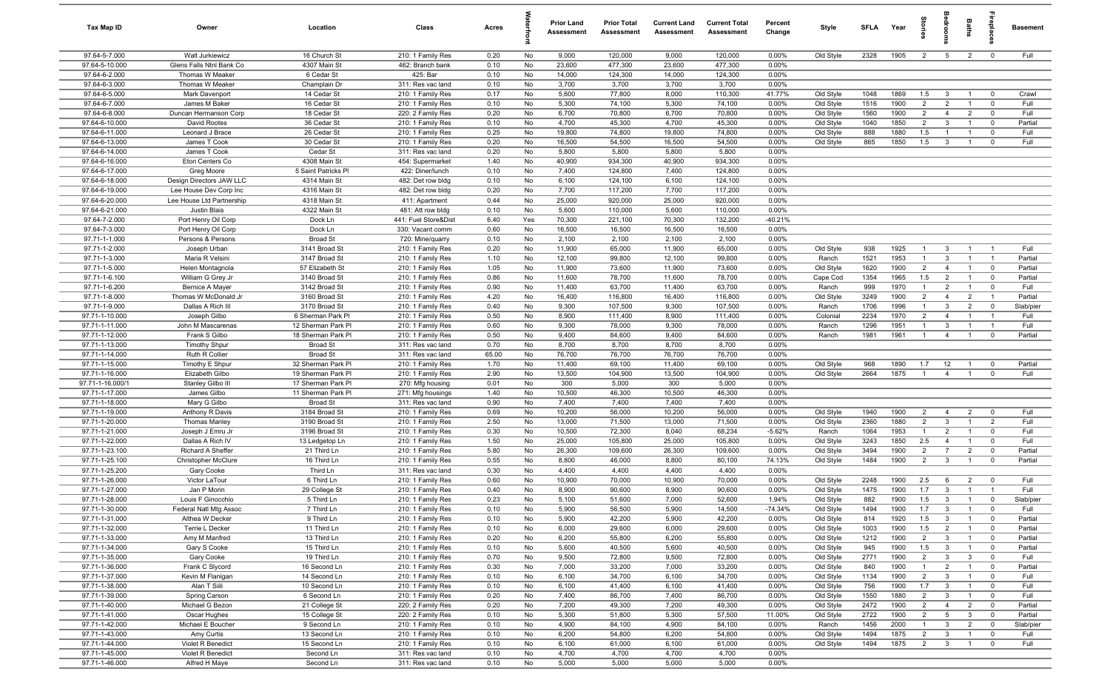| <b>Tax Map ID</b>                | Owner                                 | Location                              | Class                                  | Acres        |           | <b>Prior Land</b><br>Assessment | <b>Prior Total</b><br>Assessment | <b>Current Land</b><br>Assessment | <b>Current Total</b><br>Assessment | Percent<br>Change | Style                  | <b>SFLA</b>  | Year         | tories                           | pape                           | Baths                            | repla                            | <b>Basement</b>    |
|----------------------------------|---------------------------------------|---------------------------------------|----------------------------------------|--------------|-----------|---------------------------------|----------------------------------|-----------------------------------|------------------------------------|-------------------|------------------------|--------------|--------------|----------------------------------|--------------------------------|----------------------------------|----------------------------------|--------------------|
| 97.64-5-7.000                    | Walt Jurkiewicz                       | 16 Church St                          | 210: 1 Family Res                      | 0.20         | No        | 9,000                           | 120,000                          | 9,000                             | 120,000                            | 0.00%             | Old Style              | 2328         | 1905         | $\overline{2}$                   | 5                              | $\overline{2}$                   | $\mathbf 0$                      | Full               |
| 97.64-5-10.000                   | Glens Falls Ntnl Bank Co              | 4307 Main St                          | 462: Branch bank                       | 0.10         | No        | 23,600                          | 477,300                          | 23,600                            | 477,300                            | 0.00%             |                        |              |              |                                  |                                |                                  |                                  |                    |
| 97.64-6-2.000                    | Thomas W Meaker                       | 6 Cedar St                            | 425: Bar                               | 0.10         | No        | 14,000                          | 124,300                          | 14,000                            | 124,300                            | 0.00%             |                        |              |              |                                  |                                |                                  |                                  |                    |
| 97.64-6-3.000                    | Thomas W Meaker                       | Champlain Dr                          | 311: Res vac land                      | 0.10         | No        | 3,700                           | 3,700                            | 3,700                             | 3,700                              | 0.00%             |                        |              |              |                                  |                                |                                  |                                  |                    |
| 97.64-6-5.000                    | Mark Davenport                        | 14 Cedar St                           | 210: 1 Family Res                      | 0.17         | No        | 5,600                           | 77,800                           | 8,000                             | 110,300                            | 41.77%            | Old Style              | 1048         | 1869         | 1.5                              | $\overline{3}$                 | $\overline{1}$                   | $\mathbf 0$                      | Crawl              |
| 97.64-6-7.000                    | James M Baker                         | 16 Cedar St                           | 210: 1 Family Res                      | 0.10         | No        | 5,300                           | 74,100                           | 5,300                             | 74,100                             | 0.00%             | Old Style              | 1516         | 1900         | $\overline{2}$                   | 2                              | $\overline{1}$                   | $\mathbf 0$                      | Full               |
| 97.64-6-8.000<br>97.64-6-10.000  | Duncan Hermanson Corp<br>David Rootes | 18 Cedar St<br>36 Cedar St            | 220: 2 Family Res<br>210: 1 Family Res | 0.20<br>0.10 | No<br>No  | 6,700<br>4,700                  | 70,800<br>45,300                 | 6,700<br>4,700                    | 70,800<br>45,300                   | 0.00%<br>0.00%    | Old Style              | 1560<br>1040 | 1900<br>1850 | $\overline{2}$<br>$\overline{2}$ | $\overline{4}$<br>3            | $\overline{2}$<br>$\overline{1}$ | $\mathbf 0$<br>$\mathbf 0$       | Full<br>Partial    |
| 97.64-6-11.000                   | Leonard J Brace                       | 26 Cedar St                           | 210: 1 Family Res                      | 0.25         | No        | 19,800                          | 74,800                           | 19,800                            | 74,800                             | 0.00%             | Old Style<br>Old Style | 888          | 1880         | 1.5                              | $\overline{1}$                 | $\overline{1}$                   | $\overline{0}$                   | Full               |
| 97.64-6-13.000                   | James T Cook                          | 30 Cedar St                           | 210: 1 Family Res                      | 0.20         | No        | 16,500                          | 54,500                           | 16,500                            | 54,500                             | 0.00%             | Old Style              | 865          | 1850         | 1.5                              | $\mathbf{3}$                   | $\overline{1}$                   | $\mathbf 0$                      | Full               |
| 97.64-6-14.000                   | James T Cook                          | Cedar St                              | 311: Res vac land                      | 0.20         | No        | 5,800                           | 5,800                            | 5,800                             | 5,800                              | 0.00%             |                        |              |              |                                  |                                |                                  |                                  |                    |
| 97.64-6-16.000                   | Eton Centers Co                       | 4308 Main St                          | 454: Supermarket                       | 1.40         | No        | 40,900                          | 934,300                          | 40,900                            | 934,300                            | 0.00%             |                        |              |              |                                  |                                |                                  |                                  |                    |
| 97.64-6-17.000                   | Greg Moore                            | 5 Saint Patricks Pl                   | 422: Diner/lunch                       | 0.10         | No        | 7,400                           | 124,800                          | 7,400                             | 124,800                            | 0.00%             |                        |              |              |                                  |                                |                                  |                                  |                    |
| 97.64-6-18.000                   | Design Directors JAW LLC              | 4314 Main St                          | 482: Det row bldg                      | 0.10         | No        | 6,100                           | 124,100                          | 6,100                             | 124,100                            | 0.00%             |                        |              |              |                                  |                                |                                  |                                  |                    |
| 97.64-6-19.000                   | Lee House Dev Corp Inc                | 4316 Main St                          | 482: Det row bldg                      | 0.20         | No        | 7,700                           | 117,200                          | 7,700                             | 117,200                            | 0.00%             |                        |              |              |                                  |                                |                                  |                                  |                    |
| 97.64-6-20.000                   | Lee House Ltd Partnership             | 4318 Main St                          | 411: Apartment                         | 0.44         | No        | 25,000                          | 920,000                          | 25,000                            | 920,000                            | 0.00%             |                        |              |              |                                  |                                |                                  |                                  |                    |
| 97.64-6-21.000                   | Justin Blais                          | 4322 Main St                          | 481: Att row bldg                      | 0.10         | No        | 5,600                           | 110,000                          | 5,600                             | 110,000                            | 0.00%             |                        |              |              |                                  |                                |                                  |                                  |                    |
| 97.64-7-2.000                    | Port Henry Oil Corp                   | Dock Ln                               | 441: Fuel Store&Dist                   | 6.40         | Yes       | 70,300                          | 221,100                          | 70,300                            | 132,200                            | $-40.21%$         |                        |              |              |                                  |                                |                                  |                                  |                    |
| 97.64-7-3.000                    | Port Henry Oil Corp                   | Dock Ln                               | 330: Vacant comm                       | 0.60         | No        | 16,500                          | 16,500                           | 16,500                            | 16,500                             | 0.00%             |                        |              |              |                                  |                                |                                  |                                  |                    |
| 97.71-1-1.000                    | Persons & Persons                     | <b>Broad St</b>                       | 720: Mine/quarry                       | 0.10         | No        | 2,100                           | 2,100                            | 2,100                             | 2,100                              | 0.00%             |                        |              |              |                                  |                                |                                  |                                  |                    |
| 97.71-1-2.000                    | Joseph Urban                          | 3141 Broad St<br>3147 Broad St        | 210: 1 Family Res                      | 0.20         | No        | 11,900<br>12,100                | 65,000<br>99,800                 | 11,900                            | 65,000<br>99,800                   | 0.00%<br>0.00%    | Old Style              | 938<br>1521  | 1925<br>1953 | $\overline{1}$<br>$\overline{1}$ | $\mathbf{3}$<br>3              | $\overline{1}$<br>$\overline{1}$ | $\overline{1}$<br>$\overline{1}$ | Full<br>Partial    |
| 97.71-1-3.000<br>97.71-1-5.000   | Maria R Velsini                       | 57 Elizabeth St                       | 210: 1 Family Res<br>210: 1 Family Res | 1.10<br>1.05 | No<br>No  | 11,900                          | 73,600                           | 12,100<br>11,900                  | 73,600                             | 0.00%             | Ranch<br>Old Style     | 1620         | 1900         | $\overline{2}$                   | $\overline{4}$                 | $\overline{1}$                   | $\mathbf 0$                      | Partial            |
| 97.71-1-6.100                    | Helen Montagnola<br>William G Grey Jr | 3140 Broad St                         | 210: 1 Family Res                      | 0.86         | No        | 11,600                          | 78,700                           | 11,600                            | 78,700                             | 0.00%             | Cape Cod               | 1354         | 1965         | 1.5                              | $\overline{2}$                 | $\overline{1}$                   | $\mathbf 0$                      | Partial            |
| 97.71-1-6.200                    | Bernice A Mayer                       | 3142 Broad St                         | 210: 1 Family Res                      | 0.90         | No        | 11,400                          | 63,700                           | 11,400                            | 63,700                             | 0.00%             | Ranch                  | 999          | 1970         | $\overline{1}$                   | 2                              | $\overline{1}$                   | $\mathbf 0$                      | Full               |
| 97.71-1-8.000                    | Thomas W McDonald Jr                  | 3160 Broad St                         | 210: 1 Family Res                      | 4.20         | No        | 16,400                          | 116,800                          | 16,400                            | 116,800                            | 0.00%             | Old Style              | 3249         | 1900         | $\overline{2}$                   | $\overline{4}$                 | $\overline{2}$                   | $\overline{1}$                   | Partial            |
| 97.71-1-9.000                    | Dallas A Rich III                     | 3170 Broad St                         | 210: 1 Family Res                      | 0.40         | No        | 9,300                           | 107,500                          | 9,300                             | 107,500                            | 0.00%             | Ranch                  | 1706         | 1996         | $\overline{1}$                   | $\mathbf{3}$                   | $\overline{2}$                   | $\mathbf 0$                      | Slab/pier          |
| 97.71-1-10.000                   | Joseph Gilbo                          | 6 Sherman Park Pl                     | 210: 1 Family Res                      | 0.50         | No        | 8,900                           | 111,400                          | 8,900                             | 111,400                            | 0.00%             | Colonial               | 2234         | 1970         | $\overline{2}$                   | $\overline{4}$                 | $\overline{1}$                   | $\overline{1}$                   | Full               |
| 97.71-1-11.000                   | John M Mascarenas                     | 12 Sherman Park Pl                    | 210: 1 Family Res                      | 0.60         | No        | 9,300                           | 78,000                           | 9,300                             | 78,000                             | 0.00%             | Ranch                  | 1296         | 1951         | $\overline{1}$                   | $\mathbf{3}$                   | $\overline{1}$                   | $\overline{1}$                   | Full               |
| 97.71-1-12.000                   | Frank S Gilbo                         | 18 Sherman Park Pl                    | 210: 1 Family Res                      | 0.50         | No        | 9,400                           | 84,600                           | 9,400                             | 84,600                             | 0.00%             | Ranch                  | 1981         | 1961         | $\overline{1}$                   | $\overline{4}$                 | $\overline{1}$                   | $\mathbf 0$                      | Partial            |
| 97.71-1-13.000                   | <b>Timothy Shpur</b>                  | <b>Broad St</b>                       | 311: Res vac land                      | 0.70         | No        | 8,700                           | 8,700                            | 8,700                             | 8,700                              | 0.00%             |                        |              |              |                                  |                                |                                  |                                  |                    |
| 97.71-1-14.000                   | Ruth R Collier                        | <b>Broad St</b>                       | 311: Res vac land                      | 65.00        | No        | 76,700                          | 76,700                           | 76,700                            | 76,700                             | 0.00%             |                        |              |              |                                  |                                |                                  |                                  |                    |
| 97.71-1-15.000                   | Timothy E Shpur                       | 32 Sherman Park Pl                    | 210: 1 Family Res                      | 1.70         | No        | 11,400                          | 69,100                           | 11,400                            | 69,100                             | 0.00%             | Old Style              | 968          | 1890         | 1.7                              | 12                             | $\overline{1}$                   | $\mathbf 0$                      | Partial            |
| 97.71-1-16.000                   | Elizabeth Gilbo                       | 19 Sherman Park Pl                    | 210: 1 Family Res                      | 2.90         | No        | 13,500                          | 104,900                          | 13,500                            | 104,900                            | 0.00%             | Old Style              | 2664         | 1875         | $\overline{1}$                   | $\overline{4}$                 | $\overline{1}$                   | $\mathbf 0$                      | Full               |
| 97.71-1-16.000/1                 | Stanley Gilbo III                     | 17 Sherman Park Pl                    | 270: Mfg housing                       | 0.01         | No        | 300                             | 5,000                            | 300                               | 5,000                              | 0.00%             |                        |              |              |                                  |                                |                                  |                                  |                    |
| 97.71-1-17.000<br>97.71-1-18.000 | James Gilbo<br>Mary G Gilbo           | 11 Sherman Park Pl<br><b>Broad St</b> | 271: Mfg housings<br>311: Res vac land | 1.40<br>0.90 | No<br>No  | 10,500<br>7,400                 | 46,300<br>7,400                  | 10,500<br>7,400                   | 46,300<br>7,400                    | 0.00%<br>0.00%    |                        |              |              |                                  |                                |                                  |                                  |                    |
| 97.71-1-19.000                   | Anthony R Davis                       | 3184 Broad St                         | 210: 1 Family Res                      | 0.69         | No        | 10,200                          | 56,000                           | 10,200                            | 56,000                             | 0.00%             | Old Style              | 1940         | 1900         | $\overline{2}$                   | $\overline{4}$                 | $\overline{2}$                   | $\overline{\mathbf{0}}$          | Full               |
| 97.71-1-20.000                   | Thomas Manley                         | 3190 Broad St                         | 210: 1 Family Res                      | 2.50         | No        | 13,000                          | 71,500                           | 13,000                            | 71,500                             | 0.00%             | Old Style              | 2360         | 1880         | $\overline{2}$                   | $\mathbf{3}$                   | $\overline{1}$                   | $\overline{2}$                   | Full               |
| 97.71-1-21.000                   | Joseph J Emru Jr                      | 3196 Broad St                         | 210: 1 Family Res                      | 0.30         | No        | 10,500                          | 72,300                           | 8,040                             | 68,234                             | $-5.62%$          | Ranch                  | 1064         | 1953         | $\overline{1}$                   | $\overline{2}$                 | $\overline{1}$                   | $\mathbf 0$                      | Full               |
| 97.71-1-22.000                   | Dallas A Rich IV                      | 13 Ledgetop Ln                        | 210: 1 Family Res                      | 1.50         | No        | 25,000                          | 105,800                          | 25,000                            | 105,800                            | 0.00%             | Old Style              | 3243         | 1850         | 2.5                              | $\overline{4}$                 | $\overline{1}$                   | $\mathbf 0$                      | Full               |
| 97.71-1-23.100                   | Richard A Sheffer                     | 21 Third Ln                           | 210: 1 Family Res                      | 5.80         | No        | 26,300                          | 109,600                          | 26,300                            | 109,600                            | 0.00%             | Old Style              | 3494         | 1900         | $\overline{2}$                   | $\overline{7}$                 | $\overline{2}$                   | $\mathbf 0$                      | Partial            |
| 97.71-1-25.100                   | Christopher McClure                   | 16 Third Ln                           | 210: 1 Family Res                      | 0.55         | No        | 8,800                           | 46,000                           | 8,800                             | 80,100                             | 74.13%            | Old Style              | 1484         | 1900         | 2                                | $\mathbf{3}$                   | $\overline{1}$                   | $\mathbf 0$                      | Partial            |
| 97.71-1-25.200                   | Gary Cooke                            | Third Ln                              | 311: Res vac land                      | 0.30         | No        | 4,400                           | 4,400                            | 4,400                             | 4,400                              | 0.00%             |                        |              |              |                                  |                                |                                  |                                  |                    |
| 97.71-1-26.000                   | Victor LaTour                         | 6 Third Ln                            | 210: 1 Family Res                      | 0.60         | No        | 10,900                          | 70,000                           | 10,900                            | 70,000                             | 0.00%             | Old Style              | 2248         | 1900         | 2.5                              | 6                              | $\overline{2}$                   | $\mathbf 0$                      | Full               |
| 97.71-1-27.000                   | Jan P Morin                           | 29 College St                         | 210: 1 Family Res                      | 0.40         | <b>No</b> | 8,900                           | 90,600                           | 8,900                             | 90,600                             | 0.00%             | Old Style              | 1475         | 1900         | 1.7                              | $\overline{3}$                 | $\overline{1}$                   |                                  | Full               |
| 97.71-1-28.000                   | Louis F Ginocchio                     | 5 Third Ln                            | 210: 1 Family Res                      | 0.23         | No        | 5,100                           | 51,600                           | 7,000                             | 52,600                             | 1.94%             | Old Style              | 882          | 1900         | 1.5                              | 3                              |                                  |                                  | Slab/pier          |
| 97.71-1-30.000                   | Federal Natl Mtg Assoc                | 7 Third Ln                            | 210: 1 Family Res                      | 0.10         | No        | 5,900                           | 56,500                           | 5,900                             | 14,500                             | $-74.34%$         | Old Style              | 1494         | 1900         | 1.7                              | $\overline{\mathbf{3}}$        | $\overline{1}$                   | $\overline{\mathbf{0}}$          | Full               |
| 97.71-1-31.000<br>97.71-1-32.000 | Althea W Decker<br>Terrie L Decker    | 9 Third Ln<br>11 Third Ln             | 210: 1 Family Res<br>210: 1 Family Res | 0.10<br>0.10 | No<br>No  | 5,900<br>6,000                  | 42,200<br>29,600                 | 5,900<br>6,000                    | 42,200<br>29,600                   | 0.00%<br>0.00%    | Old Style<br>Old Style | 814<br>1003  | 1920<br>1900 | 1.5<br>1.5                       | $\mathbf{3}$<br>$\overline{2}$ | $\overline{1}$<br>$\overline{1}$ | $\mathbf 0$<br>$\overline{0}$    | Partial<br>Partial |
| 97.71-1-33.000                   | Amy M Manfred                         | 13 Third Ln                           | 210: 1 Family Res                      | 0.20         | No        | 6,200                           | 55,800                           | 6,200                             | 55,800                             | 0.00%             | Old Style              | 1212         | 1900         | $\overline{2}$                   | $\overline{3}$                 | $\overline{1}$                   | $\mathbf 0$                      | Partial            |
| 97.71-1-34.000                   | Gary S Cooke                          | 15 Third Ln                           | 210: 1 Family Res                      | 0.10         | No        | 5,600                           | 40,500                           | 5,600                             | 40,500                             | 0.00%             | Old Style              | 945          | 1900         | 1.5                              | $\mathbf{3}$                   | $\overline{1}$                   | $\overline{0}$                   | Partial            |
| 97.71-1-35.000                   | Gary Cooke                            | 19 Third Ln                           | 210: 1 Family Res                      | 0.70         | No        | 9,500                           | 72,800                           | 9,500                             | 72,800                             | 0.00%             | Old Style              | 2771         | 1900         | $\overline{2}$                   | $\overline{3}$                 | $\mathbf{3}$                     | $\mathbf 0$                      | Full               |
| 97.71-1-36.000                   | Frank C Slycord                       | 16 Second Ln                          | 210: 1 Family Res                      | 0.30         | No        | 7,000                           | 33,200                           | 7,000                             | 33,200                             | 0.00%             | Old Style              | 840          | 1900         | $\overline{1}$                   | 2                              | $\overline{1}$                   | $\mathbf 0$                      | Partial            |
| 97.71-1-37.000                   | Kevin M Flanigan                      | 14 Second Ln                          | 210: 1 Family Res                      | 0.10         | No        | 6,100                           | 34,700                           | 6,100                             | 34,700                             | 0.00%             | Old Style              | 1134         | 1900         | $\overline{2}$                   | $\mathbf{3}$                   | $\overline{1}$                   | $\mathbf 0$                      | Full               |
| 97.71-1-38.000                   | Alan T Siili                          | 10 Second Ln                          | 210: 1 Family Res                      | 0.10         | No        | 6,100                           | 41,400                           | 6,100                             | 41,400                             | 0.00%             | Old Style              | 756          | 1900         | 1.7                              | $\mathbf{3}$                   | $\overline{1}$                   | $\overline{0}$                   | Full               |
| 97.71-1-39.000                   | Spring Carson                         | 6 Second Ln                           | 210: 1 Family Res                      | 0.20         | No        | 7,400                           | 86,700                           | 7,400                             | 86,700                             | 0.00%             | Old Style              | 1550         | 1880         | $\overline{2}$                   | $\overline{3}$                 | $\overline{1}$                   | $\overline{\mathbf{0}}$          | Full               |
| 97.71-1-40.000                   | Michael G Bezon                       | 21 College St                         | 220: 2 Family Res                      | 0.20         | No        | 7,200                           | 49,300                           | 7,200                             | 49,300                             | 0.00%             | Old Style              | 2472         | 1900         | $\overline{2}$                   | $\overline{4}$                 | $\overline{2}$                   | $\overline{0}$                   | Partial            |
| 97.71-1-41.000                   | Oscar Hughes                          | 15 College St                         | 220: 2 Family Res                      | 0.10         | No        | 5,300                           | 51,800                           | 5,300                             | 57,500                             | 11.00%            | Old Style              | 2722         | 1900         | $\overline{2}$                   | $5\overline{5}$                | $\mathbf{3}$                     | $\overline{\mathbf{0}}$          | Partial            |
| 97.71-1-42.000                   | Michael E Boucher                     | 9 Second Ln                           | 210: 1 Family Res                      | 0.10         | No        | 4,900                           | 84,100                           | 4,900                             | 84,100                             | 0.00%             | Ranch                  | 1456         | 2000         | $\overline{1}$                   | $\mathbf{3}$                   | $\overline{2}$                   | $\mathbf 0$                      | Slab/pier          |
| 97.71-1-43.000                   | Amy Curtis                            | 13 Second Ln                          | 210: 1 Family Res                      | 0.10         | No        | 6,200                           | 54,800                           | 6,200                             | 54,800                             | 0.00%             | Old Style              | 1494         | 1875         | $\overline{2}$                   | $\mathbf{3}$                   | $\overline{1}$                   | $\overline{0}$                   | Full               |
| 97.71-1-44.000                   | Violet R Benedict                     | 15 Second Ln                          | 210: 1 Family Res                      | 0.10         | No        | 6,100                           | 61,000                           | 6,100                             | 61,000                             | 0.00%             | Old Style              | 1494         | 1875         | $\overline{2}$                   | $\overline{3}$                 | $\overline{1}$                   | $\mathbf 0$                      | Full               |
| 97.71-1-45.000                   | Violet R Benedict                     | Second Ln                             | 311: Res vac land                      | 0.10         | No        | 4,700                           | 4,700                            | 4,700                             | 4,700                              | 0.00%             |                        |              |              |                                  |                                |                                  |                                  |                    |
| 97.71-1-46.000                   | Alfred H Maye                         | Second Ln                             | 311: Res vac land                      | 0.10         | No        | 5,000                           | 5,000                            | 5,000                             | 5,000                              | 0.00%             |                        |              |              |                                  |                                |                                  |                                  |                    |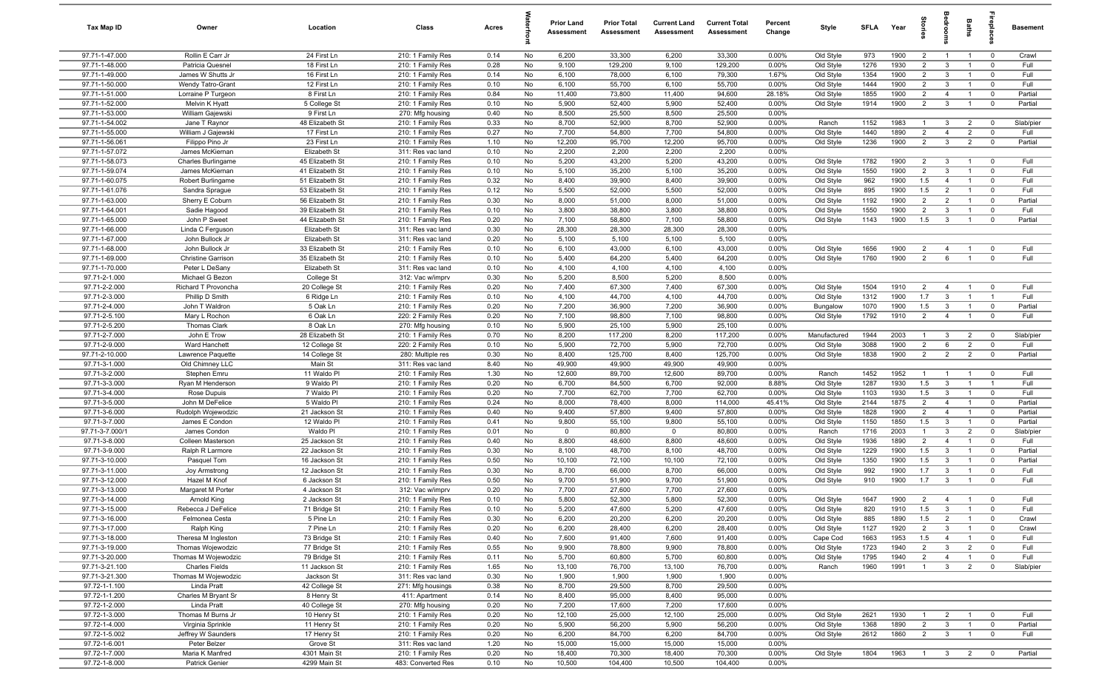| Tax Map ID                       | Owner                                | Location                        | Class                                  | Acres        |          | <b>Prior Land</b><br>Assessment | <b>Prior Total</b><br>Assessment | <b>Current Land</b><br>Assessment | <b>Current Total</b><br>Assessment | Percent<br>Change | Style                  | <b>SFLA</b>  | Year         | tories                        |                                | Baths                            | Бер<br>Б                      | <b>Basement</b>    |
|----------------------------------|--------------------------------------|---------------------------------|----------------------------------------|--------------|----------|---------------------------------|----------------------------------|-----------------------------------|------------------------------------|-------------------|------------------------|--------------|--------------|-------------------------------|--------------------------------|----------------------------------|-------------------------------|--------------------|
| 97.71-1-47.000                   | Rollin E Carr Jr                     | 24 First Ln                     | 210: 1 Family Res                      | 0.14         | No       | 6,200                           | 33,300                           | 6,200                             | 33,300                             | 0.00%             | Old Style              | 973          | 1900         | $\overline{2}$                | $\overline{1}$                 | $\overline{1}$                   | $\overline{0}$                | Crawl              |
| 97.71-1-48.000                   | Patricia Quesnel                     | 18 First Ln                     | 210: 1 Family Res                      | 0.28         | No       | 9,100                           | 129,200                          | 9,100                             | 129,200                            | 0.00%             | Old Style              | 1276         | 1930         | $\overline{2}$                | $\mathbf{3}$                   | $\overline{1}$                   | $\mathbf 0$                   | Full               |
| 97.71-1-49.000                   | James W Shutts Jr                    | 16 First Ln                     | 210: 1 Family Res                      | 0.14         | No       | 6,100                           | 78,000                           | 6,100                             | 79,300                             | 1.67%             | Old Style              | 1354         | 1900         | $\overline{2}$                | $\mathbf{3}$                   | $\overline{1}$                   | $\mathbf 0$                   | Full               |
| 97.71-1-50.000                   | <b>Wendy Tatro-Grant</b>             | 12 First Ln                     | 210: 1 Family Res                      | 0.10         | No       | 6,100                           | 55,700                           | 6,100                             | 55,700                             | 0.00%             | Old Style              | 1444         | 1900         | $\overline{2}$                | 3                              | $\overline{1}$                   | $\Omega$                      | Full               |
| 97.71-1-51.000<br>97.71-1-52.000 | Lorraine P Turgeon<br>Melvin K Hyatt | 8 First Ln<br>5 College St      | 210: 1 Family Res<br>210: 1 Family Res | 0.84<br>0.10 | No<br>No | 11,400<br>5,900                 | 73,800<br>52,400                 | 11,400<br>5,900                   | 94,600<br>52,400                   | 28.18%<br>0.00%   | Old Style<br>Old Style | 1855<br>1914 | 1900<br>1900 | $2^{\circ}$<br>$\overline{2}$ | $\overline{4}$<br>$\mathbf{3}$ | $\overline{1}$<br>$\overline{1}$ | $\mathbf 0$<br>$\mathbf 0$    | Partial<br>Partial |
| 97.71-1-53.000                   | William Gajewski                     | 9 First Ln                      | 270: Mfg housing                       | 0.40         | No       | 8,500                           | 25,500                           | 8,500                             | 25,500                             | 0.00%             |                        |              |              |                               |                                |                                  |                               |                    |
| 97.71-1-54.002                   | Jane T Raynor                        | 48 Elizabeth St                 | 210: 1 Family Res                      | 0.33         | No       | 8,700                           | 52,900                           | 8,700                             | 52,900                             | 0.00%             | Ranch                  | 1152         | 1983         | $\overline{1}$                | $\mathbf{3}$                   | $\overline{2}$                   | $\mathbf 0$                   | Slab/pier          |
| 97.71-1-55.000                   | William J Gajewski                   | 17 First Ln                     | 210: 1 Family Res                      | 0.27         | No       | 7,700                           | 54,800                           | 7,700                             | 54,800                             | 0.00%             | Old Style              | 1440         | 1890         | $\overline{2}$                | $\overline{4}$                 | $\overline{2}$                   | $\overline{0}$                | Full               |
| 97.71-1-56.061                   | Filippo Pino Jr                      | 23 First Ln                     | 210: 1 Family Res                      | 1.10         | No       | 12,200                          | 95,700                           | 12,200                            | 95,700                             | 0.00%             | Old Style              | 1236         | 1900         | $\overline{2}$                | $\mathbf{3}$                   | 2                                | $\mathbf 0$                   | Partial            |
| 97.71-1-57.072                   | James McKiernan                      | Elizabeth St                    | 311: Res vac land                      | 0.10         | No       | 2,200                           | 2,200                            | 2,200                             | 2,200                              | 0.00%             |                        |              |              |                               |                                |                                  |                               |                    |
| 97.71-1-58.073                   | Charles Burlingame                   | 45 Elizabeth St                 | 210: 1 Family Res                      | 0.10         | No       | 5,200                           | 43,200                           | 5,200                             | 43,200                             | $0.00\%$          | Old Style              | 1782         | 1900         | $\overline{2}$                | $\mathbf{3}$                   | $\overline{1}$                   | $\mathbf 0$                   | Full               |
| 97.71-1-59.074                   | James McKiernan                      | 41 Elizabeth St                 | 210: 1 Family Res                      | 0.10         | No       | 5,100                           | 35,200                           | 5,100                             | 35,200                             | 0.00%             | Old Style              | 1550         | 1900         | $\overline{2}$                | $\mathbf{3}$                   | $\overline{1}$                   | $\mathbf 0$                   | Full               |
| 97.71-1-60.075                   | Robert Burlingame                    | 51 Elizabeth St                 | 210: 1 Family Res                      | 0.32         | No       | 8,400                           | 39,900                           | 8,400                             | 39,900                             | 0.00%             | Old Style              | 962          | 1900         | 1.5                           | $\overline{4}$                 | $\overline{1}$                   | $\mathbf 0$                   | Full               |
| 97.71-1-61.076                   | Sandra Sprague                       | 53 Elizabeth St                 | 210: 1 Family Res                      | 0.12         | No       | 5,500                           | 52,000                           | 5,500                             | 52,000                             | $0.00\%$          | Old Style              | 895          | 1900         | 1.5                           | $\overline{2}$                 | $\overline{1}$                   | $\mathbf 0$                   | Full               |
| 97.71-1-63.000                   | Sherry E Coburn                      | 56 Elizabeth St                 | 210: 1 Family Res                      | 0.30         | No       | 8,000                           | 51,000                           | 8,000                             | 51,000                             | 0.00%             | Old Style              | 1192         | 1900         | $\overline{2}$                | $\overline{2}$                 | $\overline{1}$                   | $\mathbf 0$                   | Partial            |
| 97.71-1-64.001                   | Sadie Hagood                         | 39 Elizabeth St                 | 210: 1 Family Res                      | 0.10         | No       | 3,800                           | 38,800                           | 3,800                             | 38,800                             | 0.00%             | Old Style              | 1550         | 1900         | $\overline{2}$                | 3                              | $\overline{1}$                   | $\Omega$                      | Full               |
| 97.71-1-65.000<br>97.71-1-66.000 | John P Sweet<br>Linda C Ferguson     | 44 Elizabeth St<br>Elizabeth St | 210: 1 Family Res<br>311: Res vac land | 0.20<br>0.30 | No<br>No | 7,100<br>28,300                 | 58,800<br>28,300                 | 7,100<br>28,300                   | 58,800<br>28,300                   | 0.00%<br>0.00%    | Old Style              | 1143         | 1900         | 1.5                           | $\mathbf{3}$                   |                                  | $\mathbf 0$                   | Partial            |
| 97.71-1-67.000                   | John Bullock Jr                      | Elizabeth St                    | 311: Res vac land                      | 0.20         | No       | 5,100                           | 5,100                            | 5,100                             | 5,100                              | 0.00%             |                        |              |              |                               |                                |                                  |                               |                    |
| 97.71-1-68.000                   | John Bullock Jr                      | 33 Elizabeth St                 | 210: 1 Family Res                      | 0.10         | No       | 6,100                           | 43,000                           | 6,100                             | 43,000                             | 0.00%             | Old Style              | 1656         | 1900         | $\overline{2}$                | $\overline{4}$                 | $\overline{1}$                   | $\mathbf 0$                   | Full               |
| 97.71-1-69.000                   | <b>Christine Garrison</b>            | 35 Elizabeth St                 | 210: 1 Family Res                      | 0.10         | No       | 5,400                           | 64,200                           | 5,400                             | 64,200                             | 0.00%             | Old Style              | 1760         | 1900         | $\overline{2}$                | 6                              | $\overline{1}$                   | $\mathbf 0$                   | Full               |
| 97.71-1-70.000                   | Peter L DeSany                       | Elizabeth St                    | 311: Res vac land                      | 0.10         | No       | 4,100                           | 4,100                            | 4,100                             | 4,100                              | 0.00%             |                        |              |              |                               |                                |                                  |                               |                    |
| 97.71-2-1.000                    | Michael G Bezon                      | College St                      | 312: Vac w/imprv                       | 0.30         | No       | 5,200                           | 8,500                            | 5,200                             | 8,500                              | 0.00%             |                        |              |              |                               |                                |                                  |                               |                    |
| 97.71-2-2.000                    | Richard T Provoncha                  | 20 College St                   | 210: 1 Family Res                      | 0.20         | No       | 7,400                           | 67,300                           | 7,400                             | 67,300                             | 0.00%             | Old Style              | 1504         | 1910         | $\overline{2}$                | $\overline{4}$                 | $\overline{1}$                   | $\mathbf 0$                   | Full               |
| 97.71-2-3.000                    | Phillip D Smith                      | 6 Ridge Ln                      | 210: 1 Family Res                      | 0.10         | No       | 4,100                           | 44,700                           | 4,100                             | 44,700                             | 0.00%             | Old Style              | 1312         | 1900         | 1.7                           | $\mathbf{3}$                   | $\overline{1}$                   | $\overline{1}$                | Full               |
| 97.71-2-4.000                    | John T Waldron                       | 5 Oak Ln                        | 210: 1 Family Res                      | 0.20         | No       | 7,200                           | 36,900                           | 7,200                             | 36,900                             | 0.00%             | Bungalow               | 1070         | 1900         | 1.5                           | $\mathbf{3}$                   | $\overline{1}$                   | $\mathbf 0$                   | Partial            |
| 97.71-2-5.100                    | Mary L Rochon                        | 6 Oak Ln                        | 220: 2 Family Res                      | 0.20         | No       | 7,100                           | 98,800                           | 7,100                             | 98,800                             | 0.00%             | Old Style              | 1792         | 1910         | $\overline{2}$                | $\overline{4}$                 | $\overline{1}$                   | $\mathbf 0$                   | Full               |
| 97.71-2-5.200                    | Thomas Clark                         | 8 Oak Ln                        | 270: Mfg housing                       | 0.10         | No       | 5,900                           | 25,100                           | 5,900                             | 25,100                             | 0.00%             |                        |              |              |                               |                                |                                  |                               |                    |
| 97.71-2-7.000                    | John E Trow                          | 28 Elizabeth St                 | 210: 1 Family Res                      | 0.70         | No       | 8,200                           | 117,200                          | 8,200                             | 117,200                            | 0.00%             | Manufactured           | 1944         | 2003         |                               | $\mathbf{3}$                   | $\overline{2}$                   | $\mathbf 0$                   | Slab/pier          |
| 97.71-2-9.000<br>97.71-2-10.000  | Ward Hanchett                        | 12 College St                   | 220: 2 Family Res<br>280: Multiple res | 0.10<br>0.30 | No<br>No | 5,900<br>8,400                  | 72,700<br>125,700                | 5,900<br>8,400                    | 72,700<br>125,700                  | 0.00%<br>0.00%    | Old Style<br>Old Style | 3088<br>1838 | 1900<br>1900 | $\overline{2}$<br>2           | 6<br>$\overline{2}$            | $\overline{2}$<br>$\overline{2}$ | $\mathbf 0$<br>$\overline{0}$ | Full<br>Partial    |
| 97.71-3-1.000                    | Lawrence Paquette<br>Old Chimney LLC | 14 College St<br>Main St        | 311: Res vac land                      | 8.40         | No       | 49,900                          | 49,900                           | 49,900                            | 49,900                             | 0.00%             |                        |              |              |                               |                                |                                  |                               |                    |
| 97.71-3-2.000                    | Stephen Emru                         | 11 Waldo Pl                     | 210: 1 Family Res                      | 1.30         | No       | 12,600                          | 89,700                           | 12,600                            | 89,700                             | 0.00%             | Ranch                  | 1452         | 1952         | $\overline{1}$                | $\overline{1}$                 | $\overline{1}$                   | $\mathbf 0$                   | Full               |
| 97.71-3-3.000                    | Ryan M Henderson                     | 9 Waldo Pl                      | 210: 1 Family Res                      | 0.20         | No       | 6,700                           | 84,500                           | 6,700                             | 92,000                             | 8.88%             | Old Style              | 1287         | 1930         | 1.5                           | 3                              | $\overline{1}$                   | $\overline{1}$                | Full               |
| 97.71-3-4.000                    | Rose Dupuis                          | 7 Waldo Pl                      | 210: 1 Family Res                      | 0.20         | No       | 7,700                           | 62,700                           | 7,700                             | 62,700                             | 0.00%             | Old Style              | 1103         | 1930         | 1.5                           | $\mathbf{3}$                   | $\overline{1}$                   | $\mathbf 0$                   | Full               |
| 97.71-3-5.000                    | John M DeFelice                      | 5 Waldo Pl                      | 210: 1 Family Res                      | 0.24         | No       | 8,000                           | 78,400                           | 8,000                             | 114,000                            | 45.41%            | Old Style              | 2144         | 1875         | $\overline{2}$                | $\overline{4}$                 | $\overline{1}$                   | $\mathbf 0$                   | Partial            |
| 97.71-3-6.000                    | Rudolph Wojewodzic                   | 21 Jackson St                   | 210: 1 Family Res                      | 0.40         | No       | 9,400                           | 57,800                           | 9,400                             | 57,800                             | 0.00%             | Old Style              | 1828         | 1900         | $\overline{2}$                | $\overline{4}$                 | $\overline{1}$                   | $\overline{0}$                | Partial            |
| 97.71-3-7.000                    | James E Condon                       | 12 Waldo PI                     | 210: 1 Family Res                      | 0.41         | No       | 9,800                           | 55,100                           | 9,800                             | 55,100                             | 0.00%             | Old Style              | 1150         | 1850         | 1.5                           | $\mathbf{3}$                   | $\overline{1}$                   | $\mathbf 0$                   | Partial            |
| 97.71-3-7.000/1                  | James Condon                         | Waldo Pl                        | 210: 1 Family Res                      | 0.01         | No       | $\mathbf 0$                     | 80,800                           | $\mathbf 0$                       | 80,800                             | 0.00%             | Ranch                  | 1716         | 2003         | $\mathbf{1}$                  | $\mathbf{3}$                   | $\overline{2}$                   | $\mathbf 0$                   | Slab/pier          |
| 97.71-3-8.000                    | Colleen Masterson                    | 25 Jackson St                   | 210: 1 Family Res                      | 0.40         | No       | 8,800                           | 48,600                           | 8,800                             | 48,600                             | 0.00%             | Old Style              | 1936         | 1890         | $\overline{2}$                | $\overline{4}$                 | $\overline{1}$                   | $\overline{0}$                | Full               |
| 97.71-3-9.000                    | Ralph R Larmore                      | 22 Jackson St                   | 210: 1 Family Res                      | 0.30         | No       | 8,100                           | 48,700                           | 8,100                             | 48,700                             | 0.00%             | Old Style              | 1229         | 1900         | 1.5                           | $\mathbf{3}$                   | $\overline{1}$                   | $\mathbf 0$                   | Partial            |
| 97.71-3-10.000<br>97.71-3-11.000 | Pasquel Tom<br>Joy Armstrong         | 16 Jackson St<br>12 Jackson St  | 210: 1 Family Res<br>210: 1 Family Res | 0.50<br>0.30 | No<br>No | 10,100<br>8,700                 | 72,100<br>66,000                 | 10,100<br>8,700                   | 72,100<br>66,000                   | 0.00%<br>0.00%    | Old Style<br>Old Style | 1350<br>992  | 1900<br>1900 | 1.5<br>1.7                    | $\mathbf{3}$<br>$\mathbf{3}$   | $\overline{1}$                   | $\Omega$<br>$\Omega$          | Partial<br>Full    |
| 97.71-3-12.000                   | Hazel M Knof                         | 6 Jackson St                    | 210: 1 Family Res                      | 0.50         | No       | 9,700                           | 51,900                           | 9,700                             | 51,900                             | 0.00%             | Old Style              | 910          | 1900         | 1.7                           | $\mathbf{3}$                   | $\overline{1}$                   | $\Omega$                      | Full               |
| 97.71-3-13.000                   | Margaret M Porter                    | 4 Jackson St                    | 312: Vac w/imprv                       | 0.20         | No       | 7,700                           | 27,600                           | 7,700                             | 27,600                             | 0.00%             |                        |              |              |                               |                                |                                  |                               |                    |
| 97.71-3-14.000                   | Arnold King                          | 2 Jackson St                    | 210: 1 Family Res                      | 0.10         | No       | 5,800                           | 52,300                           | 5,800                             | 52,300                             | 0.00%             | Old Style              | 1647         | 1900         | 2                             | $\overline{A}$                 | $\overline{1}$                   |                               | Full               |
| 97.71-3-15.000                   | Rebecca J DeFelice                   | 71 Bridge St                    | 210: 1 Family Res                      | 0.10         | No       | 5,200                           | 47,600                           | 5,200                             | 47,600                             | 0.00%             | Old Style              | 820          | 1910         | 1.5                           | $\overline{\mathbf{3}}$        | $\overline{1}$                   | $\mathbf 0$                   | Full               |
| 97.71-3-16.000                   | Felmonea Cesta                       | 5 Pine Ln                       | 210: 1 Family Res                      | 0.30         | No       | 6,200                           | 20,200                           | 6,200                             | 20,200                             | $0.00\%$          | Old Style              | 885          | 1890         | 1.5                           | $\overline{2}$                 | $\overline{1}$                   | $\mathbf 0$                   | Crawl              |
| 97.71-3-17.000                   | Ralph King                           | 7 Pine Ln                       | 210: 1 Family Res                      | 0.20         | No       | 6,200                           | 28,400                           | 6,200                             | 28,400                             | 0.00%             | Old Style              | 1127         | 1920         | 2                             | $\mathbf{3}$                   | $\overline{1}$                   | $\mathbf 0$                   | Crawl              |
| 97.71-3-18.000                   | Theresa M Ingleston                  | 73 Bridge St                    | 210: 1 Family Res                      | 0.40         | No       | 7,600                           | 91,400                           | 7,600                             | 91,400                             | 0.00%             | Cape Cod               | 1663         | 1953         | 1.5                           | $\overline{4}$                 | $\overline{1}$                   | $\mathbf 0$                   | Full               |
| 97.71-3-19.000                   | Thomas Wojewodzic                    | 77 Bridge St                    | 210: 1 Family Res                      | 0.55         | No       | 9,900                           | 78,800                           | 9,900                             | 78,800                             | 0.00%             | Old Style              | 1723         | 1940         | $\overline{2}$                | $\overline{3}$                 | $\overline{2}$                   | $\mathbf 0$                   | Full               |
| 97.71-3-20.000                   | Thomas M Wojewodzic                  | 79 Bridge St                    | 210: 1 Family Res                      | 0.11         | No       | 5,700                           | 60,800                           | 5,700                             | 60,800                             | 0.00%             | Old Style              | 1795         | 1940         | $\overline{2}$                | $\overline{4}$                 | $\overline{1}$                   | $\mathbf 0$                   | Full               |
| 97.71-3-21.100                   | <b>Charles Fields</b>                | 11 Jackson St                   | 210: 1 Family Res                      | 1.65         | No       | 13,100                          | 76,700                           | 13,100                            | 76,700                             | 0.00%             | Ranch                  | 1960         | 1991         | $\overline{1}$                | $\mathbf{3}$                   | $\overline{2}$                   | $\mathbf 0$                   | Slab/pier          |
| 97.71-3-21.300<br>97.72-1-1.100  | Thomas M Wojewodzic<br>Linda Pratt   | Jackson St                      | 311: Res vac land                      | 0.30<br>0.38 | No<br>No | 1,900<br>8,700                  | 1,900<br>29,500                  | 1,900<br>8,700                    | 1,900<br>29,500                    | 0.00%<br>0.00%    |                        |              |              |                               |                                |                                  |                               |                    |
| 97.72-1-1.200                    | Charles M Bryant Sr                  | 42 College St<br>8 Henry St     | 271: Mfg housings<br>411: Apartment    | 0.14         | No       | 8,400                           | 95,000                           | 8,400                             | 95,000                             | 0.00%             |                        |              |              |                               |                                |                                  |                               |                    |
| 97.72-1-2.000                    | Linda Pratt                          | 40 College St                   | 270: Mfg housing                       | 0.20         | No       | 7,200                           | 17,600                           | 7,200                             | 17,600                             | 0.00%             |                        |              |              |                               |                                |                                  |                               |                    |
| 97.72-1-3.000                    | Thomas M Burns Jr                    | 10 Henry St                     | 210: 1 Family Res                      | 0.20         | No       | 12,100                          | 25,000                           | 12,100                            | 25,000                             | 0.00%             | Old Style              | 2621         | 1930         | $\overline{1}$                | $\overline{2}$                 | $\overline{1}$                   | $\overline{0}$                | Full               |
| 97.72-1-4.000                    | Virginia Sprinkle                    | 11 Henry St                     | 210: 1 Family Res                      | 0.20         | No       | 5,900                           | 56,200                           | 5,900                             | 56,200                             | 0.00%             | Old Style              | 1368         | 1890         | $\overline{2}$                | $\mathbf{3}$                   | $\overline{1}$                   | $\overline{0}$                | Partial            |
| 97.72-1-5.002                    | Jeffrey W Saunders                   | 17 Henry St                     | 210: 1 Family Res                      | 0.20         | No       | 6,200                           | 84,700                           | 6,200                             | 84,700                             | 0.00%             | Old Style              | 2612         | 1860         | 2                             | $\mathbf{3}$                   | $\overline{1}$                   | $\mathbf 0$                   | Full               |
| 97.72-1-6.001                    | Peter Belzer                         | Grove St                        | 311: Res vac land                      | 1.20         | No       | 15,000                          | 15,000                           | 15,000                            | 15,000                             | $0.00\%$          |                        |              |              |                               |                                |                                  |                               |                    |
| 97.72-1-7.000                    | Maria K Manfred                      | 4301 Main St                    | 210: 1 Family Res                      | 0.20         | No       | 18,400                          | 70,300                           | 18,400                            | 70,300                             | 0.00%             | Old Style              | 1804         | 1963         | $\overline{1}$                | $\mathbf{3}$                   | $\overline{2}$                   | $\mathbf 0$                   | Partial            |
| 97.72-1-8.000                    | Patrick Genier                       | 4299 Main St                    | 483: Converted Res                     | 0.10         | No       | 10,500                          | 104,400                          | 10,500                            | 104,400                            | $0.00\%$          |                        |              |              |                               |                                |                                  |                               |                    |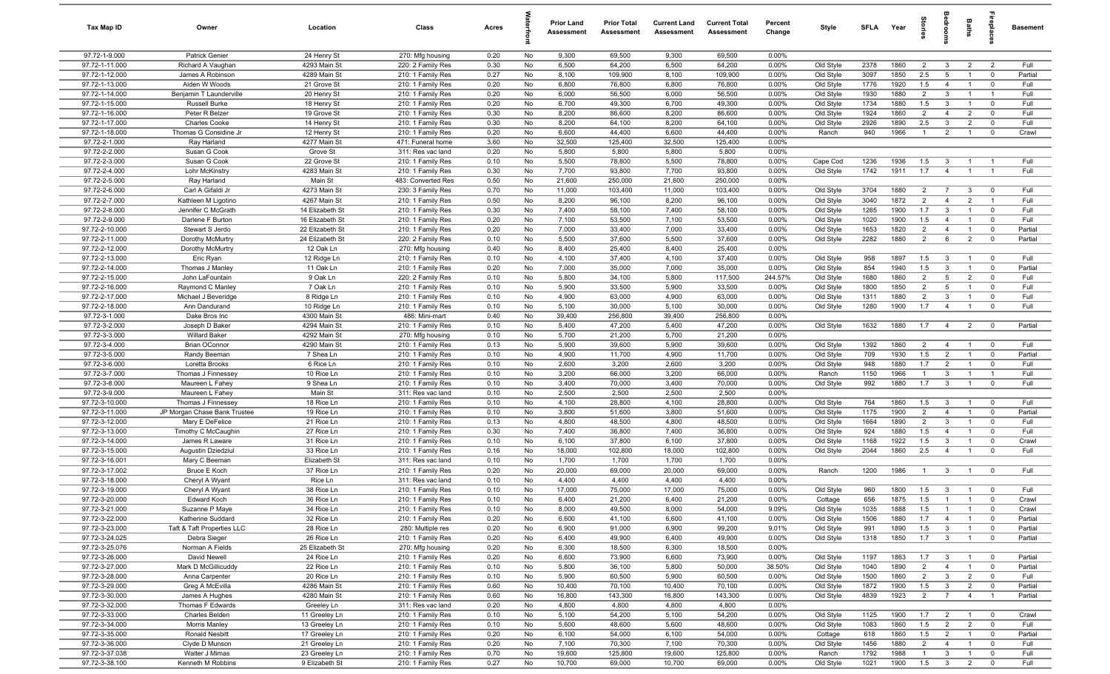| Tax Map ID                       | Owner                                    | Location                     | Class                                  | Acres        |          | <b>Prior Land</b><br>Assessment | <b>Prior Total</b><br>Assessment | <b>Current Land</b><br>Assessment | <b>Current Total</b><br>Assessment | Percent<br>Change | Style                  | <b>SFLA</b>  | Year         | tories                           |                                  | Baths                            | epla                          | <b>Basement</b> |
|----------------------------------|------------------------------------------|------------------------------|----------------------------------------|--------------|----------|---------------------------------|----------------------------------|-----------------------------------|------------------------------------|-------------------|------------------------|--------------|--------------|----------------------------------|----------------------------------|----------------------------------|-------------------------------|-----------------|
| 97.72-1-9.000                    | Patrick Genier                           | 24 Henry St                  | 270: Mfg housing                       | 0.20         | No       | 9,300                           | 69,500                           | 9,300                             | 69,500                             | 0.00%             |                        |              |              |                                  |                                  |                                  |                               |                 |
| 97.72-1-11.000                   | Richard A Vaughan                        | 4293 Main St                 | 220: 2 Family Res                      | 0.30         | No       | 6,500                           | 64,200                           | 6,500                             | 64,200                             | 0.00%             | Old Style              | 2378         | 1860         | $\overline{2}$                   | $\mathbf{3}$                     | $\overline{2}$                   | $\overline{2}$                | Full            |
| 97.72-1-12.000                   | James A Robinson                         | 4289 Main St                 | 210: 1 Family Res                      | 0.27         | No       | 8,100                           | 109,900                          | 8,100                             | 109,900                            | 0.00%             | Old Style              | 3097         | 1850         | 2.5                              | 5                                | $\mathbf{1}$                     | $^{\circ}$                    | Partial         |
| 97.72-1-13.000<br>97.72-1-14.000 | Alden W Woods<br>Benjamin T Launderville | 21 Grove St<br>20 Henry St   | 210: 1 Family Res<br>210: 1 Family Res | 0.20<br>0.20 | No<br>No | 6,800<br>6,000                  | 76,800<br>56,500                 | 6,800<br>6,000                    | 76,800<br>56,500                   | 0.00%<br>0.00%    | Old Style<br>Old Style | 1776<br>1930 | 1920<br>1880 | 1.5<br>$\overline{2}$            | $\overline{4}$<br>$\mathbf{3}$   | $\overline{1}$                   | $^{\circ}$<br>$\overline{1}$  | Full<br>Full    |
| 97.72-1-15.000                   | Russell Burke                            | 18 Henry St                  | 210: 1 Family Res                      | 0.20         | No       | 6,700                           | 49,300                           | 6,700                             | 49,300                             | 0.00%             | Old Style              | 1734         | 1880         | 1.5                              | $\mathbf{3}$                     | $\overline{1}$                   | $\mathbf 0$                   | Full            |
| 97.72-1-16.000                   | Peter R Belzer                           | 19 Grove St                  | 210: 1 Family Res                      | 0.30         | No       | 8,200                           | 86,600                           | 8,200                             | 86,600                             | 0.00%             | Old Style              | 1924         | 1860         | $\overline{2}$                   | $\overline{4}$                   | $\overline{2}$                   | $^{\circ}$                    | Full            |
| 97.72-1-17.000                   | <b>Charles Cooke</b>                     | 14 Henry St                  | 210: 1 Family Res                      | 0.30         | No       | 8,200                           | 64,100                           | 8,200                             | 64,100                             | 0.00%             | Old Style              | 2926         | 1890         | 2.5                              | $\mathbf{3}$                     | $\overline{2}$                   | $^{\circ}$                    | Full            |
| 97.72-1-18.000                   | Thomas G Considine Jr                    | 12 Henry St                  | 210: 1 Family Res                      | 0.20         | No       | 6,600                           | 44,400                           | 6,600                             | 44,400                             | 0.00%             | Ranch                  | 940          | 1966         | $\overline{1}$                   | $\overline{2}$                   | $\overline{1}$                   | $^{\circ}$                    | Crawl           |
| 97.72-2-1.000                    | Ray Harland                              | 4277 Main St                 | 471: Funeral home                      | 3.60         | No       | 32,500                          | 125,400                          | 32,500                            | 125,400                            | 0.00%             |                        |              |              |                                  |                                  |                                  |                               |                 |
| 97.72-2-2.000                    | Susan G Cook                             | Grove St                     | 311: Res vac land                      | 0.20         | No       | 5,800                           | 5,800                            | 5,800                             | 5,800                              | 0.00%             |                        |              |              |                                  |                                  |                                  |                               |                 |
| 97.72-2-3.000                    | Susan G Cook                             | 22 Grove St                  | 210: 1 Family Res                      | 0.10         | No       | 5,500                           | 78,800                           | 5,500                             | 78,800                             | 0.00%             | Cape Cod               | 1236         | 1936         | 1.5                              | $\mathbf{3}$                     | $\overline{1}$                   | - 1                           | Full            |
| 97.72-2-4.000                    | Lohr McKinstry                           | 4283 Main St                 | 210: 1 Family Res                      | 0.30         | No       | 7,700                           | 93,800                           | 7,700                             | 93,800                             | 0.00%             | Old Style              | 1742         | 1911         | 1.7                              | $\overline{4}$                   |                                  |                               | Full            |
| 97.72-2-5.000                    | Ray Harland                              | Main St                      | 483: Converted Res                     | 0.50         | No       | 21,600                          | 250,000                          | 21,600                            | 250,000                            | 0.00%             |                        |              |              |                                  |                                  |                                  |                               |                 |
| 97.72-2-6.000<br>97.72-2-7.000   | Carl A Gifaldi Jr<br>Kathleen M Ligotino | 4273 Main St<br>4267 Main St | 230: 3 Family Res<br>210: 1 Family Res | 0.70<br>0.50 | No<br>No | 11,000<br>8,200                 | 103,400<br>96,100                | 11,000<br>8,200                   | 103,400<br>96,100                  | 0.00%<br>0.00%    | Old Style<br>Old Style | 3704<br>3040 | 1880<br>1872 | $\overline{2}$<br>$\overline{2}$ | $\overline{7}$<br>$\overline{4}$ | 3<br>$\overline{2}$              | $^{\circ}$                    | Full<br>Full    |
| 97.72-2-8.000                    | Jennifer C McGrath                       | 14 Elizabeth St              | 210: 1 Family Res                      | 0.30         | No       | 7,400                           | 58,100                           | 7,400                             | 58,100                             | 0.00%             | Old Style              | 1265         | 1900         | 1.7                              | $\mathbf{3}$                     | $\overline{1}$                   | $\mathbf 0$                   | Full            |
| 97.72-2-9.000                    | Darlene F Burton                         | 16 Elizabeth St              | 210: 1 Family Res                      | 0.20         | No       | 7,100                           | 53,500                           | 7,100                             | 53,500                             | 0.00%             | Old Style              | 1020         | 1900         | 1.5                              | $\overline{4}$                   | $\overline{1}$                   | $\mathbf 0$                   | Full            |
| 97.72-2-10.000                   | Stewart S Jerdo                          | 22 Elizabeth St              | 210: 1 Family Res                      | 0.20         | No       | 7,000                           | 33,400                           | 7,000                             | 33,400                             | 0.00%             | Old Style              | 1653         | 1820         | $\overline{2}$                   | $\overline{4}$                   | $\overline{1}$                   | $\mathbf 0$                   | Partial         |
| 97.72-2-11.000                   | Dorothy McMurtry                         | 24 Elizabeth St              | 220: 2 Family Res                      | 0.10         | No       | 5,500                           | 37,600                           | 5,500                             | 37,600                             | 0.00%             | Old Style              | 2282         | 1880         | 2                                | 6                                | $\overline{2}$                   | $\overline{0}$                | Partial         |
| 97.72-2-12.000                   | Dorothy McMurtry                         | 12 Oak Ln                    | 270: Mfg housing                       | 0.40         | No       | 8,400                           | 25,400                           | 8,400                             | 25,400                             | 0.00%             |                        |              |              |                                  |                                  |                                  |                               |                 |
| 97.72-2-13.000                   | Eric Ryan                                | 12 Ridge Ln                  | 210: 1 Family Res                      | 0.10         | No       | 4,100                           | 37,400                           | 4,100                             | 37,400                             | 0.00%             | Old Style              | 958          | 1897         | 1.5                              | $\mathbf{3}$                     | $\overline{1}$                   | $^{\circ}$                    | Full            |
| 97.72-2-14.000                   | Thomas J Manley                          | 11 Oak Ln                    | 210: 1 Family Res                      | 0.20         | No       | 7,000                           | 35,000                           | 7,000                             | 35,000                             | 0.00%             | Old Style              | 854          | 1940         | 1.5                              | $\mathbf{3}$                     | $\overline{1}$                   | $\mathbf 0$                   | Partial         |
| 97.72-2-15.000<br>97.72-2-16.000 | John LaFountain                          | 9 Oak Ln<br>7 Oak Ln         | 220: 2 Family Res                      | 0.10         | No       | 5,800<br>5,900                  | 34,100                           | 5,800<br>5,900                    | 117,500<br>33,500                  | 244.57%           | Old Style              | 1680         | 1860<br>1850 | $\overline{2}$<br>$\overline{2}$ | 5<br>5                           | $\overline{2}$<br>$\mathbf{1}$   | $^{\circ}$<br>$\mathbf 0$     | Full<br>Full    |
| 97.72-2-17.000                   | Raymond C Manley<br>Michael J Beveridge  | 8 Ridge Ln                   | 210: 1 Family Res<br>210: 1 Family Res | 0.10<br>0.10 | No<br>No | 4,900                           | 33,500<br>63,000                 | 4,900                             | 63,000                             | 0.00%<br>0.00%    | Old Style<br>Old Style | 1800<br>1311 | 1880         | $\overline{2}$                   | $\mathbf{3}$                     |                                  | $\mathbf 0$                   | Full            |
| 97.72-2-18.000                   | Ann Dandurand                            | 10 Ridge Ln                  | 210: 1 Family Res                      | 0.10         | No       | 5,100                           | 30,000                           | 5,100                             | 30,000                             | 0.00%             | Old Style              | 1280         | 1900         | 1.7                              | $\overline{4}$                   | $\overline{1}$                   | $^{\circ}$                    | Full            |
| 97.72-3-1.000                    | Dake Bros Inc                            | 4300 Main St                 | 486: Mini-mart                         | 0.40         | No       | 39,400                          | 256,800                          | 39,400                            | 256,800                            | 0.00%             |                        |              |              |                                  |                                  |                                  |                               |                 |
| 97.72-3-2.000                    | Joseph D Baker                           | 4294 Main St                 | 210: 1 Family Res                      | 0.10         | No       | 5,400                           | 47,200                           | 5,400                             | 47,200                             | 0.00%             | Old Style              | 1632         | 1880         | 1.7                              | $\overline{4}$                   | $\overline{2}$                   | $\overline{0}$                | Partial         |
| 97.72-3-3.000                    | <b>Willard Baker</b>                     | 4292 Main St                 | 270: Mfg housing                       | 0.10         | No       | 5,700                           | 21,200                           | 5,700                             | 21,200                             | 0.00%             |                        |              |              |                                  |                                  |                                  |                               |                 |
| 97.72-3-4.000                    | <b>Brian OConnor</b>                     | 4290 Main St                 | 210: 1 Family Res                      | 0.13         | No       | 5,900                           | 39,600                           | 5,900                             | 39,600                             | 0.00%             | Old Style              | 1392         | 1860         | $\overline{2}$                   | $\overline{4}$                   | $\overline{1}$                   | $\overline{0}$                | Full            |
| 97.72-3-5.000                    | Randy Beeman                             | 7 Shea Ln                    | 210: 1 Family Res                      | 0.10         | No       | 4,900                           | 11,700                           | 4,900                             | 11,700                             | 0.00%             | Old Style              | 709          | 1930         | 1.5                              | $\overline{2}$                   | $\overline{1}$                   | $\mathbf 0$                   | Partial         |
| 97.72-3-6.000                    | Loretta Brooks                           | 6 Rice Ln                    | 210: 1 Family Res                      | 0.10         | No       | 2,600                           | 3,200                            | 2,600                             | 3,200                              | 0.00%             | Old Style              | 948          | 1880         | 1.7                              | $\overline{2}$                   | $\overline{1}$                   | $^{\circ}$                    | Full            |
| 97.72-3-7.000                    | Thomas J Finnessey                       | 10 Rice Ln                   | 210: 1 Family Res                      | 0.10         | No       | 3,200                           | 66,000                           | 3,200                             | 66,000                             | 0.00%             | Ranch                  | 1150         | 1966<br>1880 | $\overline{1}$<br>1.7            | $\mathbf{3}$<br>$\mathbf{3}$     | $\overline{1}$                   | $\overline{1}$                | Full<br>Full    |
| 97.72-3-8.000<br>97.72-3-9.000   | Maureen L Fahey<br>Maureen L Fahey       | 9 Shea Ln<br>Main St         | 210: 1 Family Res<br>311: Res vac land | 0.10<br>0.10 | No<br>No | 3,400<br>2,500                  | 70,000<br>2,500                  | 3,400<br>2,500                    | 70,000<br>2,500                    | 0.00%<br>0.00%    | Old Style              | 992          |              |                                  |                                  | $\overline{1}$                   | $^{\circ}$                    |                 |
| 97.72-3-10.000                   | Thomas J Finnessey                       | 18 Rice Ln                   | 210: 1 Family Res                      | 0.10         | No       | 4,100                           | 28,800                           | 4,100                             | 28,800                             | 0.00%             | Old Style              | 764          | 1860         | 1.5                              | $\mathbf{3}$                     | $\overline{1}$                   | $\mathbf 0$                   | Full            |
| 97.72-3-11.000                   | JP Morgan Chase Bank Trustee             | 19 Rice Ln                   | 210: 1 Family Res                      | 0.10         | No       | 3,800                           | 51,600                           | 3,800                             | 51,600                             | 0.00%             | Old Style              | 1175         | 1900         | $\overline{2}$                   | $\overline{4}$                   | $\overline{1}$                   | $\mathbf 0$                   | Partial         |
| 97.72-3-12.000                   | Mary E DeFelice                          | 21 Rice Ln                   | 210: 1 Family Res                      | 0.13         | No       | 4,800                           | 48,500                           | 4,800                             | 48,500                             | 0.00%             | Old Style              | 1664         | 1890         | $\overline{2}$                   | $\mathbf{3}$                     |                                  | $^{\circ}$                    | Full            |
| 97.72-3-13.000                   | Timothy C McCaughin                      | 27 Rice Ln                   | 210: 1 Family Res                      | 0.30         | No       | 7,400                           | 36,800                           | 7,400                             | 36,800                             | 0.00%             | Old Style              | 924          | 1880         | 1.5                              | $\overline{4}$                   |                                  | $^{\circ}$                    | Full            |
| 97.72-3-14.000                   | James R Laware                           | 31 Rice Ln                   | 210: 1 Family Res                      | 0.10         | No       | 6,100                           | 37,800                           | 6,100                             | 37,800                             | 0.00%             | Old Style              | 1168         | 1922         | 1.5                              | $\mathbf{3}$                     |                                  | $\mathbf 0$                   | Crawl           |
| 97.72-3-15.000                   | Augustin Dziedziul                       | 33 Rice Ln                   | 210: 1 Family Res                      | 0.16         | No       | 18,000                          | 102,800                          | 18,000                            | 102,800                            | 0.00%             | Old Style              | 2044         | 1860         | 2.5                              | $\overline{4}$                   | $\overline{1}$                   | $\mathbf 0$                   | Full            |
| 97.72-3-16.001                   | Mary C Beeman                            | Elizabeth St                 | 311: Res vac land                      | 0.10         | No       | 1,700                           | 1,700                            | 1,700                             | 1,700                              | 0.00%             |                        |              |              |                                  |                                  |                                  |                               |                 |
| 97.72-3-17.002<br>97.72-3-18.000 | Bruce E Koch<br>Cheryl A Wyant           | 37 Rice Ln<br>Rice Ln        | 210: 1 Family Res<br>311: Res vac land | 0.20<br>0.10 | No<br>No | 20,000<br>4,400                 | 69,000<br>4,400                  | 20,000<br>4,400                   | 69,000<br>4,400                    | 0.00%<br>0.00%    | Ranch                  | 1200         | 1986         | $\overline{1}$                   | 3                                | $\overline{1}$                   | $^{\circ}$                    | Full            |
| 97.72-3-19.000                   | Cheryl A Wyant                           | 38 Rice Ln                   | 210: 1 Family Res                      | 0.10         | No       | 17,000                          | 75,000                           | 17,000                            | 75,000                             | 0.00%             | Old Style              | 960          | 1800         | 1.5                              | $\mathbf{3}$                     | $\overline{1}$                   | $\mathbf 0$                   | Full            |
| 97.72-3-20.000                   | <b>Edward Koch</b>                       | 36 Rice Ln                   | 210: 1 Family Res                      | 0.10         | No       | 6.400                           | 21.200                           | 6,400                             | 21.200                             | 0.00%             | Cottage                | 656          | 1875         | 1.5                              | $\overline{1}$                   | -1                               | $\Omega$                      | Crawl           |
| 97.72-3-21.000                   | Suzanne P Maye                           | 34 Rice Ln                   | 210: 1 Family Res                      | 0.10         | No       | 8,000                           | 49,500                           | 8,000                             | 54,000                             | 9.09%             | Old Style              | 1035         | 1888         | 1.5                              | $\overline{1}$                   | $\mathbf{1}$                     | $\mathbf 0$                   | Crawl           |
| 97.72-3-22.000                   | Katherine Suddard                        | 32 Rice Ln                   | 210: 1 Family Res                      | 0.20         | No       | 6,600                           | 41,100                           | 6,600                             | 41,100                             | 0.00%             | Old Style              | 1506         | 1880         | 1.7                              | $\overline{4}$                   | $\overline{1}$                   | $\mathbf 0$                   | Partial         |
| 97.72-3-23.000                   | Taft & Taft Properties LLC               | 28 Rice Ln                   | 280: Multiple res                      | 0.20         | No       | 6,900                           | 91,000                           | 6,900                             | 99,200                             | 9.01%             | Old Style              | 991          | 1890         | 1.5                              | $\mathbf{3}$                     | $\overline{1}$                   | $\mathbf 0$                   | Partial         |
| 97.72-3-24.025                   | Debra Sieger                             | 26 Rice Ln                   | 210: 1 Family Res                      | 0.20         | No       | 6,400                           | 49,900                           | 6,400                             | 49,900                             | 0.00%             | Old Style              | 1318         | 1850         | 1.7                              | $\mathbf{3}$                     | $\mathbf{1}$                     | $\overline{0}$                | Partial         |
| 97.72-3-25.076                   | Norman A Fields                          | 25 Elizabeth St              | 270: Mfg housing                       | 0.20         | No       | 6,300                           | 18,500                           | 6,300                             | 18,500                             | 0.00%             |                        |              |              |                                  |                                  |                                  |                               |                 |
| 97.72-3-26.000                   | David Newell                             | 24 Rice Ln                   | 210: 1 Family Res                      | 0.20         | No       | 6,600                           | 73,900                           | 6,600                             | 73,900                             | 0.00%             | Old Style              | 1197         | 1863         | 1.7                              | $\overline{3}$                   | $\overline{1}$                   | $\mathbf 0$                   | Partial         |
| 97.72-3-27.000<br>97.72-3-28.000 | Mark D McGillicuddy<br>Anna Carpenter    | 22 Rice Ln<br>20 Rice Ln     | 210: 1 Family Res<br>210: 1 Family Res | 0.10<br>0.10 | No<br>No | 5,800<br>5,900                  | 36,100<br>60,500                 | 5,800<br>5,900                    | 50,000<br>60,500                   | 38.50%<br>0.00%   | Old Style<br>Old Style | 1040<br>1500 | 1890<br>1860 | $\overline{2}$<br>$\overline{2}$ | $\overline{4}$<br>$\mathbf{3}$   | $\overline{1}$<br>$\overline{2}$ | $\mathbf 0$<br>$\overline{0}$ | Partial<br>Full |
| 97.72-3-29.000                   | Greg A McEvilla                          | 4286 Main St                 | 210: 1 Family Res                      | 0.60         | No       | 10,400                          | 70,100                           | 10,400                            | 70,100                             | 0.00%             | Old Style              | 1872         | 1900         | 1.5                              | $\mathbf{3}$                     | $\overline{2}$                   | $\overline{0}$                | Partial         |
| 97.72-3-30.000                   | James A Hughes                           | 4280 Main St                 | 210: 1 Family Res                      | 0.60         | No       | 16,800                          | 143,300                          | 16,800                            | 143,300                            | 0.00%             | Old Style              | 4839         | 1923         | $\overline{2}$                   | $\overline{7}$                   | $\overline{4}$                   | $\overline{1}$                | Partial         |
| 97.72-3-32.000                   | Thomas F Edwards                         | Greeley Ln                   | 311: Res vac land                      | 0.20         | No       | 4,800                           | 4,800                            | 4,800                             | 4,800                              | 0.00%             |                        |              |              |                                  |                                  |                                  |                               |                 |
| 97.72-3-33.000                   | Charles Belden                           | 11 Greeley Ln                | 210: 1 Family Res                      | 0.10         | No       | 5,100                           | 54,200                           | 5,100                             | 54,200                             | 0.00%             | Old Style              | 1125         | 1900         | 1.7                              | $\overline{2}$                   | $\overline{1}$                   | $\overline{0}$                | Crawl           |
| 97.72-3-34.000                   | Morris Manley                            | 13 Greeley Ln                | 210: 1 Family Res                      | 0.10         | No       | 5,600                           | 48,600                           | 5,600                             | 48,600                             | 0.00%             | Old Style              | 1083         | 1860         | 1.5                              | $\overline{2}$                   | $\overline{2}$                   | $\mathbf 0$                   | Full            |
| 97.72-3-35.000                   | <b>Ronald Nesbitt</b>                    | 17 Greeley Ln                | 210: 1 Family Res                      | 0.20         | No       | 6,100                           | 54,000                           | 6,100                             | 54,000                             | 0.00%             | Cottage                | 618          | 1860         | 1.5                              | $\overline{2}$                   | $\mathbf{1}$                     | $\mathbf 0$                   | Partial         |
| 97.72-3-36.000                   | Clyde D Munson                           | 21 Greeley Ln                | 210: 1 Family Res                      | 0.20         | No       | 7,100                           | 70,300                           | 7,100                             | 70,300                             | 0.00%             | Old Style              | 1456         | 1880         | $\overline{2}$                   | $\overline{4}$                   | $\overline{1}$                   | $\mathbf 0$                   | Full            |
| 97.72-3-37.038                   | Walter J Mimas                           | 23 Greeley Ln                | 210: 1 Family Res                      | 0.70         | No       | 19,600                          | 125,800                          | 19,600                            | 125,800                            | 0.00%             | Ranch                  | 1792         | 1988         | $\mathbf{1}$                     | $\mathbf{3}$                     | $\overline{1}$                   | $\mathbf 0$                   | Full            |
| 97.72-3-38.100                   | Kenneth M Robbins                        | 9 Elizabeth St               | 210: 1 Family Res                      | 0.27         | No       | 10,700                          | 69,000                           | 10,700                            | 69,000                             | $0.00\%$          | Old Style              | 1021         | 1900         | $1.5\qquad 3$                    |                                  | $\overline{2}$                   | $\overline{0}$                | Full            |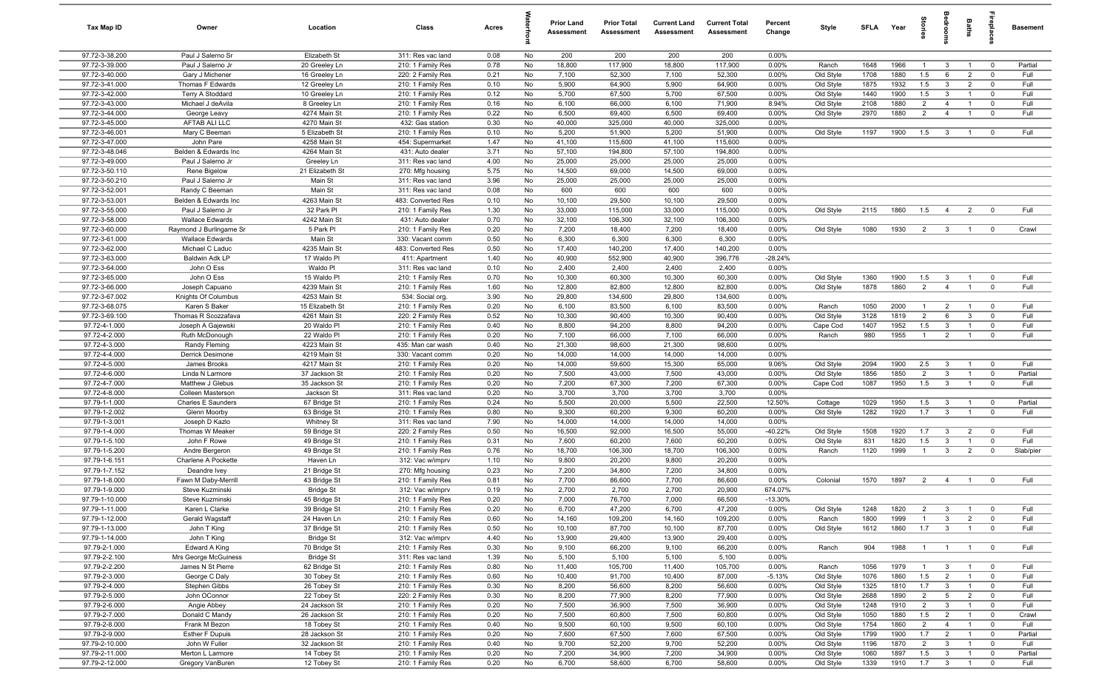| Tax Map ID                       | Owner                                   | Location                         | Class                                  | Acres        |          | <b>Prior Land</b><br>Assessment | <b>Prior Total</b><br>Assessment | <b>Current Land</b><br><b>Assessment</b> | <b>Current Total</b><br><b>Assessment</b> | Percent<br>Change  | Style                  | <b>SFI A</b> | Year         | lorie                 |                                  | Baths                            | repla                            | <b>Basement</b> |
|----------------------------------|-----------------------------------------|----------------------------------|----------------------------------------|--------------|----------|---------------------------------|----------------------------------|------------------------------------------|-------------------------------------------|--------------------|------------------------|--------------|--------------|-----------------------|----------------------------------|----------------------------------|----------------------------------|-----------------|
| 97.72-3-38.200                   | Paul J Salerno Sr                       | Elizabeth St                     | 311: Res vac land                      | 0.08         | No       | 200                             | 200                              | 200                                      | 200                                       | $0.00\%$           |                        |              |              |                       |                                  |                                  |                                  |                 |
| 97.72-3-39.000                   | Paul J Salerno Jr                       | 20 Greeley Ln                    | 210: 1 Family Res                      | 0.78         | No       | 18,800                          | 117,900                          | 18,800                                   | 117,900                                   | 0.00%              | Ranch                  | 1648         | 1966         | $\overline{1}$        | $\mathbf{3}$                     |                                  | $\mathbf 0$                      | Partial         |
| 97.72-3-40.000<br>97.72-3-41.000 | Gary J Michener                         | 16 Greeley Ln                    | 220: 2 Family Res                      | 0.21<br>0.10 | No<br>No | 7,100                           | 52,300<br>64,900                 | 7,100<br>5,900                           | 52,300<br>64,900                          | 0.00%<br>0.00%     | Old Style              | 1708<br>1875 | 1880<br>1932 | 1.5<br>1.5            | 6<br>$\mathbf{3}$                | $\overline{2}$<br>$\overline{2}$ | $^{\circ}$<br>$^{\circ}$         | Full<br>Full    |
| 97.72-3-42.000                   | Thomas F Edwards<br>Terry A Stoddard    | 12 Greeley Ln<br>10 Greeley Ln   | 210: 1 Family Res<br>210: 1 Family Res | 0.12         | No       | 5,900<br>5,700                  | 67,500                           | 5,700                                    | 67,500                                    | 0.00%              | Old Style<br>Old Style | 1440         | 1900         | 1.5                   | $\mathbf{3}$                     | $\overline{1}$                   | $^{\circ}$                       | Full            |
| 97.72-3-43.000                   | Michael J deAvila                       | 8 Greeley Ln                     | 210: 1 Family Res                      | 0.16         | No       | 6,100                           | 66,000                           | 6,100                                    | 71,900                                    | 8.94%              | Old Style              | 2108         | 1880         | 2                     | $\overline{4}$                   |                                  | $\mathbf 0$                      | Full            |
| 97.72-3-44.000                   | George Leavy                            | 4274 Main St                     | 210: 1 Family Res                      | 0.22         | No       | 6,500                           | 69,400                           | 6,500                                    | 69,400                                    | 0.00%              | Old Style              | 2970         | 1880         | $\overline{2}$        | $\overline{4}$                   | $\overline{1}$                   | $\mathbf 0$                      | Full            |
| 97.72-3-45.000                   | AFTAB ALI LLC                           | 4270 Main St                     | 432: Gas station                       | 0.30         | No       | 40,000                          | 325,000                          | 40,000                                   | 325,000                                   | 0.00%              |                        |              |              |                       |                                  |                                  |                                  |                 |
| 97.72-3-46.001                   | Mary C Beeman                           | 5 Elizabeth St                   | 210: 1 Family Res                      | 0.10         | No       | 5,200                           | 51,900                           | 5,200                                    | 51,900                                    | 0.00%              | Old Style              | 1197         | 1900         | 1.5                   | $\mathbf{3}$                     | $\overline{1}$                   | $^{\circ}$                       | Full            |
| 97.72-3-47.000                   | John Pare                               | 4258 Main St                     | 454: Supermarket                       | 1.47         | No       | 41,100                          | 115,600                          | 41,100                                   | 115,600                                   | 0.00%              |                        |              |              |                       |                                  |                                  |                                  |                 |
| 97.72-3-48.046                   | Belden & Edwards Inc.                   | 4264 Main St                     | 431: Auto dealer                       | 3.71         | No       | 57,100                          | 194,800                          | 57,100                                   | 194,800                                   | 0.00%              |                        |              |              |                       |                                  |                                  |                                  |                 |
| 97.72-3-49.000<br>97.72-3-50.110 | Paul J Salerno Jr                       | Greeley Ln                       | 311: Res vac land                      | 4.00         | No       | 25,000                          | 25,000                           | 25,000                                   | 25,000                                    | 0.00%              |                        |              |              |                       |                                  |                                  |                                  |                 |
| 97.72-3-50.210                   | Rene Bigelow<br>Paul J Salerno Jr       | 21 Elizabeth St<br>Main St       | 270: Mfg housing<br>311: Res vac land  | 5.75<br>3.96 | No<br>No | 14,500<br>25,000                | 69,000<br>25,000                 | 14,500<br>25,000                         | 69,000<br>25,000                          | 0.00%<br>0.00%     |                        |              |              |                       |                                  |                                  |                                  |                 |
| 97.72-3-52.001                   | Randy C Beeman                          | Main St                          | 311: Res vac land                      | 0.08         | No       | 600                             | 600                              | 600                                      | 600                                       | 0.00%              |                        |              |              |                       |                                  |                                  |                                  |                 |
| 97.72-3-53.001                   | Belden & Edwards Inc                    | 4263 Main St                     | 483: Converted Res                     | 0.10         | No       | 10,100                          | 29,500                           | 10,100                                   | 29,500                                    | 0.00%              |                        |              |              |                       |                                  |                                  |                                  |                 |
| 97.72-3-55.000                   | Paul J Salerno Jr                       | 32 Park PI                       | 210: 1 Family Res                      | 1.30         | No       | 33,000                          | 115,000                          | 33,000                                   | 115,000                                   | 0.00%              | Old Style              | 2115         | 1860         | 1.5                   | $\overline{4}$                   | $\overline{2}$                   | $^{\circ}$                       | Full            |
| 97.72-3-58.000                   | <b>Wallace Edwards</b>                  | 4242 Main St                     | 431: Auto dealer                       | 0.70         | No       | 32,100                          | 106,300                          | 32,100                                   | 106,300                                   | 0.00%              |                        |              |              |                       |                                  |                                  |                                  |                 |
| 97.72-3-60.000                   | Raymond J Burlingame Sr                 | 5 Park Pl                        | 210: 1 Family Res                      | 0.20         | No       | 7,200                           | 18,400                           | 7,200                                    | 18,400                                    | 0.00%              | Old Style              | 1080         | 1930         | 2                     | $\overline{\mathbf{3}}$          | $\overline{1}$                   | $^{\circ}$                       | Crawl           |
| 97.72-3-61.000                   | <b>Wallace Edwards</b>                  | Main St                          | 330: Vacant comm                       | 0.50         | No       | 6,300                           | 6,300                            | 6,300                                    | 6,300                                     | 0.00%              |                        |              |              |                       |                                  |                                  |                                  |                 |
| 97.72-3-62.000<br>97.72-3-63.000 | Michael C Laduc<br>Baldwin Adk LP       | 4235 Main St<br>17 Waldo Pl      | 483: Converted Res                     | 0.50<br>1.40 | No<br>No | 17,400<br>40,900                | 140,200<br>552,900               | 17,400<br>40,900                         | 140,200<br>396,776                        | 0.00%<br>$-28.24%$ |                        |              |              |                       |                                  |                                  |                                  |                 |
| 97.72-3-64.000                   | John O Ess                              | Waldo Pl                         | 411: Apartment<br>311: Res vac land    | 0.10         | No       | 2,400                           | 2,400                            | 2,400                                    | 2,400                                     | 0.00%              |                        |              |              |                       |                                  |                                  |                                  |                 |
| 97.72-3-65.000                   | John O Ess                              | 15 Waldo Pl                      | 210: 1 Family Res                      | 0.70         | No       | 10,300                          | 60,300                           | 10,300                                   | 60,300                                    | 0.00%              | Old Style              | 1360         | 1900         | 1.5                   | $\mathbf{3}$                     | $\overline{1}$                   | $^{\circ}$                       | Full            |
| 97.72-3-66.000                   | Joseph Capuano                          | 4239 Main St                     | 210: 1 Family Res                      | 1.60         | No       | 12,800                          | 82,800                           | 12,800                                   | 82,800                                    | 0.00%              | Old Style              | 1878         | 1860         | $\overline{2}$        | $\overline{4}$                   | $\overline{1}$                   | $\mathbf 0$                      | Full            |
| 97.72-3-67.002                   | Knights Of Columbus                     | 4253 Main St                     | 534: Social org.                       | 3.90         | No       | 29,800                          | 134,600                          | 29,800                                   | 134,600                                   | 0.00%              |                        |              |              |                       |                                  |                                  |                                  |                 |
| 97.72-3-68.075                   | Karen S Baker                           | 15 Elizabeth St                  | 210: 1 Family Res                      | 0.20         | No       | 6,100                           | 83,500                           | 6,100                                    | 83,500                                    | 0.00%              | Ranch                  | 1050         | 2000         | $\mathbf{1}$          | $\overline{2}$                   | $\overline{1}$                   | $\mathbf 0$                      | Full            |
| 97.72-3-69.100                   | Thomas R Scozzafava                     | 4261 Main St                     | 220: 2 Family Res                      | 0.52         | No       | 10,300                          | 90,400                           | 10,300                                   | 90,400                                    | 0.00%              | Old Style              | 3128         | 1819         | $\overline{2}$        | 6                                | $\mathbf{3}$                     | $^{\circ}$                       | Full            |
| 97.72-4-1.000<br>97.72-4-2.000   | Joseph A Gajewski<br>Ruth McDonough     | 20 Waldo Pl<br>22 Waldo Pl       | 210: 1 Family Res<br>210: 1 Family Res | 0.40<br>0.20 | No<br>No | 8,800<br>7,100                  | 94,200<br>66,000                 | 8,800<br>7,100                           | 94,200<br>66,000                          | 0.00%<br>0.00%     | Cape Cod<br>Ranch      | 1407<br>980  | 1952<br>1955 | 1.5<br>$\overline{1}$ | $\mathbf{3}$<br>$\overline{2}$   |                                  | $^{\circ}$<br>$\Omega$           | Full<br>Full    |
| 97.72-4-3.000                    | Randy Fleming                           | 4223 Main St                     | 435: Man car wash                      | 0.40         | No       | 21,300                          | 98,600                           | 21,300                                   | 98,600                                    | 0.00%              |                        |              |              |                       |                                  |                                  |                                  |                 |
| 97.72-4-4.000                    | Derrick Desimone                        | 4219 Main St                     | 330: Vacant comm                       | 0.20         | No       | 14,000                          | 14,000                           | 14,000                                   | 14,000                                    | 0.00%              |                        |              |              |                       |                                  |                                  |                                  |                 |
| 97.72-4-5.000                    | James Brooks                            | 4217 Main St                     | 210: 1 Family Res                      | 0.20         | No       | 14,000                          | 59,600                           | 15,300                                   | 65,000                                    | 9.06%              | Old Style              | 2094         | 1900         | 2.5                   | $\mathbf{3}$                     | $\overline{1}$                   | $^{\circ}$                       | Full            |
| 97.72-4-6.000                    | Linda N Larmore                         | 37 Jackson St                    | 210: 1 Family Res                      | 0.20         | No       | 7,500                           | 43,000                           | 7,500                                    | 43,000                                    | 0.00%              | Old Style              | 1856         | 1850         | 2                     | $\mathbf{3}$                     | $\overline{1}$                   | $\mathbf 0$                      | Partial         |
| 97.72-4-7.000                    | Matthew J Glebus                        | 35 Jackson St                    | 210: 1 Family Res                      | 0.20         | No       | 7,200                           | 67,300                           | 7,200                                    | 67,300                                    | 0.00%              | Cape Cod               | 1087         | 1950         | 1.5                   | $\overline{3}$                   | $\overline{1}$                   | $\overline{0}$                   | Full            |
| 97.72-4-8.000<br>97.79-1-1.000   | Colleen Masterson<br>Charles E Saunders | Jackson St<br>67 Bridge St       | 311: Res vac land                      | 0.20<br>0.24 | No<br>No | 3,700<br>5,500                  | 3,700<br>20,000                  | 3,700<br>5,500                           | 3,700<br>22,500                           | 0.00%<br>12.50%    |                        | 1029         | 1950         | 1.5                   | $\mathbf{3}$                     |                                  | $\mathbf 0$                      | Partial         |
| 97.79-1-2.002                    | Glenn Moorby                            | 63 Bridge St                     | 210: 1 Family Res<br>210: 1 Family Res | 0.80         | No       | 9,300                           | 60,200                           | 9,300                                    | 60,200                                    | 0.00%              | Cottage<br>Old Style   | 1282         | 1920         | 1.7                   | $\mathbf{3}$                     | $\overline{1}$<br>$\overline{1}$ | $\mathbf 0$                      | Full            |
| 97.79-1-3.001                    | Joseph D Kazlo                          | <b>Whitney St</b>                | 311: Res vac land                      | 7.90         | No       | 14,000                          | 14,000                           | 14,000                                   | 14,000                                    | 0.00%              |                        |              |              |                       |                                  |                                  |                                  |                 |
| 97.79-1-4.000                    | Thomas W Meaker                         | 59 Bridge St                     | 220: 2 Family Res                      | 0.50         | No       | 16,500                          | 92,000                           | 16,500                                   | 55,000                                    | $-40.22%$          | Old Style              | 1508         | 1920         | 1.7                   | 3                                | $\overline{2}$                   | $\mathbf 0$                      | Full            |
| 97.79-1-5.100                    | John F Rowe                             | 49 Bridge St                     | 210: 1 Family Res                      | 0.31         | No       | 7,600                           | 60,200                           | 7,600                                    | 60,200                                    | 0.00%              | Old Style              | 831          | 1820         | 1.5                   | $\mathbf{3}$                     |                                  | $\Omega$                         | Full            |
| 97.79-1-5.200                    | Andre Bergeron                          | 49 Bridge St                     | 210: 1 Family Res                      | 0.76         | No       | 18,700                          | 106,300                          | 18,700                                   | 106,300                                   | 0.00%              | Ranch                  | 1120         | 1999         | -1                    | 3                                | $\overline{2}$                   | $^{\circ}$                       | Slab/pier       |
| 97.79-1-6.151                    | Charlene A Pockette                     | Haven Ln                         | 312: Vac w/imprv                       | 1.10         | No       | 9,800                           | 20,200                           | 9,800                                    | 20,200                                    | 0.00%              |                        |              |              |                       |                                  |                                  |                                  |                 |
| 97.79-1-7.152<br>97.79-1-8.000   | Deandre Ivey<br>Fawn M Daby-Merrill     | 21 Bridge St<br>43 Bridge St     | 270: Mfg housing<br>210: 1 Family Res  | 0.23<br>0.81 | No<br>No | 7,200<br>7,700                  | 34,800<br>86,600                 | 7,200<br>7,700                           | 34,800<br>86,600                          | 0.00%<br>0.00%     | Colonial               | 1570         | 1897         | 2                     | $\overline{4}$                   | $\overline{1}$                   | $\mathbf 0$                      | Full            |
| 97.79-1-9.000                    | Steve Kuzminski                         | <b>Bridge St</b>                 | 312: Vac w/imprv                       | 0.19         | No       | 2,700                           | 2,700                            | 2,700                                    | 20,900                                    | 674.07%            |                        |              |              |                       |                                  |                                  |                                  |                 |
| 97.79-1-10.000                   | Steve Kuzminski                         | 45 Bridge St                     | 210: 1 Family Res                      | 0.20         | No.      | 7,000                           | 76,700                           | 7,000                                    | 66,500                                    | $-13.30%$          |                        |              |              |                       |                                  |                                  |                                  |                 |
| 97.79-1-11.000                   | Karen L Clarke                          | 39 Bridge St                     | 210: 1 Family Res                      | 0.20         | No       | 6,700                           | 47,200                           | 6,700                                    | 47,200                                    | 0.00%              | Old Style              | 1248         | 1820         | $\overline{2}$        | $\mathbf{3}$                     | $\overline{1}$                   | $\overline{0}$                   | Full            |
| 97.79-1-12.000                   | Gerald Wagstaff                         | 24 Haven Ln                      | 210: 1 Family Res                      | 0.60         | No       | 14,160                          | 109,200                          | 14,160                                   | 109,200                                   | 0.00%              | Ranch                  | 1800         | 1999         | $\mathbf{1}$          | $\mathbf{3}$                     | $\overline{2}$                   | $\mathbf 0$                      | Full            |
| 97.79-1-13.000                   | John T King                             | 37 Bridge St                     | 210: 1 Family Res                      | 0.50         | No       | 10,100                          | 87,700                           | 10,100                                   | 87,700                                    | 0.00%              | Old Style              | 1612         | 1860         | 1.7                   | $\overline{\mathbf{3}}$          | $\mathbf{1}$                     | $\mathbf 0$                      | Full            |
| 97.79-1-14.000<br>97.79-2-1.000  | John T King<br>Edward A King            | <b>Bridge St</b><br>70 Bridge St | 312: Vac w/imprv<br>210: 1 Family Res  | 4.40<br>0.30 | No<br>No | 13,900<br>9,100                 | 29,400<br>66,200                 | 13,900<br>9,100                          | 29,400<br>66,200                          | 0.00%<br>0.00%     | Ranch                  | 904          | 1988         | $\overline{1}$        | $\overline{1}$                   | $\overline{1}$                   | $\overline{0}$                   | Full            |
| 97.79-2-2.100                    | Mrs George McGuiness                    | <b>Bridge St</b>                 | 311: Res vac land                      | 1.39         | No       | 5,100                           | 5,100                            | 5,100                                    | 5,100                                     | 0.00%              |                        |              |              |                       |                                  |                                  |                                  |                 |
| 97.79-2-2.200                    | James N St Pierre                       | 62 Bridge St                     | 210: 1 Family Res                      | 0.80         | No       | 11,400                          | 105,700                          | 11,400                                   | 105,700                                   | 0.00%              | Ranch                  | 1056         | 1979         | -1                    | 3                                |                                  | $\overline{0}$                   | Full            |
| 97.79-2-3.000                    | George C Daly                           | 30 Tobey St                      | 210: 1 Family Res                      | 0.60         | No       | 10,400                          | 91,700                           | 10,400                                   | 87,000                                    | $-5.13%$           | Old Style              | 1076         | 1860         | 1.5                   | $\overline{2}$                   | $\overline{1}$                   | $\mathbf 0$                      | Full            |
| 97.79-2-4.000                    | Stephen Gibbs                           | 26 Tobey St                      | 210: 1 Family Res                      | 0.30         | No       | 8,200                           | 56,600                           | 8,200                                    | 56,600                                    | 0.00%              | Old Style              | 1325         | 1810         | 1.7                   | $\mathbf{3}$                     | $\overline{1}$                   | $\mathbf 0$                      | Full            |
| 97.79-2-5.000                    | John OConnor                            | 22 Tobey St                      | 220: 2 Family Res                      | 0.30         | No       | 8,200                           | 77,900                           | 8,200                                    | 77,900                                    | 0.00%              | Old Style              | 2688         | 1890         | $\overline{2}$        | $5\overline{)}$                  | $\overline{2}$                   | $\mathbf 0$                      | Full            |
| 97.79-2-6.000                    | Angie Abbey                             | 24 Jackson St                    | 210: 1 Family Res                      | 0.20         | No       | 7,500                           | 36,900                           | 7,500                                    | 36,900                                    | 0.00%              | Old Style              | 1248         | 1910         | $\overline{2}$        | $\mathbf{3}$                     | $\overline{1}$                   | $\mathbf 0$                      | Full            |
| 97.79-2-7.000                    | Donald C Mandy                          | 26 Jackson St                    | 210: 1 Family Res                      | 0.20         | No       | 7,500                           | 60,800                           | 7,500                                    | 60,800                                    | 0.00%              | Old Style              | 1050         | 1880         | 1.5                   | $\overline{2}$                   | $\overline{1}$                   | $\overline{0}$                   | Crawl           |
| 97.79-2-8.000<br>97.79-2-9.000   | Frank M Bezon<br><b>Esther F Dupuis</b> | 18 Tobey St<br>28 Jackson St     | 210: 1 Family Res<br>210: 1 Family Res | 0.40<br>0.20 | No<br>No | 9,500<br>7,600                  | 60,100<br>67,500                 | 9,500<br>7,600                           | 60,100<br>67,500                          | 0.00%<br>0.00%     | Old Style<br>Old Style | 1754<br>1799 | 1860<br>1900 | $\overline{2}$<br>1.7 | $\overline{4}$<br>$\overline{2}$ | $\overline{1}$<br>$\overline{1}$ | $\overline{0}$<br>$\overline{0}$ | Full<br>Partial |
| 97.79-2-10.000                   | John W Fuller                           | 32 Jackson St                    | 210: 1 Family Res                      | 0.40         | No       | 9,700                           | 52,200                           | 9,700                                    | 52,200                                    | 0.00%              | Old Style              | 1196         | 1870         | $\overline{2}$        | $\mathbf{3}$                     | $\overline{1}$                   | $\mathbf 0$                      | Full            |
| 97.79-2-11.000                   | Merton L Larmore                        | 14 Tobey St                      | 210: 1 Family Res                      | 0.20         | No       | 7,200                           | 34,900                           | 7,200                                    | 34,900                                    | 0.00%              | Old Style              | 1060         | 1897         | 1.5                   | $\mathbf{3}$                     | $\overline{1}$                   | $\mathbf 0$                      | Partial         |
| 97.79-2-12.000                   | Gregory VanBuren                        | 12 Tobey St                      | 210: 1 Family Res                      | 0.20         | No       | 6,700                           | 58,600                           | 6,700                                    | 58,600                                    | 0.00%              | Old Style              | 1339         | 1910         | $1.7 \t 3$            |                                  | $\overline{1}$                   | $\mathbf 0$                      | Full            |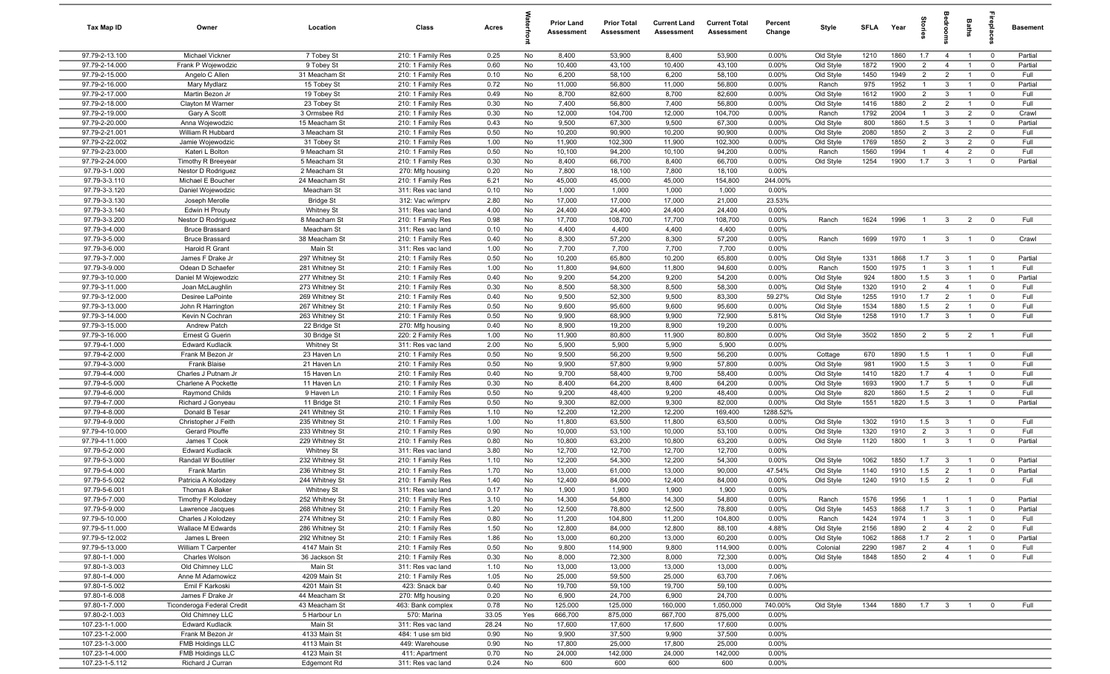| Tax Map ID                       | Owner                                | Location                       | Class                                  | Acres        |          | <b>Prior Land</b><br>Assessment | <b>Prior Total</b><br>Assessment | <b>Current Land</b><br>Assessment | <b>Current Total</b><br>Assessment | Percent<br>Change | Style                  | <b>SFLA</b>  | Year         | tories                | g                                | Baths                            | 률                            | Basement         |
|----------------------------------|--------------------------------------|--------------------------------|----------------------------------------|--------------|----------|---------------------------------|----------------------------------|-----------------------------------|------------------------------------|-------------------|------------------------|--------------|--------------|-----------------------|----------------------------------|----------------------------------|------------------------------|------------------|
| 97.79-2-13.100                   | Michael Vickner                      | 7 Tobey St                     | 210: 1 Family Res                      | 0.25         | No       | 8,400                           | 53,900                           | 8,400                             | 53,900                             | $0.00\%$          | Old Style              | 1210         | 1860         | 1.7                   | $\overline{4}$                   | $\overline{1}$                   | $\mathbf{0}$                 | Partial          |
| 97.79-2-14.000                   | Frank P Wojewodzic                   | 9 Tobey St                     | 210: 1 Family Res                      | 0.60         | No       | 10,400                          | 43,100                           | 10,400                            | 43,100                             | 0.00%             | Old Style              | 1872         | 1900         | $\overline{2}$        | $\overline{4}$                   | $\overline{1}$                   | $\mathbf 0$                  | Partial          |
| 97.79-2-15.000                   | Angelo C Allen                       | 31 Meacham St                  | 210: 1 Family Res                      | 0.10         | No       | 6,200                           | 58,100                           | 6,200                             | 58,100                             | 0.00%             | Old Style              | 1450         | 1949         | $\overline{2}$        | $\overline{2}$                   | $\overline{1}$                   | $\mathbf 0$                  | Full             |
| 97.79-2-16.000                   | Mary Mydlarz                         | 15 Tobey St                    | 210: 1 Family Res                      | 0.72         | No       | 11,000                          | 56,800                           | 11,000                            | 56,800                             | 0.00%             | Ranch                  | 975          | 1952         | $\overline{1}$        | $\mathbf{3}$                     |                                  | $^{\circ}$                   | Partial          |
| 97.79-2-17.000                   | Martin Bezon Jr                      | 19 Tobey St                    | 210: 1 Family Res                      | 0.49         | No       | 8,700                           | 82,600                           | 8,700                             | 82,600                             | 0.00%             | Old Style              | 1612         | 1900         | $\overline{2}$        | $\mathbf{3}$                     | $\overline{1}$                   | $^{\circ}$                   | Full             |
| 97.79-2-18.000<br>97.79-2-19.000 | Clayton M Warner                     | 23 Tobey St<br>3 Ormsbee Rd    | 210: 1 Family Res                      | 0.30         | No       | 7,400<br>12,000                 | 56,800<br>104,700                | 7,400<br>12,000                   | 56,800<br>104,700                  | 0.00%             | Old Style              | 1416<br>1792 | 1880<br>2004 | 2<br>$\mathbf{1}$     | $\overline{2}$<br>$\mathbf{3}$   | $\overline{2}$                   | $\mathbf 0$                  | Full             |
| 97.79-2-20.000                   | Gary A Scott<br>Anna Wojewodzic      | 15 Meacham St                  | 210: 1 Family Res<br>210: 1 Family Res | 0.30<br>0.43 | No<br>No | 9,500                           | 67,300                           | 9,500                             | 67,300                             | 0.00%<br>0.00%    | Ranch<br>Old Style     | 800          | 1860         | 1.5                   | $\mathbf{3}$                     | $\overline{1}$                   | $\mathbf 0$<br>$\mathbf 0$   | Crawl<br>Partial |
| 97.79-2-21.001                   | William R Hubbard                    | 3 Meacham St                   | 210: 1 Family Res                      | 0.50         | No       | 10,200                          | 90,900                           | 10,200                            | 90,900                             | 0.00%             | Old Style              | 2080         | 1850         | 2                     | $\mathbf{3}$                     | $\overline{2}$                   | $\mathbf 0$                  | Full             |
| 97.79-2-22.002                   | Jamie Wojewodzic                     | 31 Tobey St                    | 210: 1 Family Res                      | 1.00         | No       | 11,900                          | 102,300                          | 11,900                            | 102,300                            | 0.00%             | Old Style              | 1769         | 1850         | $\overline{2}$        | $\mathbf{3}$                     | $\overline{2}$                   | $\mathbf{0}$                 | Full             |
| 97.79-2-23.000                   | Kateri L Bolton                      | 9 Meacham St                   | 210: 1 Family Res                      | 0.50         | No       | 10,100                          | 94,200                           | 10,100                            | 94,200                             | 0.00%             | Ranch                  | 1560         | 1994         | $\overline{1}$        | $\overline{4}$                   | $\overline{2}$                   | $^{\circ}$                   | Full             |
| 97.79-2-24.000                   | <b>Timothy R Breevear</b>            | 5 Meacham St                   | 210: 1 Family Res                      | 0.30         | No       | 8,400                           | 66,700                           | 8,400                             | 66,700                             | 0.00%             | Old Style              | 1254         | 1900         | 1.7                   | $\overline{3}$                   | $\overline{1}$                   | $^{\circ}$                   | Partial          |
| 97.79-3-1.000                    | Nestor D Rodriguez                   | 2 Meacham St                   | 270: Mfg housing                       | 0.20         | No       | 7,800                           | 18,100                           | 7,800                             | 18,100                             | 0.00%             |                        |              |              |                       |                                  |                                  |                              |                  |
| 97.79-3-3.110                    | Michael E Boucher                    | 24 Meacham St                  | 210: 1 Family Res                      | 6.21         | No       | 45,000                          | 45,000                           | 45,000                            | 154,800                            | 244.00%           |                        |              |              |                       |                                  |                                  |                              |                  |
| 97.79-3-3.120                    | Daniel Wojewodzic                    | Meacham St                     | 311: Res vac land                      | 0.10         | No       | 1,000                           | 1,000                            | 1,000                             | 1,000                              | 0.00%             |                        |              |              |                       |                                  |                                  |                              |                  |
| 97.79-3-3.130                    | Joseph Merolle                       | <b>Bridge St</b>               | 312: Vac w/imprv                       | 2.80         | No       | 17,000                          | 17,000                           | 17,000                            | 21,000                             | 23.53%            |                        |              |              |                       |                                  |                                  |                              |                  |
| 97.79-3-3.140                    | Edwin H Prouty                       | Whitney St                     | 311: Res vac land                      | 4.00         | No       | 24,400                          | 24,400                           | 24,400                            | 24,400                             | 0.00%             |                        |              |              |                       |                                  |                                  |                              |                  |
| 97.79-3-3.200                    | Nestor D Rodriguez                   | 8 Meacham St                   | 210: 1 Family Res                      | 0.98         | No       | 17,700                          | 108,700                          | 17,700                            | 108,700                            | 0.00%             | Ranch                  | 1624         | 1996         | $\overline{1}$        | $\mathbf{3}$                     | $\overline{2}$                   | $^{\circ}$                   | Full             |
| 97.79-3-4.000                    | <b>Bruce Brassard</b>                | Meacham St                     | 311: Res vac land                      | 0.10         | No       | 4,400                           | 4,400                            | 4,400                             | 4,400                              | 0.00%             |                        |              |              |                       |                                  |                                  |                              |                  |
| 97.79-3-5.000                    | <b>Bruce Brassard</b>                | 38 Meacham St                  | 210: 1 Family Res                      | 0.40         | No       | 8,300                           | 57,200                           | 8,300                             | 57,200                             | 0.00%             | Ranch                  | 1699         | 1970         | $\overline{1}$        | $\overline{3}$                   | $\mathbf{1}$                     | $\overline{\mathbf{0}}$      | Crawl            |
| 97.79-3-6.000<br>97.79-3-7.000   | Harold R Grant<br>James F Drake Jr   | Main St<br>297 Whitney St      | 311: Res vac land                      | 1.00<br>0.50 | No       | 7,700<br>10,200                 | 7,700<br>65,800                  | 7,700<br>10,200                   | 7,700<br>65,800                    | 0.00%<br>0.00%    |                        | 1331         | 1868         | 1.7                   |                                  | $\overline{1}$                   | $\mathbf 0$                  | Partial          |
| 97.79-3-9.000                    | Odean D Schaefer                     | 281 Whitney St                 | 210: 1 Family Res<br>210: 1 Family Res | 1.00         | No<br>No | 11,800                          | 94,600                           | 11,800                            | 94,600                             | 0.00%             | Old Style<br>Ranch     | 1500         | 1975         | $\overline{1}$        | $\mathbf{3}$<br>$\mathbf{3}$     | $\overline{1}$                   | $\overline{1}$               | Full             |
| 97.79-3-10.000                   | Daniel M Wojewodzic                  | 277 Whitney St                 | 210: 1 Family Res                      | 0.40         | No       | 9,200                           | 54,200                           | 9,200                             | 54,200                             | 0.00%             | Old Style              | 924          | 1800         | 1.5                   | $\mathbf{3}$                     | $\overline{1}$                   | $^{\circ}$                   | Partial          |
| 97.79-3-11.000                   | Joan McLaughlin                      | 273 Whitney St                 | 210: 1 Family Res                      | 0.30         | No       | 8,500                           | 58,300                           | 8,500                             | 58,300                             | 0.00%             | Old Style              | 1320         | 1910         | 2                     | $\overline{4}$                   | $\overline{1}$                   | $\mathbf{0}$                 | Full             |
| 97.79-3-12.000                   | Desiree LaPointe                     | 269 Whitney St                 | 210: 1 Family Res                      | 0.40         | No       | 9,500                           | 52,300                           | 9,500                             | 83,300                             | 59.27%            | Old Style              | 1255         | 1910         | 1.7                   | 2                                | $\overline{1}$                   | $\mathbf{0}$                 | Full             |
| 97.79-3-13.000                   | John R Harrington                    | 267 Whitney St                 | 210: 1 Family Res                      | 0.50         | No       | 9,600                           | 95,600                           | 9,600                             | 95,600                             | 0.00%             | Old Style              | 1534         | 1880         | 1.5                   | $\overline{2}$                   | $\overline{1}$                   | $\mathbf 0$                  | Full             |
| 97.79-3-14.000                   | Kevin N Cochran                      | 263 Whitney St                 | 210: 1 Family Res                      | 0.50         | No       | 9,900                           | 68,900                           | 9,900                             | 72,900                             | 5.81%             | Old Style              | 1258         | 1910         | 1.7                   | $\mathbf{3}$                     | $\mathbf{1}$                     | $\mathbf 0$                  | Full             |
| 97.79-3-15.000                   | Andrew Patch                         | 22 Bridge St                   | 270: Mfg housing                       | 0.40         | No       | 8,900                           | 19,200                           | 8,900                             | 19,200                             | 0.00%             |                        |              |              |                       |                                  |                                  |                              |                  |
| 97.79-3-16.000                   | Ernest G Guerin                      | 30 Bridge St                   | 220: 2 Family Res                      | 1.00         | No       | 11,900                          | 80,800                           | 11,900                            | 80,800                             | 0.00%             | Old Style              | 3502         | 1850         | $\overline{2}$        | 5                                | $\overline{2}$                   | - 1                          | Full             |
| 97.79-4-1.000                    | <b>Edward Kudlacik</b>               | <b>Whitney St</b>              | 311: Res vac land                      | 2.00         | No       | 5,900                           | 5,900                            | 5,900                             | 5,900                              | 0.00%             |                        |              |              |                       |                                  |                                  |                              |                  |
| 97.79-4-2.000                    | Frank M Bezon Jr                     | 23 Haven Ln                    | 210: 1 Family Res                      | 0.50         | No       | 9,500                           | 56,200                           | 9,500                             | 56,200                             | 0.00%             | Cottage                | 670          | 1890         | 1.5                   |                                  | $\overline{1}$                   | $^{\circ}$                   | Full             |
| 97.79-4-3.000                    | Frank Blaise                         | 21 Haven Ln                    | 210: 1 Family Res                      | 0.50         | No       | 9,900                           | 57,800                           | 9,900                             | 57,800                             | 0.00%             | Old Style              | 981          | 1900         | 1.5                   | $\mathbf{3}$                     | $\overline{1}$                   | $\mathbf 0$                  | Full             |
| 97.79-4-4.000                    | Charles J Putnam Jr                  | 15 Haven Ln                    | 210: 1 Family Res                      | 0.40         | No       | 9,700                           | 58,400                           | 9,700                             | 58,400                             | 0.00%             | Old Style              | 1410         | 1820         | 1.7                   | $\overline{4}$                   | $\overline{1}$                   | $\mathbf 0$                  | Full             |
| 97.79-4-5.000                    | Charlene A Pockette                  | 11 Haven Ln                    | 210: 1 Family Res                      | 0.30         | No       | 8,400                           | 64,200                           | 8,400                             | 64,200                             | 0.00%             | Old Style              | 1693         | 1900         | 1.7                   | 5                                | $\overline{1}$                   | $^{\circ}$                   | Full             |
| 97.79-4-6.000<br>97.79-4-7.000   | Raymond Childs                       | 9 Haven Ln                     | 210: 1 Family Res                      | 0.50<br>0.50 | No<br>No | 9,200<br>9,300                  | 48,400<br>82,000                 | 9,200<br>9,300                    | 48,400<br>82,000                   | 0.00%<br>0.00%    | Old Style<br>Old Style | 820<br>1551  | 1860<br>1820 | 1.5<br>1.5            | $\overline{2}$<br>$\mathbf{3}$   | $\overline{1}$<br>$\overline{1}$ | $^{\circ}$<br>$\overline{0}$ | Full<br>Partial  |
| 97.79-4-8.000                    | Richard J Gonyeau<br>Donald B Tesar  | 11 Bridge St<br>241 Whitney St | 210: 1 Family Res<br>210: 1 Family Res | 1.10         | No       | 12,200                          | 12,200                           | 12,200                            | 169,400                            | 1288.52%          |                        |              |              |                       |                                  |                                  |                              |                  |
| 97.79-4-9.000                    | Christopher J Feith                  | 235 Whitney St                 | 210: 1 Family Res                      | 1.00         | No       | 11,800                          | 63,500                           | 11,800                            | 63,500                             | 0.00%             | Old Style              | 1302         | 1910         | 1.5                   | $\mathbf{3}$                     | $\overline{1}$                   | $\mathbf 0$                  | Full             |
| 97.79-4-10.000                   | Gerard Plouffe                       | 233 Whitney St                 | 210: 1 Family Res                      | 0.90         | No       | 10,000                          | 53,100                           | 10,000                            | 53,100                             | 0.00%             | Old Style              | 1320         | 1910         | $\overline{2}$        | $\mathbf{3}$                     | $\overline{1}$                   | $\mathbf 0$                  | Full             |
| 97.79-4-11.000                   | James T Cook                         | 229 Whitney St                 | 210: 1 Family Res                      | 0.80         | No       | 10,800                          | 63,200                           | 10,800                            | 63,200                             | 0.00%             | Old Style              | 1120         | 1800         | $\overline{1}$        | $\mathbf{3}$                     | $\mathbf{1}$                     | $\mathbf 0$                  | Partial          |
| 97.79-5-2.000                    | <b>Edward Kudlacik</b>               | Whitney St                     | 311: Res vac land                      | 3.80         | No       | 12,700                          | 12,700                           | 12,700                            | 12,700                             | 0.00%             |                        |              |              |                       |                                  |                                  |                              |                  |
| 97.79-5-3.000                    | Randall W Boutilier                  | 232 Whitney St                 | 210: 1 Family Res                      | 1.10         | No       | 12,200                          | 54,300                           | 12,200                            | 54,300                             | 0.00%             | Old Style              | 1062         | 1850         | 1.7                   | $\mathbf{3}$                     |                                  | $^{\circ}$                   | Partial          |
| 97.79-5-4.000                    | Frank Martin                         | 236 Whitney St                 | 210: 1 Family Res                      | 1.70         | No       | 13,000                          | 61,000                           | 13,000                            | 90,000                             | 47.54%            | Old Style              | 1140         | 1910         | 1.5                   | $\overline{2}$                   | $\overline{1}$                   | $\mathbf{0}$                 | Partial          |
| 97.79-5-5.002                    | Patricia A Kolodzey                  | 244 Whitney St                 | 210: 1 Family Res                      | 1.40         | No       | 12,400                          | 84,000                           | 12,400                            | 84,000                             | 0.00%             | Old Style              | 1240         | 1910         | 1.5                   | $\overline{2}$                   | $\overline{1}$                   | $\Omega$                     | Full             |
| 97.79-5-6.001                    | Thomas A Baker                       | Whitney St                     | 311: Res vac land                      | 0.17         | No       | 1,900                           | 1,900                            | 1,900                             | 1,900                              | 0.00%             |                        |              |              |                       |                                  |                                  |                              |                  |
| 97.79-5-7.000                    | Timothy F Kolodzey                   | 252 Whitney St                 | 210: 1 Family Res                      | 3.10         | No       | 14,300                          | 54,800                           | 14,300                            | 54,800                             | 0.00%             | Ranch                  | 1576         | 1956         | $\overline{1}$        | $\overline{1}$                   | $\overline{1}$                   |                              | Partial          |
| 97.79-5-9.000                    | Lawrence Jacques                     | 268 Whitney St                 | 210: 1 Family Res                      | 1.20         | No       | 12,500                          | 78,800                           | 12,500                            | 78,800                             | 0.00%             | Old Style              | 1453         | 1868         | 1.7                   | $\mathbf{3}$                     | $\overline{1}$                   | $\overline{0}$               | Partial          |
| 97.79-5-10.000                   | Charles J Kolodzey                   | 274 Whitney St                 | 210: 1 Family Res                      | 0.80         | No       | 11,200                          | 104,800                          | 11,200                            | 104,800                            | 0.00%             | Ranch                  | 1424         | 1974         | $\mathbf{1}$          | $\mathbf{3}$                     | $\overline{1}$                   | $\mathbf 0$                  | Full             |
| 97.79-5-11.000                   | Wallace M Edwards                    | 286 Whitney St                 | 210: 1 Family Res                      | 1.50         | No       | 12,800                          | 84,000                           | 12,800                            | 88,100                             | 4.88%             | Old Style              | 2156         | 1890         | $\overline{2}$        | $\overline{4}$                   | $\overline{2}$                   | $\mathbf 0$                  | Full             |
| 97.79-5-12.002<br>97.79-5-13.000 | James L Breen<br>William T Carpenter | 292 Whitney St<br>4147 Main St | 210: 1 Family Res<br>210: 1 Family Res | 1.86<br>0.50 | No<br>No | 13,000<br>9,800                 | 60,200<br>114,900                | 13,000<br>9,800                   | 60,200<br>114,900                  | 0.00%<br>0.00%    | Old Style<br>Colonial  | 1062<br>2290 | 1868<br>1987 | 1.7<br>$\overline{2}$ | $\overline{2}$<br>$\overline{4}$ | $\overline{1}$<br>$\overline{1}$ | $\mathbf 0$<br>$\mathbf 0$   | Partial<br>Full  |
| 97.80-1-1.000                    | Charles Wolson                       | 36 Jackson St                  | 210: 1 Family Res                      | 0.30         | No       | 8,000                           | 72,300                           | 8,000                             | 72,300                             | 0.00%             | Old Style              | 1848         | 1850         | $\overline{2}$        | $\overline{4}$                   | $\overline{1}$                   | $\mathbf 0$                  | Full             |
| 97.80-1-3.003                    | Old Chimney LLC                      | Main St                        | 311: Res vac land                      | 1.10         | No       | 13,000                          | 13,000                           | 13,000                            | 13,000                             | 0.00%             |                        |              |              |                       |                                  |                                  |                              |                  |
| 97.80-1-4.000                    | Anne M Adamowicz                     | 4209 Main St                   | 210: 1 Family Res                      | 1.05         | No       | 25,000                          | 59,500                           | 25,000                            | 63,700                             | 7.06%             |                        |              |              |                       |                                  |                                  |                              |                  |
| 97.80-1-5.002                    | Emil F Karkoski                      | 4201 Main St                   | 423: Snack bar                         | 0.40         | No       | 19,700                          | 59,100                           | 19,700                            | 59,100                             | 0.00%             |                        |              |              |                       |                                  |                                  |                              |                  |
| 97.80-1-6.008                    | James F Drake Jr                     | 44 Meacham St                  | 270: Mfg housing                       | 0.20         | No       | 6,900                           | 24,700                           | 6,900                             | 24,700                             | 0.00%             |                        |              |              |                       |                                  |                                  |                              |                  |
| 97.80-1-7.000                    | Ticonderoga Federal Credit           | 43 Meacham St                  | 463: Bank complex                      | 0.78         | No       | 125,000                         | 125,000                          | 160,000                           | 1,050,000                          | 740.00%           | Old Style              | 1344         | 1880         | 1.7                   | $\overline{\mathbf{3}}$          | $\overline{1}$                   | $\overline{\mathbf{0}}$      | Full             |
| 97.80-2-1.003                    | Old Chimney LLC                      | 5 Harbour Ln                   | 570: Marina                            | 33.05        | Yes      | 666,700                         | 875,000                          | 667,700                           | 875,000                            | 0.00%             |                        |              |              |                       |                                  |                                  |                              |                  |
| 107.23-1-1.000                   | <b>Edward Kudlacik</b>               | Main St                        | 311: Res vac land                      | 28.24        | No       | 17,600                          | 17,600                           | 17,600                            | 17,600                             | 0.00%             |                        |              |              |                       |                                  |                                  |                              |                  |
| 107.23-1-2.000                   | Frank M Bezon Jr                     | 4133 Main St                   | 484: 1 use sm bld                      | 0.90         | No       | 9,900                           | 37,500                           | 9,900                             | 37,500                             | 0.00%             |                        |              |              |                       |                                  |                                  |                              |                  |
| 107.23-1-3.000                   | FMB Holdings LLC                     | 4113 Main St                   | 449: Warehouse                         | 0.90         | No       | 17,800                          | 25,000                           | 17,800                            | 25,000                             | 0.00%             |                        |              |              |                       |                                  |                                  |                              |                  |
| 107.23-1-4.000                   | <b>FMB Holdings LLC</b>              | 4123 Main St                   | 411: Apartment                         | 0.70         | No       | 24,000                          | 142,000                          | 24,000                            | 142,000                            | 0.00%             |                        |              |              |                       |                                  |                                  |                              |                  |
| 107.23-1-5.112                   | Richard J Curran                     | Edgemont Rd                    | 311: Res vac land                      | 0.24         | No       | 600                             | 600                              | 600                               | 600                                | 0.00%             |                        |              |              |                       |                                  |                                  |                              |                  |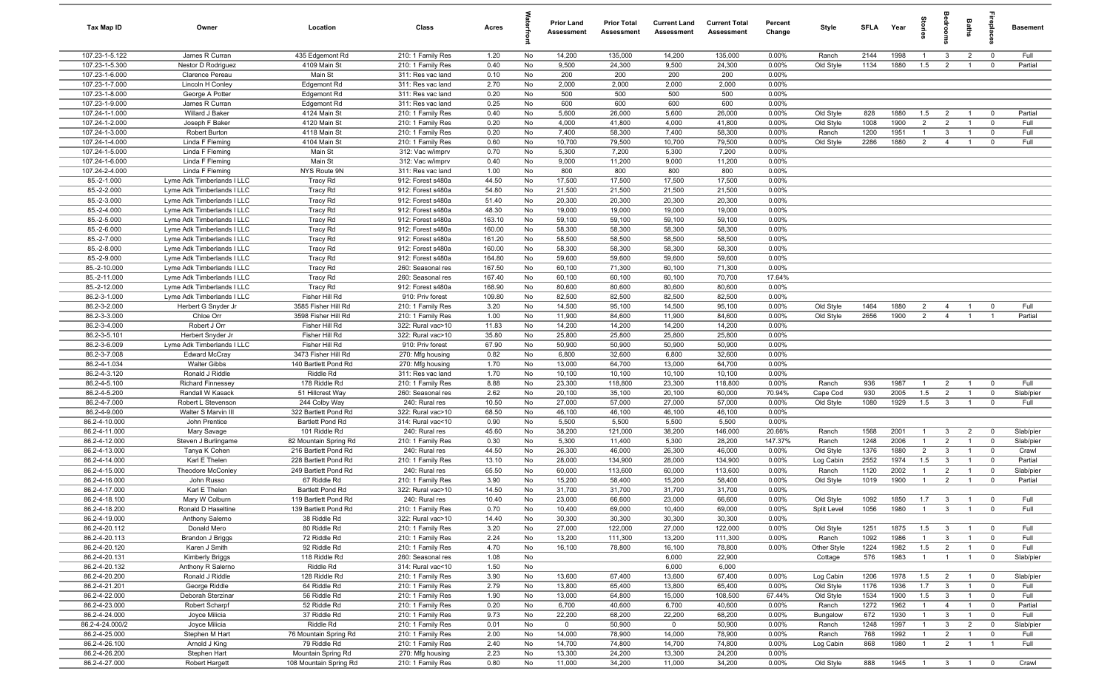| Tax Map ID                       | Owner                                                    | Location                             | Class                                  | Acres            |          | <b>Prior Land</b><br>Assessment | <b>Prior Total</b><br>Assessment | <b>Current Land</b><br>Assessment | <b>Current Total</b><br><b>Assessment</b> | Percent<br>Change | Style                  | <b>SFLA</b> | Year | tories                | eroo                                               | Baths                            | ireplac                 | <b>Basement</b> |
|----------------------------------|----------------------------------------------------------|--------------------------------------|----------------------------------------|------------------|----------|---------------------------------|----------------------------------|-----------------------------------|-------------------------------------------|-------------------|------------------------|-------------|------|-----------------------|----------------------------------------------------|----------------------------------|-------------------------|-----------------|
| 107.23-1-5.122                   | James R Curran                                           | 435 Edgemont Rd                      | 210: 1 Family Res                      | 1.20             | No       | 14,200                          | 135,000                          | 14,200                            | 135,000                                   | 0.00%             | Ranch                  | 2144        | 1998 | $\overline{1}$        | $\mathbf{3}$                                       | $\overline{2}$                   | $\overline{0}$          | Full            |
| 107.23-1-5.300                   | Nestor D Rodriguez                                       | 4109 Main St                         | 210: 1 Family Res                      | 0.40             | No       | 9,500                           | 24,300                           | 9,500                             | 24,300                                    | 0.00%             | Old Style              | 1134        | 1880 | 1.5                   | 2                                                  | $\overline{1}$                   | $\mathbf 0$             | Partial         |
| 107.23-1-6.000                   | Clarence Pereau                                          | Main St                              | 311: Res vac land                      | 0.10             | No       | 200                             | 200                              | 200                               | 200                                       | 0.00%             |                        |             |      |                       |                                                    |                                  |                         |                 |
| 107.23-1-7.000                   | Lincoln H Conley                                         | Edgemont Rd                          | 311: Res vac land                      | 2.70             | No       | 2,000                           | 2,000                            | 2,000                             | 2,000                                     | 0.00%             |                        |             |      |                       |                                                    |                                  |                         |                 |
| 107.23-1-8.000                   | George A Potter                                          | Edgemont Rd                          | 311: Res vac land                      | 0.20             | No       | 500                             | 500                              | 500                               | 500                                       | 0.00%             |                        |             |      |                       |                                                    |                                  |                         |                 |
| 107.23-1-9.000<br>107.24-1-1.000 | James R Curran<br>Willard J Baker                        | Edgemont Rd<br>4124 Main St          | 311: Res vac land                      | 0.25<br>0.40     | No       | 600<br>5,600                    | 600<br>26,000                    | 600<br>5,600                      | 600<br>26,000                             | 0.00%<br>0.00%    |                        | 828         | 1880 | 1.5                   |                                                    | $\overline{1}$                   | $\mathbf 0$             | Partial         |
| 107.24-1-2.000                   | Joseph F Baker                                           | 4120 Main St                         | 210: 1 Family Res<br>210: 1 Family Res | 0.20             | No<br>No | 4,000                           | 41,800                           | 4,000                             | 41,800                                    | 0.00%             | Old Style<br>Old Style | 1008        | 1900 | $\overline{2}$        | $\overline{2}$<br>$\overline{2}$                   | $\overline{1}$                   | $\mathbf 0$             | Full            |
| 107.24-1-3.000                   | Robert Burton                                            | 4118 Main St                         | 210: 1 Family Res                      | 0.20             | No       | 7,400                           | 58,300                           | 7,400                             | 58,300                                    | 0.00%             | Ranch                  | 1200        | 1951 | $\overline{1}$        | $\mathbf{3}$                                       | $\overline{1}$                   | $\mathbf 0$             | Full            |
| 107.24-1-4.000                   | Linda F Fleming                                          | 4104 Main St                         | 210: 1 Family Res                      | 0.60             | No       | 10,700                          | 79,500                           | 10,700                            | 79,500                                    | 0.00%             | Old Style              | 2286        | 1880 | $\overline{2}$        | $\overline{4}$                                     | $\overline{1}$                   | $\mathbf{0}$            | Full            |
| 107.24-1-5.000                   | Linda F Fleming                                          | Main St                              | 312: Vac w/imprv                       | 0.70             | No       | 5,300                           | 7,200                            | 5,300                             | 7,200                                     | 0.00%             |                        |             |      |                       |                                                    |                                  |                         |                 |
| 107.24-1-6.000                   | Linda F Fleming                                          | Main St                              | 312: Vac w/imprv                       | 0.40             | No       | 9,000                           | 11,200                           | 9,000                             | 11,200                                    | 0.00%             |                        |             |      |                       |                                                    |                                  |                         |                 |
| 107.24-2-4.000                   | Linda F Fleming                                          | NYS Route 9N                         | 311: Res vac land                      | 1.00             | No       | 800                             | 800                              | 800                               | 800                                       | 0.00%             |                        |             |      |                       |                                                    |                                  |                         |                 |
| 85.-2-1.000                      | Lyme Adk Timberlands I LLC                               | <b>Tracy Rd</b>                      | 912: Forest s480a                      | 44.50            | No       | 17,500                          | 17,500                           | 17,500                            | 17,500                                    | 0.00%             |                        |             |      |                       |                                                    |                                  |                         |                 |
| 85.-2-2.000                      | Lyme Adk Timberlands I LLC                               | <b>Tracy Rd</b>                      | 912: Forest s480a                      | 54.80            | No       | 21,500                          | 21,500                           | 21,500                            | 21,500                                    | 0.00%             |                        |             |      |                       |                                                    |                                  |                         |                 |
| 85.-2-3.000                      | Lyme Adk Timberlands I LLC                               | <b>Tracy Rd</b>                      | 912: Forest s480a                      | 51.40            | No       | 20,300                          | 20,300                           | 20,300                            | 20,300                                    | 0.00%             |                        |             |      |                       |                                                    |                                  |                         |                 |
| 85.-2-4.000                      | Lyme Adk Timberlands I LLC                               | <b>Tracy Rd</b>                      | 912: Forest s480a                      | 48.30            | No       | 19,000                          | 19,000                           | 19,000                            | 19,000                                    | 0.00%             |                        |             |      |                       |                                                    |                                  |                         |                 |
| 85.-2-5.000                      | Lyme Adk Timberlands I LLC                               | <b>Tracy Rd</b>                      | 912: Forest s480a                      | 163.10           | No       | 59,100                          | 59,100                           | 59,100                            | 59,100                                    | 0.00%             |                        |             |      |                       |                                                    |                                  |                         |                 |
| 85.-2-6.000                      | Lyme Adk Timberlands I LLC                               | <b>Tracy Rd</b>                      | 912: Forest s480a                      | 160.00           | No       | 58,300                          | 58,300                           | 58,300                            | 58,300                                    | 0.00%<br>0.00%    |                        |             |      |                       |                                                    |                                  |                         |                 |
| 85.-2-7.000<br>85.-2-8.000       | Lyme Adk Timberlands I LLC<br>Lyme Adk Timberlands I LLC | <b>Tracy Rd</b>                      | 912: Forest s480a<br>912: Forest s480a | 161.20<br>160.00 | No<br>No | 58,500<br>58,300                | 58,500<br>58,300                 | 58,500<br>58,300                  | 58,500<br>58,300                          | 0.00%             |                        |             |      |                       |                                                    |                                  |                         |                 |
| 85.-2-9.000                      | Lyme Adk Timberlands I LLC                               | <b>Tracy Rd</b><br>Tracy Rd          | 912: Forest s480a                      | 164.80           | No       | 59,600                          | 59,600                           | 59,600                            | 59,600                                    | 0.00%             |                        |             |      |                       |                                                    |                                  |                         |                 |
| 85.-2-10.000                     | Lyme Adk Timberlands I LLC                               | <b>Tracy Rd</b>                      | 260: Seasonal res                      | 167.50           | No       | 60,100                          | 71,300                           | 60,100                            | 71,300                                    | 0.00%             |                        |             |      |                       |                                                    |                                  |                         |                 |
| 85.-2-11.000                     | Lyme Adk Timberlands I LLC                               | <b>Tracy Rd</b>                      | 260: Seasonal res                      | 167.40           | No       | 60,100                          | 60,100                           | 60,100                            | 70,700                                    | 17.64%            |                        |             |      |                       |                                                    |                                  |                         |                 |
| 85.-2-12.000                     | Lyme Adk Timberlands I LLC                               | <b>Tracy Rd</b>                      | 912: Forest s480a                      | 168.90           | No       | 80,600                          | 80,600                           | 80,600                            | 80,600                                    | 0.00%             |                        |             |      |                       |                                                    |                                  |                         |                 |
| 86.2-3-1.000                     | Lyme Adk Timberlands I LLC                               | Fisher Hill Rd                       | 910: Priv forest                       | 109.80           | No       | 82,500                          | 82,500                           | 82,500                            | 82,500                                    | 0.00%             |                        |             |      |                       |                                                    |                                  |                         |                 |
| 86.2-3-2.000                     | Herbert G Snyder Jr                                      | 3585 Fisher Hill Rd                  | 210: 1 Family Res                      | 3.20             | No       | 14,500                          | 95,100                           | 14,500                            | 95,100                                    | 0.00%             | Old Style              | 1464        | 1880 | $\overline{2}$        | $\overline{4}$                                     | $\overline{1}$                   | $\mathbf 0$             | Full            |
| 86.2-3-3.000                     | Chloe Orr                                                | 3598 Fisher Hill Rd                  | 210: 1 Family Res                      | 1.00             | No       | 11,900                          | 84,600                           | 11,900                            | 84,600                                    | 0.00%             | Old Style              | 2656        | 1900 | $\overline{2}$        | $\overline{4}$                                     | $\overline{1}$                   | $\overline{1}$          | Partial         |
| 86.2-3-4.000                     | Robert J Orr                                             | Fisher Hill Rd                       | 322: Rural vac>10                      | 11.83            | No       | 14,200                          | 14,200                           | 14,200                            | 14,200                                    | 0.00%             |                        |             |      |                       |                                                    |                                  |                         |                 |
| 86.2-3-5.101                     | Herbert Snyder Jr                                        | Fisher Hill Rd                       | 322: Rural vac>10                      | 35.80            | No       | 25,800                          | 25,800                           | 25,800                            | 25,800                                    | 0.00%             |                        |             |      |                       |                                                    |                                  |                         |                 |
| 86.2-3-6.009                     | Lyme Adk Timberlands I LLC                               | Fisher Hill Rd                       | 910: Priv forest                       | 67.90            | No       | 50,900                          | 50,900                           | 50,900                            | 50,900                                    | 0.00%             |                        |             |      |                       |                                                    |                                  |                         |                 |
| 86.2-3-7.008                     | <b>Edward McCray</b>                                     | 3473 Fisher Hill Rd                  | 270: Mfg housing                       | 0.82             | No       | 6,800                           | 32,600                           | 6,800                             | 32,600                                    | 0.00%             |                        |             |      |                       |                                                    |                                  |                         |                 |
| 86.2-4-1.034<br>86.2-4-3.120     | <b>Walter Gibbs</b>                                      | 140 Bartlett Pond Rd                 | 270: Mfg housing                       | 1.70             | No       | 13,000                          | 64,700                           | 13,000                            | 64,700                                    | 0.00%             |                        |             |      |                       |                                                    |                                  |                         |                 |
| 86.2-4-5.100                     | Ronald J Riddle<br><b>Richard Finnessey</b>              | Riddle Rd<br>178 Riddle Rd           | 311: Res vac land<br>210: 1 Family Res | 1.70<br>8.88     | No<br>No | 10,100<br>23,300                | 10,100<br>118,800                | 10,100<br>23,300                  | 10,100<br>118,800                         | 0.00%<br>0.00%    | Ranch                  | 936         | 1987 | $\overline{1}$        | $\overline{2}$                                     | $\overline{1}$                   | $\overline{0}$          | Full            |
| 86.2-4-5.200                     | Randall W Kasack                                         | 51 Hillcrest Way                     | 260: Seasonal res                      | 2.62             | No       | 20,100                          | 35,100                           | 20,100                            | 60,000                                    | 70.94%            | Cape Cod               | 930         | 2005 | 1.5                   | $\overline{2}$                                     | $\overline{1}$                   | $\mathbf 0$             | Slab/pier       |
| 86.2-4-7.000                     | Robert L Stevenson                                       | 244 Colby Way                        | 240: Rural res                         | 10.50            | No       | 27,000                          | 57,000                           | 27,000                            | 57,000                                    | 0.00%             | Old Style              | 1080        | 1929 | 1.5                   | $\mathbf{3}$                                       | $\overline{1}$                   | $\mathbf 0$             | Full            |
| 86.2-4-9.000                     | Walter S Marvin III                                      | 322 Bartlett Pond Rd                 | 322: Rural vac>10                      | 68.50            | No       | 46,100                          | 46,100                           | 46,100                            | 46,100                                    | 0.00%             |                        |             |      |                       |                                                    |                                  |                         |                 |
| 86.2-4-10.000                    | John Prentice                                            | Bartlett Pond Rd                     | 314: Rural vac<10                      | 0.90             | No       | 5,500                           | 5,500                            | 5,500                             | 5,500                                     | 0.00%             |                        |             |      |                       |                                                    |                                  |                         |                 |
| 86.2-4-11.000                    | Mary Savage                                              | 101 Riddle Rd                        | 240: Rural res                         | 45.60            | No       | 38,200                          | 121,000                          | 38,200                            | 146,000                                   | 20.66%            | Ranch                  | 1568        | 2001 | $\overline{1}$        | $\mathbf{3}$                                       | $\overline{2}$                   | $\overline{0}$          | Slab/pier       |
| 86.2-4-12.000                    | Steven J Burlingame                                      | 82 Mountain Spring Rd                | 210: 1 Family Res                      | 0.30             | No       | 5,300                           | 11,400                           | 5,300                             | 28,200                                    | 147.37%           | Ranch                  | 1248        | 2006 | $\overline{1}$        | $\overline{2}$                                     | $\overline{1}$                   | $\mathbf 0$             | Slab/pier       |
| 86.2-4-13.000                    | Tanya K Cohen                                            | 216 Bartlett Pond Rd                 | 240: Rural res                         | 44.50            | No       | 26,300                          | 46,000                           | 26,300                            | 46,000                                    | 0.00%             | Old Style              | 1376        | 1880 | $\overline{2}$        | $\overline{3}$                                     | $\overline{1}$                   | $\overline{\mathbf{0}}$ | Crawl           |
| 86.2-4-14.000                    | Karl E Thelen                                            | 228 Bartlett Pond Rd                 | 210: 1 Family Res                      | 13.10            | No       | 28,000                          | 134,900                          | 28,000                            | 134,900                                   | 0.00%             | Log Cabin              | 2552        | 1974 | 1.5                   | $\mathbf{3}$                                       | $\overline{1}$                   | $\mathbf 0$             | Partial         |
| 86.2-4-15.000                    | <b>Theodore McConley</b>                                 | 249 Bartlett Pond Rd                 | 240: Rural res                         | 65.50            | No       | 60,000                          | 113,600                          | 60,000                            | 113,600                                   | 0.00%             | Ranch                  | 1120        | 2002 | $\overline{1}$        | $\overline{2}$                                     | $\overline{1}$                   | $\mathbf 0$             | Slab/pier       |
| 86.2-4-16.000                    | John Russo                                               | 67 Riddle Rd                         | 210: 1 Family Res                      | 3.90             | No       | 15,200                          | 58,400                           | 15,200                            | 58,400                                    | 0.00%             | Old Style              | 1019        | 1900 | $\overline{1}$        | $\overline{2}$                                     | $\overline{1}$                   | $\mathbf 0$             | Partial         |
| 86.2-4-17.000                    | Karl E Thelen                                            | Bartlett Pond Rd                     | 322: Rural vac>10                      | 14.50            | No       | 31,700                          | 31,700                           | 31,700                            | 31,700                                    | 0.00%             |                        |             |      |                       |                                                    |                                  |                         |                 |
| 86.2-4-18.100                    | Mary W Colburn                                           | 119 Bartlett Pond Rd                 | 240: Rural res                         | 10.40<br>0.70    | No<br>No | 23,000                          | 66,600                           | 23,000                            | 66,600<br>69,000                          | $0.00\%$<br>0.00% | Old Style              | 1092        | 1850 | 1.7<br>$\overline{1}$ | $\overline{\mathbf{3}}$<br>$\overline{\mathbf{3}}$ | $\overline{1}$<br>$\overline{1}$ | $\overline{0}$          | Full<br>Full    |
| 86.2-4-18.200<br>86.2-4-19.000   | Ronald D Haseltine<br>Anthony Salerno                    | 139 Bartlett Pond Rd<br>38 Riddle Rd | 210: 1 Family Res<br>322: Rural vac>10 | 14.40            | No       | 10,400<br>30,300                | 69,000<br>30,300                 | 10,400<br>30,300                  | 30,300                                    | 0.00%             | Split Level            | 1056        | 1980 |                       |                                                    |                                  |                         |                 |
| 86.2-4-20.112                    | Donald Mero                                              | 80 Riddle Rd                         | 210: 1 Family Res                      | 3.20             | No       | 27,000                          | 122,000                          | 27,000                            | 122,000                                   | 0.00%             | Old Style              | 1251        | 1875 | 1.5                   | $\overline{\mathbf{3}}$                            | $\overline{1}$                   | $\mathbf 0$             | Full            |
| 86.2-4-20.113                    | <b>Brandon J Briggs</b>                                  | 72 Riddle Rd                         | 210: 1 Family Res                      | 2.24             | No       | 13,200                          | 111,300                          | 13,200                            | 111,300                                   | 0.00%             | Ranch                  | 1092        | 1986 | $\overline{1}$        | $\mathbf{3}$                                       | $\overline{1}$                   | $\mathbf 0$             | Full            |
| 86.2-4-20.120                    | Karen J Smith                                            | 92 Riddle Rd                         | 210: 1 Family Res                      | 4.70             | No       | 16,100                          | 78,800                           | 16,100                            | 78,800                                    | 0.00%             | Other Style            | 1224        | 1982 | 1.5                   | $\overline{2}$                                     | $\overline{1}$                   | $\mathbf 0$             | Full            |
| 86.2-4-20.131                    | <b>Kimberly Briggs</b>                                   | 118 Riddle Rd                        | 260: Seasonal res                      | 1.08             | No       |                                 |                                  | 6,000                             | 22,900                                    |                   | Cottage                | 576         | 1983 | $\overline{1}$        | $\overline{1}$                                     | $\overline{1}$                   | $\mathbf 0$             | Slab/pier       |
| 86.2-4-20.132                    | Anthony R Salerno                                        | Riddle Rd                            | 314: Rural vac<10                      | 1.50             | No       |                                 |                                  | 6,000                             | 6,000                                     |                   |                        |             |      |                       |                                                    |                                  |                         |                 |
| 86.2-4-20.200                    | Ronald J Riddle                                          | 128 Riddle Rd                        | 210: 1 Family Res                      | 3.90             | No       | 13,600                          | 67,400                           | 13,600                            | 67,400                                    | 0.00%             | Log Cabin              | 1206        | 1978 | 1.5                   | $\overline{2}$                                     | $\overline{1}$                   | $\overline{0}$          | Slab/pier       |
| 86.2-4-21.201                    | George Riddle                                            | 64 Riddle Rd                         | 210: 1 Family Res                      | 2.79             | No       | 13,800                          | 65,400                           | 13,800                            | 65,400                                    | 0.00%             | Old Style              | 1176        | 1936 | 1.7                   | $\mathbf{3}$                                       | $\overline{1}$                   | $\mathbf 0$             | Full            |
| 86.2-4-22.000                    | Deborah Sterzinar                                        | 56 Riddle Rd                         | 210: 1 Family Res                      | 1.90             | No       | 13,000                          | 64,800                           | 15,000                            | 108,500                                   | 67.44%            | Old Style              | 1534        | 1900 | 1.5                   | $\mathbf{3}$                                       | $\overline{1}$                   | $\mathbf 0$             | Full            |
| 86.2-4-23.000                    | Robert Scharpf                                           | 52 Riddle Rd                         | 210: 1 Family Res                      | 0.20             | No       | 6,700                           | 40,600                           | 6,700                             | 40,600                                    | 0.00%             | Ranch                  | 1272        | 1962 | $\mathbf{1}$          | $\overline{4}$                                     | $\overline{1}$                   | $\mathbf 0$             | Partial         |
| 86.2-4-24.000                    | Joyce Milicia                                            | 37 Riddle Rd                         | 210: 1 Family Res                      | 9.73             | No       | 22,200                          | 68,200                           | 22,200                            | 68,200                                    | 0.00%             | Bungalow               | 672         | 1930 | $\mathbf{1}$          | $\mathbf{3}$                                       | $\overline{1}$                   | $\overline{\mathbf{0}}$ | Full            |
| 86.2-4-24.000/2                  | Joyce Milicia                                            | Riddle Rd                            | 210: 1 Family Res                      | 0.01             | No       | $\mathbf 0$                     | 50,900                           | $\mathbf 0$                       | 50,900                                    | 0.00%             | Ranch                  | 1248        | 1997 | $\overline{1}$        | $\mathbf{3}$                                       | $\overline{2}$                   | $\mathbf 0$             | Slab/pier       |
| 86.2-4-25.000                    | Stephen M Hart                                           | 76 Mountain Spring Rd                | 210: 1 Family Res                      | 2.00             | No       | 14,000                          | 78,900                           | 14,000                            | 78,900                                    | 0.00%             | Ranch                  | 768         | 1992 | $\overline{1}$        | $\overline{2}$                                     | $\overline{1}$                   | $\overline{0}$          | Full            |
| 86.2-4-26.100<br>86.2-4-26.200   | Arnold J King<br>Stephen Hart                            | 79 Riddle Rd<br>Mountain Spring Rd   | 210: 1 Family Res<br>270: Mfg housing  | 2.40<br>2.23     | No<br>No | 14,700<br>13,300                | 74,800<br>24,200                 | 14,700<br>13,300                  | 74,800<br>24,200                          | 0.00%<br>0.00%    | Log Cabin              | 868         | 1980 | $\overline{1}$        | $\overline{2}$                                     | $\overline{1}$                   | $\overline{1}$          | Full            |
| 86.2-4-27.000                    | Robert Hargett                                           | 108 Mountain Spring Rd               | 210: 1 Family Res                      | 0.80             | No       | 11,000                          | 34,200                           | 11,000                            | 34,200                                    | 0.00%             | Old Style              | 888         | 1945 | $\overline{1}$        | $\overline{\mathbf{3}}$                            | $\overline{1}$                   | $\overline{\mathbf{0}}$ | Crawl           |
|                                  |                                                          |                                      |                                        |                  |          |                                 |                                  |                                   |                                           |                   |                        |             |      |                       |                                                    |                                  |                         |                 |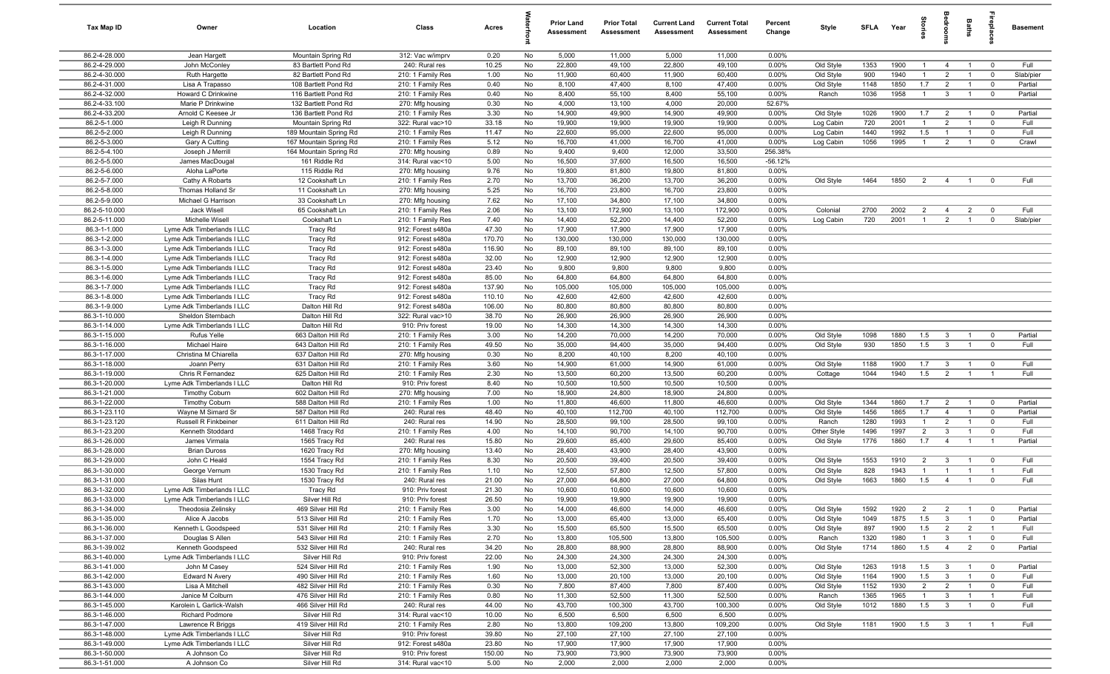| Tax Map ID                     | Owner                                           | Location                                         | Class                                  | Acres           |          | <b>Prior Land</b><br>Assessment | <b>Prior Total</b><br>Assessment | <b>Current Land</b><br>Assessment | <b>Current Total</b><br><b>Assessment</b> | Percent<br>Change | Style                  | <b>SFLA</b>  | Year         | tories                | <b>B</b>                         | Baths                            |                               | <b>Basement</b> |
|--------------------------------|-------------------------------------------------|--------------------------------------------------|----------------------------------------|-----------------|----------|---------------------------------|----------------------------------|-----------------------------------|-------------------------------------------|-------------------|------------------------|--------------|--------------|-----------------------|----------------------------------|----------------------------------|-------------------------------|-----------------|
| 86.2-4-28.000                  | Jean Hargett                                    | Mountain Spring Rd                               | 312: Vac w/imprv                       | 0.20            | No       | 5,000                           | 11,000                           | 5,000                             | 11,000                                    | 0.00%             |                        |              |              |                       |                                  |                                  |                               |                 |
| 86.2-4-29.000                  | John McConley                                   | 83 Bartlett Pond Rd                              | 240: Rural res                         | 10.25           | No       | 22,800                          | 49,100                           | 22,800                            | 49,100                                    | 0.00%             | Old Style              | 1353         | 1900         | $\overline{1}$        | $\overline{4}$                   | $\overline{1}$                   | $\mathbf 0$                   | Full            |
| 86.2-4-30.000                  | Ruth Hargette                                   | 82 Bartlett Pond Rd                              | 210: 1 Family Res                      | 1.00            | No       | 11,900                          | 60,400                           | 11,900                            | 60,400                                    | 0.00%             | Old Style              | 900          | 1940         | -1                    | $\overline{2}$                   | $\overline{1}$                   | $\mathbf 0$                   | Slab/pier       |
| 86.2-4-31.000                  | Lisa A Trapasso                                 | 108 Bartlett Pond Rd                             | 210: 1 Family Res                      | 0.40            | No       | 8,100                           | 47,400                           | 8,100                             | 47,400                                    | 0.00%             | Old Style              | 1148         | 1850         | 1.7                   | $\overline{2}$                   | $\overline{1}$                   | $\mathbf 0$                   | Partial         |
| 86.2-4-32.000                  | Howard C Drinkwine                              | 116 Bartlett Pond Rd                             | 210: 1 Family Res                      | 0.40            | No       | 8,400                           | 55,100                           | 8,400                             | 55,100                                    | 0.00%             | Ranch                  | 1036         | 1958         | $\overline{1}$        | $\mathbf{3}$                     | $\overline{1}$                   | $\mathbf 0$                   | Partial         |
| 86.2-4-33.100                  | Marie P Drinkwine                               | 132 Bartlett Pond Rd                             | 270: Mfg housing                       | 0.30            | No       | 4,000                           | 13,100                           | 4,000                             | 20,000                                    | 52.67%            |                        |              |              |                       |                                  |                                  |                               |                 |
| 86.2-4-33.200                  | Arnold C Keesee Jr                              | 136 Bartlett Pond Rd                             | 210: 1 Family Res                      | 3.30            | No       | 14,900                          | 49,900                           | 14,900                            | 49,900                                    | 0.00%             | Old Style              | 1026         | 1900         | 1.7                   | $\overline{2}$                   | $\overline{1}$                   | $\overline{\mathbf{0}}$       | Partial         |
| 86.2-5-1.000                   | Leigh R Dunning<br>Leigh R Dunning              | Mountain Spring Rd                               | 322: Rural vac>10                      | 33.18           | No       | 19,900                          | 19,900                           | 19,900                            | 19,900                                    | 0.00%             | Log Cabin              | 720          | 2001<br>1992 | $\overline{1}$        | $\overline{2}$<br>$\overline{1}$ | $\overline{1}$                   | $\mathbf 0$                   | Full            |
| 86.2-5-2.000<br>86.2-5-3.000   | Gary A Cutting                                  | 189 Mountain Spring Rd<br>167 Mountain Spring Rd | 210: 1 Family Res<br>210: 1 Family Res | 11.47<br>5.12   | No<br>No | 22,600<br>16,700                | 95,000<br>41,000                 | 22,600<br>16,700                  | 95,000<br>41,000                          | 0.00%<br>0.00%    | Log Cabin<br>Log Cabin | 1440<br>1056 | 1995         | 1.5<br>$\overline{1}$ | $\overline{2}$                   | $\overline{1}$<br>$\overline{1}$ | $\mathbf 0$<br>$\mathbf 0$    | Full<br>Crawl   |
| 86.2-5-4.100                   | Joseph J Merrill                                | 164 Mountain Spring Rd                           | 270: Mfg housing                       | 0.89            | No       | 9,400                           | 9,400                            | 12,000                            | 33,500                                    | 256.38%           |                        |              |              |                       |                                  |                                  |                               |                 |
| 86.2-5-5.000                   | James MacDougal                                 | 161 Riddle Rd                                    | 314: Rural vac<10                      | 5.00            | No       | 16,500                          | 37,600                           | 16,500                            | 16,500                                    | $-56.12%$         |                        |              |              |                       |                                  |                                  |                               |                 |
| 86.2-5-6.000                   | Aloha LaPorte                                   | 115 Riddle Rd                                    | 270: Mfg housing                       | 9.76            | No       | 19,800                          | 81,800                           | 19,800                            | 81,800                                    | 0.00%             |                        |              |              |                       |                                  |                                  |                               |                 |
| 86.2-5-7.000                   | Cathy A Robarts                                 | 12 Cookshaft Ln                                  | 210: 1 Family Res                      | 2.70            | No       | 13,700                          | 36,200                           | 13,700                            | 36,200                                    | 0.00%             | Old Style              | 1464         | 1850         | $\overline{2}$        | $\overline{4}$                   | $\overline{1}$                   | $\mathbf 0$                   | Full            |
| 86.2-5-8.000                   | Thomas Holland Sr                               | 11 Cookshaft Ln                                  | 270: Mfg housing                       | 5.25            | No       | 16,700                          | 23,800                           | 16,700                            | 23,800                                    | 0.00%             |                        |              |              |                       |                                  |                                  |                               |                 |
| 86.2-5-9.000                   | Michael G Harrison                              | 33 Cookshaft Ln                                  | 270: Mfg housing                       | 7.62            | No       | 17,100                          | 34,800                           | 17,100                            | 34,800                                    | 0.00%             |                        |              |              |                       |                                  |                                  |                               |                 |
| 86.2-5-10.000                  | Jack Wisell                                     | 65 Cookshaft Ln                                  | 210: 1 Family Res                      | 2.06            | No       | 13,100                          | 172,900                          | 13,100                            | 172,900                                   | 0.00%             | Colonial               | 2700         | 2002         | $\overline{2}$        | $\overline{4}$                   | $\overline{2}$                   | $\mathbf 0$                   | Full            |
| 86.2-5-11.000                  | Michelle Wisell                                 | Cookshaft Ln                                     | 210: 1 Family Res                      | 7.40            | No       | 14,400                          | 52,200                           | 14,400                            | 52,200                                    | 0.00%             | Log Cabin              | 720          | 2001         | $\overline{1}$        | $\overline{2}$                   | $\overline{1}$                   | $\mathbf 0$                   | Slab/pier       |
| 86.3-1-1.000                   | Lyme Adk Timberlands I LLC                      | Tracy Rd                                         | 912: Forest s480a                      | 47.30           | No       | 17,900                          | 17,900                           | 17,900                            | 17,900                                    | 0.00%             |                        |              |              |                       |                                  |                                  |                               |                 |
| 86.3-1-2.000                   | Lyme Adk Timberlands I LLC                      | Tracy Rd                                         | 912: Forest s480a                      | 170.70          | No       | 130,000                         | 130,000                          | 130,000                           | 130,000                                   | 0.00%             |                        |              |              |                       |                                  |                                  |                               |                 |
| 86.3-1-3.000                   | Lyme Adk Timberlands I LLC                      | Tracy Rd                                         | 912: Forest s480a                      | 116.90          | No       | 89,100                          | 89,100                           | 89,100                            | 89,100                                    | 0.00%             |                        |              |              |                       |                                  |                                  |                               |                 |
| 86.3-1-4.000                   | Lyme Adk Timberlands I LLC                      | Tracy Rd                                         | 912: Forest s480a                      | 32.00           | No       | 12,900                          | 12,900                           | 12,900                            | 12,900                                    | 0.00%             |                        |              |              |                       |                                  |                                  |                               |                 |
| 86.3-1-5.000                   | Lyme Adk Timberlands I LLC                      | Tracy Rd                                         | 912: Forest s480a                      | 23.40           | No       | 9,800                           | 9,800                            | 9,800                             | 9,800                                     | 0.00%             |                        |              |              |                       |                                  |                                  |                               |                 |
| 86.3-1-6.000                   | Lyme Adk Timberlands I LLC                      | Tracy Rd                                         | 912: Forest s480a                      | 85.00           | No       | 64,800                          | 64,800                           | 64,800                            | 64,800                                    | 0.00%             |                        |              |              |                       |                                  |                                  |                               |                 |
| 86.3-1-7.000                   | Lyme Adk Timberlands I LLC                      | Tracy Rd                                         | 912: Forest s480a                      | 137.90          | No       | 105,000                         | 105,000                          | 105,000                           | 105,000                                   | 0.00%             |                        |              |              |                       |                                  |                                  |                               |                 |
| 86.3-1-8.000                   | Lyme Adk Timberlands I LLC                      | Tracy Rd                                         | 912: Forest s480a                      | 110.10          | No       | 42,600                          | 42,600                           | 42,600                            | 42,600                                    | 0.00%             |                        |              |              |                       |                                  |                                  |                               |                 |
| 86.3-1-9.000<br>86.3-1-10.000  | Lyme Adk Timberlands I LLC<br>Sheldon Sternbach | Dalton Hill Rd<br>Dalton Hill Rd                 | 912: Forest s480a<br>322: Rural vac>10 | 106.00<br>38.70 | No<br>No | 80,800<br>26,900                | 80,800<br>26,900                 | 80,800<br>26,900                  | 80,800<br>26,900                          | 0.00%<br>0.00%    |                        |              |              |                       |                                  |                                  |                               |                 |
| 86.3-1-14.000                  | Lyme Adk Timberlands I LLC                      | Dalton Hill Rd                                   | 910: Priv forest                       | 19.00           | No       | 14,300                          | 14,300                           | 14,300                            | 14,300                                    | 0.00%             |                        |              |              |                       |                                  |                                  |                               |                 |
| 86.3-1-15.000                  | <b>Rufus Yelle</b>                              | 663 Dalton Hill Rd                               | 210: 1 Family Res                      | 3.00            | No       | 14,200                          | 70,000                           | 14,200                            | 70,000                                    | 0.00%             | Old Style              | 1098         | 1880         | 1.5                   | $\overline{\mathbf{3}}$          | $\overline{1}$                   | $\mathbf 0$                   | Partial         |
| 86.3-1-16.000                  | Michael Haire                                   | 643 Dalton Hill Rd                               | 210: 1 Family Res                      | 49.50           | No       | 35,000                          | 94,400                           | 35,000                            | 94,400                                    | 0.00%             | Old Style              | 930          | 1850         | 1.5                   | $\mathbf{3}$                     | $\overline{1}$                   | $\mathbf 0$                   | Full            |
| 86.3-1-17.000                  | Christina M Chiarella                           | 637 Dalton Hill Rd                               | 270: Mfg housing                       | 0.30            | No       | 8,200                           | 40,100                           | 8,200                             | 40,100                                    | 0.00%             |                        |              |              |                       |                                  |                                  |                               |                 |
| 86.3-1-18.000                  | Joann Perry                                     | 631 Dalton Hill Rd                               | 210: 1 Family Res                      | 3.60            | No       | 14,900                          | 61,000                           | 14,900                            | 61,000                                    | 0.00%             | Old Style              | 1188         | 1900         | 1.7                   | $\mathbf{3}$                     | $\overline{1}$                   | $\mathbf 0$                   | Full            |
| 86.3-1-19.000                  | Chris R Fernandez                               | 625 Dalton Hill Rd                               | 210: 1 Family Res                      | 2.30            | No       | 13,500                          | 60,200                           | 13,500                            | 60,200                                    | 0.00%             | Cottage                | 1044         | 1940         | 1.5                   | $\overline{2}$                   | $\overline{1}$                   | $\overline{1}$                | Full            |
| 86.3-1-20.000                  | Lyme Adk Timberlands I LLC                      | Dalton Hill Rd                                   | 910: Priv forest                       | 8.40            | No       | 10,500                          | 10,500                           | 10,500                            | 10,500                                    | 0.00%             |                        |              |              |                       |                                  |                                  |                               |                 |
| 86.3-1-21.000                  | <b>Timothy Coburn</b>                           | 602 Dalton Hill Rd                               | 270: Mfg housing                       | 7.00            | No       | 18,900                          | 24,800                           | 18,900                            | 24,800                                    | 0.00%             |                        |              |              |                       |                                  |                                  |                               |                 |
| 86.3-1-22.000                  | <b>Timothy Coburn</b>                           | 588 Dalton Hill Rd                               | 210: 1 Family Res                      | 1.00            | No       | 11,800                          | 46,600                           | 11,800                            | 46,600                                    | 0.00%             | Old Style              | 1344         | 1860         | 1.7                   | $\overline{2}$                   | $\overline{1}$                   | $\overline{0}$                | Partial         |
| 86.3-1-23.110                  | Wayne M Simard Sr                               | 587 Dalton Hill Rd                               | 240: Rural res                         | 48.40           | No       | 40,100                          | 112,700                          | 40,100                            | 112,700                                   | 0.00%             | Old Style              | 1456         | 1865         | 1.7                   | $\overline{4}$                   | $\overline{1}$                   | $\mathbf 0$                   | Partial         |
| 86.3-1-23.120                  | Russell R Finkbeiner                            | 611 Dalton Hill Rd                               | 240: Rural res                         | 14.90           | No       | 28,500                          | 99,100                           | 28,500                            | 99,100                                    | 0.00%             | Ranch                  | 1280         | 1993         | $\overline{1}$        | $\overline{2}$                   | $\overline{1}$                   | $\mathbf 0$                   | Full            |
| 86.3-1-23.200                  | Kenneth Stoddard                                | 1468 Tracy Rd                                    | 210: 1 Family Res                      | 4.00            | No       | 14,100                          | 90,700                           | 14,100                            | 90,700                                    | 0.00%             | Other Style            | 1496         | 1997         | $\overline{2}$        | $\overline{3}$                   | $\overline{1}$                   | $\mathbf 0$                   | Full            |
| 86.3-1-26.000                  | James Virmala                                   | 1565 Tracy Rd                                    | 240: Rural res                         | 15.80           | No       | 29,600                          | 85,400                           | 29,600                            | 85,400                                    | 0.00%             | Old Style              | 1776         | 1860         | 1.7                   | $\overline{4}$                   | $\overline{1}$                   | $\overline{1}$                | Partial         |
| 86.3-1-28.000<br>86.3-1-29.000 | <b>Brian Duross</b><br>John C Heald             | 1620 Tracy Rd<br>1554 Tracy Rd                   | 270: Mfg housing                       | 13.40<br>8.30   | No<br>No | 28,400<br>20,500                | 43,900<br>39,400                 | 28,400<br>20,500                  | 43,900<br>39,400                          | 0.00%<br>0.00%    |                        | 1553         | 1910         | $\overline{2}$        | $\overline{\mathbf{3}}$          | $\overline{1}$                   | $\mathbf 0$                   | Full            |
| 86.3-1-30.000                  | George Vernum                                   | 1530 Tracy Rd                                    | 210: 1 Family Res<br>210: 1 Family Res | 1.10            | No       | 12,500                          | 57,800                           | 12,500                            | 57,800                                    | 0.00%             | Old Style<br>Old Style | 828          | 1943         | $\overline{1}$        | $\overline{1}$                   | $\overline{1}$                   |                               | Full            |
| 86.3-1-31.000                  | Silas Hunt                                      | 1530 Tracy Rd                                    | 240: Rural res                         | 21.00           | No       | 27,000                          | 64,800                           | 27,000                            | 64,800                                    | 0.00%             | Old Style              | 1663         | 1860         | 1.5                   | $\overline{4}$                   | $\overline{1}$                   | $\mathbf{0}$                  | Full            |
| 86.3-1-32.000                  | Lyme Adk Timberlands I LLC                      | Tracy Rd                                         | 910: Priv forest                       | 21.30           | No       | 10,600                          | 10,600                           | 10,600                            | 10,600                                    | 0.00%             |                        |              |              |                       |                                  |                                  |                               |                 |
| 86.3-1-33.000                  | Lyme Adk Timberlands I LLC                      | Silver Hill Rd                                   | 910: Priv forest                       | 26.50           | No       | 19,900                          | 19,900                           | 19,900                            | 19,900                                    | 0.00%             |                        |              |              |                       |                                  |                                  |                               |                 |
| 86.3-1-34.000                  | Theodosia Zelinsky                              | 469 Silver Hill Rd                               | 210: 1 Family Res                      | 3.00            | No       | 14,000                          | 46,600                           | 14,000                            | 46,600                                    | 0.00%             | Old Style              | 1592         | 1920         | $\overline{2}$        | $\overline{2}$                   | $\overline{1}$                   | $\overline{\mathbf{0}}$       | Partial         |
| 86.3-1-35.000                  | Alice A Jacobs                                  | 513 Silver Hill Rd                               | 210: 1 Family Res                      | 1.70            | No       | 13,000                          | 65,400                           | 13,000                            | 65,400                                    | 0.00%             | Old Style              | 1049         | 1875         | 1.5                   | $\mathbf{3}$                     | $\overline{1}$                   | $\mathbf 0$                   | Partial         |
| 86.3-1-36.000                  | Kenneth L Goodspeed                             | 531 Silver Hill Rd                               | 210: 1 Family Res                      | 3.30            | No       | 15,500                          | 65,500                           | 15,500                            | 65,500                                    | 0.00%             | Old Style              | 897          | 1900         | 1.5                   | $\overline{2}$                   | $\overline{2}$                   | $\overline{1}$                | Full            |
| 86.3-1-37.000                  | Douglas S Allen                                 | 543 Silver Hill Rd                               | 210: 1 Family Res                      | 2.70            | No       | 13,800                          | 105,500                          | 13,800                            | 105,500                                   | 0.00%             | Ranch                  | 1320         | 1980         | $\mathbf{1}$          | $\mathbf{3}$                     | $\overline{1}$                   | $\overline{0}$                | Full            |
| 86.3-1-39.002                  | Kenneth Goodspeed                               | 532 Silver Hill Rd                               | 240: Rural res                         | 34.20           | No       | 28,800                          | 88,900                           | 28,800                            | 88,900                                    | 0.00%             | Old Style              | 1714         | 1860         | 1.5                   | $\overline{4}$                   | $\overline{2}$                   | $\mathbf 0$                   | Partial         |
| 86.3-1-40.000                  | Lyme Adk Timberlands I LLC                      | Silver Hill Rd                                   | 910: Priv forest                       | 22.00           | No       | 24,300                          | 24,300                           | 24,300                            | 24,300                                    | 0.00%             |                        |              |              |                       |                                  |                                  |                               |                 |
| 86.3-1-41.000                  | John M Casey                                    | 524 Silver Hill Rd                               | 210: 1 Family Res                      | 1.90            | No       | 13,000                          | 52,300                           | 13,000                            | 52,300                                    | 0.00%             | Old Style              | 1263         | 1918         | 1.5                   | $\mathbf{3}$                     | $\overline{1}$                   | $\overline{\mathbf{0}}$       | Partial         |
| 86.3-1-42.000                  | <b>Edward N Avery</b>                           | 490 Silver Hill Rd                               | 210: 1 Family Res                      | 1.60            | No       | 13,000                          | 20,100                           | 13,000                            | 20,100                                    | 0.00%             | Old Style              | 1164         | 1900         | 1.5                   | $\mathbf{3}$                     | $\overline{1}$                   | $\mathbf 0$                   | Full            |
| 86.3-1-43.000                  | Lisa A Mitchell                                 | 482 Silver Hill Rd                               | 210: 1 Family Res                      | 0.30            | No       | 7,800                           | 87,400<br>52,500                 | 7,800<br>11,300                   | 87,400                                    | 0.00%<br>0.00%    | Old Style              | 1152         | 1930         | $\overline{2}$        | $\overline{2}$                   | $\overline{1}$                   | $\mathbf 0$                   | Full            |
| 86.3-1-44.000<br>86.3-1-45.000 | Janice M Colburn<br>Karolein L Garlick-Walsh    | 476 Silver Hill Rd<br>466 Silver Hill Rd         | 210: 1 Family Res<br>240: Rural res    | 0.80<br>44.00   | No<br>No | 11,300<br>43,700                | 100,300                          | 43,700                            | 52,500<br>100,300                         | 0.00%             | Ranch<br>Old Style     | 1365<br>1012 | 1965<br>1880 | $\overline{1}$<br>1.5 | $\mathbf{3}$<br>$\overline{3}$   | $\overline{1}$<br>$\overline{1}$ | $\overline{1}$<br>$\mathbf 0$ | Full<br>Full    |
| 86.3-1-46.000                  | <b>Richard Podmore</b>                          | Silver Hill Rd                                   | 314: Rural vac<10                      | 10.00           | No       | 6,500                           | 6,500                            | 6,500                             | 6,500                                     | 0.00%             |                        |              |              |                       |                                  |                                  |                               |                 |
| 86.3-1-47.000                  | Lawrence R Briggs                               | 419 Silver Hill Rd                               | 210: 1 Family Res                      | 2.80            | No       | 13,800                          | 109,200                          | 13,800                            | 109,200                                   | 0.00%             | Old Style              | 1181         | 1900         | 1.5                   | $\overline{\mathbf{3}}$          | $\overline{1}$                   | $\overline{1}$                | Full            |
| 86.3-1-48.000                  | Lyme Adk Timberlands I LLC                      | Silver Hill Rd                                   | 910: Priv forest                       | 39.80           | No       | 27,100                          | 27,100                           | 27,100                            | 27,100                                    | 0.00%             |                        |              |              |                       |                                  |                                  |                               |                 |
| 86.3-1-49.000                  | Lyme Adk Timberlands I LLC                      | Silver Hill Rd                                   | 912: Forest s480a                      | 23.80           | No       | 17,900                          | 17,900                           | 17,900                            | 17,900                                    | $0.00\%$          |                        |              |              |                       |                                  |                                  |                               |                 |
| 86.3-1-50.000                  | A Johnson Co                                    | Silver Hill Rd                                   | 910: Priv forest                       | 150.00          | No       | 73,900                          | 73,900                           | 73,900                            | 73,900                                    | 0.00%             |                        |              |              |                       |                                  |                                  |                               |                 |
| 86.3-1-51.000                  | A Johnson Co                                    | Silver Hill Rd                                   | 314: Rural vac<10                      | 5.00            | No       | 2,000                           | 2,000                            | 2,000                             | 2,000                                     | $0.00\%$          |                        |              |              |                       |                                  |                                  |                               |                 |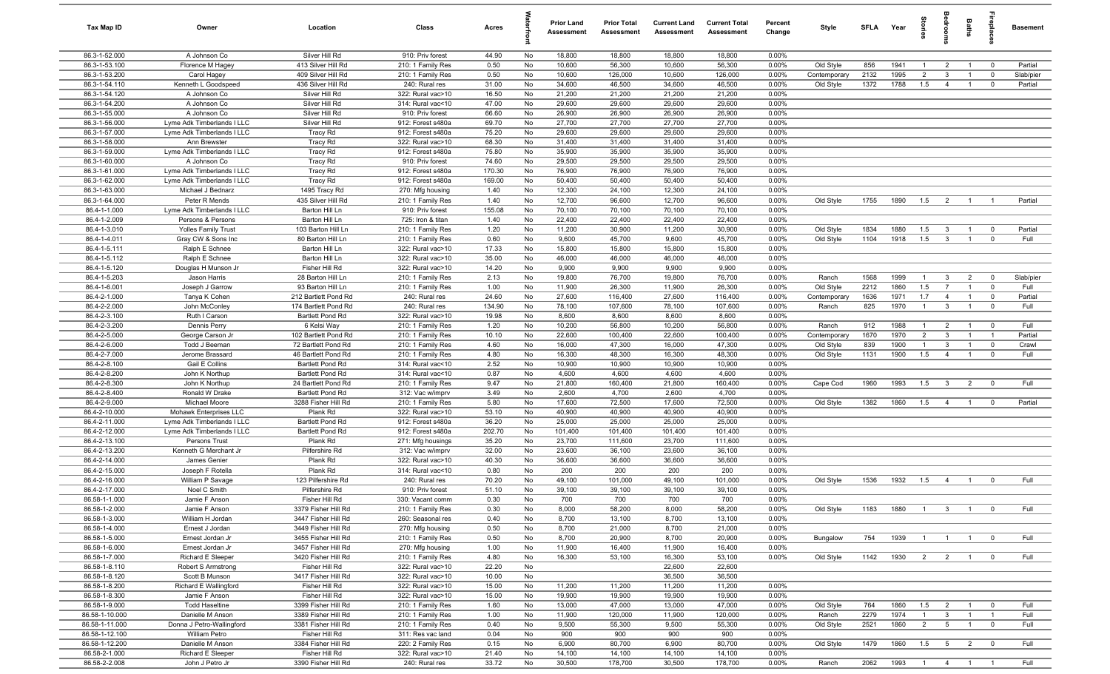| Tax Map ID                       | Owner                                         | Location                                    | Class                                  | Acres          |          | <b>Prior Land</b><br>Assessment | <b>Prior Total</b><br>Assessment | <b>Current Land</b><br><b>Assessment</b> | <b>Current Total</b><br>Assessment | Percent<br>Change | Style                     | SFLA Year    |              | tories                           | å                               | <b>Baths</b>                     | repla                         | <b>Basement</b>  |
|----------------------------------|-----------------------------------------------|---------------------------------------------|----------------------------------------|----------------|----------|---------------------------------|----------------------------------|------------------------------------------|------------------------------------|-------------------|---------------------------|--------------|--------------|----------------------------------|---------------------------------|----------------------------------|-------------------------------|------------------|
| 86.3-1-52.000                    | A Johnson Co                                  | Silver Hill Rd                              | 910: Priv forest                       | 44.90          | No       | 18,800                          | 18,800                           | 18,800                                   | 18,800                             | 0.00%             |                           |              |              |                                  |                                 |                                  |                               |                  |
| 86.3-1-53.100                    | Florence M Hagey                              | 413 Silver Hill Rd                          | 210: 1 Family Res                      | 0.50           | No       | 10,600                          | 56,300                           | 10,600                                   | 56,300                             | 0.00%             | Old Style                 | 856          | 1941         | $\overline{1}$                   | $\overline{2}$                  | $\overline{1}$                   | $\overline{0}$                | Partial          |
| 86.3-1-53.200                    | Carol Hagey                                   | 409 Silver Hill Rd                          | 210: 1 Family Res                      | 0.50           | No       | 10,600                          | 126,000                          | 10,600                                   | 126,000                            | 0.00%             | Contemporary              | 2132         | 1995         | $\overline{2}$                   | 3                               | $\overline{1}$                   | $\mathbf 0$                   | Slab/pier        |
| 86.3-1-54.110                    | Kenneth L Goodspeed                           | 436 Silver Hill Rd                          | 240: Rural res                         | 31.00          | No       | 34,600                          | 46,500                           | 34,600                                   | 46,500                             | 0.00%             | Old Style                 | 1372         | 1788         | 1.5                              | $\overline{4}$                  | $\mathbf{1}$                     | $\mathbf 0$                   | Partial          |
| 86.3-1-54.120                    | A Johnson Co                                  | Silver Hill Rd                              | 322: Rural vac>10                      | 16.50          | No       | 21,200                          | 21,200                           | 21,200                                   | 21,200                             | 0.00%             |                           |              |              |                                  |                                 |                                  |                               |                  |
| 86.3-1-54.200                    | A Johnson Co                                  | Silver Hill Rd                              | 314: Rural vac<10                      | 47.00          | No       | 29,600                          | 29,600                           | 29,600                                   | 29,600                             | 0.00%             |                           |              |              |                                  |                                 |                                  |                               |                  |
| 86.3-1-55.000                    | A Johnson Co                                  | Silver Hill Rd                              | 910: Priv forest                       | 66.60          | No       | 26,900                          | 26,900                           | 26,900                                   | 26,900                             | 0.00%             |                           |              |              |                                  |                                 |                                  |                               |                  |
| 86.3-1-56.000                    | Lyme Adk Timberlands I LLC                    | Silver Hill Rd                              | 912: Forest s480a                      | 69.70          | No       | 27,700                          | 27,700                           | 27,700                                   | 27,700                             | 0.00%             |                           |              |              |                                  |                                 |                                  |                               |                  |
| 86.3-1-57.000                    | Lyme Adk Timberlands I LLC                    | <b>Tracy Rd</b>                             | 912: Forest s480a                      | 75.20          | No       | 29,600                          | 29,600                           | 29,600                                   | 29,600                             | 0.00%             |                           |              |              |                                  |                                 |                                  |                               |                  |
| 86.3-1-58.000                    | Ann Brewster                                  | <b>Tracy Rd</b>                             | 322: Rural vac>10                      | 68.30          | No       | 31,400                          | 31,400                           | 31,400                                   | 31,400                             | 0.00%             |                           |              |              |                                  |                                 |                                  |                               |                  |
| 86.3-1-59.000<br>86.3-1-60.000   | Lyme Adk Timberlands I LLC                    | <b>Tracy Rd</b>                             | 912: Forest s480a<br>910: Priv forest  | 75.80<br>74.60 | No<br>No | 35,900<br>29,500                | 35,900                           | 35,900                                   | 35,900                             | 0.00%<br>0.00%    |                           |              |              |                                  |                                 |                                  |                               |                  |
| 86.3-1-61.000                    | A Johnson Co<br>Lyme Adk Timberlands I LLC    | Tracy Rd<br>Tracy Rd                        | 912: Forest s480a                      | 170.30         | No       | 76,900                          | 29,500<br>76,900                 | 29,500<br>76,900                         | 29,500<br>76,900                   | 0.00%             |                           |              |              |                                  |                                 |                                  |                               |                  |
| 86.3-1-62.000                    | Lyme Adk Timberlands I LLC                    | <b>Tracy Rd</b>                             | 912: Forest s480a                      | 169.00         | No       | 50,400                          | 50,400                           | 50,400                                   | 50,400                             | 0.00%             |                           |              |              |                                  |                                 |                                  |                               |                  |
| 86.3-1-63.000                    | Michael J Bednarz                             | 1495 Tracy Rd                               | 270: Mfg housing                       | 1.40           | No       | 12,300                          | 24,100                           | 12,300                                   | 24,100                             | 0.00%             |                           |              |              |                                  |                                 |                                  |                               |                  |
| 86.3-1-64.000                    | Peter R Mends                                 | 435 Silver Hill Rd                          | 210: 1 Family Res                      | 1.40           | No       | 12,700                          | 96,600                           | 12,700                                   | 96,600                             | 0.00%             | Old Style                 | 1755         | 1890         | 1.5                              | $\overline{2}$                  | $\overline{1}$                   | $\overline{1}$                | Partial          |
| 86.4-1-1.000                     | Lyme Adk Timberlands I LLC                    | Barton Hill Ln                              | 910: Priv forest                       | 155.08         | No       | 70,100                          | 70,100                           | 70,100                                   | 70,100                             | 0.00%             |                           |              |              |                                  |                                 |                                  |                               |                  |
| 86.4-1-2.009                     | Persons & Persons                             | Barton Hill Ln                              | 725: Iron & titan                      | 1.40           | No       | 22,400                          | 22,400                           | 22,400                                   | 22,400                             | 0.00%             |                           |              |              |                                  |                                 |                                  |                               |                  |
| 86.4-1-3.010                     | <b>Yolles Family Trust</b>                    | 103 Barton Hill Ln                          | 210: 1 Family Res                      | 1.20           | No       | 11,200                          | 30,900                           | 11,200                                   | 30,900                             | 0.00%             | Old Style                 | 1834         | 1880         | 1.5                              | $\mathbf{3}$                    |                                  | $\overline{0}$                | Partial          |
| 86.4-1-4.011                     | Gray CW & Sons Inc                            | 80 Barton Hill Ln                           | 210: 1 Family Res                      | 0.60           | No       | 9,600                           | 45,700                           | 9,600                                    | 45,700                             | 0.00%             | Old Style                 | 1104         | 1918         | 1.5                              | $\overline{\mathbf{3}}$         |                                  | $\mathbf 0$                   | Full             |
| 86.4-1-5.111                     | Ralph E Schnee                                | Barton Hill Ln                              | 322: Rural vac>10                      | 17.33          | No       | 15,800                          | 15,800                           | 15,800                                   | 15,800                             | 0.00%             |                           |              |              |                                  |                                 |                                  |                               |                  |
| 86.4-1-5.112                     | Ralph E Schnee                                | Barton Hill Ln                              | 322: Rural vac>10                      | 35.00          | No       | 46,000                          | 46,000                           | 46,000                                   | 46,000                             | 0.00%             |                           |              |              |                                  |                                 |                                  |                               |                  |
| 86.4-1-5.120                     | Douglas H Munson Jr                           | Fisher Hill Rd                              | 322: Rural vac>10                      | 14.20          | No       | 9,900                           | 9,900                            | 9,900                                    | 9,900                              | 0.00%             |                           |              |              |                                  |                                 |                                  |                               |                  |
| 86.4-1-5.203                     | Jason Harris                                  | 28 Barton Hill Ln                           | 210: 1 Family Res                      | 2.13           | No       | 19,800                          | 76,700                           | 19,800                                   | 76,700                             | 0.00%             | Ranch                     | 1568         | 1999         | $\overline{1}$                   | 3                               | $\overline{2}$                   | $\overline{0}$                | Slab/pier        |
| 86.4-1-6.001                     | Joseph J Garrow                               | 93 Barton Hill Ln                           | 210: 1 Family Res                      | 1.00           | No       | 11,900                          | 26,300                           | 11,900                                   | 26,300                             | 0.00%             | Old Style                 | 2212         | 1860         | 1.5                              | $\overline{7}$                  | $\mathbf{1}$                     | $\mathbf 0$                   | Full             |
| 86.4-2-1.000                     | Tanya K Cohen                                 | 212 Bartlett Pond Rd                        | 240: Rural res                         | 24.60          | No       | 27,600                          | 116,400                          | 27,600                                   | 116,400                            | 0.00%             | Contemporary              | 1636         | 1971         | 1.7                              | $\overline{4}$                  | $\overline{1}$                   | $\overline{0}$                | Partial          |
| 86.4-2-2.000                     | John McConley                                 | 174 Bartlett Pond Rd                        | 240: Rural res                         | 134.90         | No       | 78,100                          | 107,600                          | 78,100                                   | 107,600                            | 0.00%             | Ranch                     | 825          | 1970         | $\overline{1}$                   | $\mathbf{3}$                    | $\overline{1}$                   | $\overline{0}$                | Full             |
| 86.4-2-3.100                     | Ruth I Carson                                 | Bartlett Pond Rd                            | 322: Rural vac>10                      | 19.98          | No       | 8,600                           | 8,600                            | 8,600                                    | 8,600                              | 0.00%             |                           |              |              |                                  |                                 |                                  |                               |                  |
| 86.4-2-3.200<br>86.4-2-5.000     | Dennis Perry                                  | 6 Kelsi Way                                 | 210: 1 Family Res                      | 1.20           | No       | 10,200                          | 56,800                           | 10,200                                   | 56,800                             | 0.00%             | Ranch                     | 912<br>1670  | 1988         | $\overline{1}$<br>$\overline{2}$ | $\overline{2}$<br>3             | $\overline{1}$                   | $\mathbf 0$<br>$\overline{1}$ | Full             |
| 86.4-2-6.000                     | George Carson Jr<br>Todd J Beeman             | 102 Bartlett Pond Rd<br>72 Bartlett Pond Rd | 210: 1 Family Res<br>210: 1 Family Res | 10.10<br>4.60  | No<br>No | 22,600<br>16,000                | 100,400<br>47,300                | 22,600<br>16,000                         | 100,400<br>47,300                  | 0.00%<br>0.00%    | Contemporary<br>Old Style | 839          | 1970<br>1900 | $\mathbf{1}$                     | $\mathbf{3}$                    | $\overline{1}$                   | $\overline{0}$                | Partial<br>Crawl |
| 86.4-2-7.000                     | Jerome Brassard                               | 46 Bartlett Pond Rd                         | 210: 1 Family Res                      | 4.80           | No       | 16,300                          | 48,300                           | 16,300                                   | 48,300                             | 0.00%             | Old Style                 | 1131         | 1900         | 1.5                              | $\overline{4}$                  |                                  | $\mathbf 0$                   | Full             |
| 86.4-2-8.100                     | Gail E Collins                                | Bartlett Pond Rd                            | 314: Rural vac<10                      | 2.52           | No       | 10,900                          | 10,900                           | 10,900                                   | 10,900                             | 0.00%             |                           |              |              |                                  |                                 |                                  |                               |                  |
| 86.4-2-8.200                     | John K Northup                                | Bartlett Pond Rd                            | 314: Rural vac<10                      | 0.87           | No       | 4,600                           | 4,600                            | 4,600                                    | 4,600                              | 0.00%             |                           |              |              |                                  |                                 |                                  |                               |                  |
| 86.4-2-8.300                     | John K Northup                                | 24 Bartlett Pond Rd                         | 210: 1 Family Res                      | 9.47           | No       | 21,800                          | 160,400                          | 21,800                                   | 160,400                            | 0.00%             | Cape Cod                  | 1960         | 1993         | 1.5                              | $\overline{\mathbf{3}}$         | $\overline{2}$                   | $\overline{0}$                | Full             |
| 86.4-2-8.400                     | Ronald W Drake                                | Bartlett Pond Rd                            | 312: Vac w/imprv                       | 3.49           | No       | 2,600                           | 4,700                            | 2,600                                    | 4,700                              | 0.00%             |                           |              |              |                                  |                                 |                                  |                               |                  |
| 86.4-2-9.000                     | Michael Moore                                 | 3288 Fisher Hill Rd                         | 210: 1 Family Res                      | 5.80           | No       | 17,600                          | 72,500                           | 17,600                                   | 72,500                             | 0.00%             | Old Style                 | 1382         | 1860         | 1.5                              | $\overline{4}$                  | $\overline{1}$                   | $\overline{0}$                | Partial          |
| 86.4-2-10.000                    | Mohawk Enterprises LLC                        | Plank Rd                                    | 322: Rural vac>10                      | 53.10          | No       | 40,900                          | 40,900                           | 40,900                                   | 40,900                             | 0.00%             |                           |              |              |                                  |                                 |                                  |                               |                  |
| 86.4-2-11.000                    | Lyme Adk Timberlands I LLC                    | Bartlett Pond Rd                            | 912: Forest s480a                      | 36.20          | No       | 25,000                          | 25,000                           | 25,000                                   | 25,000                             | 0.00%             |                           |              |              |                                  |                                 |                                  |                               |                  |
| 86.4-2-12.000                    | Lyme Adk Timberlands I LLC                    | Bartlett Pond Rd                            | 912: Forest s480a                      | 202.70         | No       | 101,400                         | 101,400                          | 101,400                                  | 101,400                            | 0.00%             |                           |              |              |                                  |                                 |                                  |                               |                  |
| 86.4-2-13.100                    | Persons Trust                                 | Plank Rd                                    | 271: Mfg housings                      | 35.20          | No       | 23,700                          | 111,600                          | 23,700                                   | 111,600                            | 0.00%             |                           |              |              |                                  |                                 |                                  |                               |                  |
| 86.4-2-13.200                    | Kenneth G Merchant Jr                         | Pilfershire Rd                              | 312: Vac w/imprv                       | 32.00          | No       | 23,600                          | 36,100                           | 23,600                                   | 36,100                             | 0.00%             |                           |              |              |                                  |                                 |                                  |                               |                  |
| 86.4-2-14.000                    | James Genier                                  | Plank Rd                                    | 322: Rural vac>10                      | 40.30          | No       | 36,600                          | 36,600                           | 36,600                                   | 36,600                             | 0.00%             |                           |              |              |                                  |                                 |                                  |                               |                  |
| 86.4-2-15.000<br>86.4-2-16.000   | Joseph F Rotella<br>William P Savage          | Plank Rd<br>123 Pilfershire Rd              | 314: Rural vac<10<br>240: Rural res    | 0.80<br>70.20  | No<br>No | 200<br>49,100                   | 200<br>101,000                   | 200<br>49,100                            | 200<br>101,000                     | 0.00%<br>0.00%    | Old Style                 | 1536         | 1932         | 1.5                              | $\overline{4}$                  | $\overline{1}$                   | $\mathbf 0$                   | Full             |
| 86.4-2-17.000                    | Noel C Smith                                  | Pilfershire Rd                              | 910: Priv forest                       | 51.10          | No       | 39,100                          | 39,100                           | 39,100                                   | 39,100                             | 0.00%             |                           |              |              |                                  |                                 |                                  |                               |                  |
| 86.58-1-1.000                    | Jamie F Anson                                 | Fisher Hill Rd                              | 330: Vacant comm                       | 0.30           | No       | 700                             | 700                              | 700                                      | 700                                | $0.00\%$          |                           |              |              |                                  |                                 |                                  |                               |                  |
| 86.58-1-2.000                    | Jamie F Anson                                 | 3379 Fisher Hill Rd                         | 210: 1 Family Res                      | 0.30           | No       | 8,000                           | 58,200                           | 8,000                                    | 58,200                             | 0.00%             | Old Style                 | 1183         | 1880         | $\overline{1}$                   | $\overline{\mathbf{3}}$         | $\overline{1}$                   | $\overline{0}$                | Full             |
| 86.58-1-3.000                    | William H Jordan                              | 3447 Fisher Hill Rd                         | 260: Seasonal res                      | 0.40           | No       | 8,700                           | 13,100                           | 8,700                                    | 13,100                             | 0.00%             |                           |              |              |                                  |                                 |                                  |                               |                  |
| 86.58-1-4.000                    | Ernest J Jordan                               | 3449 Fisher Hill Rd                         | 270: Mfg housing                       | 0.50           | No       | 8,700                           | 21,000                           | 8,700                                    | 21,000                             | 0.00%             |                           |              |              |                                  |                                 |                                  |                               |                  |
| 86.58-1-5.000                    | Ernest Jordan Jr                              | 3455 Fisher Hill Rd                         | 210: 1 Family Res                      | 0.50           | No       | 8,700                           | 20,900                           | 8,700                                    | 20,900                             | 0.00%             | Bungalow                  | 754          | 1939         | $\overline{1}$                   | $\blacksquare$ 1                | $\overline{1}$                   | $\overline{\mathbf{0}}$       | Full             |
| 86.58-1-6.000                    | Ernest Jordan Jr                              | 3457 Fisher Hill Rd                         | 270: Mfg housing                       | 1.00           | No       | 11,900                          | 16,400                           | 11,900                                   | 16,400                             | 0.00%             |                           |              |              |                                  |                                 |                                  |                               |                  |
| 86.58-1-7.000                    | Richard E Sleeper                             | 3420 Fisher Hill Rd                         | 210: 1 Family Res                      | 4.80           | No       | 16,300                          | 53,100                           | 16,300                                   | 53,100                             | 0.00%             | Old Style                 | 1142         | 1930         |                                  | $2 \t 2$                        | $\overline{1}$                   | $\overline{0}$                | Full             |
| 86.58-1-8.110                    | Robert S Armstrong                            | Fisher Hill Rd                              | 322: Rural vac>10                      | 22.20          | No       |                                 |                                  | 22,600                                   | 22,600                             |                   |                           |              |              |                                  |                                 |                                  |                               |                  |
| 86.58-1-8.120                    | Scott B Munson                                | 3417 Fisher Hill Rd                         | 322: Rural vac>10                      | 10.00          | No       |                                 |                                  | 36,500                                   | 36,500                             |                   |                           |              |              |                                  |                                 |                                  |                               |                  |
| 86.58-1-8.200                    | Richard E Wallingford                         | Fisher Hill Rd                              | 322: Rural vac>10                      | 15.00          | No       | 11,200                          | 11,200                           | 11,200                                   | 11,200                             | 0.00%             |                           |              |              |                                  |                                 |                                  |                               |                  |
| 86.58-1-8.300                    | Jamie F Anson                                 | Fisher Hill Rd                              | 322: Rural vac>10                      | 15.00          | No       | 19,900                          | 19,900                           | 19,900                                   | 19,900                             | 0.00%             |                           |              |              |                                  |                                 |                                  |                               |                  |
| 86.58-1-9.000                    | <b>Todd Haseltine</b>                         | 3399 Fisher Hill Rd                         | 210: 1 Family Res                      | 1.60           | No       | 13,000                          | 47,000                           | 13,000                                   | 47,000                             | 0.00%             | Old Style                 | 764          | 1860         | 1.5                              | $\overline{2}$                  | $\overline{1}$                   | $\overline{0}$                | Full             |
| 86.58-1-10.000<br>86.58-1-11.000 | Danielle M Anson<br>Donna J Petro-Wallingford | 3389 Fisher Hill Rd<br>3381 Fisher Hill Rd  | 210: 1 Family Res<br>210: 1 Family Res | 1.00<br>0.40   | No<br>No | 11,900<br>9,500                 | 120,000<br>55,300                | 11,900<br>9,500                          | 120,000<br>55,300                  | 0.00%<br>0.00%    | Ranch<br>Old Style        | 2279<br>2521 | 1974<br>1860 | $\overline{1}$<br>$\overline{2}$ | $\mathbf{3}$<br>$5\overline{5}$ | $\overline{1}$<br>$\overline{1}$ | $\overline{1}$<br>$\mathbf 0$ | Full<br>Full     |
| 86.58-1-12.100                   | William Petro                                 | Fisher Hill Rd                              | 311: Res vac land                      | 0.04           | No       | 900                             | 900                              | 900                                      | 900                                | 0.00%             |                           |              |              |                                  |                                 |                                  |                               |                  |
| 86.58-1-12.200                   | Danielle M Anson                              | 3384 Fisher Hill Rd                         | 220: 2 Family Res                      | 0.15           | No       | 6,900                           | 80,700                           | 6,900                                    | 80,700                             | 0.00%             | Old Style                 | 1479         | 1860         | 1.5                              | $5^{\circ}$                     | $\overline{2}$                   | $\overline{0}$                | Full             |
| 86.58-2-1.000                    | Richard E Sleeper                             | Fisher Hill Rd                              | 322: Rural vac>10                      | 21.40          | No       | 14,100                          | 14,100                           | 14,100                                   | 14,100                             | 0.00%             |                           |              |              |                                  |                                 |                                  |                               |                  |
| 86.58-2-2.008                    | John J Petro Jr                               | 3390 Fisher Hill Rd                         | 240: Rural res                         | 33.72          | No       | 30,500                          | 178,700                          | 30,500                                   | 178,700                            | 0.00%             | Ranch                     | 2062         | 1993         |                                  |                                 | 1 4 1 1                          |                               | Full             |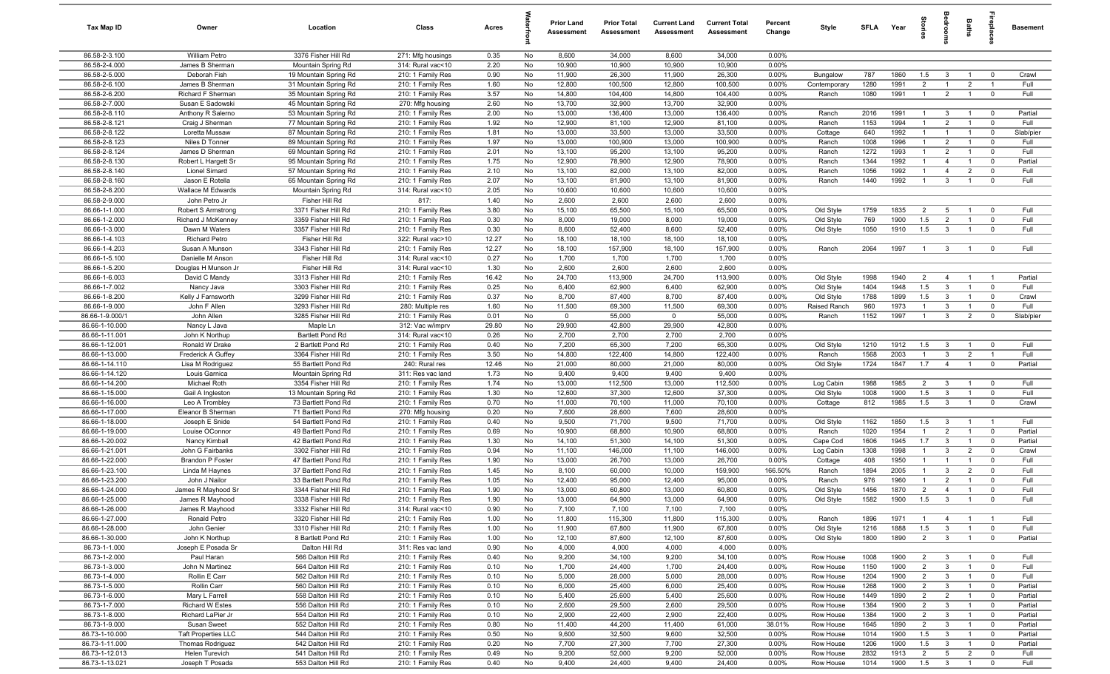| Tax Map ID                       | Owner                                     | Location                                       | Class                                  | Acres        |          | <b>Prior Land</b><br>Assessment | <b>Prior Total</b><br>Assessment | <b>Current Land</b><br>Assessment | <b>Current Total</b><br>Assessment | Percent<br>Change | Style                  | SFLA Year    |              |                               | g                              | Baths                            | <b>G</b> bia                  | Basement           |
|----------------------------------|-------------------------------------------|------------------------------------------------|----------------------------------------|--------------|----------|---------------------------------|----------------------------------|-----------------------------------|------------------------------------|-------------------|------------------------|--------------|--------------|-------------------------------|--------------------------------|----------------------------------|-------------------------------|--------------------|
| 86.58-2-3.100                    | William Petro                             | 3376 Fisher Hill Rd                            | 271: Mfg housings                      | 0.35         | No       | 8,600                           | 34,000                           | 8,600                             | 34,000                             | 0.00%             |                        |              |              |                               |                                |                                  |                               |                    |
| 86.58-2-4.000                    | James B Sherman                           | Mountain Spring Rd                             | 314: Rural vac<10                      | 2.20         | No       | 10,900                          | 10,900                           | 10,900                            | 10,900                             | 0.00%             |                        |              |              |                               |                                |                                  |                               |                    |
| 86.58-2-5.000                    | Deborah Fish                              | 19 Mountain Spring Rd                          | 210: 1 Family Res                      | 0.90         | No       | 11,900                          | 26,300                           | 11,900                            | 26,300                             | 0.00%             | Bungalow               | 787          | 1860         | 1.5                           | $\mathbf{3}$                   |                                  | $\mathbf 0$                   | Crawl              |
| 86.58-2-6.100                    | James B Sherman                           | 31 Mountain Spring Rd                          | 210: 1 Family Res                      | 1.60         | No       | 12,800                          | 100,500                          | 12,800                            | 100,500                            | 0.00%             | Contemporary           | 1280         | 1991         | $\overline{2}$                | $\overline{1}$                 | $\overline{2}$                   | $\overline{\mathbf{1}}$       | Full               |
| 86.58-2-6.200<br>86.58-2-7.000   | Richard F Sherman<br>Susan E Sadowski     | 35 Mountain Spring Rd<br>45 Mountain Spring Rd | 210: 1 Family Res<br>270: Mfg housing  | 3.57<br>2.60 | No<br>No | 14,800<br>13,700                | 104,400<br>32,900                | 14,800<br>13,700                  | 104,400<br>32,900                  | 0.00%<br>0.00%    | Ranch                  | 1080         | 1991         | $\mathbf{1}$                  | $\overline{2}$                 | $\overline{1}$                   | $^{\circ}$                    | Full               |
| 86.58-2-8.110                    | Anthony R Salerno                         | 53 Mountain Spring Rd                          | 210: 1 Family Res                      | 2.00         | No       | 13,000                          | 136,400                          | 13,000                            | 136,400                            | 0.00%             | Ranch                  | 2016         | 1991         | $\overline{1}$                | $\mathbf{3}$                   | $\overline{1}$                   | $^{\circ}$                    | Partial            |
| 86.58-2-8.121                    | Craig J Sherman                           | 77 Mountain Spring Rd                          | 210: 1 Family Res                      | 1.92         | No       | 12,900                          | 81,100                           | 12,900                            | 81,100                             | 0.00%             | Ranch                  | 1153         | 1994         | $\overline{1}$                | $\overline{2}$                 | $\overline{1}$                   | $\mathbf 0$                   | Full               |
| 86.58-2-8.122                    | Loretta Mussaw                            | 87 Mountain Spring Rd                          | 210: 1 Family Res                      | 1.81         | No       | 13,000                          | 33,500                           | 13,000                            | 33,500                             | 0.00%             | Cottage                | 640          | 1992         | $\mathbf{1}$                  | $\overline{1}$                 | $\overline{1}$                   | $\mathbf 0$                   | Slab/pier          |
| 86.58-2-8.123                    | Niles D Tonner                            | 89 Mountain Spring Rd                          | 210: 1 Family Res                      | 1.97         | No       | 13,000                          | 100,900                          | 13,000                            | 100,900                            | 0.00%             | Ranch                  | 1008         | 1996         | $\overline{1}$                | $\overline{2}$                 | $\overline{1}$                   | $\mathbf 0$                   | Full               |
| 86.58-2-8.124                    | James D Sherman                           | 69 Mountain Spring Rd                          | 210: 1 Family Res                      | 2.01         | No       | 13,100                          | 95,200                           | 13,100                            | 95,200                             | $0.00\%$          | Ranch                  | 1272         | 1993         | $\overline{1}$                | $\overline{2}$                 | $\overline{1}$                   | $^{\circ}$                    | Full               |
| 86.58-2-8.130                    | Robert L Hargett Sr                       | 95 Mountain Spring Rd                          | 210: 1 Family Res                      | 1.75         | No       | 12,900                          | 78,900                           | 12,900                            | 78,900                             | 0.00%             | Ranch                  | 1344         | 1992         | $\overline{1}$                | $\overline{4}$                 | $\overline{1}$                   | $\mathbf 0$                   | Partial            |
| 86.58-2-8.140                    | <b>Lionel Simard</b>                      | 57 Mountain Spring Rd                          | 210: 1 Family Res                      | 2.10         | No       | 13,100                          | 82,000                           | 13,100                            | 82,000                             | 0.00%             | Ranch                  | 1056         | 1992         | $\overline{1}$                | $\overline{4}$                 | $\overline{2}$                   | $\mathbf 0$                   | Full               |
| 86.58-2-8.160                    | Jason E Rotella                           | 65 Mountain Spring Rd                          | 210: 1 Family Res                      | 2.07         | No       | 13,100                          | 81,900                           | 13,100                            | 81,900                             | 0.00%             | Ranch                  | 1440         | 1992         | $\overline{1}$                | $\mathbf{3}$                   | $\overline{1}$                   | $\mathbf 0$                   | Full               |
| 86.58-2-8.200                    | Wallace M Edwards                         | Mountain Spring Rd                             | 314: Rural vac<10                      | 2.05         | No       | 10,600                          | 10,600                           | 10,600                            | 10,600                             | 0.00%             |                        |              |              |                               |                                |                                  |                               |                    |
| 86.58-2-9.000                    | John Petro Jr                             | Fisher Hill Rd                                 | 817:                                   | 1.40         | No       | 2,600                           | 2,600                            | 2,600                             | 2,600                              | 0.00%             |                        |              |              |                               |                                |                                  |                               |                    |
| 86.66-1-1.000                    | Robert S Armstrong                        | 3371 Fisher Hill Rd<br>3359 Fisher Hill Rd     | 210: 1 Family Res<br>210: 1 Family Res | 3.80         | No       | 15,100<br>8,000                 | 65,500<br>19,000                 | 15,100                            | 65,500                             | 0.00%             | Old Style              | 1759         | 1835<br>1900 | $\overline{2}$                | 5                              | $\mathbf{1}$                     | $^{\circ}$<br>$^{\circ}$      | Full<br>Full       |
| 86.66-1-2.000<br>86.66-1-3.000   | Richard J McKenney<br>Dawn M Waters       | 3357 Fisher Hill Rd                            | 210: 1 Family Res                      | 0.30<br>0.30 | No<br>No | 8,600                           | 52,400                           | 8,000<br>8,600                    | 19,000<br>52,400                   | 0.00%<br>0.00%    | Old Style<br>Old Style | 769<br>1050  | 1910         | 1.5<br>1.5                    | $\overline{2}$<br>$\mathbf{3}$ |                                  | $^{\circ}$                    | Full               |
| 86.66-1-4.103                    | <b>Richard Petro</b>                      | Fisher Hill Rd                                 | 322: Rural vac>10                      | 12.27        | No       | 18,100                          | 18,100                           | 18,100                            | 18,100                             | 0.00%             |                        |              |              |                               |                                |                                  |                               |                    |
| 86.66-1-4.203                    | Susan A Munson                            | 3343 Fisher Hill Rd                            | 210: 1 Family Res                      | 12.27        | No       | 18,100                          | 157,900                          | 18,100                            | 157,900                            | 0.00%             | Ranch                  | 2064         | 1997         | $\overline{1}$                | $\overline{3}$                 | $\overline{1}$                   | $\overline{0}$                | Full               |
| 86.66-1-5.100                    | Danielle M Anson                          | Fisher Hill Rd                                 | 314: Rural vac<10                      | 0.27         | No       | 1,700                           | 1,700                            | 1,700                             | 1,700                              | 0.00%             |                        |              |              |                               |                                |                                  |                               |                    |
| 86.66-1-5.200                    | Douglas H Munson Jr                       | Fisher Hill Rd                                 | 314: Rural vac<10                      | 1.30         | No       | 2,600                           | 2,600                            | 2,600                             | 2,600                              | 0.00%             |                        |              |              |                               |                                |                                  |                               |                    |
| 86.66-1-6.003                    | David C Mandy                             | 3313 Fisher Hill Rd                            | 210: 1 Family Res                      | 16.42        | No       | 24,700                          | 113,900                          | 24,700                            | 113,900                            | $0.00\%$          | Old Style              | 1998         | 1940         | $\overline{2}$                | $\overline{4}$                 | $\overline{1}$                   | $\overline{1}$                | Partial            |
| 86.66-1-7.002                    | Nancy Java                                | 3303 Fisher Hill Rd                            | 210: 1 Family Res                      | 0.25         | No       | 6,400                           | 62,900                           | 6,400                             | 62,900                             | 0.00%             | Old Style              | 1404         | 1948         | 1.5                           | $\mathbf{3}$                   | $\overline{1}$                   | $\mathbf 0$                   | Full               |
| 86.66-1-8.200                    | Kelly J Farnsworth                        | 3299 Fisher Hill Rd                            | 210: 1 Family Res                      | 0.37         | No       | 8,700                           | 87,400                           | 8,700                             | 87,400                             | 0.00%             | Old Style              | 1788         | 1899         | 1.5                           | $\mathbf{3}$                   | $\overline{1}$                   | $\mathbf 0$                   | Crawl              |
| 86.66-1-9.000                    | John F Allen                              | 3293 Fisher Hill Rd                            | 280: Multiple res                      | 1.60         | No       | 11,500                          | 69,300                           | 11,500                            | 69,300                             | 0.00%             | Raised Ranch           | 960          | 1973         | $\overline{1}$                | $\mathbf{3}$                   | $\overline{1}$                   | $\mathbf 0$                   | Full               |
| 86.66-1-9.000/1                  | John Allen                                | 3285 Fisher Hill Rd                            | 210: 1 Family Res                      | 0.01         | No       | $\mathbf 0$                     | 55,000                           | $\mathbf 0$                       | 55,000                             | 0.00%             | Ranch                  | 1152         | 1997         | $\mathbf{1}$                  | $\mathbf{3}$                   | $\overline{2}$                   | $\mathbf 0$                   | Slab/pier          |
| 86.66-1-10.000                   | Nancy L Java                              | Maple Ln                                       | 312: Vac w/imprv                       | 29.80        | No       | 29,900                          | 42,800                           | 29,900                            | 42,800                             | 0.00%             |                        |              |              |                               |                                |                                  |                               |                    |
| 86.66-1-11.001                   | John K Northup                            | Bartlett Pond Rd                               | 314: Rural vac<10                      | 0.26         | No       | 2,700                           | 2,700                            | 2,700                             | 2,700                              | 0.00%             |                        |              |              |                               |                                |                                  |                               |                    |
| 86.66-1-12.001<br>86.66-1-13.000 | Ronald W Drake<br>Frederick A Guffey      | 2 Bartlett Pond Rd<br>3364 Fisher Hill Rd      | 210: 1 Family Res                      | 0.40<br>3.50 | No<br>No | 7,200<br>14,800                 | 65,300<br>122,400                | 7,200<br>14,800                   | 65,300<br>122,400                  | 0.00%<br>0.00%    | Old Style<br>Ranch     | 1210<br>1568 | 1912<br>2003 | 1.5<br>$\overline{1}$         | $\mathbf{3}$<br>$\mathbf{3}$   | $\mathbf{1}$<br>$\overline{2}$   | $\mathbf 0$<br>$\overline{1}$ | Full<br>Full       |
| 86.66-1-14.110                   | Lisa M Rodriguez                          | 55 Bartlett Pond Rd                            | 210: 1 Family Res<br>240: Rural res    | 12.46        | No       | 21,000                          | 80,000                           | 21,000                            | 80,000                             | 0.00%             | Old Style              | 1724         | 1847         | 1.7                           | $\overline{4}$                 | $\overline{1}$                   | $\overline{0}$                | Partial            |
| 86.66-1-14.120                   | Louis Garnica                             | Mountain Spring Rd                             | 311: Res vac land                      | 1.73         | No       | 9,400                           | 9,400                            | 9,400                             | 9,400                              | 0.00%             |                        |              |              |                               |                                |                                  |                               |                    |
| 86.66-1-14.200                   | Michael Roth                              | 3354 Fisher Hill Rd                            | 210: 1 Family Res                      | 1.74         | No       | 13,000                          | 112,500                          | 13,000                            | 112,500                            | 0.00%             | Log Cabin              | 1988         | 1985         | $\overline{2}$                | 3                              | $\overline{1}$                   | $^{\circ}$                    | Full               |
| 86.66-1-15.000                   | Gail A Ingleston                          | 13 Mountain Spring Rd                          | 210: 1 Family Res                      | 1.30         | No       | 12,600                          | 37,300                           | 12,600                            | 37,300                             | 0.00%             | Old Style              | 1008         | 1900         | 1.5                           | $\mathbf{3}$                   | $\overline{1}$                   | $^{\circ}$                    | Full               |
| 86.66-1-16.000                   | Leo A Trombley                            | 73 Bartlett Pond Rd                            | 210: 1 Family Res                      | 0.70         | No       | 11,000                          | 70,100                           | 11,000                            | 70,100                             | 0.00%             | Cottage                | 812          | 1985         | 1.5                           | $\overline{3}$                 | $\overline{1}$                   | $\overline{0}$                | Crawl              |
| 86.66-1-17.000                   | Eleanor B Sherman                         | 71 Bartlett Pond Rd                            | 270: Mfg housing                       | 0.20         | No       | 7,600                           | 28,600                           | 7,600                             | 28,600                             | 0.00%             |                        |              |              |                               |                                |                                  |                               |                    |
| 86.66-1-18.000                   | Joseph E Snide                            | 54 Bartlett Pond Rd                            | 210: 1 Family Res                      | 0.40         | No       | 9,500                           | 71,700                           | 9,500                             | 71,700                             | 0.00%             | Old Style              | 1162         | 1850         | 1.5                           | $\mathbf{3}$                   | $\overline{1}$                   | - 1                           | Full               |
| 86.66-1-19.000                   | Louise OConnor                            | 49 Bartlett Pond Rd                            | 210: 1 Family Res                      | 0.69         | No       | 10,900                          | 68,800                           | 10,900                            | 68,800                             | 0.00%             | Ranch                  | 1020         | 1954         | $\mathbf{1}$                  | $\overline{2}$                 | $\overline{1}$                   | $\mathbf 0$                   | Partial            |
| 86.66-1-20.002                   | Nancy Kimball                             | 42 Bartlett Pond Rd                            | 210: 1 Family Res                      | 1.30         | No       | 14,100                          | 51,300                           | 14,100                            | 51,300                             | 0.00%             | Cape Cod               | 1606         | 1945         | 1.7                           | $\mathbf{3}$                   | $\overline{1}$                   | $\mathbf 0$                   | Partial            |
| 86.66-1-21.001                   | John G Fairbanks                          | 3302 Fisher Hill Rd                            | 210: 1 Family Res                      | 0.94         | No       | 11,100                          | 146,000                          | 11,100                            | 146,000                            | 0.00%             | Log Cabin              | 1308         | 1998         | $\mathbf{1}$                  | $\mathbf{3}$                   | $\overline{2}$                   | $\mathbf 0$                   | Crawl              |
| 86.66-1-22.000<br>86.66-1-23.100 | <b>Brandon P Foster</b><br>Linda M Haynes | 47 Bartlett Pond Rd<br>37 Bartlett Pond Rd     | 210: 1 Family Res<br>210: 1 Family Res | 1.90<br>1.45 | No<br>No | 13,000<br>8,100                 | 26,700<br>60,000                 | 13,000<br>10,000                  | 26,700<br>159,900                  | 0.00%<br>166.50%  | Cottage<br>Ranch       | 408<br>1894  | 1950<br>2005 | $\mathbf{1}$<br>$\mathbf{1}$  | $\mathbf{3}$                   | $\overline{2}$                   | $^{\circ}$<br>$^{\circ}$      | Full<br>Full       |
| 86.66-1-23.200                   | John J Nailor                             | 33 Bartlett Pond Rd                            | 210: 1 Family Res                      | 1.05         | No       | 12,400                          | 95,000                           | 12,400                            | 95,000                             | 0.00%             | Ranch                  | 976          | 1960         | $\mathbf{1}$                  | $\overline{2}$                 |                                  | $\Omega$                      | Full               |
| 86.66-1-24.000                   | James R Mayhood Sr                        | 3344 Fisher Hill Rd                            | 210: 1 Family Res                      | 1.90         | No       | 13,000                          | 60,800                           | 13,000                            | 60,800                             | 0.00%             | Old Style              | 1456         | 1870         | $\overline{2}$                | $\overline{4}$                 | $\overline{1}$                   | $^{\circ}$                    | Full               |
| 86.66-1-25.000                   | James R Mayhood                           | 3338 Fisher Hill Rd                            | 210: 1 Family Res                      | 1.90         | No       | 13,000                          | 64,900                           | 13,000                            | 64,900                             | $0.00\%$          | Old Style              | 1582         | 1900         | 1.5                           | $\mathcal{R}$                  | $\overline{1}$                   |                               | Full               |
| 86.66-1-26.000                   | James R Mayhood                           | 3332 Fisher Hill Rd                            | 314: Rural vac<10                      | 0.90         | No       | 7,100                           | 7,100                            | 7,100                             | 7,100                              | 0.00%             |                        |              |              |                               |                                |                                  |                               |                    |
| 86.66-1-27.000                   | Ronald Petro                              | 3320 Fisher Hill Rd                            | 210: 1 Family Res                      | 1.00         | No       | 11,800                          | 115,300                          | 11,800                            | 115,300                            | 0.00%             | Ranch                  | 1896         | 1971         | $\overline{1}$                | $\overline{4}$                 | $\overline{1}$                   | $\overline{1}$                | Full               |
| 86.66-1-28.000                   | John Genier                               | 3310 Fisher Hill Rd                            | 210: 1 Family Res                      | 1.00         | No       | 11,900                          | 67,800                           | 11,900                            | 67,800                             | 0.00%             | Old Style              | 1216         | 1888         | 1.5                           | $\mathbf{3}$                   | $\mathbf{1}$                     | $\mathbf 0$                   | Full               |
| 86.66-1-30.000                   | John K Northup                            | 8 Bartlett Pond Rd                             | 210: 1 Family Res                      | 1.00         | No       | 12,100                          | 87,600                           | 12,100                            | 87,600                             | 0.00%             | Old Style              | 1800         | 1890         | $\overline{2}$                | $\mathbf{3}$                   | $\overline{1}$                   | $\mathbf 0$                   | Partial            |
| 86.73-1-1.000                    | Joseph E Posada Sr                        | Dalton Hill Rd                                 | 311: Res vac land                      | 0.90         | No       | 4,000                           | 4,000                            | 4,000                             | 4,000                              | 0.00%             |                        |              |              |                               |                                |                                  |                               |                    |
| 86.73-1-2.000                    | Paul Haran                                | 566 Dalton Hill Rd                             | 210: 1 Family Res                      | 0.40         | No       | 9,200                           | 34,100                           | 9,200                             | 34,100                             | 0.00%             | Row House              | 1008         | 1900         | $\overline{2}$                | $\mathbf{3}$                   | $\overline{1}$                   | $\overline{\mathbf{0}}$       | Full               |
| 86.73-1-3.000                    | John N Martinez                           | 564 Dalton Hill Rd                             | 210: 1 Family Res                      | 0.10         | No       | 1,700                           | 24,400                           | 1,700                             | 24,400                             | 0.00%             | Row House              | 1150         | 1900         | $\overline{2}$                | $\mathbf{3}$                   |                                  | $\mathbf 0$                   | Full               |
| 86.73-1-4.000                    | Rollin E Carr                             | 562 Dalton Hill Rd                             | 210: 1 Family Res                      | 0.10         | No       | 5,000                           | 28,000                           | 5,000                             | 28,000                             | 0.00%             | Row House              | 1204         | 1900         | $\overline{2}$                | $\mathbf{3}$                   | $\mathbf{1}$                     | $\mathbf 0$                   | Full               |
| 86.73-1-5.000                    | Rollin Carr<br>Mary L Farrell             | 560 Dalton Hill Rd                             | 210: 1 Family Res                      | 0.10         | No       | 6,000<br>5,400                  | 25,400                           | 6,000                             | 25,400<br>25,600                   | 0.00%             | Row House              | 1268<br>1449 | 1900<br>1890 | $\overline{2}$<br>$2^{\circ}$ | $\mathbf{3}$                   | $\overline{1}$<br>$\overline{1}$ | $\overline{0}$                | Partial            |
| 86.73-1-6.000<br>86.73-1-7.000   | <b>Richard W Estes</b>                    | 558 Dalton Hill Rd<br>556 Dalton Hill Rd       | 210: 1 Family Res<br>210: 1 Family Res | 0.10<br>0.10 | No<br>No | 2,600                           | 25,600<br>29,500                 | 5,400<br>2,600                    | 29,500                             | 0.00%<br>0.00%    | Row House<br>Row House | 1384         | 1900         | $\overline{2}$                | $\overline{2}$<br>$\mathbf{3}$ | $\overline{1}$                   | $\mathbf 0$<br>$\overline{0}$ | Partial<br>Partial |
| 86.73-1-8.000                    | Richard LaPier Jr                         | 554 Dalton Hill Rd                             | 210: 1 Family Res                      | 0.10         | No       | 2,900                           | 22,400                           | 2,900                             | 22,400                             | 0.00%             | Row House              | 1384         | 1900         | $\overline{2}$                | $\mathbf{3}$                   | $\overline{1}$                   | $\overline{0}$                | Partial            |
| 86.73-1-9.000                    | Susan Sweet                               | 552 Dalton Hill Rd                             | 210: 1 Family Res                      | 0.80         | No       | 11,400                          | 44,200                           | 11,400                            | 61,000                             | 38.01%            | Row House              | 1645         | 1890         | $\overline{2}$                | $\mathbf{3}$                   | $\overline{1}$                   | $\overline{0}$                | Partial            |
| 86.73-1-10.000                   | <b>Taft Properties LLC</b>                | 544 Dalton Hill Rd                             | 210: 1 Family Res                      | 0.50         | No       | 9,600                           | 32,500                           | 9,600                             | 32,500                             | $0.00\%$          | Row House              | 1014         | 1900         | 1.5                           | $\mathbf{3}$                   | $\overline{1}$                   | $\overline{0}$                | Partial            |
| 86.73-1-11.000                   | Thomas Rodriguez                          | 542 Dalton Hill Rd                             | 210: 1 Family Res                      | 0.20         | No       | 7,700                           | 27,300                           | 7,700                             | 27,300                             | 0.00%             | Row House              | 1206         | 1900         | 1.5                           | $\mathbf{3}$                   | $\overline{1}$                   | $\overline{\mathbf{0}}$       | Partial            |
| 86.73-1-12.013                   | Helen Turevich                            | 541 Dalton Hill Rd                             | 210: 1 Family Res                      | 0.49         | No       | 9,200                           | 52,000                           | 9,200                             | 52,000                             | 0.00%             | Row House              | 2832         | 1913         | $\overline{2}$                | $5\overline{)}$                | $\overline{2}$                   | $\mathbf 0$                   | Full               |
| 86.73-1-13.021                   | Joseph T Posada                           | 553 Dalton Hill Rd                             | 210: 1 Family Res                      | 0.40         | No       | 9,400                           | 24,400                           | 9,400                             | 24,400                             | 0.00%             | Row House              | 1014         | 1900         | 1.5                           | $\overline{\mathbf{3}}$        | $\overline{1}$                   | $\mathbf 0$                   | Full               |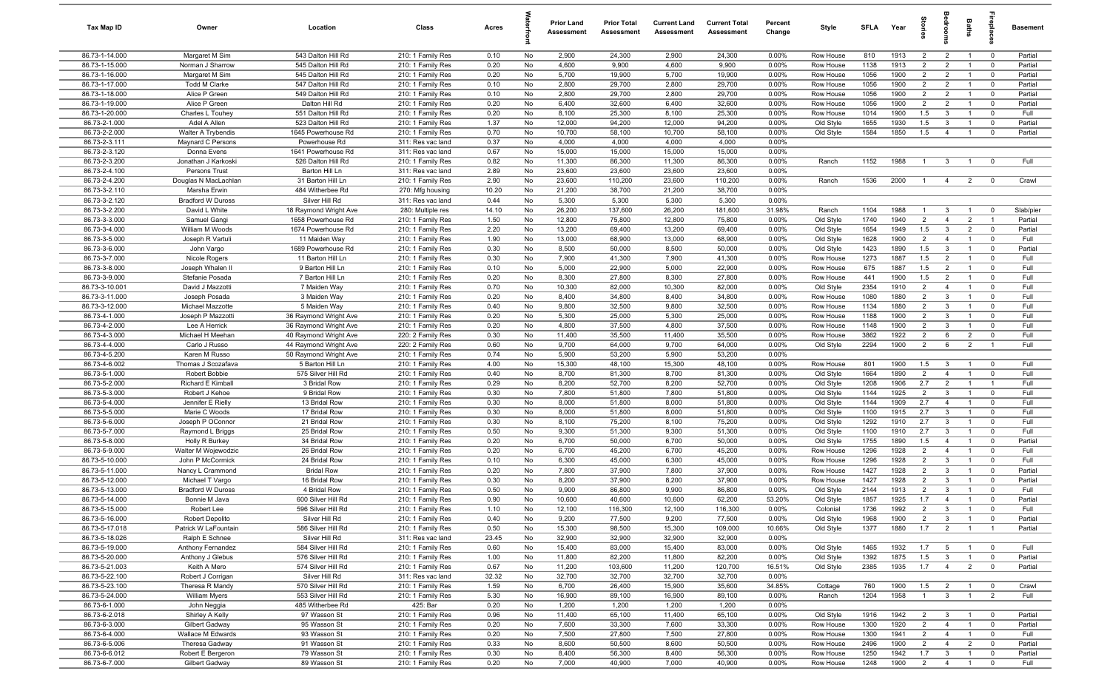| Tax Map ID                       | Owner                               | Location                                 | Class                                  | Acres        |          | <b>Prior Land</b><br>Assessment | <b>Prior Total</b><br>Assessment | <b>Current Land</b><br>Assessment | <b>Current Total</b><br>Assessment | Percent<br>Change | Style                  | SFLA         | Year         | $\frac{1}{2}$         |                                  | Baths                            | <b>G</b> bia                  | <b>Basement</b>    |
|----------------------------------|-------------------------------------|------------------------------------------|----------------------------------------|--------------|----------|---------------------------------|----------------------------------|-----------------------------------|------------------------------------|-------------------|------------------------|--------------|--------------|-----------------------|----------------------------------|----------------------------------|-------------------------------|--------------------|
| 86.73-1-14.000                   | Margaret M Sim                      | 543 Dalton Hill Rd                       | 210: 1 Family Res                      | 0.10         | No       | 2,900                           | 24,300                           | 2,900                             | 24,300                             | 0.00%             | Row House              | 810          | 1913         | $\overline{2}$        | $\overline{2}$                   | $\overline{1}$                   | $\mathbf 0$                   | Partial            |
| 86.73-1-15.000                   | Norman J Sharrow                    | 545 Dalton Hill Rd                       | 210: 1 Family Res                      | 0.20         | No       | 4,600                           | 9,900                            | 4,600                             | 9,900                              | 0.00%             | Row House              | 1138         | 1913         | 2                     | $\overline{2}$                   |                                  | $\mathbf 0$                   | Partial            |
| 86.73-1-16.000                   | Margaret M Sim                      | 545 Dalton Hill Rd                       | 210: 1 Family Res                      | 0.20         | No       | 5,700                           | 19,900                           | 5,700                             | 19,900                             | 0.00%             | Row House              | 1056         | 1900         | $\overline{2}$        | $\overline{2}$                   |                                  | $\mathbf 0$                   | Partial            |
| 86.73-1-17.000                   | Todd M Clarke                       | 547 Dalton Hill Rd                       | 210: 1 Family Res                      | 0.10         | No       | 2,800                           | 29,700                           | 2,800                             | 29,700                             | 0.00%             | Row House              | 1056         | 1900         | $\overline{2}$        | $\overline{2}$                   |                                  | $^{\circ}$                    | Partial            |
| 86.73-1-18.000                   | Alice P Green                       | 549 Dalton Hill Rd                       | 210: 1 Family Res                      | 0.10         | No       | 2,800                           | 29,700                           | 2,800                             | 29,700                             | 0.00%             | Row House              | 1056         | 1900         | $\overline{2}$        | $\overline{2}$                   |                                  | $\mathbf 0$                   | Partial            |
| 86.73-1-19.000<br>86.73-1-20.000 | Alice P Green<br>Charles L Touhey   | Dalton Hill Rd<br>551 Dalton Hill Rd     | 210: 1 Family Res<br>210: 1 Family Res | 0.20<br>0.20 | No<br>No | 6,400<br>8,100                  | 32,600<br>25,300                 | 6,400<br>8,100                    | 32,600<br>25,300                   | 0.00%<br>0.00%    | Row House<br>Row House | 1056<br>1014 | 1900<br>1900 | $\overline{2}$<br>1.5 | $\overline{2}$<br>$\mathbf{3}$   | $\overline{1}$                   | $\mathbf 0$<br>$\mathbf 0$    | Partial<br>Full    |
| 86.73-2-1.000                    | Adel A Allen                        | 523 Dalton Hill Rd                       | 210: 1 Family Res                      | 1.37         | No       | 12,000                          | 94,200                           | 12,000                            | 94,200                             | 0.00%             | Old Style              | 1655         | 1930         | 1.5                   | $\mathbf{3}$                     | $\overline{1}$                   | $\mathbf 0$                   | Partial            |
| 86.73-2-2.000                    | Walter A Trybendis                  | 1645 Powerhouse Rd                       | 210: 1 Family Res                      | 0.70         | No       | 10,700                          | 58,100                           | 10,700                            | 58,100                             | 0.00%             | Old Style              | 1584         | 1850         | 1.5                   | $\overline{4}$                   | $\overline{1}$                   | $\overline{0}$                | Partial            |
| 86.73-2-3.111                    | Maynard C Persons                   | Powerhouse Rd                            | 311: Res vac land                      | 0.37         | No       | 4,000                           | 4,000                            | 4,000                             | 4,000                              | 0.00%             |                        |              |              |                       |                                  |                                  |                               |                    |
| 86.73-2-3.120                    | Donna Evens                         | 1641 Powerhouse Rd                       | 311: Res vac land                      | 0.67         | No       | 15,000                          | 15,000                           | 15,000                            | 15,000                             | 0.00%             |                        |              |              |                       |                                  |                                  |                               |                    |
| 86.73-2-3.200                    | Jonathan J Karkoski                 | 526 Dalton Hill Rd                       | 210: 1 Family Res                      | 0.82         | No       | 11,300                          | 86,300                           | 11,300                            | 86,300                             | 0.00%             | Ranch                  | 1152         | 1988         | $\overline{1}$        | $\mathbf{3}$                     | $\overline{1}$                   | $^{\circ}$                    | Full               |
| 86.73-2-4.100                    | Persons Trust                       | Barton Hill Ln                           | 311: Res vac land                      | 2.89         | No       | 23,600                          | 23,600                           | 23,600                            | 23,600                             | 0.00%             |                        |              |              |                       |                                  |                                  |                               |                    |
| 86.73-2-4.200                    | Douglas N MacLachlan                | 31 Barton Hill Ln                        | 210: 1 Family Res                      | 2.90         | No       | 23,600                          | 110,200                          | 23,600                            | 110,200                            | 0.00%             | Ranch                  | 1536         | 2000         | $\mathbf{1}$          | $\overline{4}$                   | $\overline{2}$                   | $\mathbf 0$                   | Crawl              |
| 86.73-3-2.110                    | Marsha Erwin                        | 484 Witherbee Rd                         | 270: Mfg housing                       | 10.20        | No       | 21,200                          | 38,700                           | 21,200                            | 38,700                             | 0.00%             |                        |              |              |                       |                                  |                                  |                               |                    |
| 86.73-3-2.120                    | <b>Bradford W Duross</b>            | Silver Hill Rd                           | 311: Res vac land                      | 0.44         | No       | 5,300                           | 5,300                            | 5,300                             | 5,300                              | 0.00%             |                        |              |              |                       |                                  |                                  |                               |                    |
| 86.73-3-2.200                    | David L White                       | 18 Raymond Wright Ave                    | 280: Multiple res                      | 14.10        | No       | 26,200                          | 137,600                          | 26,200                            | 181,600                            | 31.98%            | Ranch                  | 1104         | 1988         | $\mathbf{1}$          | $\mathbf{3}$                     |                                  | $\mathbf 0$                   | Slab/pier          |
| 86.73-3-3.000                    | Samuel Gangi                        | 1658 Powerhouse Rd                       | 210: 1 Family Res                      | 1.50         | No       | 12,800                          | 75,800                           | 12,800                            | 75,800                             | 0.00%             | Old Style              | 1740         | 1940         | $\overline{2}$        | $\overline{4}$                   | $\overline{2}$                   | $\overline{1}$                | Partial            |
| 86.73-3-4.000                    | William M Woods                     | 1674 Powerhouse Rd                       | 210: 1 Family Res                      | 2.20         | No       | 13,200                          | 69,400                           | 13,200                            | 69,400                             | 0.00%             | Old Style              | 1654         | 1949         | 1.5                   | $\mathbf{3}$                     | $\overline{2}$                   | $\mathbf 0$                   | Partial            |
| 86.73-3-5.000<br>86.73-3-6.000   | Joseph R Vartuli                    | 11 Maiden Way                            | 210: 1 Family Res<br>210: 1 Family Res | 1.90<br>0.30 | No<br>No | 13,000<br>8,500                 | 68,900                           | 13,000                            | 68,900<br>50,000                   | 0.00%             | Old Style              | 1628         | 1900<br>1890 | $\overline{2}$<br>1.5 | $\overline{4}$<br>$\mathbf{3}$   | $\overline{1}$<br>$\overline{1}$ | $\mathbf 0$<br>$\mathbf 0$    | Full<br>Partial    |
| 86.73-3-7.000                    | John Vargo<br>Nicole Rogers         | 1689 Powerhouse Rd<br>11 Barton Hill Ln  | 210: 1 Family Res                      | 0.30         | No       | 7,900                           | 50,000<br>41,300                 | 8,500<br>7,900                    | 41,300                             | 0.00%<br>0.00%    | Old Style<br>Row House | 1423<br>1273 | 1887         | 1.5                   | $\overline{2}$                   | $\overline{1}$                   | $^{\circ}$                    | Full               |
| 86.73-3-8.000                    | Joseph Whalen II                    | 9 Barton Hill Ln                         | 210: 1 Family Res                      | 0.10         | No       | 5,000                           | 22,900                           | 5,000                             | 22,900                             | 0.00%             | Row House              | 675          | 1887         | 1.5                   | $\overline{2}$                   | $\overline{1}$                   | $^{\circ}$                    | Full               |
| 86.73-3-9.000                    | Stefanie Posada                     | 7 Barton Hill Ln                         | 210: 1 Family Res                      | 0.20         | No       | 8,300                           | 27,800                           | 8,300                             | 27,800                             | 0.00%             | Row House              | 441          | 1900         | 1.5                   | $\overline{2}$                   | $\overline{1}$                   | $^{\circ}$                    | Full               |
| 86.73-3-10.001                   | David J Mazzotti                    | 7 Maiden Way                             | 210: 1 Family Res                      | 0.70         | No       | 10,300                          | 82,000                           | 10,300                            | 82,000                             | 0.00%             | Old Style              | 2354         | 1910         | $\overline{2}$        | $\overline{4}$                   | $\overline{1}$                   | $\mathbf 0$                   | Full               |
| 86.73-3-11.000                   | Joseph Posada                       | 3 Maiden Way                             | 210: 1 Family Res                      | 0.20         | No       | 8,400                           | 34,800                           | 8,400                             | 34,800                             | 0.00%             | Row House              | 1080         | 1880         | $\overline{2}$        | $\mathbf{3}$                     |                                  | $\Omega$                      | Full               |
| 86.73-3-12.000                   | Michael Mazzotte                    | 5 Maiden Way                             | 210: 1 Family Res                      | 0.40         | No       | 9,800                           | 32,500                           | 9,800                             | 32,500                             | 0.00%             | Row House              | 1134         | 1880         | $\overline{2}$        | $\mathbf{3}$                     |                                  | $\mathbf 0$                   | Full               |
| 86.73-4-1.000                    | Joseph P Mazzotti                   | 36 Raymond Wright Ave                    | 210: 1 Family Res                      | 0.20         | No       | 5,300                           | 25,000                           | 5,300                             | 25,000                             | 0.00%             | Row House              | 1188         | 1900         | $\overline{2}$        | $\mathbf{3}$                     |                                  | $^{\circ}$                    | Full               |
| 86.73-4-2.000                    | Lee A Herrick                       | 36 Raymond Wright Ave                    | 210: 1 Family Res                      | 0.20         | No       | 4,800                           | 37,500                           | 4,800                             | 37,500                             | 0.00%             | Row House              | 1148         | 1900         | $\overline{2}$        | $\mathbf{3}$                     |                                  | $^{\circ}$                    | Full               |
| 86.73-4-3.000                    | Michael H Meehan                    | 40 Raymond Wright Ave                    | 220: 2 Family Res                      | 0.30         | No       | 11,400                          | 35,500                           | 11,400                            | 35,500                             | 0.00%             | Row House              | 3862         | 1922         | $\overline{2}$        | 6                                | $\overline{2}$                   | $\mathbf 0$                   | Full               |
| 86.73-4-4.000                    | Carlo J Russo                       | 44 Raymond Wright Ave                    | 220: 2 Family Res                      | 0.60         | No       | 9,700                           | 64,000                           | 9,700                             | 64,000                             | 0.00%             | Old Style              | 2294         | 1900         | $\overline{2}$        | 6                                | $\overline{2}$                   | $\overline{1}$                | Full               |
| 86.73-4-5.200                    | Karen M Russo                       | 50 Raymond Wright Ave                    | 210: 1 Family Res                      | 0.74         | No       | 5,900                           | 53,200                           | 5,900                             | 53,200                             | 0.00%             |                        |              |              |                       |                                  |                                  |                               |                    |
| 86.73-4-6.002                    | Thomas J Scozafava                  | 5 Barton Hill Ln                         | 210: 1 Family Res                      | 4.00         | No       | 15,300                          | 48,100                           | 15,300                            | 48,100                             | 0.00%             | Row House              | 801          | 1900         | 1.5                   | $\mathbf{3}$                     | $\overline{1}$<br>$\overline{1}$ | $^{\circ}$                    | Full               |
| 86.73-5-1.000<br>86.73-5-2.000   | Robert Bobbie<br>Richard E Kimball  | 575 Silver Hill Rd<br>3 Bridal Row       | 210: 1 Family Res<br>210: 1 Family Res | 0.40<br>0.29 | No<br>No | 8,700<br>8,200                  | 81,300<br>52,700                 | 8,700<br>8,200                    | 81,300<br>52,700                   | 0.00%<br>0.00%    | Old Style              | 1664<br>1208 | 1890<br>1906 | $\overline{2}$<br>2.7 | $\overline{4}$<br>$\overline{2}$ | $\overline{1}$                   | $\mathbf 0$<br>$\overline{1}$ | Full<br>Full       |
| 86.73-5-3.000                    | Robert J Kehoe                      | 9 Bridal Row                             | 210: 1 Family Res                      | 0.30         | No       | 7,800                           | 51,800                           | 7,800                             | 51,800                             | 0.00%             | Old Style<br>Old Style | 1144         | 1925         | $\overline{2}$        | $\mathbf{3}$                     | $\overline{1}$                   | $\mathbf 0$                   | Full               |
| 86.73-5-4.000                    | Jennifer E Rielly                   | 13 Bridal Row                            | 210: 1 Family Res                      | 0.30         | No       | 8,000                           | 51,800                           | 8,000                             | 51,800                             | 0.00%             | Old Style              | 1144         | 1909         | 2.7                   | $\overline{4}$                   | $\overline{1}$                   | $\mathbf 0$                   | Full               |
| 86.73-5-5.000                    | Marie C Woods                       | 17 Bridal Row                            | 210: 1 Family Res                      | 0.30         | No       | 8,000                           | 51,800                           | 8,000                             | 51,800                             | 0.00%             | Old Style              | 1100         | 1915         | 2.7                   | $\mathbf{3}$                     | $\overline{1}$                   | $\mathbf 0$                   | Full               |
| 86.73-5-6.000                    | Joseph P OConnor                    | 21 Bridal Row                            | 210: 1 Family Res                      | 0.30         | No       | 8,100                           | 75,200                           | 8,100                             | 75,200                             | 0.00%             | Old Style              | 1292         | 1910         | 2.7                   | $\mathbf{3}$                     |                                  | $^{\circ}$                    | Full               |
| 86.73-5-7.000                    | Raymond L Briggs                    | 25 Bridal Row                            | 210: 1 Family Res                      | 0.50         | No       | 9,300                           | 51,300                           | 9,300                             | 51,300                             | 0.00%             | Old Style              | 1100         | 1910         | 2.7                   | $\mathbf{3}$                     |                                  | $\mathbf 0$                   | Full               |
| 86.73-5-8.000                    | Holly R Burkey                      | 34 Bridal Row                            | 210: 1 Family Res                      | 0.20         | No       | 6,700                           | 50,000                           | 6,700                             | 50,000                             | 0.00%             | Old Style              | 1755         | 1890         | 1.5                   | $\overline{4}$                   |                                  | $^{\circ}$                    | Partial            |
| 86.73-5-9.000                    | Walter M Wojewodzic                 | 26 Bridal Row                            | 210: 1 Family Res                      | 0.20         | No       | 6,700                           | 45,200                           | 6,700                             | 45,200                             | 0.00%             | Row House              | 1296         | 1928         | $\overline{2}$        | $\overline{4}$                   | $\overline{1}$                   | $^{\circ}$                    | Full               |
| 86.73-5-10.000                   | John P McCormick                    | 24 Bridal Row                            | 210: 1 Family Res                      | 0.10         | No       | 6,300                           | 45,000                           | 6,300                             | 45,000                             | 0.00%             | Row House              | 1296         | 1928         | 2                     | $\mathbf{3}$                     |                                  | $\mathbf 0$                   | Full               |
| 86.73-5-11.000                   | Nancy L Crammond                    | <b>Bridal Row</b>                        | 210: 1 Family Res                      | 0.20         | No       | 7,800                           | 37,900                           | 7,800                             | 37,900                             | 0.00%             | Row House              | 1427         | 1928         | $\overline{2}$        | $\mathbf{3}$                     | $\overline{1}$                   | $\mathbf 0$                   | Partial            |
| 86.73-5-12.000                   | Michael T Vargo                     | 16 Bridal Row                            | 210: 1 Family Res                      | 0.30         | No       | 8,200                           | 37,900                           | 8,200                             | 37,900                             | 0.00%             | Row House              | 1427         | 1928         | $\overline{2}$        | $\mathbf{3}$                     |                                  | $\mathbf 0$                   | Partial            |
| 86.73-5-13.000                   | <b>Bradford W Duross</b>            | 4 Bridal Row                             | 210: 1 Family Res                      | 0.50         | No       | 9,900                           | 86,800                           | 9,900                             | 86,800                             | 0.00%             | Old Style              | 2144         | 1913<br>1925 | $\overline{2}$<br>1.7 | $\mathbf{3}$<br>$\overline{4}$   | $\overline{1}$<br>$\overline{1}$ | $^{\circ}$<br>$\Omega$        | Full               |
| 86.73-5-14.000<br>86.73-5-15.000 | Bonnie M Java                       | 600 Silver Hill Rd<br>596 Silver Hill Rd | 210: 1 Family Res<br>210: 1 Family Res | 0.90         | No<br>No | 10,600<br>12,100                | 40,600<br>116,300                | 10,600<br>12,100                  | 62,200<br>116,300                  | 53.20%<br>0.00%   | Old Style<br>Colonial  | 1857<br>1736 | 1992         | $\overline{2}$        | $\mathbf{3}$                     | $\overline{1}$                   | $\overline{0}$                | Partial<br>Full    |
| 86.73-5-16.000                   | Robert Lee<br>Robert Depolito       | Silver Hill Rd                           | 210: 1 Family Res                      | 1.10<br>0.40 | No       | 9,200                           | 77,500                           | 9,200                             | 77,500                             | 0.00%             | Old Style              | 1968         | 1900         | $\overline{2}$        | $\mathbf{3}$                     | $\overline{1}$                   | $\mathbf 0$                   | Partial            |
| 86.73-5-17.018                   | Patrick W LaFountain                | 586 Silver Hill Rd                       | 210: 1 Family Res                      | 0.50         | No       | 15,300                          | 98,500                           | 15,300                            | 109,000                            | 10.66%            | Old Style              | 1377         | 1880         | 1.7                   | $\overline{2}$                   | $\overline{1}$                   | - 1                           | Partial            |
| 86.73-5-18.026                   | Ralph E Schnee                      | Silver Hill Rd                           | 311: Res vac land                      | 23.45        | No       | 32,900                          | 32,900                           | 32,900                            | 32,900                             | 0.00%             |                        |              |              |                       |                                  |                                  |                               |                    |
| 86.73-5-19.000                   | Anthony Fernandez                   | 584 Silver Hill Rd                       | 210: 1 Family Res                      | 0.60         | No       | 15,400                          | 83,000                           | 15,400                            | 83,000                             | 0.00%             | Old Style              | 1465         | 1932         | 1.7                   | 5                                |                                  | $\overline{0}$                | Full               |
| 86.73-5-20.000                   | Anthony J Glebus                    | 576 Silver Hill Rd                       | 210: 1 Family Res                      | 1.00         | No       | 11,800                          | 82,200                           | 11,800                            | 82,200                             | 0.00%             | Old Style              | 1392         | 1875         | 1.5                   | $\mathbf{3}$                     | $\mathbf{1}$                     | $\overline{0}$                | Partial            |
| 86.73-5-21.003                   | Keith A Mero                        | 574 Silver Hill Rd                       | 210: 1 Family Res                      | 0.67         | No       | 11,200                          | 103,600                          | 11,200                            | 120,700                            | 16.51%            | Old Style              | 2385         | 1935         | 1.7                   | $\overline{4}$                   | $\overline{2}$                   | $\mathbf 0$                   | Partial            |
| 86.73-5-22.100                   | Robert J Corrigan                   | Silver Hill Rd                           | 311: Res vac land                      | 32.32        | No       | 32,700                          | 32,700                           | 32,700                            | 32,700                             | 0.00%             |                        |              |              |                       |                                  |                                  |                               |                    |
| 86.73-5-23.100                   | Theresa R Mandy                     | 570 Silver Hill Rd                       | 210: 1 Family Res                      | 1.59         | No       | 6,700                           | 26,400                           | 15,900                            | 35,600                             | 34.85%            | Cottage                | 760          | 1900         | 1.5                   | $\overline{2}$                   | $\overline{1}$                   | $\overline{\mathbf{0}}$       | Crawl              |
| 86.73-5-24.000                   | <b>William Myers</b>                | 553 Silver Hill Rd                       | 210: 1 Family Res                      | 5.30         | No       | 16,900                          | 89,100                           | 16,900                            | 89,100                             | 0.00%             | Ranch                  | 1204         | 1958         | $\overline{1}$        | $\mathbf{3}$                     | $\overline{1}$                   | $\overline{2}$                | Full               |
| 86.73-6-1.000                    | John Neggia                         | 485 Witherbee Rd                         | 425: Bar                               | 0.20         | No       | 1,200                           | 1,200                            | 1,200                             | 1,200                              | 0.00%             |                        |              |              |                       |                                  |                                  |                               |                    |
| 86.73-6-2.018                    | Shirley A Kelly                     | 97 Wasson St                             | 210: 1 Family Res                      | 0.96         | No       | 11,400                          | 65,100                           | 11,400                            | 65,100                             | 0.00%             | Old Style              | 1916         | 1942         | $\overline{2}$        | $\mathbf{3}$                     | $\overline{1}$                   | $\overline{0}$                | Partial            |
| 86.73-6-3.000                    | Gilbert Gadway                      | 95 Wasson St                             | 210: 1 Family Res                      | 0.20         | No       | 7,600                           | 33,300                           | 7,600                             | 33,300                             | 0.00%             | Row House              | 1300         | 1920         | $\overline{2}$        | $\overline{4}$                   | $\overline{1}$                   | $\overline{0}$                | Partial            |
| 86.73-6-4.000                    | Wallace M Edwards                   | 93 Wasson St                             | 210: 1 Family Res                      | 0.20         | No       | 7,500                           | 27,800                           | 7,500                             | 27,800                             | 0.00%             | Row House              | 1300         | 1941         | $\overline{2}$        | $\overline{4}$                   | $\mathbf{1}$                     | $\overline{0}$                | Full               |
| 86.73-6-5.006<br>86.73-6-6.012   | Theresa Gadway<br>Robert E Bergeron | 91 Wasson St<br>79 Wasson St             | 210: 1 Family Res<br>210: 1 Family Res | 0.33<br>0.30 | No<br>No | 8,600<br>8,400                  | 50,500<br>56,300                 | 8,600<br>8,400                    | 50,500<br>56,300                   | 0.00%<br>0.00%    | Row House<br>Row House | 2496<br>1250 | 1900<br>1942 | $\overline{2}$<br>1.7 | $\overline{4}$<br>$\mathbf{3}$   | $\overline{2}$<br>$\mathbf{1}$   | $\overline{0}$<br>$\mathbf 0$ | Partial<br>Partial |
| 86.73-6-7.000                    | Gilbert Gadway                      | 89 Wasson St                             | 210: 1 Family Res                      | 0.20         | No       | 7,000                           | 40,900                           | 7,000                             | 40,900                             | $0.00\%$          | Row House              | 1248         | 1900         |                       | $2 \t 4$                         | $\overline{1}$                   | $\overline{0}$                | Full               |
|                                  |                                     |                                          |                                        |              |          |                                 |                                  |                                   |                                    |                   |                        |              |              |                       |                                  |                                  |                               |                    |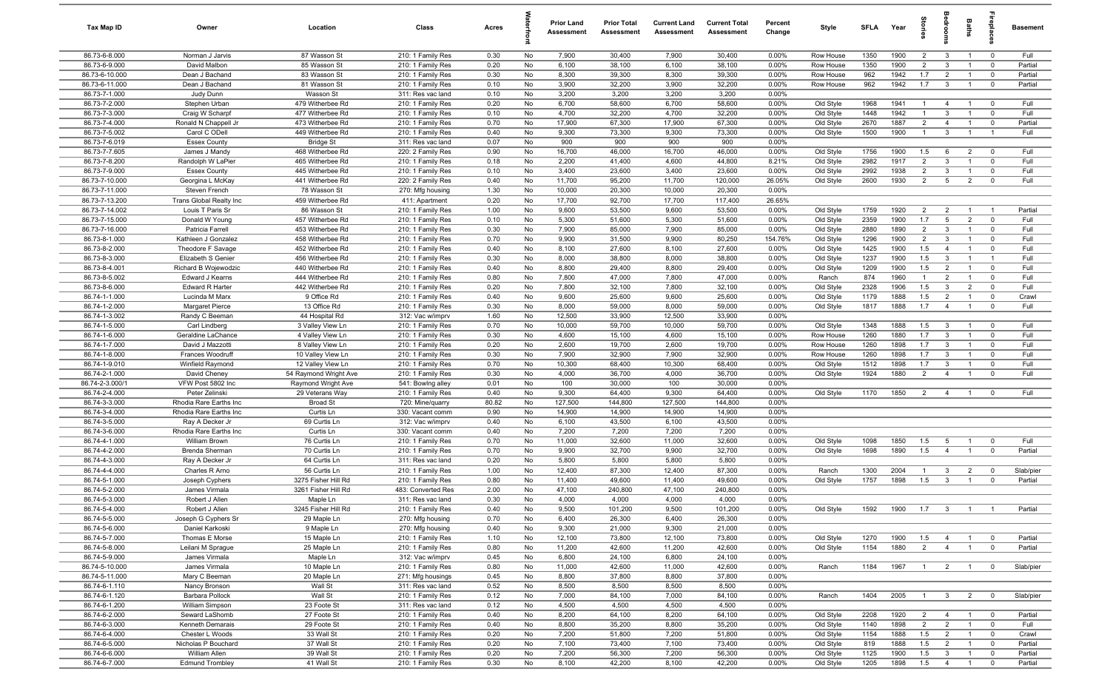| Tax Map ID                     | Owner                                   | Location                             | Class                                  | Acres        |          | <b>Prior Land</b><br>Assessment | <b>Prior Total</b><br>Assessment | <b>Current Land</b><br>Assessment | <b>Current Total</b><br>Assessment | Percent<br>Change | Style                  | <b>SFLA</b>  | Year         | tories         | droom                          | <b>Baths</b>                     | -8                         | Basement           |
|--------------------------------|-----------------------------------------|--------------------------------------|----------------------------------------|--------------|----------|---------------------------------|----------------------------------|-----------------------------------|------------------------------------|-------------------|------------------------|--------------|--------------|----------------|--------------------------------|----------------------------------|----------------------------|--------------------|
| 86.73-6-8.000                  | Norman J Jarvis                         | 87 Wasson St                         | 210: 1 Family Res                      | 0.30         | No       | 7,900                           | 30,400                           | 7,900                             | 30,400                             | 0.00%             | Row House              | 1350         | 1900         | $\overline{2}$ | $\mathbf{3}$                   | $\overline{1}$                   | $\mathbf 0$                | Full               |
| 86.73-6-9.000                  | David Malbon                            | 85 Wasson St                         | 210: 1 Family Res                      | 0.20         | No       | 6,100                           | 38,100                           | 6,100                             | 38,100                             | 0.00%             | Row House              | 1350         | 1900         | $\overline{2}$ | 3                              | $\overline{1}$                   | $\mathbf 0$                | Partial            |
| 86.73-6-10.000                 | Dean J Bachand                          | 83 Wasson St                         | 210: 1 Family Res                      | 0.30         | No       | 8,300                           | 39,300                           | 8,300                             | 39,300                             | 0.00%             | Row House              | 962          | 1942         | 1.7            | $\overline{2}$                 | $\overline{1}$                   | $\mathbf 0$                | Partial            |
| 86.73-6-11.000                 | Dean J Bachand                          | 81 Wasson St                         | 210: 1 Family Res                      | 0.10         | No       | 3,900                           | 32,200                           | 3,900                             | 32,200                             | 0.00%             | Row House              | 962          | 1942         | 1.7            | $\mathbf{3}$                   |                                  | $\mathbf 0$                | Partial            |
| 86.73-7-1.000                  | Judy Dunn                               | Wasson St                            | 311: Res vac land                      | 0.10         | No       | 3,200                           | 3,200                            | 3,200                             | 3,200                              | 0.00%             |                        |              |              |                |                                |                                  |                            |                    |
| 86.73-7-2.000                  | Stephen Urban                           | 479 Witherbee Rd                     | 210: 1 Family Res                      | 0.20         | No       | 6,700                           | 58,600                           | 6,700                             | 58,600                             | $0.00\%$          | Old Style              | 1968         | 1941         | $\overline{1}$ | 4                              |                                  | $\mathbf 0$                | Full               |
| 86.73-7-3.000                  | Craig W Scharpf                         | 477 Witherbee Rd                     | 210: 1 Family Res                      | 0.10         | No       | 4,700                           | 32,200                           | 4,700                             | 32,200                             | 0.00%             | Old Style              | 1448         | 1942         | $\mathbf{1}$   | 3                              | $\overline{1}$                   | $\mathbf 0$                | Full               |
| 86.73-7-4.000                  | Ronald N Chappell Jr                    | 473 Witherbee Rd                     | 210: 1 Family Res                      | 0.70         | No       | 17,900                          | 67,300                           | 17,900                            | 67,300                             | 0.00%             | Old Style              | 2670         | 1887         | $\overline{2}$ | $\overline{4}$                 | $\overline{1}$                   | $\mathbf 0$                | Partial            |
| 86.73-7-5.002                  | Carol C ODell                           | 449 Witherbee Rd                     | 210: 1 Family Res                      | 0.40         | No       | 9,300                           | 73,300                           | 9,300                             | 73,300                             | 0.00%             | Old Style              | 1500         | 1900         | $\overline{1}$ | $\mathbf{3}$                   | $\overline{1}$                   | $\overline{1}$             | Full               |
| 86.73-7-6.019<br>86.73-7-7.605 | <b>Essex County</b>                     | <b>Bridge St</b><br>468 Witherbee Rd | 311: Res vac land                      | 0.07<br>0.90 | No<br>No | 900                             | 900<br>46,000                    | 900<br>16,700                     | 900<br>46,000                      | 0.00%             | Old Style              | 1756         | 1900         | 1.5            | 6                              | $\overline{2}$                   | $\mathbf 0$                | Full               |
| 86.73-7-8.200                  | James J Mandy<br>Randolph W LaPier      | 465 Witherbee Rd                     | 220: 2 Family Res<br>210: 1 Family Res | 0.18         | No       | 16,700<br>2,200                 | 41,400                           | 4,600                             | 44,800                             | $0.00\%$<br>8.21% | Old Style              | 2982         | 1917         | $\overline{2}$ | $\overline{3}$                 | $\overline{1}$                   | $\mathbf 0$                | Full               |
| 86.73-7-9.000                  | <b>Essex County</b>                     | 445 Witherbee Rd                     | 210: 1 Family Res                      | 0.10         | No       | 3,400                           | 23,600                           | 3,400                             | 23,600                             | 0.00%             | Old Style              | 2992         | 1938         | 2              | 3                              | $\overline{1}$                   | $\mathbf 0$                | Full               |
| 86.73-7-10.000                 | Georgina L McKay                        | 441 Witherbee Rd                     | 220: 2 Family Res                      | 0.40         | No       | 11,700                          | 95,200                           | 11,700                            | 120,000                            | 26.05%            | Old Style              | 2600         | 1930         | $\overline{2}$ | $5\overline{5}$                | $\overline{2}$                   | $\mathbf 0$                | Full               |
| 86.73-7-11.000                 | Steven French                           | 78 Wasson St                         | 270: Mfg housing                       | 1.30         | No       | 10,000                          | 20,300                           | 10,000                            | 20,300                             | 0.00%             |                        |              |              |                |                                |                                  |                            |                    |
| 86.73-7-13.200                 | Trans Global Realty Inc                 | 459 Witherbee Rd                     | 411: Apartment                         | 0.20         | No       | 17,700                          | 92,700                           | 17,700                            | 117,400                            | 26.65%            |                        |              |              |                |                                |                                  |                            |                    |
| 86.73-7-14.002                 | Louis T Paris Sr                        | 86 Wasson St                         | 210: 1 Family Res                      | 1.00         | No       | 9,600                           | 53,500                           | 9,600                             | 53,500                             | 0.00%             | Old Style              | 1759         | 1920         | $\overline{2}$ | $\overline{2}$                 |                                  | $\overline{1}$             | Partial            |
| 86.73-7-15.000                 | Donald W Young                          | 457 Witherbee Rd                     | 210: 1 Family Res                      | 0.10         | No       | 5,300                           | 51,600                           | 5,300                             | 51,600                             | 0.00%             | Old Style              | 2359         | 1900         | 1.7            | 5                              | $\overline{2}$                   | $\mathbf 0$                | Full               |
| 86.73-7-16.000                 | Patricia Farrell                        | 453 Witherbee Rd                     | 210: 1 Family Res                      | 0.30         | No       | 7,900                           | 85,000                           | 7,900                             | 85,000                             | 0.00%             | Old Style              | 2880         | 1890         | $\overline{2}$ | $\mathbf{3}$                   | $\overline{1}$                   | $\mathbf 0$                | Full               |
| 86.73-8-1.000                  | Kathleen J Gonzalez                     | 458 Witherbee Rd                     | 210: 1 Family Res                      | 0.70         | No       | 9,900                           | 31,500                           | 9,900                             | 80,250                             | 154.76%           | Old Style              | 1296         | 1900         | $\overline{2}$ | 3                              | $\overline{1}$                   | $\mathbf 0$                | Full               |
| 86.73-8-2.000                  | Theodore F Savage                       | 452 Witherbee Rd                     | 210: 1 Family Res                      | 0.40         | No       | 8,100                           | 27,600                           | 8,100                             | 27,600                             | 0.00%             | Old Style              | 1425         | 1900         | 1.5            | $\overline{4}$                 | $\overline{1}$                   | $\mathbf 0$                | Full               |
| 86.73-8-3.000                  | Elizabeth S Genier                      | 456 Witherbee Rd                     | 210: 1 Family Res                      | 0.30         | No       | 8,000                           | 38,800                           | 8,000                             | 38,800                             | 0.00%             | Old Style              | 1237         | 1900         | 1.5            | 3                              | $\overline{1}$                   | $\overline{1}$             | Full               |
| 86.73-8-4.001                  | Richard B Wojewodzic                    | 440 Witherbee Rd                     | 210: 1 Family Res                      | 0.40         | No       | 8,800                           | 29,400                           | 8,800                             | 29,400                             | 0.00%             | Old Style              | 1209         | 1900         | 1.5            | $\overline{2}$                 | $\overline{1}$                   | $\mathbf 0$                | Full               |
| 86.73-8-5.002                  | Edward J Kearns                         | 444 Witherbee Rd                     | 210: 1 Family Res                      | 0.80         | No       | 7,800                           | 47,000                           | 7,800                             | 47,000                             | $0.00\%$          | Ranch                  | 874          | 1960         | $\overline{1}$ | $\overline{2}$                 | $\overline{1}$                   | $\mathbf 0$                | Full               |
| 86.73-8-6.000                  | Edward R Harter                         | 442 Witherbee Rd                     | 210: 1 Family Res                      | 0.20         | No       | 7,800                           | 32,100                           | 7,800                             | 32,100                             | 0.00%             | Old Style              | 2328         | 1906         | 1.5            | 3                              | $\overline{2}$                   | $\mathbf 0$                | Full               |
| 86.74-1-1.000                  | Lucinda M Marx                          | 9 Office Rd                          | 210: 1 Family Res                      | 0.40         | No       | 9,600                           | 25,600                           | 9,600                             | 25,600                             | 0.00%             | Old Style              | 1179         | 1888         | 1.5            | $\overline{2}$                 | $\overline{1}$                   | $\mathbf 0$                | Crawl              |
| 86.74-1-2.000                  | <b>Margaret Pierce</b>                  | 13 Office Rd                         | 210: 1 Family Res                      | 0.30         | No       | 8,000                           | 59,000                           | 8,000                             | 59,000                             | 0.00%             | Old Style              | 1817         | 1888         | 1.7            | $\overline{4}$                 | $\overline{1}$                   | $\mathbf 0$                | Full               |
| 86.74-1-3.002                  | Randy C Beeman                          | 44 Hospital Rd                       | 312: Vac w/imprv                       | 1.60         | No       | 12,500                          | 33,900                           | 12,500                            | 33,900                             | 0.00%             |                        |              |              |                |                                |                                  |                            |                    |
| 86.74-1-5.000                  | Carl Lindberg                           | 3 Valley View Ln                     | 210: 1 Family Res                      | 0.70         | No       | 10,000                          | 59,700                           | 10,000                            | 59,700                             | 0.00%             | Old Style              | 1348         | 1888         | 1.5            | $\mathbf{3}$                   | $\overline{1}$                   | $\overline{0}$             | Full               |
| 86.74-1-6.000                  | Geraldine LaChance                      | 4 Valley View Ln                     | 210: 1 Family Res                      | 0.30         | No       | 4,600                           | 15,100                           | 4,600                             | 15,100                             | $0.00\%$          | Row House              | 1260         | 1880         | 1.7            | $\mathbf{3}$                   |                                  | $^{\circ}$                 | Full               |
| 86.74-1-7.000                  | David J Mazzotti                        | 8 Valley View Ln                     | 210: 1 Family Res                      | 0.20         | No       | 2,600                           | 19,700                           | 2,600                             | 19,700                             | 0.00%             | Row House              | 1260         | 1898         | 1.7            | $\mathbf{3}$                   | $\overline{1}$                   | $\mathbf 0$                | Full               |
| 86.74-1-8.000                  | Frances Woodruff                        | 10 Valley View Ln                    | 210: 1 Family Res                      | 0.30         | No       | 7,900                           | 32,900                           | 7,900                             | 32,900                             | 0.00%             | Row House              | 1260         | 1898         | 1.7            | $\mathbf{3}$                   | $\overline{1}$                   | $\mathbf 0$                | Full               |
| 86.74-1-9.010                  | Winfield Raymond                        | 12 Valley View Ln                    | 210: 1 Family Res                      | 0.70         | No       | 10,300                          | 68,400                           | 10,300                            | 68,400                             | 0.00%             | Old Style              | 1512         | 1898         | 1.7            | $\mathbf{3}$                   | $\overline{1}$                   | $\mathbf 0$                | Full               |
| 86.74-2-1.000                  | David Cheney                            | 54 Raymond Wright Ave                | 210: 1 Family Res                      | 0.30         | No       | 4,000                           | 36,700                           | 4,000                             | 36,700                             | 0.00%             | Old Style              | 1924         | 1880         | $\overline{2}$ | $\overline{4}$                 | $\overline{1}$                   | $\mathbf{0}$               | Full               |
| 86.74-2-3.000/1                | VFW Post 5802 Inc                       | Raymond Wright Ave                   | 541: Bowlng alley                      | 0.01         | No       | 100                             | 30,000                           | 100                               | 30,000                             | 0.00%             |                        |              |              |                |                                |                                  |                            |                    |
| 86.74-2-4.000                  | Peter Zelinski                          | 29 Veterans Way                      | 210: 1 Family Res                      | 0.40         | No       | 9,300                           | 64,400                           | 9,300                             | 64,400                             | 0.00%             | Old Style              | 1170         | 1850         | $\overline{2}$ | $\overline{4}$                 | $\overline{1}$                   | $\mathbf 0$                | Full               |
| 86.74-3-3.000                  | Rhodia Rare Earths Inc                  | <b>Broad St</b>                      | 720: Mine/quarry                       | 80.82        | No       | 127,500                         | 144,800                          | 127,500                           | 144,800                            | 0.00%             |                        |              |              |                |                                |                                  |                            |                    |
| 86.74-3-4.000                  | Rhodia Rare Earths Inc                  | Curtis Ln                            | 330: Vacant comm                       | 0.90         | No       | 14,900                          | 14,900                           | 14,900                            | 14,900                             | 0.00%             |                        |              |              |                |                                |                                  |                            |                    |
| 86.74-3-5.000                  | Ray A Decker Jr                         | 69 Curtis Ln                         | 312: Vac w/imprv                       | 0.40         | No       | 6,100                           | 43,500                           | 6,100                             | 43,500                             | 0.00%             |                        |              |              |                |                                |                                  |                            |                    |
| 86.74-3-6.000<br>86.74-4-1.000 | Rhodia Rare Earths Inc<br>William Brown | Curtis Ln<br>76 Curtis Ln            | 330: Vacant comm<br>210: 1 Family Res  | 0.40<br>0.70 | No<br>No | 7,200<br>11,000                 | 7,200<br>32,600                  | 7,200<br>11,000                   | 7,200<br>32,600                    | 0.00%<br>0.00%    | Old Style              | 1098         | 1850         | 1.5            | 5                              | $\overline{1}$                   | $\mathbf 0$                | Full               |
| 86.74-4-2.000                  | Brenda Sherman                          | 70 Curtis Ln                         | 210: 1 Family Res                      | 0.70         | No       | 9,900                           | 32,700                           | 9,900                             | 32,700                             | 0.00%             | Old Style              | 1698         | 1890         | 1.5            | $\overline{4}$                 | $\overline{1}$                   | $\mathbf 0$                | Partial            |
| 86.74-4-3.000                  | Ray A Decker Jr                         | 64 Curtis Ln                         | 311: Res vac land                      | 0.20         | No       | 5,800                           | 5,800                            | 5,800                             | 5,800                              | $0.00\%$          |                        |              |              |                |                                |                                  |                            |                    |
| 86.74-4-4.000                  | Charles R Arno                          | 56 Curtis Ln                         | 210: 1 Family Res                      | 1.00         | No       | 12,400                          | 87,300                           | 12,400                            | 87,300                             | 0.00%             | Ranch                  | 1300         | 2004         |                | 3                              | $\overline{2}$                   | $\mathbf 0$                | Slab/pier          |
| 86.74-5-1.000                  | Joseph Cyphers                          | 3275 Fisher Hill Rd                  | 210: 1 Family Res                      | 0.80         | No       | 11,400                          | 49,600                           | 11,400                            | 49,600                             | 0.00%             | Old Style              | 1757         | 1898         | 1.5            | $\mathbf{3}$                   | $\overline{1}$                   | $\mathbf 0$                | Partial            |
| 86.74-5-2.000                  | James Virmala                           | 3261 Fisher Hill Rd                  | 483: Converted Res                     | 2.00         | No       | 47,100                          | 240,800                          | 47,100                            | 240,800                            | 0.00%             |                        |              |              |                |                                |                                  |                            |                    |
| 86.74-5-3.000                  | Robert J Allen                          | Maple Ln                             | 311: Res vac land                      | 0.30         | No       | 4,000                           | 4,000                            | 4,000                             | 4,000                              | 0.00%             |                        |              |              |                |                                |                                  |                            |                    |
| 86.74-5-4.000                  | Robert J Allen                          | 3245 Fisher Hill Rd                  | 210: 1 Family Res                      | 0.40         | No       | 9,500                           | 101,200                          | 9,500                             | 101,200                            | 0.00%             | Old Style              | 1592         | 1900         | 1.7            | $\overline{\mathbf{3}}$        | $\overline{1}$                   | $\overline{1}$             | Partial            |
| 86.74-5-5.000                  | Joseph G Cyphers Sr                     | 29 Maple Ln                          | 270: Mfg housing                       | 0.70         | No       | 6,400                           | 26,300                           | 6,400                             | 26,300                             | 0.00%             |                        |              |              |                |                                |                                  |                            |                    |
| 86.74-5-6.000                  | Daniel Karkoski                         | 9 Maple Ln                           | 270: Mfg housing                       | 0.40         | No       | 9,300                           | 21,000                           | 9,300                             | 21,000                             | 0.00%             |                        |              |              |                |                                |                                  |                            |                    |
| 86.74-5-7.000                  | Thomas E Morse                          | 15 Maple Ln                          | 210: 1 Family Res                      | 1.10         | No       | 12,100                          | 73,800                           | 12,100                            | 73,800                             | 0.00%             | Old Style              | 1270         | 1900         | 1.5            | $\overline{4}$                 | $\overline{1}$                   | $\overline{\mathbf{0}}$    | Partial            |
| 86.74-5-8.000                  | Leilani M Sprague                       | 25 Maple Ln                          | 210: 1 Family Res                      | 0.80         | No       | 11,200                          | 42,600                           | 11,200                            | 42,600                             | 0.00%             | Old Style              | 1154         | 1880         | $\overline{2}$ | $\overline{4}$                 | $\overline{1}$                   | $\overline{0}$             | Partial            |
| 86.74-5-9.000                  | James Virmala                           | Maple Ln                             | 312: Vac w/imprv                       | 0.45         | No       | 6,800                           | 24,100                           | 6,800                             | 24,100                             | 0.00%             |                        |              |              |                |                                |                                  |                            |                    |
| 86.74-5-10.000                 | James Virmala                           | 10 Maple Ln                          | 210: 1 Family Res                      | 0.80         | No       | 11,000                          | 42,600                           | 11,000                            | 42,600                             | 0.00%             | Ranch                  | 1184         | 1967         | $\overline{1}$ | $\overline{2}$                 | $\overline{1}$                   | $\overline{0}$             | Slab/pier          |
| 86.74-5-11.000                 | Mary C Beeman                           | 20 Maple Ln                          | 271: Mfg housings                      | 0.45         | No       | 8,800                           | 37,800                           | 8,800                             | 37,800                             | 0.00%             |                        |              |              |                |                                |                                  |                            |                    |
| 86.74-6-1.110                  | Nancy Bronson                           | Wall St                              | 311: Res vac land                      | 0.52         | No       | 8,500                           | 8,500                            | 8,500                             | 8,500                              | 0.00%             |                        |              |              |                |                                |                                  |                            |                    |
| 86.74-6-1.120                  | Barbara Pollock                         | Wall St                              | 210: 1 Family Res                      | 0.12         | No       | 7,000                           | 84,100                           | 7,000                             | 84,100                             | 0.00%             | Ranch                  | 1404         | 2005         | $\overline{1}$ | 3 <sup>3</sup>                 | $\overline{2}$                   | $\overline{0}$             | Slab/pier          |
| 86.74-6-1.200                  | William Simpson                         | 23 Foote St                          | 311: Res vac land                      | 0.12         | No       | 4,500                           | 4,500                            | 4,500                             | 4,500                              | 0.00%             |                        |              |              |                |                                |                                  |                            |                    |
| 86.74-6-2.000                  | Seward LaShomb                          | 27 Foote St                          | 210: 1 Family Res                      | 0.40         | No       | 8,200                           | 64,100                           | 8,200                             | 64,100                             | 0.00%             | Old Style              | 2208         | 1920         | 2              | $\overline{4}$                 | $\overline{1}$                   | $\overline{0}$             | Partial            |
| 86.74-6-3.000                  | Kenneth Demarais                        | 29 Foote St                          | 210: 1 Family Res                      | 0.40         | No       | 8,800                           | 35,200                           | 8,800                             | 35,200                             | 0.00%             | Old Style              | 1140         | 1898         | $\overline{2}$ | $\overline{2}$                 | $\overline{1}$                   | $\overline{0}$             | Full               |
| 86.74-6-4.000                  | Chester L Woods                         | 33 Wall St                           | 210: 1 Family Res                      | 0.20         | No       | 7,200                           | 51,800                           | 7,200                             | 51,800                             | 0.00%             | Old Style              | 1154         | 1888         | 1.5            | $\overline{2}$                 | $\overline{1}$                   | $\mathbf 0$                | Crawl              |
| 86.74-6-5.000                  | Nicholas P Bouchard                     | 37 Wall St                           | 210: 1 Family Res                      | 0.20         | No       | 7,100                           | 73,400                           | 7,100                             | 73,400                             | 0.00%             | Old Style              | 819          | 1888         | 1.5            | $\overline{2}$                 | $\overline{1}$                   | $\overline{0}$             | Partial            |
| 86.74-6-6.000<br>86.74-6-7.000 | William Allen<br><b>Edmund Trombley</b> | 39 Wall St<br>41 Wall St             | 210: 1 Family Res<br>210: 1 Family Res | 0.20<br>0.30 | No<br>No | 7,200<br>8,100                  | 56,300<br>42,200                 | 7,200<br>8,100                    | 56,300<br>42,200                   | 0.00%<br>$0.00\%$ | Old Style<br>Old Style | 1125<br>1205 | 1900<br>1898 | 1.5<br>1.5     | $\mathbf{3}$<br>$\overline{4}$ | $\overline{1}$<br>$\overline{1}$ | $\mathbf 0$<br>$\mathbf 0$ | Partial<br>Partial |
|                                |                                         |                                      |                                        |              |          |                                 |                                  |                                   |                                    |                   |                        |              |              |                |                                |                                  |                            |                    |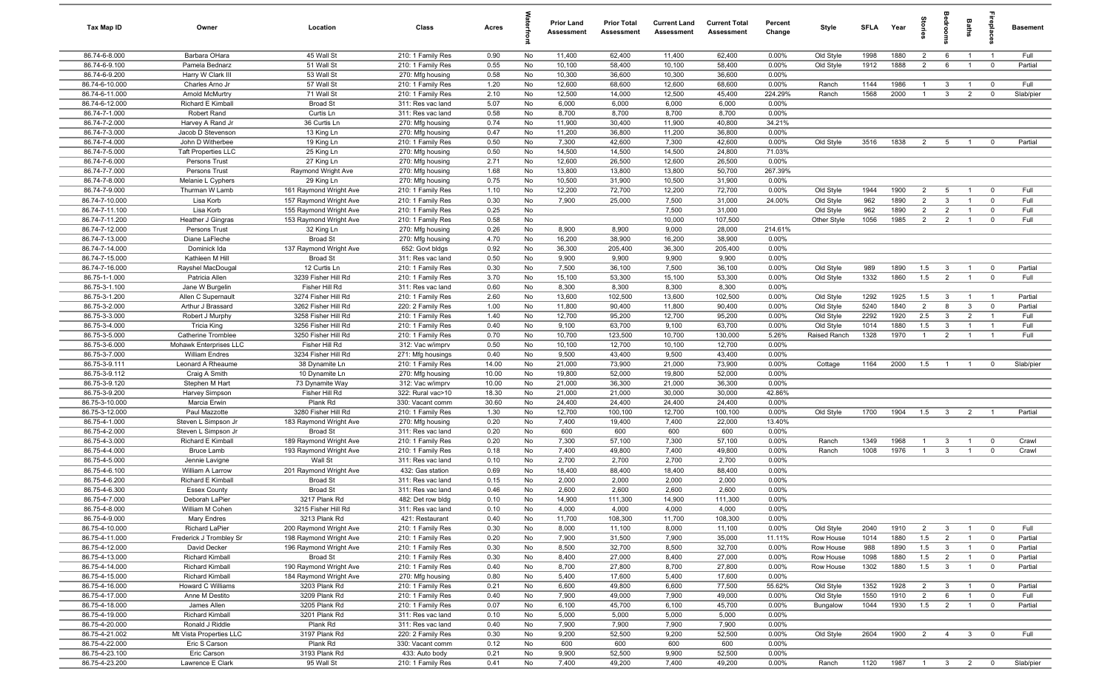| Tax Map ID                       | Owner                                           | Location                                         | Class                                  | Acres        |          | <b>Prior Land</b><br>Assessment | <b>Prior Total</b><br>Assessment | <b>Current Land</b><br>Assessment | <b>Current Total</b><br>Assessment | Percent<br>Change | Style                     | SFI A        | Year         | tories                           | <b>edroo</b>                              | Baths                            |                                        | <b>Basement</b>    |
|----------------------------------|-------------------------------------------------|--------------------------------------------------|----------------------------------------|--------------|----------|---------------------------------|----------------------------------|-----------------------------------|------------------------------------|-------------------|---------------------------|--------------|--------------|----------------------------------|-------------------------------------------|----------------------------------|----------------------------------------|--------------------|
| 86.74-6-8.000                    | Barbara OHara                                   | 45 Wall St                                       | 210: 1 Family Res                      | 0.90         | No       | 11,400                          | 62,400                           | 11,400                            | 62,400                             | 0.00%             | Old Style                 | 1998         | 1880         | $\overline{2}$                   | 6                                         | $\overline{1}$                   | $\overline{1}$                         | Full               |
| 86.74-6-9.100                    | Pamela Bednarz                                  | 51 Wall St                                       | 210: 1 Family Res                      | 0.55         | No       | 10,100                          | 58,400                           | 10,100                            | 58,400                             | 0.00%             | Old Style                 | 1912         | 1888         | $\overline{2}$                   | 6                                         | $\overline{1}$                   | $\mathbf 0$                            | Partial            |
| 86.74-6-9.200                    | Harry W Clark III                               | 53 Wall St                                       | 270: Mfg housing                       | 0.58         | No       | 10,300                          | 36,600                           | 10,300                            | 36,600                             | 0.00%             |                           |              |              |                                  |                                           |                                  |                                        |                    |
| 86.74-6-10.000<br>86.74-6-11.000 | Charles Arno Jr                                 | 57 Wall St<br>71 Wall St                         | 210: 1 Family Res                      | 1.20<br>2.10 | No<br>No | 12,600<br>12,500                | 68,600<br>14,000                 | 12,600<br>12,500                  | 68,600<br>45,400                   | 0.00%<br>224.29%  | Ranch<br>Ranch            | 1144<br>1568 | 1986<br>2000 | $\overline{1}$<br>$\overline{1}$ | $\mathbf{3}$<br>$\mathbf{3}$              | $\overline{1}$<br>$\overline{2}$ | $\mathbf 0$<br>$\mathbf 0$             | Full<br>Slab/pier  |
| 86.74-6-12.000                   | <b>Arnold McMurtry</b><br>Richard E Kimbal      | <b>Broad St</b>                                  | 210: 1 Family Res<br>311: Res vac land | 5.07         | No       | 6,000                           | 6,000                            | 6,000                             | 6,000                              | $0.00\%$          |                           |              |              |                                  |                                           |                                  |                                        |                    |
| 86.74-7-1.000                    | Robert Rand                                     | Curtis Ln                                        | 311: Res vac land                      | 0.58         | No       | 8,700                           | 8,700                            | 8,700                             | 8,700                              | 0.00%             |                           |              |              |                                  |                                           |                                  |                                        |                    |
| 86.74-7-2.000                    | Harvey A Rand Jr                                | 36 Curtis Ln                                     | 270: Mfg housing                       | 0.74         | No       | 11,900                          | 30,400                           | 11,900                            | 40,800                             | 34.21%            |                           |              |              |                                  |                                           |                                  |                                        |                    |
| 86.74-7-3.000                    | Jacob D Stevenson                               | 13 King Ln                                       | 270: Mfg housing                       | 0.47         | No       | 11,200                          | 36,800                           | 11,200                            | 36,800                             | 0.00%             |                           |              |              |                                  |                                           |                                  |                                        |                    |
| 86.74-7-4.000                    | John D Witherbee                                | 19 King Ln                                       | 210: 1 Family Res                      | 0.50         | No       | 7,300                           | 42,600                           | 7,300                             | 42,600                             | 0.00%             | Old Style                 | 3516         | 1838         | $\overline{2}$                   | 5                                         | $\overline{1}$                   | $\mathbf 0$                            | Partial            |
| 86.74-7-5.000                    | <b>Taft Properties LLC</b>                      | 25 King Ln                                       | 270: Mfg housing                       | 0.50         | No       | 14,500                          | 14,500                           | 14,500                            | 24,800                             | 71.03%            |                           |              |              |                                  |                                           |                                  |                                        |                    |
| 86.74-7-6.000                    | Persons Trust                                   | 27 King Ln                                       | 270: Mfg housing                       | 2.71         | No       | 12,600                          | 26,500                           | 12,600                            | 26,500                             | 0.00%             |                           |              |              |                                  |                                           |                                  |                                        |                    |
| 86.74-7-7.000                    | Persons Trust                                   | Raymond Wright Ave                               | 270: Mfg housing                       | 1.68         | No       | 13,800                          | 13,800                           | 13,800                            | 50,700                             | 267.39%           |                           |              |              |                                  |                                           |                                  |                                        |                    |
| 86.74-7-8.000                    | Melanie L Cyphers                               | 29 King Ln                                       | 270: Mfg housing                       | 0.75         | No       | 10,500                          | 31,900                           | 10,500                            | 31,900                             | 0.00%             |                           |              |              |                                  |                                           |                                  |                                        |                    |
| 86.74-7-9.000                    | Thurman W Lamb                                  | 161 Raymond Wright Ave                           | 210: 1 Family Res                      | 1.10         | No       | 12,200                          | 72,700                           | 12,200                            | 72,700                             | 0.00%             | Old Style                 | 1944         | 1900         | $\overline{2}$                   | 5                                         | $\overline{1}$                   | $\overline{0}$                         | Full               |
| 86.74-7-10.000<br>86.74-7-11.100 | Lisa Korb<br>Lisa Korb                          | 157 Raymond Wright Ave                           | 210: 1 Family Res                      | 0.30<br>0.25 | No<br>No | 7,900                           | 25,000                           | 7,500<br>7,500                    | 31,000<br>31,000                   | 24.00%            | Old Style                 | 962<br>962   | 1890<br>1890 | $\overline{2}$<br>$\overline{2}$ | $\mathbf{3}$<br>$\overline{2}$            | $\mathbf{1}$<br>$\overline{1}$   | $\mathbf 0$<br>$\mathbf 0$             | Full<br>Full       |
| 86.74-7-11.200                   | Heather J Gingras                               | 155 Raymond Wright Ave<br>153 Raymond Wright Ave | 210: 1 Family Res<br>210: 1 Family Res | 0.58         | No       |                                 |                                  | 10,000                            | 107,500                            |                   | Old Style<br>Other Style  | 1056         | 1985         | $\overline{2}$                   | $\overline{2}$                            | $\overline{1}$                   | $\mathbf 0$                            | Full               |
| 86.74-7-12.000                   | Persons Trust                                   | 32 King Ln                                       | 270: Mfg housing                       | 0.26         | No       | 8,900                           | 8,900                            | 9,000                             | 28,000                             | 214.61%           |                           |              |              |                                  |                                           |                                  |                                        |                    |
| 86.74-7-13.000                   | Diane LaFleche                                  | <b>Broad St</b>                                  | 270: Mfg housing                       | 4.70         | No       | 16,200                          | 38,900                           | 16,200                            | 38,900                             | 0.00%             |                           |              |              |                                  |                                           |                                  |                                        |                    |
| 86.74-7-14.000                   | Dominick Ida                                    | 137 Raymond Wright Ave                           | 652: Govt bldgs                        | 0.92         | No       | 36,300                          | 205,400                          | 36,300                            | 205,400                            | 0.00%             |                           |              |              |                                  |                                           |                                  |                                        |                    |
| 86.74-7-15.000                   | Kathleen M Hill                                 | <b>Broad St</b>                                  | 311: Res vac land                      | 0.50         | No       | 9,900                           | 9,900                            | 9,900                             | 9,900                              | 0.00%             |                           |              |              |                                  |                                           |                                  |                                        |                    |
| 86.74-7-16.000                   | Rayshel MacDougal                               | 12 Curtis Ln                                     | 210: 1 Family Res                      | 0.30         | No       | 7,500                           | 36,100                           | 7,500                             | 36,100                             | 0.00%             | Old Style                 | 989          | 1890         | 1.5                              | $\mathbf{3}$                              | $\overline{1}$                   | $\overline{\mathbf{0}}$                | Partial            |
| 86.75-1-1.000                    | Patricia Allen                                  | 3239 Fisher Hill Rd                              | 210: 1 Family Res                      | 3.70         | No       | 15,100                          | 53,300                           | 15,100                            | 53,300                             | 0.00%             | Old Style                 | 1332         | 1860         | 1.5                              | 2                                         | $\overline{1}$                   | $\overline{0}$                         | Full               |
| 86.75-3-1.100                    | Jane W Burgelin                                 | Fisher Hill Rd                                   | 311: Res vac land                      | 0.60         | No       | 8,300                           | 8,300                            | 8,300                             | 8,300                              | 0.00%             |                           |              |              |                                  |                                           |                                  |                                        |                    |
| 86.75-3-1.200                    | Allen C Supernault                              | 3274 Fisher Hill Rd                              | 210: 1 Family Res                      | 2.60         | No       | 13,600                          | 102,500                          | 13,600                            | 102,500                            | 0.00%             | Old Style                 | 1292         | 1925         | 1.5                              | $\mathbf{3}$                              | $\overline{1}$                   | $\overline{1}$                         | Partial            |
| 86.75-3-2.000                    | Arthur J Brassard                               | 3262 Fisher Hill Rd                              | 220: 2 Family Res                      | 1.00         | No       | 11,800                          | 90,400                           | 11,800                            | 90,400                             | 0.00%             | Old Style                 | 5240         | 1840         | $\overline{2}$                   | 8                                         | $\mathbf{3}$                     | $\mathbf 0$                            | Partial            |
| 86.75-3-3.000                    | Robert J Murphy                                 | 3258 Fisher Hill Rd                              | 210: 1 Family Res                      | 1.40         | No       | 12,700                          | 95,200                           | 12,700                            | 95,200                             | 0.00%             | Old Style                 | 2292         | 1920         | 2.5                              | $\overline{\mathbf{3}}$                   | $\overline{2}$                   | $\overline{1}$                         | Full               |
| 86.75-3-4.000<br>86.75-3-5.000   | <b>Tricia King</b><br><b>Catherine Tromblee</b> | 3256 Fisher Hill Rd<br>3250 Fisher Hill Rd       | 210: 1 Family Res                      | 0.40<br>0.70 | No<br>No | 9,100<br>10,700                 | 63,700<br>123,500                | 9,100<br>10,700                   | 63,700<br>130,000                  | 0.00%<br>5.26%    | Old Style<br>Raised Ranch | 1014<br>1328 | 1880<br>1970 | 1.5<br>$\overline{1}$            | $\overline{3}$<br>$\overline{2}$          | $\overline{1}$<br>$\overline{1}$ | $\overline{1}$                         | Full<br>Full       |
| 86.75-3-6.000                    | Mohawk Enterprises LLC                          | Fisher Hill Rd                                   | 210: 1 Family Res<br>312: Vac w/imprv  | 0.50         | No       | 10,100                          | 12,700                           | 10,100                            | 12,700                             | 0.00%             |                           |              |              |                                  |                                           |                                  |                                        |                    |
| 86.75-3-7.000                    | <b>William Endres</b>                           | 3234 Fisher Hill Rd                              | 271: Mfg housings                      | 0.40         | No       | 9,500                           | 43,400                           | 9,500                             | 43,400                             | 0.00%             |                           |              |              |                                  |                                           |                                  |                                        |                    |
| 86.75-3-9.111                    | Leonard A Rheaume                               | 38 Dynamite Ln                                   | 210: 1 Family Res                      | 14.00        | No       | 21,000                          | 73,900                           | 21,000                            | 73,900                             | 0.00%             | Cottage                   | 1164         | 2000         | 1.5                              | $\overline{1}$                            | $\overline{1}$                   | $\mathbf 0$                            | Slab/pier          |
| 86.75-3-9.112                    | Craig A Smith                                   | 10 Dynamite Ln                                   | 270: Mfg housing                       | 10.00        | No       | 19,800                          | 52,000                           | 19,800                            | 52,000                             | 0.00%             |                           |              |              |                                  |                                           |                                  |                                        |                    |
| 86.75-3-9.120                    | Stephen M Hart                                  | 73 Dynamite Way                                  | 312: Vac w/imprv                       | 10.00        | No       | 21,000                          | 36,300                           | 21,000                            | 36,300                             | 0.00%             |                           |              |              |                                  |                                           |                                  |                                        |                    |
| 86.75-3-9.200                    | Harvey Simpson                                  | Fisher Hill Rd                                   | 322: Rural vac>10                      | 18.30        | No       | 21,000                          | 21,000                           | 30,000                            | 30,000                             | 42.86%            |                           |              |              |                                  |                                           |                                  |                                        |                    |
| 86.75-3-10.000                   | Marcia Erwin                                    | Plank Rd                                         | 330: Vacant comm                       | 30.60        | No       | 24,400                          | 24,400                           | 24,400                            | 24,400                             | 0.00%             |                           |              |              |                                  |                                           |                                  |                                        |                    |
| 86.75-3-12.000                   | Paul Mazzotte                                   | 3280 Fisher Hill Rd                              | 210: 1 Family Res                      | 1.30         | No       | 12,700                          | 100,100                          | 12,700                            | 100,100                            | 0.00%             | Old Style                 | 1700         | 1904         | 1.5                              | $\overline{\mathbf{3}}$                   | $\overline{2}$                   | $\overline{1}$                         | Partial            |
| 86.75-4-1.000                    | Steven L Simpson Jr                             | 183 Raymond Wright Ave                           | 270: Mfg housing                       | 0.20         | No       | 7,400                           | 19,400                           | 7,400                             | 22,000                             | 13.40%            |                           |              |              |                                  |                                           |                                  |                                        |                    |
| 86.75-4-2.000                    | Steven L Simpson Jr                             | <b>Broad St</b>                                  | 311: Res vac land                      | 0.20         | No       | 600                             | 600                              | 600                               | 600                                | 0.00%             |                           |              |              | $\overline{1}$                   |                                           |                                  |                                        |                    |
| 86.75-4-3.000<br>86.75-4-4.000   | Richard E Kimball<br><b>Bruce Lamb</b>          | 189 Raymond Wright Ave<br>193 Raymond Wright Ave | 210: 1 Family Res<br>210: 1 Family Res | 0.20<br>0.18 | No<br>No | 7,300<br>7,400                  | 57,100<br>49,800                 | 7,300<br>7,400                    | 57,100<br>49,800                   | 0.00%<br>0.00%    | Ranch<br>Ranch            | 1349<br>1008 | 1968<br>1976 | $\overline{1}$                   | $\overline{\mathbf{3}}$<br>$\mathbf{3}$   | $\overline{1}$<br>$\overline{1}$ | $\overline{\mathbf{0}}$<br>$\mathbf 0$ | Crawl<br>Crawl     |
| 86.75-4-5.000                    | Jennie Lavigne                                  | Wall St                                          | 311: Res vac land                      | 0.10         | No       | 2,700                           | 2,700                            | 2,700                             | 2,700                              | 0.00%             |                           |              |              |                                  |                                           |                                  |                                        |                    |
| 86.75-4-6.100                    | William A Larrow                                | 201 Raymond Wright Ave                           | 432: Gas station                       | 0.69         | No       | 18,400                          | 88,400                           | 18,400                            | 88,400                             | 0.00%             |                           |              |              |                                  |                                           |                                  |                                        |                    |
| 86.75-4-6.200                    | Richard E Kimbal                                | <b>Broad St</b>                                  | 311: Res vac land                      | 0.15         | No       | 2,000                           | 2,000                            | 2,000                             | 2,000                              | 0.00%             |                           |              |              |                                  |                                           |                                  |                                        |                    |
| 86.75-4-6.300                    | <b>Essex County</b>                             | <b>Broad St</b>                                  | 311: Res vac land                      | 0.46         | No       | 2,600                           | 2,600                            | 2,600                             | 2,600                              | 0.00%             |                           |              |              |                                  |                                           |                                  |                                        |                    |
| 86.75-4-7.000                    | Deborah LaPier                                  | 3217 Plank Rd                                    | 482: Det row bldg                      | 0.10         | No       | 14,900                          | 111,300                          | 14,900                            | 111,300                            | 0.00%             |                           |              |              |                                  |                                           |                                  |                                        |                    |
| 86.75-4-8.000                    | William M Cohen                                 | 3215 Fisher Hill Rd                              | 311: Res vac land                      | 0.10         | No       | 4,000                           | 4,000                            | 4,000                             | 4,000                              | 0.00%             |                           |              |              |                                  |                                           |                                  |                                        |                    |
| 86.75-4-9.000                    | Mary Endres                                     | 3213 Plank Rd                                    | 421: Restaurant                        | 0.40         | No       | 11,700                          | 108,300                          | 11,700                            | 108,300                            | 0.00%             |                           |              |              |                                  |                                           |                                  |                                        |                    |
| 86.75-4-10.000                   | <b>Richard LaPier</b>                           | 200 Raymond Wright Ave                           | 210: 1 Family Res                      | 0.30         | No       | 8,000                           | 11,100                           | 8,000                             | 11,100                             | 0.00%             | Old Style                 | 2040         | 1910         | $\overline{2}$                   | $\mathbf{3}$                              | $\overline{1}$                   | $\overline{0}$                         | Full               |
| 86.75-4-11.000                   | Frederick J Trombley Sr                         | 198 Raymond Wright Ave                           | 210: 1 Family Res                      | 0.20         | No       | 7,900                           | 31,500                           | 7,900                             | 35,000                             | 11.11%            | Row House                 | 1014         | 1880         | 1.5                              | $\overline{2}$                            | $\overline{1}$                   | $\overline{0}$                         | Partial            |
| 86.75-4-12.000                   | David Decker                                    | 196 Raymond Wright Ave                           | 210: 1 Family Res                      | 0.30         | No       | 8,500                           | 32,700                           | 8,500                             | 32,700                             | 0.00%             | Row House                 | 988          | 1890         | 1.5                              | $\mathbf{3}$                              | $\overline{1}$                   | $\overline{\mathbf{0}}$                | Partial            |
| 86.75-4-13.000<br>86.75-4-14.000 | Richard Kimball<br><b>Richard Kimball</b>       | <b>Broad St</b><br>190 Raymond Wright Ave        | 210: 1 Family Res<br>210: 1 Family Res | 0.30<br>0.40 | No<br>No | 8,400<br>8,700                  | 27,000<br>27,800                 | 8,400<br>8,700                    | 27,000<br>27,800                   | 0.00%<br>0.00%    | Row House<br>Row House    | 1098<br>1302 | 1880<br>1880 | 1.5<br>1.5                       | $\overline{2}$<br>$\overline{\mathbf{3}}$ | $\overline{1}$<br>$\overline{1}$ | $\overline{\mathbf{0}}$<br>$\mathbf 0$ | Partial<br>Partial |
| 86.75-4-15.000                   | <b>Richard Kimball</b>                          | 184 Raymond Wright Ave                           | 270: Mfg housing                       | 0.80         | No       | 5,400                           | 17,600                           | 5,400                             | 17,600                             | 0.00%             |                           |              |              |                                  |                                           |                                  |                                        |                    |
| 86.75-4-16.000                   | Howard C Williams                               | 3203 Plank Rd                                    | 210: 1 Family Res                      | 0.21         | No       | 6,600                           | 49,800                           | 6,600                             | 77,500                             | 55.62%            | Old Style                 | 1352         | 1928         | $\overline{2}$                   | $\overline{\mathbf{3}}$                   | $\overline{1}$                   | $\overline{\mathbf{0}}$                | Partial            |
| 86.75-4-17.000                   | Anne M Destito                                  | 3209 Plank Rd                                    | 210: 1 Family Res                      | 0.40         | No       | 7,900                           | 49,000                           | 7,900                             | 49,000                             | 0.00%             | Old Style                 | 1550         | 1910         | $\overline{2}$                   | 6                                         | $\overline{1}$                   | $\mathbf 0$                            | Full               |
| 86.75-4-18.000                   | James Allen                                     | 3205 Plank Rd                                    | 210: 1 Family Res                      | 0.07         | No       | 6,100                           | 45,700                           | 6,100                             | 45,700                             | 0.00%             | Bungalow                  | 1044         | 1930         | 1.5                              | $\overline{2}$                            | $\overline{1}$                   | $\mathbf 0$                            | Partial            |
| 86.75-4-19.000                   | Richard Kimball                                 | 3201 Plank Rd                                    | 311: Res vac land                      | 0.10         | No       | 5,000                           | 5,000                            | 5,000                             | 5,000                              | 0.00%             |                           |              |              |                                  |                                           |                                  |                                        |                    |
| 86.75-4-20.000                   | Ronald J Riddle                                 | Plank Rd                                         | 311: Res vac land                      | 0.40         | No       | 7,900                           | 7,900                            | 7,900                             | 7,900                              | 0.00%             |                           |              |              |                                  |                                           |                                  |                                        |                    |
| 86.75-4-21.002                   | Mt Vista Properties LLC                         | 3197 Plank Rd                                    | 220: 2 Family Res                      | 0.30         | No       | 9,200                           | 52,500                           | 9,200                             | 52,500                             | 0.00%             | Old Style                 | 2604         | 1900         | $\overline{2}$                   | $\overline{4}$                            | $\mathbf{3}$                     | $\mathbf 0$                            | Full               |
| 86.75-4-22.000                   | Eric S Carson                                   | Plank Rd                                         | 330: Vacant comm                       | 0.12         | No       | 600                             | 600                              | 600                               | 600                                | 0.00%             |                           |              |              |                                  |                                           |                                  |                                        |                    |
| 86.75-4-23.100                   | Eric Carson                                     | 3193 Plank Rd                                    | 433: Auto body                         | 0.21         | No       | 9,900                           | 52,500                           | 9,900                             | 52,500                             | 0.00%             |                           |              |              |                                  |                                           |                                  |                                        |                    |
| 86.75-4-23.200                   | Lawrence E Clark                                | 95 Wall St                                       | 210: 1 Family Res                      | 0.41         | No       | 7,400                           | 49,200                           | 7,400                             | 49,200                             | $0.00\%$          | Ranch                     | 1120         | 1987 1 3 2 0 |                                  |                                           |                                  |                                        | Slab/pier          |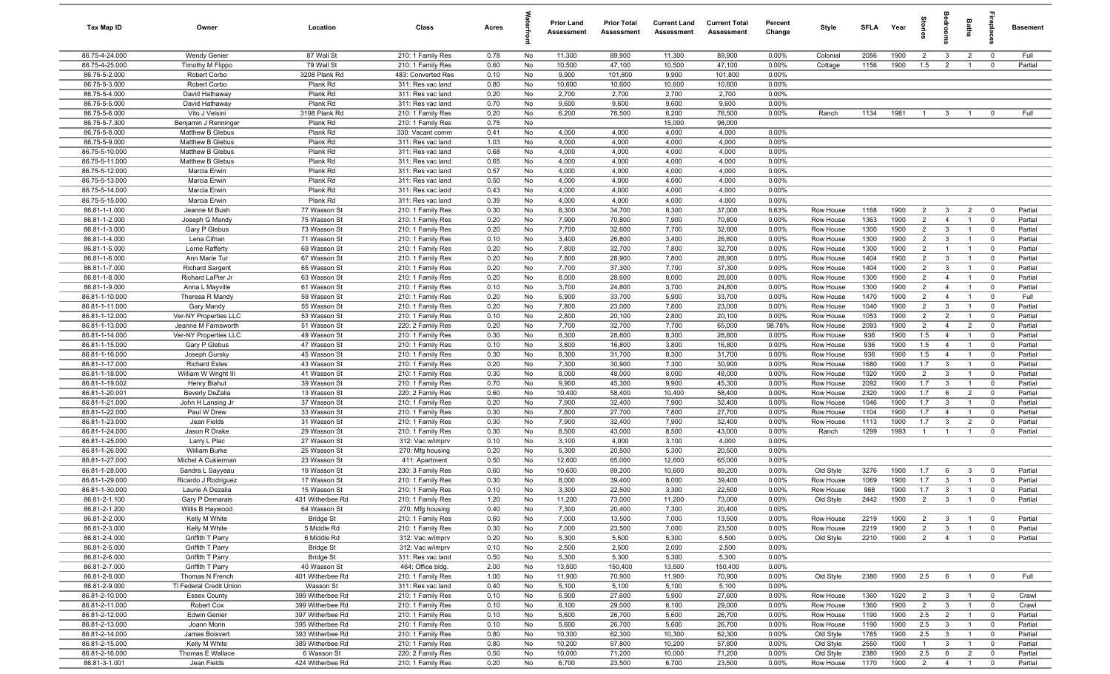| Tax Map ID                       | Owner                                | Location                         | Class                                  | Acres        |          | <b>Prior Land</b><br>Assessment | <b>Prior Total</b><br>Assessment | <b>Current Land</b><br>Assessment | <b>Current Total</b><br>Assessment | Percent<br>Change | Style                  | <b>SFLA</b>  | Year         |                       | drooi                           | Baths                            | ne<br>Pla                        | Basement           |
|----------------------------------|--------------------------------------|----------------------------------|----------------------------------------|--------------|----------|---------------------------------|----------------------------------|-----------------------------------|------------------------------------|-------------------|------------------------|--------------|--------------|-----------------------|---------------------------------|----------------------------------|----------------------------------|--------------------|
| 86.75-4-24.000                   | <b>Wendy Genier</b>                  | 87 Wall St                       | 210: 1 Family Res                      | 0.78         | No       | 11,300                          | 89,900                           | 11,300                            | 89,900                             | 0.00%             | Colonial               | 2056         | 1900         | $\overline{2}$        | $\mathbf{3}$                    | $\overline{2}$                   | $\mathbf 0$                      | Full               |
| 86.75-4-25.000                   | Timothy M Flippo                     | 79 Wall St                       | 210: 1 Family Res                      | 0.60         | No       | 10,500                          | 47,100                           | 10,500                            | 47,100                             | 0.00%             | Cottage                | 1156         | 1900         | 1.5                   | $\overline{2}$                  | $\overline{1}$                   | $\mathbf 0$                      | Partial            |
| 86.75-5-2.000                    | Robert Corbo                         | 3208 Plank Rd                    | 483: Converted Res                     | 0.10         | No       | 9,900                           | 101,800                          | 9,900                             | 101,800                            | 0.00%             |                        |              |              |                       |                                 |                                  |                                  |                    |
| 86.75-5-3.000<br>86.75-5-4.000   | Robert Corbo                         | Plank Rd<br>Plank Rd             | 311: Res vac land                      | 0.80         | No       | 10,600                          | 10,600                           | 10,600                            | 10,600                             | 0.00%             |                        |              |              |                       |                                 |                                  |                                  |                    |
| 86.75-5-5.000                    | David Hathaway<br>David Hathaway     | Plank Rd                         | 311: Res vac land<br>311: Res vac land | 0.20<br>0.70 | No<br>No | 2,700<br>9,600                  | 2,700<br>9,600                   | 2,700<br>9,600                    | 2,700<br>9,600                     | 0.00%<br>0.00%    |                        |              |              |                       |                                 |                                  |                                  |                    |
| 86.75-5-6.000                    | Vito J Velsini                       | 3198 Plank Rd                    | 210: 1 Family Res                      | 0.20         | No       | 6,200                           | 76,500                           | 6,200                             | 76,500                             | 0.00%             | Ranch                  | 1134         | 1981         | $\overline{1}$        | 3                               |                                  | $\mathbf 0$                      | Full               |
| 86.75-5-7.300                    | Benjamin J Renninger                 | Plank Rd                         | 210: 1 Family Res                      | 0.75         | No       |                                 |                                  | 15,000                            | 98,000                             |                   |                        |              |              |                       |                                 |                                  |                                  |                    |
| 86.75-5-8.000                    | Matthew B Glebus                     | Plank Rd                         | 330: Vacant comm                       | 0.41         | No       | 4,000                           | 4,000                            | 4,000                             | 4,000                              | 0.00%             |                        |              |              |                       |                                 |                                  |                                  |                    |
| 86.75-5-9.000                    | Matthew B Glebus                     | Plank Rd                         | 311: Res vac land                      | 1.03         | No       | 4,000                           | 4,000                            | 4,000                             | 4,000                              | 0.00%             |                        |              |              |                       |                                 |                                  |                                  |                    |
| 86.75-5-10.000                   | Matthew B Glebus                     | Plank Rd                         | 311: Res vac land                      | 0.68         | No       | 4,000                           | 4,000                            | 4,000                             | 4,000                              | 0.00%             |                        |              |              |                       |                                 |                                  |                                  |                    |
| 86.75-5-11.000                   | Matthew B Glebus                     | Plank Rd                         | 311: Res vac land                      | 0.65         | No       | 4,000                           | 4,000                            | 4,000                             | 4,000                              | 0.00%             |                        |              |              |                       |                                 |                                  |                                  |                    |
| 86.75-5-12.000                   | Marcia Erwin                         | Plank Rd                         | 311: Res vac land                      | 0.57         | No       | 4,000                           | 4,000                            | 4,000                             | 4,000                              | 0.00%             |                        |              |              |                       |                                 |                                  |                                  |                    |
| 86.75-5-13.000                   | Marcia Erwin                         | Plank Rd                         | 311: Res vac land                      | 0.50         | No       | 4,000                           | 4,000                            | 4,000                             | 4,000                              | 0.00%             |                        |              |              |                       |                                 |                                  |                                  |                    |
| 86.75-5-14.000                   | Marcia Erwin                         | Plank Rd                         | 311: Res vac land                      | 0.43         | No       | 4,000                           | 4,000                            | 4,000                             | 4,000                              | 0.00%             |                        |              |              |                       |                                 |                                  |                                  |                    |
| 86.75-5-15.000                   | Marcia Erwin                         | Plank Rd                         | 311: Res vac land                      | 0.39         | No       | 4,000                           | 4,000                            | 4,000                             | 4,000                              | 0.00%             |                        |              |              |                       |                                 |                                  |                                  |                    |
| 86.81-1-1.000                    | Jeanne M Bush                        | 77 Wasson St                     | 210: 1 Family Res                      | 0.30         | No       | 8,300                           | 34,700                           | 8,300                             | 37,000                             | 6.63%             | Row House              | 1168         | 1900         | $\overline{2}$        | $\mathbf{3}$                    | $\overline{2}$                   | $^{\circ}$                       | Partial            |
| 86.81-1-2.000<br>86.81-1-3.000   | Joseph G Mandy                       | 75 Wasson St<br>73 Wasson St     | 210: 1 Family Res                      | 0.20<br>0.20 | No<br>No | 7,900<br>7,700                  | 70,800<br>32,600                 | 7,900<br>7,700                    | 70,800<br>32,600                   | 0.00%<br>0.00%    | Row House              | 1363<br>1300 | 1900<br>1900 | $\overline{2}$<br>2   | $\overline{4}$<br>$\mathbf{3}$  | $\mathbf{1}$                     | $^{\circ}$<br>$\mathbf 0$        | Partial<br>Partial |
| 86.81-1-4.000                    | Gary P Glebus<br>Lena Cifrian        | 71 Wasson St                     | 210: 1 Family Res<br>210: 1 Family Res | 0.10         | No       | 3,400                           | 26,800                           | 3,400                             | 26,800                             | 0.00%             | Row House<br>Row House | 1300         | 1900         | $\overline{2}$        | $\mathbf{3}$                    | $\overline{1}$                   | $\mathbf 0$                      | Partial            |
| 86.81-1-5.000                    | Lorrie Rafferty                      | 69 Wasson St                     | 210: 1 Family Res                      | 0.20         | No       | 7,800                           | 32,700                           | 7,800                             | 32,700                             | 0.00%             | Row House              | 1300         | 1900         | $\overline{2}$        | $\overline{1}$                  | $\overline{1}$                   | $\mathbf 0$                      | Partial            |
| 86.81-1-6.000                    | Ann Marie Tur                        | 67 Wasson St                     | 210: 1 Family Res                      | 0.20         | No       | 7,800                           | 28,900                           | 7,800                             | 28,900                             | 0.00%             | Row House              | 1404         | 1900         | $\overline{2}$        | $\mathbf{3}$                    | $\overline{1}$                   | $\mathbf 0$                      | Partial            |
| 86.81-1-7.000                    | <b>Richard Sargent</b>               | 65 Wasson St                     | 210: 1 Family Res                      | 0.20         | No       | 7,700                           | 37,300                           | 7,700                             | 37,300                             | 0.00%             | Row House              | 1404         | 1900         | $\overline{2}$        | $\mathbf{3}$                    | $\overline{1}$                   | $\overline{0}$                   | Partial            |
| 86.81-1-8.000                    | Richard LaPier Jr                    | 63 Wasson St                     | 210: 1 Family Res                      | 0.20         | No       | 8,000                           | 28,600                           | 8,000                             | 28,600                             | $0.00\%$          | Row House              | 1300         | 1900         | $\overline{2}$        | $\overline{4}$                  | $\overline{1}$                   | $^{\circ}$                       | Partial            |
| 86.81-1-9.000                    | Anna L Mayville                      | 61 Wasson St                     | 210: 1 Family Res                      | 0.10         | No       | 3,700                           | 24,800                           | 3,700                             | 24,800                             | 0.00%             | Row House              | 1300         | 1900         | $\overline{2}$        | $\overline{4}$                  | $\overline{1}$                   | $\mathbf 0$                      | Partial            |
| 86.81-1-10.000                   | Theresa R Mandy                      | 59 Wasson St                     | 210: 1 Family Res                      | 0.20         | No       | 5,900                           | 33,700                           | 5,900                             | 33,700                             | 0.00%             | Row House              | 1470         | 1900         | $\overline{2}$        | $\overline{4}$                  | $\overline{1}$                   | $\mathbf 0$                      | Full               |
| 86.81-1-11.000                   | Gary Mandy                           | 55 Wasson St                     | 210: 1 Family Res                      | 0.20         | No       | 7,800                           | 23,000                           | 7,800                             | 23,000                             | 0.00%             | Row House              | 1040         | 1900         | $\overline{2}$        | $\mathbf{3}$                    | $\overline{1}$                   | $\mathbf 0$                      | Partial            |
| 86.81-1-12.000                   | Ver-NY Properties LLC                | 53 Wasson St                     | 210: 1 Family Res                      | 0.10         | No       | 2,800                           | 20,100                           | 2,800                             | 20,100                             | 0.00%             | Row House              | 1053         | 1900         | $\overline{2}$        | $\overline{2}$                  |                                  | $\mathbf 0$                      | Partial            |
| 86.81-1-13.000                   | Jeanne M Farnsworth                  | 51 Wasson St                     | 220: 2 Family Res                      | 0.20         | No       | 7,700                           | 32,700                           | 7,700                             | 65,000                             | 98.78%            | Row House              | 2093         | 1900         | $\overline{2}$        | $\overline{4}$                  | $\overline{2}$                   | $\mathbf 0$                      | Partial            |
| 86.81-1-14.000                   | Ver-NY Properties LLC                | 49 Wasson St                     | 210: 1 Family Res                      | 0.30         | No       | 8,300                           | 28,800                           | 8,300                             | 28,800                             | $0.00\%$          | Row House              | 936          | 1900         | 1.5                   | $\overline{4}$                  |                                  | $^{\circ}$                       | Partial            |
| 86.81-1-15.000                   | Gary P Glebus                        | 47 Wasson St                     | 210: 1 Family Res                      | 0.10         | No       | 3,800                           | 16,800                           | 3,800                             | 16,800                             | 0.00%             | Row House              | 936          | 1900         | 1.5                   | $\overline{4}$                  | $\overline{1}$                   | $^{\circ}$                       | Partial            |
| 86.81-1-16.000                   | Joseph Gursky                        | 45 Wasson St                     | 210: 1 Family Res                      | 0.30         | No       | 8,300                           | 31,700                           | 8,300                             | 31,700                             | 0.00%             | Row House              | 936          | 1900         | 1.5                   | $\overline{4}$                  | $\overline{1}$                   | $\mathbf 0$                      | Partial            |
| 86.81-1-17.000                   | <b>Richard Estes</b>                 | 43 Wasson St                     | 210: 1 Family Res                      | 0.20         | No<br>No | 7,300<br>8,000                  | 30,900<br>48,000                 | 7,300                             | 30,900<br>48,000                   | 0.00%             | Row House              | 1680<br>1920 | 1900<br>1900 | 1.7<br>$\overline{2}$ | $\mathbf{3}$<br>$\mathbf{3}$    | $\overline{1}$<br>$\overline{1}$ | $\overline{0}$<br>$\mathbf 0$    | Partial<br>Partial |
| 86.81-1-18.000<br>86.81-1-19.002 | William W Wright III<br>Henry Blahut | 41 Wasson St<br>39 Wasson St     | 210: 1 Family Res<br>210: 1 Family Res | 0.30<br>0.70 | No       | 9,900                           | 45,300                           | 8,000<br>9,900                    | 45,300                             | 0.00%<br>0.00%    | Row House<br>Row House | 2092         | 1900         | 1.7                   | $\mathbf{3}$                    | $\overline{1}$                   | $\mathbf 0$                      | Partial            |
| 86.81-1-20.001                   | <b>Beverly DeZalia</b>               | 13 Wasson St                     | 220: 2 Family Res                      | 0.60         | No       | 10,400                          | 58,400                           | 10,400                            | 58,400                             | $0.00\%$          | Row House              | 2320         | 1900         | 1.7                   | 6                               | $\overline{2}$                   | $\overline{0}$                   | Partial            |
| 86.81-1-21.000                   | John H Lansing Jr                    | 37 Wasson St                     | 210: 1 Family Res                      | 0.20         | No       | 7,900                           | 32,400                           | 7,900                             | 32,400                             | $0.00\%$          | Row House              | 1046         | 1900         | 1.7                   | $\mathbf{3}$                    | $\overline{1}$                   | $\overline{0}$                   | Partial            |
| 86.81-1-22.000                   | Paul W Drew                          | 33 Wasson St                     | 210: 1 Family Res                      | 0.30         | No       | 7,800                           | 27,700                           | 7,800                             | 27,700                             | 0.00%             | Row House              | 1104         | 1900         | 1.7                   | $\overline{4}$                  | $\overline{1}$                   | $\mathbf 0$                      | Partial            |
| 86.81-1-23.000                   | Jean Fields                          | 31 Wasson St                     | 210: 1 Family Res                      | 0.30         | No       | 7,900                           | 32,400                           | 7,900                             | 32,400                             | 0.00%             | Row House              | 1113         | 1900         | 1.7                   | $\mathbf{3}$                    | $\overline{2}$                   | $\mathbf 0$                      | Partial            |
| 86.81-1-24.000                   | Jason R Drake                        | 29 Wasson St                     | 210: 1 Family Res                      | 0.30         | No       | 8,500                           | 43,000                           | 8,500                             | 43,000                             | 0.00%             | Ranch                  | 1299         | 1993         | $\overline{1}$        | $\overline{1}$                  | $\overline{1}$                   | $\Omega$                         | Partial            |
| 86.81-1-25.000                   | Larry L Plac                         | 27 Wasson St                     | 312: Vac w/imprv                       | 0.10         | No       | 3,100                           | 4,000                            | 3,100                             | 4,000                              | 0.00%             |                        |              |              |                       |                                 |                                  |                                  |                    |
| 86.81-1-26.000                   | William Burke                        | 25 Wasson St                     | 270: Mfg housing                       | 0.20         | No       | 5,300                           | 20,500                           | 5,300                             | 20,500                             | 0.00%             |                        |              |              |                       |                                 |                                  |                                  |                    |
| 86.81-1-27.000                   | Michel A Cukierman                   | 23 Wasson St                     | 411: Apartment                         | 0.50         | No       | 12,600                          | 65,000                           | 12,600                            | 65,000                             | 0.00%             |                        |              |              |                       |                                 |                                  |                                  |                    |
| 86.81-1-28.000                   | Sandra L Sayyeau                     | 19 Wasson St                     | 230: 3 Family Res                      | 0.60         | No       | 10,600                          | 89,200                           | 10,600                            | 89,200                             | 0.00%             | Old Style              | 3276         | 1900         | 1.7                   | 6                               | 3                                | $^{\circ}$                       | Partial            |
| 86.81-1-29.000                   | Ricardo J Rodriguez                  | 17 Wasson St                     | 210: 1 Family Res                      | 0.30         | No       | 8,000                           | 39,400                           | 8,000                             | 39,400                             | 0.00%             | Row House              | 1069         | 1900         | 1.7                   | $\mathbf{3}$                    |                                  | $\Omega$                         | Partial            |
| 86.81-1-30.000                   | Laurie A Dezalia                     | 15 Wasson St                     | 210: 1 Family Res                      | 0.10         | No       | 3,300                           | 22,500                           | 3,300                             | 22,500                             | 0.00%             | Row House              | 968          | 1900         | 1.7                   | $\overline{3}$<br>$\mathcal{R}$ | $\overline{1}$<br>$\overline{1}$ | $\mathbf 0$                      | Partial            |
| 86.81-2-1.100<br>86.81-2-1.200   | Gary P Demarais<br>Willis B Haywood  | 431 Witherbee Rd<br>64 Wasson St | 210: 1 Family Res<br>270: Mfg housing  | 1.20<br>0.40 | No<br>No | 11,200<br>7,300                 | 73,000<br>20,400                 | 11,200<br>7,300                   | 73,000<br>20,400                   | $0.00\%$<br>0.00% | Old Style              | 2442         | 1900         | 2                     |                                 |                                  |                                  | Partial            |
| 86.81-2-2.000                    | Kelly M White                        | <b>Bridge St</b>                 | 210: 1 Family Res                      | 0.60         | No       | 7,000                           | 13,500                           | 7,000                             | 13,500                             | 0.00%             | Row House              | 2219         | 1900         | $\overline{2}$        | 3                               | $\overline{1}$                   | $\overline{\mathbf{0}}$          | Partial            |
| 86.81-2-3.000                    | Kelly M White                        | 5 Middle Rd                      | 210: 1 Family Res                      | 0.30         | No       | 7,000                           | 23,500                           | 7,000                             | 23,500                             | 0.00%             | Row House              | 2219         | 1900         | $\overline{2}$        | $\mathbf{3}$                    | $\overline{1}$                   | $\mathbf 0$                      | Partial            |
| 86.81-2-4.000                    | Griffith T Parry                     | 6 Middle Rd                      | 312: Vac w/imprv                       | 0.20         | No       | 5,300                           | 5,500                            | 5,300                             | 5,500                              | 0.00%             | Old Style              | 2210         | 1900         | $\overline{2}$        | $\overline{4}$                  | $\overline{1}$                   | $\mathbf 0$                      | Partial            |
| 86.81-2-5.000                    | Griffith T Parry                     | <b>Bridge St</b>                 | 312: Vac w/imprv                       | 0.10         | No       | 2,500                           | 2,500                            | 2,000                             | 2,500                              | 0.00%             |                        |              |              |                       |                                 |                                  |                                  |                    |
| 86.81-2-6.000                    | Griffith T Parry                     | <b>Bridge St</b>                 | 311: Res vac land                      | 0.50         | No       | 5,300                           | 5,300                            | 5,300                             | 5,300                              | 0.00%             |                        |              |              |                       |                                 |                                  |                                  |                    |
| 86.81-2-7.000                    | Griffith T Parry                     | 40 Wasson St                     | 464: Office bldg.                      | 2.00         | No       | 13,500                          | 150,400                          | 13,500                            | 150,400                            | 0.00%             |                        |              |              |                       |                                 |                                  |                                  |                    |
| 86.81-2-8.000                    | Thomas N French                      | 401 Witherbee Rd                 | 210: 1 Family Res                      | 1.00         | No       | 11,900                          | 70,900                           | 11,900                            | 70,900                             | 0.00%             | Old Style              | 2380         | 1900         | 2.5                   | 6                               |                                  | $\mathbf 0$                      | Full               |
| 86.81-2-9.000                    | Ti Federal Credit Union              | Wasson St                        | 311: Res vac land                      | 0.40         | No       | 5,100                           | 5,100                            | 5,100                             | 5,100                              | 0.00%             |                        |              |              |                       |                                 |                                  |                                  |                    |
| 86.81-2-10.000                   | <b>Essex County</b>                  | 399 Witherbee Rd                 | 210: 1 Family Res                      | 0.10         | No       | 5,900                           | 27,600                           | 5,900                             | 27,600                             | 0.00%             | Row House              | 1360         | 1920         | $\overline{2}$        | $\mathbf{3}$                    | $\overline{1}$                   | $\overline{\mathbf{0}}$          | Crawl              |
| 86.81-2-11.000                   | Robert Cox                           | 399 Witherbee Rd                 | 210: 1 Family Res                      | 0.10         | No       | 6,100                           | 29,000                           | 6,100                             | 29,000                             | 0.00%             | Row House              | 1360         | 1900         | $\overline{2}$        | $\mathbf{3}$                    | $\overline{1}$                   | $\overline{0}$                   | Crawl              |
| 86.81-2-12.000                   | <b>Edwin Genier</b>                  | 397 Witherbee Rd                 | 210: 1 Family Res                      | 0.10         | No       | 5,600                           | 26,700                           | 5,600                             | 26,700                             | 0.00%             | Row House              | 1190         | 1900         | 2.5                   | $\overline{2}$                  | $\overline{1}$                   | $\overline{0}$                   | Partial            |
| 86.81-2-13.000                   | Joann Morin                          | 395 Witherbee Rd                 | 210: 1 Family Res                      | 0.10         | No       | 5,600                           | 26,700                           | 5,600                             | 26,700                             | 0.00%             | Row House              | 1190         | 1900         | 2.5                   | $\mathbf{3}$                    | $\overline{1}$                   | $\overline{0}$                   | Partial            |
| 86.81-2-14.000                   | James Boisvert                       | 393 Witherbee Rd                 | 210: 1 Family Res                      | 0.80         | No       | 10,300                          | 62,300                           | 10,300                            | 62,300                             | 0.00%             | Old Style              | 1785         | 1900         | 2.5                   | $\mathbf{3}$                    | $\overline{1}$                   | $\overline{\mathbf{0}}$          | Partial            |
| 86.81-2-15.000                   | Kelly M White                        | 389 Witherbee Rd                 | 210: 1 Family Res                      | 0.80         | No       | 10,200                          | 57,800                           | 10,200                            | 57,800                             | 0.00%             | Old Style              | 2550         | 1900         | $\overline{1}$        | $\mathbf{3}$                    | $\overline{1}$                   | $\overline{\mathbf{0}}$          | Partial            |
| 86.81-2-16.000<br>86.81-3-1.001  | Thomas E Wallace<br>Jean Fields      | 6 Wasson St<br>424 Witherbee Rd  | 220: 2 Family Res<br>210: 1 Family Res | 0.50<br>0.20 | No<br>No | 10,000<br>6,700                 | 71,200<br>23,500                 | 10,000<br>6,700                   | 71,200<br>23,500                   | 0.00%<br>0.00%    | Old Style<br>Row House | 2380<br>1170 | 1900<br>1900 | 2.5<br>2              | 6<br>$\overline{4}$             | $\overline{2}$<br>$\overline{1}$ | $\overline{0}$<br>$\overline{0}$ | Partial<br>Partial |
|                                  |                                      |                                  |                                        |              |          |                                 |                                  |                                   |                                    |                   |                        |              |              |                       |                                 |                                  |                                  |                    |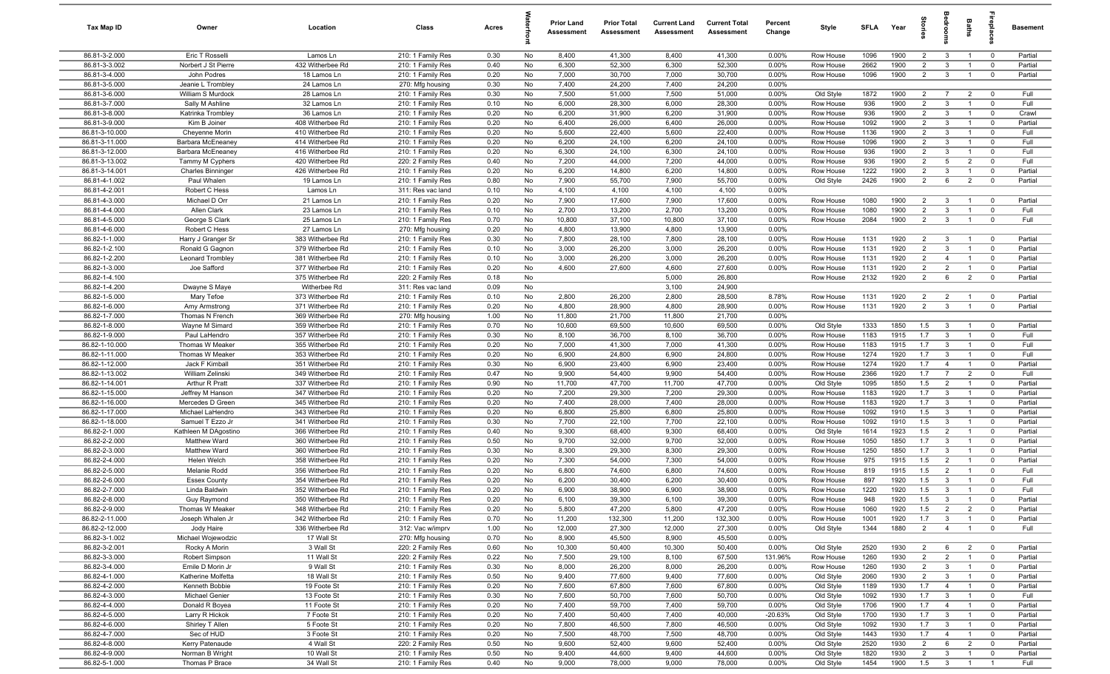| Tax Map ID                       | Owner                                | Location                             | Class                                  | Acres        |          | <b>Prior Land</b><br>Assessment | <b>Prior Total</b><br>Assessment | <b>Current Land</b><br>Assessment | <b>Current Total</b><br>Assessment | Percent<br>Change | Style                  | SFLA         | Year         |                                  | g                              | Baths                            | nebig                                  | Basement           |
|----------------------------------|--------------------------------------|--------------------------------------|----------------------------------------|--------------|----------|---------------------------------|----------------------------------|-----------------------------------|------------------------------------|-------------------|------------------------|--------------|--------------|----------------------------------|--------------------------------|----------------------------------|----------------------------------------|--------------------|
| 86.81-3-2.000                    | Eric T Rosselli                      | Lamos Ln                             | 210: 1 Family Res                      | 0.30         | No       | 8,400                           | 41,300                           | 8,400                             | 41,300                             | 0.00%             | Row House              | 1096         | 1900         | $\overline{2}$                   | $\mathbf{3}$                   | $\overline{1}$                   | $\mathbf 0$                            | Partial            |
| 86.81-3-3.002                    | Norbert J St Pierre                  | 432 Witherbee Rd                     | 210: 1 Family Res                      | 0.40         | No       | 6,300                           | 52,300                           | 6,300                             | 52,300                             | 0.00%             | Row House              | 2662         | 1900         | $\overline{2}$                   | $\mathbf{3}$                   | $\overline{1}$                   | $\mathbf 0$                            | Partial            |
| 86.81-3-4.000                    | John Podres                          | 18 Lamos Ln                          | 210: 1 Family Res                      | 0.20         | No       | 7,000                           | 30,700                           | 7,000                             | 30,700                             | 0.00%             | Row House              | 1096         | 1900         | $\overline{2}$                   | $\mathbf{3}$                   | $\overline{1}$                   | $\mathbf 0$                            | Partial            |
| 86.81-3-5.000                    | Jeanie L Trombley                    | 24 Lamos Ln                          | 270: Mfg housing                       | 0.30         | No       | 7,400                           | 24,200                           | 7,400                             | 24,200                             | 0.00%             |                        |              |              |                                  |                                |                                  |                                        |                    |
| 86.81-3-6.000                    | William S Murdock                    | 28 Lamos Ln                          | 210: 1 Family Res                      | 0.30         | No       | 7,500                           | 51,000                           | 7,500                             | 51,000                             | 0.00%             | Old Style              | 1872         | 1900         | $\overline{2}$                   | $\overline{7}$                 | $\overline{2}$                   | $^{\circ}$                             | Full               |
| 86.81-3-7.000                    | Sally M Ashline                      | 32 Lamos Ln                          | 210: 1 Family Res                      | 0.10         | No       | 6,000                           | 28,300                           | 6,000                             | 28,300                             | 0.00%             | Row House              | 936          | 1900         | $\overline{2}$                   | $\mathbf{3}$                   |                                  | $^{\circ}$                             | Full               |
| 86.81-3-8.000                    | Katrinka Trombley                    | 36 Lamos Ln                          | 210: 1 Family Res                      | 0.20         | No       | 6,200                           | 31,900                           | 6,200                             | 31,900                             | 0.00%             | Row House              | 936          | 1900         | $\overline{2}$                   | $\mathbf{3}$                   | $\overline{1}$                   | $\mathbf 0$                            | Crawl              |
| 86.81-3-9.000                    | Kim B Joiner                         | 408 Witherbee Rd                     | 210: 1 Family Res                      | 0.20         | No       | 6,400                           | 26,000                           | 6,400                             | 26,000                             | 0.00%             | Row House              | 1092         | 1900         | $\overline{2}$                   | $\mathbf{3}$                   | $\overline{1}$                   | $\mathbf 0$                            | Partial            |
| 86.81-3-10.000<br>86.81-3-11.000 | Cheyenne Morin<br>Barbara McEneaney  | 410 Witherbee Rd<br>414 Witherbee Rd | 210: 1 Family Res<br>210: 1 Family Res | 0.20<br>0.20 | No<br>No | 5,600<br>6,200                  | 22,400<br>24,100                 | 5,600<br>6,200                    | 22,400<br>24,100                   | 0.00%<br>0.00%    | Row House<br>Row House | 1136<br>1096 | 1900<br>1900 | $\overline{2}$<br>$\overline{2}$ | $\mathbf{3}$<br>$\mathbf{3}$   | $\overline{1}$<br>$\overline{1}$ | $\mathbf 0$<br>$^{\circ}$              | Full<br>Full       |
| 86.81-3-12.000                   | Barbara McEneaney                    | 416 Witherbee Rd                     | 210: 1 Family Res                      | 0.20         | No       | 6,300                           | 24,100                           | 6,300                             | 24,100                             | $0.00\%$          | Row House              | 936          | 1900         | 2                                | 3                              | $\overline{1}$                   | $^{\circ}$                             | Full               |
| 86.81-3-13.002                   | Tammy M Cyphers                      | 420 Witherbee Rd                     | 220: 2 Family Res                      | 0.40         | No       | 7,200                           | 44,000                           | 7,200                             | 44,000                             | 0.00%             | Row House              | 936          | 1900         | $\overline{2}$                   | 5                              | $\overline{2}$                   | $^{\circ}$                             | Full               |
| 86.81-3-14.001                   | <b>Charles Binninger</b>             | 426 Witherbee Rd                     | 210: 1 Family Res                      | 0.20         | No       | 6,200                           | 14,800                           | 6,200                             | 14,800                             | 0.00%             | Row House              | 1222         | 1900         | $\overline{2}$                   | $\mathbf{3}$                   | $\overline{1}$                   | $\mathbf 0$                            | Partial            |
| 86.81-4-1.002                    | Paul Whalen                          | 19 Lamos Ln                          | 210: 1 Family Res                      | 0.80         | No       | 7,900                           | 55,700                           | 7,900                             | 55,700                             | 0.00%             | Old Style              | 2426         | 1900         | $\overline{2}$                   | 6                              | $\overline{2}$                   | $\mathbf 0$                            | Partial            |
| 86.81-4-2.001                    | Robert C Hess                        | Lamos Ln                             | 311: Res vac land                      | 0.10         | No       | 4,100                           | 4,100                            | 4,100                             | 4,100                              | 0.00%             |                        |              |              |                                  |                                |                                  |                                        |                    |
| 86.81-4-3.000                    | Michael D Orr                        | 21 Lamos Ln                          | 210: 1 Family Res                      | 0.20         | No       | 7,900                           | 17,600                           | 7,900                             | 17,600                             | 0.00%             | Row House              | 1080         | 1900         | $\overline{2}$                   | $\mathbf{3}$                   |                                  | $\mathbf 0$                            | Partial            |
| 86.81-4-4.000                    | Allen Clark                          | 23 Lamos Ln                          | 210: 1 Family Res                      | 0.10         | No       | 2,700                           | 13,200                           | 2,700                             | 13,200                             | 0.00%             | Row House              | 1080         | 1900         | $\overline{2}$                   | $\mathbf{3}$                   |                                  | $^{\circ}$                             | Full               |
| 86.81-4-5.000                    | George S Clark                       | 25 Lamos Ln                          | 210: 1 Family Res                      | 0.70         | No       | 10,800                          | 37,100                           | 10,800                            | 37,100                             | 0.00%             | Row House              | 2084         | 1900         | $\overline{2}$                   | $\mathbf{3}$                   | $\overline{1}$                   | $^{\circ}$                             | Full               |
| 86.81-4-6.000                    | Robert C Hess                        | 27 Lamos Ln                          | 270: Mfg housing                       | 0.20         | No       | 4,800                           | 13,900                           | 4,800                             | 13,900                             | 0.00%             |                        |              |              |                                  |                                |                                  |                                        |                    |
| 86.82-1-1.000                    | Harry J Granger Sr                   | 383 Witherbee Rd                     | 210: 1 Family Res                      | 0.30         | No       | 7,800                           | 28,100                           | 7,800                             | 28,100                             | 0.00%             | Row House              | 1131         | 1920         | $\overline{2}$                   | $\mathbf{3}$                   | $\overline{1}$                   | $\overline{\mathbf{0}}$                | Partial            |
| 86.82-1-2.100                    | Ronald G Gagnon                      | 379 Witherbee Rd                     | 210: 1 Family Res                      | 0.10         | No       | 3,000                           | 26,200                           | 3,000                             | 26,200                             | 0.00%             | Row House              | 1131         | 1920         | $\overline{2}$                   | $\mathbf{3}$                   | $\overline{1}$                   | $\mathbf 0$                            | Partial            |
| 86.82-1-2.200                    | Leonard Trombley                     | 381 Witherbee Rd                     | 210: 1 Family Res                      | 0.10         | No       | 3,000                           | 26,200                           | 3,000                             | 26,200                             | 0.00%             | Row House              | 1131         | 1920         | $\overline{2}$                   | $\overline{4}$                 | $\overline{1}$                   | $\mathbf 0$                            | Partial            |
| 86.82-1-3.000                    | Joe Safford                          | 377 Witherbee Rd                     | 210: 1 Family Res                      | 0.20         | No       | 4,600                           | 27,600                           | 4,600                             | 27,600                             | 0.00%             | Row House              | 1131         | 1920         | $\overline{2}$                   | $\overline{2}$                 | $\overline{1}$                   | $\overline{0}$                         | Partial            |
| 86.82-1-4.100<br>86.82-1-4.200   |                                      | 375 Witherbee Rd<br>Witherbee Rd     | 220: 2 Family Res                      | 0.18         | No       |                                 |                                  | 5,000                             | 26,800                             |                   | Row House              | 2132         | 1920         | 2                                | 6                              | $\overline{2}$                   | $\overline{0}$                         | Partial            |
| 86.82-1-5.000                    | Dwayne S Maye<br>Mary Tefoe          | 373 Witherbee Rd                     | 311: Res vac land                      | 0.09<br>0.10 | No<br>No | 2,800                           | 26,200                           | 3,100<br>2,800                    | 24,900<br>28,500                   | 8.78%             | Row House              | 1131         | 1920         | $\overline{2}$                   | $\overline{2}$                 | $\overline{1}$                   | $^{\circ}$                             | Partial            |
| 86.82-1-6.000                    | Amy Armstrong                        | 371 Witherbee Rd                     | 210: 1 Family Res<br>210: 1 Family Res | 0.20         | No       | 4,800                           | 28,900                           | 4,800                             | 28,900                             | 0.00%             | Row House              | 1131         | 1920         | $\overline{2}$                   | $\mathbf{3}$                   | $\overline{1}$                   | $\mathbf 0$                            | Partial            |
| 86.82-1-7.000                    | Thomas N French                      | 369 Witherbee Rd                     | 270: Mfg housing                       | 1.00         | No       | 11,800                          | 21,700                           | 11,800                            | 21,700                             | 0.00%             |                        |              |              |                                  |                                |                                  |                                        |                    |
| 86.82-1-8.000                    | Wayne M Simard                       | 359 Witherbee Rd                     | 210: 1 Family Res                      | 0.70         | No       | 10,600                          | 69,500                           | 10,600                            | 69,500                             | 0.00%             | Old Style              | 1333         | 1850         | 1.5                              | $\mathbf{3}$                   | $\overline{1}$                   | $\overline{0}$                         | Partial            |
| 86.82-1-9.000                    | Paul LaHendro                        | 357 Witherbee Rd                     | 210: 1 Family Res                      | 0.30         | No       | 8,100                           | 36,700                           | 8,100                             | 36,700                             | $0.00\%$          | Row House              | 1183         | 1915         | 1.7                              | $\mathbf{3}$                   |                                  | $^{\circ}$                             | Full               |
| 86.82-1-10.000                   | Thomas W Meaker                      | 355 Witherbee Rd                     | 210: 1 Family Res                      | 0.20         | No       | 7,000                           | 41,300                           | 7,000                             | 41,300                             | 0.00%             | Row House              | 1183         | 1915         | 1.7                              | $\mathbf{3}$                   | $\overline{1}$                   | $^{\circ}$                             | Full               |
| 86.82-1-11.000                   | Thomas W Meaker                      | 353 Witherbee Rd                     | 210: 1 Family Res                      | 0.20         | No       | 6,900                           | 24,800                           | 6,900                             | 24,800                             | 0.00%             | Row House              | 1274         | 1920         | 1.7                              | $\mathbf{3}$                   | $\overline{1}$                   | $\mathbf 0$                            | Full               |
| 86.82-1-12.000                   | Jack F Kimball                       | 351 Witherbee Rd                     | 210: 1 Family Res                      | 0.30         | No       | 6,900                           | 23,400                           | 6,900                             | 23,400                             | 0.00%             | Row House              | 1274         | 1920         | 1.7                              | $\overline{4}$                 | $\overline{1}$                   | $\mathbf 0$                            | Partial            |
| 86.82-1-13.002                   | William Zelinski                     | 349 Witherbee Rd                     | 210: 1 Family Res                      | 0.47         | No       | 9,900                           | 54,400                           | 9,900                             | 54,400                             | 0.00%             | Row House              | 2366         | 1920         | 1.7                              | $\overline{7}$                 | $\overline{2}$                   | $\mathbf 0$                            | Full               |
| 86.82-1-14.001                   | Arthur R Pratt                       | 337 Witherbee Rd                     | 210: 1 Family Res                      | 0.90         | No       | 11,700                          | 47,700                           | 11,700                            | 47,700                             | 0.00%             | Old Style              | 1095         | 1850         | 1.5                              | $\overline{2}$                 | $\overline{1}$                   | $\mathbf 0$                            | Partial            |
| 86.82-1-15.000                   | Jeffrey M Hanson                     | 347 Witherbee Rd                     | 210: 1 Family Res                      | 0.20         | No       | 7,200                           | 29,300                           | 7,200                             | 29,300                             | $0.00\%$          | Row House              | 1183         | 1920         | 1.7                              | 3                              | $\overline{1}$                   | $\overline{0}$                         | Partial            |
| 86.82-1-16.000                   | Mercedes D Green                     | 345 Witherbee Rd                     | 210: 1 Family Res                      | 0.20         | No       | 7,400                           | 28,000                           | 7,400                             | 28,000                             | $0.00\%$          | Row House              | 1183         | 1920         | 1.7                              | $\mathbf{3}$                   | $\overline{1}$                   | $\overline{0}$                         | Partial            |
| 86.82-1-17.000                   | Michael LaHendro                     | 343 Witherbee Rd                     | 210: 1 Family Res                      | 0.20         | No       | 6,800                           | 25,800                           | 6,800                             | 25,800                             | 0.00%             | Row House              | 1092         | 1910         | 1.5                              | $\mathbf{3}$                   | $\overline{1}$                   | $\mathbf 0$                            | Partial            |
| 86.82-1-18.000                   | Samuel T Ezzo Jr                     | 341 Witherbee Rd                     | 210: 1 Family Res                      | 0.30         | No       | 7,700                           | 22,100                           | 7,700                             | 22,100                             | 0.00%             | Row House              | 1092         | 1910         | 1.5                              | $\mathbf{3}$                   | $\overline{1}$                   | $\mathbf 0$                            | Partial            |
| 86.82-2-1.000<br>86.82-2-2.000   | Kathleen M DAgostino<br>Matthew Ward | 366 Witherbee Rd                     | 210: 1 Family Res                      | 0.40<br>0.50 | No<br>No | 9,300<br>9,700                  | 68,400<br>32,000                 | 9,300<br>9,700                    | 68,400<br>32,000                   | 0.00%<br>0.00%    | Old Style              | 1614<br>1050 | 1923<br>1850 | 1.5<br>1.7                       | $\overline{2}$<br>$\mathbf{3}$ | $\overline{1}$                   | $\mathbf 0$<br>$\mathbf 0$             | Partial<br>Partial |
| 86.82-2-3.000                    | Matthew Ward                         | 360 Witherbee Rd<br>360 Witherbee Rd | 210: 1 Family Res<br>210: 1 Family Res | 0.30         | No       | 8,300                           | 29,300                           | 8,300                             | 29,300                             | 0.00%             | Row House<br>Row House | 1250         | 1850         | 1.7                              | $\mathbf{3}$                   | $\overline{1}$                   | $^{\circ}$                             | Partial            |
| 86.82-2-4.000                    | Helen Welch                          | 358 Witherbee Rd                     | 210: 1 Family Res                      | 0.20         | No       | 7,300                           | 54,000                           | 7,300                             | 54,000                             | 0.00%             | Row House              | 975          | 1915         | 1.5                              | $\overline{2}$                 |                                  | $^{\circ}$                             | Partial            |
| 86.82-2-5.000                    | Melanie Rodd                         | 356 Witherbee Rd                     | 210: 1 Family Res                      | 0.20         | No       | 6,800                           | 74,600                           | 6,800                             | 74,600                             | 0.00%             | Row House              | 819          | 1915         | 1.5                              | $\overline{2}$                 |                                  | $\Omega$                               | Full               |
| 86.82-2-6.000                    | <b>Essex County</b>                  | 354 Witherbee Rd                     | 210: 1 Family Res                      | 0.20         | No       | 6,200                           | 30,400                           | 6,200                             | 30,400                             | 0.00%             | Row House              | 897          | 1920         | 1.5                              | $\mathbf{3}$                   |                                  | $\Omega$                               | Full               |
| 86.82-2-7.000                    | Linda Baldwin                        | 352 Witherbee Rd                     | 210: 1 Family Res                      | 0.20         | No       | 6,900                           | 38,900                           | 6,900                             | 38,900                             | 0.00%             | Row House              | 1220         | 1920         | 1.5                              | $\mathbf{3}$                   | $\overline{1}$                   | $^{\circ}$                             | Full               |
| 86.82-2-8.000                    | Guy Raymond                          | 350 Witherbee Rd                     | 210: 1 Family Res                      | 0.20         | No       | 6,100                           | 39,300                           | 6,100                             | 39,300                             | $0.00\%$          | Row House              | 948          | 1920         | 1.5                              | $\mathbf{3}$                   | $\overline{1}$                   |                                        | Partial            |
| 86.82-2-9.000                    | Thomas W Meaker                      | 348 Witherbee Rd                     | 210: 1 Family Res                      | 0.20         | No       | 5,800                           | 47,200                           | 5,800                             | 47,200                             | 0.00%             | Row House              | 1060         | 1920         | 1.5                              | $\overline{2}$                 | $\overline{2}$                   | $\overline{0}$                         | Partial            |
| 86.82-2-11.000                   | Joseph Whalen Jr                     | 342 Witherbee Rd                     | 210: 1 Family Res                      | 0.70         | No       | 11,200                          | 132,300                          | 11,200                            | 132,300                            | 0.00%             | Row House              | 1001         | 1920         | 1.7                              | $\mathbf{3}$                   | $\overline{1}$                   | $\overline{0}$                         | Partial            |
| 86.82-2-12.000                   | Jody Haire                           | 336 Witherbee Rd                     | 312: Vac w/imprv                       | 1.00         | No       | 12,000                          | 27,300                           | 12,000                            | 27,300                             | 0.00%             | Old Style              | 1344         | 1880         | $\overline{2}$                   | $\overline{4}$                 | $\overline{1}$                   | $\mathbf 0$                            | Full               |
| 86.82-3-1.002                    | Michael Wojewodzic                   | 17 Wall St                           | 270: Mfg housing                       | 0.70         | No       | 8,900                           | 45,500                           | 8,900                             | 45,500                             | 0.00%             |                        |              |              |                                  |                                |                                  |                                        |                    |
| 86.82-3-2.001                    | Rocky A Morin                        | 3 Wall St                            | 220: 2 Family Res                      | 0.60         | No       | 10,300                          | 50,400                           | 10,300                            | 50,400                             | 0.00%             | Old Style              | 2520         | 1930         | $\overline{2}$                   | 6                              | $\overline{2}$                   | $\overline{0}$                         | Partial            |
| 86.82-3-3.000                    | Robert Simpson                       | 11 Wall St                           | 220: 2 Family Res                      | 0.22         | No       | 7,500                           | 29,100                           | 8,100                             | 67,500                             | 131.96%           | Row House              | 1260         | 1930         | $\overline{2}$                   | $\overline{2}$                 | $\mathbf{1}$                     | $\mathbf 0$                            | Partial            |
| 86.82-3-4.000                    | Emile D Morin Jr                     | 9 Wall St                            | 210: 1 Family Res                      | 0.30         | No       | 8,000                           | 26,200                           | 8,000                             | 26,200                             | 0.00%             | Row House              | 1260         | 1930         | $\overline{2}$                   | $\mathbf{3}$                   |                                  | $\mathbf 0$                            | Partial            |
| 86.82-4-1.000<br>86.82-4-2.000   | Katherine Molfetta                   | 18 Wall St<br>19 Foote St            | 210: 1 Family Res                      | 0.50<br>0.20 | No       | 9,400<br>7,600                  | 77,600<br>67,800                 | 9,400<br>7,600                    | 77,600<br>67,800                   | 0.00%<br>0.00%    | Old Style              | 2060<br>1189 | 1930<br>1930 | $\overline{2}$<br>1.7            | $\mathbf{3}$<br>$\overline{4}$ | $\mathbf{1}$<br>$\overline{1}$   | $\overline{\mathbf{0}}$                | Partial<br>Partial |
| 86.82-4-3.000                    | Kenneth Bobbie<br>Michael Genier     | 13 Foote St                          | 210: 1 Family Res<br>210: 1 Family Res | 0.30         | No<br>No | 7,600                           | 50,700                           | 7,600                             | 50,700                             | 0.00%             | Old Style<br>Old Style | 1092         | 1930         | 1.7                              | $\overline{3}$                 | $\overline{1}$                   | $\mathbf 0$<br>$\overline{\mathbf{0}}$ | Full               |
| 86.82-4-4.000                    | Donald R Boyea                       | 11 Foote St                          | 210: 1 Family Res                      | 0.20         | No       | 7,400                           | 59,700                           | 7,400                             | 59,700                             | 0.00%             | Old Style              | 1706         | 1900         | 1.7                              | $\overline{4}$                 | $\overline{1}$                   | $\mathbf 0$                            | Partial            |
| 86.82-4-5.000                    | Larry R Hickok                       | 7 Foote St                           | 210: 1 Family Res                      | 0.20         | No       | 7,400                           | 50,400                           | 7,400                             | 40,000                             | $-20.63%$         | Old Style              | 1700         | 1930         | 1.7                              | $\overline{3}$                 | $\overline{1}$                   | $\overline{\mathbf{0}}$                | Partial            |
| 86.82-4-6.000                    | Shirley T Allen                      | 5 Foote St                           | 210: 1 Family Res                      | 0.20         | No       | 7,800                           | 46,500                           | 7,800                             | 46,500                             | 0.00%             | Old Style              | 1092         | 1930         | 1.7                              | $\mathbf{3}$                   | $\overline{1}$                   | $\overline{0}$                         | Partial            |
| 86.82-4-7.000                    | Sec of HUD                           | 3 Foote St                           | 210: 1 Family Res                      | 0.20         | No       | 7,500                           | 48,700                           | 7,500                             | 48,700                             | $0.00\%$          | Old Style              | 1443         | 1930         | 1.7                              | $\overline{4}$                 | $\overline{1}$                   | $\overline{\mathbf{0}}$                | Partial            |
| 86.82-4-8.000                    | Kerry Patenaude                      | 4 Wall St                            | 220: 2 Family Res                      | 0.50         | No       | 9,600                           | 52,400                           | 9,600                             | 52,400                             | 0.00%             | Old Style              | 2520         | 1930         | $\overline{2}$                   | 6                              | $\overline{2}$                   | $\overline{\mathbf{0}}$                | Partial            |
| 86.82-4-9.000                    | Norman B Wright                      | 10 Wall St                           | 210: 1 Family Res                      | 0.50         | No       | 9,400                           | 44,600                           | 9,400                             | 44,600                             | 0.00%             | Old Style              | 1820         | 1930         | $\overline{2}$                   | $\mathbf{3}$                   | $\overline{1}$                   | $\mathbf 0$                            | Partial            |
| 86.82-5-1.000                    | Thomas P Brace                       | 34 Wall St                           | 210: 1 Family Res                      | 0.40         | No       | 9,000                           | 78,000                           | 9,000                             | 78,000                             | 0.00%             | Old Style              | 1454         | 1900         | 1.5                              | $\overline{\mathbf{3}}$        | $\overline{1}$                   | $\overline{1}$                         | Full               |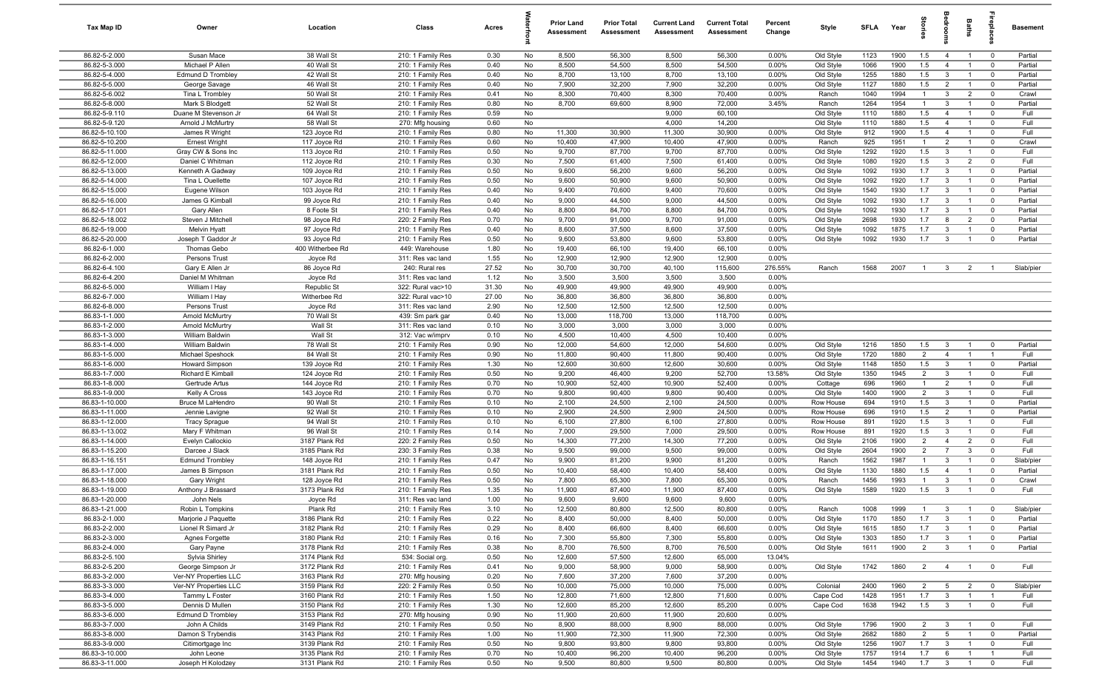| Tax Map ID                      | Owner                                   | Location                       | Class                                  | Acres        |          | <b>Prior Land</b><br>Assessment | <b>Prior Total</b><br>Assessment | <b>Current Land</b><br>Assessment | <b>Current Total</b><br>Assessment | Percent<br>Change | Style                  | <b>SFLA</b>  | Year         | tories                           |                                | Baths                            | epla                                   | <b>Basement</b>      |
|---------------------------------|-----------------------------------------|--------------------------------|----------------------------------------|--------------|----------|---------------------------------|----------------------------------|-----------------------------------|------------------------------------|-------------------|------------------------|--------------|--------------|----------------------------------|--------------------------------|----------------------------------|----------------------------------------|----------------------|
| 86.82-5-2.000                   | Susan Mace                              | 38 Wall St                     | 210: 1 Family Res                      | 0.30         | No       | 8,500                           | 56,300                           | 8,500                             | 56,300                             | $0.00\%$          | Old Style              | 1123         | 1900         | 1.5                              | $\overline{4}$                 | $\overline{1}$                   | $\overline{0}$                         | Partial              |
| 86.82-5-3.000                   | Michael P Allen                         | 40 Wall St                     | 210: 1 Family Res                      | 0.40         | No       | 8,500                           | 54,500                           | 8,500                             | 54,500                             | 0.00%             | Old Style              | 1066         | 1900         | 1.5                              | $\overline{4}$                 | $\overline{1}$                   | $\mathbf 0$                            | Partial              |
| 86.82-5-4.000                   | <b>Edmund D Trombley</b>                | 42 Wall St                     | 210: 1 Family Res                      | 0.40         | No       | 8,700                           | 13,100                           | 8,700                             | 13,100                             | 0.00%             | Old Style              | 1255         | 1880         | 1.5                              | $\mathbf{3}$                   | $\overline{1}$                   | $\mathbf 0$                            | Partial              |
| 86.82-5-5.000                   | George Savage                           | 46 Wall St                     | 210: 1 Family Res                      | 0.40         | No       | 7,900                           | 32,200                           | 7,900                             | 32,200                             | 0.00%             | Old Style              | 1127         | 1880         | 1.5                              | $\overline{2}$                 | $\overline{1}$                   | $\overline{0}$                         | Partial              |
| 86.82-5-6.002                   | Tina L Trombley                         | 50 Wall St                     | 210: 1 Family Res                      | 0.41         | No       | 8,300                           | 70,400                           | 8,300                             | 70,400                             | 0.00%             | Ranch                  | 1040         | 1994         | $\mathbf{1}$                     | $\mathbf{3}$                   | $\overline{2}$                   | $\mathbf 0$                            | Crawl                |
| 86.82-5-8.000<br>86.82-5-9.110  | Mark S Blodgett<br>Duane M Stevenson Jr | 52 Wall St                     | 210: 1 Family Res                      | 0.80         | No<br>No | 8,700                           | 69,600                           | 8,900<br>9,000                    | 72,000<br>60,100                   | 3.45%             | Ranch                  | 1264<br>1110 | 1954<br>1880 | $\mathbf{1}$<br>1.5              | $\mathbf{3}$<br>$\overline{4}$ | $\overline{1}$<br>$\overline{1}$ | $\mathbf 0$<br>$\mathbf 0$             | Partial<br>Full      |
| 86.82-5-9.120                   | Arnold J McMurtry                       | 64 Wall St<br>58 Wall St       | 210: 1 Family Res<br>270: Mfg housing  | 0.59<br>0.60 | No       |                                 |                                  | 4,000                             | 14,200                             |                   | Old Style<br>Old Style | 1110         | 1880         | 1.5                              | $\overline{4}$                 | $\overline{1}$                   | $\mathbf 0$                            | Full                 |
| 86.82-5-10.100                  | James R Wright                          | 123 Joyce Rd                   | 210: 1 Family Res                      | 0.80         | No       | 11,300                          | 30,900                           | 11,300                            | 30,900                             | 0.00%             | Old Style              | 912          | 1900         | 1.5                              | $\overline{4}$                 | $\overline{1}$                   | $\mathbf 0$                            | Full                 |
| 86.82-5-10.200                  | <b>Ernest Wright</b>                    | 117 Joyce Rd                   | 210: 1 Family Res                      | 0.60         | No       | 10,400                          | 47,900                           | 10,400                            | 47,900                             | 0.00%             | Ranch                  | 925          | 1951         | $\overline{1}$                   | $\overline{2}$                 | $\overline{1}$                   | $\mathbf 0$                            | Crawl                |
| 86.82-5-11.000                  | Gray CW & Sons Inc                      | 113 Joyce Rd                   | 210: 1 Family Res                      | 0.50         | No       | 9,700                           | 87,700                           | 9,700                             | 87,700                             | 0.00%             | Old Style              | 1292         | 1920         | 1.5                              | $\mathbf{3}$                   | $\overline{1}$                   | $\mathbf 0$                            | Full                 |
| 86.82-5-12.000                  | Daniel C Whitman                        | 112 Joyce Rd                   | 210: 1 Family Res                      | 0.30         | No       | 7,500                           | 61,400                           | 7,500                             | 61,400                             | 0.00%             | Old Style              | 1080         | 1920         | 1.5                              | $\mathbf{3}$                   | 2                                | $\mathbf 0$                            | Full                 |
| 86.82-5-13.000                  | Kenneth A Gadway                        | 109 Joyce Rd                   | 210: 1 Family Res                      | 0.50         | No       | 9,600                           | 56,200                           | 9,600                             | 56,200                             | 0.00%             | Old Style              | 1092         | 1930         | 1.7                              | $\mathbf{3}$                   | $\overline{1}$                   | $\mathbf 0$                            | Partial              |
| 86.82-5-14.000                  | Tina L Ouellette                        | 107 Joyce Rd                   | 210: 1 Family Res                      | 0.50         | No       | 9,600                           | 50,900                           | 9,600                             | 50,900                             | 0.00%             | Old Style              | 1092         | 1920         | 1.7                              | $\mathbf{3}$                   | $\overline{1}$                   | $\mathbf 0$                            | Partial              |
| 86.82-5-15.000                  | Eugene Wilson                           | 103 Joyce Rd                   | 210: 1 Family Res                      | 0.40         | No       | 9,400                           | 70,600                           | 9,400                             | 70,600                             | 0.00%             | Old Style              | 1540         | 1930         | 1.7                              | $\mathbf{3}$                   | $\overline{1}$                   | $\mathbf 0$                            | Partial              |
| 86.82-5-16.000                  | James G Kimball                         | 99 Joyce Rd                    | 210: 1 Family Res                      | 0.40         | No       | 9,000                           | 44,500                           | 9,000                             | 44,500                             | 0.00%             | Old Style              | 1092         | 1930         | 1.7                              | $\mathbf{3}$                   | $\overline{1}$                   | $\overline{0}$                         | Partial              |
| 86.82-5-17.001                  | Gary Allen                              | 8 Foote St                     | 210: 1 Family Res                      | 0.40         | No       | 8,800                           | 84,700                           | 8,800                             | 84,700                             | 0.00%             | Old Style              | 1092         | 1930         | 1.7                              | $\mathbf{3}$                   |                                  | $\mathbf 0$                            | Partial              |
| 86.82-5-18.002                  | Steven J Mitchel                        | 98 Joyce Rd                    | 220: 2 Family Res                      | 0.70         | No       | 9,700                           | 91,000                           | 9,700                             | 91,000                             | 0.00%             | Old Style              | 2698         | 1930         | 1.7                              | 8                              | $\overline{2}$                   | $\mathbf 0$                            | Partial              |
| 86.82-5-19.000                  | <b>Melvin Hyatt</b>                     | 97 Joyce Rd                    | 210: 1 Family Res                      | 0.40         | No       | 8,600                           | 37,500                           | 8,600                             | 37,500                             | 0.00%             | Old Style              | 1092         | 1875         | 1.7                              | $\mathbf{3}$                   | $\overline{1}$                   | $\Omega$                               | Partial              |
| 86.82-5-20.000                  | Joseph T Gaddor Jr                      | 93 Joyce Rd                    | 210: 1 Family Res                      | 0.50         | No       | 9,600                           | 53,800                           | 9,600                             | 53,800                             | 0.00%             | Old Style              | 1092         | 1930         | 1.7                              | $\overline{\mathbf{3}}$        | $\overline{1}$                   | $\mathbf 0$                            | Partial              |
| 86.82-6-1.000<br>86.82-6-2.000  | Thomas Gebo<br>Persons Trust            | 400 Witherbee Rd<br>Joyce Rd   | 449: Warehouse<br>311: Res vac land    | 1.80<br>1.55 | No<br>No | 19,400<br>12,900                | 66,100<br>12,900                 | 19,400<br>12,900                  | 66,100<br>12,900                   | 0.00%<br>0.00%    |                        |              |              |                                  |                                |                                  |                                        |                      |
| 86.82-6-4.100                   | Gary E Allen Jr                         | 86 Joyce Rd                    | 240: Rural res                         | 27.52        | No       | 30,700                          | 30,700                           | 40,100                            | 115,600                            | 276.55%           | Ranch                  | 1568         | 2007         | $\overline{1}$                   | $\mathbf{3}$                   | $\overline{2}$                   |                                        | Slab/pier            |
| 86.82-6-4.200                   | Daniel M Whitman                        | Joyce Rd                       | 311: Res vac land                      | 1.12         | No       | 3,500                           | 3,500                            | 3,500                             | 3,500                              | 0.00%             |                        |              |              |                                  |                                |                                  |                                        |                      |
| 86.82-6-5.000                   | William I Hay                           | Republic St                    | 322: Rural vac>10                      | 31.30        | No       | 49,900                          | 49,900                           | 49,900                            | 49,900                             | 0.00%             |                        |              |              |                                  |                                |                                  |                                        |                      |
| 86.82-6-7.000                   | William I Hay                           | Witherbee Rd                   | 322: Rural vac>10                      | 27.00        | No       | 36,800                          | 36,800                           | 36,800                            | 36,800                             | 0.00%             |                        |              |              |                                  |                                |                                  |                                        |                      |
| 86.82-6-8.000                   | Persons Trust                           | Joyce Rd                       | 311: Res vac land                      | 2.90         | No       | 12,500                          | 12,500                           | 12,500                            | 12,500                             | 0.00%             |                        |              |              |                                  |                                |                                  |                                        |                      |
| 86.83-1-1.000                   | Arnold McMurtry                         | 70 Wall St                     | 439: Sm park gar                       | 0.40         | No       | 13,000                          | 118,700                          | 13,000                            | 118,700                            | 0.00%             |                        |              |              |                                  |                                |                                  |                                        |                      |
| 86.83-1-2.000                   | <b>Arnold McMurtry</b>                  | Wall St                        | 311: Res vac land                      | 0.10         | No       | 3,000                           | 3,000                            | 3,000                             | 3,000                              | 0.00%             |                        |              |              |                                  |                                |                                  |                                        |                      |
| 86.83-1-3.000                   | William Baldwin                         | Wall St                        | 312: Vac w/imprv                       | 0.10         | No       | 4,500                           | 10,400                           | 4,500                             | 10,400                             | 0.00%             |                        |              |              |                                  |                                |                                  |                                        |                      |
| 86.83-1-4.000                   | William Baldwin                         | 78 Wall St                     | 210: 1 Family Res                      | 0.90         | No       | 12,000                          | 54,600                           | 12,000                            | 54,600                             | 0.00%             | Old Style              | 1216         | 1850         | 1.5                              | $\mathbf{3}$                   | $\overline{1}$                   | $\mathbf 0$                            | Partial              |
| 86.83-1-5.000                   | Michael Speshock                        | 84 Wall St                     | 210: 1 Family Res                      | 0.90         | No       | 11,800                          | 90,400                           | 11,800                            | 90,400                             | 0.00%             | Old Style              | 1720         | 1880         | $\overline{2}$                   | $\overline{4}$                 | $\overline{1}$                   | $\overline{1}$                         | Full                 |
| 86.83-1-6.000                   | <b>Howard Simpson</b>                   | 139 Joyce Rd                   | 210: 1 Family Res                      | 1.30         | No       | 12,600                          | 30,600                           | 12,600                            | 30,600                             | 0.00%             | Old Style              | 1148         | 1850         | 1.5                              | $\overline{\mathbf{3}}$        | $\overline{1}$                   | $\mathbf 0$                            | Partial              |
| 86.83-1-7.000<br>86.83-1-8.000  | Richard E Kimball                       | 124 Joyce Rd<br>144 Joyce Rd   | 210: 1 Family Res<br>210: 1 Family Res | 0.50<br>0.70 | No<br>No | 9,200<br>10,900                 | 46,400<br>52,400                 | 9,200<br>10,900                   | 52,700<br>52,400                   | 13.58%<br>0.00%   | Old Style              | 1350<br>696  | 1945<br>1960 | $\overline{2}$<br>$\overline{1}$ | $\mathbf{3}$<br>$\overline{2}$ | $\overline{1}$<br>$\overline{1}$ | $\mathbf 0$<br>$\mathbf 0$             | Full<br>Full         |
| 86.83-1-9.000                   | Gertrude Artus<br>Kelly A Cross         | 143 Joyce Rd                   | 210: 1 Family Res                      | 0.70         | No       | 9,800                           | 90,400                           | 9,800                             | 90,400                             | 0.00%             | Cottage<br>Old Style   | 1400         | 1900         | $\overline{2}$                   | $\mathbf{3}$                   | $\overline{1}$                   | $\mathbf 0$                            | Full                 |
| 86.83-1-10.000                  | Bruce M LaHendro                        | 90 Wall St                     | 210: 1 Family Res                      | 0.10         | No       | 2,100                           | 24,500                           | 2,100                             | 24,500                             | 0.00%             | Row House              | 694          | 1910         | 1.5                              | $\mathbf{3}$                   | $\overline{1}$                   | $\mathbf 0$                            | Partial              |
| 86.83-1-11.000                  | Jennie Lavigne                          | 92 Wall St                     | 210: 1 Family Res                      | 0.10         | No       | 2,900                           | 24,500                           | 2,900                             | 24,500                             | 0.00%             | Row House              | 696          | 1910         | 1.5                              | 2                              | $\overline{1}$                   | $\overline{0}$                         | Partial              |
| 86.83-1-12.000                  | <b>Tracy Sprague</b>                    | 94 Wall St                     | 210: 1 Family Res                      | 0.10         | No       | 6,100                           | 27,800                           | 6,100                             | 27,800                             | 0.00%             | Row House              | 891          | 1920         | 1.5                              | $\mathbf{3}$                   | $\overline{1}$                   | $\mathbf 0$                            | Full                 |
| 86.83-1-13.002                  | Mary F Whitman                          | 96 Wall St                     | 210: 1 Family Res                      | 0.14         | No       | 7,000                           | 29,500                           | 7,000                             | 29,500                             | 0.00%             | Row House              | 891          | 1920         | 1.5                              | $\mathbf{3}$                   | $\overline{1}$                   | $\mathbf 0$                            | Full                 |
| 86.83-1-14.000                  | Evelyn Callockio                        | 3187 Plank Rd                  | 220: 2 Family Res                      | 0.50         | No       | 14,300                          | 77,200                           | 14,300                            | 77,200                             | 0.00%             | Old Style              | 2106         | 1900         | $\overline{2}$                   | $\overline{4}$                 | $\overline{2}$                   | $\mathbf 0$                            | Full                 |
| 86.83-1-15.200                  | Darcee J Slack                          | 3185 Plank Rd                  | 230: 3 Family Res                      | 0.38         | No       | 9,500                           | 99,000                           | 9,500                             | 99,000                             | 0.00%             | Old Style              | 2604         | 1900         | $\overline{2}$                   | $\overline{7}$                 | $\overline{3}$                   | $\mathbf 0$                            | Full                 |
| 86.83-1-16.151                  | <b>Edmund Trombley</b>                  | 148 Joyce Rd                   | 210: 1 Family Res                      | 0.47         | No       | 9,900                           | 81,200                           | 9,900                             | 81,200                             | 0.00%             | Ranch                  | 1562         | 1987         | $\mathbf{1}$                     | $\mathbf{3}$                   |                                  | $\mathbf 0$                            | Slab/pier            |
| 86.83-1-17.000                  | James B Simpson                         | 3181 Plank Rd                  | 210: 1 Family Res                      | 0.50         | No       | 10,400                          | 58,400                           | 10,400                            | 58,400                             | 0.00%             | Old Style              | 1130         | 1880         | 1.5                              | $\overline{4}$                 | $\overline{1}$                   | $\mathbf 0$                            | Partial              |
| 86.83-1-18.000                  | Gary Wright                             | 128 Joyce Rd                   | 210: 1 Family Res                      | 0.50         | No       | 7,800                           | 65,300                           | 7,800                             | 65,300                             | 0.00%             | Ranch                  | 1456         | 1993         | $\overline{1}$                   | 3                              | $\overline{1}$                   | $\mathbf 0$                            | Crawl                |
| 86.83-1-19.000                  | Anthony J Brassard                      | 3173 Plank Rd                  | 210: 1 Family Res                      | 1.35         | No       | 11,900                          | 87,400                           | 11,900                            | 87,400                             | 0.00%             | Old Style              | 1589         | 1920         | 1.5                              | $\mathbf{3}$                   | $\overline{1}$                   | $\mathbf 0$                            | Full                 |
| 86.83-1-20.000                  | John Nels                               | Joyce Rd                       | 311: Res vac land<br>210: 1 Family Res | 1.00         | No       | 9,600                           | 9,600                            | 9,600                             | 9,600                              | 0.00%             |                        |              |              |                                  |                                |                                  |                                        |                      |
| 86.83-1-21.000<br>86.83-2-1.000 | Robin L Tompkins<br>Marjorie J Paquette | Plank Rd<br>3186 Plank Rd      | 210: 1 Family Res                      | 3.10<br>0.22 | No<br>No | 12,500<br>8,400                 | 80,800<br>50,000                 | 12,500<br>8,400                   | 80,800<br>50,000                   | 0.00%<br>0.00%    | Ranch<br>Old Style     | 1008<br>1170 | 1999<br>1850 | $\overline{1}$<br>1.7            | $\mathbf{3}$<br>$\mathbf{3}$   | $\overline{1}$<br>$\overline{1}$ | $\overline{\mathbf{0}}$<br>$\mathbf 0$ | Slab/pier<br>Partial |
| 86.83-2-2.000                   | Lionel R Simard Jr                      | 3182 Plank Rd                  | 210: 1 Family Res                      | 0.29         | No       | 8,400                           | 66,600                           | 8,400                             | 66,600                             | 0.00%             | Old Style              | 1615         | 1850         | 1.7                              | $\mathbf{3}$                   | $\overline{1}$                   | $\mathbf 0$                            | Partial              |
| 86.83-2-3.000                   | Agnes Forgette                          | 3180 Plank Rd                  | 210: 1 Family Res                      | 0.16         | No       | 7,300                           | 55,800                           | 7,300                             | 55,800                             | 0.00%             | Old Style              | 1303         | 1850         | 1.7                              | $\overline{3}$                 | $\overline{1}$                   | $\overline{0}$                         | Partial              |
| 86.83-2-4.000                   | Gary Payne                              | 3178 Plank Rd                  | 210: 1 Family Res                      | 0.38         | No       | 8,700                           | 76,500                           | 8,700                             | 76,500                             | 0.00%             | Old Style              | 1611         | 1900         | $\overline{2}$                   | $\overline{3}$                 | $\overline{1}$                   | $\mathbf 0$                            | Partial              |
| 86.83-2-5.100                   | Sylvia Shirley                          | 3174 Plank Rd                  | 534: Social org.                       | 0.50         | No       | 12,600                          | 57,500                           | 12,600                            | 65,000                             | 13.04%            |                        |              |              |                                  |                                |                                  |                                        |                      |
| 86.83-2-5.200                   | George Simpson Jr                       | 3172 Plank Rd                  | 210: 1 Family Res                      | 0.41         | No       | 9,000                           | 58,900                           | 9,000                             | 58,900                             | 0.00%             | Old Style              | 1742         | 1860         | $\overline{2}$                   | $\overline{4}$                 | $\overline{1}$                   | $\overline{0}$                         | Full                 |
| 86.83-3-2.000                   | Ver-NY Properties LLC                   | 3163 Plank Rd                  | 270: Mfg housing                       | 0.20         | No       | 7,600                           | 37,200                           | 7,600                             | 37,200                             | 0.00%             |                        |              |              |                                  |                                |                                  |                                        |                      |
| 86.83-3-3.000                   | Ver-NY Properties LLC                   | 3159 Plank Rd                  | 220: 2 Family Res                      | 0.50         | No       | 10,000                          | 75,000                           | 10,000                            | 75,000                             | 0.00%             | Colonial               | 2400         | 1960         | $\overline{2}$                   | $5\overline{5}$                | $\overline{2}$                   | $\overline{\mathbf{0}}$                | Slab/pier            |
| 86.83-3-4.000                   | Tammy L Foster                          | 3160 Plank Rd                  | 210: 1 Family Res                      | 1.50         | No       | 12,800                          | 71,600                           | 12,800                            | 71,600                             | 0.00%             | Cape Cod               | 1428         | 1951         | 1.7                              | $\overline{3}$                 | $\overline{1}$                   | $\overline{1}$                         | Full                 |
| 86.83-3-5.000                   | Dennis D Mullen                         | 3150 Plank Rd                  | 210: 1 Family Res                      | 1.30         | No       | 12,600                          | 85,200                           | 12,600                            | 85,200                             | 0.00%             | Cape Cod               | 1638         | 1942         | 1.5                              | $\overline{\mathbf{3}}$        | $\overline{1}$                   | $\mathbf 0$                            | Full                 |
| 86.83-3-6.000                   | <b>Edmund D Trombley</b>                | 3153 Plank Rd                  | 270: Mfg housing                       | 0.90         | No       | 11,900                          | 20,600                           | 11,900                            | 20,600                             | 0.00%             |                        |              |              |                                  |                                |                                  |                                        |                      |
| 86.83-3-7.000                   | John A Childs                           | 3149 Plank Rd                  | 210: 1 Family Res                      | 0.50         | No       | 8,900                           | 88,000                           | 8,900                             | 88,000                             | 0.00%             | Old Style              | 1796         | 1900         | $\overline{2}$                   | $\overline{\mathbf{3}}$        | $\overline{1}$                   | $\overline{\mathbf{0}}$                | Full                 |
| 86.83-3-8.000                   | Damon S Trybendis                       | 3143 Plank Rd                  | 210: 1 Family Res                      | 1.00         | No       | 11,900                          | 72,300                           | 11,900                            | 72,300                             | 0.00%             | Old Style              | 2682         | 1880         | $\overline{2}$                   | $5\overline{5}$                | $\overline{1}$                   | $\mathbf 0$                            | Partial              |
| 86.83-3-9.000<br>86.83-3-10.000 | Citimortgage Inc<br>John Leone          | 3139 Plank Rd<br>3135 Plank Rd | 210: 1 Family Res                      | 0.50<br>0.70 | No<br>No | 9,800<br>10,400                 | 93,800<br>96,200                 | 9,800<br>10,400                   | 93,800<br>96,200                   | 0.00%<br>0.00%    | Old Style              | 1256<br>1757 | 1907<br>1914 | 1.7<br>1.7                       | $\mathbf{3}$<br>6              | $\overline{1}$<br>$\overline{1}$ | $\mathbf 0$<br>$\overline{1}$          | Full                 |
| 86.83-3-11.000                  | Joseph H Kolodzey                       | 3131 Plank Rd                  | 210: 1 Family Res<br>210: 1 Family Res | 0.50         | No       | 9,500                           | 80,800                           | 9,500                             | 80,800                             | 0.00%             | Old Style<br>Old Style | 1454         | 1940         | 1.7                              | $\overline{\mathbf{3}}$        | $\overline{1}$                   | $\mathbf 0$                            | Full<br>Full         |
|                                 |                                         |                                |                                        |              |          |                                 |                                  |                                   |                                    |                   |                        |              |              |                                  |                                |                                  |                                        |                      |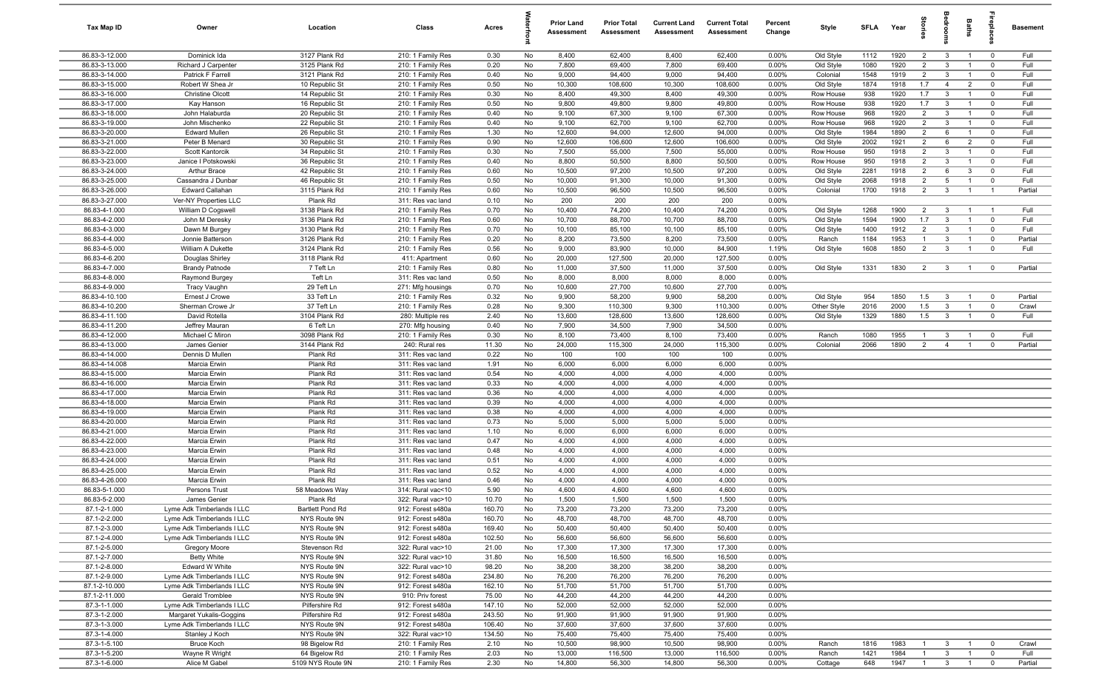| Tax Map ID                       | Owner                                       | Location                         | Class                                  | Acres           |          | <b>Prior Land</b><br>Assessment | <b>Prior Total</b><br>Assessment | <b>Current Land</b><br>Assessment | <b>Current Total</b><br>Assessment | Percent<br>Change | Style                  | <b>SFI A</b> | Year         | tories              | droom                        | Baths          | ireplace                  | <b>Basement</b> |
|----------------------------------|---------------------------------------------|----------------------------------|----------------------------------------|-----------------|----------|---------------------------------|----------------------------------|-----------------------------------|------------------------------------|-------------------|------------------------|--------------|--------------|---------------------|------------------------------|----------------|---------------------------|-----------------|
| 86.83-3-12.000                   | Dominick Ida                                | 3127 Plank Rd                    | 210: 1 Family Res                      | 0.30            | No       | 8,400                           | 62,400                           | 8,400                             | 62,400                             | 0.00%             | Old Style              | 1112         | 1920         | $\overline{2}$      | $\mathbf{3}$                 | $\overline{1}$ | $\overline{0}$            | Full            |
| 86.83-3-13.000                   | Richard J Carpenter                         | 3125 Plank Rd                    | 210: 1 Family Res                      | 0.20            | No       | 7,800                           | 69,400                           | 7,800                             | 69,400                             | 0.00%             | Old Style              | 1080         | 1920         | $\overline{2}$      | $\mathbf{3}$                 | $\overline{1}$ | $\mathbf 0$               | Full            |
| 86.83-3-14.000                   | Patrick F Farrell                           | 3121 Plank Rd                    | 210: 1 Family Res                      | 0.40            | No       | 9,000                           | 94,400                           | 9,000                             | 94,400                             | 0.00%             | Colonial               | 1548         | 1919         | $\overline{2}$      | $\mathbf{3}$                 | $\overline{1}$ | $\mathbf 0$               | Full            |
| 86.83-3-15.000                   | Robert W Shea Jr                            | 10 Republic St                   | 210: 1 Family Res                      | 0.50            | No       | 10,300                          | 108,600                          | 10,300                            | 108,600                            | 0.00%             | Old Style              | 1874         | 1918         | 1.7                 | $\overline{4}$               | $\overline{2}$ | $\mathbf 0$               | Full            |
| 86.83-3-16.000                   | <b>Christine Olcott</b>                     | 14 Republic St                   | 210: 1 Family Res                      | 0.30            | No       | 8,400                           | 49,300                           | 8,400                             | 49,300                             | 0.00%             | Row House              | 938          | 1920         | 1.7                 | $\mathbf{3}$                 |                | $\mathbf 0$               | Full            |
| 86.83-3-17.000                   | Kay Hanson                                  | 16 Republic St                   | 210: 1 Family Res                      | 0.50            | No       | 9,800                           | 49,800                           | 9,800                             | 49,800                             | 0.00%             | Row House              | 938          | 1920         | 1.7                 | $\mathbf{3}$                 |                | $^{\circ}$                | Full            |
| 86.83-3-18.000<br>86.83-3-19.000 | John Halaburda<br>John Mischenko            | 20 Republic St<br>22 Republic St | 210: 1 Family Res<br>210: 1 Family Res | 0.40<br>0.40    | No<br>No | 9,100<br>9,100                  | 67,300<br>62,700                 | 9,100<br>9,100                    | 67,300<br>62,700                   | 0.00%<br>0.00%    | Row House<br>Row House | 968<br>968   | 1920<br>1920 | $\overline{2}$<br>2 | $\mathbf{3}$<br>$\mathbf{3}$ |                | $^{\circ}$<br>$\mathbf 0$ | Full<br>Full    |
| 86.83-3-20.000                   | <b>Edward Mullen</b>                        | 26 Republic St                   | 210: 1 Family Res                      | 1.30            | No       | 12,600                          | 94,000                           | 12,600                            | 94,000                             | 0.00%             | Old Style              | 1984         | 1890         | $\overline{2}$      | 6                            | $\overline{1}$ | $^{\circ}$                | Full            |
| 86.83-3-21.000                   | Peter B Menard                              | 30 Republic St                   | 210: 1 Family Res                      | 0.90            | No       | 12,600                          | 106,600                          | 12,600                            | 106,600                            | 0.00%             | Old Style              | 2002         | 1921         | $\overline{2}$      | 6                            | $\overline{2}$ | $\mathbf 0$               | Full            |
| 86.83-3-22.000                   | Scott Kantorcik                             | 34 Republic St                   | 210: 1 Family Res                      | 0.30            | No       | 7,500                           | 55,000                           | 7,500                             | 55,000                             | 0.00%             | Row House              | 950          | 1918         | $\overline{2}$      | $\mathbf{3}$                 | $\overline{1}$ | $\mathbf 0$               | Full            |
| 86.83-3-23.000                   | Janice I Potskowski                         | 36 Republic St                   | 210: 1 Family Res                      | 0.40            | No       | 8,800                           | 50,500                           | 8,800                             | 50,500                             | 0.00%             | Row House              | 950          | 1918         | 2                   | $\mathbf{3}$                 | $\overline{1}$ | $\mathbf 0$               | Full            |
| 86.83-3-24.000                   | <b>Arthur Brace</b>                         | 42 Republic St                   | 210: 1 Family Res                      | 0.60            | No       | 10,500                          | 97,200                           | 10,500                            | 97,200                             | 0.00%             | Old Style              | 2281         | 1918         | $\overline{2}$      | 6                            | $\mathbf{3}$   | $^{\circ}$                | Full            |
| 86.83-3-25.000                   | Cassandra J Dunbar                          | 46 Republic St                   | 210: 1 Family Res                      | 0.50            | No       | 10,000                          | 91,300                           | 10,000                            | 91,300                             | 0.00%             | Old Style              | 2068         | 1918         | $\overline{2}$      | $5\overline{5}$              | $\overline{1}$ | $\mathbf 0$               | Full            |
| 86.83-3-26.000                   | <b>Edward Callahan</b>                      | 3115 Plank Rd                    | 210: 1 Family Res                      | 0.60            | No       | 10,500                          | 96,500                           | 10,500                            | 96,500                             | 0.00%             | Colonial               | 1700         | 1918         | $\overline{2}$      | $\mathbf{3}$                 | $\overline{1}$ | $\overline{1}$            | Partial         |
| 86.83-3-27.000                   | Ver-NY Properties LLC                       | Plank Rd                         | 311: Res vac land                      | 0.10            | No       | 200                             | 200                              | 200                               | 200                                | 0.00%             |                        |              |              |                     |                              |                |                           |                 |
| 86.83-4-1.000                    | William D Cogswell                          | 3138 Plank Rd                    | 210: 1 Family Res                      | 0.70            | No       | 10,400                          | 74,200                           | 10,400                            | 74,200                             | 0.00%             | Old Style              | 1268         | 1900         | $\overline{2}$      | $\mathbf{3}$                 |                | - 1                       | Full            |
| 86.83-4-2.000                    | John M Deresky                              | 3136 Plank Rd                    | 210: 1 Family Res                      | 0.60            | No       | 10,700                          | 88,700                           | 10,700                            | 88,700                             | 0.00%             | Old Style              | 1594         | 1900         | 1.7                 | $\mathbf{3}$                 |                | $\mathbf 0$               | Full            |
| 86.83-4-3.000                    | Dawn M Burgey                               | 3130 Plank Rd                    | 210: 1 Family Res                      | 0.70            | No       | 10,100                          | 85,100                           | 10,100                            | 85,100                             | 0.00%             | Old Style              | 1400         | 1912         | $\overline{2}$      | $\mathbf{3}$                 |                | $^{\circ}$                | Full            |
| 86.83-4-4.000                    | Jonnie Batterson                            | 3126 Plank Rd                    | 210: 1 Family Res                      | 0.20            | No       | 8,200                           | 73,500                           | 8,200                             | 73,500                             | 0.00%             | Ranch                  | 1184         | 1953         | $\overline{1}$      | $\mathbf{3}$                 |                | $^{\circ}$                | Partial         |
| 86.83-4-5.000                    | William A Dukette                           | 3124 Plank Rd                    | 210: 1 Family Res                      | 0.56            | No       | 9,000                           | 83,900                           | 10,000                            | 84,900                             | 1.19%             | Old Style              | 1608         | 1850         | 2                   | $\mathbf{3}$                 |                | $\mathbf 0$               | Full            |
| 86.83-4-6.200<br>86.83-4-7.000   | Douglas Shirley<br><b>Brandy Patnode</b>    | 3118 Plank Rd<br>7 Teft Ln       | 411: Apartment<br>210: 1 Family Res    | 0.60<br>0.80    | No<br>No | 20,000<br>11,000                | 127,500<br>37,500                | 20,000<br>11,000                  | 127,500<br>37,500                  | 0.00%<br>0.00%    | Old Style              | 1331         | 1830         | 2                   | $\overline{3}$               | $\overline{1}$ | $\mathbf 0$               | Partial         |
| 86.83-4-8.000                    | Raymond Burgey                              | Teft Ln                          | 311: Res vac land                      | 0.50            | No       | 8,000                           | 8,000                            | 8,000                             | 8,000                              | 0.00%             |                        |              |              |                     |                              |                |                           |                 |
| 86.83-4-9.000                    | Tracy Vaughn                                | 29 Teft Ln                       | 271: Mfg housings                      | 0.70            | No       | 10,600                          | 27,700                           | 10,600                            | 27,700                             | 0.00%             |                        |              |              |                     |                              |                |                           |                 |
| 86.83-4-10.100                   | Ernest J Crowe                              | 33 Teft Ln                       | 210: 1 Family Res                      | 0.32            | No       | 9,900                           | 58,200                           | 9,900                             | 58,200                             | 0.00%             | Old Style              | 954          | 1850         | 1.5                 | $\mathbf{3}$                 | $\overline{1}$ | $^{\circ}$                | Partial         |
| 86.83-4-10.200                   | Sherman Crowe Jr                            | 37 Teft Ln                       | 210: 1 Family Res                      | 0.28            | No       | 9,300                           | 110,300                          | 9,300                             | 110,300                            | 0.00%             | Other Style            | 2016         | 2000         | 1.5                 | $\mathbf{3}$                 | $\overline{1}$ | $\mathbf 0$               | Crawl           |
| 86.83-4-11.100                   | David Rotella                               | 3104 Plank Rd                    | 280: Multiple res                      | 2.40            | No       | 13,600                          | 128,600                          | 13,600                            | 128,600                            | 0.00%             | Old Style              | 1329         | 1880         | 1.5                 | $\mathbf{3}$                 | $\overline{1}$ | $\mathbf 0$               | Full            |
| 86.83-4-11.200                   | Jeffrey Mauran                              | 6 Teft Ln                        | 270: Mfg housing                       | 0.40            | No       | 7,900                           | 34,500                           | 7,900                             | 34,500                             | 0.00%             |                        |              |              |                     |                              |                |                           |                 |
| 86.83-4-12.000                   | Michael C Miron                             | 3098 Plank Rd                    | 210: 1 Family Res                      | 0.30            | No       | 8,100                           | 73,400                           | 8,100                             | 73,400                             | 0.00%             | Ranch                  | 1080         | 1955         | 1                   | $\mathbf{3}$                 |                | $^{\circ}$                | Full            |
| 86.83-4-13.000                   | James Genier                                | 3144 Plank Rd                    | 240: Rural res                         | 11.30           | No       | 24,000                          | 115,300                          | 24,000                            | 115,300                            | 0.00%             | Colonial               | 2066         | 1890         | $\overline{2}$      | $\overline{4}$               |                | $^{\circ}$                | Partial         |
| 86.83-4-14.000                   | Dennis D Mullen                             | Plank Rd                         | 311: Res vac land                      | 0.22            | No       | 100                             | 100                              | 100                               | 100                                | 0.00%             |                        |              |              |                     |                              |                |                           |                 |
| 86.83-4-14.008                   | Marcia Erwin                                | Plank Rd                         | 311: Res vac land                      | 1.91            | No       | 6,000                           | 6,000                            | 6,000                             | 6,000                              | 0.00%             |                        |              |              |                     |                              |                |                           |                 |
| 86.83-4-15.000                   | Marcia Erwin                                | Plank Rd                         | 311: Res vac land                      | 0.54            | No       | 4,000                           | 4,000                            | 4,000                             | 4,000                              | 0.00%             |                        |              |              |                     |                              |                |                           |                 |
| 86.83-4-16.000                   | Marcia Erwin                                | Plank Rd                         | 311: Res vac land                      | 0.33            | No       | 4,000                           | 4,000                            | 4,000                             | 4,000                              | 0.00%             |                        |              |              |                     |                              |                |                           |                 |
| 86.83-4-17.000<br>86.83-4-18.000 | Marcia Erwin                                | Plank Rd<br>Plank Rd             | 311: Res vac land                      | 0.36<br>0.39    | No<br>No | 4,000<br>4,000                  | 4,000<br>4,000                   | 4,000<br>4,000                    | 4,000<br>4,000                     | 0.00%<br>0.00%    |                        |              |              |                     |                              |                |                           |                 |
| 86.83-4-19.000                   | Marcia Erwin<br>Marcia Erwin                | Plank Rd                         | 311: Res vac land<br>311: Res vac land | 0.38            | No       | 4,000                           | 4,000                            | 4,000                             | 4,000                              | 0.00%             |                        |              |              |                     |                              |                |                           |                 |
| 86.83-4-20.000                   | Marcia Erwin                                | Plank Rd                         | 311: Res vac land                      | 0.73            | No       | 5,000                           | 5,000                            | 5,000                             | 5,000                              | 0.00%             |                        |              |              |                     |                              |                |                           |                 |
| 86.83-4-21.000                   | Marcia Erwin                                | Plank Rd                         | 311: Res vac land                      | 1.10            | No       | 6,000                           | 6,000                            | 6,000                             | 6,000                              | 0.00%             |                        |              |              |                     |                              |                |                           |                 |
| 86.83-4-22.000                   | Marcia Erwin                                | Plank Rd                         | 311: Res vac land                      | 0.47            | No       | 4,000                           | 4,000                            | 4,000                             | 4,000                              | 0.00%             |                        |              |              |                     |                              |                |                           |                 |
| 86.83-4-23.000                   | Marcia Erwin                                | Plank Rd                         | 311: Res vac land                      | 0.48            | No       | 4,000                           | 4,000                            | 4,000                             | 4,000                              | 0.00%             |                        |              |              |                     |                              |                |                           |                 |
| 86.83-4-24.000                   | Marcia Erwin                                | Plank Rd                         | 311: Res vac land                      | 0.51            | No       | 4,000                           | 4,000                            | 4,000                             | 4,000                              | 0.00%             |                        |              |              |                     |                              |                |                           |                 |
| 86.83-4-25.000                   | Marcia Erwin                                | Plank Rd                         | 311: Res vac land                      | 0.52            | No       | 4,000                           | 4,000                            | 4,000                             | 4,000                              | 0.00%             |                        |              |              |                     |                              |                |                           |                 |
| 86.83-4-26.000                   | Marcia Erwin                                | Plank Rd                         | 311: Res vac land                      | 0.46            | No       | 4,000                           | 4,000                            | 4,000                             | 4,000                              | 0.00%             |                        |              |              |                     |                              |                |                           |                 |
| 86.83-5-1.000                    | Persons Trust                               | 58 Meadows Way                   | 314: Rural vac<10                      | 5.90            | No       | 4,600                           | 4,600                            | 4,600                             | 4,600                              | 0.00%             |                        |              |              |                     |                              |                |                           |                 |
| 86.83-5-2.000                    | James Genier                                | Plank Rd                         | 322: Rural vac>10                      | 10.70           | No       | 1,500                           | 1,500                            | 1,500                             | 1,500                              | $0.00\%$          |                        |              |              |                     |                              |                |                           |                 |
| 87.1-2-1.000                     | Lyme Adk Timberlands I LLC                  | Bartlett Pond Rd                 | 912: Forest s480a                      | 160.70          | No       | 73,200                          | 73,200                           | 73,200                            | 73,200                             | 0.00%             |                        |              |              |                     |                              |                |                           |                 |
| 87.1-2-2.000                     | Lyme Adk Timberlands I LLC                  | NYS Route 9N                     | 912: Forest s480a                      | 160.70          | No       | 48,700                          | 48,700                           | 48,700                            | 48,700                             | 0.00%             |                        |              |              |                     |                              |                |                           |                 |
| 87.1-2-3.000                     | Lyme Adk Timberlands I LLC                  | NYS Route 9N                     | 912: Forest s480a                      | 169.40          | No       | 50,400                          | 50,400                           | 50,400                            | 50,400                             | 0.00%             |                        |              |              |                     |                              |                |                           |                 |
| 87.1-2-4.000<br>87.1-2-5.000     | Lyme Adk Timberlands I LLC<br>Gregory Moore | NYS Route 9N<br>Stevenson Rd     | 912: Forest s480a<br>322: Rural vac>10 | 102.50<br>21.00 | No<br>No | 56,600<br>17,300                | 56,600<br>17,300                 | 56,600<br>17,300                  | 56,600<br>17,300                   | 0.00%<br>0.00%    |                        |              |              |                     |                              |                |                           |                 |
| 87.1-2-7.000                     | <b>Betty White</b>                          | NYS Route 9N                     | 322: Rural vac>10                      | 31.80           | No       | 16,500                          | 16,500                           | 16,500                            | 16,500                             | 0.00%             |                        |              |              |                     |                              |                |                           |                 |
| 87.1-2-8.000                     | Edward W White                              | NYS Route 9N                     | 322: Rural vac>10                      | 98.20           | No       | 38,200                          | 38,200                           | 38,200                            | 38,200                             | 0.00%             |                        |              |              |                     |                              |                |                           |                 |
| 87.1-2-9.000                     | Lyme Adk Timberlands I LLC                  | NYS Route 9N                     | 912: Forest s480a                      | 234.80          | No       | 76,200                          | 76,200                           | 76,200                            | 76,200                             | 0.00%             |                        |              |              |                     |                              |                |                           |                 |
| 87.1-2-10.000                    | Lyme Adk Timberlands I LLC                  | NYS Route 9N                     | 912: Forest s480a                      | 162.10          | No       | 51,700                          | 51,700                           | 51,700                            | 51,700                             | 0.00%             |                        |              |              |                     |                              |                |                           |                 |
| 87.1-2-11.000                    | Gerald Tromblee                             | NYS Route 9N                     | 910: Priv forest                       | 75.00           | No       | 44,200                          | 44,200                           | 44,200                            | 44,200                             | 0.00%             |                        |              |              |                     |                              |                |                           |                 |
| 87.3-1-1.000                     | Lyme Adk Timberlands I LLC                  | Pilfershire Rd                   | 912: Forest s480a                      | 147.10          | No       | 52,000                          | 52,000                           | 52,000                            | 52,000                             | 0.00%             |                        |              |              |                     |                              |                |                           |                 |
| 87.3-1-2.000                     | Margaret Yukalis-Goggins                    | Pilfershire Rd                   | 912: Forest s480a                      | 243.50          | No       | 91,900                          | 91,900                           | 91,900                            | 91,900                             | 0.00%             |                        |              |              |                     |                              |                |                           |                 |
| 87.3-1-3.000                     | Lyme Adk Timberlands I LLC                  | NYS Route 9N                     | 912: Forest s480a                      | 106.40          | No       | 37,600                          | 37,600                           | 37,600                            | 37,600                             | 0.00%             |                        |              |              |                     |                              |                |                           |                 |
| 87.3-1-4.000                     | Stanley J Koch                              | NYS Route 9N                     | 322: Rural vac>10                      | 134.50          | No       | 75,400                          | 75,400                           | 75,400                            | 75,400                             | 0.00%             |                        |              |              |                     |                              |                |                           |                 |
| 87.3-1-5.100                     | Bruce Koch                                  | 98 Bigelow Rd                    | 210: 1 Family Res                      | 2.10            | No       | 10,500                          | 98,900                           | 10,500                            | 98,900                             | 0.00%             | Ranch                  | 1816         | 1983         | $\overline{1}$      | $\mathbf{3}$                 | $\overline{1}$ | $\overline{\mathbf{0}}$   | Crawl           |
| 87.3-1-5.200                     | Wayne R Wright                              | 64 Bigelow Rd                    | 210: 1 Family Res                      | 2.03            | No       | 13,000                          | 116,500                          | 13,000                            | 116,500                            | 0.00%             | Ranch                  | 1421         | 1984         | $\mathbf{1}$        | $\mathbf{3}$                 | $\overline{1}$ | $\overline{0}$            | Full            |
| 87.3-1-6.000                     | Alice M Gabel                               | 5109 NYS Route 9N                | 210: 1 Family Res                      | 2.30            | No       | 14,800                          | 56,300                           | 14,800                            | 56,300                             | 0.00%             | Cottage                | 648          | 1947         | $\overline{1}$      | $\overline{\mathbf{3}}$      | $\overline{1}$ | $\overline{0}$            | Partial         |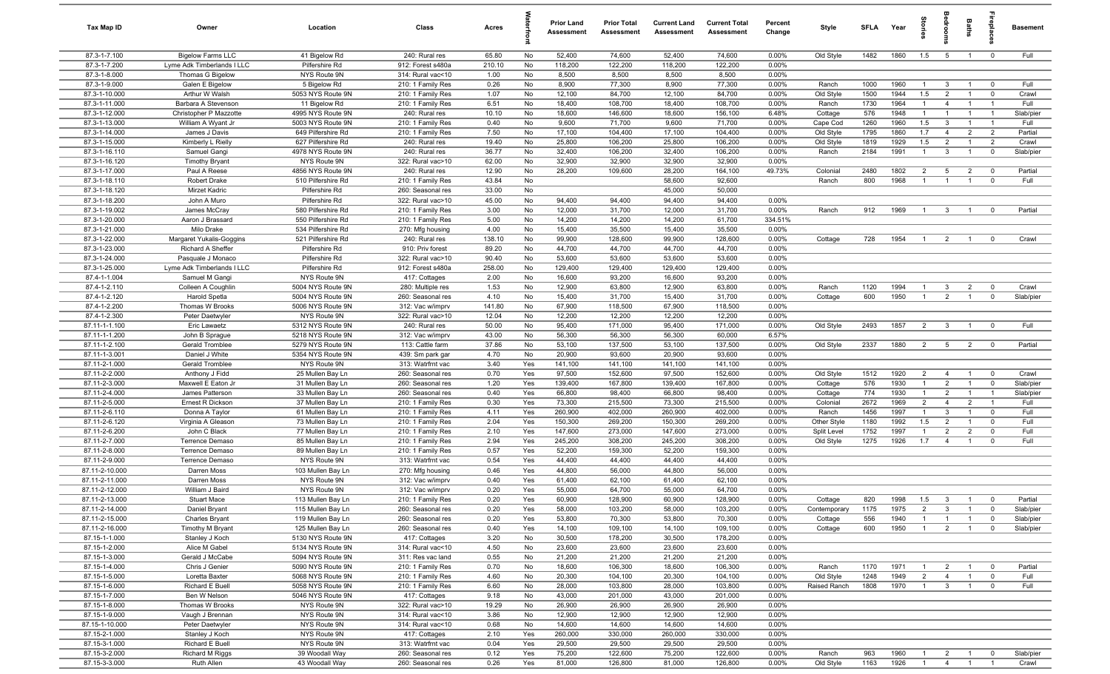| Tax Map ID                      | Owner                                | Location                                | Class                                  | Acres          |            | <b>Prior Land</b><br>Assessment | <b>Prior Total</b><br>Assessment | <b>Current Land</b><br>Assessment | <b>Current Total</b><br>Assessment | Percent<br>Change | Style              | <b>SFLA</b>  | Year         | itories                          | Bedroon                                   | Baths                            | repla                                  | <b>Basement</b>    |
|---------------------------------|--------------------------------------|-----------------------------------------|----------------------------------------|----------------|------------|---------------------------------|----------------------------------|-----------------------------------|------------------------------------|-------------------|--------------------|--------------|--------------|----------------------------------|-------------------------------------------|----------------------------------|----------------------------------------|--------------------|
| 87.3-1-7.100                    | <b>Bigelow Farms LLC</b>             | 41 Bigelow Rd                           | 240: Rural res                         | 65.80          | No         | 52,400                          | 74,600                           | 52,400                            | 74,600                             | 0.00%             | Old Style          | 1482         | 1860         | 1.5                              | $5\overline{5}$                           | $\overline{1}$                   | $\mathbf 0$                            | Full               |
| 87.3-1-7.200                    | Lyme Adk Timberlands I LLC           | Pilfershire Rd                          | 912: Forest s480a                      | 210.10         | No         | 118,200                         | 122,200                          | 118,200                           | 122,200                            | 0.00%             |                    |              |              |                                  |                                           |                                  |                                        |                    |
| 87.3-1-8.000                    | Thomas G Bigelow                     | NYS Route 9N                            | 314: Rural vac<10                      | 1.00           | No         | 8,500<br>8,900                  | 8,500                            | 8,500<br>8,900                    | 8,500                              | 0.00%             |                    |              | 1960         |                                  |                                           | $\overline{1}$                   | $\overline{0}$                         | Full               |
| 87.3-1-9.000<br>87.3-1-10.000   | Galen E Bigelow<br>Arthur W Walsh    | 5 Bigelow Rd<br>5053 NYS Route 9N       | 210: 1 Family Res<br>210: 1 Family Res | 0.26<br>1.07   | No<br>No   | 12,100                          | 77,300<br>84,700                 | 12,100                            | 77,300<br>84,700                   | 0.00%<br>0.00%    | Ranch<br>Old Style | 1000<br>1500 | 1944         | $\overline{1}$<br>1.5            | $\overline{\mathbf{3}}$<br>$\overline{2}$ | $\overline{1}$                   | $\mathbf 0$                            | Crawl              |
| 87.3-1-11.000                   | Barbara A Stevenson                  | 11 Bigelow Rd                           | 210: 1 Family Res                      | 6.51           | No         | 18,400                          | 108,700                          | 18,400                            | 108,700                            | 0.00%             | Ranch              | 1730         | 1964         | $\mathbf{1}$                     | $\overline{4}$                            | $\overline{1}$                   | $\overline{1}$                         | Full               |
| 87.3-1-12.000                   | Christopher P Mazzotte               | 4995 NYS Route 9N                       | 240: Rural res                         | 10.10          | No         | 18,600                          | 146,600                          | 18,600                            | 156,100                            | 6.48%             | Cottage            | 576          | 1948         | $\mathbf{1}$                     | $\overline{1}$                            | $\overline{1}$                   | $\overline{1}$                         | Slab/pier          |
| 87.3-1-13.000                   | William A Wyant Jr                   | 5003 NYS Route 9N                       | 210: 1 Family Res                      | 0.40           | No         | 9,600                           | 71,700                           | 9,600                             | 71,700                             | 0.00%             | Cape Cod           | 1260         | 1960         | 1.5                              | -3                                        | $\mathbf{1}$                     |                                        | Full               |
| 87.3-1-14.000                   | James J Davis                        | 649 Pilfershire Rd                      | 210: 1 Family Res                      | 7.50           | No         | 17,100                          | 104,400                          | 17,100                            | 104,400                            | 0.00%             | Old Style          | 1795         | 1860         | 1.7                              | $\overline{4}$                            | $\overline{2}$                   | $\overline{2}$                         | Partial            |
| 87.3-1-15.000                   | Kimberly L Rielly                    | 627 Pilfershire Rd                      | 240: Rural res                         | 19.40          | No         | 25,800                          | 106,200                          | 25,800                            | 106,200                            | 0.00%             | Old Style          | 1819         | 1929         | 1.5                              | $\overline{2}$                            | $\overline{1}$                   | $\overline{2}$                         | Crawl              |
| 87.3-1-16.110                   | Samuel Gangi                         | 4978 NYS Route 9N                       | 240: Rural res                         | 36.77          | No         | 32,400                          | 106,200                          | 32,400                            | 106,200                            | 0.00%             | Ranch              | 2184         | 1991         | $\overline{1}$                   | $\mathbf{3}$                              | $\overline{1}$                   | $\overline{\mathbf{0}}$                | Slab/pier          |
| 87.3-1-16.120                   | <b>Timothy Bryant</b>                | NYS Route 9N                            | 322: Rural vac>10                      | 62.00          | No         | 32,900                          | 32,900                           | 32,900                            | 32,900                             | 0.00%             |                    |              |              |                                  |                                           |                                  |                                        |                    |
| 87.3-1-17.000<br>87.3-1-18.110  | Paul A Reese<br>Robert Drake         | 4856 NYS Route 9N<br>510 Pilfershire Rd | 240: Rural res<br>210: 1 Family Res    | 12.90<br>43.84 | No<br>No   | 28,200                          | 109,600                          | 28,200<br>58,600                  | 164,100<br>92,600                  | 49.73%            | Colonial<br>Ranch  | 2480<br>800  | 1802<br>1968 | $\overline{2}$<br>$\overline{1}$ | 5<br>$\overline{1}$                       | $\overline{2}$<br>$\overline{1}$ | $\mathbf 0$<br>$\mathbf 0$             | Partial<br>Full    |
| 87.3-1-18.120                   | Mirzet Kadric                        | Pilfershire Rd                          | 260: Seasonal res                      | 33.00          | No         |                                 |                                  | 45,000                            | 50,000                             |                   |                    |              |              |                                  |                                           |                                  |                                        |                    |
| 87.3-1-18.200                   | John A Muro                          | Pilfershire Rd                          | 322: Rural vac>10                      | 45.00          | No         | 94,400                          | 94,400                           | 94,400                            | 94,400                             | 0.00%             |                    |              |              |                                  |                                           |                                  |                                        |                    |
| 87.3-1-19.002                   | James McCray                         | 580 Pilfershire Rd                      | 210: 1 Family Res                      | 3.00           | No         | 12,000                          | 31,700                           | 12,000                            | 31,700                             | 0.00%             | Ranch              | 912          | 1969         | $\overline{1}$                   | $\overline{\mathbf{3}}$                   | $\overline{1}$                   | $\overline{0}$                         | Partial            |
| 87.3-1-20.000                   | Aaron J Brassard                     | 550 Pilfershire Rd                      | 210: 1 Family Res                      | 5.00           | No         | 14,200                          | 14,200                           | 14,200                            | 61,700                             | 334.51%           |                    |              |              |                                  |                                           |                                  |                                        |                    |
| 87.3-1-21.000                   | Milo Drake                           | 534 Pilfershire Rd                      | 270: Mfg housing                       | 4.00           | No         | 15,400                          | 35,500                           | 15,400                            | 35,500                             | 0.00%             |                    |              |              |                                  |                                           |                                  |                                        |                    |
| 87.3-1-22.000                   | Margaret Yukalis-Goggins             | 521 Pilfershire Rd                      | 240: Rural res                         | 138.10         | No         | 99,900                          | 128,600                          | 99,900                            | 128,600                            | 0.00%             | Cottage            | 728          | 1954         | $\overline{1}$                   | $\overline{2}$                            | $\overline{1}$                   | $\mathbf 0$                            | Crawl              |
| 87.3-1-23.000                   | Richard A Sheffer                    | Pilfershire Rd                          | 910: Priv forest                       | 89.20          | No         | 44,700                          | 44,700                           | 44,700                            | 44,700                             | 0.00%             |                    |              |              |                                  |                                           |                                  |                                        |                    |
| 87.3-1-24.000                   | Pasquale J Monaco                    | Pilfershire Rd                          | 322: Rural vac>10                      | 90.40          | No         | 53,600                          | 53,600                           | 53,600                            | 53,600                             | 0.00%             |                    |              |              |                                  |                                           |                                  |                                        |                    |
| 87.3-1-25.000                   | Lyme Adk Timberlands I LLC           | Pilfershire Rd                          | 912: Forest s480a                      | 258.00         | No         | 129,400                         | 129,400                          | 129,400                           | 129,400                            | 0.00%             |                    |              |              |                                  |                                           |                                  |                                        |                    |
| 87.4-1-1.004<br>87.4-1-2.110    | Samuel M Gangi<br>Colleen A Coughlin | NYS Route 9N<br>5004 NYS Route 9N       | 417: Cottages<br>280: Multiple res     | 2.00<br>1.53   | No<br>No   | 16,600<br>12,900                | 93,200<br>63,800                 | 16,600<br>12,900                  | 93,200<br>63,800                   | 0.00%<br>0.00%    | Ranch              | 1120         | 1994         | $\overline{1}$                   | $\mathbf{3}$                              | $\overline{2}$                   | $\mathbf 0$                            | Crawl              |
| 87.4-1-2.120                    | Harold Spetla                        | 5004 NYS Route 9N                       | 260: Seasonal res                      | 4.10           | No         | 15,400                          | 31,700                           | 15,400                            | 31,700                             | 0.00%             | Cottage            | 600          | 1950         | $\overline{1}$                   | 2                                         | $\overline{1}$                   | $\mathbf 0$                            | Slab/pier          |
| 87.4-1-2.200                    | Thomas W Brooks                      | 5006 NYS Route 9N                       | 312: Vac w/imprv                       | 141.80         | No         | 67,900                          | 118,500                          | 67,900                            | 118,500                            | 0.00%             |                    |              |              |                                  |                                           |                                  |                                        |                    |
| 87.4-1-2.300                    | Peter Daetwyler                      | NYS Route 9N                            | 322: Rural vac>10                      | 12.04          | No         | 12,200                          | 12,200                           | 12,200                            | 12,200                             | 0.00%             |                    |              |              |                                  |                                           |                                  |                                        |                    |
| 87.11-1-1.100                   | Eric Lawaetz                         | 5312 NYS Route 9N                       | 240: Rural res                         | 50.00          | No         | 95,400                          | 171,000                          | 95,400                            | 171,000                            | 0.00%             | Old Style          | 2493         | 1857         | $\overline{2}$                   | $\overline{\mathbf{3}}$                   | $\overline{1}$                   | $\mathbf 0$                            | Full               |
| 87.11-1-1.200                   | John B Sprague                       | 5218 NYS Route 9N                       | 312: Vac w/imprv                       | 43.00          | No         | 56,300                          | 56,300                           | 56,300                            | 60,000                             | 6.57%             |                    |              |              |                                  |                                           |                                  |                                        |                    |
| 87.11-1-2.100                   | Gerald Tromblee                      | 5279 NYS Route 9N                       | 113: Cattle farm                       | 37.86          | No         | 53,100                          | 137,500                          | 53,100                            | 137,500                            | 0.00%             | Old Style          | 2337         | 1880         | $\overline{2}$                   | $5\overline{)}$                           | $\overline{2}$                   | $\overline{0}$                         | Partial            |
| 87.11-1-3.001                   | Daniel J White                       | 5354 NYS Route 9N                       | 439: Sm park gar                       | 4.70           | No         | 20,900                          | 93,600                           | 20,900                            | 93,600                             | 0.00%             |                    |              |              |                                  |                                           |                                  |                                        |                    |
| 87.11-2-1.000                   | Gerald Tromblee                      | NYS Route 9N                            | 313: Watrfrnt vac                      | 3.40           | Yes        | 141,100                         | 141,100                          | 141,100                           | 141,100                            | 0.00%             |                    |              |              |                                  |                                           |                                  |                                        |                    |
| 87.11-2-2.000<br>87.11-2-3.000  | Anthony J Fidd<br>Maxwell E Eaton Jr | 25 Mullen Bay Ln<br>31 Mullen Bay Ln    | 260: Seasonal res<br>260: Seasonal res | 0.70<br>1.20   | Yes<br>Yes | 97,500<br>139,400               | 152,600<br>167,800               | 97,500<br>139,400                 | 152,600<br>167,800                 | 0.00%<br>0.00%    | Old Style          | 1512<br>576  | 1920<br>1930 | $\overline{2}$<br>$\overline{1}$ | $\overline{4}$<br>$\overline{2}$          | $\overline{1}$<br>$\overline{1}$ | $\overline{\mathbf{0}}$<br>$\mathbf 0$ | Crawl<br>Slab/pier |
| 87.11-2-4.000                   | James Patterson                      | 33 Mullen Bay Ln                        | 260: Seasonal res                      | 0.40           | Yes        | 66,800                          | 98,400                           | 66,800                            | 98,400                             | 0.00%             | Cottage<br>Cottage | 774          | 1930         | $\overline{1}$                   | $\overline{2}$                            | $\overline{1}$                   | $\overline{1}$                         | Slab/pier          |
| 87.11-2-5.000                   | Ernest R Dickson                     | 37 Mullen Bay Ln                        | 210: 1 Family Res                      | 0.30           | Yes        | 73,300                          | 215,500                          | 73,300                            | 215,500                            | 0.00%             | Colonial           | 2672         | 1969         | $\overline{2}$                   | $\overline{4}$                            | $\overline{2}$                   | $\overline{1}$                         | Full               |
| 87.11-2-6.110                   | Donna A Taylor                       | 61 Mullen Bay Ln                        | 210: 1 Family Res                      | 4.11           | Yes        | 260,900                         | 402,000                          | 260,900                           | 402,000                            | 0.00%             | Ranch              | 1456         | 1997         | $\overline{1}$                   | $\mathbf{3}$                              | $\overline{1}$                   | $\mathbf 0$                            | Full               |
| 87.11-2-6.120                   | Virginia A Gleason                   | 73 Mullen Bay Ln                        | 210: 1 Family Res                      | 2.04           | Yes        | 150,300                         | 269,200                          | 150,300                           | 269,200                            | 0.00%             | Other Style        | 1180         | 1992         | 1.5                              | $\overline{2}$                            | $\overline{1}$                   | $\mathbf 0$                            | Full               |
| 87.11-2-6.200                   | John C Black                         | 77 Mullen Bay Ln                        | 210: 1 Family Res                      | 2.10           | Yes        | 147,600                         | 273,000                          | 147,600                           | 273,000                            | 0.00%             | Split Level        | 1752         | 1997         | $\overline{1}$                   | $\overline{2}$                            | $\overline{2}$                   | $\mathbf 0$                            | Full               |
| 87.11-2-7.000                   | Terrence Demaso                      | 85 Mullen Bay Ln                        | 210: 1 Family Res                      | 2.94           | Yes        | 245,200                         | 308,200                          | 245,200                           | 308,200                            | 0.00%             | Old Style          | 1275         | 1926         | 1.7                              | $\overline{4}$                            | $\overline{1}$                   | $\mathbf 0$                            | Full               |
| 87.11-2-8.000                   | Terrence Demaso                      | 89 Mullen Bay Ln                        | 210: 1 Family Res                      | 0.57           | Yes        | 52,200                          | 159,300                          | 52,200                            | 159,300                            | 0.00%             |                    |              |              |                                  |                                           |                                  |                                        |                    |
| 87.11-2-9.000<br>87.11-2-10.000 | Terrence Demaso<br>Darren Moss       | NYS Route 9N<br>103 Mullen Bay Ln       | 313: Watrfrnt vac                      | 0.54<br>0.46   | Yes<br>Yes | 44,400<br>44,800                | 44,400<br>56,000                 | 44,400<br>44,800                  | 44,400<br>56,000                   | 0.00%<br>0.00%    |                    |              |              |                                  |                                           |                                  |                                        |                    |
| 87.11-2-11.000                  | Darren Moss                          | NYS Route 9N                            | 270: Mfg housing<br>312: Vac w/imprv   | 0.40           | Yes        | 61,400                          | 62,100                           | 61,400                            | 62,100                             | 0.00%             |                    |              |              |                                  |                                           |                                  |                                        |                    |
| 87.11-2-12.000                  | William J Baird                      | NYS Route 9N                            | 312: Vac w/imprv                       | 0.20           | Yes        | 55,000                          | 64,700                           | 55,000                            | 64,700                             | 0.00%             |                    |              |              |                                  |                                           |                                  |                                        |                    |
| 87.11-2-13.000                  | Stuart Mace                          | 113 Mullen Bay Ln                       | 210: 1 Family Res                      | 0.20           | Yes        | 60,900                          | 128,900                          | 60,900                            | 128,900                            | $0.00\%$          | Cottage            | 820          | 1998         | 1.5                              | $\mathbf{3}$                              |                                  |                                        | Partial            |
| 87.11-2-14.000                  | Daniel Bryant                        | 115 Mullen Bay Ln                       | 260: Seasonal res                      | 0.20           | Yes        | 58,000                          | 103,200                          | 58,000                            | 103,200                            | 0.00%             | Contemporary       | 1175         | 1975         | $\overline{2}$                   | $\mathbf{3}$                              | $\overline{1}$                   | $\overline{0}$                         | Slab/pier          |
| 87.11-2-15.000                  | <b>Charles Bryant</b>                | 119 Mullen Bay Ln                       | 260: Seasonal res                      | 0.20           | Yes        | 53,800                          | 70,300                           | 53,800                            | 70,300                             | 0.00%             | Cottage            | 556          | 1940         | $\overline{1}$                   | $\overline{1}$                            | $\overline{1}$                   | $\mathbf 0$                            | Slab/pier          |
| 87.11-2-16.000                  | <b>Timothy M Bryant</b>              | 125 Mullen Bay Ln                       | 260: Seasonal res                      | 0.40           | Yes        | 14,100                          | 109,100                          | 14,100                            | 109,100                            | 0.00%             | Cottage            | 600          | 1950         | $\overline{1}$                   | $\overline{2}$                            | $\overline{1}$                   | $\mathbf{0}$                           | Slab/pier          |
| 87.15-1-1.000                   | Stanley J Koch                       | 5130 NYS Route 9N                       | 417: Cottages                          | 3.20           | No         | 30,500                          | 178,200                          | 30,500                            | 178,200                            | 0.00%             |                    |              |              |                                  |                                           |                                  |                                        |                    |
| 87.15-1-2.000                   | Alice M Gabel                        | 5134 NYS Route 9N                       | 314: Rural vac<10                      | 4.50           | No         | 23,600                          | 23,600                           | 23,600                            | 23,600                             | 0.00%             |                    |              |              |                                  |                                           |                                  |                                        |                    |
| 87.15-1-3.000<br>87.15-1-4.000  | Gerald J McCabe<br>Chris J Genier    | 5094 NYS Route 9N<br>5090 NYS Route 9N  | 311: Res vac land<br>210: 1 Family Res | 0.55<br>0.70   | No<br>No   | 21,200<br>18,600                | 21,200<br>106,300                | 21,200<br>18,600                  | 21,200<br>106,300                  | 0.00%<br>0.00%    | Ranch              | 1170         | 1971         | $\overline{1}$                   | $\overline{2}$                            | $\overline{1}$                   | $\mathbf 0$                            | Partial            |
| 87.15-1-5.000                   | Loretta Baxter                       | 5068 NYS Route 9N                       | 210: 1 Family Res                      | 4.60           | No         | 20,300                          | 104,100                          | 20,300                            | 104,100                            | 0.00%             | Old Style          | 1248         | 1949         | $\overline{2}$                   | $\overline{4}$                            | $\overline{1}$                   | $\mathbf 0$                            | Full               |
| 87.15-1-6.000                   | Richard E Buell                      | 5058 NYS Route 9N                       | 210: 1 Family Res                      | 6.60           | No         | 28,000                          | 103,800                          | 28,000                            | 103,800                            | 0.00%             | Raised Ranch       | 1808         | 1970         | $\overline{1}$                   | $\overline{3}$                            | $\overline{1}$                   | $\mathbf{0}$                           | Full               |
| 87.15-1-7.000                   | Ben W Nelson                         | 5046 NYS Route 9N                       | 417: Cottages                          | 9.18           | No         | 43,000                          | 201,000                          | 43,000                            | 201,000                            | 0.00%             |                    |              |              |                                  |                                           |                                  |                                        |                    |
| 87.15-1-8.000                   | Thomas W Brooks                      | NYS Route 9N                            | 322: Rural vac>10                      | 19.29          | No         | 26,900                          | 26,900                           | 26,900                            | 26,900                             | 0.00%             |                    |              |              |                                  |                                           |                                  |                                        |                    |
| 87.15-1-9.000                   | Vaugh J Brennan                      | NYS Route 9N                            | 314: Rural vac<10                      | 3.86           | No         | 12,900                          | 12,900                           | 12,900                            | 12,900                             | 0.00%             |                    |              |              |                                  |                                           |                                  |                                        |                    |
| 87.15-1-10.000                  | Peter Daetwyler                      | NYS Route 9N                            | 314: Rural vac<10                      | 0.68           | No         | 14,600                          | 14,600                           | 14,600                            | 14,600                             | 0.00%             |                    |              |              |                                  |                                           |                                  |                                        |                    |
| 87.15-2-1.000                   | Stanley J Koch                       | NYS Route 9N                            | 417: Cottages                          | 2.10           | Yes        | 260,000                         | 330,000                          | 260,000                           | 330,000                            | 0.00%             |                    |              |              |                                  |                                           |                                  |                                        |                    |
| 87.15-3-1.000                   | Richard E Buell                      | NYS Route 9N                            | 313: Watrfrnt vac                      | 0.04           | Yes        | 29,500                          | 29,500                           | 29,500                            | 29,500                             | 0.00%             | Ranch              |              |              |                                  |                                           |                                  |                                        |                    |
| 87.15-3-2.000<br>87.15-3-3.000  | <b>Richard M Riggs</b><br>Ruth Allen | 39 Woodall Way<br>43 Woodall Way        | 260: Seasonal res<br>260: Seasonal res | 0.12<br>0.26   | Yes<br>Yes | 75,200<br>81,000                | 122,600<br>126,800               | 75,200<br>81,000                  | 122,600<br>126,800                 | 0.00%<br>0.00%    | Old Style          | 963<br>1163  | 1960<br>1926 | $\overline{1}$<br>$\overline{1}$ | $\overline{2}$<br>$\overline{4}$          | $\overline{1}$<br>$\overline{1}$ | $\mathbf 0$<br>$\overline{1}$          | Slab/pier<br>Crawl |
|                                 |                                      |                                         |                                        |                |            |                                 |                                  |                                   |                                    |                   |                    |              |              |                                  |                                           |                                  |                                        |                    |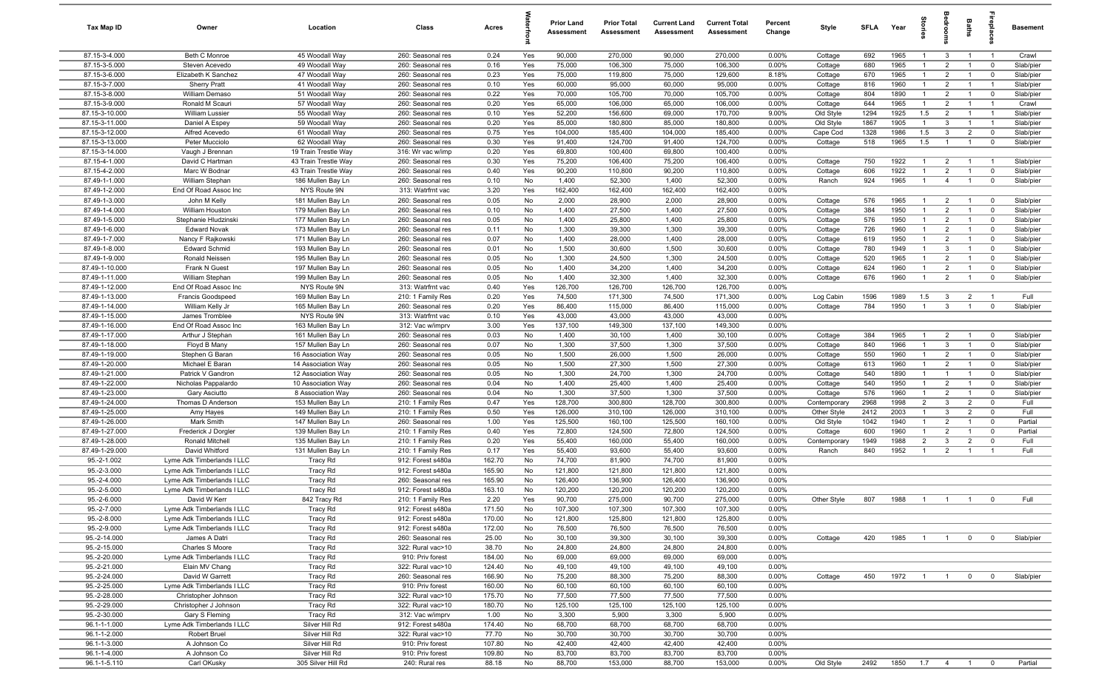| Tax Map ID                       | Owner                                       | Location                                  | Class                                  | Acres           |           | <b>Prior Land</b><br>Assessment | <b>Prior Total</b><br>Assessment | <b>Current Land</b><br>Assessment | <b>Current Total</b><br>Assessment | Percent<br>Change | Style              | <b>SFLA</b> | Year               | tories                           | å                                | Baths                            |                               | <b>Basement</b>        |
|----------------------------------|---------------------------------------------|-------------------------------------------|----------------------------------------|-----------------|-----------|---------------------------------|----------------------------------|-----------------------------------|------------------------------------|-------------------|--------------------|-------------|--------------------|----------------------------------|----------------------------------|----------------------------------|-------------------------------|------------------------|
| 87.15-3-4.000                    | Beth C Monroe                               | 45 Woodall Way                            | 260: Seasonal res                      | 0.24            | Yes       | 90,000                          | 270,000                          | 90,000                            | 270,000                            | $0.00\%$          | Cottage            | 692         | 1965               | $\overline{1}$                   | $\mathbf{3}$                     | $\overline{1}$                   | $\overline{1}$                | Crawl                  |
| 87.15-3-5.000                    | Steven Acevedo                              | 49 Woodall Way                            | 260: Seasonal res                      | 0.16            | Yes       | 75,000                          | 106,300                          | 75,000                            | 106,300                            | 0.00%             | Cottage            | 680         | 1965               | $\overline{1}$                   | $\overline{2}$                   | $\overline{1}$                   | $\mathbf 0$                   | Slab/pier              |
| 87.15-3-6.000                    | Elizabeth K Sanchez                         | 47 Woodall Way                            | 260: Seasonal res                      | 0.23            | Yes       | 75,000                          | 119,800                          | 75,000                            | 129,600                            | 8.18%             | Cottage            | 670         | 1965               | -1                               | $\overline{2}$                   | $\overline{1}$                   | $\mathbf 0$                   | Slab/pier              |
| 87.15-3-7.000                    | <b>Sherry Pratt</b>                         | 41 Woodall Way                            | 260: Seasonal res                      | 0.10            | Yes       | 60,000                          | 95,000                           | 60,000                            | 95,000                             | 0.00%             | Cottage            | 816         | 1960               | $\overline{1}$                   | $\overline{2}$                   | $\overline{1}$                   |                               | Slab/pier              |
| 87.15-3-8.000                    | William Demaso                              | 51 Woodall Way                            | 260: Seasonal res                      | 0.22            | Yes       | 70,000                          | 105,700                          | 70,000                            | 105,700                            | 0.00%             | Cottage            | 804         | 1890               | $\overline{1}$                   | $\overline{2}$                   | $\overline{1}$                   | $\mathbf 0$                   | Slab/pier              |
| 87.15-3-9.000                    | Ronald M Scauri                             | 57 Woodall Way                            | 260: Seasonal res                      | 0.20            | Yes       | 65,000                          | 106,000                          | 65,000                            | 106,000                            | 0.00%             | Cottage            | 644         | 1965               | $\mathbf{1}$                     | $\overline{2}$                   | $\overline{1}$                   |                               | Crawl                  |
| 87.15-3-10.000                   | <b>William Lussier</b>                      | 55 Woodall Way                            | 260: Seasonal res                      | 0.10            | Yes       | 52,200                          | 156,600                          | 69,000                            | 170,700                            | 9.00%             | Old Style          | 1294        | 1925               | 1.5                              | $\overline{2}$                   | $\overline{1}$                   | $\overline{1}$                | Slab/pier              |
| 87.15-3-11.000                   | Daniel A Espey                              | 59 Woodall Way                            | 260: Seasonal res                      | 0.20            | Yes       | 85,000                          | 180,800                          | 85,000                            | 180,800                            | 0.00%             | Old Style          | 1867        | 1905               | $\overline{1}$                   | 3                                | $\overline{1}$                   | $\overline{1}$                | Slab/pier              |
| 87.15-3-12.000                   | Alfred Acevedo                              | 61 Woodall Way                            | 260: Seasonal res                      | 0.75            | Yes       | 104,000                         | 185,400                          | 104,000                           | 185,400                            | 0.00%             | Cape Cod           | 1328        | 1986               | 1.5                              | 3                                | $\overline{2}$                   | $\mathbf 0$                   | Slab/pier              |
| 87.15-3-13.000                   | Peter Mucciolo                              | 62 Woodall Way                            | 260: Seasonal res                      | 0.30            | Yes       | 91,400                          | 124,700                          | 91,400                            | 124,700                            | 0.00%             | Cottage            | 518         | 1965               | 1.5                              | $\overline{1}$                   | $\overline{1}$                   | $\mathbf 0$                   | Slab/pier              |
| 87.15-3-14.000                   | Vaugh J Brennan                             | 19 Train Trestle Way                      | 316: Wr vac w/imp                      | 0.20            | Yes       | 69,800                          | 100,400                          | 69,800                            | 100,400                            | 0.00%             |                    |             |                    |                                  |                                  |                                  |                               |                        |
| 87.15-4-1.000<br>87.15-4-2.000   | David C Hartman                             | 43 Train Trestle Way                      | 260: Seasonal res                      | 0.30<br>0.40    | Yes       | 75,200<br>90,200                | 106,400<br>110,800               | 75,200<br>90,200                  | 106,400<br>110,800                 | 0.00%<br>0.00%    | Cottage            | 750<br>606  | 1922<br>1922       | $\overline{1}$<br>$\overline{1}$ | $\overline{2}$<br>$\overline{2}$ | $\overline{1}$<br>$\overline{1}$ | $\overline{1}$<br>$\mathbf 0$ | Slab/pier<br>Slab/pier |
| 87.49-1-1.000                    | Marc W Bodnar<br>William Stephan            | 43 Train Trestle Way<br>186 Mullen Bay Ln | 260: Seasonal res<br>260: Seasonal res | 0.10            | Yes<br>No | 1,400                           | 52,300                           | 1,400                             | 52,300                             | 0.00%             | Cottage<br>Ranch   | 924         | 1965               | $\overline{1}$                   | $\overline{4}$                   | $\overline{1}$                   | $\mathbf 0$                   | Slab/pier              |
| 87.49-1-2.000                    | End Of Road Assoc Inc                       | NYS Route 9N                              | 313: Watrfrnt vac                      | 3.20            | Yes       | 162,400                         | 162,400                          | 162,400                           | 162,400                            | 0.00%             |                    |             |                    |                                  |                                  |                                  |                               |                        |
| 87.49-1-3.000                    | John M Kelly                                | 181 Mullen Bay Ln                         | 260: Seasonal res                      | 0.05            | No        | 2,000                           | 28,900                           | 2,000                             | 28,900                             | 0.00%             | Cottage            | 576         | 1965               | -1                               | $\overline{2}$                   | $\overline{1}$                   | $\overline{\mathbf{0}}$       | Slab/pier              |
| 87.49-1-4.000                    | William Houston                             | 179 Mullen Bay Ln                         | 260: Seasonal res                      | 0.10            | No        | 1,400                           | 27,500                           | 1,400                             | 27,500                             | 0.00%             | Cottage            | 384         | 1950               |                                  | $\overline{2}$                   | $\mathbf{1}$                     | $\mathbf 0$                   | Slab/pier              |
| 87.49-1-5.000                    | Stephanie Hludzinski                        | 177 Mullen Bay Ln                         | 260: Seasonal res                      | 0.05            | No        | 1,400                           | 25,800                           | 1,400                             | 25,800                             | 0.00%             | Cottage            | 576         | 1950               | -1                               | $\overline{2}$                   | $\overline{1}$                   | $\mathbf 0$                   | Slab/pier              |
| 87.49-1-6.000                    | <b>Edward Novak</b>                         | 173 Mullen Bay Ln                         | 260: Seasonal res                      | 0.11            | No        | 1,300                           | 39,300                           | 1,300                             | 39,300                             | 0.00%             | Cottage            | 726         | 1960               | $\overline{1}$                   | $\overline{2}$                   | $\overline{1}$                   | 0                             | Slab/pier              |
| 87.49-1-7.000                    | Nancy F Rajkowski                           | 171 Mullen Bay Ln                         | 260: Seasonal res                      | 0.07            | No        | 1,400                           | 28,000                           | 1,400                             | 28,000                             | 0.00%             | Cottage            | 619         | 1950               | $\overline{1}$                   | $\overline{2}$                   | $\overline{1}$                   | $\mathbf 0$                   | Slab/pier              |
| 87.49-1-8.000                    | <b>Edward Schmid</b>                        | 193 Mullen Bay Ln                         | 260: Seasonal res                      | 0.01            | No        | 1,500                           | 30,600                           | 1,500                             | 30,600                             | 0.00%             | Cottage            | 780         | 1949               | $\overline{1}$                   | 3                                | $\overline{1}$                   | $\mathbf 0$                   | Slab/pier              |
| 87.49-1-9.000                    | Ronald Neissen                              | 195 Mullen Bay Ln                         | 260: Seasonal res                      | 0.05            | No        | 1,300                           | 24,500                           | 1,300                             | 24,500                             | 0.00%             | Cottage            | 520         | 1965               | $\overline{1}$                   | $\overline{2}$                   | $\overline{1}$                   | $\mathbf 0$                   | Slab/pier              |
| 87.49-1-10.000                   | Frank N Guest                               | 197 Mullen Bay Ln                         | 260: Seasonal res                      | 0.05            | No        | 1,400                           | 34,200                           | 1,400                             | 34,200                             | 0.00%             | Cottage            | 624         | 1960               | $\overline{1}$                   | $\overline{2}$                   | $\overline{1}$                   | $\mathbf 0$                   | Slab/pier              |
| 87.49-1-11.000                   | William Stephan                             | 199 Mullen Bay Ln                         | 260: Seasonal res                      | 0.05            | No        | 1,400                           | 32,300                           | 1,400                             | 32,300                             | 0.00%             | Cottage            | 676         | 1960               | $\overline{1}$                   | $\overline{2}$                   | $\overline{1}$                   | $\mathbf 0$                   | Slab/pier              |
| 87.49-1-12.000                   | End Of Road Assoc Inc                       | NYS Route 9N                              | 313: Watrfrnt vac                      | 0.40            | Yes       | 126,700                         | 126,700                          | 126,700                           | 126,700                            | 0.00%             |                    |             |                    |                                  |                                  |                                  |                               |                        |
| 87.49-1-13.000                   | Francis Goodspeed                           | 169 Mullen Bay Ln                         | 210: 1 Family Res                      | 0.20            | Yes       | 74,500                          | 171,300                          | 74,500                            | 171,300                            | 0.00%             | Log Cabin          | 1596        | 1989               | 1.5                              | $\mathbf{3}$                     | $\overline{2}$                   | $\overline{1}$                | Full                   |
| 87.49-1-14.000                   | William Kelly Jr                            | 165 Mullen Bay Ln                         | 260: Seasonal res                      | 0.20            | Yes       | 86,400                          | 115,000                          | 86,400                            | 115,000                            | 0.00%             | Cottage            | 784         | 1950               | $\overline{1}$                   | $\mathbf{3}$                     | $\overline{1}$                   | $\mathbf 0$                   | Slab/pier              |
| 87.49-1-15.000                   | James Tromblee                              | NYS Route 9N                              | 313: Watrfrnt vac                      | 0.10            | Yes       | 43,000                          | 43,000                           | 43,000                            | 43,000                             | 0.00%             |                    |             |                    |                                  |                                  |                                  |                               |                        |
| 87.49-1-16.000                   | End Of Road Assoc Inc                       | 163 Mullen Bay Ln                         | 312: Vac w/imprv                       | 3.00            | Yes       | 137,100                         | 149,300                          | 137,100                           | 149,300                            | 0.00%             |                    |             |                    |                                  |                                  |                                  |                               |                        |
| 87.49-1-17.000                   | Arthur J Stephan                            | 161 Mullen Bay Ln                         | 260: Seasonal res                      | 0.03            | No        | 1,400                           | 30,100                           | 1,400                             | 30,100                             | 0.00%             | Cottage            | 384         | 1965               | -1                               | $\overline{2}$                   | $\overline{1}$                   | $\mathbf 0$                   | Slab/pier              |
| 87.49-1-18.000                   | Floyd B Many                                | 157 Mullen Bay Ln                         | 260: Seasonal res                      | 0.07            | No        | 1,300                           | 37,500                           | 1,300                             | 37,500                             | 0.00%             | Cottage            | 840         | 1966               | $\mathbf{1}$                     | 3                                | $\mathbf{1}$                     | $\mathbf 0$                   | Slab/pier              |
| 87.49-1-19.000                   | Stephen G Baran                             | 16 Association Way                        | 260: Seasonal res                      | 0.05            | No        | 1,500                           | 26,000                           | 1,500                             | 26,000                             | 0.00%             | Cottage            | 550         | 1960               | $\mathbf{1}$                     | $\overline{2}$                   | $\overline{1}$                   | $\mathbf 0$                   | Slab/pier              |
| 87.49-1-20.000<br>87.49-1-21.000 | Michael E Baran                             | 14 Association Way<br>12 Association Way  | 260: Seasonal res<br>260: Seasonal res | 0.05<br>0.05    | No<br>No  | 1,500<br>1,300                  | 27,300<br>24,700                 | 1,500<br>1,300                    | 27,300<br>24,700                   | 0.00%<br>0.00%    | Cottage            | 613<br>540  | 1960<br>1890       | $\overline{1}$<br>$\overline{1}$ | $\overline{2}$<br>$\overline{1}$ | $\overline{1}$<br>$\overline{1}$ | $\mathbf 0$<br>$\mathbf 0$    | Slab/pier<br>Slab/pier |
| 87.49-1-22.000                   | Patrick V Gandron<br>Nicholas Pappalardo    | 10 Association Way                        | 260: Seasonal res                      | 0.04            | No        | 1,400                           | 25,400                           | 1,400                             | 25,400                             | 0.00%             | Cottage<br>Cottage | 540         | 1950               | $\overline{1}$                   | $\overline{2}$                   | $\overline{1}$                   | $\mathbf 0$                   | Slab/pier              |
| 87.49-1-23.000                   | Gary Asciutto                               | 8 Association Way                         | 260: Seasonal res                      | 0.04            | No        | 1,300                           | 37,500                           | 1,300                             | 37,500                             | 0.00%             | Cottage            | 576         | 1960               | $\overline{1}$                   | $\overline{2}$                   | $\overline{1}$                   | $\mathbf 0$                   | Slab/pier              |
| 87.49-1-24.000                   | Thomas D Anderson                           | 153 Mullen Bay Ln                         | 210: 1 Family Res                      | 0.47            | Yes       | 128,700                         | 300,800                          | 128,700                           | 300,800                            | 0.00%             | Contemporary       | 2968        | 1998               | 2                                | 3                                | $\overline{2}$                   | $\mathbf 0$                   | Full                   |
| 87.49-1-25.000                   | Amy Hayes                                   | 149 Mullen Bay Ln                         | 210: 1 Family Res                      | 0.50            | Yes       | 126,000                         | 310,100                          | 126,000                           | 310,100                            | 0.00%             | Other Style        | 2412        | 2003               | $\overline{1}$                   | $\mathbf{3}$                     | $\overline{2}$                   | $\mathbf 0$                   | Full                   |
| 87.49-1-26.000                   | Mark Smith                                  | 147 Mullen Bay Ln                         | 260: Seasonal res                      | 1.00            | Yes       | 125,500                         | 160,100                          | 125,500                           | 160,100                            | 0.00%             | Old Style          | 1042        | 1940               | $\overline{1}$                   | $\overline{2}$                   | $\mathbf{1}$                     | $\mathbf 0$                   | Partial                |
| 87.49-1-27.000                   | Frederick J Dorgler                         | 139 Mullen Bay Ln                         | 210: 1 Family Res                      | 0.40            | Yes       | 72,800                          | 124,500                          | 72,800                            | 124,500                            | 0.00%             | Cottage            | 600         | 1960               | $\mathbf{1}$                     | $\overline{2}$                   | $\overline{1}$                   | $\mathbf 0$                   | Partial                |
| 87.49-1-28.000                   | Ronald Mitchell                             | 135 Mullen Bay Ln                         | 210: 1 Family Res                      | 0.20            | Yes       | 55,400                          | 160,000                          | 55,400                            | 160,000                            | 0.00%             | Contemporary       | 1949        | 1988               | $\overline{2}$                   | 3                                | $\overline{2}$                   | $\mathbf 0$                   | Full                   |
| 87.49-1-29.000                   | David Whitford                              | 131 Mullen Bay Ln                         | 210: 1 Family Res                      | 0.17            | Yes       | 55,400                          | 93,600                           | 55,400                            | 93,600                             | 0.00%             | Ranch              | 840         | 1952               | $\overline{1}$                   | $\overline{2}$                   | $\overline{1}$                   | $\overline{1}$                | Full                   |
| 95.-2-1.002                      | Lyme Adk Timberlands I LLC                  | <b>Tracy Rd</b>                           | 912: Forest s480a                      | 162.70          | No        | 74,700                          | 81,900                           | 74,700                            | 81,900                             | 0.00%             |                    |             |                    |                                  |                                  |                                  |                               |                        |
| 95.-2-3.000                      | Lyme Adk Timberlands I LLC                  | <b>Tracy Rd</b>                           | 912: Forest s480a                      | 165.90          | No        | 121,800                         | 121,800                          | 121,800                           | 121,800                            | 0.00%             |                    |             |                    |                                  |                                  |                                  |                               |                        |
| 95.-2-4.000                      | Lyme Adk Timberlands I LLC                  | Tracy Rd                                  | 260: Seasonal res                      | 165.90          | No        | 126,400                         | 136,900                          | 126,400                           | 136,900                            | 0.00%             |                    |             |                    |                                  |                                  |                                  |                               |                        |
| 95.-2-5.000                      | Lyme Adk Timberlands I LLC                  | <b>Tracy Rd</b>                           | 912: Forest s480a                      | 163.10          | No        | 120,200                         | 120,200                          | 120,200                           | 120,200                            | 0.00%             |                    |             |                    |                                  |                                  |                                  |                               |                        |
| 95.-2-6.000                      | David W Kerr                                | 842 Tracy Rd                              | 210: 1 Family Res                      | 2.20            | Yes       | 90,700                          | 275,000                          | 90,700                            | 275,000                            | 0.00%             | Other Style        | 807         | 1988               |                                  |                                  |                                  |                               | Full                   |
| 95.-2-7.000                      | Lyme Adk Timberlands I LLC                  | Tracy Rd                                  | 912: Forest s480a                      | 171.50          | No        | 107,300                         | 107,300                          | 107,300                           | 107,300                            | 0.00%             |                    |             |                    |                                  |                                  |                                  |                               |                        |
| 95.-2-8.000                      | Lyme Adk Timberlands I LLC                  | Tracy Rd                                  | 912: Forest s480a                      | 170.00          | No        | 121,800                         | 125,800                          | 121,800                           | 125,800                            | $0.00\%$          |                    |             |                    |                                  |                                  |                                  |                               |                        |
| 95.-2-9.000<br>95.-2-14.000      | Lyme Adk Timberlands I LLC<br>James A Datri | <b>Tracy Rd</b>                           | 912: Forest s480a                      | 172.00<br>25.00 | No        | 76,500                          | 76,500                           | 76,500<br>30,100                  | 76,500<br>39,300                   | 0.00%<br>0.00%    |                    | 420         | 1985               |                                  |                                  |                                  |                               | Slab/pier              |
| 95.-2-15.000                     | Charles S Moore                             | Tracy Rd                                  | 260: Seasonal res<br>322: Rural vac>10 | 38.70           | No<br>No  | 30,100<br>24,800                | 39,300<br>24,800                 | 24,800                            | 24,800                             | 0.00%             | Cottage            |             |                    | $\overline{1}$                   | $\blacksquare$ 1                 | $\overline{0}$                   | $\overline{0}$                |                        |
| 95.-2-20.000                     | Lyme Adk Timberlands I LLC                  | Tracy Rd<br>Tracy Rd                      | 910: Priv forest                       | 184.00          | No        | 69,000                          | 69,000                           | 69,000                            | 69,000                             | 0.00%             |                    |             |                    |                                  |                                  |                                  |                               |                        |
| 95.-2-21.000                     | Elain MV Chang                              | Tracy Rd                                  | 322: Rural vac>10                      | 124.40          | No        | 49,100                          | 49,100                           | 49,100                            | 49,100                             | 0.00%             |                    |             |                    |                                  |                                  |                                  |                               |                        |
| 95.-2-24.000                     | David W Garrett                             | Tracy Rd                                  | 260: Seasonal res                      | 166.90          | No        | 75,200                          | 88,300                           | 75,200                            | 88,300                             | 0.00%             | Cottage            | 450         | 1972               | $\overline{1}$                   | $\overline{1}$                   | $\overline{0}$                   | $\overline{0}$                | Slab/pier              |
| 95.-2-25.000                     | Lyme Adk Timberlands I LLC                  | Tracy Rd                                  | 910: Priv forest                       | 160.00          | No        | 60,100                          | 60,100                           | 60,100                            | 60,100                             | 0.00%             |                    |             |                    |                                  |                                  |                                  |                               |                        |
| 95.-2-28.000                     | Christopher Johnson                         | Tracy Rd                                  | 322: Rural vac>10                      | 175.70          | No        | 77,500                          | 77,500                           | 77,500                            | 77,500                             | 0.00%             |                    |             |                    |                                  |                                  |                                  |                               |                        |
| 95.-2-29.000                     | Christopher J Johnson                       | Tracy Rd                                  | 322: Rural vac>10                      | 180.70          | No        | 125,100                         | 125,100                          | 125,100                           | 125,100                            | 0.00%             |                    |             |                    |                                  |                                  |                                  |                               |                        |
| 95.-2-30.000                     | Gary S Fleming                              | Tracy Rd                                  | 312: Vac w/imprv                       | 1.00            | No        | 3,300                           | 5,900                            | 3,300                             | 5,900                              | 0.00%             |                    |             |                    |                                  |                                  |                                  |                               |                        |
| 96.1-1-1.000                     | Lyme Adk Timberlands I LLC                  | Silver Hill Rd                            | 912: Forest s480a                      | 174.40          | No        | 68,700                          | 68,700                           | 68,700                            | 68,700                             | 0.00%             |                    |             |                    |                                  |                                  |                                  |                               |                        |
| 96.1-1-2.000                     | Robert Bruel                                | Silver Hill Rd                            | 322: Rural vac>10                      | 77.70           | No        | 30,700                          | 30,700                           | 30,700                            | 30,700                             | 0.00%             |                    |             |                    |                                  |                                  |                                  |                               |                        |
| 96.1-1-3.000                     | A Johnson Co                                | Silver Hill Rd                            | 910: Priv forest                       | 107.80          | No        | 42,400                          | 42,400                           | 42,400                            | 42,400                             | 0.00%             |                    |             |                    |                                  |                                  |                                  |                               |                        |
| 96.1-1-4.000                     | A Johnson Co                                | Silver Hill Rd                            | 910: Priv forest                       | 109.80          | No        | 83,700                          | 83,700                           | 83,700                            | 83,700                             | 0.00%             |                    |             |                    |                                  |                                  |                                  |                               |                        |
| 96.1-1-5.110                     | Carl OKusky                                 | 305 Silver Hill Rd                        | 240: Rural res                         | 88.18           | No        | 88,700                          | 153,000                          | 88,700                            | 153,000                            | $0.00\%$          | Old Style          | 2492        | 1850  1.7  4  1  0 |                                  |                                  |                                  |                               | Partial                |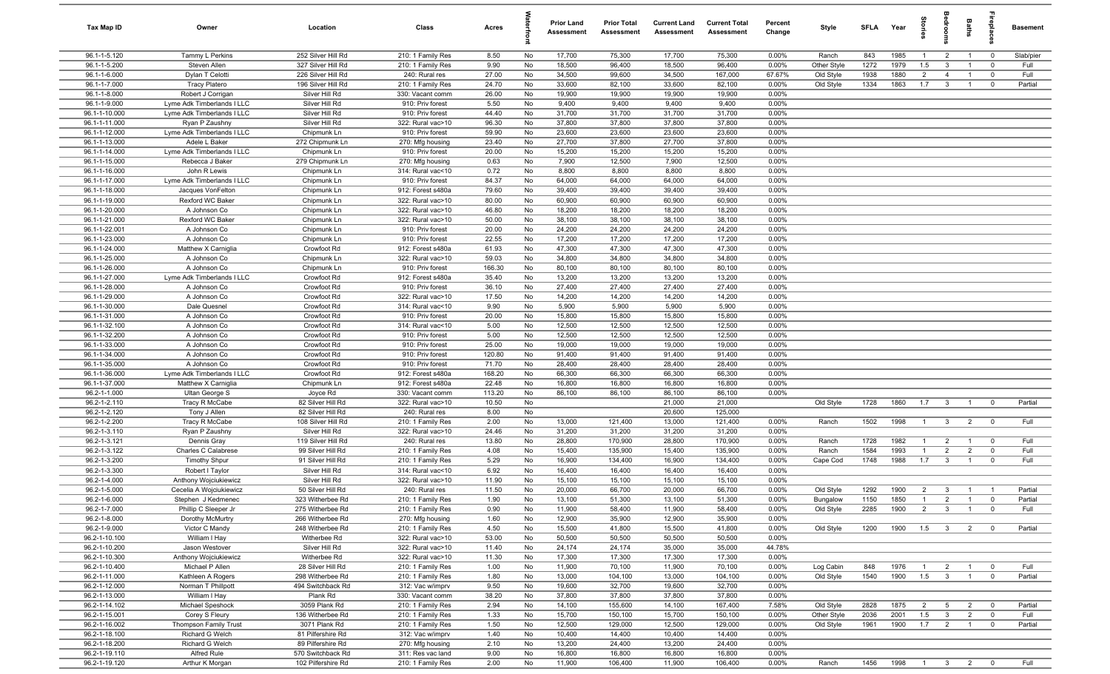| Tax Map ID                     | Owner                                         | Location                                | Class                                  | Acres          |          | <b>Prior Land</b><br>Assessment | <b>Prior Total</b><br>Assessment | <b>Current Land</b><br>Assessment | <b>Current Total</b><br><b>Assessment</b> | Percent<br>Change | Style       | SFI A | Year         | tories         | bedrool                 | Baths          |                         | <b>Basement</b> |
|--------------------------------|-----------------------------------------------|-----------------------------------------|----------------------------------------|----------------|----------|---------------------------------|----------------------------------|-----------------------------------|-------------------------------------------|-------------------|-------------|-------|--------------|----------------|-------------------------|----------------|-------------------------|-----------------|
| 96.1-1-5.120                   | Tammy L Perkins                               | 252 Silver Hill Rd                      | 210: 1 Family Res                      | 8.50           | No       | 17,700                          | 75,300                           | 17,700                            | 75,300                                    | 0.00%             | Ranch       | 843   | 1985         | $\overline{1}$ | $\overline{2}$          | $\overline{1}$ | $\overline{\mathbf{0}}$ | Slab/pier       |
| 96.1-1-5.200                   | Steven Allen                                  | 327 Silver Hill Rd                      | 210: 1 Family Res                      | 9.90           | No       | 18,500                          | 96,400                           | 18,500                            | 96,400                                    | 0.00%             | Other Style | 1272  | 1979         | 1.5            | $\overline{\mathbf{3}}$ | $\overline{1}$ | $\mathbf 0$             | Full            |
| 96.1-1-6.000                   | Dylan T Celotti                               | 226 Silver Hill Rd                      | 240: Rural res                         | 27.00          | No       | 34,500                          | 99,600                           | 34,500                            | 167,000                                   | 67.67%            | Old Style   | 1938  | 1880         | $\overline{2}$ | $\overline{4}$          | $\overline{1}$ | $\mathbf 0$             | Full            |
| 96.1-1-7.000                   | <b>Tracy Platero</b>                          | 196 Silver Hill Rd                      | 210: 1 Family Res                      | 24.70          | No       | 33,600                          | 82,100                           | 33,600                            | 82,100                                    | 0.00%             | Old Style   | 1334  | 1863         | 1.7            | $\overline{\mathbf{3}}$ | $\overline{1}$ | $\mathbf 0$             | Partial         |
| 96.1-1-8.000                   | Robert J Corrigan                             | Silver Hill Rd                          | 330: Vacant comm                       | 26.00          | No       | 19,900                          | 19,900                           | 19,900                            | 19,900                                    | 0.00%             |             |       |              |                |                         |                |                         |                 |
| 96.1-1-9.000                   | Lyme Adk Timberlands I LLC                    | Silver Hill Rd                          | 910: Priv forest                       | 5.50           | No       | 9,400                           | 9,400                            | 9,400                             | 9,400                                     | 0.00%             |             |       |              |                |                         |                |                         |                 |
| 96.1-1-10.000                  | Lyme Adk Timberlands I LLC                    | Silver Hill Rd                          | 910: Priv forest                       | 44.40          | No       | 31,700                          | 31,700                           | 31,700                            | 31,700                                    | 0.00%             |             |       |              |                |                         |                |                         |                 |
| 96.1-1-11.000                  | Ryan P Zaushny                                | Silver Hill Rd                          | 322: Rural vac>10                      | 96.30          | No       | 37,800                          | 37,800                           | 37,800                            | 37,800                                    | 0.00%             |             |       |              |                |                         |                |                         |                 |
| 96.1-1-12.000                  | Lyme Adk Timberlands I LLC                    | Chipmunk Ln                             | 910: Priv forest                       | 59.90          | No       | 23,600                          | 23,600                           | 23,600                            | 23,600                                    | 0.00%             |             |       |              |                |                         |                |                         |                 |
| 96.1-1-13.000                  | Adele L Baker                                 | 272 Chipmunk Ln                         | 270: Mfg housing                       | 23.40          | No       | 27,700                          | 37,800                           | 27,700                            | 37,800                                    | 0.00%             |             |       |              |                |                         |                |                         |                 |
| 96.1-1-14.000<br>96.1-1-15.000 | Lyme Adk Timberlands I LLC<br>Rebecca J Baker | Chipmunk Ln<br>279 Chipmunk Ln          | 910: Priv forest                       | 20.00<br>0.63  | No<br>No | 15,200<br>7,900                 | 15,200<br>12,500                 | 15,200<br>7,900                   | 15,200<br>12,500                          | 0.00%<br>0.00%    |             |       |              |                |                         |                |                         |                 |
| 96.1-1-16.000                  | John R Lewis                                  | Chipmunk Ln                             | 270: Mfg housing<br>314: Rural vac<10  | 0.72           | No       | 8,800                           | 8,800                            | 8,800                             | 8,800                                     | 0.00%             |             |       |              |                |                         |                |                         |                 |
| 96.1-1-17.000                  | Lyme Adk Timberlands I LLC                    | Chipmunk Ln                             | 910: Priv forest                       | 84.37          | No       | 64,000                          | 64,000                           | 64,000                            | 64,000                                    | 0.00%             |             |       |              |                |                         |                |                         |                 |
| 96.1-1-18.000                  | Jacques VonFelton                             | Chipmunk Ln                             | 912: Forest s480a                      | 79.60          | No       | 39,400                          | 39,400                           | 39,400                            | 39,400                                    | 0.00%             |             |       |              |                |                         |                |                         |                 |
| 96.1-1-19.000                  | Rexford WC Baker                              | Chipmunk Ln                             | 322: Rural vac>10                      | 80.00          | No       | 60,900                          | 60,900                           | 60,900                            | 60,900                                    | 0.00%             |             |       |              |                |                         |                |                         |                 |
| 96.1-1-20.000                  | A Johnson Co                                  | Chipmunk Ln                             | 322: Rural vac>10                      | 46.80          | No       | 18,200                          | 18,200                           | 18,200                            | 18,200                                    | 0.00%             |             |       |              |                |                         |                |                         |                 |
| 96.1-1-21.000                  | Rexford WC Baker                              | Chipmunk Ln                             | 322: Rural vac>10                      | 50.00          | No       | 38,100                          | 38,100                           | 38,100                            | 38,100                                    | 0.00%             |             |       |              |                |                         |                |                         |                 |
| 96.1-1-22.001                  | A Johnson Co                                  | Chipmunk Ln                             | 910: Priv forest                       | 20.00          | No       | 24,200                          | 24,200                           | 24,200                            | 24,200                                    | 0.00%             |             |       |              |                |                         |                |                         |                 |
| 96.1-1-23.000                  | A Johnson Co                                  | Chipmunk Ln                             | 910: Priv forest                       | 22.55          | No       | 17,200                          | 17,200                           | 17,200                            | 17,200                                    | 0.00%             |             |       |              |                |                         |                |                         |                 |
| 96.1-1-24.000                  | Matthew X Carniglia                           | Crowfoot Rd                             | 912: Forest s480a                      | 61.93          | No       | 47,300                          | 47,300                           | 47,300                            | 47,300                                    | 0.00%             |             |       |              |                |                         |                |                         |                 |
| 96.1-1-25.000                  | A Johnson Co                                  | Chipmunk Ln                             | 322: Rural vac>10                      | 59.03          | No       | 34,800                          | 34,800                           | 34,800                            | 34,800                                    | 0.00%             |             |       |              |                |                         |                |                         |                 |
| 96.1-1-26.000                  | A Johnson Co                                  | Chipmunk Ln                             | 910: Priv forest                       | 166.30         | No       | 80,100                          | 80,100                           | 80,100                            | 80,100                                    | 0.00%             |             |       |              |                |                         |                |                         |                 |
| 96.1-1-27.000                  | Lyme Adk Timberlands I LLC                    | Crowfoot Rd                             | 912: Forest s480a                      | 35.40          | No       | 13,200                          | 13,200                           | 13,200                            | 13,200                                    | 0.00%             |             |       |              |                |                         |                |                         |                 |
| 96.1-1-28.000<br>96.1-1-29.000 | A Johnson Co<br>A Johnson Co                  | Crowfoot Rd<br>Crowfoot Rd              | 910: Priv forest<br>322: Rural vac>10  | 36.10<br>17.50 | No<br>No | 27,400<br>14,200                | 27,400<br>14,200                 | 27,400<br>14,200                  | 27,400<br>14,200                          | 0.00%<br>0.00%    |             |       |              |                |                         |                |                         |                 |
| 96.1-1-30.000                  | Dale Quesnel                                  | Crowfoot Rd                             | 314: Rural vac<10                      | 9.90           | No       | 5,900                           | 5,900                            | 5,900                             | 5,900                                     | 0.00%             |             |       |              |                |                         |                |                         |                 |
| 96.1-1-31.000                  | A Johnson Co                                  | Crowfoot Rd                             | 910: Priv forest                       | 20.00          | No       | 15,800                          | 15,800                           | 15,800                            | 15,800                                    | 0.00%             |             |       |              |                |                         |                |                         |                 |
| 96.1-1-32.100                  | A Johnson Co                                  | Crowfoot Rd                             | 314: Rural vac<10                      | 5.00           | No       | 12,500                          | 12,500                           | 12,500                            | 12,500                                    | 0.00%             |             |       |              |                |                         |                |                         |                 |
| 96.1-1-32.200                  | A Johnson Co                                  | Crowfoot Rd                             | 910: Priv forest                       | 5.00           | No       | 12,500                          | 12,500                           | 12,500                            | 12,500                                    | 0.00%             |             |       |              |                |                         |                |                         |                 |
| 96.1-1-33.000                  | A Johnson Co                                  | Crowfoot Rd                             | 910: Priv forest                       | 25.00          | No       | 19,000                          | 19,000                           | 19,000                            | 19,000                                    | 0.00%             |             |       |              |                |                         |                |                         |                 |
| 96.1-1-34.000                  | A Johnson Co                                  | Crowfoot Rd                             | 910: Priv forest                       | 120.80         | No       | 91,400                          | 91,400                           | 91,400                            | 91,400                                    | 0.00%             |             |       |              |                |                         |                |                         |                 |
| 96.1-1-35.000                  | A Johnson Co                                  | Crowfoot Rd                             | 910: Priv forest                       | 71.70          | No       | 28,400                          | 28,400                           | 28,400                            | 28,400                                    | 0.00%             |             |       |              |                |                         |                |                         |                 |
| 96.1-1-36.000                  | Lyme Adk Timberlands I LLC                    | Crowfoot Rd                             | 912: Forest s480a                      | 168.20         | No       | 66,300                          | 66,300                           | 66,300                            | 66,300                                    | 0.00%             |             |       |              |                |                         |                |                         |                 |
| 96.1-1-37.000                  | Matthew X Carniglia                           | Chipmunk Ln                             | 912: Forest s480a                      | 22.48          | No       | 16,800                          | 16,800                           | 16,800                            | 16,800                                    | 0.00%             |             |       |              |                |                         |                |                         |                 |
| 96.2-1-1.000                   | Ultan George S                                | Joyce Rd                                | 330: Vacant comm                       | 113.20         | No       | 86,100                          | 86,100                           | 86,100                            | 86,100                                    | 0.00%             |             |       |              |                |                         |                |                         |                 |
| 96.2-1-2.110                   | Tracy R McCabe                                | 82 Silver Hill Rd                       | 322: Rural vac>10                      | 10.50          | No       |                                 |                                  | 21,000                            | 21,000                                    |                   | Old Style   | 1728  | 1860         | 1.7            | $\overline{\mathbf{3}}$ | $\overline{1}$ | $\mathbf 0$             | Partial         |
| 96.2-1-2.120<br>96.2-1-2.200   | Tony J Allen<br>Tracy R McCabe                | 82 Silver Hill Rd<br>108 Silver Hill Rd | 240: Rural res<br>210: 1 Family Res    | 8.00<br>2.00   | No<br>No | 13,000                          | 121,400                          | 20,600<br>13,000                  | 125,000<br>121,400                        | 0.00%             | Ranch       | 1502  | 1998         | $\overline{1}$ | $\mathbf{3}$            | $\overline{2}$ | $\overline{0}$          | Full            |
| 96.2-1-3.110                   | Ryan P Zaushny                                | Silver Hill Rd                          | 322: Rural vac>10                      | 24.46          | No       | 31,200                          | 31,200                           | 31,200                            | 31,200                                    | 0.00%             |             |       |              |                |                         |                |                         |                 |
| 96.2-1-3.121                   | Dennis Gray                                   | 119 Silver Hill Rd                      | 240: Rural res                         | 13.80          | No       | 28,800                          | 170,900                          | 28,800                            | 170,900                                   | 0.00%             | Ranch       | 1728  | 1982         | $\overline{1}$ | $\overline{2}$          | $\overline{1}$ | $\overline{\mathbf{0}}$ | Full            |
| 96.2-1-3.122                   | Charles C Calabrese                           | 99 Silver Hill Rd                       | 210: 1 Family Res                      | 4.08           | No       | 15,400                          | 135,900                          | 15,400                            | 135,900                                   | 0.00%             | Ranch       | 1584  | 1993         | $\mathbf{1}$   | $\overline{2}$          | $\overline{2}$ | $\mathbf 0$             | Full            |
| 96.2-1-3.200                   | <b>Timothy Shpur</b>                          | 91 Silver Hill Rd                       | 210: 1 Family Res                      | 5.29           | No       | 16,900                          | 134,400                          | 16,900                            | 134,400                                   | 0.00%             | Cape Cod    | 1748  | 1988         | 1.7            | $\overline{\mathbf{3}}$ | $\overline{1}$ | $\mathbf 0$             | Full            |
| 96.2-1-3.300                   | Robert I Taylor                               | Silver Hill Rd                          | 314: Rural vac<10                      | 6.92           | No       | 16,400                          | 16,400                           | 16,400                            | 16,400                                    | 0.00%             |             |       |              |                |                         |                |                         |                 |
| 96.2-1-4.000                   | Anthony Wojciukiewicz                         | Silver Hill Rd                          | 322: Rural vac>10                      | 11.90          | No       | 15,100                          | 15,100                           | 15,100                            | 15,100                                    | 0.00%             |             |       |              |                |                         |                |                         |                 |
| 96.2-1-5.000                   | Cecelia A Wojciukiewicz                       | 50 Silver Hill Rd                       | 240: Rural res                         | 11.50          | No       | 20,000                          | 66,700                           | 20,000                            | 66,700                                    | 0.00%             | Old Style   | 1292  | 1900         | $\overline{2}$ | $\mathbf{3}$            | $\overline{1}$ | $\overline{1}$          | Partial         |
| 96.2-1-6.000                   | Stephen J Kedmenec                            | 323 Witherbee Rd                        | 210: 1 Family Res                      | 1.90           | No       | 13,100                          | 51,300                           | 13,100                            | 51,300                                    | 0.00%             | Bungalow    | 1150  | 1850         | $\overline{1}$ | $\overline{2}$          | $\mathbf{1}$   | 0                       | Partial         |
| 96.2-1-7.000                   | Phillip C Sleeper Jr                          | 275 Witherbee Rd                        | 210: 1 Family Res                      | 0.90           | No       | 11,900                          | 58,400                           | 11,900                            | 58,400                                    | 0.00%             | Old Style   | 2285  | 1900         | $\overline{2}$ | $\mathbf{3}$            | $\overline{1}$ | $\mathbf 0$             | Full            |
| 96.2-1-8.000                   | Dorothy McMurtry                              | 266 Witherbee Rd                        | 270: Mfg housing                       | 1.60           | No       | 12,900                          | 35,900                           | 12,900                            | 35,900                                    | 0.00%             |             |       |              |                |                         |                |                         |                 |
| 96.2-1-9.000                   | Victor C Mandy                                | 248 Witherbee Rd                        | 210: 1 Family Res                      | 4.50           | No       | 15,500                          | 41,800                           | 15,500                            | 41,800                                    | 0.00%             | Old Style   | 1200  | 1900         | 1.5            | $\overline{\mathbf{3}}$ | $\overline{2}$ | $\overline{0}$          | Partial         |
| 96.2-1-10.100<br>96.2-1-10.200 | William I Hay                                 | Witherbee Rd<br>Silver Hill Rd          | 322: Rural vac>10<br>322: Rural vac>10 | 53.00          | No<br>No | 50,500<br>24,174                | 50,500<br>24,174                 | 50,500<br>35,000                  | 50,500<br>35,000                          | 0.00%<br>44.78%   |             |       |              |                |                         |                |                         |                 |
| 96.2-1-10.300                  | Jason Westover<br>Anthony Wojciukiewicz       | Witherbee Rd                            | 322: Rural vac>10                      | 11.40<br>11.30 | No       | 17,300                          | 17,300                           | 17,300                            | 17,300                                    | 0.00%             |             |       |              |                |                         |                |                         |                 |
| 96.2-1-10.400                  | Michael P Allen                               | 28 Silver Hill Rd                       | 210: 1 Family Res                      | 1.00           | No       | 11,900                          | 70,100                           | 11,900                            | 70,100                                    | 0.00%             | Log Cabin   | 848   | 1976         | $\overline{1}$ | $\overline{2}$          | $\overline{1}$ | $\mathbf 0$             | Full            |
| 96.2-1-11.000                  | Kathleen A Rogers                             | 298 Witherbee Rd                        | 210: 1 Family Res                      | 1.80           | No       | 13,000                          | 104,100                          | 13,000                            | 104,100                                   | 0.00%             | Old Style   | 1540  | 1900         | 1.5            | $\overline{\mathbf{3}}$ | $\overline{1}$ | $\mathbf 0$             | Partial         |
| 96.2-1-12.000                  | Norman T Phillpott                            | 494 Switchback Rd                       | 312: Vac w/imprv                       | 9.50           | No       | 19,600                          | 32,700                           | 19,600                            | 32,700                                    | 0.00%             |             |       |              |                |                         |                |                         |                 |
| 96.2-1-13.000                  | William I Hay                                 | Plank Rd                                | 330: Vacant comm                       | 38.20          | No       | 37,800                          | 37,800                           | 37,800                            | 37,800                                    | 0.00%             |             |       |              |                |                         |                |                         |                 |
| 96.2-1-14.102                  | Michael Speshock                              | 3059 Plank Rd                           | 210: 1 Family Res                      | 2.94           | No       | 14,100                          | 155,600                          | 14,100                            | 167,400                                   | 7.58%             | Old Style   | 2828  | 1875         | $\overline{2}$ | $5^{\circ}$             | $\overline{2}$ | $\overline{\mathbf{0}}$ | Partial         |
| 96.2-1-15.001                  | Corey S Fleury                                | 136 Witherbee Rd                        | 210: 1 Family Res                      | 1.33           | No       | 15,700                          | 150,100                          | 15,700                            | 150,100                                   | 0.00%             | Other Style | 2036  | 2001         | 1.5            | $\overline{3}$          | $\overline{2}$ | $\mathbf 0$             | Full            |
| 96.2-1-16.002                  | Thompson Family Trust                         | 3071 Plank Rd                           | 210: 1 Family Res                      | 1.50           | No       | 12,500                          | 129,000                          | 12,500                            | 129,000                                   | 0.00%             | Old Style   | 1961  | 1900         | 1.7            | $\overline{2}$          | $\overline{1}$ | $\mathbf 0$             | Partial         |
| 96.2-1-18.100                  | Richard G Welch                               | 81 Pilfershire Rd                       | 312: Vac w/imprv                       | 1.40           | No       | 10,400                          | 14,400                           | 10,400                            | 14,400                                    | 0.00%             |             |       |              |                |                         |                |                         |                 |
| 96.2-1-18.200                  | Richard G Welch                               | 89 Pilfershire Rd                       | 270: Mfg housing                       | 2.10           | No       | 13,200                          | 24,400                           | 13,200                            | 24,400                                    | 0.00%             |             |       |              |                |                         |                |                         |                 |
| 96.2-1-19.110                  | <b>Alfred Rule</b>                            | 570 Switchback Rd                       | 311: Res vac land                      | 9.00           | No       | 16,800                          | 16,800                           | 16,800                            | 16,800                                    | 0.00%             |             |       |              |                |                         |                |                         |                 |
| 96.2-1-19.120                  | Arthur K Morgan                               | 102 Pilfershire Rd                      | 210: 1 Family Res                      | 2.00           | No       | 11,900                          | 106,400                          | 11,900                            | 106,400                                   | $0.00\%$          | Ranch       | 1456  | 1998 1 3 2 0 |                |                         |                |                         | Full            |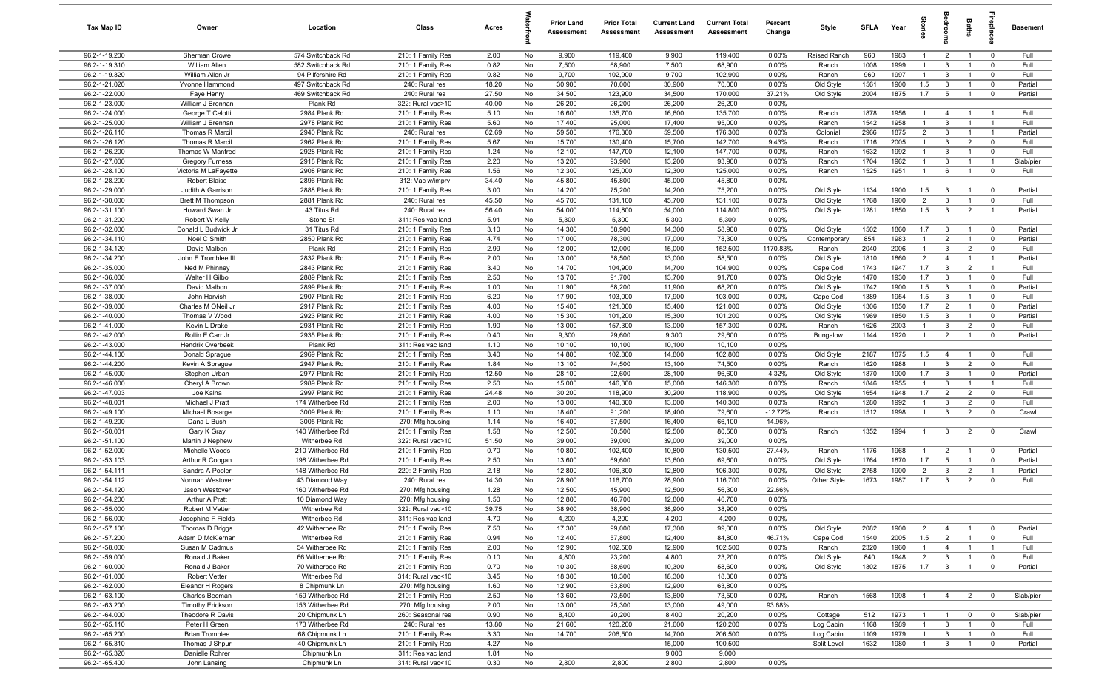| Tax Map ID                     | Owner                                     | Location                             | Class                                  | Acres        |          | <b>Prior Land</b><br>Assessment | <b>Prior Total</b><br>Assessment | <b>Current Land</b><br>Assessment | <b>Current Total</b><br>Assessment | Percent<br>Change | Style                  | <b>SFLA</b>  | Year         |                                  | groo                           | Baths                            | epla                         | Basement           |
|--------------------------------|-------------------------------------------|--------------------------------------|----------------------------------------|--------------|----------|---------------------------------|----------------------------------|-----------------------------------|------------------------------------|-------------------|------------------------|--------------|--------------|----------------------------------|--------------------------------|----------------------------------|------------------------------|--------------------|
| 96.2-1-19.200                  | Sherman Crowe                             | 574 Switchback Rd                    | 210: 1 Family Res                      | 2.00         | No       | 9,900                           | 119,400                          | 9,900                             | 119,400                            | 0.00%             | Raised Ranch           | 960          | 1983         | $\overline{1}$                   | $\overline{2}$                 | $\overline{1}$                   | $\mathbf 0$                  | Full               |
| 96.2-1-19.310                  | William Allen                             | 582 Switchback Rd                    | 210: 1 Family Res                      | 0.82         | No       | 7,500                           | 68,900                           | 7,500                             | 68,900                             | 0.00%             | Ranch                  | 1008         | 1999         | $\overline{1}$                   | $\mathbf{3}$                   | $\overline{1}$                   | $^{\circ}$                   | Full               |
| 96.2-1-19.320                  | William Allen Jr                          | 94 Pilfershire Rd                    | 210: 1 Family Res                      | 0.82         | No       | 9,700                           | 102,900                          | 9,700                             | 102,900                            | 0.00%             | Ranch                  | 960          | 1997         | $\mathbf{1}$                     | $\mathbf{3}$                   | $\overline{1}$                   | $\mathbf 0$                  | Full               |
| 96.2-1-21.020                  | Yvonne Hammond                            | 497 Switchback Rd                    | 240: Rural res                         | 18.20        | No       | 30,900                          | 70,000                           | 30,900                            | 70,000                             | 0.00%             | Old Style              | 1561         | 1900         | 1.5                              | $\mathbf{3}$                   |                                  | $\mathbf 0$                  | Partial            |
| 96.2-1-22.000                  | Faye Henry                                | 469 Switchback Rd                    | 240: Rural res                         | 27.50        | No       | 34,500                          | 123,900                          | 34,500                            | 170,000                            | 37.21%            | Old Style              | 2004         | 1875         | 1.7                              | 5                              |                                  | $\mathbf 0$                  | Partial            |
| 96.2-1-23.000                  | William J Brennan                         | Plank Rd                             | 322: Rural vac>10                      | 40.00        | No       | 26,200                          | 26,200                           | 26,200                            | 26,200                             | 0.00%             |                        |              |              |                                  |                                |                                  |                              |                    |
| 96.2-1-24.000<br>96.2-1-25.000 | George T Celotti<br>William J Brennan     | 2984 Plank Rd<br>2978 Plank Rd       | 210: 1 Family Res<br>210: 1 Family Res | 5.10<br>5.60 | No<br>No | 16,600<br>17,400                | 135,700<br>95,000                | 16,600<br>17,400                  | 135,700<br>95,000                  | 0.00%<br>0.00%    | Ranch<br>Ranch         | 1878<br>1542 | 1956<br>1958 | $\overline{1}$<br>$\overline{1}$ | $\overline{4}$<br>$\mathbf{3}$ | $\overline{1}$<br>$\overline{1}$ | - 1<br>$\overline{1}$        | Full<br>Full       |
| 96.2-1-26.110                  | Thomas R Marcil                           | 2940 Plank Rd                        | 240: Rural res                         | 62.69        | No       | 59,500                          | 176,300                          | 59,500                            | 176,300                            | 0.00%             | Colonial               | 2966         | 1875         | $\overline{2}$                   | $\mathbf{3}$                   | $\overline{1}$                   | $\overline{1}$               | Partial            |
| 96.2-1-26.120                  | Thomas R Marcil                           | 2962 Plank Rd                        | 210: 1 Family Res                      | 5.67         | No       | 15,700                          | 130,400                          | 15,700                            | 142,700                            | 9.43%             | Ranch                  | 1716         | 2005         | $\overline{1}$                   | $\mathbf{3}$                   | $\overline{2}$                   | $\mathbf 0$                  | Full               |
| 96.2-1-26.200                  | Thomas W Manfred                          | 2928 Plank Rd                        | 210: 1 Family Res                      | 1.24         | No       | 12,100                          | 147,700                          | 12,100                            | 147,700                            | 0.00%             | Ranch                  | 1632         | 1992         | $\overline{1}$                   | $\mathbf{3}$                   | $\overline{1}$                   | $^{\circ}$                   | Full               |
| 96.2-1-27.000                  | <b>Gregory Furness</b>                    | 2918 Plank Rd                        | 210: 1 Family Res                      | 2.20         | No       | 13,200                          | 93,900                           | 13,200                            | 93,900                             | 0.00%             | Ranch                  | 1704         | 1962         | $\overline{1}$                   | $\mathbf{3}$                   | $\overline{1}$                   | $\overline{1}$               | Slab/pier          |
| 96.2-1-28.100                  | Victoria M LaFayette                      | 2908 Plank Rd                        | 210: 1 Family Res                      | 1.56         | No       | 12,300                          | 125,000                          | 12,300                            | 125,000                            | 0.00%             | Ranch                  | 1525         | 1951         | $\overline{1}$                   | 6                              | $\overline{1}$                   | $^{\circ}$                   | Full               |
| 96.2-1-28.200                  | Robert Blaise                             | 2896 Plank Rd                        | 312: Vac w/imprv                       | 34.40        | No       | 45,800                          | 45,800                           | 45,000                            | 45,800                             | 0.00%             |                        |              |              |                                  |                                |                                  |                              |                    |
| 96.2-1-29.000                  | Judith A Garrison                         | 2888 Plank Rd                        | 210: 1 Family Res                      | 3.00         | No       | 14,200                          | 75,200                           | 14,200                            | 75,200                             | 0.00%             | Old Style              | 1134         | 1900         | 1.5                              | $\mathbf{3}$                   | $\overline{1}$                   | $^{\circ}$                   | Partial            |
| 96.2-1-30.000                  | <b>Brett M Thompson</b>                   | 2881 Plank Rd                        | 240: Rural res                         | 45.50        | No       | 45,700                          | 131,100                          | 45,700                            | 131,100                            | 0.00%             | Old Style              | 1768         | 1900         | 2                                | $\mathbf{3}$                   |                                  | $\mathbf 0$                  | Full               |
| 96.2-1-31.100                  | Howard Swan Jr                            | 43 Titus Rd                          | 240: Rural res                         | 56.40        | No       | 54,000                          | 114,800                          | 54,000                            | 114,800                            | 0.00%             | Old Style              | 1281         | 1850         | 1.5                              | $\mathbf{3}$                   | $\overline{2}$                   |                              | Partial            |
| 96.2-1-31.200                  | Robert W Kelly                            | Stone St                             | 311: Res vac land                      | 5.91         | No       | 5,300                           | 5,300                            | 5,300                             | 5,300                              | 0.00%             |                        |              |              |                                  |                                |                                  |                              |                    |
| 96.2-1-32.000                  | Donald L Budwick Jr                       | 31 Titus Rd                          | 210: 1 Family Res                      | 3.10         | No       | 14,300                          | 58,900                           | 14,300                            | 58,900                             | 0.00%             | Old Style              | 1502         | 1860         | 1.7                              | $\mathbf{3}$                   |                                  | $\mathbf 0$                  | Partial            |
| 96.2-1-34.110                  | Noel C Smith                              | 2850 Plank Rd                        | 210: 1 Family Res                      | 4.74         | No       | 17,000                          | 78,300                           | 17,000                            | 78,300                             | 0.00%             | Contemporary           | 854          | 1983         | $\overline{1}$                   | $\overline{2}$                 | $\overline{1}$                   | $\mathbf 0$                  | Partial            |
| 96.2-1-34.120                  | David Malbon                              | Plank Rd                             | 210: 1 Family Res                      | 2.99         | No       | 12,000                          | 12,000                           | 15,000                            | 152,500                            | 1170.83%          | Ranch                  | 2040         | 2006         | $\overline{1}$                   | $\mathbf{3}$                   | $\overline{2}$                   | $\mathbf 0$                  | Full               |
| 96.2-1-34.200                  | John F Tromblee III                       | 2832 Plank Rd                        | 210: 1 Family Res                      | 2.00         | No       | 13,000                          | 58,500                           | 13,000                            | 58,500                             | 0.00%             | Old Style              | 1810         | 1860         | $\overline{2}$                   | $\overline{4}$                 | $\overline{1}$                   | $\overline{1}$               | Partial            |
| 96.2-1-35.000                  | Ned M Phinney                             | 2843 Plank Rd                        | 210: 1 Family Res                      | 3.40         | No       | 14,700                          | 104,900                          | 14,700                            | 104,900                            | 0.00%             | Cape Cod               | 1743         | 1947         | 1.7                              | $\mathbf{3}$                   | $\overline{2}$                   | $\overline{1}$               | Full               |
| 96.2-1-36.000                  | Walter H Gilbo                            | 2889 Plank Rd                        | 210: 1 Family Res                      | 2.50         | No       | 13,700                          | 91,700                           | 13,700                            | 91,700                             | $0.00\%$          | Old Style              | 1470         | 1930         | 1.7                              | $\mathbf{3}$                   | $\overline{1}$                   | $^{\circ}$                   | Full               |
| 96.2-1-37.000                  | David Malbon                              | 2899 Plank Rd                        | 210: 1 Family Res                      | 1.00         | No       | 11,900                          | 68,200                           | 11,900                            | 68,200                             | 0.00%             | Old Style              | 1742         | 1900         | 1.5                              | $\mathbf{3}$                   | $\overline{1}$                   | $\mathbf 0$                  | Partial            |
| 96.2-1-38.000<br>96.2-1-39.000 | John Harvish                              | 2907 Plank Rd<br>2917 Plank Rd       | 210: 1 Family Res                      | 6.20         | No       | 17,900                          | 103,000                          | 17,900                            | 103,000                            | 0.00%             | Cape Cod               | 1389         | 1954<br>1850 | 1.5<br>1.7                       | $\mathbf{3}$<br>$\overline{2}$ | $\overline{1}$<br>$\overline{1}$ | $^{\circ}$<br>$\mathbf 0$    | Full<br>Partial    |
| 96.2-1-40.000                  | Charles M ONeil Jr<br>Thomas V Wood       | 2923 Plank Rd                        | 210: 1 Family Res<br>210: 1 Family Res | 4.00<br>4.00 | No<br>No | 15,400<br>15,300                | 121,000<br>101,200               | 15,400<br>15,300                  | 121,000<br>101,200                 | 0.00%<br>0.00%    | Old Style<br>Old Style | 1306<br>1969 | 1850         | 1.5                              | $\mathbf{3}$                   |                                  | $\mathbf 0$                  | Partial            |
| 96.2-1-41.000                  | Kevin L Drake                             | 2931 Plank Rd                        | 210: 1 Family Res                      | 1.90         | No       | 13,000                          | 157,300                          | 13,000                            | 157,300                            | 0.00%             | Ranch                  | 1626         | 2003         | $\mathbf{1}$                     | $\mathbf{3}$                   | $\overline{2}$                   | $\mathbf 0$                  | Full               |
| 96.2-1-42.000                  | Rollin E Carr Jr                          | 2935 Plank Rd                        | 210: 1 Family Res                      | 0.40         | No       | 9,300                           | 29,600                           | 9,300                             | 29,600                             | 0.00%             | Bungalow               | 1144         | 1920         | $\overline{1}$                   | $\overline{2}$                 |                                  | $^{\circ}$                   | Partial            |
| 96.2-1-43.000                  | Hendrik Overbeek                          | Plank Rd                             | 311: Res vac land                      | 1.10         | No       | 10,100                          | 10,100                           | 10,100                            | 10,100                             | 0.00%             |                        |              |              |                                  |                                |                                  |                              |                    |
| 96.2-1-44.100                  | Donald Sprague                            | 2969 Plank Rd                        | 210: 1 Family Res                      | 3.40         | No       | 14,800                          | 102,800                          | 14,800                            | 102,800                            | 0.00%             | Old Style              | 2187         | 1875         | 1.5                              | $\overline{4}$                 | $\overline{1}$                   | $^{\circ}$                   | Full               |
| 96.2-1-44.200                  | Kevin A Sprague                           | 2947 Plank Rd                        | 210: 1 Family Res                      | 1.84         | No       | 13,100                          | 74,500                           | 13,100                            | 74,500                             | 0.00%             | Ranch                  | 1620         | 1988         | $\mathbf{1}$                     | $\mathbf{3}$                   | $\overline{2}$                   | $\mathbf 0$                  | Full               |
| 96.2-1-45.000                  | Stephen Urban                             | 2977 Plank Rd                        | 210: 1 Family Res                      | 12.50        | No       | 28,100                          | 92,600                           | 28,100                            | 96,600                             | 4.32%             | Old Style              | 1870         | 1900         | 1.7                              | $\mathbf{3}$                   | $\overline{1}$                   | $\mathbf 0$                  | Partial            |
| 96.2-1-46.000                  | Cheryl A Brown                            | 2989 Plank Rd                        | 210: 1 Family Res                      | 2.50         | No       | 15,000                          | 146,300                          | 15,000                            | 146,300                            | 0.00%             | Ranch                  | 1846         | 1955         | $\overline{1}$                   | 3                              | $\overline{1}$                   | $\overline{1}$               | Full               |
| 96.2-1-47.003                  | Joe Kalna                                 | 2997 Plank Rd                        | 210: 1 Family Res                      | 24.48        | No       | 30,200                          | 118,900                          | 30,200                            | 118,900                            | 0.00%             | Old Style              | 1654         | 1948         | 1.7                              | $\overline{2}$                 | $\overline{2}$                   | $\mathbf 0$                  | Full               |
| 96.2-1-48.001                  | Michael J Pratt                           | 174 Witherbee Rd                     | 210: 1 Family Res                      | 2.00         | No       | 13,000                          | 140,300                          | 13,000                            | 140,300                            | 0.00%             | Ranch                  | 1280         | 1992         | $\overline{1}$                   | $\mathbf{3}$                   | $\overline{2}$                   | $\overline{0}$               | Full               |
| 96.2-1-49.100                  | Michael Bosarge                           | 3009 Plank Rd                        | 210: 1 Family Res                      | 1.10         | No       | 18,400                          | 91,200                           | 18,400                            | 79,600                             | $-12.72%$         | Ranch                  | 1512         | 1998         | $\overline{1}$                   | $\mathbf{3}$                   | $\overline{2}$                   | $\mathbf 0$                  | Crawl              |
| 96.2-1-49.200                  | Dana L Bush                               | 3005 Plank Rd                        | 270: Mfg housing                       | 1.14         | No       | 16,400                          | 57,500                           | 16,400                            | 66,100                             | 14.96%            |                        |              |              |                                  |                                |                                  |                              |                    |
| 96.2-1-50.001                  | Gary K Gray                               | 140 Witherbee Rd                     | 210: 1 Family Res                      | 1.58         | No       | 12,500                          | 80,500                           | 12,500                            | 80,500                             | 0.00%             | Ranch                  | 1352         | 1994         | $\overline{1}$                   | $\mathbf{3}$                   | $\overline{2}$                   | $\mathbf 0$                  | Crawl              |
| 96.2-1-51.100                  | Martin J Nephew                           | Witherbee Rd                         | 322: Rural vac>10                      | 51.50        | No       | 39,000                          | 39,000                           | 39,000                            | 39,000                             | 0.00%<br>27.44%   |                        |              |              |                                  |                                |                                  |                              |                    |
| 96.2-1-52.000<br>96.2-1-53.103 | Michelle Woods<br>Arthur R Coogan         | 210 Witherbee Rd<br>198 Witherbee Rd | 210: 1 Family Res<br>210: 1 Family Res | 0.70<br>2.50 | No<br>No | 10,800<br>13,600                | 102,400<br>69,600                | 10,800<br>13,600                  | 130,500<br>69,600                  | 0.00%             | Ranch                  | 1176<br>1764 | 1968<br>1870 | $\mathbf{1}$<br>1.7              | $\overline{2}$<br>5            | $\mathbf{1}$                     | $\overline{0}$<br>$^{\circ}$ | Partial<br>Partial |
| 96.2-1-54.111                  | Sandra A Pooler                           | 148 Witherbee Rd                     | 220: 2 Family Res                      | 2.18         | No       | 12,800                          | 106,300                          | 12,800                            | 106,300                            | 0.00%             | Old Style<br>Old Style | 2758         | 1900         | $\overline{2}$                   | $\mathbf{3}$                   | $\overline{2}$                   | - 1                          | Partial            |
| 96.2-1-54.112                  | Norman Westover                           | 43 Diamond Way                       | 240: Rural res                         | 14.30        | No       | 28,900                          | 116,700                          | 28,900                            | 116,700                            | 0.00%             | Other Style            | 1673         | 1987         | 1.7                              | $\mathbf{3}$                   | $\overline{2}$                   | $\Omega$                     | Full               |
| 96.2-1-54.120                  | Jason Westover                            | 160 Witherbee Rd                     | 270: Mfg housing                       | 1.28         | No       | 12,500                          | 45,900                           | 12,500                            | 56,300                             | 22.66%            |                        |              |              |                                  |                                |                                  |                              |                    |
| 96.2-1-54.200                  | Arthur A Pratt                            | 10 Diamond Way                       | 270: Mfg housing                       | 1.50         | No       | 12,800                          | 46,700                           | 12,800                            | 46,700                             | $0.00\%$          |                        |              |              |                                  |                                |                                  |                              |                    |
| 96.2-1-55.000                  | Robert M Vetter                           | Witherbee Rd                         | 322: Rural vac>10                      | 39.75        | No       | 38,900                          | 38,900                           | 38,900                            | 38,900                             | 0.00%             |                        |              |              |                                  |                                |                                  |                              |                    |
| 96.2-1-56.000                  | Josephine F Fields                        | Witherbee Rd                         | 311: Res vac land                      | 4.70         | No       | 4,200                           | 4,200                            | 4,200                             | 4,200                              | 0.00%             |                        |              |              |                                  |                                |                                  |                              |                    |
| 96.2-1-57.100                  | Thomas D Briggs                           | 42 Witherbee Rd                      | 210: 1 Family Res                      | 7.50         | No       | 17,300                          | 99,000                           | 17,300                            | 99,000                             | 0.00%             | Old Style              | 2082         | 1900         | $\overline{2}$                   | $\overline{4}$                 | $\mathbf{1}$                     | $\mathbf 0$                  | Partial            |
| 96.2-1-57.200                  | Adam D McKiernan                          | Witherbee Rd                         | 210: 1 Family Res                      | 0.94         | No       | 12,400                          | 57,800                           | 12,400                            | 84,800                             | 46.71%            | Cape Cod               | 1540         | 2005         | 1.5                              | $\overline{2}$                 | $\mathbf{1}$                     | $\mathbf 0$                  | Full               |
| 96.2-1-58.000                  | Susan M Cadmus                            | 54 Witherbee Rd                      | 210: 1 Family Res                      | 2.00         | No       | 12,900                          | 102,500                          | 12,900                            | 102,500                            | 0.00%             | Ranch                  | 2320         | 1960         | $\overline{1}$                   | $\overline{4}$                 | $\overline{1}$                   | $\overline{1}$               | Full               |
| 96.2-1-59.000                  | Ronald J Baker                            | 66 Witherbee Rd                      | 210: 1 Family Res                      | 0.10         | No       | 4,800                           | 23,200                           | 4,800                             | 23,200                             | 0.00%             | Old Style              | 840          | 1948         | $\overline{2}$                   | $\mathbf{3}$                   | $\mathbf{1}$                     | $\mathbf 0$                  | Full               |
| 96.2-1-60.000                  | Ronald J Baker                            | 70 Witherbee Rd                      | 210: 1 Family Res                      | 0.70         | No       | 10,300                          | 58,600                           | 10,300                            | 58,600                             | 0.00%             | Old Style              | 1302         | 1875         | 1.7                              | $\overline{3}$                 |                                  | $\mathbf 0$                  | Partial            |
| 96.2-1-61.000                  | Robert Vetter                             | Witherbee Rd                         | 314: Rural vac<10                      | 3.45         | No       | 18,300                          | 18,300                           | 18,300                            | 18,300                             | 0.00%             |                        |              |              |                                  |                                |                                  |                              |                    |
| 96.2-1-62.000                  | Eleanor H Rogers                          | 8 Chipmunk Ln                        | 270: Mfg housing                       | 1.60         | No       | 12,900<br>13,600                | 63,800                           | 12,900                            | 63,800                             | 0.00%             |                        |              | 1998         | $\overline{1}$                   |                                |                                  |                              |                    |
| 96.2-1-63.100<br>96.2-1-63.200 | Charles Beeman<br><b>Timothy Erickson</b> | 159 Witherbee Rd<br>153 Witherbee Rd | 210: 1 Family Res<br>270: Mfg housing  | 2.50<br>2.00 | No<br>No | 13,000                          | 73,500<br>25,300                 | 13,600<br>13,000                  | 73,500<br>49,000                   | 0.00%<br>93.68%   | Ranch                  | 1568         |              |                                  | $\overline{4}$                 | $\overline{2}$                   | $\overline{\mathbf{0}}$      | Slab/pier          |
| 96.2-1-64.000                  | Theodore R Davis                          | 20 Chipmunk Ln                       | 260: Seasonal res                      | 0.90         | No       | 8,400                           | 20,200                           | 8,400                             | 20,200                             | 0.00%             | Cottage                | 512          | 1973         | $\overline{1}$                   | $\overline{1}$                 | $\mathbf 0$                      | $\overline{0}$               | Slab/pier          |
| 96.2-1-65.110                  | Peter H Green                             | 173 Witherbee Rd                     | 240: Rural res                         | 13.80        | No       | 21,600                          | 120,200                          | 21,600                            | 120,200                            | 0.00%             | Log Cabin              | 1168         | 1989         | $\overline{1}$                   | $\mathbf{3}$                   | $\overline{1}$                   | $\overline{0}$               | Full               |
| 96.2-1-65.200                  | <b>Brian Tromblee</b>                     | 68 Chipmunk Ln                       | 210: 1 Family Res                      | 3.30         | No       | 14,700                          | 206,500                          | 14,700                            | 206,500                            | $0.00\%$          | Log Cabin              | 1109         | 1979         | $\mathbf{1}$                     | $\mathbf{3}$                   | $\overline{1}$                   | $\mathbf 0$                  | Full               |
| 96.2-1-65.310                  | Thomas J Shpur                            | 40 Chipmunk Ln                       | 210: 1 Family Res                      | 4.27         | No       |                                 |                                  | 15,000                            | 100,500                            |                   | Split Level            | 1632         | 1980         | $\overline{1}$                   | $\mathbf{3}$                   | $\mathbf{1}$                     | $\mathbf 0$                  | Partial            |
| 96.2-1-65.320                  | Danielle Rohrer                           | Chipmunk Ln                          | 311: Res vac land                      | 1.81         | No       |                                 |                                  | 9,000                             | 9,000                              |                   |                        |              |              |                                  |                                |                                  |                              |                    |
| 96.2-1-65.400                  | John Lansing                              | Chipmunk Ln                          | 314: Rural vac<10                      | 0.30         | No       | 2,800                           | 2,800                            | 2,800                             | 2,800                              | 0.00%             |                        |              |              |                                  |                                |                                  |                              |                    |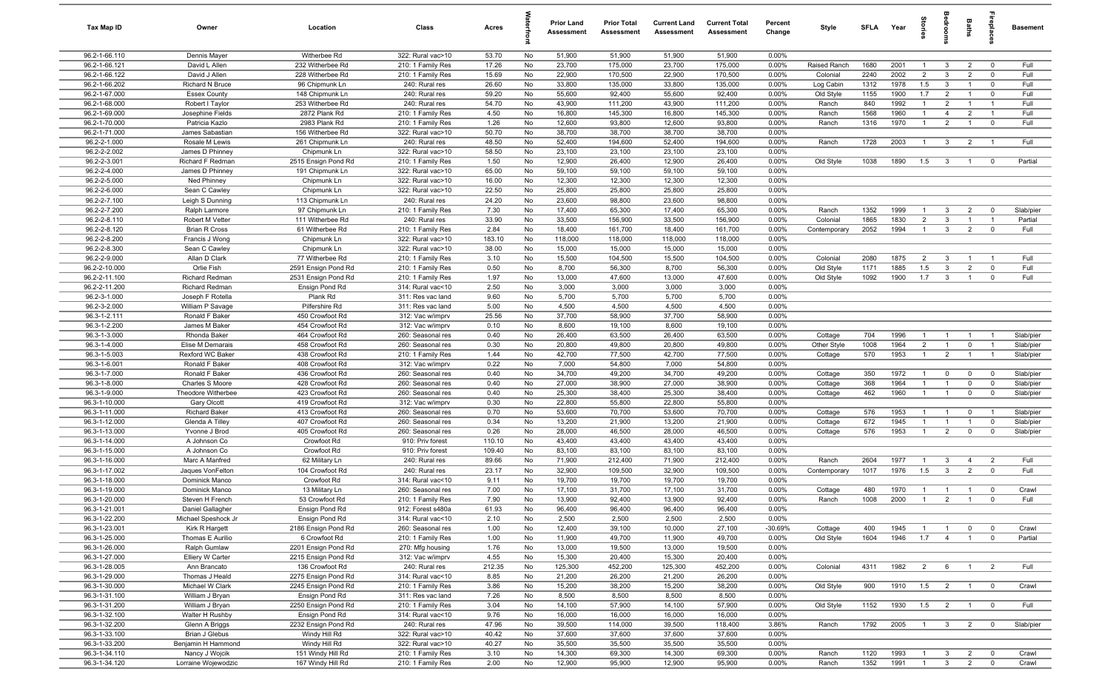| Tax Map ID                     | Owner                                          | Location                               | Class                                  | Acres          |          | <b>Prior Land</b><br>Assessment | <b>Prior Total</b><br>Assessment | <b>Current Land</b><br>Assessment | <b>Current Total</b><br>Assessment | Percent<br>Change | Style              | <b>SFLA</b> | Year         | ğ                                | drooi                   | Baths                         | <b>Gebla</b>              | <b>Basement</b>        |
|--------------------------------|------------------------------------------------|----------------------------------------|----------------------------------------|----------------|----------|---------------------------------|----------------------------------|-----------------------------------|------------------------------------|-------------------|--------------------|-------------|--------------|----------------------------------|-------------------------|-------------------------------|---------------------------|------------------------|
| 96.2-1-66.110                  | Dennis Mayer                                   | Witherbee Rd                           | 322: Rural vac>10                      | 53.70          | No       | 51,900                          | 51,900                           | 51,900                            | 51,900                             | 0.00%             |                    |             |              |                                  |                         |                               |                           |                        |
| 96.2-1-66.121                  | David L Allen                                  | 232 Witherbee Rd                       | 210: 1 Family Res                      | 17.26          | No       | 23,700                          | 175,000                          | 23,700                            | 175,000                            | 0.00%             | Raised Ranch       | 1680        | 2001         | $\overline{1}$                   | $\mathbf{3}$            | $\overline{2}$                | $\mathbf 0$               | Full                   |
| 96.2-1-66.122                  | David J Allen                                  | 228 Witherbee Rd                       | 210: 1 Family Res                      | 15.69          | No       | 22,900                          | 170,500                          | 22,900                            | 170,500                            | 0.00%             | Colonial           | 2240        | 2002         | $\overline{2}$                   | $\mathbf{3}$            | $\overline{2}$                | $^{\circ}$                | Full                   |
| 96.2-1-66.202                  | Richard N Bruce                                | 96 Chipmunk Ln                         | 240: Rural res                         | 26.60          | No       | 33,800                          | 135,000                          | 33,800                            | 135,000                            | 0.00%             | Log Cabin          | 1312        | 1978         | 1.5                              | $\mathbf{3}$            |                               | $\Omega$                  | Full                   |
| 96.2-1-67.000                  | <b>Essex County</b>                            | 148 Chipmunk Ln                        | 240: Rural res                         | 59.20          | No       | 55,600                          | 92,400                           | 55,600                            | 92,400                             | 0.00%             | Old Style          | 1155        | 1900         | 1.7                              | $\overline{2}$          | $\overline{1}$                | $^{\circ}$                | Full                   |
| 96.2-1-68.000                  | Robert I Taylor                                | 253 Witherbee Rd                       | 240: Rural res                         | 54.70          | No       | 43,900                          | 111,200                          | 43,900                            | 111,200                            | 0.00%             | Ranch              | 840         | 1992         | $\mathbf{1}$                     | $\overline{2}$          |                               | $\overline{1}$            | Full                   |
| 96.2-1-69.000                  | Josephine Fields                               | 2872 Plank Rd                          | 210: 1 Family Res                      | 4.50           | No       | 16,800                          | 145,300                          | 16,800                            | 145,300                            | 0.00%             | Ranch              | 1568        | 1960         | $\overline{1}$                   | $\overline{4}$          | $\overline{2}$                | $\overline{1}$            | Full                   |
| 96.2-1-70.000                  | Patricia Kazlo                                 | 2983 Plank Rd                          | 210: 1 Family Res                      | 1.26           | No       | 12,600                          | 93,800                           | 12,600                            | 93,800                             | 0.00%             | Ranch              | 1316        | 1970         | $\overline{1}$                   | $\overline{2}$          | $\overline{1}$                | $\mathbf 0$               | Full                   |
| 96.2-1-71.000<br>96.2-2-1.000  | James Sabastian<br>Rosale M Lewis              | 156 Witherbee Rd<br>261 Chipmunk Ln    | 322: Rural vac>10<br>240: Rural res    | 50.70<br>48.50 | No<br>No | 38,700<br>52,400                | 38,700<br>194,600                | 38,700<br>52,400                  | 38,700<br>194,600                  | 0.00%<br>0.00%    | Ranch              | 1728        | 2003         | $\overline{1}$                   | $\overline{3}$          | $\overline{2}$                | $\overline{1}$            | Full                   |
| 96.2-2-2.002                   | James D Phinney                                | Chipmunk Ln                            | 322: Rural vac>10                      | 58.50          | No       | 23,100                          | 23,100                           | 23,100                            | 23,100                             | 0.00%             |                    |             |              |                                  |                         |                               |                           |                        |
| 96.2-2-3.001                   | Richard F Redman                               | 2515 Ensign Pond Rd                    | 210: 1 Family Res                      | 1.50           | No       | 12,900                          | 26,400                           | 12,900                            | 26,400                             | 0.00%             | Old Style          | 1038        | 1890         | 1.5                              | $\mathbf{3}$            | $\overline{1}$                | $\overline{0}$            | Partial                |
| 96.2-2-4.000                   | James D Phinney                                | 191 Chipmunk Ln                        | 322: Rural vac>10                      | 65.00          | No       | 59,100                          | 59,100                           | 59,100                            | 59,100                             | 0.00%             |                    |             |              |                                  |                         |                               |                           |                        |
| 96.2-2-5.000                   | Ned Phinney                                    | Chipmunk Ln                            | 322: Rural vac>10                      | 16.00          | No       | 12,300                          | 12,300                           | 12,300                            | 12,300                             | 0.00%             |                    |             |              |                                  |                         |                               |                           |                        |
| 96.2-2-6.000                   | Sean C Cawley                                  | Chipmunk Ln                            | 322: Rural vac>10                      | 22.50          | No       | 25,800                          | 25,800                           | 25,800                            | 25,800                             | 0.00%             |                    |             |              |                                  |                         |                               |                           |                        |
| 96.2-2-7.100                   | Leigh S Dunning                                | 113 Chipmunk Ln                        | 240: Rural res                         | 24.20          | No       | 23,600                          | 98,800                           | 23,600                            | 98,800                             | 0.00%             |                    |             |              |                                  |                         |                               |                           |                        |
| 96.2-2-7.200                   | Ralph Larmore                                  | 97 Chipmunk Ln                         | 210: 1 Family Res                      | 7.30           | No       | 17,400                          | 65,300                           | 17,400                            | 65,300                             | 0.00%             | Ranch              | 1352        | 1999         | 1                                | $\mathbf{3}$            | $\overline{2}$                | $^{\circ}$                | Slab/pier              |
| 96.2-2-8.110                   | Robert M Vetter                                | 111 Witherbee Rd                       | 240: Rural res                         | 33.90          | No       | 33,500                          | 156,900                          | 33,500                            | 156,900                            | 0.00%             | Colonial           | 1865        | 1830         | $\overline{2}$                   | $\mathbf{3}$            |                               |                           | Partial                |
| 96.2-2-8.120                   | <b>Brian R Cross</b>                           | 61 Witherbee Rd                        | 210: 1 Family Res                      | 2.84           | No       | 18,400                          | 161,700                          | 18,400                            | 161,700                            | 0.00%             | Contemporary       | 2052        | 1994         | $\overline{1}$                   | $\mathbf{3}$            | $\overline{2}$                | $\Omega$                  | Full                   |
| 96.2-2-8.200                   | Francis J Wong                                 | Chipmunk Ln                            | 322: Rural vac>10                      | 183.10         | No       | 118,000                         | 118,000                          | 118,000                           | 118,000                            | 0.00%             |                    |             |              |                                  |                         |                               |                           |                        |
| 96.2-2-8.300                   | Sean C Cawley                                  | Chipmunk Ln                            | 322: Rural vac>10                      | 38.00          | No       | 15,000                          | 15,000                           | 15,000                            | 15,000                             | 0.00%             |                    |             |              |                                  |                         |                               |                           |                        |
| 96.2-2-9.000                   | Allan D Clark                                  | 77 Witherbee Rd                        | 210: 1 Family Res                      | 3.10           | No       | 15,500                          | 104,500                          | 15,500                            | 104,500                            | 0.00%             | Colonial           | 2080        | 1875         | $\overline{2}$                   | $\mathbf{3}$            | $\overline{1}$                | $\overline{1}$            | Full                   |
| 96.2-2-10.000                  | Orlie Fish                                     | 2591 Ensign Pond Rd                    | 210: 1 Family Res                      | 0.50           | No       | 8,700                           | 56,300                           | 8,700                             | 56,300                             | 0.00%             | Old Style          | 1171        | 1885         | 1.5                              | $\mathbf{3}$            | $\overline{2}$                | $\mathbf 0$               | Full                   |
| 96.2-2-11.100<br>96.2-2-11.200 | <b>Richard Redman</b><br><b>Richard Redman</b> | 2531 Ensign Pond Rd<br>Ensign Pond Rd  | 210: 1 Family Res<br>314: Rural vac<10 | 1.97<br>2.50   | No<br>No | 13,000<br>3,000                 | 47,600<br>3,000                  | 13,000<br>3,000                   | 47,600<br>3,000                    | 0.00%<br>0.00%    | Old Style          | 1092        | 1900         | 1.7                              | $\overline{3}$          | $\overline{1}$                | $^{\circ}$                | Full                   |
| 96.2-3-1.000                   | Joseph F Rotella                               | Plank Rd                               | 311: Res vac land                      | 9.60           | No       | 5,700                           | 5,700                            | 5,700                             | 5,700                              | 0.00%             |                    |             |              |                                  |                         |                               |                           |                        |
| 96.2-3-2.000                   | William P Savage                               | Pilfershire Rd                         | 311: Res vac land                      | 5.00           | No       | 4,500                           | 4,500                            | 4,500                             | 4,500                              | 0.00%             |                    |             |              |                                  |                         |                               |                           |                        |
| 96.3-1-2.111                   | Ronald F Baker                                 | 450 Crowfoot Rd                        | 312: Vac w/imprv                       | 25.56          | No       | 37,700                          | 58,900                           | 37,700                            | 58,900                             | 0.00%             |                    |             |              |                                  |                         |                               |                           |                        |
| 96.3-1-2.200                   | James M Baker                                  | 454 Crowfoot Rd                        | 312: Vac w/imprv                       | 0.10           | No       | 8,600                           | 19,100                           | 8,600                             | 19,100                             | 0.00%             |                    |             |              |                                  |                         |                               |                           |                        |
| 96.3-1-3.000                   | Rhonda Baker                                   | 464 Crowfoot Rd                        | 260: Seasonal res                      | 0.40           | No       | 26,400                          | 63,500                           | 26,400                            | 63,500                             | 0.00%             | Cottage            | 704         | 1996         | $\overline{1}$                   | $\overline{1}$          |                               |                           | Slab/pier              |
| 96.3-1-4.000                   | Elise M Demarais                               | 458 Crowfoot Rd                        | 260: Seasonal res                      | 0.30           | No       | 20,800                          | 49,800                           | 20,800                            | 49,800                             | 0.00%             | Other Style        | 1008        | 1964         | $\overline{2}$                   | $\overline{1}$          | $\mathbf 0$                   | - 1                       | Slab/pier              |
| 96.3-1-5.003                   | Rexford WC Baker                               | 438 Crowfoot Rd                        | 210: 1 Family Res                      | 1.44           | No       | 42,700                          | 77,500                           | 42,700                            | 77,500                             | 0.00%             | Cottage            | 570         | 1953         | $\overline{1}$                   | $\overline{2}$          | $\overline{1}$                | $\overline{1}$            | Slab/pier              |
| 96.3-1-6.001                   | Ronald F Baker                                 | 408 Crowfoot Rd                        | 312: Vac w/imprv                       | 0.22           | No       | 7,000                           | 54,800                           | 7,000                             | 54,800                             | 0.00%             |                    |             |              |                                  |                         |                               |                           |                        |
| 96.3-1-7.000                   | Ronald F Baker                                 | 436 Crowfoot Rd                        | 260: Seasonal res                      | 0.40           | No       | 34,700                          | 49,200                           | 34,700                            | 49,200                             | 0.00%             | Cottage            | 350         | 1972         | $\overline{1}$                   | $\mathbf 0$             | $\mathbf 0$                   | $\mathbf 0$               | Slab/pier              |
| 96.3-1-8.000                   | Charles S Moore                                | 428 Crowfoot Rd                        | 260: Seasonal res                      | 0.40           | No       | 27,000                          | 38,900                           | 27,000                            | 38,900                             | 0.00%             | Cottage            | 368         | 1964         | $\overline{1}$                   | $\overline{1}$          | $\mathbf 0$                   | $\mathbf 0$               | Slab/pier              |
| 96.3-1-9.000                   | Theodore Witherbee                             | 423 Crowfoot Rd                        | 260: Seasonal res                      | 0.40           | No       | 25,300                          | 38,400                           | 25,300                            | 38,400                             | 0.00%             | Cottage            | 462         | 1960         | $\overline{1}$                   | $\overline{1}$          | $\mathbf 0$                   | $^{\circ}$                | Slab/pier              |
| 96.3-1-10.000                  | Gary Olcott                                    | 419 Crowfoot Rd                        | 312: Vac w/imprv                       | 0.30           | No       | 22,800                          | 55,800                           | 22,800                            | 55,800                             | 0.00%             |                    |             |              |                                  |                         |                               |                           |                        |
| 96.3-1-11.000<br>96.3-1-12.000 | <b>Richard Baker</b>                           | 413 Crowfoot Rd                        | 260: Seasonal res                      | 0.70           | No       | 53,600                          | 70,700                           | 53,600                            | 70,700                             | 0.00%             | Cottage            | 576<br>672  | 1953<br>1945 | $\overline{1}$<br>$\overline{1}$ | $\overline{1}$          | $\mathbf 0$<br>$\overline{1}$ | $\overline{1}$            | Slab/pier              |
| 96.3-1-13.000                  | Glenda A Tilley<br>Yvonne J Brod               | 407 Crowfoot Rd<br>405 Crowfoot Rd     | 260: Seasonal res<br>260: Seasonal res | 0.34<br>0.26   | No<br>No | 13,200<br>28,000                | 21,900<br>46,500                 | 13,200<br>28,000                  | 21,900<br>46,500                   | 0.00%<br>0.00%    | Cottage<br>Cottage | 576         | 1953         | $\overline{1}$                   | $\overline{2}$          | $\mathbf 0$                   | $\mathbf 0$<br>$^{\circ}$ | Slab/pier<br>Slab/pier |
| 96.3-1-14.000                  | A Johnson Co                                   | Crowfoot Rd                            | 910: Priv forest                       | 110.10         | No       | 43,400                          | 43,400                           | 43,400                            | 43,400                             | 0.00%             |                    |             |              |                                  |                         |                               |                           |                        |
| 96.3-1-15.000                  | A Johnson Co                                   | Crowfoot Rd                            | 910: Priv forest                       | 109.40         | No       | 83,100                          | 83,100                           | 83,100                            | 83,100                             | 0.00%             |                    |             |              |                                  |                         |                               |                           |                        |
| 96.3-1-16.000                  | Marc A Manfred                                 | 62 Military Ln                         | 240: Rural res                         | 89.66          | No       | 71,900                          | 212,400                          | 71,900                            | 212,400                            | 0.00%             | Ranch              | 2604        | 1977         | $\mathbf{1}$                     | $\mathbf{3}$            | $\overline{4}$                | $\overline{2}$            | Full                   |
| 96.3-1-17.002                  | Jaques VonFelton                               | 104 Crowfoot Rd                        | 240: Rural res                         | 23.17          | No       | 32,900                          | 109,500                          | 32,900                            | 109,500                            | 0.00%             | Contemporary       | 1017        | 1976         | 1.5                              | $\mathbf{3}$            | $\overline{2}$                | $\mathbf 0$               | Full                   |
| 96.3-1-18.000                  | Dominick Manco                                 | Crowfoot Rd                            | 314: Rural vac<10                      | 9.11           | No       | 19,700                          | 19,700                           | 19,700                            | 19,700                             | 0.00%             |                    |             |              |                                  |                         |                               |                           |                        |
| 96.3-1-19.000                  | Dominick Manco                                 | 13 Military Ln                         | 260: Seasonal res                      | 7.00           | No       | 17,100                          | 31,700                           | 17,100                            | 31,700                             | 0.00%             | Cottage            | 480         | 1970         | $\overline{1}$                   | $\overline{1}$          | $\overline{1}$                | $^{\circ}$                | Crawl                  |
| 96.3-1-20.000                  | Steven H French                                | 53 Crowfoot Rd                         | 210: 1 Family Res                      | 7.90           | No       | 13,900                          | 92,400                           | 13,900                            | 92,400                             | $0.00\%$          | Ranch              | 1008        | 2000         | $\overline{1}$                   | $\mathcal{P}$           |                               |                           | Full                   |
| 96.3-1-21.001                  | Daniel Gallagher                               | Ensign Pond Rd                         | 912: Forest s480a                      | 61.93          | No       | 96,400                          | 96,400                           | 96,400                            | 96,400                             | 0.00%             |                    |             |              |                                  |                         |                               |                           |                        |
| 96.3-1-22.200                  | Michael Speshock Jr                            | Ensign Pond Rd                         | 314: Rural vac<10                      | 2.10           | No       | 2,500                           | 2,500                            | 2,500                             | 2,500                              | 0.00%             |                    |             |              |                                  |                         |                               |                           |                        |
| 96.3-1-23.001                  | Kirk R Hargett                                 | 2186 Ensign Pond Rd                    | 260: Seasonal res                      | 1.00           | No       | 12,400                          | 39,100                           | 10,000                            | 27,100                             | $-30.69%$         | Cottage            | 400         | 1945         | $\overline{1}$                   | $\overline{1}$          | $\mathbf{0}$                  | $\mathbf 0$               | Crawl                  |
| 96.3-1-25.000                  | Thomas E Aurilio                               | 6 Crowfoot Rd                          | 210: 1 Family Res                      | 1.00           | No       | 11,900                          | 49,700                           | 11,900                            | 49,700                             | 0.00%             | Old Style          | 1604        | 1946         | 1.7                              | $\overline{4}$          | $\overline{1}$                | $\mathbf 0$               | Partial                |
| 96.3-1-26.000                  | Ralph Gumlaw                                   | 2201 Ensign Pond Rd                    | 270: Mfg housing                       | 1.76           | No       | 13,000                          | 19,500                           | 13,000                            | 19,500                             | 0.00%             |                    |             |              |                                  |                         |                               |                           |                        |
| 96.3-1-27.000                  | Elliery W Carter                               | 2215 Ensign Pond Rd                    | 312: Vac w/imprv                       | 4.55           | No       | 15,300                          | 20,400                           | 15,300                            | 20,400                             | 0.00%             |                    |             |              |                                  |                         |                               |                           |                        |
| 96.3-1-28.005<br>96.3-1-29.000 | Ann Brancato<br>Thomas J Heald                 | 136 Crowfoot Rd<br>2275 Ensign Pond Rd | 240: Rural res<br>314: Rural vac<10    | 212.35<br>8.85 | No<br>No | 125,300<br>21,200               | 452,200<br>26,200                | 125,300<br>21,200                 | 452,200<br>26,200                  | 0.00%<br>0.00%    | Colonial           | 4311        | 1982         | $\overline{2}$                   | 6                       |                               | $\overline{2}$            | Full                   |
| 96.3-1-30.000                  | Michael W Clark                                | 2245 Ensign Pond Rd                    | 210: 1 Family Res                      | 3.86           | No       | 15,200                          | 38,200                           | 15,200                            | 38,200                             | 0.00%             | Old Style          | 900         | 1910         | 1.5                              | $\overline{2}$          | $\overline{1}$                | $\overline{\mathbf{0}}$   | Crawl                  |
| 96.3-1-31.100                  | William J Bryan                                | Ensign Pond Rd                         | 311: Res vac land                      | 7.26           | No       | 8,500                           | 8,500                            | 8,500                             | 8,500                              | 0.00%             |                    |             |              |                                  |                         |                               |                           |                        |
| 96.3-1-31.200                  | William J Bryan                                | 2250 Ensign Pond Rd                    | 210: 1 Family Res                      | 3.04           | No       | 14,100                          | 57,900                           | 14,100                            | 57,900                             | 0.00%             | Old Style          | 1152        | 1930         | 1.5                              | $\overline{2}$          | $\overline{1}$                | $\overline{\mathbf{0}}$   | Full                   |
| 96.3-1-32.100                  | Walter H Rushby                                | Ensign Pond Rd                         | 314: Rural vac<10                      | 9.76           | No       | 16,000                          | 16,000                           | 16,000                            | 16,000                             | 0.00%             |                    |             |              |                                  |                         |                               |                           |                        |
| 96.3-1-32.200                  | Glenn A Briggs                                 | 2232 Ensign Pond Rd                    | 240: Rural res                         | 47.96          | No       | 39,500                          | 114,000                          | 39,500                            | 118,400                            | 3.86%             | Ranch              | 1792        | 2005         | $\overline{1}$                   | $\overline{\mathbf{3}}$ | $\overline{2}$                | $\overline{0}$            | Slab/pier              |
| 96.3-1-33.100                  | Brian J Glebus                                 | Windy Hill Rd                          | 322: Rural vac>10                      | 40.42          | No       | 37,600                          | 37,600                           | 37,600                            | 37,600                             | 0.00%             |                    |             |              |                                  |                         |                               |                           |                        |
| 96.3-1-33.200                  | Benjamin H Hammond                             | Windy Hill Rd                          | 322: Rural vac>10                      | 40.27          | No       | 35,500                          | 35,500                           | 35,500                            | 35,500                             | 0.00%             |                    |             |              |                                  |                         |                               |                           |                        |
| 96.3-1-34.110                  | Nancy J Wojcik                                 | 151 Windy Hill Rd                      | 210: 1 Family Res                      | 3.10           | No       | 14,300                          | 69,300                           | 14,300                            | 69,300                             | 0.00%             | Ranch              | 1120        | 1993         | $\mathbf{1}$                     | $3\overline{3}$         | $\overline{2}$                | $\mathbf 0$               | Crawl                  |
| 96.3-1-34.120                  | Lorraine Wojewodzic                            | 167 Windy Hill Rd                      | 210: 1 Family Res                      | 2.00           | No       | 12,900                          | 95,900                           | 12,900                            | 95,900                             | 0.00%             | Ranch              | 1352        | 1991         | $\overline{1}$                   | $\mathbf{3}$            | $\overline{2}$                | $\mathbf 0$               | Crawl                  |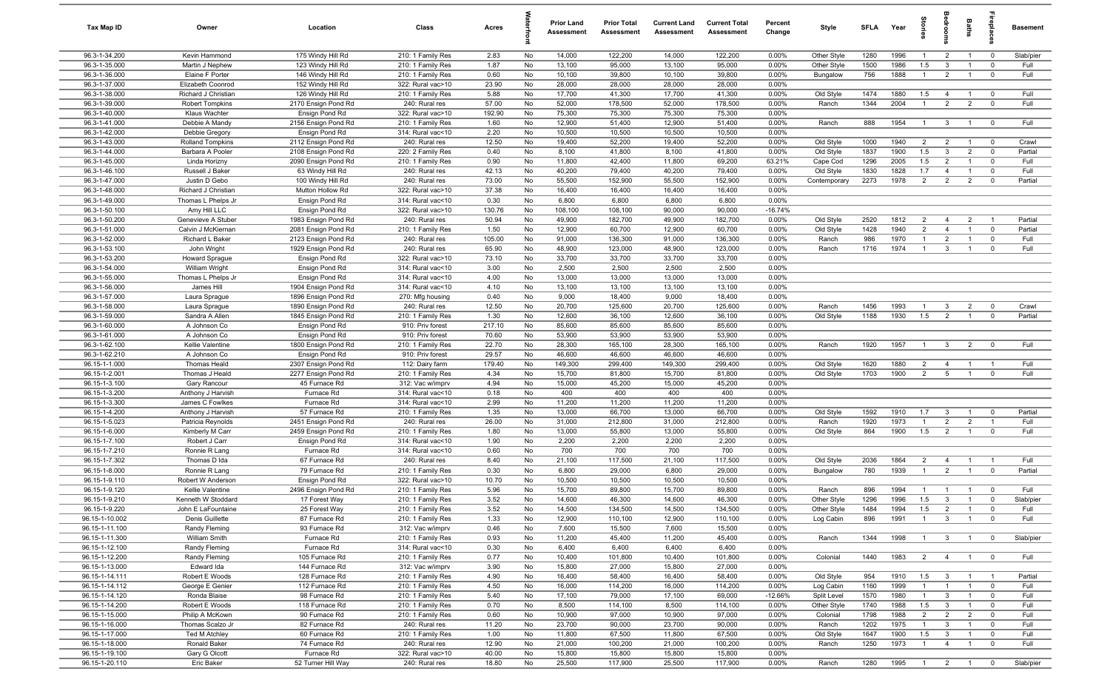| Tax Map ID                       | Owner                             | Location                                   | Class                                  | Acres         |          | <b>Prior Land</b><br>Assessment | <b>Prior Total</b><br>Assessment | <b>Current Land</b><br>Assessment | <b>Current Total</b><br>Assessment | Percent<br>Change  | Style                      | SFI A        | Year         | tories                | <b>B</b>                       | Baths                            |                                        | <b>Basement</b>  |
|----------------------------------|-----------------------------------|--------------------------------------------|----------------------------------------|---------------|----------|---------------------------------|----------------------------------|-----------------------------------|------------------------------------|--------------------|----------------------------|--------------|--------------|-----------------------|--------------------------------|----------------------------------|----------------------------------------|------------------|
| 96.3-1-34.200                    | Kevin Hammond                     | 175 Windy Hill Rd                          | 210: 1 Family Res                      | 2.83          | No       | 14,000                          | 122,200                          | 14,000                            | 122,200                            | 0.00%              | Other Style                | 1280         | 1996         | $\overline{1}$        | $\overline{2}$                 | $\overline{1}$                   | $\overline{\mathbf{0}}$                | Slab/pier        |
| 96.3-1-35.000                    | Martin J Nephew                   | 123 Windy Hill Rd                          | 210: 1 Family Res                      | 1.87          | No       | 13,100                          | 95,000                           | 13,100                            | 95,000                             | 0.00%              | Other Style                | 1500         | 1986         | 1.5                   | $\mathbf{3}$                   | $\overline{1}$                   | $\mathbf 0$                            | Full             |
| 96.3-1-36.000                    | Elaine F Porter                   | 146 Windy Hill Rd                          | 210: 1 Family Res                      | 0.60          | No       | 10,100                          | 39,800                           | 10,100                            | 39,800                             | 0.00%              | Bungalow                   | 756          | 1888         | $\overline{1}$        | $\overline{2}$                 | $\overline{1}$                   | $\mathbf 0$                            | Full             |
| 96.3-1-37.000                    | Elizabeth Coonrod                 | 152 Windy Hill Rd                          | 322: Rural vac>10                      | 23.90         | No       | 28,000                          | 28,000                           | 28,000                            | 28,000                             | 0.00%              |                            |              |              |                       |                                |                                  |                                        |                  |
| 96.3-1-38.000                    | Richard J Christian               | 126 Windy Hill Rd                          | 210: 1 Family Res                      | 5.88          | No       | 17,700                          | 41,300                           | 17,700                            | 41,300                             | 0.00%              | Old Style                  | 1474         | 1880         | 1.5                   | $\overline{4}$                 | $\overline{1}$                   | $\mathbf 0$                            | Full             |
| 96.3-1-39.000                    | <b>Robert Tompkins</b>            | 2170 Ensign Pond Rd                        | 240: Rural res                         | 57.00         | No       | 52,000                          | 178,500                          | 52,000                            | 178,500                            | 0.00%              | Ranch                      | 1344         | 2004         | -1                    | $\overline{2}$                 | $\overline{2}$                   | $\mathbf 0$                            | Full             |
| 96.3-1-40.000                    | Klaus Wachter                     | Ensign Pond Rd                             | 322: Rural vac>10                      | 192.90        | No       | 75,300                          | 75,300                           | 75,300                            | 75,300                             | 0.00%              |                            |              |              |                       |                                |                                  |                                        |                  |
| 96.3-1-41.000                    | Debbie A Mandy                    | 2156 Ensign Pond Rd                        | 210: 1 Family Res                      | 1.60          | No       | 12,900                          | 51,400                           | 12,900                            | 51,400                             | 0.00%              | Ranch                      | 888          | 1954         | $\overline{1}$        | $\overline{\mathbf{3}}$        | $\overline{1}$                   | $\overline{\mathbf{0}}$                | Full             |
| 96.3-1-42.000                    | Debbie Gregory                    | Ensign Pond Rd                             | 314: Rural vac<10                      | 2.20          | No       | 10,500                          | 10,500                           | 10,500                            | 10,500                             | 0.00%              |                            |              |              |                       |                                |                                  |                                        |                  |
| 96.3-1-43.000                    | <b>Rolland Tompkins</b>           | 2112 Ensign Pond Rd                        | 240: Rural res                         | 12.50         | No       | 19,400                          | 52,200                           | 19,400                            | 52,200                             | 0.00%              | Old Style                  | 1000         | 1940<br>1900 | $\overline{2}$<br>1.5 | $\overline{2}$<br>3            | $\overline{1}$<br>$\overline{2}$ | $\overline{\mathbf{0}}$<br>$\mathbf 0$ | Crawl<br>Partial |
| 96.3-1-44.000<br>96.3-1-45.000   | Barbara A Pooler<br>Linda Horizny | 2108 Ensign Pond Rd<br>2090 Ensign Pond Rd | 220: 2 Family Res<br>210: 1 Family Res | 0.40<br>0.90  | No<br>No | 8,100<br>11,800                 | 41,800<br>42,400                 | 8,100<br>11,800                   | 41,800<br>69,200                   | 0.00%<br>63.21%    | Old Style<br>Cape Cod      | 1837<br>1296 | 2005         | 1.5                   | $\overline{2}$                 | $\overline{1}$                   | $\overline{0}$                         | Full             |
| 96.3-1-46.100                    | Russell J Baker                   | 63 Windy Hill Rd                           | 240: Rural res                         | 42.13         | No       | 40,200                          | 79,400                           | 40,200                            | 79,400                             | 0.00%              | Old Style                  | 1830         | 1828         | 1.7                   | $\overline{4}$                 | $\overline{1}$                   | $\mathbf 0$                            | Full             |
| 96.3-1-47.000                    | Justin D Gebo                     | 100 Windy Hill Rd                          | 240: Rural res                         | 73.00         | No       | 55,500                          | 152,900                          | 55,500                            | 152,900                            | 0.00%              | Contemporary               | 2273         | 1978         | $\overline{2}$        | $\overline{2}$                 | $\overline{2}$                   | $\mathbf 0$                            | Partial          |
| 96.3-1-48.000                    | Richard J Christian               | Mutton Hollow Rd                           | 322: Rural vac>10                      | 37.38         | No       | 16,400                          | 16,400                           | 16,400                            | 16,400                             | 0.00%              |                            |              |              |                       |                                |                                  |                                        |                  |
| 96.3-1-49.000                    | Thomas L Phelps Jr                | Ensign Pond Rd                             | 314: Rural vac<10                      | 0.30          | No       | 6,800                           | 6,800                            | 6,800                             | 6,800                              | 0.00%              |                            |              |              |                       |                                |                                  |                                        |                  |
| 96.3-1-50.100                    | Amy Hill LLC                      | Ensign Pond Rd                             | 322: Rural vac>10                      | 130.76        | No       | 108,100                         | 108,100                          | 90,000                            | 90,000                             | $-16.74%$          |                            |              |              |                       |                                |                                  |                                        |                  |
| 96.3-1-50.200                    | Genevieve A Stuber                | 1983 Ensign Pond Rd                        | 240: Rural res                         | 50.94         | No       | 49,900                          | 182,700                          | 49,900                            | 182,700                            | 0.00%              | Old Style                  | 2520         | 1812         | $\overline{2}$        | $\overline{4}$                 | $\overline{2}$                   | $\overline{1}$                         | Partial          |
| 96.3-1-51.000                    | Calvin J McKiernan                | 2081 Ensign Pond Rd                        | 210: 1 Family Res                      | 1.50          | No       | 12,900                          | 60,700                           | 12,900                            | 60,700                             | 0.00%              | Old Style                  | 1428         | 1940         | $\overline{2}$        | $\overline{4}$                 | $\overline{1}$                   | $\mathbf 0$                            | Partial          |
| 96.3-1-52.000                    | Richard L Baker                   | 2123 Ensign Pond Rd                        | 240: Rural res                         | 105.00        | No       | 91,000                          | 136,300                          | 91,000                            | 136,300                            | 0.00%              | Ranch                      | 986          | 1970         | $\overline{1}$        | $\overline{2}$                 | $\overline{1}$                   | $\mathbf 0$                            | Full             |
| 96.3-1-53.100                    | John Wright                       | 1929 Ensign Pond Rd                        | 240: Rural res                         | 65.90         | No       | 48,900                          | 123,000                          | 48,900                            | 123,000                            | 0.00%              | Ranch                      | 1716         | 1974         | $\overline{1}$        | $\mathbf{3}$                   | $\overline{1}$                   | $\mathbf{0}$                           | Full             |
| 96.3-1-53.200                    | <b>Howard Sprague</b>             | Ensign Pond Rd                             | 322: Rural vac>10                      | 73.10         | No       | 33,700                          | 33,700                           | 33,700                            | 33,700                             | 0.00%              |                            |              |              |                       |                                |                                  |                                        |                  |
| 96.3-1-54.000                    | William Wright                    | Ensign Pond Rd                             | 314: Rural vac<10                      | 3.00          | No       | 2,500                           | 2,500                            | 2,500                             | 2,500                              | 0.00%              |                            |              |              |                       |                                |                                  |                                        |                  |
| 96.3-1-55.000                    | Thomas L Phelps Jr                | Ensign Pond Rd                             | 314: Rural vac<10                      | 4.00          | No       | 13,000                          | 13,000                           | 13,000                            | 13,000                             | 0.00%              |                            |              |              |                       |                                |                                  |                                        |                  |
| 96.3-1-56.000                    | James Hill                        | 1904 Ensign Pond Rd                        | 314: Rural vac<10                      | 4.10          | No       | 13,100                          | 13,100                           | 13,100                            | 13,100                             | 0.00%              |                            |              |              |                       |                                |                                  |                                        |                  |
| 96.3-1-57.000                    | Laura Sprague                     | 1896 Ensign Pond Rd                        | 270: Mfg housing                       | 0.40          | No       | 9,000                           | 18,400                           | 9,000                             | 18,400                             | 0.00%              |                            |              |              | $\overline{1}$        |                                |                                  |                                        |                  |
| 96.3-1-58.000<br>96.3-1-59.000   | Laura Sprague<br>Sandra A Allen   | 1890 Ensign Pond Rd<br>1845 Ensign Pond Rd | 240: Rural res<br>210: 1 Family Res    | 12.50<br>1.30 | No<br>No | 20,700<br>12,600                | 125,600<br>36,100                | 20,700<br>12,600                  | 125,600<br>36,100                  | 0.00%<br>0.00%     | Ranch<br>Old Style         | 1456<br>1188 | 1993<br>1930 | 1.5                   | $\mathbf{3}$<br>$\overline{2}$ | $\overline{2}$<br>$\overline{1}$ | $\overline{0}$<br>$\mathbf 0$          | Crawl<br>Partial |
| 96.3-1-60.000                    | A Johnson Co                      | Ensign Pond Rd                             | 910: Priv forest                       | 217.10        | No       | 85,600                          | 85,600                           | 85,600                            | 85,600                             | 0.00%              |                            |              |              |                       |                                |                                  |                                        |                  |
| 96.3-1-61.000                    | A Johnson Co                      | Ensign Pond Rd                             | 910: Priv forest                       | 70.60         | No       | 53,900                          | 53,900                           | 53,900                            | 53,900                             | 0.00%              |                            |              |              |                       |                                |                                  |                                        |                  |
| 96.3-1-62.100                    | Kellie Valentine                  | 1800 Ensign Pond Rd                        | 210: 1 Family Res                      | 22.70         | No       | 28,300                          | 165,100                          | 28,300                            | 165,100                            | 0.00%              | Ranch                      | 1920         | 1957         | $\overline{1}$        | $\mathbf{3}$                   | $\overline{2}$                   | $\mathbf 0$                            | Full             |
| 96.3-1-62.210                    | A Johnson Co                      | Ensign Pond Rd                             | 910: Priv forest                       | 29.57         | No       | 46,600                          | 46,600                           | 46,600                            | 46,600                             | 0.00%              |                            |              |              |                       |                                |                                  |                                        |                  |
| 96.15-1-1.000                    | <b>Thomas Heald</b>               | 2307 Ensign Pond Rd                        | 112: Dairy farm                        | 179.40        | No       | 149,300                         | 299,400                          | 149,300                           | 299,400                            | 0.00%              | Old Style                  | 1620         | 1880         | $\overline{2}$        | $\overline{4}$                 | $\overline{1}$                   | $\overline{1}$                         | Full             |
| 96.15-1-2.001                    | Thomas J Heald                    | 2277 Ensign Pond Rd                        | 210: 1 Family Res                      | 4.34          | No       | 15,700                          | 81,800                           | 15,700                            | 81,800                             | 0.00%              | Old Style                  | 1703         | 1900         | $\overline{2}$        | $5\overline{5}$                | $\overline{1}$                   | $\mathbf{0}$                           | Full             |
| 96.15-1-3.100                    | Gary Rancour                      | 45 Furnace Rd                              | 312: Vac w/imprv                       | 4.94          | No       | 15,000                          | 45,200                           | 15,000                            | 45,200                             | 0.00%              |                            |              |              |                       |                                |                                  |                                        |                  |
| 96.15-1-3.200                    | Anthony J Harvish                 | Furnace Rd                                 | 314: Rural vac<10                      | 0.18          | No       | 400                             | 400                              | 400                               | 400                                | 0.00%              |                            |              |              |                       |                                |                                  |                                        |                  |
| 96.15-1-3.300                    | James C Fowlkes                   | Furnace Rd                                 | 314: Rural vac<10                      | 2.99          | No       | 11,200                          | 11,200                           | 11,200                            | 11,200                             | 0.00%              |                            |              |              |                       |                                |                                  |                                        |                  |
| 96.15-1-4.200                    | Anthony J Harvish                 | 57 Furnace Rd                              | 210: 1 Family Res                      | 1.35          | No       | 13,000                          | 66,700                           | 13,000                            | 66,700                             | 0.00%              | Old Style                  | 1592         | 1910         | 1.7                   | $\mathbf{3}$                   | $\overline{1}$                   | $\mathbf 0$                            | Partial          |
| 96.15-1-5.023                    | Patricia Reynolds                 | 2451 Ensign Pond Rd                        | 240: Rural res                         | 26.00         | No       | 31,000                          | 212,800                          | 31,000                            | 212,800                            | 0.00%              | Ranch                      | 1920         | 1973         | $\overline{1}$        | $\overline{2}$                 | $\overline{2}$                   | $\overline{1}$                         | Full             |
| 96.15-1-6.000                    | Kimberly M Carr                   | 2459 Ensign Pond Rd                        | 210: 1 Family Res                      | 1.80          | No       | 13,000                          | 55,800                           | 13,000                            | 55,800                             | 0.00%              | Old Style                  | 864          | 1900         | 1.5                   | $\overline{2}$                 | $\overline{1}$                   | $\mathbf 0$                            | Full             |
| 96.15-1-7.100                    | Robert J Carr                     | Ensign Pond Rd                             | 314: Rural vac<10                      | 1.90          | No       | 2,200<br>700                    | 2,200<br>700                     | 2,200<br>700                      | 2,200<br>700                       | 0.00%              |                            |              |              |                       |                                |                                  |                                        |                  |
| 96.15-1-7.210<br>96.15-1-7.302   | Ronnie R Lang<br>Thomas D Ida     | Furnace Rd<br>67 Furnace Rd                | 314: Rural vac<10<br>240: Rural res    | 0.60<br>8.40  | No<br>No | 21,100                          | 117,500                          | 21,100                            | 117,500                            | 0.00%<br>0.00%     | Old Style                  | 2036         | 1864         | $\overline{2}$        | $\overline{4}$                 | $\overline{1}$                   | $\overline{1}$                         | Full             |
| 96.15-1-8.000                    | Ronnie R Lang                     | 79 Furnace Rd                              | 210: 1 Family Res                      | 0.30          | No       | 6,800                           | 29,000                           | 6,800                             | 29,000                             | 0.00%              | Bungalow                   | 780          | 1939         | $\overline{1}$        | $\overline{2}$                 | $\overline{1}$                   | $\mathbf 0$                            | Partial          |
| 96.15-1-9.110                    | Robert W Anderson                 | Ensign Pond Rd                             | 322: Rural vac>10                      | 10.70         | No       | 10,500                          | 10,500                           | 10,500                            | 10,500                             | 0.00%              |                            |              |              |                       |                                |                                  |                                        |                  |
| 96.15-1-9.120                    | Kellie Valentine                  | 2496 Ensign Pond Rd                        | 210: 1 Family Res                      | 5.96          | No       | 15,700                          | 89,800                           | 15,700                            | 89,800                             | 0.00%              | Ranch                      | 896          | 1994         | $\overline{1}$        | $\overline{1}$                 | $\overline{1}$                   | $\mathbf 0$                            | Full             |
| 96.15-1-9.210                    | Kenneth W Stoddard                | 17 Forest Way                              | 210: 1 Family Res                      | 3.52          | No       | 14,600                          | 46,300                           | 14,600                            | 46,300                             | 0.00%              | Other Style                | 1296         | 1996         | 1.5                   | $\mathbf{3}$                   | -1                               | 0                                      | Slab/pier        |
| 96.15-1-9.220                    | John E LaFountaine                | 25 Forest Way                              | 210: 1 Family Res                      | 3.52          | No       | 14,500                          | 134,500                          | 14,500                            | 134,500                            | 0.00%              | Other Style                | 1484         | 1994         | 1.5                   | $\overline{2}$                 | $\overline{1}$                   | $\mathbf 0$                            | Full             |
| 96.15-1-10.002                   | Denis Guillette                   | 87 Furnace Rd                              | 210: 1 Family Res                      | 1.33          | No       | 12,900                          | 110,100                          | 12,900                            | 110,100                            | 0.00%              | Log Cabin                  | 896          | 1991         | $\overline{1}$        | $\mathbf{3}$                   | $\overline{1}$                   | $\mathbf 0$                            | Full             |
| 96.15-1-11.100                   | Randy Fleming                     | 93 Furnace Rd                              | 312: Vac w/imprv                       | 0.46          | No       | 7,600                           | 15,500                           | 7,600                             | 15,500                             | 0.00%              |                            |              |              |                       |                                |                                  |                                        |                  |
| 96.15-1-11.300                   | William Smith                     | Furnace Rd                                 | 210: 1 Family Res                      | 0.93          | No       | 11,200                          | 45,400                           | 11,200                            | 45,400                             | 0.00%              | Ranch                      | 1344         | 1998         | $\overline{1}$        | 3                              | $\overline{1}$                   | $\overline{0}$                         | Slab/pier        |
| 96.15-1-12.100                   | Randy Fleming                     | Furnace Rd                                 | 314: Rural vac<10                      | 0.30          | No       | 6,400                           | 6,400                            | 6,400                             | 6,400                              | 0.00%              |                            |              |              |                       |                                |                                  |                                        |                  |
| 96.15-1-12.200                   | Randy Fleming                     | 105 Furnace Rd                             | 210: 1 Family Res                      | 0.77          | No       | 10,400                          | 101,800                          | 10,400                            | 101,800                            | 0.00%              | Colonial                   | 1440         | 1983         | $\overline{2}$        | $\overline{4}$                 | $\overline{1}$                   | $\overline{0}$                         | Full             |
| 96.15-1-13.000                   | Edward Ida                        | 144 Furnace Rd                             | 312: Vac w/imprv                       | 3.90          | No       | 15,800                          | 27,000                           | 15,800                            | 27,000                             | 0.00%              |                            |              |              |                       |                                |                                  |                                        |                  |
| 96.15-1-14.111                   | Robert E Woods                    | 128 Furnace Rd                             | 210: 1 Family Res                      | 4.90          | No       | 16,400                          | 58,400                           | 16,400                            | 58,400                             | 0.00%              | Old Style                  | 954          | 1910         | 1.5                   | $\mathbf{3}$                   | $\overline{1}$                   | $\overline{1}$                         | Partial          |
| 96.15-1-14.112                   | George E Genier                   | 112 Furnace Rd                             | 210: 1 Family Res                      | 4.50          | No       | 16,000                          | 114,200                          | 16,000                            | 114,200<br>69,000                  | 0.00%              | Log Cabin                  | 1160         | 1999         | $\overline{1}$        | $\overline{1}$                 | $\overline{1}$                   | $\mathbf 0$                            | Full             |
| 96.15-1-14.120<br>96.15-1-14.200 | Ronda Blaise<br>Robert E Woods    | 98 Furnace Rd<br>118 Furnace Rd            | 210: 1 Family Res<br>210: 1 Family Res | 5.40<br>0.70  | No<br>No | 17,100<br>8,500                 | 79,000<br>114,100                | 17,100<br>8,500                   | 114,100                            | $-12.66%$<br>0.00% | Split Level<br>Other Style | 1570<br>1740 | 1980<br>1988 | $\overline{1}$<br>1.5 | $\mathbf{3}$<br>$\mathbf{3}$   | $\overline{1}$<br>$\overline{1}$ | $\mathbf 0$<br>$\mathbf 0$             | Full<br>Full     |
| 96.15-1-15.000                   | Philip A McKown                   | 90 Furnace Rd                              | 210: 1 Family Res                      | 0.60          | No       | 10,900                          | 97,000                           | 10,900                            | 97,000                             | 0.00%              | Colonial                   | 1798         | 1988         | $\overline{2}$        | $\overline{2}$                 | $\overline{2}$                   | $\mathbf 0$                            | Full             |
| 96.15-1-16.000                   | Thomas Scalzo Jr                  | 82 Furnace Rd                              | 240: Rural res                         | 11.20         | No       | 23,700                          | 90,000                           | 23,700                            | 90,000                             | 0.00%              | Ranch                      | 1202         | 1975         | $\overline{1}$        | $\mathbf{3}$                   | $\overline{1}$                   | $\mathbf 0$                            | Full             |
| 96.15-1-17.000                   | <b>Ted M Atchley</b>              | 60 Furnace Rd                              | 210: 1 Family Res                      | 1.00          | No       | 11,800                          | 67,500                           | 11,800                            | 67,500                             | 0.00%              | Old Style                  | 1647         | 1900         | 1.5                   | $\mathbf{3}$                   | $\overline{1}$                   | $\mathbf 0$                            | Full             |
| 96.15-1-18.000                   | Ronald Baker                      | 74 Furnace Rd                              | 240: Rural res                         | 12.90         | No       | 21,000                          | 100,200                          | 21,000                            | 100,200                            | 0.00%              | Ranch                      | 1250         | 1973         | $\overline{1}$        | $\overline{4}$                 | $\overline{1}$                   | $\mathbf 0$                            | Full             |
| 96.15-1-19.100                   | Gary G Olcott                     | Furnace Rd                                 | 322: Rural vac>10                      | 40.00         | No       | 15,800                          | 15,800                           | 15,800                            | 15,800                             | 0.00%              |                            |              |              |                       |                                |                                  |                                        |                  |
| 96.15-1-20.110                   | Eric Baker                        | 52 Turner Hill Way                         | 240: Rural res                         | 18.80         | No       | 25,500                          | 117,900                          | 25,500                            | 117,900                            | $0.00\%$           | Ranch                      | 1280         | 1995         | $\overline{1}$        |                                | $2 \t 1$                         | $\overline{\mathbf{0}}$                | Slab/pier        |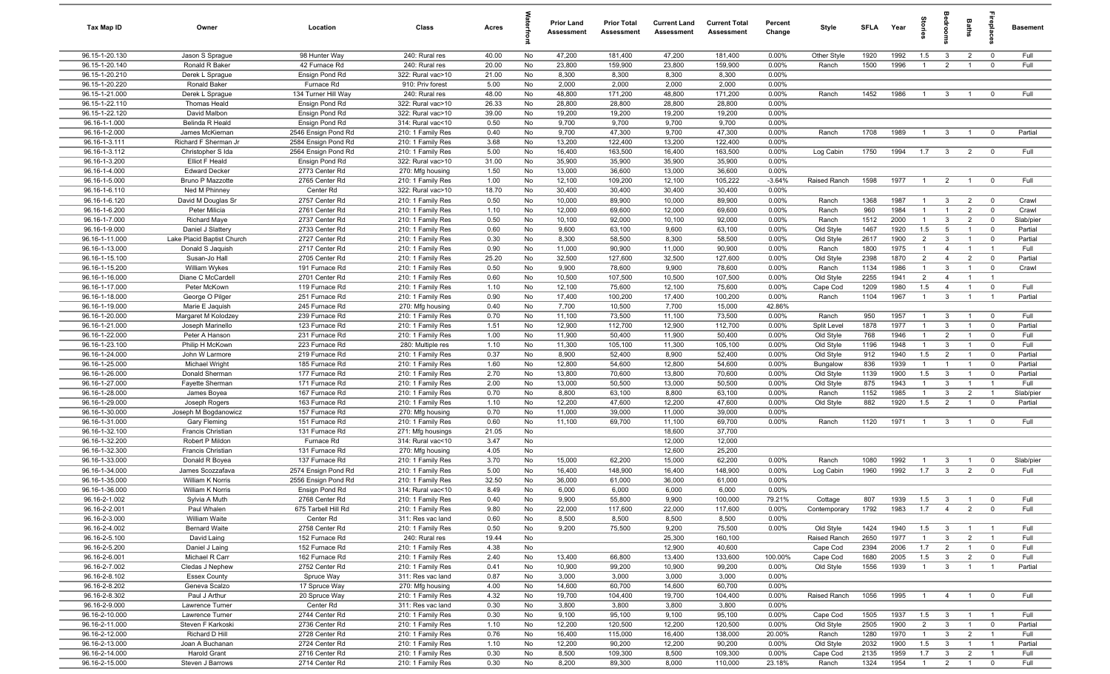| Tax Map ID                       | Owner                                          | Location                         | Class                                  | Acres          |          | <b>Prior Land</b><br>Assessment | <b>Prior Total</b><br>Assessment | <b>Current Land</b><br>Assessment | <b>Current Total</b><br>Assessment | Percent<br>Change | Style                 | <b>SFI A</b> | Year         | ĝ                     | droom                          | Baths                            | ireplace                         | <b>Basement</b>   |
|----------------------------------|------------------------------------------------|----------------------------------|----------------------------------------|----------------|----------|---------------------------------|----------------------------------|-----------------------------------|------------------------------------|-------------------|-----------------------|--------------|--------------|-----------------------|--------------------------------|----------------------------------|----------------------------------|-------------------|
| 96.15-1-20.130                   | Jason S Sprague                                | 98 Hunter Way                    | 240: Rural res                         | 40.00          | No       | 47,200                          | 181,400                          | 47,200                            | 181,400                            | $0.00\%$          | Other Style           | 1920         | 1992         | 1.5                   | $\mathbf{3}$                   | $\overline{2}$                   | $\overline{0}$                   | Full              |
| 96.15-1-20.140                   | Ronald R Baker                                 | 42 Furnace Rd                    | 240: Rural res                         | 20.00          | No       | 23,800                          | 159,900                          | 23,800                            | 159,900                            | 0.00%             | Ranch                 | 1500         | 1996         | $\overline{1}$        | 2                              | $\overline{1}$                   | $\mathbf 0$                      | Full              |
| 96.15-1-20.210                   | Derek L Sprague                                | Ensign Pond Rd                   | 322: Rural vac>10                      | 21.00          | No       | 8,300                           | 8,300                            | 8,300                             | 8,300                              | 0.00%             |                       |              |              |                       |                                |                                  |                                  |                   |
| 96.15-1-20.220                   | Ronald Baker                                   | Furnace Rd                       | 910: Priv forest                       | 5.00           | No       | 2,000                           | 2,000                            | 2,000                             | 2,000                              | 0.00%             |                       |              |              |                       |                                |                                  |                                  |                   |
| 96.15-1-21.000                   | Derek L Sprague                                | 134 Turner Hill Way              | 240: Rural res                         | 48.00          | No       | 48,800                          | 171,200                          | 48,800                            | 171,200                            | 0.00%             | Ranch                 | 1452         | 1986         | $\overline{1}$        | $\mathbf{3}$                   | $\overline{1}$                   | $^{\circ}$                       | Full              |
| 96.15-1-22.110<br>96.15-1-22.120 | Thomas Heald<br>David Malbon                   | Ensign Pond Rd<br>Ensign Pond Rd | 322: Rural vac>10                      | 26.33<br>39.00 | No<br>No | 28,800<br>19,200                | 28,800<br>19,200                 | 28,800<br>19,200                  | 28,800<br>19,200                   | 0.00%<br>0.00%    |                       |              |              |                       |                                |                                  |                                  |                   |
| 96.16-1-1.000                    | Belinda R Heald                                | Ensign Pond Rd                   | 322: Rural vac>10<br>314: Rural vac<10 | 0.50           | No       | 9,700                           | 9,700                            | 9,700                             | 9,700                              | 0.00%             |                       |              |              |                       |                                |                                  |                                  |                   |
| 96.16-1-2.000                    | James McKiernan                                | 2546 Ensign Pond Rd              | 210: 1 Family Res                      | 0.40           | No       | 9,700                           | 47,300                           | 9,700                             | 47,300                             | 0.00%             | Ranch                 | 1708         | 1989         | $\overline{1}$        | $\mathbf{3}$                   | $\overline{1}$                   | $^{\circ}$                       | Partial           |
| 96.16-1-3.111                    | Richard F Sherman Jr                           | 2584 Ensign Pond Rd              | 210: 1 Family Res                      | 3.68           | No       | 13,200                          | 122,400                          | 13,200                            | 122,400                            | 0.00%             |                       |              |              |                       |                                |                                  |                                  |                   |
| 96.16-1-3.112                    | Christopher S Ida                              | 2564 Ensign Pond Rd              | 210: 1 Family Res                      | 5.00           | No       | 16,400                          | 163,500                          | 16,400                            | 163,500                            | 0.00%             | Log Cabin             | 1750         | 1994         | 1.7                   | $\mathbf{3}$                   | $\overline{2}$                   | $\mathbf 0$                      | Full              |
| 96.16-1-3.200                    | Elliot F Heald                                 | Ensign Pond Rd                   | 322: Rural vac>10                      | 31.00          | No       | 35,900                          | 35,900                           | 35,900                            | 35,900                             | 0.00%             |                       |              |              |                       |                                |                                  |                                  |                   |
| 96.16-1-4.000                    | <b>Edward Decker</b>                           | 2773 Center Rd                   | 270: Mfg housing                       | 1.50           | No       | 13,000                          | 36,600                           | 13,000                            | 36,600                             | 0.00%             |                       |              |              |                       |                                |                                  |                                  |                   |
| 96.16-1-5.000                    | Bruno P Mazzotte                               | 2765 Center Rd                   | 210: 1 Family Res                      | 1.00           | No       | 12,100                          | 109,200                          | 12,100                            | 105,222                            | $-3.64%$          | Raised Ranch          | 1598         | 1977         | $\mathbf{1}$          | $\overline{2}$                 | $\overline{1}$                   | $\mathbf 0$                      | Full              |
| 96.16-1-6.110                    | Ned M Phinney                                  | Center Rd                        | 322: Rural vac>10                      | 18.70          | No       | 30,400                          | 30,400                           | 30,400                            | 30,400                             | 0.00%             |                       |              |              |                       |                                |                                  |                                  |                   |
| 96.16-1-6.120                    | David M Douglas Sr                             | 2757 Center Rd                   | 210: 1 Family Res                      | 0.50           | No       | 10,000                          | 89,900                           | 10,000                            | 89,900                             | 0.00%             | Ranch                 | 1368         | 1987         | $\mathbf{1}$          | $\mathbf{3}$                   | $\overline{2}$                   | $\mathbf 0$                      | Crawl             |
| 96.16-1-6.200                    | Peter Milicia                                  | 2761 Center Rd                   | 210: 1 Family Res                      | 1.10           | No       | 12,000                          | 69,600                           | 12,000                            | 69,600                             | 0.00%             | Ranch                 | 960          | 1984         | $\overline{1}$        | $\overline{1}$                 | $\overline{2}$                   | $\mathbf 0$                      | Crawl             |
| 96.16-1-7.000                    | <b>Richard Maye</b>                            | 2737 Center Rd                   | 210: 1 Family Res                      | 0.50           | No       | 10,100                          | 92,000                           | 10,100                            | 92,000                             | 0.00%             | Ranch                 | 1512         | 2000         | $\mathbf{1}$          | $\mathbf{3}$                   | $\overline{2}$                   | $\mathbf 0$                      | Slab/pier         |
| 96.16-1-9.000                    | Daniel J Slattery                              | 2733 Center Rd                   | 210: 1 Family Res                      | 0.60           | No       | 9,600                           | 63,100<br>58,500                 | 9,600                             | 63,100<br>58,500                   | $0.00\%$          | Old Style             | 1467         | 1920         | 1.5<br>$\overline{2}$ | 5                              |                                  | $^{\circ}$                       | Partial           |
| 96.16-1-11.000<br>96.16-1-13.000 | Lake Placid Baptist Church<br>Donald S Jaquish | 2727 Center Rd<br>2717 Center Rd | 210: 1 Family Res<br>210: 1 Family Res | 0.30<br>0.90   | No<br>No | 8,300<br>11,000                 | 90,900                           | 8,300<br>11,000                   | 90,900                             | 0.00%<br>0.00%    | Old Style<br>Ranch    | 2617<br>1800 | 1900<br>1975 | $\overline{1}$        | $\mathbf{3}$<br>$\overline{4}$ | $\overline{1}$                   | $^{\circ}$<br>$\overline{1}$     | Partial<br>Full   |
| 96.16-1-15.100                   | Susan-Jo Hall                                  | 2705 Center Rd                   | 210: 1 Family Res                      | 25.20          | No       | 32,500                          | 127,600                          | 32,500                            | 127,600                            | 0.00%             | Old Style             | 2398         | 1870         | $\overline{2}$        | $\overline{4}$                 | $\overline{2}$                   | $\mathbf 0$                      | Partial           |
| 96.16-1-15.200                   | William Wykes                                  | 191 Furnace Rd                   | 210: 1 Family Res                      | 0.50           | No       | 9,900                           | 78,600                           | 9,900                             | 78,600                             | 0.00%             | Ranch                 | 1134         | 1986         | $\overline{1}$        | $\mathbf{3}$                   | $\overline{1}$                   | $\mathbf 0$                      | Crawl             |
| 96.16-1-16.000                   | Diane C McCardell                              | 2701 Center Rd                   | 210: 1 Family Res                      | 0.60           | No       | 10,500                          | 107,500                          | 10,500                            | 107,500                            | 0.00%             | Old Style             | 2255         | 1941         | $\overline{2}$        | $\overline{4}$                 | $\overline{1}$                   | $\overline{1}$                   |                   |
| 96.16-1-17.000                   | Peter McKown                                   | 119 Furnace Rd                   | 210: 1 Family Res                      | 1.10           | No       | 12,100                          | 75,600                           | 12,100                            | 75,600                             | 0.00%             | Cape Cod              | 1209         | 1980         | 1.5                   | $\overline{4}$                 | $\overline{1}$                   | $\mathbf 0$                      | Full              |
| 96.16-1-18.000                   | George O Pilger                                | 251 Furnace Rd                   | 210: 1 Family Res                      | 0.90           | No       | 17,400                          | 100,200                          | 17,400                            | 100,200                            | 0.00%             | Ranch                 | 1104         | 1967         | $\mathbf{1}$          | $\mathbf{3}$                   | $\overline{1}$                   | $\overline{1}$                   | Partial           |
| 96.16-1-19.000                   | Marie E Jaquish                                | 245 Furnace Rd                   | 270: Mfg housing                       | 0.40           | No       | 7,700                           | 10,500                           | 7,700                             | 15,000                             | 42.86%            |                       |              |              |                       |                                |                                  |                                  |                   |
| 96.16-1-20.000                   | Margaret M Kolodzey                            | 239 Furnace Rd                   | 210: 1 Family Res                      | 0.70           | No       | 11,100                          | 73,500                           | 11,100                            | 73,500                             | 0.00%             | Ranch                 | 950          | 1957         | $\overline{1}$        | $\mathbf{3}$                   | $\overline{1}$                   | $\mathbf 0$                      | Full              |
| 96.16-1-21.000                   | Joseph Marinello                               | 123 Furnace Rd                   | 210: 1 Family Res                      | 1.51           | No       | 12,900                          | 112,700                          | 12,900                            | 112,700                            | 0.00%             | Split Level           | 1878         | 1977         | 1                     | $\mathbf{3}$                   | $\overline{1}$                   | $\mathbf 0$                      | Partial           |
| 96.16-1-22.000                   | Peter A Hanson                                 | 231 Furnace Rd                   | 210: 1 Family Res                      | 1.00           | No       | 11,900                          | 50,400                           | 11,900                            | 50,400                             | 0.00%             | Old Style             | 768          | 1946         | $\mathbf{1}$          | $\overline{2}$                 |                                  | $^{\circ}$                       | Full              |
| 96.16-1-23.100                   | Philip H McKown                                | 223 Furnace Rd                   | 280: Multiple res                      | 1.10           | No       | 11,300                          | 105,100                          | 11,300                            | 105,100                            | 0.00%             | Old Style             | 1196         | 1948         | $\mathbf{1}$          | $\mathbf{3}$                   | $\overline{1}$                   | $^{\circ}$                       | Full              |
| 96.16-1-24.000                   | John W Larmore                                 | 219 Furnace Rd                   | 210: 1 Family Res                      | 0.37           | No       | 8,900                           | 52,400                           | 8,900                             | 52,400                             | 0.00%             | Old Style             | 912          | 1940         | 1.5                   | $\overline{2}$                 |                                  | $^{\circ}$                       | Partial           |
| 96.16-1-25.000                   | <b>Michael Wright</b>                          | 185 Furnace Rd                   | 210: 1 Family Res                      | 1.60           | No       | 12,800                          | 54,600                           | 12,800                            | 54,600                             | 0.00%             | Bungalow              | 836          | 1939         | $\overline{1}$        |                                |                                  | $\mathbf 0$                      | Partial           |
| 96.16-1-26.000                   | Donald Sherman                                 | 177 Furnace Rd                   | 210: 1 Family Res                      | 2.70           | No<br>No | 13,800                          | 70,600                           | 13,800                            | 70,600                             | 0.00%             | Old Style             | 1139         | 1900<br>1943 | 1.5<br>$\mathbf{1}$   | $\mathbf{3}$<br>$\mathbf{3}$   | $\overline{1}$                   | $\mathbf 0$<br>$\overline{1}$    | Partial           |
| 96.16-1-27.000<br>96.16-1-28.000 | Fayette Sherman<br>James Boyea                 | 171 Furnace Rd<br>167 Furnace Rd | 210: 1 Family Res<br>210: 1 Family Res | 2.00<br>0.70   | No       | 13,000<br>8,800                 | 50,500<br>63,100                 | 13,000<br>8,800                   | 50,500<br>63,100                   | 0.00%<br>0.00%    | Old Style<br>Ranch    | 875<br>1152  | 1985         | $\overline{1}$        | 3                              | $\overline{2}$                   | $\overline{1}$                   | Full<br>Slab/pier |
| 96.16-1-29.000                   | Joseph Rogers                                  | 163 Furnace Rd                   | 210: 1 Family Res                      | 1.10           | No       | 12,200                          | 47,600                           | 12,200                            | 47,600                             | 0.00%             | Old Style             | 882          | 1920         | 1.5                   | $\overline{2}$                 | $\overline{1}$                   | $^{\circ}$                       | Partial           |
| 96.16-1-30.000                   | Joseph M Bogdanowicz                           | 157 Furnace Rd                   | 270: Mfg housing                       | 0.70           | No       | 11,000                          | 39,000                           | 11,000                            | 39,000                             | 0.00%             |                       |              |              |                       |                                |                                  |                                  |                   |
| 96.16-1-31.000                   | <b>Gary Fleming</b>                            | 151 Furnace Rd                   | 210: 1 Family Res                      | 0.60           | No       | 11,100                          | 69,700                           | 11,100                            | 69,700                             | 0.00%             | Ranch                 | 1120         | 1971         | $\overline{1}$        | $\mathbf{3}$                   | $\overline{1}$                   | $\mathbf 0$                      | Full              |
| 96.16-1-32.100                   | Francis Christian                              | 131 Furnace Rd                   | 271: Mfg housings                      | 21.05          | No       |                                 |                                  | 18,600                            | 37,700                             |                   |                       |              |              |                       |                                |                                  |                                  |                   |
| 96.16-1-32.200                   | Robert P Mildon                                | Furnace Rd                       | 314: Rural vac<10                      | 3.47           | No       |                                 |                                  | 12,000                            | 12,000                             |                   |                       |              |              |                       |                                |                                  |                                  |                   |
| 96.16-1-32.300                   | Francis Christian                              | 131 Furnace Rd                   | 270: Mfg housing                       | 4.05           | No       |                                 |                                  | 12,600                            | 25,200                             |                   |                       |              |              |                       |                                |                                  |                                  |                   |
| 96.16-1-33.000                   | Donald R Boyea                                 | 137 Furnace Rd                   | 210: 1 Family Res                      | 3.70           | No       | 15,000                          | 62,200                           | 15,000                            | 62,200                             | 0.00%             | Ranch                 | 1080         | 1992         | $\mathbf{1}$          | $\mathbf{3}$                   |                                  | $^{\circ}$                       | Slab/pier         |
| 96.16-1-34.000                   | James Scozzafava                               | 2574 Ensign Pond Rd              | 210: 1 Family Res                      | 5.00           | No       | 16,400                          | 148,900                          | 16,400                            | 148,900                            | 0.00%             | Log Cabin             | 1960         | 1992         | 1.7                   | $\mathbf{3}$                   | $\overline{2}$                   | $\Omega$                         | Full              |
| 96.16-1-35.000                   | William K Norris                               | 2556 Ensign Pond Rd              | 210: 1 Family Res                      | 32.50          | No       | 36,000                          | 61,000                           | 36,000                            | 61,000                             | 0.00%             |                       |              |              |                       |                                |                                  |                                  |                   |
| 96.16-1-36.000                   | William K Norris                               | Ensign Pond Rd                   | 314: Rural vac<10                      | 8.49           | No       | 6,000                           | 6,000                            | 6,000                             | 6,000                              | 0.00%             |                       |              |              |                       |                                |                                  |                                  |                   |
| 96.16-2-1.002                    | Sylvia A Muth                                  | 2768 Center Rd                   | 210: 1 Family Res                      | 0.40           | No       | 9,900                           | 55,800                           | 9,900                             | 100,000                            | 79.21%            | Cottage               | 807          | 1939         | 1.5                   | $\mathbf{3}$                   |                                  |                                  | Full              |
| 96.16-2-2.001<br>96.16-2-3.000   | Paul Whalen<br>William Waite                   | 675 Tarbell Hill Rd<br>Center Rd | 210: 1 Family Res<br>311: Res vac land | 9.80<br>0.60   | No<br>No | 22,000<br>8,500                 | 117,600<br>8,500                 | 22,000<br>8,500                   | 117,600<br>8,500                   | 0.00%<br>0.00%    | Contemporary          | 1792         | 1983         | 1.7                   | $\overline{4}$                 | $\overline{2}$                   | $\overline{\mathbf{0}}$          | Full              |
| 96.16-2-4.002                    | <b>Bernard Waite</b>                           | 2758 Center Rd                   | 210: 1 Family Res                      | 0.50           | No       | 9,200                           | 75,500                           | 9,200                             | 75,500                             | $0.00\%$          | Old Style             | 1424         | 1940         | 1.5                   | $\mathbf{3}$                   | $\overline{1}$                   | $\overline{1}$                   | Full              |
| 96.16-2-5.100                    | David Laing                                    | 152 Furnace Rd                   | 240: Rural res                         | 19.44          | No       |                                 |                                  | 25,300                            | 160,100                            |                   | Raised Ranch          | 2650         | 1977         | $\mathbf{1}$          | $\mathbf{3}$                   | $\overline{2}$                   | $\overline{1}$                   | Full              |
| 96.16-2-5.200                    | Daniel J Laing                                 | 152 Furnace Rd                   | 210: 1 Family Res                      | 4.38           | No       |                                 |                                  | 12,900                            | 40,600                             |                   | Cape Cod              | 2394         | 2006         | 1.7                   | $\overline{2}$                 | $\mathbf{1}$                     | $\mathbf 0$                      | Full              |
| 96.16-2-6.001                    | Michael R Carr                                 | 162 Furnace Rd                   | 210: 1 Family Res                      | 2.40           | No       | 13,400                          | 66,800                           | 13,400                            | 133,600                            | 100.00%           | Cape Cod              | 1680         | 2005         | 1.5                   | $\mathbf{3}$                   | $\overline{2}$                   | $\mathbf 0$                      | Full              |
| 96.16-2-7.002                    | Cledas J Nephew                                | 2752 Center Rd                   | 210: 1 Family Res                      | 0.41           | No       | 10,900                          | 99,200                           | 10,900                            | 99,200                             | 0.00%             | Old Style             | 1556         | 1939         | $\mathbf{1}$          | $\mathbf{3}$                   | $\overline{1}$                   | $\overline{1}$                   | Partial           |
| 96.16-2-8.102                    | <b>Essex County</b>                            | Spruce Way                       | 311: Res vac land                      | 0.87           | No       | 3,000                           | 3,000                            | 3,000                             | 3,000                              | 0.00%             |                       |              |              |                       |                                |                                  |                                  |                   |
| 96.16-2-8.202                    | Geneva Scalzo                                  | 17 Spruce Way                    | 270: Mfg housing                       | 4.00           | No       | 14,600                          | 60,700                           | 14,600                            | 60,700                             | 0.00%             |                       |              |              |                       |                                |                                  |                                  |                   |
| 96.16-2-8.302                    | Paul J Arthur                                  | 20 Spruce Way                    | 210: 1 Family Res                      | 4.32           | No       | 19,700                          | 104,400                          | 19,700                            | 104,400                            | 0.00%             | Raised Ranch          | 1056         | 1995         | $\mathbf{1}$          | $\overline{4}$                 | $\overline{1}$                   | $\overline{\mathbf{0}}$          | Full              |
| 96.16-2-9.000                    | Lawrence Turner                                | Center Rd                        | 311: Res vac land                      | 0.30           | No       | 3,800                           | 3,800                            | 3,800                             | 3,800                              | 0.00%             |                       |              |              |                       |                                |                                  |                                  |                   |
| 96.16-2-10.000                   | Lawrence Turner                                | 2744 Center Rd                   | 210: 1 Family Res                      | 0.30           | No       | 9,100                           | 95,100                           | 9,100                             | 95,100                             | 0.00%             | Cape Cod              | 1505         | 1937         | 1.5                   | $\mathbf{3}$                   | $\overline{1}$                   |                                  | Full              |
| 96.16-2-11.000                   | Steven F Karkoski                              | 2736 Center Rd                   | 210: 1 Family Res                      | 1.10           | No       | 12,200                          | 120,500                          | 12,200                            | 120,500                            | 0.00%             | Old Style             | 2505         | 1900         | $\overline{2}$        | $\mathbf{3}$                   | $\overline{1}$                   | $\overline{0}$                   | Partial           |
| 96.16-2-12.000                   | Richard D Hill                                 | 2728 Center Rd                   | 210: 1 Family Res                      | 0.76           | No       | 16,400                          | 115,000                          | 16,400                            | 138,000                            | 20.00%            | Ranch                 | 1280         | 1970         | $\overline{1}$        | $\mathbf{3}$                   | $\overline{2}$                   | $\overline{1}$                   | Full              |
| 96.16-2-13.000<br>96.16-2-14.000 | Joan A Buchanan<br><b>Harold Grant</b>         | 2724 Center Rd<br>2716 Center Rd | 210: 1 Family Res<br>210: 1 Family Res | 1.10<br>0.30   | No<br>No | 12,200<br>8,500                 | 90,200<br>109,300                | 12,200<br>8,500                   | 90,200<br>109,300                  | 0.00%<br>0.00%    | Old Style<br>Cape Cod | 2032<br>2135 | 1900<br>1959 | 1.5<br>1.7            | $\mathbf{3}$<br>$\mathbf{3}$   | $\overline{1}$<br>$\overline{2}$ | $\overline{1}$<br>$\overline{1}$ | Partial<br>Full   |
| 96.16-2-15.000                   | Steven J Barrows                               | 2714 Center Rd                   | 210: 1 Family Res                      | 0.30           | No       | 8,200                           | 89,300                           | 8,000                             | 110,000                            | 23.18%            | Ranch                 | 1324         | 1954         | $\overline{1}$        | $\overline{2}$                 | $\overline{1}$                   | $\mathbf 0$                      | Full              |
|                                  |                                                |                                  |                                        |                |          |                                 |                                  |                                   |                                    |                   |                       |              |              |                       |                                |                                  |                                  |                   |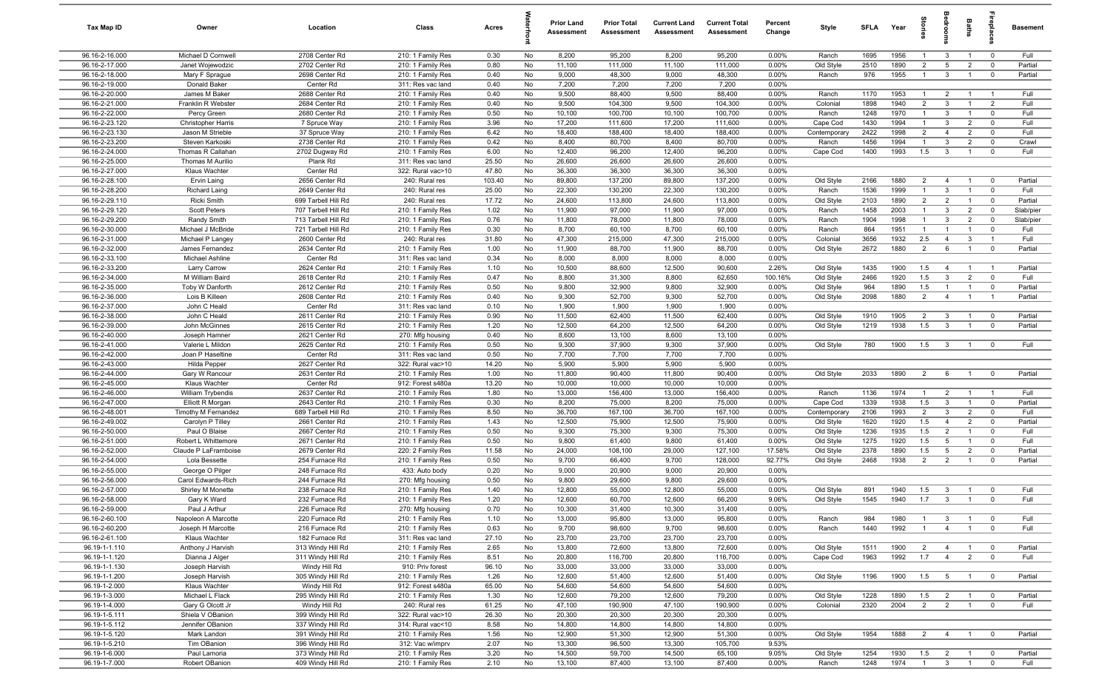| Tax Map ID                       | Owner                                 | Location                               | Class                                  | Acres         |          | <b>Prior Land</b><br>Assessment | <b>Prior Total</b><br>Assessment | <b>Current Land</b><br>Assessment | <b>Current Total</b><br><b>Assessment</b> | Percent<br>Change | Style                  | <b>SFI A</b> | Year         | ĝ                                | droom                          | <b>Baths</b>   | ireplace                | <b>Basement</b> |
|----------------------------------|---------------------------------------|----------------------------------------|----------------------------------------|---------------|----------|---------------------------------|----------------------------------|-----------------------------------|-------------------------------------------|-------------------|------------------------|--------------|--------------|----------------------------------|--------------------------------|----------------|-------------------------|-----------------|
| 96.16-2-16.000                   | Michael D Cornwell                    | 2708 Center Rd                         | 210: 1 Family Res                      | 0.30          | No       | 8,200                           | 95,200                           | 8,200                             | 95,200                                    | $0.00\%$          | Ranch                  | 1695         | 1956         | $\overline{1}$                   | $\mathbf{3}$                   | $\overline{1}$ | $\overline{0}$          | Full            |
| 96.16-2-17.000                   | Janet Wojewodzic                      | 2702 Center Rd                         | 210: 1 Family Res                      | 0.80          | No       | 11,100                          | 111,000                          | 11,100                            | 111,000                                   | 0.00%             | Old Style              | 2510         | 1890         | $\overline{2}$                   | 5                              | $\overline{2}$ | $\mathbf 0$             | Partial         |
| 96.16-2-18.000                   | Mary F Sprague                        | 2698 Center Rd                         | 210: 1 Family Res                      | 0.40          | No       | 9,000                           | 48,300                           | 9,000                             | 48,300                                    | 0.00%             | Ranch                  | 976          | 1955         | $\overline{1}$                   | $\mathbf{3}$                   | $\overline{1}$ | $\mathbf 0$             | Partial         |
| 96.16-2-19.000                   | Donald Baker                          | Center Rd                              | 311: Res vac land                      | 0.40          | No       | 7,200                           | 7,200                            | 7,200                             | 7,200                                     | 0.00%             |                        |              |              |                                  |                                |                |                         |                 |
| 96.16-2-20.000<br>96.16-2-21.000 | James M Baker<br>Franklin R Webster   | 2688 Center Rd<br>2684 Center Rd       | 210: 1 Family Res                      | 0.40<br>0.40  | No<br>No | 9,500<br>9,500                  | 88,400<br>104,300                | 9,500<br>9,500                    | 88,400<br>104,300                         | 0.00%<br>0.00%    | Ranch<br>Colonial      | 1170<br>1898 | 1953<br>1940 | $\overline{1}$<br>$\overline{2}$ | $\overline{2}$<br>$\mathbf{3}$ |                | - 1<br>$\overline{2}$   | Full<br>Full    |
| 96.16-2-22.000                   | Percy Green                           | 2680 Center Rd                         | 210: 1 Family Res<br>210: 1 Family Res | 0.50          | No       | 10,100                          | 100,700                          | 10,100                            | 100,700                                   | 0.00%             | Ranch                  | 1248         | 1970         | $\mathbf{1}$                     | $\mathbf{3}$                   |                | $^{\circ}$              | Full            |
| 96.16-2-23.120                   | <b>Christopher Harris</b>             | 7 Spruce Way                           | 210: 1 Family Res                      | 3.96          | No       | 17,200                          | 111,600                          | 17,200                            | 111,600                                   | 0.00%             | Cape Cod               | 1430         | 1994         | $\overline{1}$                   | $\mathbf{3}$                   | $\overline{2}$ | $^{\circ}$              | Full            |
| 96.16-2-23.130                   | Jason M Strieble                      | 37 Spruce Way                          | 210: 1 Family Res                      | 6.42          | No       | 18,400                          | 188,400                          | 18,400                            | 188,400                                   | 0.00%             | Contemporary           | 2422         | 1998         | $\overline{2}$                   | $\overline{4}$                 | $\overline{2}$ | $^{\circ}$              | Full            |
| 96.16-2-23.200                   | Steven Karkoski                       | 2738 Center Rd                         | 210: 1 Family Res                      | 0.42          | No       | 8,400                           | 80,700                           | 8,400                             | 80,700                                    | 0.00%             | Ranch                  | 1456         | 1994         | $\overline{1}$                   | $\mathbf{3}$                   | $\overline{2}$ | $\mathbf 0$             | Crawl           |
| 96.16-2-24.000                   | Thomas R Callahan                     | 2702 Dugway Rd                         | 210: 1 Family Res                      | 6.00          | No       | 12,400                          | 96,200                           | 12,400                            | 96,200                                    | 0.00%             | Cape Cod               | 1400         | 1993         | 1.5                              | $\mathbf{3}$                   | $\overline{1}$ | $\mathbf 0$             | Full            |
| 96.16-2-25.000                   | Thomas M Aurilio                      | Plank Rd                               | 311: Res vac land                      | 25.50         | No       | 26,600                          | 26,600                           | 26,600                            | 26,600                                    | 0.00%             |                        |              |              |                                  |                                |                |                         |                 |
| 96.16-2-27.000                   | Klaus Wachter                         | Center Rd                              | 322: Rural vac>10                      | 47.80         | No       | 36,300                          | 36,300                           | 36,300                            | 36,300                                    | 0.00%             |                        |              |              |                                  |                                |                |                         |                 |
| 96.16-2-28.100                   | Ervin Laing                           | 2656 Center Rd                         | 240: Rural res                         | 103.40        | No       | 89,800                          | 137,200                          | 89,800                            | 137,200                                   | 0.00%             | Old Style              | 2166         | 1880         | $\overline{2}$                   | 4                              | $\overline{1}$ | $^{\circ}$              | Partial         |
| 96.16-2-28.200                   | <b>Richard Laing</b>                  | 2649 Center Rd                         | 240: Rural res                         | 25.00         | No       | 22,300                          | 130,200                          | 22,300                            | 130,200                                   | 0.00%             | Ranch                  | 1536         | 1999         | $\overline{1}$                   | $\mathbf{3}$                   | $\overline{1}$ | $\mathbf 0$             | Full            |
| 96.16-2-29.110                   | Ricki Smith                           | 699 Tarbell Hill Rd                    | 240: Rural res                         | 17.72         | No       | 24,600                          | 113,800                          | 24,600                            | 113,800                                   | 0.00%             | Old Style              | 2103         | 1890         | $\overline{2}$                   | $\overline{2}$                 | $\overline{1}$ | $\mathbf 0$             | Partial         |
| 96.16-2-29.120                   | Scott Peters                          | 707 Tarbell Hill Rd                    | 210: 1 Family Res                      | 1.02          | No       | 11,900                          | 97,000                           | 11,900                            | 97,000                                    | 0.00%             | Ranch                  | 1458         | 2003         | $\mathbf{1}$                     | $\mathbf{3}$                   | $\overline{2}$ | $\mathbf 0$             | Slab/pier       |
| 96.16-2-29.200                   | Randy Smith                           | 713 Tarbell Hill Rd                    | 210: 1 Family Res                      | 0.76          | No       | 11,800                          | 78,000                           | 11,800                            | 78,000                                    | 0.00%             | Ranch                  | 1904         | 1998         | $\mathbf{1}$<br>$\mathbf{1}$     | $\mathbf{3}$                   | $\overline{2}$ | $\mathbf 0$<br>$\Omega$ | Slab/pier       |
| 96.16-2-30.000<br>96.16-2-31.000 | Michael J McBride<br>Michael P Langey | 721 Tarbell Hill Rd<br>2600 Center Rd  | 210: 1 Family Res<br>240: Rural res    | 0.30<br>31.80 | No<br>No | 8,700<br>47,300                 | 60,100<br>215,000                | 8,700<br>47,300                   | 60,100<br>215,000                         | $0.00\%$<br>0.00% | Ranch<br>Colonial      | 864<br>3656  | 1951<br>1932 | 2.5                              | $\overline{4}$                 | 3              | $\overline{1}$          | Full<br>Full    |
| 96.16-2-32.000                   | James Fernandez                       | 2634 Center Rd                         | 210: 1 Family Res                      | 1.00          | No       | 11,900                          | 88,700                           | 11,900                            | 88,700                                    | 0.00%             | Old Style              | 2672         | 1880         | 2                                | 6                              |                | $\mathbf 0$             | Partial         |
| 96.16-2-33.100                   | Michael Ashline                       | Center Rd                              | 311: Res vac land                      | 0.34          | No       | 8,000                           | 8,000                            | 8,000                             | 8,000                                     | 0.00%             |                        |              |              |                                  |                                |                |                         |                 |
| 96.16-2-33.200                   | <b>Larry Carrow</b>                   | 2624 Center Rd                         | 210: 1 Family Res                      | 1.10          | No       | 10,500                          | 88,600                           | 12,500                            | 90,600                                    | 2.26%             | Old Style              | 1435         | 1900         | 1.5                              | $\overline{4}$                 | $\overline{1}$ | $\overline{1}$          | Partial         |
| 96.16-2-34.000                   | M William Baird                       | 2618 Center Rd                         | 210: 1 Family Res                      | 0.47          | No       | 8,800                           | 31,300                           | 8,800                             | 62,650                                    | 100.16%           | Old Style              | 2466         | 1920         | 1.5                              | $\mathbf{3}$                   | $\overline{2}$ | $^{\circ}$              | Full            |
| 96.16-2-35.000                   | Toby W Danforth                       | 2612 Center Rd                         | 210: 1 Family Res                      | 0.50          | No       | 9,800                           | 32,900                           | 9,800                             | 32,900                                    | 0.00%             | Old Style              | 964          | 1890         | 1.5                              | $\overline{1}$                 | $\overline{1}$ | $^{\circ}$              | Partial         |
| 96.16-2-36.000                   | Lois B Killeen                        | 2608 Center Rd                         | 210: 1 Family Res                      | 0.40          | No       | 9,300                           | 52,700                           | 9,300                             | 52,700                                    | 0.00%             | Old Style              | 2098         | 1880         | 2                                | $\overline{4}$                 | $\overline{1}$ | $\overline{1}$          | Partial         |
| 96.16-2-37.000                   | John C Heald                          | Center Rd                              | 311: Res vac land                      | 0.10          | No       | 1,900                           | 1,900                            | 1,900                             | 1,900                                     | 0.00%             |                        |              |              |                                  |                                |                |                         |                 |
| 96.16-2-38.000                   | John C Heald                          | 2611 Center Rd                         | 210: 1 Family Res                      | 0.90          | No       | 11,500                          | 62,400                           | 11,500                            | 62,400                                    | 0.00%             | Old Style              | 1910         | 1905         | $\overline{2}$                   | $\mathbf{3}$                   | $\overline{1}$ | $\mathbf 0$             | Partial         |
| 96.16-2-39.000                   | John McGinnes                         | 2615 Center Rd                         | 210: 1 Family Res                      | 1.20          | No       | 12,500                          | 64,200                           | 12,500                            | 64,200                                    | 0.00%             | Old Style              | 1219         | 1938         | 1.5                              | $\mathbf{3}$                   | $\overline{1}$ | $\mathbf 0$             | Partial         |
| 96.16-2-40.000                   | Joseph Hamner                         | 2621 Center Rd                         | 270: Mfg housing                       | 0.40          | No       | 8,600                           | 13,100                           | 8,600                             | 13,100                                    | 0.00%             |                        |              |              |                                  |                                |                |                         |                 |
| 96.16-2-41.000                   | Valerie L Mildon                      | 2625 Center Rd                         | 210: 1 Family Res                      | 0.50          | No       | 9,300                           | 37,900                           | 9,300                             | 37,900                                    | 0.00%             | Old Style              | 780          | 1900         | 1.5                              | $\mathbf{3}$                   | $\mathbf{1}$   | $\overline{0}$          | Full            |
| 96.16-2-42.000                   | Joan P Haseltine                      | Center Rd                              | 311: Res vac land                      | 0.50          | No       | 7,700                           | 7,700                            | 7,700                             | 7,700                                     | 0.00%             |                        |              |              |                                  |                                |                |                         |                 |
| 96.16-2-43.000<br>96.16-2-44.000 | Hilda Pepper                          | 2627 Center Rd<br>2631 Center Rd       | 322: Rural vac>10                      | 14.20<br>1.00 | No       | 5,900<br>11,800                 | 5,900<br>90,400                  | 5,900<br>11,800                   | 5,900<br>90,400                           | 0.00%<br>0.00%    |                        |              | 1890         |                                  |                                |                |                         |                 |
| 96.16-2-45.000                   | Gary W Rancour<br>Klaus Wachter       | Center Rd                              | 210: 1 Family Res<br>912: Forest s480a | 13.20         | No<br>No | 10,000                          | 10,000                           | 10,000                            | 10,000                                    | 0.00%             | Old Style              | 2033         |              | 2                                | 6                              | $\overline{1}$ | $^{\circ}$              | Partial         |
| 96.16-2-46.000                   | William Trybendis                     | 2637 Center Rd                         | 210: 1 Family Res                      | 1.80          | No       | 13,000                          | 156,400                          | 13,000                            | 156,400                                   | 0.00%             | Ranch                  | 1136         | 1974         | $\overline{1}$                   | $\overline{2}$                 | $\overline{1}$ | $\overline{1}$          | Full            |
| 96.16-2-47.000                   | Elliott R Morgan                      | 2643 Center Rd                         | 210: 1 Family Res                      | 0.30          | No       | 8,200                           | 75,000                           | 8,200                             | 75,000                                    | 0.00%             | Cape Cod               | 1339         | 1938         | 1.5                              | $\mathbf{3}$                   | $\overline{1}$ | $\mathbf 0$             | Partial         |
| 96.16-2-48.001                   | Timothy M Fernandez                   | 689 Tarbell Hill Rd                    | 210: 1 Family Res                      | 8.50          | No       | 36,700                          | 167,100                          | 36,700                            | 167,100                                   | $0.00\%$          | Contemporary           | 2106         | 1993         | $\overline{2}$                   | $\mathbf{3}$                   | $\overline{2}$ | $^{\circ}$              | Full            |
| 96.16-2-49.002                   | Carolyn P Tilley                      | 2661 Center Rd                         | 210: 1 Family Res                      | 1.43          | No       | 12,500                          | 75,900                           | 12,500                            | 75,900                                    | 0.00%             | Old Style              | 1620         | 1920         | 1.5                              | $\overline{4}$                 | $\overline{2}$ | $^{\circ}$              | Partial         |
| 96.16-2-50.000                   | Paul O Blaise                         | 2667 Center Rd                         | 210: 1 Family Res                      | 0.50          | No       | 9,300                           | 75,300                           | 9,300                             | 75,300                                    | 0.00%             | Old Style              | 1236         | 1935         | 1.5                              | 2                              | $\overline{1}$ | $\mathbf 0$             | Full            |
| 96.16-2-51.000                   | Robert L Whittemore                   | 2671 Center Rd                         | 210: 1 Family Res                      | 0.50          | No       | 9,800                           | 61,400                           | 9,800                             | 61,400                                    | 0.00%             | Old Style              | 1275         | 1920         | 1.5                              | 5                              | $\overline{1}$ | $^{\circ}$              | Full            |
| 96.16-2-52.000                   | Claude P LaFramboise                  | 2679 Center Rd                         | 220: 2 Family Res                      | 11.58         | No       | 24,000                          | 108,100                          | 29,000                            | 127,100                                   | 17.58%            | Old Style              | 2378         | 1890         | 1.5                              | $5\overline{5}$                | $\overline{2}$ | $\mathbf 0$             | Partial         |
| 96.16-2-54.000                   | Lola Bessette                         | 254 Furnace Rd                         | 210: 1 Family Res                      | 0.50          | No       | 9,700                           | 66,400                           | 9,700                             | 128,000                                   | 92.77%            | Old Style              | 2468         | 1938         | $\overline{2}$                   | $\overline{2}$                 |                | $^{\circ}$              | Partial         |
| 96.16-2-55.000                   | George O Pilger                       | 248 Furnace Rd                         | 433: Auto body                         | 0.20          | No       | 9,000                           | 20,900                           | 9,000                             | 20,900                                    | 0.00%             |                        |              |              |                                  |                                |                |                         |                 |
| 96.16-2-56.000                   | Carol Edwards-Rich                    | 244 Furnace Rd                         | 270: Mfg housing                       | 0.50          | No       | 9,800                           | 29,600                           | 9,800                             | 29,600                                    | 0.00%             |                        |              |              |                                  |                                |                |                         |                 |
| 96.16-2-57.000<br>96.16-2-58.000 | Shirley M Monette<br>Gary K Ward      | 238 Furnace Rd<br>232 Furnace Rd       | 210: 1 Family Res<br>210: 1 Family Res | 1.40<br>1.20  | No<br>No | 12,800<br>12,600                | 55,000                           | 12,800<br>12,600                  | 55,000<br>66,200                          | 0.00%<br>9.06%    | Old Style<br>Old Style | 891<br>1545  | 1940<br>1940 | 1.5<br>1.7                       | $\mathbf{3}$<br>$\mathbf{3}$   |                |                         | Full<br>Full    |
| 96.16-2-59.000                   | Paul J Arthur                         | 226 Furnace Rd                         | 270: Mfg housing                       | 0.70          | No       | 10,300                          | 60,700<br>31,400                 | 10,300                            | 31,400                                    | 0.00%             |                        |              |              |                                  |                                |                |                         |                 |
| 96.16-2-60.100                   | Napoleon A Marcotte                   | 220 Furnace Rd                         | 210: 1 Family Res                      | 1.10          | No       | 13,000                          | 95,800                           | 13,000                            | 95,800                                    | 0.00%             | Ranch                  | 984          | 1980         | $\overline{1}$                   | $\mathbf{3}$                   | $\overline{1}$ | $\overline{0}$          | Full            |
| 96.16-2-60.200                   | Joseph H Marcotte                     | 216 Furnace Rd                         | 210: 1 Family Res                      | 0.63          | No       | 9,700                           | 98,600                           | 9,700                             | 98,600                                    | 0.00%             | Ranch                  | 1440         | 1992         | $\overline{1}$                   | $\overline{4}$                 | $\overline{1}$ | $\overline{0}$          | Full            |
| 96.16-2-61.100                   | Klaus Wachter                         | 182 Furnace Rd                         | 311: Res vac land                      | 27.10         | No       | 23,700                          | 23,700                           | 23,700                            | 23,700                                    | 0.00%             |                        |              |              |                                  |                                |                |                         |                 |
| 96.19-1-1.110                    | Anthony J Harvish                     | 313 Windy Hill Rd                      | 210: 1 Family Res                      | 2.65          | No       | 13,800                          | 72,600                           | 13,800                            | 72,600                                    | 0.00%             | Old Style              | 1511         | 1900         | $\overline{2}$                   | $\overline{4}$                 | $\overline{1}$ | $\mathbf 0$             | Partial         |
| 96.19-1-1.120                    | Dianna J Alger                        | 311 Windy Hill Rd                      | 210: 1 Family Res                      | 8.51          | No       | 20,800                          | 116,700                          | 20,800                            | 116,700                                   | 0.00%             | Cape Cod               | 1963         | 1992         | 1.7                              | $\overline{4}$                 | $\overline{2}$ | $\mathbf 0$             | Full            |
| 96.19-1-1.130                    | Joseph Harvish                        | Windy Hill Rd                          | 910: Priv forest                       | 96.10         | No       | 33,000                          | 33,000                           | 33,000                            | 33,000                                    | 0.00%             |                        |              |              |                                  |                                |                |                         |                 |
| 96.19-1-1.200                    | Joseph Harvish                        | 305 Windy Hill Rd                      | 210: 1 Family Res                      | 1.26          | No       | 12,600                          | 51,400                           | 12,600                            | 51,400                                    | 0.00%             | Old Style              | 1196         | 1900         | 1.5                              | $5\overline{5}$                | $\overline{1}$ | $\overline{\mathbf{0}}$ | Partial         |
| 96.19-1-2.000                    | Klaus Wachter                         | Windy Hill Rd                          | 912: Forest s480a                      | 65.00         | No       | 54,600                          | 54,600                           | 54,600                            | 54,600                                    | 0.00%             |                        |              |              |                                  |                                |                |                         |                 |
| 96.19-1-3.000                    | Michael L Flack                       | 295 Windy Hill Rd                      | 210: 1 Family Res                      | 1.30          | No       | 12,600                          | 79,200                           | 12,600                            | 79,200                                    | 0.00%             | Old Style              | 1228         | 1890         | 1.5                              | $\overline{2}$                 | $\overline{1}$ | $\overline{\mathbf{0}}$ | Partial         |
| 96.19-1-4.000                    | Gary G Olcott Jr                      | Windy Hill Rd                          | 240: Rural res                         | 61.25         | No       | 47,100                          | 190,900                          | 47,100                            | 190,900                                   | 0.00%             | Colonial               | 2320         | 2004         | $\overline{2}$                   | $\overline{2}$                 | $\overline{1}$ | $\mathbf 0$             | Full            |
| 96.19-1-5.111                    | Shiela V OBanion                      | 399 Windy Hill Rd                      | 322: Rural vac>10                      | 26.30         | No       | 20,300                          | 20,300                           | 20,300                            | 20,300                                    | 0.00%             |                        |              |              |                                  |                                |                |                         |                 |
| 96.19-1-5.112                    | Jennifer OBanion                      | 337 Windy Hill Rd                      | 314: Rural vac<10                      | 8.58          | No       | 14,800                          | 14,800                           | 14,800                            | 14,800                                    | 0.00%             |                        |              |              |                                  |                                |                |                         |                 |
| 96.19-1-5.120                    | Mark Landon                           | 391 Windy Hill Rd                      | 210: 1 Family Res                      | 1.56<br>2.07  | No<br>No | 12,900                          | 51,300                           | 12,900                            | 51,300                                    | 0.00%<br>9.53%    | Old Style              | 1954         | 1888         | $\overline{2}$                   | $\overline{4}$                 | $\overline{1}$ | $\overline{\mathbf{0}}$ | Partial         |
| 96.19-1-5.210<br>96.19-1-6.000   | Tim OBanion<br>Paul Lamoria           | 396 Windy Hill Rd<br>373 Windy Hill Rd | 312: Vac w/imprv<br>210: 1 Family Res  | 3.20          | No       | 13,300<br>14,500                | 96,500<br>59,700                 | 13,300<br>14,500                  | 105,700<br>65,100                         | 9.05%             | Old Style              | 1254         | 1930         | 1.5                              | $\overline{\mathbf{2}}$        | $\overline{1}$ | $\overline{0}$          | Partial         |
| 96.19-1-7.000                    | Robert OBanion                        | 409 Windy Hill Rd                      | 210: 1 Family Res                      | 2.10          | No       | 13,100                          | 87,400                           | 13,100                            | 87,400                                    | 0.00%             | Ranch                  | 1248         | 1974         | $\overline{1}$                   | $\overline{\mathbf{3}}$        | $\overline{1}$ | $\mathbf 0$             | Full            |
|                                  |                                       |                                        |                                        |               |          |                                 |                                  |                                   |                                           |                   |                        |              |              |                                  |                                |                |                         |                 |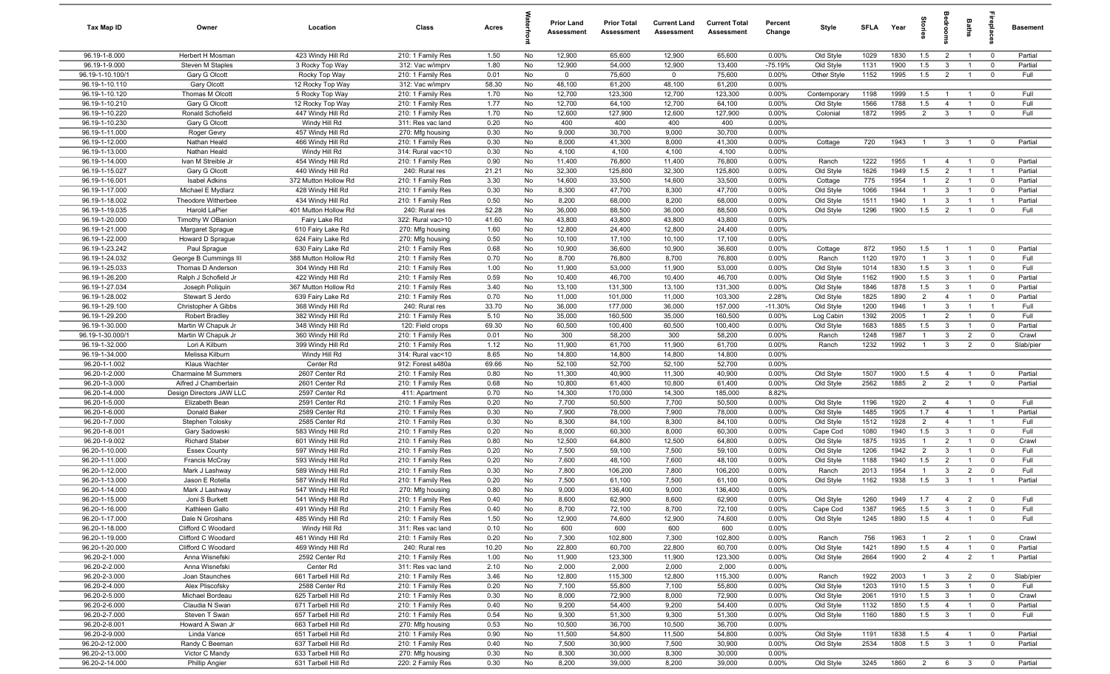| Tax Map ID                         | Owner                                    | Location                                   | Class                                 | Acres         |          | <b>Prior Land</b><br>Assessment | <b>Prior Total</b><br>Assessment | <b>Current Land</b><br>Assessment | <b>Current Total</b><br>Assessment | Percent<br>Change | Style              | <b>SFLA</b>  | Year         | tories                | alpe                    | Baths                            | eb                         | <b>Basement</b>  |
|------------------------------------|------------------------------------------|--------------------------------------------|---------------------------------------|---------------|----------|---------------------------------|----------------------------------|-----------------------------------|------------------------------------|-------------------|--------------------|--------------|--------------|-----------------------|-------------------------|----------------------------------|----------------------------|------------------|
| 96.19-1-8.000                      | Herbert H Mosman                         | 423 Windy Hill Rd                          | 210: 1 Family Res                     | 1.50          | No       | 12,900                          | 65,600                           | 12,900                            | 65,600                             | 0.00%             | Old Style          | 1029         | 1830         | 1.5                   | $\overline{2}$          | $\overline{1}$                   | $\overline{0}$             | Partial          |
| 96.19-1-9.000                      | Steven M Staples                         | 3 Rocky Top Way                            | 312: Vac w/imprv                      | 1.80          | No       | 12,900                          | 54,000                           | 12,900                            | 13,400                             | $-75.19%$         | Old Style          | 1131         | 1900         | 1.5                   | 3                       | $\overline{1}$                   | $\overline{0}$             | Partial          |
| 96.19-1-10.100/1                   | Gary G Olcott                            | Rocky Top Way                              | 210: 1 Family Res                     | 0.01          | No       | $\mathbf 0$                     | 75,600                           | $\mathbf 0$                       | 75,600                             | 0.00%             | Other Style        | 1152         | 1995         | 1.5                   | $\overline{2}$          | $\overline{1}$                   | $\mathbf 0$                | Full             |
| 96.19-1-10.110                     | Gary Olcott                              | 12 Rocky Top Way                           | 312: Vac w/imprv                      | 58.30         | No       | 48,100                          | 61,200                           | 48,100                            | 61,200                             | 0.00%             |                    |              |              |                       |                         |                                  |                            |                  |
| 96.19-1-10.120                     | Thomas M Olcott                          | 5 Rocky Top Way                            | 210: 1 Family Res                     | 1.70          | No       | 12,700                          | 123,300                          | 12,700                            | 123,300                            | 0.00%             | Contemporary       | 1198         | 1999         | 1.5                   |                         | $\overline{1}$                   | $\mathbf 0$                | Full             |
| 96.19-1-10.210                     | Gary G Olcott                            | 12 Rocky Top Way                           | 210: 1 Family Res                     | 1.77          | No       | 12,700                          | 64,100                           | 12,700                            | 64,100                             | 0.00%             | Old Style          | 1566         | 1788         | 1.5                   | $\overline{4}$          | $\overline{1}$                   | $\mathbf 0$                | Full             |
| 96.19-1-10.220                     | Ronald Schofield                         | 447 Windy Hill Rd                          | 210: 1 Family Res                     | 1.70          | No       | 12,600                          | 127,900                          | 12,600                            | 127,900                            | 0.00%             | Colonial           | 1872         | 1995         | $\overline{2}$        | $\mathbf{3}$            | $\overline{1}$                   | $\mathbf 0$                | Full             |
| 96.19-1-10.230<br>96.19-1-11.000   | Gary G Olcott                            | Windy Hill Rd                              | 311: Res vac land                     | 0.20          | No       | 400                             | 400<br>30,700                    | 400<br>9,000                      | 400<br>30,700                      | 0.00%<br>0.00%    |                    |              |              |                       |                         |                                  |                            |                  |
| 96.19-1-12.000                     | Roger Gevry<br>Nathan Heald              | 457 Windy Hill Rd<br>466 Windy Hill Rd     | 270: Mfg housing<br>210: 1 Family Res | 0.30<br>0.30  | No<br>No | 9,000<br>8,000                  | 41,300                           | 8,000                             | 41,300                             | 0.00%             | Cottage            | 720          | 1943         | $\overline{1}$        | $\overline{3}$          | $\overline{1}$                   | $\overline{0}$             | Partial          |
| 96.19-1-13.000                     | Nathan Heald                             | Windy Hill Rd                              | 314: Rural vac<10                     | 0.30          | No       | 4,100                           | 4,100                            | 4,100                             | 4,100                              | 0.00%             |                    |              |              |                       |                         |                                  |                            |                  |
| 96.19-1-14.000                     | Ivan M Streible Jr                       | 454 Windy Hill Rd                          | 210: 1 Family Res                     | 0.90          | No       | 11,400                          | 76,800                           | 11,400                            | 76,800                             | 0.00%             | Ranch              | 1222         | 1955         | $\overline{1}$        | $\overline{4}$          | $\overline{1}$                   | $\overline{0}$             | Partial          |
| 96.19-1-15.027                     | Gary G Olcott                            | 440 Windy Hill Rd                          | 240: Rural res                        | 21.21         | No       | 32,300                          | 125,800                          | 32,300                            | 125,800                            | 0.00%             | Old Style          | 1626         | 1949         | 1.5                   | 2                       | $\overline{1}$                   | $\overline{1}$             | Partial          |
| 96.19-1-16.001                     | <b>Isabel Adkins</b>                     | 372 Mutton Hollow Rd                       | 210: 1 Family Res                     | 3.30          | No       | 14,600                          | 33,500                           | 14,600                            | 33,500                             | 0.00%             | Cottage            | 775          | 1954         | $\overline{1}$        | $\overline{2}$          | $\overline{1}$                   | $\mathbf 0$                | Partial          |
| 96.19-1-17.000                     | Michael E Mydlarz                        | 428 Windy Hill Rd                          | 210: 1 Family Res                     | 0.30          | No       | 8,300                           | 47,700                           | 8,300                             | 47,700                             | 0.00%             | Old Style          | 1066         | 1944         | $\overline{1}$        | 3                       | $\overline{1}$                   | $\overline{0}$             | Partial          |
| 96.19-1-18.002                     | Theodore Witherbee                       | 434 Windy Hill Rd                          | 210: 1 Family Res                     | 0.50          | No       | 8,200                           | 68,000                           | 8,200                             | 68,000                             | 0.00%             | Old Style          | 1511         | 1940         | $\overline{1}$        | $\mathbf{3}$            | $\overline{1}$                   | $\overline{1}$             | Partial          |
| 96.19-1-19.035                     | Harold LaPier                            | 401 Mutton Hollow Rd                       | 240: Rural res                        | 52.28         | No       | 36,000                          | 88,500                           | 36,000                            | 88,500                             | 0.00%             | Old Style          | 1296         | 1900         | 1.5                   | $\overline{2}$          | $\mathbf{1}$                     | $\mathbf{0}$               | Full             |
| 96.19-1-20.000                     | Timothy W OBanion                        | Fairy Lake Rd                              | 322: Rural vac>10                     | 41.60         | No       | 43,800                          | 43,800                           | 43,800                            | 43,800                             | 0.00%             |                    |              |              |                       |                         |                                  |                            |                  |
| 96.19-1-21.000                     | Margaret Sprague                         | 610 Fairy Lake Rd                          | 270: Mfg housing                      | 1.60          | No       | 12,800                          | 24,400                           | 12,800                            | 24,400                             | 0.00%             |                    |              |              |                       |                         |                                  |                            |                  |
| 96.19-1-22.000                     | Howard D Sprague                         | 624 Fairy Lake Rd                          | 270: Mfg housing                      | 0.50          | No       | 10,100                          | 17,100                           | 10,100                            | 17,100                             | 0.00%             |                    |              |              |                       |                         |                                  |                            |                  |
| 96.19-1-23.242                     | Paul Sprague                             | 630 Fairy Lake Rd                          | 210: 1 Family Res                     | 0.68          | No       | 10,900                          | 36,600                           | 10,900                            | 36,600                             | 0.00%             | Cottage            | 872          | 1950         | 1.5                   | $\overline{1}$          | $\overline{1}$                   | $\overline{0}$             | Partial          |
| 96.19-1-24.032                     | George B Cummings III                    | 388 Mutton Hollow Rd                       | 210: 1 Family Res                     | 0.70          | No       | 8,700                           | 76,800                           | 8,700                             | 76,800                             | 0.00%             | Ranch              | 1120         | 1970         | $\overline{1}$        | $\mathbf{3}$            | $\overline{1}$                   | $\mathbf 0$                | Full             |
| 96.19-1-25.033                     | Thomas D Anderson                        | 304 Windy Hill Rd                          | 210: 1 Family Res                     | 1.00          | No       | 11,900                          | 53,000                           | 11,900                            | 53,000                             | 0.00%             | Old Style          | 1014         | 1830         | 1.5                   | $\mathbf{3}$            | $\overline{1}$                   | $\overline{0}$             | Full             |
| 96.19-1-26.200                     | Ralph J Schofield Jr                     | 422 Windy Hill Rd                          | 210: 1 Family Res                     | 0.59          | No       | 10,400                          | 46,700                           | 10,400                            | 46,700                             | 0.00%             | Old Style          | 1162         | 1900         | 1.5                   | $\mathbf{3}$            | $\overline{1}$                   | $\mathbf 0$                | Partial          |
| 96.19-1-27.034                     | Joseph Poliquin                          | 367 Mutton Hollow Rd                       | 210: 1 Family Res                     | 3.40          | No       | 13,100                          | 131,300                          | 13,100                            | 131,300                            | 0.00%             | Old Style          | 1846         | 1878         | 1.5                   | $\mathbf{3}$            | $\overline{1}$                   | $\mathbf 0$                | Partial          |
| 96.19-1-28.002                     | Stewart S Jerdo                          | 639 Fairy Lake Rd                          | 210: 1 Family Res                     | 0.70          | No       | 11,000                          | 101,000                          | 11,000                            | 103,300                            | 2.28%             | Old Style          | 1825         | 1890         | 2                     | $\overline{4}$          | $\overline{1}$                   | $\overline{0}$             | Partial          |
| 96.19-1-29.100                     | Christopher A Gibbs                      | 368 Windy Hill Rd                          | 240: Rural res                        | 33.70         | No       | 36,000                          | 177,000                          | 36,000                            | 157,000                            | $-11.30%$         | Old Style          | 1200         | 1946         | $\overline{1}$        | $\mathbf{3}$            | $\overline{1}$                   | $\overline{1}$             | Full             |
| 96.19-1-29.200                     | Robert Bradley                           | 382 Windy Hill Rd                          | 210: 1 Family Res                     | 5.10          | No       | 35,000                          | 160,500                          | 35,000                            | 160,500                            | 0.00%             | Log Cabin          | 1392         | 2005<br>1885 | $\overline{1}$<br>1.5 | $\overline{2}$          | $\overline{1}$<br>$\overline{1}$ | $\mathbf 0$                | Full             |
| 96.19-1-30.000<br>96.19-1-30.000/1 | Martin W Chapuk Jr<br>Martin W Chapuk Jr | 348 Windy Hill Rd<br>360 Windy Hill Rd     | 120: Field crops<br>210: 1 Family Res | 69.30<br>0.01 | No<br>No | 60,500<br>300                   | 100,400<br>58,200                | 60,500<br>300                     | 100,400<br>58,200                  | 0.00%<br>0.00%    | Old Style<br>Ranch | 1683<br>1248 | 1987         | $\overline{1}$        | $\mathbf{3}$<br>3       | $\overline{2}$                   | $\mathbf 0$<br>$\mathbf 0$ | Partial<br>Crawl |
| 96.19-1-32.000                     | Lori A Kilburn                           | 399 Windy Hill Rd                          | 210: 1 Family Res                     | 1.12          | No       | 11,900                          | 61,700                           | 11,900                            | 61,700                             | 0.00%             | Ranch              | 1232         | 1992         | $\overline{1}$        | $\mathbf{3}$            | $\overline{2}$                   | $\mathbf 0$                | Slab/pier        |
| 96.19-1-34.000                     | Melissa Kilburn                          | Windy Hill Rd                              | 314: Rural vac<10                     | 8.65          | No       | 14,800                          | 14,800                           | 14,800                            | 14,800                             | 0.00%             |                    |              |              |                       |                         |                                  |                            |                  |
| 96.20-1-1.002                      | Klaus Wachter                            | Center Rd                                  | 912: Forest s480a                     | 69.66         | No       | 52,100                          | 52,700                           | 52,100                            | 52,700                             | 0.00%             |                    |              |              |                       |                         |                                  |                            |                  |
| 96.20-1-2.000                      | <b>Charmaine M Summers</b>               | 2607 Center Rd                             | 210: 1 Family Res                     | 0.80          | No       | 11,300                          | 40,900                           | 11,300                            | 40,900                             | 0.00%             | Old Style          | 1507         | 1900         | 1.5                   | $\overline{4}$          | $\overline{1}$                   | $\overline{\mathbf{0}}$    | Partial          |
| 96.20-1-3.000                      | Alfred J Chamberlain                     | 2601 Center Rd                             | 210: 1 Family Res                     | 0.68          | No       | 10,800                          | 61,400                           | 10,800                            | 61,400                             | 0.00%             | Old Style          | 2562         | 1885         | $\overline{2}$        | $\overline{2}$          | $\overline{1}$                   | $\overline{\mathbf{0}}$    | Partial          |
| 96.20-1-4.000                      | Design Directors JAW LLC                 | 2597 Center Rd                             | 411: Apartment                        | 0.70          | No       | 14,300                          | 170,000                          | 14,300                            | 185,000                            | 8.82%             |                    |              |              |                       |                         |                                  |                            |                  |
| 96.20-1-5.000                      | Elizabeth Bean                           | 2591 Center Rd                             | 210: 1 Family Res                     | 0.20          | No       | 7,700                           | 50,500                           | 7,700                             | 50,500                             | 0.00%             | Old Style          | 1196         | 1920         | 2                     | $\overline{4}$          | $\overline{1}$                   | $\overline{0}$             | Full             |
| 96.20-1-6.000                      | Donald Baker                             | 2589 Center Rd                             | 210: 1 Family Res                     | 0.30          | No       | 7,900                           | 78,000                           | 7,900                             | 78,000                             | 0.00%             | Old Style          | 1485         | 1905         | 1.7                   | $\overline{4}$          | $\overline{1}$                   | $\overline{1}$             | Partial          |
| 96.20-1-7.000                      | Stephen Tolosky                          | 2585 Center Rd                             | 210: 1 Family Res                     | 0.30          | No       | 8,300                           | 84,100                           | 8,300                             | 84,100                             | 0.00%             | Old Style          | 1512         | 1928         | $\overline{2}$        | $\overline{4}$          | $\overline{1}$                   | $\overline{1}$             | Full             |
| 96.20-1-8.001                      | Gary Sadowski                            | 583 Windy Hill Rd                          | 210: 1 Family Res                     | 0.20          | No       | 8,000                           | 60,300                           | 8,000                             | 60,300                             | 0.00%             | Cape Cod           | 1080         | 1940         | 1.5                   | $\mathbf{3}$            | $\overline{1}$                   | $\mathbf 0$                | Full             |
| 96.20-1-9.002                      | <b>Richard Staber</b>                    | 601 Windy Hill Rd                          | 210: 1 Family Res                     | 0.80          | No       | 12,500                          | 64,800                           | 12,500                            | 64,800                             | 0.00%             | Old Style          | 1875         | 1935         | $\overline{1}$        | $\overline{2}$          | $\overline{1}$                   | $\mathbf 0$                | Crawl            |
| 96.20-1-10.000                     | <b>Essex County</b>                      | 597 Windy Hill Rd                          | 210: 1 Family Res                     | 0.20          | No       | 7,500                           | 59,100                           | 7,500                             | 59,100                             | 0.00%             | Old Style          | 1206         | 1942         | $\overline{2}$        | 3                       | $\overline{1}$                   | $\mathbf 0$                | Full             |
| 96.20-1-11.000                     | Francis McCray                           | 593 Windy Hill Rd                          | 210: 1 Family Res                     | 0.20          | No       | 7,600                           | 48,100                           | 7,600                             | 48,100                             | 0.00%             | Old Style          | 1188         | 1940         | 1.5                   | $\overline{2}$          | $\overline{1}$                   | $\mathbf 0$                | Full             |
| 96.20-1-12.000                     | Mark J Lashway                           | 589 Windy Hill Rd                          | 210: 1 Family Res                     | 0.30          | No       | 7,800                           | 106,200                          | 7,800                             | 106,200                            | 0.00%             | Ranch              | 2013         | 1954         | $\overline{1}$        | 3                       | $\overline{2}$                   | $\Omega$                   | Full             |
| 96.20-1-13.000<br>96.20-1-14.000   | Jason E Rotella<br>Mark J Lashway        | 587 Windy Hill Rd<br>547 Windy Hill Rd     | 210: 1 Family Res                     | 0.20<br>0.80  | No<br>No | 7,500<br>9,000                  | 61,100<br>136,400                | 7,500<br>9,000                    | 61,100<br>136,400                  | 0.00%<br>0.00%    | Old Style          | 1162         | 1938         | 1.5                   | $\mathbf{3}$            | $\overline{1}$                   |                            | Partial          |
| 96.20-1-15.000                     | Joni S Burkett                           | 541 Windy Hill Rd                          | 270: Mfg housing<br>210: 1 Family Res | 0.40          | No       | 8,600                           | 62,900                           | 8,600                             | 62,900                             | $0.00\%$          | Old Style          | 1260         | 1949         | 1.7                   | $\overline{4}$          | $\overline{2}$                   |                            | Full             |
| 96.20-1-16.000                     | Kathleen Gallo                           | 491 Windy Hill Rd                          | 210: 1 Family Res                     | 0.40          | No       | 8,700                           | 72,100                           | 8,700                             | 72,100                             | 0.00%             | Cape Cod           | 1387         | 1965         | 1.5                   | $\overline{\mathbf{3}}$ | $\overline{1}$                   | $\mathbf 0$                | Full             |
| 96.20-1-17.000                     | Dale N Groshans                          | 485 Windy Hill Rd                          | 210: 1 Family Res                     | 1.50          | No       | 12,900                          | 74,600                           | 12,900                            | 74,600                             | 0.00%             | Old Style          | 1245         | 1890         | 1.5                   | $\overline{4}$          | $\overline{1}$                   | $\mathbf 0$                | Full             |
| 96.20-1-18.000                     | Clifford C Woodard                       | Windy Hill Rd                              | 311: Res vac land                     | 0.10          | No       | 600                             | 600                              | 600                               | 600                                | 0.00%             |                    |              |              |                       |                         |                                  |                            |                  |
| 96.20-1-19.000                     | Clifford C Woodard                       | 461 Windy Hill Rd                          | 210: 1 Family Res                     | 0.20          | No       | 7,300                           | 102,800                          | 7,300                             | 102,800                            | 0.00%             | Ranch              | 756          | 1963         | $\overline{1}$        | $\overline{2}$          | $\overline{1}$                   | $\overline{\mathbf{0}}$    | Crawl            |
| 96.20-1-20.000                     | Clifford C Woodard                       | 469 Windy Hill Rd                          | 240: Rural res                        | 10.20         | No       | 22,800                          | 60,700                           | 22,800                            | 60,700                             | 0.00%             | Old Style          | 1421         | 1890         | 1.5                   | $\overline{4}$          | $\overline{1}$                   | $\overline{0}$             | Partial          |
| 96.20-2-1.000                      | Anna Wisnefski                           | 2592 Center Rd                             | 210: 1 Family Res                     | 1.00          | No       | 11,900                          | 123,300                          | 11,900                            | 123,300                            | 0.00%             | Old Style          | 2664         | 1900         | $\overline{2}$        | $\overline{4}$          | $\overline{2}$                   | $\overline{1}$             | Partial          |
| 96.20-2-2.000                      | Anna Wisnefski                           | Center Rd                                  | 311: Res vac land                     | 2.10          | No       | 2,000                           | 2,000                            | 2,000                             | 2,000                              | 0.00%             |                    |              |              |                       |                         |                                  |                            |                  |
| 96.20-2-3.000                      | Joan Staunches                           | 661 Tarbell Hill Rd                        | 210: 1 Family Res                     | 3.46          | No       | 12,800                          | 115,300                          | 12,800                            | 115,300                            | 0.00%             | Ranch              | 1922         | 2003         | $\overline{1}$        | $\mathbf{3}$            | $\overline{2}$                   | $\overline{0}$             | Slab/pier        |
| 96.20-2-4.000                      | Alex Pliscofsky                          | 2588 Center Rd                             | 210: 1 Family Res                     | 0.20          | No       | 7,100                           | 55,800                           | 7,100                             | 55,800                             | 0.00%             | Old Style          | 1203         | 1910         | 1.5                   | $\mathbf{3}$            | $\overline{1}$                   | $\mathbf 0$                | Full             |
| 96.20-2-5.000                      | Michael Bordeau                          | 625 Tarbell Hill Rd                        | 210: 1 Family Res                     | 0.30          | No       | 8,000                           | 72,900                           | 8,000                             | 72,900                             | 0.00%             | Old Style          | 2061         | 1910         | 1.5                   | $\mathbf{3}$            | $\overline{1}$                   | $\overline{\mathbf{0}}$    | Crawl            |
| 96.20-2-6.000                      | Claudia N Swan                           | 671 Tarbell Hill Rd                        | 210: 1 Family Res                     | 0.40          | No       | 9,200                           | 54,400                           | 9,200                             | 54,400                             | 0.00%             | Old Style          | 1132         | 1850         | 1.5                   | $\overline{4}$          | $\overline{1}$                   | $\overline{\mathbf{0}}$    | Partial          |
| 96.20-2-7.000                      | Steven T Swan                            | 657 Tarbell Hill Rd                        | 210: 1 Family Res                     | 0.54          | No       | 9,300                           | 51,300                           | 9,300                             | 51,300                             | 0.00%             | Old Style          | 1160         | 1880         | 1.5                   | $\mathbf{3}$            | $\overline{1}$                   | $\overline{\mathbf{0}}$    | Full             |
| 96.20-2-8.001                      | Howard A Swan Jr                         | 663 Tarbell Hill Rd                        | 270: Mfg housing                      | 0.53          | No       | 10,500                          | 36,700                           | 10,500                            | 36,700                             | 0.00%             |                    |              |              |                       |                         |                                  |                            |                  |
| 96.20-2-9.000                      | Linda Vance                              | 651 Tarbell Hill Rd                        | 210: 1 Family Res                     | 0.90          | No       | 11,500                          | 54,800                           | 11,500                            | 54,800                             | 0.00%             | Old Style          | 1191         | 1838         | 1.5                   | $\overline{4}$          | $\overline{1}$                   | $\overline{\mathbf{0}}$    | Partial          |
| 96.20-2-12.000                     | Randy C Beeman                           | 637 Tarbell Hill Rd                        | 210: 1 Family Res                     | 0.40          | No       | 7,500                           | 30,900                           | 7,500                             | 30,900                             | 0.00%             | Old Style          | 2534         | 1808         | 1.5                   | $\overline{\mathbf{3}}$ | $\overline{1}$                   | $\mathbf 0$                | Partial          |
| 96.20-2-13.000<br>96.20-2-14.000   | Victor C Mandy                           | 633 Tarbell Hill Rd<br>631 Tarbell Hill Rd | 270: Mfg housing<br>220: 2 Family Res | 0.30          | No       | 8,300<br>8,200                  | 30,000<br>39,000                 | 8,300<br>8,200                    | 30,000<br>39,000                   | 0.00%<br>$0.00\%$ |                    | 3245         | 1860         |                       |                         | $\mathbf{3}$                     | $\overline{0}$             | Partial          |
|                                    | Phillip Angier                           |                                            |                                       | 0.30          | No       |                                 |                                  |                                   |                                    |                   | Old Style          |              |              | $2 \t 6$              |                         |                                  |                            |                  |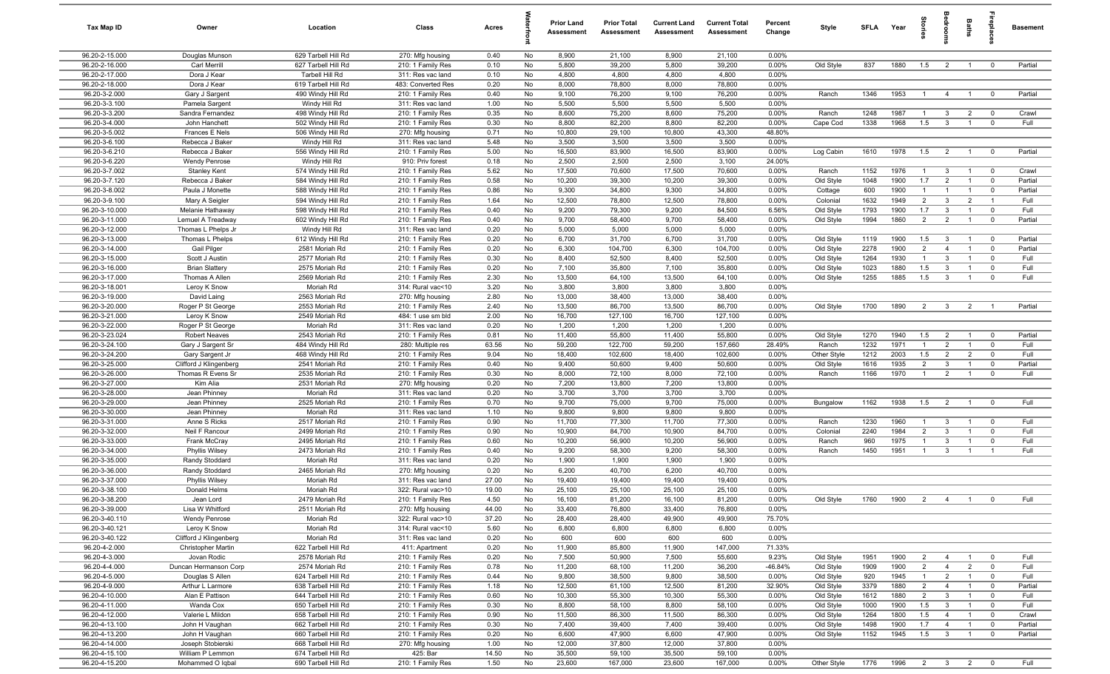| Tax Map ID                       | Owner                                       | Location                                   | Class                                   | Acres         |          | <b>Prior Land</b><br>Assessment | <b>Prior Total</b><br>Assessment | <b>Current Land</b><br>Assessment | <b>Current Total</b><br>Assessment | Percent<br>Change | Style                  | SFLA         | Year         | tories                           | <b>Sedroo</b>                    | Baths                            |                            | <b>Basement</b>  |
|----------------------------------|---------------------------------------------|--------------------------------------------|-----------------------------------------|---------------|----------|---------------------------------|----------------------------------|-----------------------------------|------------------------------------|-------------------|------------------------|--------------|--------------|----------------------------------|----------------------------------|----------------------------------|----------------------------|------------------|
| 96.20-2-15.000                   | Douglas Munson                              | 629 Tarbell Hill Rd                        | 270: Mfg housing                        | 0.40          | No       | 8,900                           | 21,100                           | 8,900                             | 21,100                             | 0.00%             |                        |              |              |                                  |                                  |                                  |                            |                  |
| 96.20-2-16.000                   | Carl Merrill                                | 627 Tarbell Hill Rd                        | 210: 1 Family Res                       | 0.10          | No       | 5,800                           | 39,200                           | 5,800                             | 39,200                             | 0.00%             | Old Style              | 837          | 1880         | 1.5                              | $\overline{2}$                   | $\overline{1}$                   | $\mathbf 0$                | Partial          |
| 96.20-2-17.000                   | Dora J Kear                                 | Tarbell Hill Rd                            | 311: Res vac land                       | 0.10          | No       | 4,800                           | 4,800                            | 4,800                             | 4,800                              | 0.00%             |                        |              |              |                                  |                                  |                                  |                            |                  |
| 96.20-2-18.000<br>96.20-3-2.000  | Dora J Kear<br>Gary J Sargent               | 619 Tarbell Hill Rd<br>490 Windy Hill Rd   | 483: Converted Res<br>210: 1 Family Res | 0.20<br>0.40  | No<br>No | 8,000<br>9,100                  | 78,800<br>76,200                 | 8,000<br>9,100                    | 78,800<br>76,200                   | 0.00%<br>0.00%    | Ranch                  | 1346         | 1953         | $\overline{1}$                   | $\overline{4}$                   | $\overline{1}$                   | $\overline{\mathbf{0}}$    | Partial          |
| 96.20-3-3.100                    | Pamela Sargent                              | Windy Hill Rd                              | 311: Res vac land                       | 1.00          | No       | 5,500                           | 5,500                            | 5,500                             | 5,500                              | 0.00%             |                        |              |              |                                  |                                  |                                  |                            |                  |
| 96.20-3-3.200                    | Sandra Fernandez                            | 498 Windy Hill Rd                          | 210: 1 Family Res                       | 0.35          | No       | 8,600                           | 75,200                           | 8,600                             | 75,200                             | 0.00%             | Ranch                  | 1248         | 1987         | -1                               | $\mathbf{3}$                     | $\overline{2}$                   | $\overline{0}$             | Crawl            |
| 96.20-3-4.000                    | John Hanchett                               | 502 Windy Hill Rd                          | 210: 1 Family Res                       | 0.30          | No       | 8,800                           | 82,200                           | 8,800                             | 82,200                             | 0.00%             | Cape Cod               | 1338         | 1968         | 1.5                              | $\mathbf{3}$                     | $\overline{1}$                   | $\mathbf{0}$               | Full             |
| 96.20-3-5.002                    | Frances E Nels                              | 506 Windy Hill Rd                          | 270: Mfg housing                        | 0.71          | No       | 10,800                          | 29,100                           | 10,800                            | 43,300                             | 48.80%            |                        |              |              |                                  |                                  |                                  |                            |                  |
| 96.20-3-6.100                    | Rebecca J Baker                             | Windy Hill Rd                              | 311: Res vac land                       | 5.48          | No       | 3,500                           | 3,500                            | 3,500                             | 3,500                              | 0.00%             |                        |              |              |                                  |                                  |                                  |                            |                  |
| 96.20-3-6.210                    | Rebecca J Baker                             | 556 Windy Hill Rd                          | 210: 1 Family Res                       | 5.00          | No       | 16,500                          | 83,900                           | 16,500                            | 83,900                             | 0.00%             | Log Cabin              | 1610         | 1978         | 1.5                              | $\overline{2}$                   | $\overline{1}$                   | $\mathbf 0$                | Partial          |
| 96.20-3-6.220<br>96.20-3-7.002   | <b>Wendy Penrose</b><br><b>Stanley Kent</b> | Windy Hill Rd<br>574 Windy Hill Rd         | 910: Priv forest<br>210: 1 Family Res   | 0.18<br>5.62  | No<br>No | 2,500<br>17,500                 | 2,500<br>70,600                  | 2,500<br>17,500                   | 3,100<br>70,600                    | 24.00%<br>0.00%   | Ranch                  | 1152         | 1976         | $\overline{1}$                   | $\mathbf{3}$                     | $\overline{1}$                   | $\overline{0}$             | Crawl            |
| 96.20-3-7.120                    | Rebecca J Baker                             | 584 Windy Hill Rd                          | 210: 1 Family Res                       | 0.58          | No       | 10,200                          | 39,300                           | 10,200                            | 39,300                             | 0.00%             | Old Style              | 1048         | 1900         | 1.7                              | $\overline{2}$                   | $\overline{1}$                   | $\mathbf 0$                | Partial          |
| 96.20-3-8.002                    | Paula J Monette                             | 588 Windy Hill Rd                          | 210: 1 Family Res                       | 0.86          | No       | 9,300                           | 34,800                           | 9,300                             | 34,800                             | 0.00%             | Cottage                | 600          | 1900         | $\overline{1}$                   | -1                               | $\overline{1}$                   | $\mathbf 0$                | Partial          |
| 96.20-3-9.100                    | Mary A Seigler                              | 594 Windy Hill Rd                          | 210: 1 Family Res                       | 1.64          | No       | 12,500                          | 78,800                           | 12,500                            | 78,800                             | 0.00%             | Colonial               | 1632         | 1949         | $\overline{2}$                   | $\mathbf{3}$                     | $\overline{2}$                   | $\overline{1}$             | Full             |
| 96.20-3-10.000                   | Melanie Hathaway                            | 598 Windy Hill Rd                          | 210: 1 Family Res                       | 0.40          | No       | 9,200                           | 79,300                           | 9,200                             | 84,500                             | 6.56%             | Old Style              | 1793         | 1900         | 1.7                              | $\mathbf{3}$                     | $\overline{1}$                   | $\mathbf 0$                | Full             |
| 96.20-3-11.000                   | Lemuel A Treadway                           | 602 Windy Hill Rd                          | 210: 1 Family Res                       | 0.40          | No       | 9,700                           | 58,400                           | 9,700                             | 58,400                             | 0.00%             | Old Style              | 1994         | 1860         | $\overline{2}$                   | $\overline{2}$                   | $\overline{1}$                   | $\mathbf 0$                | Partial          |
| 96.20-3-12.000                   | Thomas L Phelps Jr                          | Windy Hill Rd                              | 311: Res vac land                       | 0.20          | No       | 5,000                           | 5,000                            | 5,000                             | 5,000                              | 0.00%             |                        |              |              |                                  |                                  |                                  |                            |                  |
| 96.20-3-13.000                   | Thomas L Phelps                             | 612 Windy Hill Rd                          | 210: 1 Family Res                       | 0.20          | No       | 6,700                           | 31,700                           | 6,700                             | 31,700                             | 0.00%             | Old Style              | 1119         | 1900         | 1.5                              | $\overline{\mathbf{3}}$          | $\overline{1}$                   | $\overline{\mathbf{0}}$    | Partial          |
| 96.20-3-14.000<br>96.20-3-15.000 | Gail Pilger<br>Scott J Austin               | 2581 Moriah Rd<br>2577 Moriah Rd           | 210: 1 Family Res                       | 0.20<br>0.30  | No<br>No | 6,300<br>8,400                  | 104,700<br>52,500                | 6,300<br>8,400                    | 104,700<br>52,500                  | 0.00%<br>0.00%    | Old Style              | 2278<br>1264 | 1900<br>1930 | $\overline{2}$<br>$\overline{1}$ | $\overline{4}$<br>3              | $\overline{1}$<br>$\overline{1}$ | $\mathbf 0$<br>$\mathbf 0$ | Partial<br>Full  |
| 96.20-3-16.000                   | <b>Brian Slattery</b>                       | 2575 Moriah Rd                             | 210: 1 Family Res<br>210: 1 Family Res  | 0.20          | No       | 7,100                           | 35,800                           | 7,100                             | 35,800                             | 0.00%             | Old Style<br>Old Style | 1023         | 1880         | 1.5                              | $\mathbf{3}$                     | $\overline{1}$                   | $\mathbf 0$                | Full             |
| 96.20-3-17.000                   | Thomas A Allen                              | 2569 Moriah Rd                             | 210: 1 Family Res                       | 2.30          | No       | 13,500                          | 64,100                           | 13,500                            | 64,100                             | 0.00%             | Old Style              | 1255         | 1885         | 1.5                              | $\mathbf{3}$                     | $\overline{1}$                   | $\mathbf 0$                | Full             |
| 96.20-3-18.001                   | Leroy K Snow                                | Moriah Rd                                  | 314: Rural vac<10                       | 3.20          | No       | 3,800                           | 3,800                            | 3,800                             | 3,800                              | 0.00%             |                        |              |              |                                  |                                  |                                  |                            |                  |
| 96.20-3-19.000                   | David Laing                                 | 2563 Moriah Rd                             | 270: Mfg housing                        | 2.80          | No       | 13,000                          | 38,400                           | 13,000                            | 38,400                             | 0.00%             |                        |              |              |                                  |                                  |                                  |                            |                  |
| 96.20-3-20.000                   | Roger P St George                           | 2553 Moriah Rd                             | 210: 1 Family Res                       | 2.40          | No       | 13,500                          | 86,700                           | 13,500                            | 86,700                             | 0.00%             | Old Style              | 1700         | 1890         | 2                                | $\overline{\mathbf{3}}$          | $\overline{2}$                   | $\overline{1}$             | Partial          |
| 96.20-3-21.000                   | Leroy K Snow                                | 2549 Moriah Rd                             | 484: 1 use sm bld                       | 2.00          | No       | 16,700                          | 127,100                          | 16,700                            | 127,100                            | 0.00%             |                        |              |              |                                  |                                  |                                  |                            |                  |
| 96.20-3-22.000                   | Roger P St George                           | Moriah Rd                                  | 311: Res vac land                       | 0.20          | No       | 1,200                           | 1,200                            | 1,200                             | 1,200                              | 0.00%             |                        |              |              |                                  |                                  |                                  |                            |                  |
| 96.20-3-23.024                   | <b>Robert Neaves</b>                        | 2543 Moriah Rd                             | 210: 1 Family Res                       | 0.81          | No       | 11,400                          | 55,800                           | 11,400                            | 55,800                             | 0.00%             | Old Style              | 1270         | 1940         | 1.5                              | $\overline{2}$                   | $\overline{1}$                   | $\mathbf 0$                | Partial          |
| 96.20-3-24.100<br>96.20-3-24.200 | Gary J Sargent Sr                           | 484 Windy Hill Rd<br>468 Windy Hill Rd     | 280: Multiple res<br>210: 1 Family Res  | 63.56<br>9.04 | No<br>No | 59,200<br>18,400                | 122,700<br>102,600               | 59,200<br>18,400                  | 157,660<br>102,600                 | 28.49%<br>0.00%   | Ranch<br>Other Style   | 1232<br>1212 | 1971<br>2003 | $\mathbf{1}$<br>1.5              | $\overline{2}$<br>$\overline{2}$ | $\overline{1}$<br>$\overline{2}$ | $\mathbf 0$<br>$\mathbf 0$ | Full<br>Full     |
| 96.20-3-25.000                   | Gary Sargent Jr<br>Clifford J Klingenberg   | 2541 Moriah Rd                             | 210: 1 Family Res                       | 0.40          | No       | 9,400                           | 50,600                           | 9,400                             | 50,600                             | 0.00%             | Old Style              | 1616         | 1935         | $\overline{2}$                   | $\mathbf{3}$                     | $\overline{1}$                   | $\mathbf 0$                | Partial          |
| 96.20-3-26.000                   | Thomas R Evens Sr                           | 2535 Moriah Rd                             | 210: 1 Family Res                       | 0.30          | No       | 8,000                           | 72,100                           | 8,000                             | 72,100                             | 0.00%             | Ranch                  | 1166         | 1970         | $\overline{1}$                   | $\overline{2}$                   | $\overline{1}$                   | $\mathbf{0}$               | Full             |
| 96.20-3-27.000                   | Kim Alia                                    | 2531 Moriah Rd                             | 270: Mfg housing                        | 0.20          | No       | 7,200                           | 13,800                           | 7,200                             | 13,800                             | 0.00%             |                        |              |              |                                  |                                  |                                  |                            |                  |
| 96.20-3-28.000                   | Jean Phinney                                | Moriah Rd                                  | 311: Res vac land                       | 0.20          | No       | 3,700                           | 3,700                            | 3,700                             | 3,700                              | 0.00%             |                        |              |              |                                  |                                  |                                  |                            |                  |
| 96.20-3-29.000                   | Jean Phinney                                | 2525 Moriah Rd                             | 210: 1 Family Res                       | 0.70          | No       | 9,700                           | 75,000                           | 9,700                             | 75,000                             | 0.00%             | Bungalow               | 1162         | 1938         | 1.5                              | $\overline{2}$                   | $\overline{1}$                   | $\mathbf 0$                | Full             |
| 96.20-3-30.000                   | Jean Phinney                                | Moriah Rd                                  | 311: Res vac land                       | 1.10          | No       | 9,800                           | 9,800                            | 9,800                             | 9,800                              | 0.00%             |                        |              |              |                                  |                                  |                                  |                            |                  |
| 96.20-3-31.000                   | Anne S Ricks                                | 2517 Moriah Rd                             | 210: 1 Family Res                       | 0.90          | No       | 11,700                          | 77,300                           | 11,700                            | 77,300                             | 0.00%             | Ranch                  | 1230         | 1960         | $\mathbf{1}$                     | $\mathbf{3}$                     | $\overline{1}$                   | $\mathbf 0$                | Full             |
| 96.20-3-32.000<br>96.20-3-33.000 | Neil F Rancour                              | 2499 Moriah Rd<br>2495 Moriah Rd           | 210: 1 Family Res                       | 0.90          | No<br>No | 10,900                          | 84,700                           | 10,900                            | 84,700                             | 0.00%             | Colonial<br>Ranch      | 2240<br>960  | 1984         | $\overline{2}$<br>$\overline{1}$ | $\mathbf{3}$<br>$\mathbf{3}$     | $\overline{1}$<br>$\overline{1}$ | $\mathbf 0$<br>$\mathbf 0$ | Full<br>Full     |
| 96.20-3-34.000                   | Frank McCray<br>Phyllis Wilsey              | 2473 Moriah Rd                             | 210: 1 Family Res<br>210: 1 Family Res  | 0.60<br>0.40  | No       | 10,200<br>9,200                 | 56,900<br>58,300                 | 10,200<br>9,200                   | 56,900<br>58,300                   | 0.00%<br>0.00%    | Ranch                  | 1450         | 1975<br>1951 | $\overline{1}$                   | $\mathbf{3}$                     | $\overline{1}$                   | $\overline{1}$             | Full             |
| 96.20-3-35.000                   | Randy Stoddard                              | Moriah Rd                                  | 311: Res vac land                       | 0.20          | No       | 1,900                           | 1,900                            | 1,900                             | 1,900                              | 0.00%             |                        |              |              |                                  |                                  |                                  |                            |                  |
| 96.20-3-36.000                   | Randy Stoddard                              | 2465 Moriah Rd                             | 270: Mfg housing                        | 0.20          | No       | 6,200                           | 40,700                           | 6,200                             | 40,700                             | 0.00%             |                        |              |              |                                  |                                  |                                  |                            |                  |
| 96.20-3-37.000                   | <b>Phyllis Wilsey</b>                       | Moriah Rd                                  | 311: Res vac land                       | 27.00         | No       | 19,400                          | 19,400                           | 19,400                            | 19,400                             | 0.00%             |                        |              |              |                                  |                                  |                                  |                            |                  |
| 96.20-3-38.100                   | Donald Helms                                | Moriah Rd                                  | 322: Rural vac>10                       | 19.00         | No       | 25,100                          | 25,100                           | 25,100                            | 25,100                             | 0.00%             |                        |              |              |                                  |                                  |                                  |                            |                  |
| 96.20-3-38.200                   | Jean Lord                                   | 2479 Moriah Rd                             | 210: 1 Family Res                       | 4.50          | No       | 16,100                          | 81,200                           | 16,100                            | 81,200                             | 0.00%             | Old Style              | 1760         | 1900         | $\mathcal{P}$                    | $\mathbf{A}$                     |                                  |                            | Full             |
| 96.20-3-39.000                   | Lisa W Whitford                             | 2511 Moriah Rd                             | 270: Mfg housing                        | 44.00         | No       | 33,400                          | 76,800                           | 33,400                            | 76,800                             | 0.00%             |                        |              |              |                                  |                                  |                                  |                            |                  |
| 96.20-3-40.110                   | Wendy Penrose                               | Moriah Rd                                  | 322: Rural vac>10                       | 37.20         | No       | 28,400                          | 28,400                           | 49,900                            | 49,900                             | 75.70%            |                        |              |              |                                  |                                  |                                  |                            |                  |
| 96.20-3-40.121<br>96.20-3-40.122 | Leroy K Snow<br>Clifford J Klingenberg      | Moriah Rd<br>Moriah Rd                     | 314: Rural vac<10<br>311: Res vac land  | 5.60<br>0.20  | No<br>No | 6,800<br>600                    | 6,800<br>600                     | 6,800<br>600                      | 6,800<br>600                       | 0.00%<br>0.00%    |                        |              |              |                                  |                                  |                                  |                            |                  |
| 96.20-4-2.000                    | Christopher Martin                          | 622 Tarbell Hill Rd                        | 411: Apartment                          | 0.20          | No       | 11,900                          | 85,800                           | 11,900                            | 147,000                            | 71.33%            |                        |              |              |                                  |                                  |                                  |                            |                  |
| 96.20-4-3.000                    | Jovan Rodic                                 | 2578 Moriah Rd                             | 210: 1 Family Res                       | 0.20          | No       | 7,500                           | 50,900                           | 7,500                             | 55,600                             | 9.23%             | Old Style              | 1951         | 1900         | $\overline{2}$                   | $\overline{4}$                   | $\overline{1}$                   | $\overline{0}$             | Full             |
| 96.20-4-4.000                    | Duncan Hermanson Corp                       | 2574 Moriah Rd                             | 210: 1 Family Res                       | 0.78          | No       | 11,200                          | 68,100                           | 11,200                            | 36,200                             | $-46.84%$         | Old Style              | 1909         | 1900         | $\overline{2}$                   | $\overline{4}$                   | $\overline{2}$                   | $\mathbf 0$                | Full             |
| 96.20-4-5.000                    | Douglas S Allen                             | 624 Tarbell Hill Rd                        | 210: 1 Family Res                       | 0.44          | No       | 9,800                           | 38,500                           | 9,800                             | 38,500                             | 0.00%             | Old Style              | 920          | 1945         | $\mathbf{1}$                     | $\overline{2}$                   | $\overline{1}$                   | $\overline{0}$             | Full             |
| 96.20-4-9.000                    | Arthur L Larmore                            | 638 Tarbell Hill Rd                        | 210: 1 Family Res                       | 1.18          | No       | 12,500                          | 61,100                           | 12,500                            | 81,200                             | 32.90%            | Old Style              | 3379         | 1880         | $\overline{2}$                   | $\overline{4}$                   | $\overline{1}$                   | $\mathbf 0$                | Partial          |
| 96.20-4-10.000                   | Alan E Pattison                             | 644 Tarbell Hill Rd                        | 210: 1 Family Res                       | 0.60          | No       | 10,300                          | 55,300                           | 10,300                            | 55,300                             | 0.00%             | Old Style              | 1612         | 1880         | $\overline{2}$                   | $\mathbf{3}$                     | $\overline{1}$                   | $\mathbf 0$                | Full             |
| 96.20-4-11.000                   | Wanda Cox                                   | 650 Tarbell Hill Rd                        | 210: 1 Family Res                       | 0.30          | No       | 8,800                           | 58,100                           | 8,800                             | 58,100                             | 0.00%             | Old Style              | 1000         | 1900         | 1.5                              | $\mathbf{3}$                     | $\overline{1}$                   | $\mathbf 0$                | Full             |
| 96.20-4-12.000                   | Valerie L Mildon                            | 658 Tarbell Hill Rd                        | 210: 1 Family Res                       | 0.90          | No       | 11,500                          | 86,300<br>39,400                 | 11,500                            | 86,300                             | 0.00%             | Old Style              | 1264<br>1498 | 1800<br>1900 | 1.5<br>1.7                       | $\overline{4}$                   | $\overline{1}$                   | $\mathbf 0$<br>$\mathbf 0$ | Crawl<br>Partial |
| 96.20-4-13.100<br>96.20-4-13.200 | John H Vaughan<br>John H Vaughan            | 662 Tarbell Hill Rd<br>660 Tarbell Hill Rd | 210: 1 Family Res<br>210: 1 Family Res  | 0.30<br>0.20  | No<br>No | 7,400<br>6,600                  | 47,900                           | 7,400<br>6,600                    | 39,400<br>47,900                   | 0.00%<br>0.00%    | Old Style<br>Old Style | 1152         | 1945         | 1.5                              | $\overline{4}$<br>$\mathbf{3}$   | $\overline{1}$<br>$\overline{1}$ | $\mathbf 0$                | Partial          |
| 96.20-4-14.000                   | Joseph Stobierski                           | 668 Tarbell Hill Rd                        | 270: Mfg housing                        | 1.00          | No       | 12,000                          | 37,800                           | 12,000                            | 37,800                             | 0.00%             |                        |              |              |                                  |                                  |                                  |                            |                  |
| 96.20-4-15.100                   | William P Lemmon                            | 674 Tarbell Hill Rd                        | 425: Bar                                | 14.50         | No       | 35,500                          | 59,100                           | 35,500                            | 59,100                             | 0.00%             |                        |              |              |                                  |                                  |                                  |                            |                  |
| 96.20-4-15.200                   | Mohammed O Iqbal                            | 690 Tarbell Hill Rd                        | 210: 1 Family Res                       | 1.50          | No       | 23,600                          | 167,000                          | 23,600                            | 167,000                            | 0.00%             | Other Style            | 1776         | 1996         |                                  | $2 \t3 \t2$                      |                                  | $\overline{0}$             | Full             |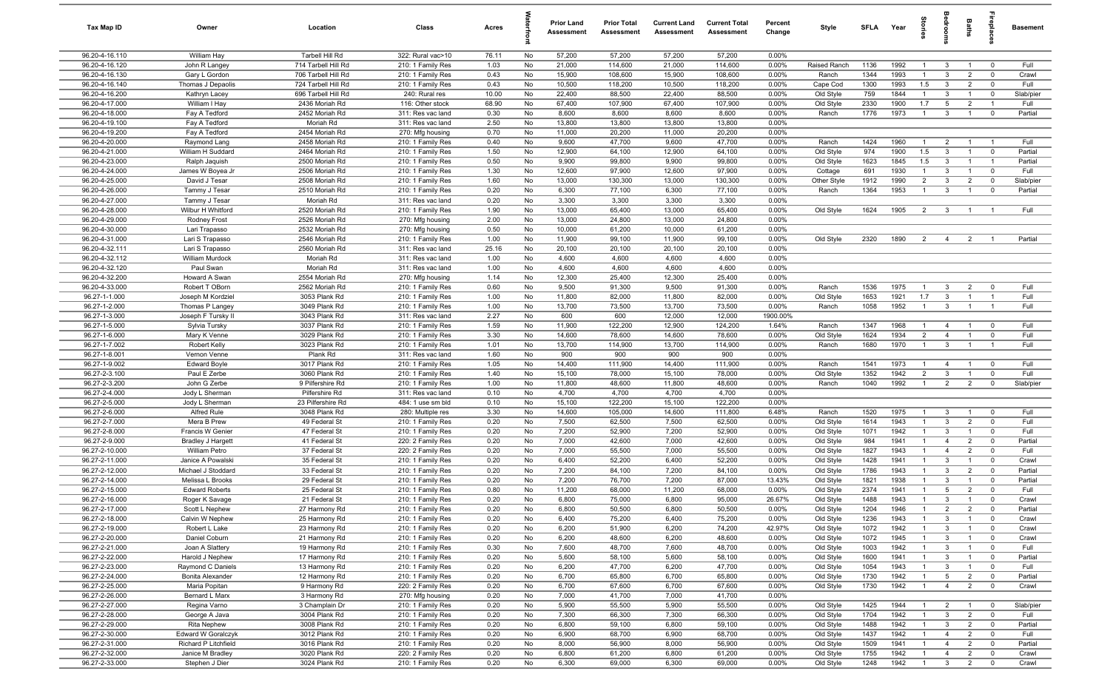| Tax Map ID                       | Owner                                   | Location                                   | Class                                  | Acres         |          | <b>Prior Land</b><br>Assessment | <b>Prior Total</b><br>Assessment | <b>Current Land</b><br>Assessment | <b>Current Total</b><br>Assessment | Percent<br>Change | Style                  | <b>SFLA</b>  | Year         | ğ                              | drooi                             | Baths                            | <b>G</b> bla                     | Basement          |
|----------------------------------|-----------------------------------------|--------------------------------------------|----------------------------------------|---------------|----------|---------------------------------|----------------------------------|-----------------------------------|------------------------------------|-------------------|------------------------|--------------|--------------|--------------------------------|-----------------------------------|----------------------------------|----------------------------------|-------------------|
| 96.20-4-16.110                   | William Hay                             | Tarbell Hill Rd                            | 322: Rural vac>10                      | 76.11         | No       | 57,200                          | 57,200                           | 57,200                            | 57,200                             | 0.00%             |                        |              |              |                                |                                   |                                  |                                  |                   |
| 96.20-4-16.120                   | John R Langey                           | 714 Tarbell Hill Rd                        | 210: 1 Family Res                      | 1.03          | No       | 21,000                          | 114,600                          | 21,000                            | 114,600                            | 0.00%             | Raised Ranch           | 1136         | 1992         | $\overline{1}$                 | $\mathbf{3}$                      | $\overline{1}$                   | $\mathbf 0$                      | Full              |
| 96.20-4-16.130                   | Gary L Gordon                           | 706 Tarbell Hill Rd                        | 210: 1 Family Res                      | 0.43          | No       | 15,900                          | 108,600                          | 15,900                            | 108,600                            | 0.00%             | Ranch                  | 1344         | 1993         | $\mathbf{1}$                   | $\mathbf{3}$                      | $\overline{2}$                   | $\mathbf 0$                      | Crawl             |
| 96.20-4-16.140<br>96.20-4-16.200 | Thomas J Depaolis<br>Kathryn Lacey      | 724 Tarbell Hill Rd<br>696 Tarbell Hill Rd | 210: 1 Family Res<br>240: Rural res    | 0.43<br>10.00 | No<br>No | 10,500<br>22,400                | 118,200<br>88,500                | 10,500<br>22,400                  | 118,200<br>88,500                  | 0.00%<br>0.00%    | Cape Cod<br>Old Style  | 1300<br>759  | 1993<br>1844 | 1.5<br>$\mathbf{1}$            | $\mathbf{3}$<br>$\mathbf{3}$      | $\overline{2}$<br>$\overline{1}$ | $^{\circ}$<br>$^{\circ}$         | Full<br>Slab/pier |
| 96.20-4-17.000                   | William I Hay                           | 2436 Moriah Rd                             | 116: Other stock                       | 68.90         | No       | 67,400                          | 107,900                          | 67,400                            | 107,900                            | 0.00%             | Old Style              | 2330         | 1900         | 1.7                            | 5                                 | $\overline{2}$                   | -1                               | Full              |
| 96.20-4-18.000                   | Fay A Tedford                           | 2452 Moriah Rd                             | 311: Res vac land                      | 0.30          | No       | 8,600                           | 8,600                            | 8,600                             | 8,600                              | 0.00%             | Ranch                  | 1776         | 1973         | $\overline{1}$                 | $\mathbf{3}$                      | $\overline{1}$                   | $\overline{0}$                   | Partial           |
| 96.20-4-19.100                   | Fay A Tedford                           | Moriah Rd                                  | 311: Res vac land                      | 2.50          | No       | 13,800                          | 13,800                           | 13,800                            | 13,800                             | 0.00%             |                        |              |              |                                |                                   |                                  |                                  |                   |
| 96.20-4-19.200                   | Fay A Tedford                           | 2454 Moriah Rd                             | 270: Mfg housing                       | 0.70          | No       | 11,000                          | 20,200                           | 11,000                            | 20,200                             | 0.00%             |                        |              |              |                                |                                   |                                  |                                  |                   |
| 96.20-4-20.000                   | Raymond Lang                            | 2458 Moriah Rd                             | 210: 1 Family Res                      | 0.40          | No       | 9,600                           | 47,700                           | 9,600                             | 47,700                             | 0.00%             | Ranch                  | 1424         | 1960         | $\overline{1}$                 | $\overline{2}$                    | $\overline{1}$                   | $\overline{1}$                   | Full              |
| 96.20-4-21.000                   | William H Suddard                       | 2464 Moriah Rd                             | 210: 1 Family Res                      | 1.50          | No       | 12,900                          | 64,100                           | 12,900                            | 64,100                             | $0.00\%$          | Old Style              | 974          | 1900         | 1.5                            | $\mathbf{3}$                      | $\overline{1}$                   | $^{\circ}$                       | Partial           |
| 96.20-4-23.000                   | Ralph Jaquish                           | 2500 Moriah Rd                             | 210: 1 Family Res                      | 0.50          | No       | 9,900                           | 99,800                           | 9,900                             | 99,800                             | 0.00%             | Old Style              | 1623         | 1845         | 1.5                            | $\mathbf{3}$                      | $\overline{1}$                   | $\overline{1}$                   | Partial           |
| 96.20-4-24.000                   | James W Boyea Jr                        | 2506 Moriah Rd                             | 210: 1 Family Res                      | 1.30          | No       | 12,600                          | 97,900                           | 12,600                            | 97,900                             | 0.00%             | Cottage                | 691          | 1930         | $\overline{1}$                 | $\mathbf{3}$                      | $\overline{1}$                   | $\mathbf 0$                      | Full              |
| 96.20-4-25.000                   | David J Tesar                           | 2508 Moriah Rd                             | 210: 1 Family Res                      | 1.60          | No       | 13,000                          | 130,300                          | 13,000                            | 130,300                            | 0.00%             | Other Style            | 1912         | 1990         | $\overline{2}$                 | $\mathbf{3}$                      | $\overline{2}$                   | $\mathbf 0$                      | Slab/pier         |
| 96.20-4-26.000<br>96.20-4-27.000 | Tammy J Tesar<br>Tammy J Tesar          | 2510 Moriah Rd<br>Moriah Rd                | 210: 1 Family Res<br>311: Res vac land | 0.20<br>0.20  | No<br>No | 6,300<br>3,300                  | 77,100<br>3,300                  | 6,300<br>3,300                    | 77,100<br>3,300                    | 0.00%<br>0.00%    | Ranch                  | 1364         | 1953         | $\overline{1}$                 | $\mathbf{3}$                      | $\overline{1}$                   | $\mathbf 0$                      | Partial           |
| 96.20-4-28.000                   | Wilbur H Whitford                       | 2520 Moriah Rd                             | 210: 1 Family Res                      | 1.90          | No       | 13,000                          | 65,400                           | 13,000                            | 65,400                             | 0.00%             | Old Style              | 1624         | 1905         | $\overline{2}$                 | $\mathbf{3}$                      |                                  |                                  | Full              |
| 96.20-4-29.000                   | Rodney Frost                            | 2526 Moriah Rd                             | 270: Mfg housing                       | 2.00          | No       | 13,000                          | 24,800                           | 13,000                            | 24,800                             | 0.00%             |                        |              |              |                                |                                   |                                  |                                  |                   |
| 96.20-4-30.000                   | Lari Trapasso                           | 2532 Moriah Rd                             | 270: Mfg housing                       | 0.50          | No       | 10,000                          | 61,200                           | 10,000                            | 61,200                             | 0.00%             |                        |              |              |                                |                                   |                                  |                                  |                   |
| 96.20-4-31.000                   | Lari S Trapasso                         | 2546 Moriah Rd                             | 210: 1 Family Res                      | 1.00          | No       | 11,900                          | 99,100                           | 11,900                            | 99,100                             | 0.00%             | Old Style              | 2320         | 1890         | 2                              | $\overline{4}$                    | $\overline{2}$                   |                                  | Partial           |
| 96.20-4-32.111                   | Lari S Trapasso                         | 2560 Moriah Rd                             | 311: Res vac land                      | 25.16         | No       | 20,100                          | 20,100                           | 20,100                            | 20,100                             | 0.00%             |                        |              |              |                                |                                   |                                  |                                  |                   |
| 96.20-4-32.112                   | William Murdock                         | Moriah Rd                                  | 311: Res vac land                      | 1.00          | No       | 4,600                           | 4,600                            | 4,600                             | 4,600                              | 0.00%             |                        |              |              |                                |                                   |                                  |                                  |                   |
| 96.20-4-32.120                   | Paul Swan                               | Moriah Rd                                  | 311: Res vac land                      | 1.00          | No       | 4,600                           | 4,600                            | 4,600                             | 4,600                              | 0.00%             |                        |              |              |                                |                                   |                                  |                                  |                   |
| 96.20-4-32.200                   | Howard A Swan                           | 2554 Moriah Rd                             | 270: Mfg housing                       | 1.14          | No       | 12,300                          | 25,400                           | 12,300                            | 25,400                             | 0.00%             |                        |              |              |                                |                                   |                                  |                                  |                   |
| 96.20-4-33.000                   | Robert T OBorn                          | 2562 Moriah Rd                             | 210: 1 Family Res                      | 0.60          | No       | 9,500                           | 91,300                           | 9,500                             | 91,300                             | 0.00%             | Ranch                  | 1536         | 1975         | $\overline{1}$<br>1.7          | $\mathbf{3}$                      | $\overline{2}$                   | $\mathbf 0$                      | Full              |
| 96.27-1-1.000<br>96.27-1-2.000   | Joseph M Kordziel<br>Thomas P Langey    | 3053 Plank Rd<br>3049 Plank Rd             | 210: 1 Family Res<br>210: 1 Family Res | 1.00<br>1.00  | No<br>No | 11,800<br>13,700                | 82,000<br>73,500                 | 11,800<br>13,700                  | 82,000<br>73,500                   | 0.00%<br>0.00%    | Old Style<br>Ranch     | 1653<br>1058 | 1921<br>1952 | $\overline{1}$                 | $\mathbf{3}$<br>$\overline{3}$    | $\overline{1}$<br>$\overline{1}$ | $\overline{1}$<br>$\overline{1}$ | Full<br>Full      |
| 96.27-1-3.000                    | Joseph F Tursky II                      | 3043 Plank Rd                              | 311: Res vac land                      | 2.27          | No       | 600                             | 600                              | 12,000                            | 12,000                             | 1900.00%          |                        |              |              |                                |                                   |                                  |                                  |                   |
| 96.27-1-5.000                    | Sylvia Tursky                           | 3037 Plank Rd                              | 210: 1 Family Res                      | 1.59          | No       | 11,900                          | 122,200                          | 12,900                            | 124,200                            | 1.64%             | Ranch                  | 1347         | 1968         | $\mathbf{1}$                   | $\overline{4}$                    |                                  | $\mathbf 0$                      | Full              |
| 96.27-1-6.000                    | Mary K Venne                            | 3029 Plank Rd                              | 210: 1 Family Res                      | 3.30          | No       | 14,600                          | 78,600                           | 14,600                            | 78,600                             | $0.00\%$          | Old Style              | 1624         | 1934         | $\overline{2}$                 | $\overline{4}$                    |                                  | $^{\circ}$                       | Full              |
| 96.27-1-7.002                    | Robert Kelly                            | 3023 Plank Rd                              | 210: 1 Family Res                      | 1.01          | No       | 13,700                          | 114,900                          | 13,700                            | 114,900                            | 0.00%             | Ranch                  | 1680         | 1970         | $\overline{1}$                 | $\mathbf{3}$                      |                                  | $\overline{1}$                   | Full              |
| 96.27-1-8.001                    | Vernon Venne                            | Plank Rd                                   | 311: Res vac land                      | 1.60          | No       | 900                             | 900                              | 900                               | 900                                | 0.00%             |                        |              |              |                                |                                   |                                  |                                  |                   |
| 96.27-1-9.002                    | <b>Edward Boyle</b>                     | 3017 Plank Rd                              | 210: 1 Family Res                      | 1.05          | No       | 14,400                          | 111,900                          | 14,400                            | 111,900                            | 0.00%             | Ranch                  | 1541         | 1973         | $\overline{1}$                 | $\overline{4}$                    | $\overline{1}$                   | $\overline{0}$                   | Full              |
| 96.27-2-3.100                    | Paul E Zerbe                            | 3060 Plank Rd                              | 210: 1 Family Res                      | 1.40          | No       | 15,100                          | 78,000                           | 15,100                            | 78,000                             | 0.00%             | Old Style              | 1352         | 1942         | $\overline{2}$                 | $\mathbf{3}$                      | $\overline{1}$                   | $\mathbf 0$                      | Full              |
| 96.27-2-3.200<br>96.27-2-4.000   | John G Zerbe                            | 9 Pilfershire Rd<br>Pilfershire Rd         | 210: 1 Family Res                      | 1.00          | No<br>No | 11,800<br>4,700                 | 48,600<br>4,700                  | 11,800<br>4,700                   | 48,600<br>4,700                    | 0.00%             | Ranch                  | 1040         | 1992         | $\overline{1}$                 | $\overline{2}$                    | $\overline{2}$                   | $\mathbf 0$                      | Slab/pier         |
| 96.27-2-5.000                    | Jody L Sherman<br>Jody L Sherman        | 23 Pilfershire Rd                          | 311: Res vac land<br>484: 1 use sm bld | 0.10<br>0.10  | No       | 15,100                          | 122,200                          | 15,100                            | 122,200                            | $0.00\%$<br>0.00% |                        |              |              |                                |                                   |                                  |                                  |                   |
| 96.27-2-6.000                    | Alfred Rule                             | 3048 Plank Rd                              | 280: Multiple res                      | 3.30          | No       | 14,600                          | 105,000                          | 14,600                            | 111,800                            | 6.48%             | Ranch                  | 1520         | 1975         | $\overline{1}$                 | $\mathbf{3}$                      | $\overline{1}$                   | $\mathbf 0$                      | Full              |
| 96.27-2-7.000                    | Mera B Prew                             | 49 Federal St                              | 210: 1 Family Res                      | 0.20          | No       | 7,500                           | 62,500                           | 7,500                             | 62,500                             | 0.00%             | Old Style              | 1614         | 1943         | $\overline{1}$                 | $\mathbf{3}$                      | $\overline{2}$                   | $\mathbf 0$                      | Full              |
| 96.27-2-8.000                    | Francis W Genier                        | 47 Federal St                              | 210: 1 Family Res                      | 0.20          | No       | 7,200                           | 52,900                           | 7,200                             | 52,900                             | 0.00%             | Old Style              | 1071         | 1942         | $\overline{1}$                 | $\mathbf{3}$                      | $\overline{1}$                   | $\mathbf 0$                      | Full              |
| 96.27-2-9.000                    | <b>Bradley J Hargett</b>                | 41 Federal St                              | 220: 2 Family Res                      | 0.20          | No       | 7,000                           | 42,600                           | 7,000                             | 42,600                             | 0.00%             | Old Style              | 984          | 1941         | $\overline{1}$                 | $\overline{4}$                    | $\overline{2}$                   | $\mathbf 0$                      | Partial           |
| 96.27-2-10.000                   | William Petro                           | 37 Federal St                              | 220: 2 Family Res                      | 0.20          | No       | 7,000                           | 55,500                           | 7,000                             | 55,500                             | 0.00%             | Old Style              | 1827         | 1943         | $\mathbf{1}$                   | $\overline{4}$                    | $\overline{2}$                   | $^{\circ}$                       | Full              |
| 96.27-2-11.000                   | Janice A Powalski                       | 35 Federal St                              | 210: 1 Family Res                      | 0.20          | No       | 6,400                           | 52,200                           | 6,400                             | 52,200                             | 0.00%             | Old Style              | 1428         | 1941         | $\mathbf{1}$                   | $\mathbf{3}$                      |                                  | $^{\circ}$                       | Crawl             |
| 96.27-2-12.000                   | Michael J Stoddard                      | 33 Federal St                              | 210: 1 Family Res                      | 0.20          | No       | 7,200                           | 84,100                           | 7,200                             | 84,100                             | 0.00%             | Old Style              | 1786         | 1943         | $\overline{1}$                 | $\mathbf{3}$                      | $\overline{2}$                   | $\mathbf 0$                      | Partial           |
| 96.27-2-14.000<br>96.27-2-15.000 | Melissa L Brooks                        | 29 Federal St<br>25 Federal St             | 210: 1 Family Res<br>210: 1 Family Res | 0.20<br>0.80  | No<br>No | 7,200<br>11,200                 | 76,700<br>68,000                 | 7,200<br>11,200                   | 87,000<br>68,000                   | 13.43%<br>0.00%   | Old Style<br>Old Style | 1821<br>2374 | 1938<br>1941 | $\overline{1}$<br>$\mathbf{1}$ | $\mathbf{3}$<br>5                 | $\overline{2}$                   | $\Omega$<br>$\mathbf 0$          | Partial<br>Full   |
| 96.27-2-16.000                   | <b>Edward Roberts</b><br>Roger K Savage | 21 Federal St                              | 210: 1 Family Res                      | 0.20          | No       | 6,800                           | 75,000                           | 6,800                             | 95,000                             | 26.67%            | Old Style              | 1488         | 1943         | $\overline{1}$                 | $\mathcal{R}$                     | $\overline{1}$                   |                                  | Crawl             |
| 96.27-2-17.000                   | Scott L Nephew                          | 27 Harmony Rd                              | 210: 1 Family Res                      | 0.20          | No       | 6,800                           | 50,500                           | 6,800                             | 50,500                             | 0.00%             | Old Style              | 1204         | 1946         | $\overline{1}$                 | $\overline{2}$                    | $\overline{2}$                   | $\mathbf 0$                      | Partial           |
| 96.27-2-18.000                   | Calvin W Nephew                         | 25 Harmony Rd                              | 210: 1 Family Res                      | 0.20          | No       | 6,400                           | 75,200                           | 6,400                             | 75,200                             | 0.00%             | Old Style              | 1236         | 1943         | $\overline{1}$                 | 3                                 | $\overline{1}$                   | $\mathbf 0$                      | Crawl             |
| 96.27-2-19.000                   | Robert L Lake                           | 23 Harmony Rd                              | 210: 1 Family Res                      | 0.20          | No       | 6,200                           | 51,900                           | 6,200                             | 74,200                             | 42.97%            | Old Style              | 1072         | 1942         | $\overline{1}$                 | $\mathbf{3}$                      | $\overline{1}$                   | $\mathbf 0$                      | Crawl             |
| 96.27-2-20.000                   | Daniel Coburn                           | 21 Harmony Rd                              | 210: 1 Family Res                      | 0.20          | No       | 6,200                           | 48,600                           | 6,200                             | 48,600                             | 0.00%             | Old Style              | 1072         | 1945         | $\mathbf{1}$                   | $\mathbf{3}$                      | $\mathbf{1}$                     | $\mathbf 0$                      | Crawl             |
| 96.27-2-21.000                   | Joan A Slattery                         | 19 Harmony Rd                              | 210: 1 Family Res                      | 0.30          | No       | 7,600                           | 48,700                           | 7,600                             | 48,700                             | 0.00%             | Old Style              | 1003         | 1942         | $\mathbf{1}$                   | $\mathbf{3}$                      | $\overline{1}$                   | $\mathbf 0$                      | Full              |
| 96.27-2-22.000                   | Harold J Nephew                         | 17 Harmony Rd                              | 210: 1 Family Res                      | 0.20          | No       | 5,600                           | 58,100                           | 5,600                             | 58,100                             | 0.00%             | Old Style              | 1600         | 1941         | $\mathbf{1}$                   | $\mathbf{3}$                      | $\mathbf{1}$                     | $\mathbf 0$                      | Partial           |
| 96.27-2-23.000                   | Raymond C Daniels                       | 13 Harmony Rd                              | 210: 1 Family Res                      | 0.20          | No       | 6,200                           | 47,700                           | 6,200                             | 47,700                             | 0.00%             | Old Style              | 1054         | 1943         | $\overline{1}$                 | $\mathbf{3}$                      |                                  | $\mathbf 0$                      | Full              |
| 96.27-2-24.000<br>96.27-2-25.000 | Bonita Alexander<br>Maria Popitan       | 12 Harmony Rd<br>9 Harmony Rd              | 210: 1 Family Res<br>220: 2 Family Res | 0.20<br>0.20  | No<br>No | 6,700<br>6,700                  | 65,800<br>67,600                 | 6,700<br>6,700                    | 65,800<br>67,600                   | 0.00%<br>0.00%    | Old Style<br>Old Style | 1730<br>1730 | 1942<br>1942 | $\mathbf{1}$<br>$\overline{1}$ | $5\overline{)}$<br>$\overline{4}$ | $\overline{2}$<br>$\overline{2}$ | $\mathbf 0$<br>$\mathbf 0$       | Partial<br>Crawl  |
| 96.27-2-26.000                   | <b>Bernard L Marx</b>                   | 3 Harmony Rd                               | 270: Mfg housing                       | 0.20          | No       | 7,000                           | 41,700                           | 7,000                             | 41,700                             | 0.00%             |                        |              |              |                                |                                   |                                  |                                  |                   |
| 96.27-2-27.000                   | Regina Varno                            | 3 Champlain Dr                             | 210: 1 Family Res                      | 0.20          | No       | 5,900                           | 55,500                           | 5,900                             | 55,500                             | 0.00%             | Old Style              | 1425         | 1944         | $\overline{1}$                 | $\overline{2}$                    | $\overline{1}$                   | $\overline{0}$                   | Slab/pier         |
| 96.27-2-28.000                   | George A Java                           | 3004 Plank Rd                              | 210: 1 Family Res                      | 0.20          | No       | 7,300                           | 66,300                           | 7,300                             | 66,300                             | 0.00%             | Old Style              | 1704         | 1942         | $\overline{1}$                 | $\mathbf{3}$                      | $\overline{2}$                   | $\mathbf 0$                      | Full              |
| 96.27-2-29.000                   | <b>Rita Nephew</b>                      | 3008 Plank Rd                              | 210: 1 Family Res                      | 0.20          | No       | 6,800                           | 59,100                           | 6,800                             | 59,100                             | 0.00%             | Old Style              | 1488         | 1942         | $\overline{1}$                 | $\mathbf{3}$                      | $\overline{2}$                   | $\overline{0}$                   | Partial           |
| 96.27-2-30.000                   | Edward W Goralczyk                      | 3012 Plank Rd                              | 210: 1 Family Res                      | 0.20          | No       | 6,900                           | 68,700                           | 6,900                             | 68,700                             | 0.00%             | Old Style              | 1437         | 1942         | $\mathbf{1}$                   | $\overline{4}$                    | $\overline{2}$                   | $\mathbf 0$                      | Full              |
| 96.27-2-31.000                   | Richard P Litchfield                    | 3016 Plank Rd                              | 210: 1 Family Res                      | 0.20          | No       | 8,000                           | 56,900                           | 8,000                             | 56,900                             | 0.00%             | Old Style              | 1509         | 1941         | $\mathbf{1}$                   | $\overline{4}$                    | $\overline{2}$                   | $\overline{0}$                   | Partial           |
| 96.27-2-32.000                   | Janice M Bradley                        | 3020 Plank Rd                              | 220: 2 Family Res                      | 0.20          | No       | 6,800                           | 61,200                           | 6,800                             | 61,200                             | 0.00%             | Old Style              | 1755         | 1942         | $\mathbf{1}$                   | $\overline{4}$                    | $\overline{2}$                   | $\mathbf 0$                      | Crawl             |
| 96.27-2-33.000                   | Stephen J Dier                          | 3024 Plank Rd                              | 210: 1 Family Res                      | 0.20          | No       | 6,300                           | 69,000                           | 6,300                             | 69,000                             | 0.00%             | Old Style              | 1248         | 1942         | $\overline{1}$                 | $\mathbf{3}$                      | $\overline{2}$                   | $\mathbf 0$                      | Crawl             |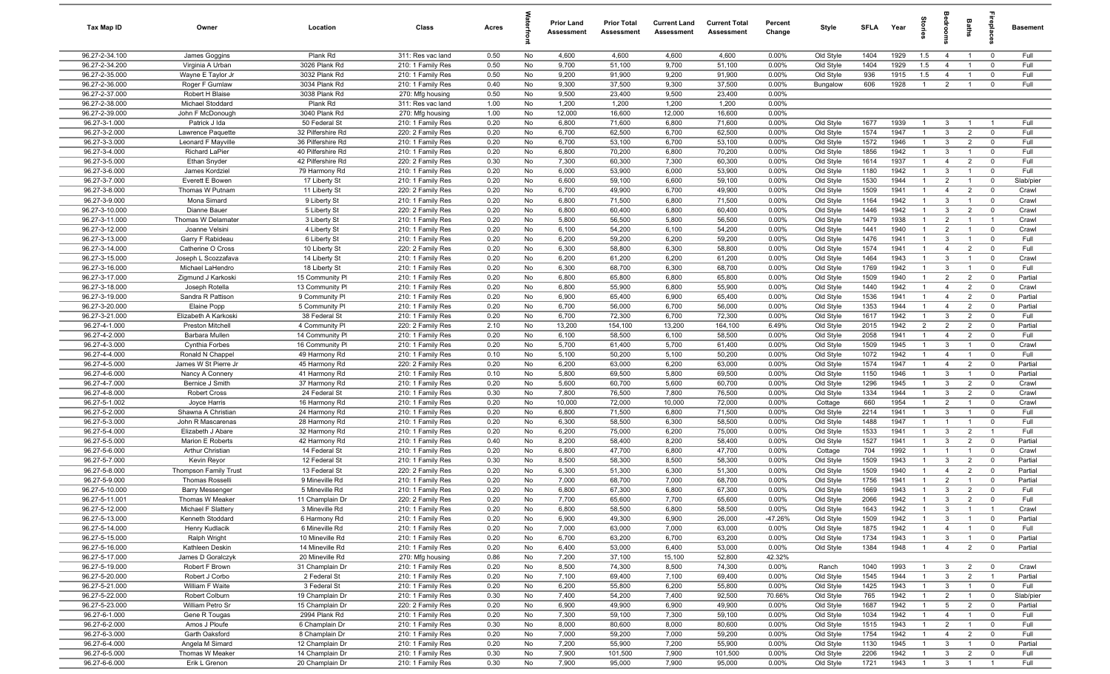| Tax Map ID                       | Owner                                                  | Location                           | Class                                  | Acres        |          | <b>Prior Land</b><br>Assessment | <b>Prior Total</b><br>Assessment | <b>Current Land</b><br>Assessment | <b>Current Total</b><br>Assessment | Percent<br>Change | Style                  | <b>SFLA</b>  | Year         |                                  | drooi                            | Baths                            | 률                                         | Basement           |
|----------------------------------|--------------------------------------------------------|------------------------------------|----------------------------------------|--------------|----------|---------------------------------|----------------------------------|-----------------------------------|------------------------------------|-------------------|------------------------|--------------|--------------|----------------------------------|----------------------------------|----------------------------------|-------------------------------------------|--------------------|
| 96.27-2-34.100                   | James Goggins                                          | Plank Rd                           | 311: Res vac land                      | 0.50         | No       | 4,600                           | 4,600                            | 4,600                             | 4,600                              | 0.00%             | Old Style              | 1404         | 1929         | 1.5                              | $\overline{4}$                   | $\overline{1}$                   | $^{\circ}$                                | Full               |
| 96.27-2-34.200                   | Virginia A Urban                                       | 3026 Plank Rd                      | 210: 1 Family Res                      | 0.50         | No       | 9,700                           | 51,100                           | 9,700                             | 51,100                             | 0.00%             | Old Style              | 1404         | 1929         | 1.5                              | $\overline{4}$                   | $\overline{1}$                   | $^{\circ}$                                | Full               |
| 96.27-2-35.000                   | Wayne E Taylor Jr                                      | 3032 Plank Rd                      | 210: 1 Family Res                      | 0.50         | No       | 9,200                           | 91,900                           | 9,200                             | 91,900                             | 0.00%             | Old Style              | 936          | 1915         | 1.5                              | $\overline{4}$                   | $\overline{1}$                   | $^{\circ}$                                | Full               |
| 96.27-2-36.000<br>96.27-2-37.000 | Roger F Gumlaw<br>Robert H Blaise                      | 3034 Plank Rd<br>3038 Plank Rd     | 210: 1 Family Res                      | 0.40<br>0.50 | No<br>No | 9,300<br>9,500                  | 37,500<br>23,400                 | 9,300<br>9,500                    | 37,500<br>23,400                   | 0.00%<br>0.00%    | Bungalow               | 606          | 1928         | $\overline{1}$                   | $\overline{2}$                   |                                  | $\Omega$                                  | Full               |
| 96.27-2-38.000                   | Michael Stoddard                                       | Plank Rd                           | 270: Mfg housing<br>311: Res vac land  | 1.00         | No       | 1,200                           | 1,200                            | 1,200                             | 1,200                              | 0.00%             |                        |              |              |                                  |                                  |                                  |                                           |                    |
| 96.27-2-39.000                   | John F McDonough                                       | 3040 Plank Rd                      | 270: Mfg housing                       | 1.00         | No       | 12,000                          | 16,600                           | 12,000                            | 16,600                             | 0.00%             |                        |              |              |                                  |                                  |                                  |                                           |                    |
| 96.27-3-1.000                    | Patrick J Ida                                          | 50 Federal St                      | 210: 1 Family Res                      | 0.20         | No       | 6,800                           | 71,600                           | 6,800                             | 71,600                             | 0.00%             | Old Style              | 1677         | 1939         | $\overline{1}$                   | $\mathbf{3}$                     |                                  | - 1                                       | Full               |
| 96.27-3-2.000                    | Lawrence Paquette                                      | 32 Pilfershire Rd                  | 220: 2 Family Res                      | 0.20         | No       | 6,700                           | 62,500                           | 6,700                             | 62,500                             | 0.00%             | Old Style              | 1574         | 1947         | $\overline{1}$                   | $\mathbf{3}$                     | $\overline{2}$                   | $\mathbf 0$                               | Full               |
| 96.27-3-3.000                    | Leonard F Mayville                                     | 36 Pilfershire Rd                  | 210: 1 Family Res                      | 0.20         | No       | 6,700                           | 53,100                           | 6,700                             | 53,100                             | 0.00%             | Old Style              | 1572         | 1946         | $\overline{1}$                   | $\mathbf{3}$                     | $\overline{2}$                   | $^{\circ}$                                | Full               |
| 96.27-3-4.000                    | <b>Richard LaPier</b>                                  | 40 Pilfershire Rd                  | 210: 1 Family Res                      | 0.20         | No       | 6,800                           | 70,200                           | 6,800                             | 70,200                             | $0.00\%$          | Old Style              | 1856         | 1942         | $\overline{1}$                   | 3                                | $\overline{1}$                   | $^{\circ}$                                | Full               |
| 96.27-3-5.000                    | Ethan Snyder                                           | 42 Pilfershire Rd                  | 220: 2 Family Res                      | 0.30         | No       | 7,300                           | 60,300                           | 7,300                             | 60,300                             | 0.00%             | Old Style              | 1614         | 1937         | $\overline{1}$                   | $\overline{4}$                   | $\overline{2}$                   | $^{\circ}$                                | Full               |
| 96.27-3-6.000                    | James Kordziel                                         | 79 Harmony Rd                      | 210: 1 Family Res                      | 0.20         | No       | 6,000                           | 53,900                           | 6,000                             | 53,900                             | 0.00%             | Old Style              | 1180         | 1942         | $\overline{1}$                   | $\mathbf{3}$                     | $\overline{1}$                   | $^{\circ}$                                | Full               |
| 96.27-3-7.000                    | Everett E Bowen                                        | 17 Liberty St                      | 210: 1 Family Res                      | 0.20         | No       | 6,600                           | 59,100                           | 6,600                             | 59,100                             | 0.00%             | Old Style              | 1530         | 1944         | $\mathbf{1}$                     | $\overline{2}$                   | $\overline{1}$                   | $\mathbf 0$                               | Slab/pier          |
| 96.27-3-8.000<br>96.27-3-9.000   | Thomas W Putnam<br>Mona Simard                         | 11 Liberty St<br>9 Liberty St      | 220: 2 Family Res<br>210: 1 Family Res | 0.20<br>0.20 | No<br>No | 6,700<br>6,800                  | 49,900<br>71,500                 | 6,700<br>6,800                    | 49,900<br>71,500                   | 0.00%<br>0.00%    | Old Style<br>Old Style | 1509<br>1164 | 1941<br>1942 | $\mathbf{1}$<br>$\mathbf{1}$     | $\overline{4}$<br>$\mathbf{3}$   | $\overline{2}$                   | $\mathbf 0$<br>$\mathbf 0$                | Crawl<br>Crawl     |
| 96.27-3-10.000                   | Dianne Bauer                                           | 5 Liberty St                       | 220: 2 Family Res                      | 0.20         | No       | 6,800                           | 60,400                           | 6,800                             | 60,400                             | 0.00%             | Old Style              | 1446         | 1942         | 1                                | 3                                | $\overline{2}$                   | $^{\circ}$                                | Crawl              |
| 96.27-3-11.000                   | Thomas W Delamater                                     | 3 Liberty St                       | 210: 1 Family Res                      | 0.20         | No       | 5,800                           | 56,500                           | 5,800                             | 56,500                             | 0.00%             | Old Style              | 1479         | 1938         | 1                                | $\overline{2}$                   |                                  | - 1                                       | Crawl              |
| 96.27-3-12.000                   | Joanne Velsini                                         | 4 Liberty St                       | 210: 1 Family Res                      | 0.20         | No       | 6,100                           | 54,200                           | 6,100                             | 54,200                             | 0.00%             | Old Style              | 1441         | 1940         | $\overline{1}$                   | $\overline{2}$                   |                                  | $\mathbf 0$                               | Crawl              |
| 96.27-3-13.000                   | Garry F Rabideau                                       | 6 Liberty St                       | 210: 1 Family Res                      | 0.20         | No       | 6,200                           | 59,200                           | 6,200                             | 59,200                             | 0.00%             | Old Style              | 1476         | 1941         | $\overline{1}$                   | $\mathbf{3}$                     | $\overline{1}$                   | $\mathbf 0$                               | Full               |
| 96.27-3-14.000                   | Catherine O Cross                                      | 10 Liberty St                      | 220: 2 Family Res                      | 0.20         | No       | 6,300                           | 58,800                           | 6,300                             | 58,800                             | 0.00%             | Old Style              | 1574         | 1941         | $\overline{1}$                   | $\overline{4}$                   | $\overline{2}$                   | $\mathbf 0$                               | Full               |
| 96.27-3-15.000                   | Joseph L Scozzafava                                    | 14 Liberty St                      | 210: 1 Family Res                      | 0.20         | No       | 6,200                           | 61,200                           | 6,200                             | 61,200                             | 0.00%             | Old Style              | 1464         | 1943         | $\overline{1}$                   | $\mathbf{3}$                     | $\overline{1}$                   | $\mathbf 0$                               | Crawl              |
| 96.27-3-16.000                   | Michael LaHendro                                       | 18 Liberty St                      | 210: 1 Family Res                      | 0.20         | No       | 6,300                           | 68,700                           | 6,300                             | 68,700                             | 0.00%             | Old Style              | 1769         | 1942         | $\overline{1}$                   | $\mathbf{3}$                     | $\overline{1}$                   | $\mathbf 0$                               | Full               |
| 96.27-3-17.000<br>96.27-3-18.000 | Zigmund J Karkoski                                     | 15 Community PI                    | 210: 1 Family Res                      | 0.20         | No       | 6,800                           | 65,800                           | 6,800                             | 65,800                             | $0.00\%$          | Old Style              | 1509         | 1940         | $\overline{1}$                   | $\overline{2}$                   | $\overline{2}$                   | $^{\circ}$                                | Partial            |
| 96.27-3-19.000                   | Joseph Rotella<br>Sandra R Pattison                    | 13 Community PI<br>9 Community PI  | 210: 1 Family Res<br>210: 1 Family Res | 0.20<br>0.20 | No<br>No | 6,800<br>6,900                  | 55,900<br>65,400                 | 6,800<br>6,900                    | 55,900<br>65,400                   | 0.00%<br>0.00%    | Old Style<br>Old Style | 1440<br>1536 | 1942<br>1941 | $\overline{1}$<br>$\overline{1}$ | $\overline{4}$<br>$\overline{4}$ | $\overline{2}$<br>$\overline{2}$ | $\mathbf 0$<br>$^{\circ}$                 | Crawl<br>Partial   |
| 96.27-3-20.000                   | Elaine Popp                                            | 5 Community PI                     | 210: 1 Family Res                      | 0.20         | No       | 6,700                           | 56,000                           | 6,700                             | 56,000                             | 0.00%             | Old Style              | 1353         | 1944         | $\overline{1}$                   | $\overline{4}$                   | $\overline{2}$                   | $\mathbf 0$                               | Partial            |
| 96.27-3-21.000                   | Elizabeth A Karkoski                                   | 38 Federal St                      | 210: 1 Family Res                      | 0.20         | No       | 6,700                           | 72,300                           | 6,700                             | 72,300                             | 0.00%             | Old Style              | 1617         | 1942         | $\mathbf{1}$                     | $\mathbf{3}$                     | $\overline{2}$                   | $\mathbf 0$                               | Full               |
| 96.27-4-1.000                    | Preston Mitchell                                       | 4 Community PI                     | 220: 2 Family Res                      | 2.10         | No       | 13,200                          | 154,100                          | 13,200                            | 164,100                            | 6.49%             | Old Style              | 2015         | 1942         | $\overline{2}$                   | $\overline{2}$                   | $\overline{2}$                   | $\mathbf 0$                               | Partial            |
| 96.27-4-2.000                    | Barbara Mullen                                         | 14 Community PI                    | 210: 1 Family Res                      | 0.20         | No       | 6,100                           | 58,500                           | 6,100                             | 58,500                             | 0.00%             | Old Style              | 2058         | 1941         | $\mathbf{1}$                     | $\overline{4}$                   | $\overline{2}$                   | $^{\circ}$                                | Full               |
| 96.27-4-3.000                    | Cynthia Forbes                                         | 16 Community PI                    | 210: 1 Family Res                      | 0.20         | No       | 5,700                           | 61,400                           | 5,700                             | 61,400                             | 0.00%             | Old Style              | 1509         | 1945         | 1                                | $\mathbf{3}$                     | $\overline{1}$                   | $\mathbf 0$                               | Crawl              |
| 96.27-4-4.000                    | Ronald N Chappel                                       | 49 Harmony Rd                      | 210: 1 Family Res                      | 0.10         | No       | 5,100                           | 50,200                           | 5,100                             | 50,200                             | 0.00%             | Old Style              | 1072         | 1942         | $\overline{1}$                   | $\overline{4}$                   |                                  | $\mathbf 0$                               | Full               |
| 96.27-4-5.000                    | James W St Pierre Jr                                   | 45 Harmony Rd                      | 220: 2 Family Res                      | 0.20         | No       | 6,200                           | 63,000                           | 6,200                             | 63,000                             | 0.00%             | Old Style              | 1574         | 1947         | $\mathbf{1}$                     | $\overline{4}$                   | $\overline{2}$                   | $\mathbf 0$                               | Partial            |
| 96.27-4-6.000<br>96.27-4-7.000   | Nancy A Connery                                        | 41 Harmony Rd                      | 210: 1 Family Res                      | 0.10         | No       | 5,800                           | 69,500                           | 5,800<br>5,600                    | 69,500                             | 0.00%             | Old Style              | 1150<br>1296 | 1946<br>1945 | $\overline{1}$<br>$\overline{1}$ | $\mathbf{3}$<br>$\mathbf{3}$     | $\overline{1}$<br>$\overline{2}$ | $\mathbf 0$<br>$\mathbf 0$                | Partial<br>Crawl   |
| 96.27-4-8.000                    | Bernice J Smith<br>Robert Cross                        | 37 Harmony Rd<br>24 Federal St     | 210: 1 Family Res<br>210: 1 Family Res | 0.20<br>0.30 | No<br>No | 5,600<br>7,800                  | 60,700<br>76,500                 | 7,800                             | 60,700<br>76,500                   | 0.00%<br>$0.00\%$ | Old Style<br>Old Style | 1334         | 1944         | $\overline{1}$                   | 3                                | $\overline{2}$                   | $\mathbf 0$                               | Crawl              |
| 96.27-5-1.002                    | Joyce Harris                                           | 16 Harmony Rd                      | 210: 1 Family Res                      | 0.20         | No       | 10,000                          | 72,000                           | 10,000                            | 72,000                             | $0.00\%$          | Cottage                | 660          | 1954         | $\mathbf{1}$                     | $\overline{2}$                   | $\overline{1}$                   | $^{\circ}$                                | Crawl              |
| 96.27-5-2.000                    | Shawna A Christian                                     | 24 Harmony Rd                      | 210: 1 Family Res                      | 0.20         | No       | 6,800                           | 71,500                           | 6,800                             | 71,500                             | 0.00%             | Old Style              | 2214         | 1941         | $\overline{1}$                   | $\mathbf{3}$                     | $\overline{1}$                   | $\mathbf 0$                               | Full               |
| 96.27-5-3.000                    | John R Mascarenas                                      | 28 Harmony Rd                      | 210: 1 Family Res                      | 0.20         | No       | 6,300                           | 58,500                           | 6,300                             | 58,500                             | 0.00%             | Old Style              | 1488         | 1947         | $\overline{1}$                   | $\overline{1}$                   |                                  | $\mathbf 0$                               | Full               |
| 96.27-5-4.000                    | Elizabeth J Abare                                      | 32 Harmony Rd                      | 210: 1 Family Res                      | 0.20         | No       | 6,200                           | 75,000                           | 6,200                             | 75,000                             | 0.00%             | Old Style              | 1533         | 1941         | $\mathbf{1}$                     | $\mathbf{3}$                     | $\overline{2}$                   | $\overline{1}$                            | Full               |
| 96.27-5-5.000                    | Marion E Roberts                                       | 42 Harmony Rd                      | 210: 1 Family Res                      | 0.40         | No       | 8,200                           | 58,400                           | 8,200                             | 58,400                             | 0.00%             | Old Style              | 1527         | 1941         | $\overline{1}$                   | $\mathbf{3}$                     | $\overline{2}$                   | $\mathbf 0$                               | Partial            |
| 96.27-5-6.000                    | <b>Arthur Christian</b>                                | 14 Federal St                      | 210: 1 Family Res                      | 0.20         | No       | 6,800                           | 47,700                           | 6,800                             | 47,700                             | 0.00%             | Cottage                | 704          | 1992         | $\mathbf{1}$                     | $\overline{1}$                   | $\overline{1}$                   | $\overline{\mathbf{0}}$                   | Crawl              |
| 96.27-5-7.000                    | Kevin Reyor                                            | 12 Federal St                      | 210: 1 Family Res                      | 0.30         | No       | 8,500                           | 58,300                           | 8,500                             | 58,300                             | 0.00%             | Old Style              | 1509         | 1943         | $\mathbf{1}$<br>1                | 3                                | $\overline{2}$                   | $^{\circ}$                                | Partial            |
| 96.27-5-8.000<br>96.27-5-9.000   | <b>Thompson Family Trust</b><br><b>Thomas Rosselli</b> | 13 Federal St<br>9 Mineville Rd    | 220: 2 Family Res<br>210: 1 Family Res | 0.20<br>0.20 | No<br>No | 6,300<br>7,000                  | 51,300<br>68,700                 | 6,300<br>7,000                    | 51,300<br>68,700                   | 0.00%<br>0.00%    | Old Style<br>Old Style | 1509<br>1756 | 1940<br>1941 | $\overline{1}$                   | $\overline{4}$<br>$\overline{2}$ | $\overline{2}$                   | $^{\circ}$<br>$\Omega$                    | Partial<br>Partial |
| 96.27-5-10.000                   | <b>Barry Messenger</b>                                 | 5 Mineville Rd                     | 210: 1 Family Res                      | 0.20         | No       | 6,800                           | 67,300                           | 6,800                             | 67,300                             | 0.00%             | Old Style              | 1669         | 1943         | $\overline{1}$                   | $\mathbf{3}$                     | $\overline{2}$                   | $^{\circ}$                                | Full               |
| 96.27-5-11.001                   | Thomas W Meaker                                        | 11 Champlain Dr                    | 220: 2 Family Res                      | 0.20         | No       | 7,700                           | 65,600                           | 7,700                             | 65,600                             | $0.00\%$          | Old Style              | 2066         | 1942         | $\overline{1}$                   | $\mathcal{R}$                    | $\overline{2}$                   |                                           | Full               |
| 96.27-5-12.000                   | Michael F Slattery                                     | 3 Mineville Rd                     | 210: 1 Family Res                      | 0.20         | No       | 6,800                           | 58,500                           | 6,800                             | 58,500                             | 0.00%             | Old Style              | 1643         | 1942         | $\overline{1}$                   | $\mathbf{3}$                     | $\overline{1}$                   | $\overline{1}$                            | Crawl              |
| 96.27-5-13.000                   | Kenneth Stoddard                                       | 6 Harmony Rd                       | 210: 1 Family Res                      | 0.20         | No       | 6,900                           | 49,300                           | 6,900                             | 26,000                             | $-47.26%$         | Old Style              | 1509         | 1942         | $\mathbf{1}$                     | $\mathbf{3}$                     | $\overline{1}$                   | $\overline{\mathbf{0}}$                   | Partial            |
| 96.27-5-14.000                   | Henry Kudlacik                                         | 6 Mineville Rd                     | 210: 1 Family Res                      | 0.20         | No       | 7,000                           | 63,000                           | 7,000                             | 63,000                             | 0.00%             | Old Style              | 1875         | 1942         | $\mathbf{1}$                     | $\overline{4}$                   | $\overline{1}$                   | $\mathbf 0$                               | Full               |
| 96.27-5-15.000                   | Ralph Wright                                           | 10 Mineville Rd                    | 210: 1 Family Res                      | 0.20         | No       | 6,700                           | 63,200                           | 6,700                             | 63,200                             | 0.00%             | Old Style              | 1734         | 1943         | $\overline{1}$                   | $\mathbf{3}$                     | $\mathbf{1}$                     | $\overline{0}$                            | Partial            |
| 96.27-5-16.000                   | Kathleen Deskin                                        | 14 Mineville Rd                    | 210: 1 Family Res                      | 0.20         | No       | 6,400                           | 53,000                           | 6,400                             | 53,000                             | 0.00%             | Old Style              | 1384         | 1948         | $\mathbf{1}$                     | $\overline{4}$                   | $\overline{2}$                   | $\overline{0}$                            | Partial            |
| 96.27-5-17.000<br>96.27-5-19.000 | James D Goralczyk                                      | 20 Mineville Rd                    | 270: Mfg housing                       | 0.86<br>0.20 | No<br>No | 7,200                           | 37,100                           | 15,100<br>8,500                   | 52,800<br>74,300                   | 42.32%<br>0.00%   |                        | 1040         | 1993         | $\overline{1}$                   | $\mathbf{3}$                     |                                  |                                           | Crawl              |
| 96.27-5-20.000                   | Robert F Brown<br>Robert J Corbo                       | 31 Champlain Dr<br>2 Federal St    | 210: 1 Family Res<br>210: 1 Family Res | 0.20         | No       | 8,500<br>7,100                  | 74,300<br>69,400                 | 7,100                             | 69,400                             | 0.00%             | Ranch<br>Old Style     | 1545         | 1944         | $\mathbf{1}$                     | $\mathbf{3}$                     | $\overline{2}$<br>$\overline{2}$ | $\overline{\mathbf{0}}$<br>$\overline{1}$ | Partial            |
| 96.27-5-21.000                   | William F Waite                                        | 3 Federal St                       | 210: 1 Family Res                      | 0.20         | No       | 6,200                           | 55,800                           | 6,200                             | 55,800                             | 0.00%             | Old Style              | 1425         | 1943         | $\mathbf{1}$                     | $\mathbf{3}$                     | $\overline{1}$                   | $\mathbf 0$                               | Full               |
| 96.27-5-22.000                   | Robert Colburn                                         | 19 Champlain Dr                    | 210: 1 Family Res                      | 0.30         | No       | 7,400                           | 54,200                           | 7,400                             | 92,500                             | 70.66%            | Old Style              | 765          | 1942         | $\mathbf{1}$                     | $\overline{2}$                   | $\overline{1}$                   | $\overline{\mathbf{0}}$                   | Slab/pier          |
| 96.27-5-23.000                   | William Petro Sr                                       | 15 Champlain Dr                    | 220: 2 Family Res                      | 0.20         | No       | 6,900                           | 49,900                           | 6,900                             | 49,900                             | 0.00%             | Old Style              | 1687         | 1942         | $\mathbf{1}$                     | 5                                | $\overline{2}$                   | $\mathbf 0$                               | Partial            |
| 96.27-6-1.000                    | Gene R Tougas                                          | 2994 Plank Rd                      | 210: 1 Family Res                      | 0.20         | No       | 7,300                           | 59,100                           | 7,300                             | 59,100                             | 0.00%             | Old Style              | 1034         | 1942         | $\overline{1}$                   | $\overline{4}$                   | $\overline{1}$                   | $\mathbf 0$                               | Full               |
| 96.27-6-2.000                    | Amos J Ploufe                                          | 6 Champlain Dr                     | 210: 1 Family Res                      | 0.30         | No       | 8,000                           | 80,600                           | 8,000                             | 80,600                             | 0.00%             | Old Style              | 1515         | 1943         | $\mathbf{1}$                     | 2                                | $\overline{1}$                   | $\mathbf 0$                               | Full               |
| 96.27-6-3.000                    | Garth Oaksford                                         | 8 Champlain Dr                     | 210: 1 Family Res                      | 0.20         | No       | 7,000                           | 59,200                           | 7,000                             | 59,200                             | 0.00%             | Old Style              | 1754         | 1942         | $\overline{1}$                   | $\overline{4}$                   | $\overline{2}$                   | $\mathbf 0$                               | Full               |
| 96.27-6-4.000                    | Angela M Simard                                        | 12 Champlain Dr<br>14 Champlain Dr | 210: 1 Family Res                      | 0.20         | No       | 7,200                           | 55,900                           | 7,200                             | 55,900                             | 0.00%             | Old Style              | 1130         | 1945         | $\mathbf{1}$<br>$\mathbf{1}$     | $\mathbf{3}$                     | $\overline{1}$                   | $\overline{0}$                            | Partial            |
| 96.27-6-5.000<br>96.27-6-6.000   | Thomas W Meaker<br>Erik L Grenon                       | 20 Champlain Dr                    | 210: 1 Family Res<br>210: 1 Family Res | 0.30<br>0.30 | No<br>No | 7,900<br>7,900                  | 101,500<br>95,000                | 7,900<br>7,900                    | 101,500<br>95,000                  | 0.00%<br>0.00%    | Old Style<br>Old Style | 2206<br>1721 | 1942<br>1943 | $\overline{1}$                   | $\mathbf{3}$<br>$\mathbf{3}$     | $\overline{2}$<br>$\overline{1}$ | $\mathbf 0$<br>$\overline{1}$             | Full<br>Full       |
|                                  |                                                        |                                    |                                        |              |          |                                 |                                  |                                   |                                    |                   |                        |              |              |                                  |                                  |                                  |                                           |                    |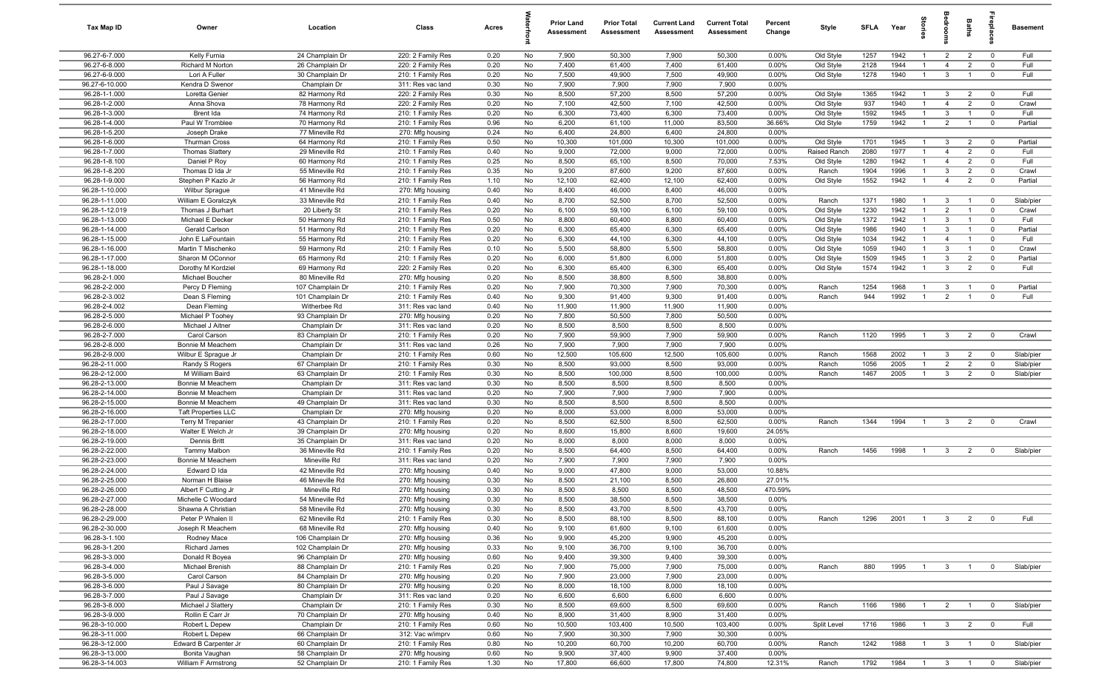| Tax Map ID                       | Owner                                   | Location                           | Class                                  | Acres        |          | <b>Prior Land</b><br>Assessment | <b>Prior Total</b><br>Assessment | <b>Current Land</b><br>Assessment | <b>Current Total</b><br>Assessment | Percent<br>Change | Style                  | <b>SFI A</b> | Year         | Stori                          | droom                        | Baths                            | <b>G</b> bla                  | Basement        |
|----------------------------------|-----------------------------------------|------------------------------------|----------------------------------------|--------------|----------|---------------------------------|----------------------------------|-----------------------------------|------------------------------------|-------------------|------------------------|--------------|--------------|--------------------------------|------------------------------|----------------------------------|-------------------------------|-----------------|
| 96.27-6-7.000                    | Kelly Furnia                            | 24 Champlain Dr                    | 220: 2 Family Res                      | 0.20         | No       | 7,900                           | 50,300                           | 7,900                             | 50,300                             | 0.00%             | Old Style              | 1257         | 1942         | $\mathbf{1}$                   | $\overline{2}$               | $\overline{2}$                   | $\mathbf 0$                   | Full            |
| 96.27-6-8.000                    | Richard M Norton                        | 26 Champlain Dr                    | 220: 2 Family Res                      | 0.20         | No       | 7,400                           | 61,400                           | 7,400                             | 61,400                             | 0.00%             | Old Style              | 2128         | 1944         | $\overline{1}$                 | $\overline{4}$               | $\overline{2}$                   | $\mathbf 0$                   | Full            |
| 96.27-6-9.000                    | Lori A Fuller                           | 30 Champlain Dr                    | 210: 1 Family Res                      | 0.20         | No       | 7,500                           | 49,900                           | 7,500                             | 49,900                             | 0.00%             | Old Style              | 1278         | 1940         | $\mathbf{1}$                   | $\mathbf{3}$                 | $\overline{1}$                   | $\mathbf 0$                   | Full            |
| 96.27-6-10.000                   | Kendra D Swenor                         | Champlain Dr                       | 311: Res vac land                      | 0.30         | No       | 7,900                           | 7,900                            | 7,900                             | 7,900                              | 0.00%             |                        |              |              |                                |                              |                                  |                               |                 |
| 96.28-1-1.000<br>96.28-1-2.000   | Loretta Genier<br>Anna Shova            | 82 Harmony Rd<br>78 Harmony Rd     | 220: 2 Family Res<br>220: 2 Family Res | 0.30<br>0.20 | No<br>No | 8,500<br>7,100                  | 57,200<br>42,500                 | 8,500<br>7,100                    | 57,200<br>42,500                   | 0.00%<br>0.00%    | Old Style<br>Old Style | 1365<br>937  | 1942<br>1940 | $\mathbf{1}$<br>$\overline{1}$ | 3<br>$\overline{4}$          | $\overline{2}$<br>$\overline{2}$ | $\overline{0}$<br>$\mathbf 0$ | Full<br>Crawl   |
| 96.28-1-3.000                    | Brent Ida                               | 74 Harmony Rd                      | 210: 1 Family Res                      | 0.20         | No       | 6,300                           | 73,400                           | 6,300                             | 73,400                             | 0.00%             | Old Style              | 1592         | 1945         | $\mathbf{1}$                   | $\mathbf{3}$                 | $\overline{1}$                   | $\mathbf 0$                   | Full            |
| 96.28-1-4.000                    | Paul W Tromblee                         | 70 Harmony Rd                      | 210: 1 Family Res                      | 0.96         | No       | 6,200                           | 61,100                           | 11,000                            | 83,500                             | 36.66%            | Old Style              | 1759         | 1942         | $\overline{1}$                 | $\overline{2}$               | $\overline{1}$                   | $\mathbf 0$                   | Partial         |
| 96.28-1-5.200                    | Joseph Drake                            | 77 Mineville Rd                    | 270: Mfg housing                       | 0.24         | No       | 6,400                           | 24,800                           | 6,400                             | 24,800                             | 0.00%             |                        |              |              |                                |                              |                                  |                               |                 |
| 96.28-1-6.000                    | Thurman Cross                           | 64 Harmony Rd                      | 210: 1 Family Res                      | 0.50         | No       | 10,300                          | 101,000                          | 10,300                            | 101,000                            | 0.00%             | Old Style              | 1701         | 1945         | $\overline{1}$                 | $\mathbf{3}$                 | $\overline{2}$                   | $\overline{0}$                | Partial         |
| 96.28-1-7.000                    | Thomas Slattery                         | 29 Mineville Rd                    | 210: 1 Family Res                      | 0.40         | No       | 9,000                           | 72,000                           | 9,000                             | 72,000                             | 0.00%             | Raised Ranch           | 2080         | 1977         | $\mathbf{1}$                   | $\overline{4}$               | $\overline{2}$                   | $^{\circ}$                    | Full            |
| 96.28-1-8.100                    | Daniel P Roy                            | 60 Harmony Rd                      | 210: 1 Family Res                      | 0.25         | No       | 8,500                           | 65,100                           | 8,500                             | 70,000                             | 7.53%             | Old Style              | 1280         | 1942         | $\overline{1}$                 | $\overline{4}$               | $\overline{2}$                   | $^{\circ}$                    | Full            |
| 96.28-1-8.200                    | Thomas D Ida Jr                         | 55 Mineville Rd                    | 210: 1 Family Res                      | 0.35         | No       | 9,200                           | 87,600                           | 9,200                             | 87,600                             | 0.00%             | Ranch                  | 1904         | 1996         | $\overline{1}$                 | $\mathbf{3}$                 | $\overline{2}$                   | $\mathbf 0$                   | Crawl           |
| 96.28-1-9.000                    | Stephen P Kazlo Jr                      | 56 Harmony Rd                      | 210: 1 Family Res                      | 1.10         | No       | 12,100                          | 62,400                           | 12,100                            | 62,400                             | 0.00%             | Old Style              | 1552         | 1942         | $\overline{1}$                 | $\overline{4}$               | $\overline{2}$                   | $\mathbf 0$                   | Partial         |
| 96.28-1-10.000                   | <b>Wilbur Sprague</b>                   | 41 Mineville Rd                    | 270: Mfg housing                       | 0.40         | No       | 8,400                           | 46,000                           | 8,400                             | 46,000                             | 0.00%             |                        |              |              |                                |                              |                                  |                               |                 |
| 96.28-1-11.000                   | William E Goralczyk                     | 33 Mineville Rd                    | 210: 1 Family Res                      | 0.40         | No       | 8,700                           | 52,500                           | 8,700                             | 52,500                             | 0.00%             | Ranch                  | 1371         | 1980         | $\overline{1}$                 | $\mathbf{3}$                 |                                  | $\overline{0}$                | Slab/pier       |
| 96.28-1-12.019                   | Thomas J Burhart                        | 20 Liberty St                      | 210: 1 Family Res                      | 0.20         | No       | 6,100                           | 59,100                           | 6,100                             | 59,100                             | 0.00%             | Old Style              | 1230         | 1942<br>1942 | $\mathbf{1}$                   | $\overline{2}$               | $\overline{1}$                   | $\mathbf 0$<br>$^{\circ}$     | Crawl           |
| 96.28-1-13.000<br>96.28-1-14.000 | Michael E Decker<br>Gerald Carlson      | 50 Harmony Rd<br>51 Harmony Rd     | 210: 1 Family Res<br>210: 1 Family Res | 0.50<br>0.20 | No<br>No | 8,800<br>6,300                  | 60,400<br>65,400                 | 8,800<br>6,300                    | 60,400<br>65,400                   | 0.00%<br>0.00%    | Old Style<br>Old Style | 1372<br>1986 | 1940         | $\overline{1}$                 | $\mathbf{3}$<br>$\mathbf{3}$ |                                  | $\mathbf 0$                   | Full<br>Partial |
| 96.28-1-15.000                   | John E LaFountain                       | 55 Harmony Rd                      | 210: 1 Family Res                      | 0.20         | No       | 6,300                           | 44,100                           | 6,300                             | 44,100                             | 0.00%             | Old Style              | 1034         | 1942         | $\overline{1}$                 | $\overline{4}$               | $\overline{1}$                   | $\mathbf 0$                   | Full            |
| 96.28-1-16.000                   | Martin T Mischenko                      | 59 Harmony Rd                      | 210: 1 Family Res                      | 0.10         | No       | 5,500                           | 58,800                           | 5,500                             | 58,800                             | 0.00%             | Old Style              | 1059         | 1940         | $\overline{1}$                 | $\mathbf{3}$                 | $\overline{1}$                   | $\mathbf 0$                   | Crawl           |
| 96.28-1-17.000                   | Sharon M OConnor                        | 65 Harmony Rd                      | 210: 1 Family Res                      | 0.20         | No       | 6,000                           | 51,800                           | 6,000                             | 51,800                             | 0.00%             | Old Style              | 1509         | 1945         | $\mathbf{1}$                   | $\mathbf{3}$                 | $\overline{2}$                   | $\mathbf 0$                   | Partial         |
| 96.28-1-18.000                   | Dorothy M Kordziel                      | 69 Harmony Rd                      | 220: 2 Family Res                      | 0.20         | No       | 6,300                           | 65,400                           | 6,300                             | 65,400                             | 0.00%             | Old Style              | 1574         | 1942         | $\overline{1}$                 | $\mathbf{3}$                 | $\overline{2}$                   | $\mathbf 0$                   | Full            |
| 96.28-2-1.000                    | Michael Boucher                         | 80 Mineville Rd                    | 270: Mfg housing                       | 0.20         | No       | 8,500                           | 38,800                           | 8,500                             | 38,800                             | 0.00%             |                        |              |              |                                |                              |                                  |                               |                 |
| 96.28-2-2.000                    | Percy D Fleming                         | 107 Champlain Dr                   | 210: 1 Family Res                      | 0.20         | No       | 7,900                           | 70,300                           | 7,900                             | 70,300                             | 0.00%             | Ranch                  | 1254         | 1968         | $\overline{1}$                 | 3                            | $\overline{1}$                   | $\overline{0}$                | Partial         |
| 96.28-2-3.002                    | Dean S Fleming                          | 101 Champlain Dr                   | 210: 1 Family Res                      | 0.40         | No       | 9,300                           | 91,400                           | 9,300                             | 91,400                             | 0.00%             | Ranch                  | 944          | 1992         | $\overline{1}$                 | $\overline{2}$               | $\overline{1}$                   | $^{\circ}$                    | Full            |
| 96.28-2-4.002                    | Dean Fleming                            | Witherbee Rd                       | 311: Res vac land                      | 0.40         | No       | 11,900                          | 11,900                           | 11,900                            | 11,900                             | 0.00%             |                        |              |              |                                |                              |                                  |                               |                 |
| 96.28-2-5.000                    | Michael P Toohey                        | 93 Champlain Dr                    | 270: Mfg housing                       | 0.20         | No       | 7,800                           | 50,500                           | 7,800                             | 50,500                             | 0.00%             |                        |              |              |                                |                              |                                  |                               |                 |
| 96.28-2-6.000                    | Michael J Aitner                        | Champlain Dr                       | 311: Res vac land                      | 0.20         | No       | 8,500                           | 8,500                            | 8,500                             | 8,500                              | 0.00%             |                        |              |              |                                |                              |                                  |                               |                 |
| 96.28-2-7.000<br>96.28-2-8.000   | Carol Carson                            | 83 Champlain Dr                    | 210: 1 Family Res                      | 0.20         | No       | 7,900                           | 59,900                           | 7,900                             | 59,900                             | 0.00%             | Ranch                  | 1120         | 1995         | -1                             | 3                            | $\overline{2}$                   | $\mathbf 0$                   | Crawl           |
| 96.28-2-9.000                    | Bonnie M Meachem<br>Wilbur E Sprague Jr | Champlain Dr<br>Champlain Dr       | 311: Res vac land<br>210: 1 Family Res | 0.26<br>0.60 | No<br>No | 7,900<br>12,500                 | 7,900<br>105,600                 | 7,900<br>12,500                   | 7,900<br>105,600                   | 0.00%<br>0.00%    | Ranch                  | 1568         | 2002         | $\overline{1}$                 | $\mathbf{3}$                 | $\overline{2}$                   | $^{\circ}$                    | Slab/pier       |
| 96.28-2-11.000                   | Randy S Rogers                          | 67 Champlain Dr                    | 210: 1 Family Res                      | 0.30         | No       | 8,500                           | 93,000                           | 8,500                             | 93,000                             | 0.00%             | Ranch                  | 1056         | 2005         | $\overline{1}$                 | $\overline{2}$               | $\overline{2}$                   | $\mathbf 0$                   | Slab/pier       |
| 96.28-2-12.000                   | M William Baird                         | 63 Champlain Dr                    | 210: 1 Family Res                      | 0.30         | No       | 8,500                           | 100,000                          | 8,500                             | 100,000                            | 0.00%             | Ranch                  | 1467         | 2005         | $\overline{1}$                 | $\mathbf{3}$                 | $\overline{2}$                   | $\mathbf 0$                   | Slab/pier       |
| 96.28-2-13.000                   | Bonnie M Meachem                        | Champlain Dr                       | 311: Res vac land                      | 0.30         | No       | 8,500                           | 8,500                            | 8,500                             | 8,500                              | 0.00%             |                        |              |              |                                |                              |                                  |                               |                 |
| 96.28-2-14.000                   | Bonnie M Meachem                        | Champlain Dr                       | 311: Res vac land                      | 0.20         | No       | 7,900                           | 7,900                            | 7,900                             | 7,900                              | 0.00%             |                        |              |              |                                |                              |                                  |                               |                 |
| 96.28-2-15.000                   | Bonnie M Meachem                        | 49 Champlain Dr                    | 311: Res vac land                      | 0.30         | No       | 8,500                           | 8,500                            | 8,500                             | 8,500                              | 0.00%             |                        |              |              |                                |                              |                                  |                               |                 |
| 96.28-2-16.000                   | <b>Taft Properties LLC</b>              | Champlain Dr                       | 270: Mfg housing                       | 0.20         | No       | 8,000                           | 53,000                           | 8,000                             | 53,000                             | 0.00%             |                        |              |              |                                |                              |                                  |                               |                 |
| 96.28-2-17.000                   | Terry M Trepanier                       | 43 Champlain Dr                    | 210: 1 Family Res                      | 0.20         | No       | 8,500                           | 62,500                           | 8,500                             | 62,500                             | 0.00%             | Ranch                  | 1344         | 1994         | $\overline{1}$                 | 3                            | $\overline{2}$                   | $\Omega$                      | Crawl           |
| 96.28-2-18.000                   | Walter E Welch Jr                       | 39 Champlain Dr                    | 270: Mfg housing                       | 0.20         | No       | 8,600                           | 15,800                           | 8,600                             | 19,600                             | 24.05%            |                        |              |              |                                |                              |                                  |                               |                 |
| 96.28-2-19.000                   | Dennis Britt                            | 35 Champlain Dr                    | 311: Res vac land                      | 0.20         | No       | 8,000                           | 8,000                            | 8,000                             | 8,000                              | 0.00%             |                        |              |              |                                |                              |                                  |                               |                 |
| 96.28-2-22.000                   | <b>Tammy Malbon</b>                     | 36 Mineville Rd                    | 210: 1 Family Res                      | 0.20         | No       | 8,500                           | 64,400                           | 8,500                             | 64,400                             | 0.00%             | Ranch                  | 1456         | 1998         | $\overline{1}$                 | $\mathbf{3}$                 | $\overline{2}$                   | $^{\circ}$                    | Slab/pier       |
| 96.28-2-23.000<br>96.28-2-24.000 | Bonnie M Meachem<br>Edward D Ida        | Mineville Rd<br>42 Mineville Rd    | 311: Res vac land<br>270: Mfg housing  | 0.20<br>0.40 | No<br>No | 7,900<br>9,000                  | 7,900<br>47,800                  | 7,900<br>9,000                    | 7,900<br>53,000                    | 0.00%<br>10.88%   |                        |              |              |                                |                              |                                  |                               |                 |
| 96.28-2-25.000                   | Norman H Blaise                         | 46 Mineville Rd                    | 270: Mfg housing                       | 0.30         | No       | 8,500                           | 21,100                           | 8,500                             | 26,800                             | 27.01%            |                        |              |              |                                |                              |                                  |                               |                 |
| 96.28-2-26.000                   | Albert F Cutting Jr                     | Mineville Rd                       | 270: Mfg housing                       | 0.30         | No       | 8,500                           | 8,500                            | 8,500                             | 48,500                             | 470.59%           |                        |              |              |                                |                              |                                  |                               |                 |
| 96.28-2-27.000                   | Michelle C Woodard                      | 54 Mineville Rd                    | 270: Mfg housing                       | 0.30         | No       | 8,500                           | 38,500                           | 8,500                             | 38,500                             | $0.00\%$          |                        |              |              |                                |                              |                                  |                               |                 |
| 96.28-2-28.000                   | Shawna A Christian                      | 58 Mineville Rd                    | 270: Mfg housing                       | 0.30         | No       | 8,500                           | 43,700                           | 8,500                             | 43,700                             | 0.00%             |                        |              |              |                                |                              |                                  |                               |                 |
| 96.28-2-29.000                   | Peter P Whalen II                       | 62 Mineville Rd                    | 210: 1 Family Res                      | 0.30         | No       | 8,500                           | 88,100                           | 8,500                             | 88,100                             | 0.00%             | Ranch                  | 1296         | 2001         | $\overline{1}$                 | 3 <sup>3</sup>               | 2                                | $\overline{0}$                | Full            |
| 96.28-2-30.000                   | Joseph R Meachem                        | 68 Mineville Rd                    | 270: Mfg housing                       | 0.40         | No       | 9,100                           | 61,600                           | 9,100                             | 61,600                             | 0.00%             |                        |              |              |                                |                              |                                  |                               |                 |
| 96.28-3-1.100                    | Rodney Mace                             | 106 Champlain Dr                   | 270: Mfg housing                       | 0.36         | No       | 9,900                           | 45,200                           | 9,900                             | 45,200                             | 0.00%             |                        |              |              |                                |                              |                                  |                               |                 |
| 96.28-3-1.200                    | Richard James                           | 102 Champlain Dr                   | 270: Mfg housing                       | 0.33         | No       | 9,100                           | 36,700                           | 9,100                             | 36,700                             | 0.00%             |                        |              |              |                                |                              |                                  |                               |                 |
| 96.28-3-3.000                    | Donald R Boyea                          | 96 Champlain Dr                    | 270: Mfg housing                       | 0.60         | No       | 9,400                           | 39,300                           | 9,400                             | 39,300                             | 0.00%             |                        |              |              |                                |                              |                                  |                               |                 |
| 96.28-3-4.000                    | Michael Brenish                         | 88 Champlain Dr                    | 210: 1 Family Res                      | 0.20         | No       | 7,900                           | 75,000                           | 7,900                             | 75,000                             | 0.00%             | Ranch                  | 880          | 1995         | $\overline{1}$                 | $\mathbf{3}$                 | $\overline{1}$                   | $\mathbf{0}$                  | Slab/pier       |
| 96.28-3-5.000<br>96.28-3-6.000   | Carol Carson<br>Paul J Savage           | 84 Champlain Dr<br>80 Champlain Dr | 270: Mfg housing<br>270: Mfg housing   | 0.20<br>0.20 | No<br>No | 7,900<br>8,000                  | 23,000<br>18,100                 | 7,900<br>8,000                    | 23,000<br>18,100                   | 0.00%<br>0.00%    |                        |              |              |                                |                              |                                  |                               |                 |
| 96.28-3-7.000                    | Paul J Savage                           | Champlain Dr                       | 311: Res vac land                      | 0.20         | No       | 6,600                           | 6,600                            | 6,600                             | 6,600                              | 0.00%             |                        |              |              |                                |                              |                                  |                               |                 |
| 96.28-3-8.000                    | Michael J Slattery                      | Champlain Dr                       | 210: 1 Family Res                      | 0.30         | No       | 8,500                           | 69,600                           | 8,500                             | 69,600                             | 0.00%             | Ranch                  | 1166         | 1986         | $\overline{1}$                 | $\overline{2}$               | $\overline{1}$                   | $\overline{0}$                | Slab/pier       |
| 96.28-3-9.000                    | Rollin E Carr Jr                        | 70 Champlain Dr                    | 270: Mfg housing                       | 0.40         | No       | 8,900                           | 31,400                           | 8,900                             | 31,400                             | 0.00%             |                        |              |              |                                |                              |                                  |                               |                 |
| 96.28-3-10.000                   | Robert L Depew                          | Champlain Dr                       | 210: 1 Family Res                      | 0.60         | No       | 10,500                          | 103,400                          | 10,500                            | 103,400                            | 0.00%             | Split Level            | 1716         | 1986         | $\overline{1}$                 | $\overline{3}$               | $\overline{2}$                   | $\overline{0}$                | Full            |
| 96.28-3-11.000                   | Robert L Depew                          | 66 Champlain Dr                    | 312: Vac w/imprv                       | 0.60         | No       | 7,900                           | 30,300                           | 7,900                             | 30,300                             | 0.00%             |                        |              |              |                                |                              |                                  |                               |                 |
| 96.28-3-12.000                   | Edward B Carpenter Jr                   | 60 Champlain Dr                    | 210: 1 Family Res                      | 0.80         | No       | 10,200                          | 60,700                           | 10,200                            | 60,700                             | 0.00%             | Ranch                  | 1242         | 1988         | $\overline{1}$                 | $\overline{3}$               | $\overline{1}$                   | $\overline{0}$                | Slab/pier       |
| 96.28-3-13.000                   | Bonita Vaughan                          | 58 Champlain Dr                    | 270: Mfg housing                       | 0.60         | No       | 9,900                           | 37,400                           | 9,900                             | 37,400                             | 0.00%             |                        |              |              |                                |                              |                                  |                               |                 |
| 96.28-3-14.003                   | William F Armstrong                     | 52 Champlain Dr                    | 210: 1 Family Res                      | 1.30         | No       | 17,800                          | 66,600                           | 17,800                            | 74,800                             | 12.31%            | Ranch                  | 1792         | 1984         | $\overline{1}$                 | $\overline{\mathbf{3}}$      | $\overline{1}$                   | $\overline{\mathbf{0}}$       | Slab/pier       |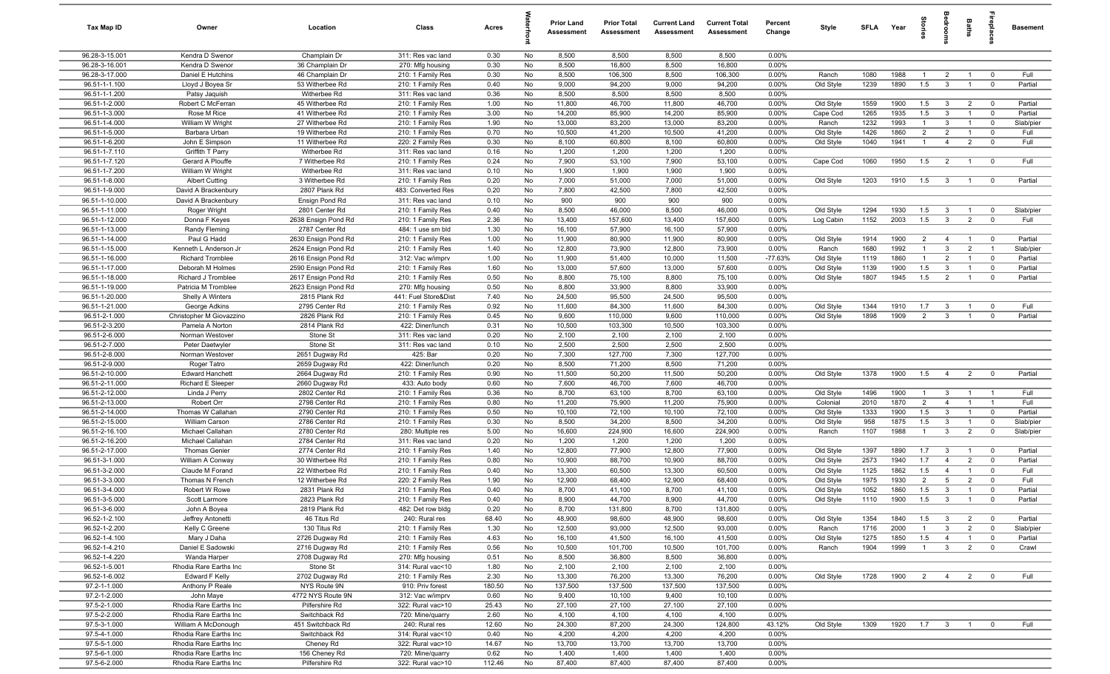| Tax Map ID                       | Owner                               | Location                            | Class                                  | Acres         |           | <b>Prior Land</b><br>Assessment | <b>Prior Total</b><br><b>Assessment</b> | <b>Current Land</b><br>Assessment | <b>Current Total</b><br>Assessment | Percent<br>Change | Style                 | <b>SFLA</b>  | Year         | ğ                   |                                  | Baths                            | epla                    | <b>Basement</b>    |
|----------------------------------|-------------------------------------|-------------------------------------|----------------------------------------|---------------|-----------|---------------------------------|-----------------------------------------|-----------------------------------|------------------------------------|-------------------|-----------------------|--------------|--------------|---------------------|----------------------------------|----------------------------------|-------------------------|--------------------|
| 96.28-3-15.001                   | Kendra D Swenor                     | Champlain Dr                        | 311: Res vac land                      | 0.30          | No        | 8,500                           | 8,500                                   | 8,500                             | 8,500                              | $0.00\%$          |                       |              |              |                     |                                  |                                  |                         |                    |
| 96.28-3-16.001                   | Kendra D Swenor                     | 36 Champlain Dr                     | 270: Mfg housing                       | 0.30          | No        | 8,500                           | 16,800                                  | 8,500                             | 16,800                             | 0.00%             |                       |              |              |                     |                                  |                                  |                         |                    |
| 96.28-3-17.000                   | Daniel E Hutchins                   | 46 Champlain Dr                     | 210: 1 Family Res                      | 0.30          | No        | 8,500                           | 106,300                                 | 8,500                             | 106,300                            | 0.00%             | Ranch                 | 1080         | 1988         | -1                  | $\overline{2}$                   |                                  | $^{\circ}$              | Full               |
| 96.51-1-1.100                    | Lloyd J Boyea Sr                    | 53 Witherbee Rd                     | 210: 1 Family Res                      | 0.40          | No        | 9,000                           | 94,200                                  | 9,000<br>8,500                    | 94,200<br>8,500                    | 0.00%             | Old Style             | 1239         | 1890         | 1.5                 | $\mathbf{3}$                     |                                  | $^{\circ}$              | Partial            |
| 96.51-1-1.200<br>96.51-1-2.000   | Patsy Jaquish<br>Robert C McFerran  | Witherbee Rd<br>45 Witherbee Rd     | 311: Res vac land<br>210: 1 Family Res | 0.36<br>1.00  | No<br>No  | 8,500<br>11,800                 | 8,500<br>46,700                         | 11,800                            | 46,700                             | 0.00%<br>0.00%    | Old Style             | 1559         | 1900         | 1.5                 | $\mathbf{3}$                     | $\overline{2}$                   | $\overline{0}$          | Partial            |
| 96.51-1-3.000                    | Rose M Rice                         | 41 Witherbee Rd                     | 210: 1 Family Res                      | 3.00          | No        | 14,200                          | 85,900                                  | 14,200                            | 85,900                             | 0.00%             | Cape Cod              | 1265         | 1935         | 1.5                 | $\mathbf{3}$                     | $\overline{1}$                   | $\mathbf 0$             | Partial            |
| 96.51-1-4.000                    | William W Wright                    | 27 Witherbee Rd                     | 210: 1 Family Res                      | 1.90          | No        | 13,000                          | 83,200                                  | 13,000                            | 83,200                             | 0.00%             | Ranch                 | 1232         | 1993         | $\overline{1}$      | $\mathbf{3}$                     | $\overline{1}$                   | $\mathbf 0$             | Slab/pier          |
| 96.51-1-5.000                    | Barbara Urban                       | 19 Witherbee Rd                     | 210: 1 Family Res                      | 0.70          | No        | 10,500                          | 41,200                                  | 10,500                            | 41,200                             | 0.00%             | Old Style             | 1426         | 1860         | $\overline{2}$      | $\overline{2}$                   | $\overline{1}$                   | $^{\circ}$              | Full               |
| 96.51-1-6.200                    | John E Simpson                      | 11 Witherbee Rd                     | 220: 2 Family Res                      | 0.30          | No        | 8,100                           | 60,800                                  | 8,100                             | 60,800                             | 0.00%             | Old Style             | 1040         | 1941         | $\overline{1}$      | $\overline{4}$                   | $\overline{2}$                   | $^{\circ}$              | Full               |
| 96.51-1-7.110                    | Griffith T Parry                    | Witherbee Rd                        | 311: Res vac land                      | 0.16          | No        | 1,200                           | 1,200                                   | 1,200                             | 1,200                              | 0.00%             |                       |              |              |                     |                                  |                                  |                         |                    |
| 96.51-1-7.120                    | Gerard A Plouffe                    | 7 Witherbee Rd                      | 210: 1 Family Res                      | 0.24          | No        | 7,900                           | 53,100                                  | 7,900                             | 53,100                             | 0.00%             | Cape Cod              | 1060         | 1950         | 1.5                 | $\overline{2}$                   | $\overline{1}$                   | $\mathbf 0$             | Full               |
| 96.51-1-7.200                    | William W Wright                    | Witherbee Rd                        | 311: Res vac land                      | 0.10          | No        | 1,900                           | 1,900                                   | 1,900                             | 1,900                              | 0.00%             |                       |              |              |                     |                                  |                                  |                         |                    |
| 96.51-1-8.000                    | <b>Albert Cutting</b>               | 3 Witherbee Rd                      | 210: 1 Family Res                      | 0.20          | No        | 7,000                           | 51,000                                  | 7,000                             | 51,000                             | 0.00%             | Old Style             | 1203         | 1910         | 1.5                 | $\mathbf{3}$                     | $\mathbf{1}$                     | $\overline{0}$          | Partial            |
| 96.51-1-9.000                    | David A Brackenbury                 | 2807 Plank Rd                       | 483: Converted Res                     | 0.20          | No        | 7,800<br>900                    | 42,500<br>900                           | 7,800<br>900                      | 42,500<br>900                      | 0.00%             |                       |              |              |                     |                                  |                                  |                         |                    |
| 96.51-1-10.000<br>96.51-1-11.000 | David A Brackenbury<br>Roger Wright | Ensign Pond Rd<br>2801 Center Rd    | 311: Res vac land<br>210: 1 Family Res | 0.10<br>0.40  | No<br>No  | 8,500                           | 46,000                                  | 8,500                             | 46,000                             | 0.00%<br>0.00%    | Old Style             | 1294         | 1930         | 1.5                 | $\mathbf{3}$                     | $\overline{1}$                   | $\mathbf 0$             | Slab/pier          |
| 96.51-1-12.000                   | Donna F Keyes                       | 2638 Ensign Pond Rd                 | 210: 1 Family Res                      | 2.36          | No        | 13,400                          | 157,600                                 | 13,400                            | 157,600                            | 0.00%             | Log Cabin             | 1152         | 2003         | 1.5                 | $\mathbf{3}$                     | $\overline{2}$                   | $\overline{\mathbf{0}}$ | Full               |
| 96.51-1-13.000                   | Randy Fleming                       | 2787 Center Rd                      | 484: 1 use sm bld                      | 1.30          | No        | 16,100                          | 57,900                                  | 16,100                            | 57,900                             | 0.00%             |                       |              |              |                     |                                  |                                  |                         |                    |
| 96.51-1-14.000                   | Paul G Hadd                         | 2630 Ensign Pond Rd                 | 210: 1 Family Res                      | 1.00          | No        | 11,900                          | 80,900                                  | 11,900                            | 80,900                             | 0.00%             | Old Style             | 1914         | 1900         | $\overline{2}$      | $\overline{4}$                   | $\mathbf{1}$                     | $\overline{\mathbf{0}}$ | Partial            |
| 96.51-1-15.000                   | Kenneth L Anderson Jr               | 2624 Ensign Pond Rd                 | 210: 1 Family Res                      | 1.40          | No        | 12,800                          | 73,900                                  | 12,800                            | 73,900                             | 0.00%             | Ranch                 | 1680         | 1992         | $\overline{1}$      | $\mathbf{3}$                     | $\overline{2}$                   | $\overline{1}$          | Slab/pier          |
| 96.51-1-16.000                   | <b>Richard Tromblee</b>             | 2616 Ensign Pond Rd                 | 312: Vac w/imprv                       | 1.00          | No        | 11,900                          | 51,400                                  | 10,000                            | 11,500                             | $-77.63%$         | Old Style             | 1119         | 1860         | $\overline{1}$      | $\overline{2}$                   | $\overline{1}$                   | $^{\circ}$              | Partial            |
| 96.51-1-17.000                   | Deborah M Holmes                    | 2590 Ensign Pond Rd                 | 210: 1 Family Res                      | 1.60          | No        | 13,000                          | 57,600                                  | 13,000                            | 57,600                             | 0.00%             | Old Style             | 1139         | 1900         | 1.5                 | $\mathbf{3}$                     | $\overline{1}$                   | $^{\circ}$              | Partial            |
| 96.51-1-18.000                   | Richard J Tromblee                  | 2617 Ensign Pond Rd                 | 210: 1 Family Res                      | 0.50          | No        | 8,800                           | 75,100                                  | 8,800                             | 75,100                             | 0.00%             | Old Style             | 1807         | 1945         | 1.5                 | 2                                | $\overline{1}$                   | $\mathbf 0$             | Partial            |
| 96.51-1-19.000                   | Patricia M Tromblee                 | 2623 Ensign Pond Rd                 | 270: Mfg housing                       | 0.50          | No        | 8,800                           | 33,900                                  | 8,800                             | 33,900                             | 0.00%             |                       |              |              |                     |                                  |                                  |                         |                    |
| 96.51-1-20.000<br>96.51-1-21.000 | Shelly A Winters<br>George Adkins   | 2815 Plank Rd<br>2795 Center Rd     | 441: Fuel Store&Dist                   | 7.40<br>0.92  | No<br>No  | 24,500<br>11,600                | 95,500<br>84,300                        | 24,500<br>11,600                  | 95,500<br>84,300                   | 0.00%<br>0.00%    | Old Style             | 1344         | 1910         | 1.7                 | $\mathbf{3}$                     |                                  | $^{\circ}$              | Full               |
| 96.51-2-1.000                    | Christopher M Giovazzino            | 2826 Plank Rd                       | 210: 1 Family Res<br>210: 1 Family Res | 0.45          | No        | 9,600                           | 110,000                                 | 9,600                             | 110,000                            | 0.00%             | Old Style             | 1898         | 1909         | $\overline{2}$      | $\mathbf{3}$                     |                                  | $\Omega$                | Partial            |
| 96.51-2-3.200                    | Pamela A Norton                     | 2814 Plank Rd                       | 422: Diner/lunch                       | 0.31          | No        | 10,500                          | 103,300                                 | 10,500                            | 103,300                            | 0.00%             |                       |              |              |                     |                                  |                                  |                         |                    |
| 96.51-2-6.000                    | Norman Westover                     | Stone St                            | 311: Res vac land                      | 0.20          | No        | 2,100                           | 2,100                                   | 2,100                             | 2,100                              | 0.00%             |                       |              |              |                     |                                  |                                  |                         |                    |
| 96.51-2-7.000                    | Peter Daetwyler                     | Stone St                            | 311: Res vac land                      | 0.10          | No        | 2,500                           | 2,500                                   | 2,500                             | 2,500                              | 0.00%             |                       |              |              |                     |                                  |                                  |                         |                    |
| 96.51-2-8.000                    | Norman Westover                     | 2651 Dugway Rd                      | 425: Bar                               | 0.20          | No        | 7,300                           | 127,700                                 | 7,300                             | 127,700                            | 0.00%             |                       |              |              |                     |                                  |                                  |                         |                    |
| 96.51-2-9.000                    | Roger Tatro                         | 2659 Dugway Rd                      | 422: Diner/lunch                       | 0.20          | No        | 8,500                           | 71,200                                  | 8,500                             | 71,200                             | 0.00%             |                       |              |              |                     |                                  |                                  |                         |                    |
| 96.51-2-10.000                   | <b>Edward Hanchett</b>              | 2664 Dugway Rd                      | 210: 1 Family Res                      | 0.90          | No        | 11,500                          | 50,200                                  | 11,500                            | 50,200                             | 0.00%             | Old Style             | 1378         | 1900         | 1.5                 | $\overline{4}$                   | $\overline{2}$                   | $^{\circ}$              | Partial            |
| 96.51-2-11.000                   | Richard E Sleeper                   | 2660 Dugway Rd                      | 433: Auto body                         | 0.60          | No        | 7,600                           | 46,700                                  | 7,600                             | 46,700                             | 0.00%             |                       |              |              |                     |                                  |                                  |                         |                    |
| 96.51-2-12.000                   | Linda J Perry                       | 2802 Center Rd                      | 210: 1 Family Res                      | 0.36          | No        | 8,700                           | 63,100                                  | 8,700                             | 63,100                             | 0.00%             | Old Style             | 1496<br>2010 | 1900<br>1870 | $\overline{1}$<br>2 | $\mathbf{3}$                     | $\overline{1}$                   | $\overline{1}$          | Full<br>Full       |
| 96.51-2-13.000<br>96.51-2-14.000 | Robert Orr<br>Thomas W Callahan     | 2798 Center Rd<br>2790 Center Rd    | 210: 1 Family Res<br>210: 1 Family Res | 0.80<br>0.50  | No<br>No  | 11,200<br>10,100                | 75,900<br>72,100                        | 11,200<br>10,100                  | 75,900<br>72,100                   | 0.00%<br>0.00%    | Colonial<br>Old Style | 1333         | 1900         | 1.5                 | $\overline{4}$<br>$\overline{3}$ | $\overline{1}$<br>$\overline{1}$ | - 1<br>$\mathbf 0$      | Partial            |
| 96.51-2-15.000                   | William Carson                      | 2786 Center Rd                      | 210: 1 Family Res                      | 0.30          | No        | 8,500                           | 34,200                                  | 8,500                             | 34,200                             | 0.00%             | Old Style             | 958          | 1875         | 1.5                 | $\mathbf{3}$                     | $\overline{1}$                   | $\mathbf 0$             | Slab/pier          |
| 96.51-2-16.100                   | Michael Callahan                    | 2780 Center Rd                      | 280: Multiple res                      | 5.00          | No        | 16,600                          | 224,900                                 | 16,600                            | 224,900                            | 0.00%             | Ranch                 | 1107         | 1988         | $\overline{1}$      | $\mathbf{3}$                     | $\overline{2}$                   | $\mathbf 0$             | Slab/pier          |
| 96.51-2-16.200                   | Michael Callahan                    | 2784 Center Rd                      | 311: Res vac land                      | 0.20          | No        | 1,200                           | 1,200                                   | 1,200                             | 1,200                              | 0.00%             |                       |              |              |                     |                                  |                                  |                         |                    |
| 96.51-2-17.000                   | <b>Thomas Genier</b>                | 2774 Center Rd                      | 210: 1 Family Res                      | 1.40          | No        | 12,800                          | 77,900                                  | 12,800                            | 77,900                             | 0.00%             | Old Style             | 1397         | 1890         | 1.7                 | $\mathbf{3}$                     | $\overline{1}$                   | $\mathbf 0$             | Partial            |
| 96.51-3-1.000                    | William A Conway                    | 30 Witherbee Rd                     | 210: 1 Family Res                      | 0.80          | No        | 10,900                          | 88,700                                  | 10,900                            | 88,700                             | 0.00%             | Old Style             | 2573         | 1940         | 1.7                 | $\overline{4}$                   | $\overline{2}$                   | $\mathbf 0$             | Partial            |
| 96.51-3-2.000                    | Claude M Forand                     | 22 Witherbee Rd                     | 210: 1 Family Res                      | 0.40          | No        | 13,300                          | 60,500                                  | 13,300                            | 60,500                             | 0.00%             | Old Style             | 1125         | 1862         | 1.5                 | $\overline{4}$                   | $\overline{1}$                   | $\mathbf 0$             | Full               |
| 96.51-3-3.000                    | Thomas N French                     | 12 Witherbee Rd                     | 220: 2 Family Res                      | 1.90          | No        | 12,900                          | 68,400                                  | 12,900                            | 68,400                             | 0.00%             | Old Style             | 1975         | 1930         | $\overline{2}$      | 5                                | $\overline{2}$                   | $^{\circ}$              | Full               |
| 96.51-3-4.000<br>96.51-3-5.000   | Robert W Rowe                       | 2831 Plank Rd<br>2823 Plank Rd      | 210: 1 Family Res                      | 0.40<br>0.40  | No<br>No. | 8,700<br>8,900                  | 41,100                                  | 8,700                             | 41,100                             | 0.00%             | Old Style             | 1052<br>1110 | 1860<br>1900 | 1.5<br>1.5          | $\mathbf{3}$<br>$\mathbf{3}$     | $\overline{1}$<br>$\mathbf{1}$   | $^{\circ}$              | Partial<br>Partial |
| 96.51-3-6.000                    | Scott Larmore<br>John A Boyea       | 2819 Plank Rd                       | 210: 1 Family Res<br>482: Det row bldg | 0.20          | No        | 8,700                           | 44,700<br>131,800                       | 8,900<br>8,700                    | 44,700<br>131,800                  | 0.00%<br>0.00%    | Old Style             |              |              |                     |                                  |                                  |                         |                    |
| $96.52 - 1 - 2.100$              | Jeffrey Antonetti                   | 46 Titus Rd                         | 240: Rural res                         | 68.40         | No        | 48,900                          | 98,600                                  | 48,900                            | 98,600                             | 0.00%             | Old Style             | 1354         | 1840         | 1.5                 | $\mathbf{3}$                     | $\overline{2}$                   | $\mathbf 0$             | Partial            |
| 96.52-1-2.200                    | Kelly C Greene                      | 130 Titus Rd                        | 210: 1 Family Res                      | 1.30          | No        | 12,500                          | 93,000                                  | 12,500                            | 93,000                             | 0.00%             | Ranch                 | 1716         | 2000         | $\overline{1}$      | $\mathbf{3}$                     | $\overline{2}$                   | $\mathbf 0$             | Slab/pier          |
| 96.52-1-4.100                    | Mary J Daha                         | 2726 Dugway Rd                      | 210: 1 Family Res                      | 4.63          | No        | 16,100                          | 41,500                                  | 16,100                            | 41,500                             | 0.00%             | Old Style             | 1275         | 1850         | 1.5                 | $\overline{4}$                   | $\overline{1}$                   | $\overline{0}$          | Partial            |
| 96.52-1-4.210                    | Daniel E Sadowski                   | 2716 Dugway Rd                      | 210: 1 Family Res                      | 0.56          | No        | 10,500                          | 101,700                                 | 10,500                            | 101,700                            | 0.00%             | Ranch                 | 1904         | 1999         | $\overline{1}$      | $\mathbf{3}$                     | $\overline{2}$                   | $\mathbf 0$             | Crawl              |
| 96.52-1-4.220                    | Wanda Harper                        | 2708 Dugway Rd                      | 270: Mfg housing                       | 0.51          | No        | 8,500                           | 36,800                                  | 8,500                             | 36,800                             | 0.00%             |                       |              |              |                     |                                  |                                  |                         |                    |
| 96.52-1-5.001                    | Rhodia Rare Earths Inc              | Stone St                            | 314: Rural vac<10                      | 1.80          | No        | 2,100                           | 2,100                                   | 2,100                             | 2,100                              | 0.00%             |                       |              |              |                     |                                  |                                  |                         |                    |
| 96.52-1-6.002                    | <b>Edward F Kelly</b>               | 2702 Dugway Rd                      | 210: 1 Family Res                      | 2.30          | No        | 13,300                          | 76,200                                  | 13,300                            | 76,200                             | 0.00%             | Old Style             | 1728         | 1900         | $\overline{2}$      | $\overline{4}$                   | $\overline{2}$                   | $\overline{\mathbf{0}}$ | Full               |
| 97.2-1-1.000                     | Anthony P Reale                     | NYS Route 9N                        | 910: Priv forest                       | 180.50        | No        | 137,500                         | 137,500                                 | 137,500                           | 137,500                            | 0.00%             |                       |              |              |                     |                                  |                                  |                         |                    |
| 97.2-1-2.000<br>97.5-2-1.000     | John Maye<br>Rhodia Rare Earths Inc | 4772 NYS Route 9N<br>Pilfershire Rd | 312: Vac w/imprv<br>322: Rural vac>10  | 0.60<br>25.43 | No<br>No  | 9,400<br>27,100                 | 10,100<br>27,100                        | 9,400<br>27,100                   | 10,100<br>27,100                   | 0.00%<br>0.00%    |                       |              |              |                     |                                  |                                  |                         |                    |
| 97.5-2-2.000                     | Rhodia Rare Earths Inc              | Switchback Rd                       | 720: Mine/quarry                       | 2.60          | No        | 4,100                           | 4,100                                   | 4,100                             | 4,100                              | 0.00%             |                       |              |              |                     |                                  |                                  |                         |                    |
| 97.5-3-1.000                     | William A McDonough                 | 451 Switchback Rd                   | 240: Rural res                         | 12.60         | No        | 24,300                          | 87,200                                  | 24,300                            | 124,800                            | 43.12%            | Old Style             | 1309         | 1920         | 1.7                 | $\overline{\mathbf{3}}$          | $\overline{1}$                   | $\overline{0}$          | Full               |
| 97.5-4-1.000                     | Rhodia Rare Earths Inc              | Switchback Rd                       | 314: Rural vac<10                      | 0.40          | No        | 4,200                           | 4,200                                   | 4,200                             | 4,200                              | 0.00%             |                       |              |              |                     |                                  |                                  |                         |                    |
| 97.5-5-1.000                     | Rhodia Rare Earths Inc              | Cheney Rd                           | 322: Rural vac>10                      | 14.67         | No        | 13,700                          | 13,700                                  | 13,700                            | 13,700                             | 0.00%             |                       |              |              |                     |                                  |                                  |                         |                    |
| 97.5-6-1.000                     | Rhodia Rare Earths Inc              | 156 Cheney Rd                       | 720: Mine/quarry                       | 0.62          | No        | 1,400                           | 1,400                                   | 1,400                             | 1,400                              | 0.00%             |                       |              |              |                     |                                  |                                  |                         |                    |
| 97.5-6-2.000                     | Rhodia Rare Earths Inc              | Pilfershire Rd                      | 322: Rural vac>10                      | 112.46        | No        | 87,400                          | 87,400                                  | 87,400                            | 87,400                             | 0.00%             |                       |              |              |                     |                                  |                                  |                         |                    |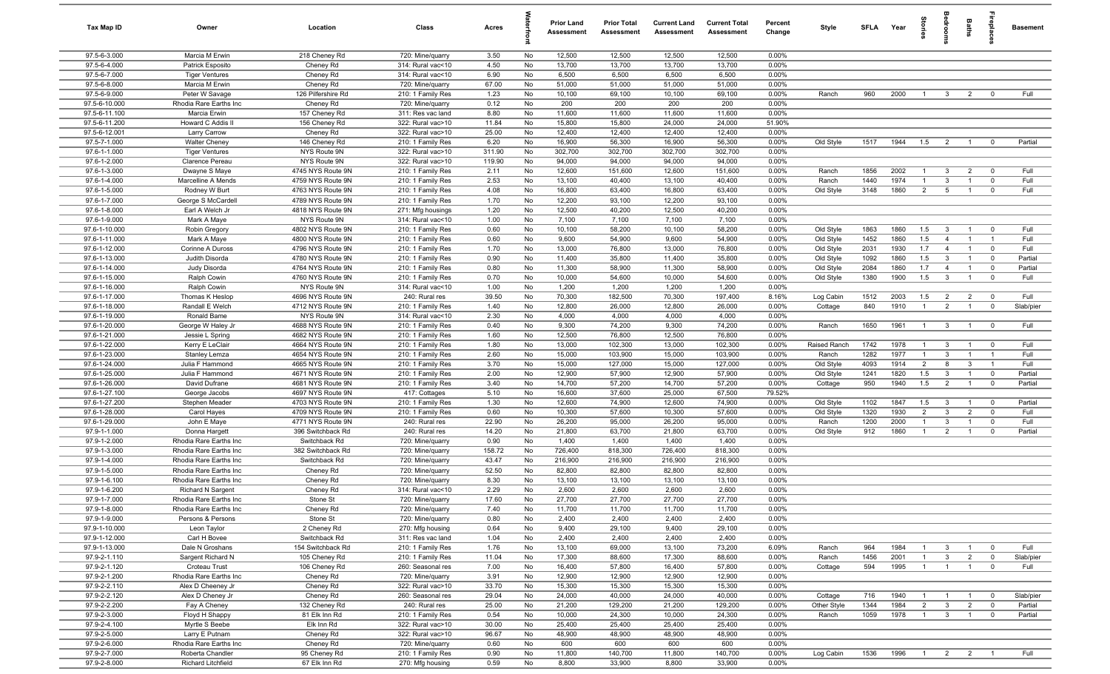| Tax Map ID                     | Owner                                    | Location                               | Class                                  | Acres         |          | <b>Prior Land</b><br>Assessment | <b>Prior Total</b><br>Assessment | <b>Current Land</b><br>Assessment | <b>Current Total</b><br>Assessment | Percent<br>Change | Style                  | <b>SFI A</b> | Year         | tories                           | drooms                       | Baths                            | lebia                         | <b>Basement</b>   |
|--------------------------------|------------------------------------------|----------------------------------------|----------------------------------------|---------------|----------|---------------------------------|----------------------------------|-----------------------------------|------------------------------------|-------------------|------------------------|--------------|--------------|----------------------------------|------------------------------|----------------------------------|-------------------------------|-------------------|
| 97.5-6-3.000                   | Marcia M Erwin                           | 218 Cheney Rd                          | 720: Mine/quarry                       | 3.50          | No       | 12,500                          | 12,500                           | 12,500                            | 12,500                             | 0.00%             |                        |              |              |                                  |                              |                                  |                               |                   |
| 97.5-6-4.000                   | Patrick Esposito                         | Cheney Rd                              | 314: Rural vac<10                      | 4.50          | No       | 13,700                          | 13,700                           | 13,700                            | 13,700                             | 0.00%             |                        |              |              |                                  |                              |                                  |                               |                   |
| 97.5-6-7.000                   | <b>Tiger Ventures</b>                    | Cheney Rd                              | 314: Rural vac<10                      | 6.90          | No       | 6,500                           | 6,500                            | 6,500                             | 6,500                              | 0.00%             |                        |              |              |                                  |                              |                                  |                               |                   |
| 97.5-6-8.000                   | Marcia M Erwin                           | Cheney Rd                              | 720: Mine/quarry                       | 67.00         | No       | 51,000                          | 51,000                           | 51,000                            | 51,000                             | 0.00%             |                        |              |              |                                  |                              |                                  |                               |                   |
| 97.5-6-9.000<br>97.5-6-10.000  | Peter W Savage<br>Rhodia Rare Earths Inc | 126 Pilfershire Rd<br>Cheney Rd        | 210: 1 Family Res                      | 1.23<br>0.12  | No<br>No | 10,100<br>200                   | 69,100<br>200                    | 10,100<br>200                     | 69,100<br>200                      | 0.00%<br>0.00%    | Ranch                  | 960          | 2000         | $\overline{1}$                   | $\overline{\mathbf{3}}$      | $\overline{2}$                   | $\mathbf 0$                   | Full              |
| 97.5-6-11.100                  | Marcia Erwin                             | 157 Cheney Rd                          | 720: Mine/quarry<br>311: Res vac land  | 8.80          | No       | 11,600                          | 11,600                           | 11,600                            | 11,600                             | 0.00%             |                        |              |              |                                  |                              |                                  |                               |                   |
| 97.5-6-11.200                  | Howard C Addis II                        | 156 Cheney Rd                          | 322: Rural vac>10                      | 11.84         | No       | 15,800                          | 15,800                           | 24,000                            | 24,000                             | 51.90%            |                        |              |              |                                  |                              |                                  |                               |                   |
| 97.5-6-12.001                  | Larry Carrow                             | Cheney Rd                              | 322: Rural vac>10                      | 25.00         | No       | 12,400                          | 12,400                           | 12,400                            | 12,400                             | 0.00%             |                        |              |              |                                  |                              |                                  |                               |                   |
| 97.5-7-1.000                   | <b>Walter Cheney</b>                     | 146 Cheney Rd                          | 210: 1 Family Res                      | 6.20          | No       | 16,900                          | 56,300                           | 16,900                            | 56,300                             | 0.00%             | Old Style              | 1517         | 1944         | 1.5                              | $\overline{2}$               | $\overline{1}$                   | $\overline{0}$                | Partial           |
| 97.6-1-1.000                   | <b>Tiger Ventures</b>                    | NYS Route 9N                           | 322: Rural vac>10                      | 311.90        | No       | 302,700                         | 302,700                          | 302,700                           | 302,700                            | 0.00%             |                        |              |              |                                  |                              |                                  |                               |                   |
| 97.6-1-2.000                   | Clarence Pereau                          | NYS Route 9N                           | 322: Rural vac>10                      | 119.90        | No       | 94,000                          | 94,000                           | 94,000                            | 94,000                             | 0.00%             |                        |              |              |                                  |                              |                                  |                               |                   |
| 97.6-1-3.000                   | Dwayne S Maye                            | 4745 NYS Route 9N                      | 210: 1 Family Res                      | 2.11          | No       | 12,600                          | 151,600                          | 12,600                            | 151,600                            | 0.00%             | Ranch                  | 1856         | 2002         | $\overline{1}$                   | $\mathbf{3}$                 | $\overline{2}$                   | $\mathbf 0$                   | Full              |
| 97.6-1-4.000                   | Marcelline A Mends                       | 4759 NYS Route 9N                      | 210: 1 Family Res                      | 2.53          | No       | 13,100                          | 40,400                           | 13,100                            | 40,400                             | 0.00%             | Ranch                  | 1440         | 1974         | $\overline{1}$                   | 3                            | $\overline{1}$                   | $\overline{0}$                | Full              |
| 97.6-1-5.000                   | Rodney W Burt                            | 4763 NYS Route 9N                      | 210: 1 Family Res                      | 4.08          | No       | 16,800                          | 63,400                           | 16,800                            | 63,400                             | 0.00%             | Old Style              | 3148         | 1860         | $\overline{2}$                   | 5                            | $\overline{1}$                   | $\mathbf 0$                   | Full              |
| 97.6-1-7.000                   | George S McCardell                       | 4789 NYS Route 9N                      | 210: 1 Family Res                      | 1.70          | No       | 12,200                          | 93,100                           | 12,200                            | 93,100                             | 0.00%             |                        |              |              |                                  |                              |                                  |                               |                   |
| 97.6-1-8.000                   | Earl A Welch Jr                          | 4818 NYS Route 9N                      | 271: Mfg housings                      | 1.20          | No       | 12,500                          | 40,200                           | 12,500                            | 40,200                             | 0.00%             |                        |              |              |                                  |                              |                                  |                               |                   |
| 97.6-1-9.000                   | Mark A Maye                              | NYS Route 9N                           | 314: Rural vac<10                      | 1.00          | No       | 7,100                           | 7,100                            | 7,100                             | 7,100                              | 0.00%             |                        |              |              |                                  |                              |                                  |                               |                   |
| 97.6-1-10.000                  | Robin Gregory                            | 4802 NYS Route 9N                      | 210: 1 Family Res                      | 0.60          | No       | 10,100                          | 58,200                           | 10,100                            | 58,200                             | 0.00%             | Old Style              | 1863         | 1860         | 1.5                              | $\overline{\mathbf{3}}$      | $\overline{1}$                   | $\mathbf 0$                   | Full              |
| 97.6-1-11.000                  | Mark A Maye                              | 4800 NYS Route 9N                      | 210: 1 Family Res                      | 0.60          | No       | 9,600                           | 54,900                           | 9,600                             | 54,900                             | 0.00%             | Old Style              | 1452         | 1860         | 1.5                              | $\overline{4}$               | $\overline{1}$                   | $\overline{1}$                | Full              |
| 97.6-1-12.000                  | Corinne A Duross                         | 4796 NYS Route 9N                      | 210: 1 Family Res                      | 1.70          | No       | 13,000                          | 76,800                           | 13,000                            | 76,800                             | 0.00%             | Old Style              | 2031         | 1930         | 1.7                              | $\overline{4}$               | $\overline{1}$                   | $\mathbf 0$                   | Full              |
| 97.6-1-13.000<br>97.6-1-14.000 | Judith Disorda                           | 4780 NYS Route 9N<br>4764 NYS Route 9N | 210: 1 Family Res                      | 0.90          | No       | 11,400                          | 35,800<br>58,900                 | 11,400<br>11,300                  | 35,800<br>58,900                   | 0.00%<br>0.00%    | Old Style              | 1092<br>2084 | 1860<br>1860 | 1.5<br>1.7                       | 3<br>$\overline{4}$          | $\overline{1}$<br>$\overline{1}$ | $\mathbf 0$                   | Partial           |
| 97.6-1-15.000                  | Judy Disorda<br>Ralph Cowin              | 4760 NYS Route 9N                      | 210: 1 Family Res<br>210: 1 Family Res | 0.80<br>0.70  | No<br>No | 11,300<br>10,000                | 54,600                           | 10,000                            | 54,600                             | 0.00%             | Old Style<br>Old Style | 1380         | 1900         | 1.5                              | $\mathbf{3}$                 | $\overline{1}$                   | $\mathbf 0$<br>$\mathbf 0$    | Partial<br>Full   |
| 97.6-1-16.000                  | Ralph Cowin                              | NYS Route 9N                           | 314: Rural vac<10                      | 1.00          | No       | 1,200                           | 1,200                            | 1,200                             | 1,200                              | 0.00%             |                        |              |              |                                  |                              |                                  |                               |                   |
| 97.6-1-17.000                  | Thomas K Heslop                          | 4696 NYS Route 9N                      | 240: Rural res                         | 39.50         | No       | 70,300                          | 182,500                          | 70,300                            | 197,400                            | 8.16%             | Log Cabin              | 1512         | 2003         | 1.5                              | $\overline{2}$               | $\overline{2}$                   | $\overline{\mathbf{0}}$       | Full              |
| 97.6-1-18.000                  | Randall E Welch                          | 4712 NYS Route 9N                      | 210: 1 Family Res                      | 1.40          | No       | 12,800                          | 26,000                           | 12,800                            | 26,000                             | 0.00%             | Cottage                | 840          | 1910         | $\overline{1}$                   | $\overline{2}$               | $\overline{1}$                   | $\mathbf 0$                   | Slab/pier         |
| 97.6-1-19.000                  | Ronald Bame                              | NYS Route 9N                           | 314: Rural vac<10                      | 2.30          | No       | 4,000                           | 4,000                            | 4,000                             | 4,000                              | 0.00%             |                        |              |              |                                  |                              |                                  |                               |                   |
| 97.6-1-20.000                  | George W Haley Jr                        | 4688 NYS Route 9N                      | 210: 1 Family Res                      | 0.40          | No       | 9,300                           | 74,200                           | 9,300                             | 74,200                             | 0.00%             | Ranch                  | 1650         | 1961         | $\overline{1}$                   | $\overline{\mathbf{3}}$      | $\overline{1}$                   | $\overline{0}$                | Full              |
| 97.6-1-21.000                  | Jessie L Spring                          | 4682 NYS Route 9N                      | 210: 1 Family Res                      | 1.60          | No       | 12,500                          | 76,800                           | 12,500                            | 76,800                             | 0.00%             |                        |              |              |                                  |                              |                                  |                               |                   |
| 97.6-1-22.000                  | Kerry E LeClair                          | 4664 NYS Route 9N                      | 210: 1 Family Res                      | 1.80          | No       | 13,000                          | 102,300                          | 13,000                            | 102,300                            | 0.00%             | Raised Ranch           | 1742         | 1978         | $\overline{1}$                   | $\mathbf{3}$                 | $\overline{1}$                   | $\overline{0}$                | Full              |
| 97.6-1-23.000                  | Stanley Lemza                            | 4654 NYS Route 9N                      | 210: 1 Family Res                      | 2.60          | No       | 15,000                          | 103,900                          | 15,000                            | 103,900                            | 0.00%             | Ranch                  | 1282         | 1977         | $\overline{1}$                   | $\mathbf{3}$                 | $\overline{1}$                   | $\overline{1}$                | Full              |
| 97.6-1-24.000                  | Julia F Hammond                          | 4665 NYS Route 9N                      | 210: 1 Family Res                      | 3.70          | No       | 15,000                          | 127,000                          | 15,000                            | 127,000                            | 0.00%             | Old Style              | 4093         | 1914         | $\overline{2}$                   | 8                            | $\mathbf{3}$                     | $\overline{1}$                | Full              |
| 97.6-1-25.000                  | Julia F Hammond                          | 4671 NYS Route 9N                      | 210: 1 Family Res                      | 2.00          | No       | 12,900                          | 57,900                           | 12,900                            | 57,900                             | 0.00%             | Old Style              | 1241         | 1820         | 1.5                              | $\mathbf{3}$                 | $\overline{1}$                   | $\mathbf 0$                   | Partial           |
| 97.6-1-26.000                  | David Dufrane                            | 4681 NYS Route 9N                      | 210: 1 Family Res                      | 3.40          | No       | 14,700                          | 57,200                           | 14,700                            | 57,200                             | 0.00%             | Cottage                | 950          | 1940         | 1.5                              | $\overline{2}$               | $\overline{1}$                   | $\overline{\mathbf{0}}$       | Partial           |
| 97.6-1-27.100                  | George Jacobs                            | 4697 NYS Route 9N                      | 417: Cottages                          | 5.10          | No       | 16,600                          | 37,600                           | 25,000                            | 67,500                             | 79.52%            |                        |              |              |                                  |                              |                                  |                               |                   |
| 97.6-1-27.200<br>97.6-1-28.000 | Stephen Meader<br>Carol Hayes            | 4703 NYS Route 9N<br>4709 NYS Route 9N | 210: 1 Family Res<br>210: 1 Family Res | 1.30<br>0.60  | No<br>No | 12,600<br>10,300                | 74,900<br>57,600                 | 12,600<br>10,300                  | 74,900<br>57,600                   | 0.00%<br>0.00%    | Old Style<br>Old Style | 1102<br>1320 | 1847<br>1930 | 1.5<br>$\overline{2}$            | $\mathbf{3}$<br>$\mathbf{3}$ | $\overline{1}$<br>$\overline{2}$ | $\mathbf 0$<br>$\mathbf 0$    | Partial<br>Full   |
| 97.6-1-29.000                  | John E Maye                              | 4771 NYS Route 9N                      | 240: Rural res                         | 22.90         | No       | 26,200                          | 95,000                           | 26,200                            | 95,000                             | 0.00%             | Ranch                  | 1200         | 2000         | $\overline{1}$                   | 3                            | $\overline{1}$                   | $\mathbf 0$                   | Full              |
| 97.9-1-1.000                   | Donna Hargett                            | 396 Switchback Rd                      | 240: Rural res                         | 14.20         | No       | 21,800                          | 63,700                           | 21,800                            | 63,700                             | 0.00%             | Old Style              | 912          | 1860         | $\overline{1}$                   | $\overline{2}$               | $\overline{1}$                   | $\mathbf 0$                   | Partial           |
| 97.9-1-2.000                   | Rhodia Rare Earths Inc                   | Switchback Rd                          | 720: Mine/quarry                       | 0.90          | No       | 1,400                           | 1,400                            | 1,400                             | 1,400                              | 0.00%             |                        |              |              |                                  |                              |                                  |                               |                   |
| 97.9-1-3.000                   | Rhodia Rare Earths Inc                   | 382 Switchback Rd                      | 720: Mine/quarry                       | 158.72        | No       | 726,400                         | 818,300                          | 726,400                           | 818,300                            | 0.00%             |                        |              |              |                                  |                              |                                  |                               |                   |
| 97.9-1-4.000                   | Rhodia Rare Earths Inc                   | Switchback Rd                          | 720: Mine/quarry                       | 43.47         | No       | 216,900                         | 216,900                          | 216,900                           | 216,900                            | 0.00%             |                        |              |              |                                  |                              |                                  |                               |                   |
| 97.9-1-5.000                   | Rhodia Rare Earths Inc                   | Cheney Rd                              | 720: Mine/quarry                       | 52.50         | No       | 82,800                          | 82,800                           | 82,800                            | 82,800                             | 0.00%             |                        |              |              |                                  |                              |                                  |                               |                   |
| 97.9-1-6.100                   | Rhodia Rare Earths Inc                   | Cheney Rd                              | 720: Mine/quarry                       | 8.30          | No       | 13,100                          | 13,100                           | 13,100                            | 13,100                             | 0.00%             |                        |              |              |                                  |                              |                                  |                               |                   |
| 97.9-1-6.200                   | Richard N Sargent                        | Cheney Rd                              | 314: Rural vac<10                      | 2.29          | No       | 2,600                           | 2,600                            | 2,600                             | 2,600                              | 0.00%             |                        |              |              |                                  |                              |                                  |                               |                   |
| 97.9-1-7.000                   | Rhodia Rare Earths Inc                   | Stone St                               | 720: Mine/quarry                       | 17.60         | No       | 27,700                          | 27,700                           | 27,700                            | 27,700                             | $0.00\%$          |                        |              |              |                                  |                              |                                  |                               |                   |
| 97.9-1-8.000                   | Rhodia Rare Earths Inc                   | Cheney Rd                              | 720: Mine/quarry                       | 7.40          | No       | 11,700                          | 11,700                           | 11,700                            | 11,700                             | 0.00%             |                        |              |              |                                  |                              |                                  |                               |                   |
| 97.9-1-9.000                   | Persons & Persons                        | Stone St                               | 720: Mine/quarry                       | 0.80          | No       | 2,400                           | 2,400                            | 2,400                             | 2,400                              | 0.00%             |                        |              |              |                                  |                              |                                  |                               |                   |
| 97.9-1-10.000                  | Leon Taylor                              | 2 Cheney Rd                            | 270: Mfg housing                       | 0.64          | No       | 9,400                           | 29,100                           | 9,400                             | 29,100                             | 0.00%             |                        |              |              |                                  |                              |                                  |                               |                   |
| 97.9-1-12.000                  | Carl H Bovee                             | Switchback Rd                          | 311: Res vac land                      | 1.04          | No       | 2,400                           | 2,400                            | 2,400                             | 2,400                              | 0.00%             |                        |              |              |                                  |                              |                                  |                               |                   |
| 97.9-1-13.000<br>97.9-2-1.110  | Dale N Groshans<br>Sargent Richard N     | 154 Switchback Rd<br>105 Cheney Rd     | 210: 1 Family Res<br>210: 1 Family Res | 1.76<br>11.04 | No<br>No | 13,100<br>17,300                | 69,000<br>88,600                 | 13,100<br>17,300                  | 73,200<br>88,600                   | 6.09%<br>0.00%    | Ranch<br>Ranch         | 964<br>1456  | 1984<br>2001 | $\overline{1}$<br>$\overline{1}$ | $\mathbf{3}$<br>$\mathbf{3}$ | $\overline{1}$<br>$\overline{2}$ | $\overline{0}$<br>$\mathbf 0$ | Full<br>Slab/pier |
| 97.9-2-1.120                   | Croteau Trust                            | 106 Cheney Rd                          | 260: Seasonal res                      | 7.00          | No       | 16,400                          | 57,800                           | 16,400                            | 57,800                             | 0.00%             | Cottage                | 594          | 1995         | $\overline{1}$                   | $\overline{1}$               | $\overline{1}$                   | $\mathbf 0$                   | Full              |
| 97.9-2-1.200                   | Rhodia Rare Earths Inc                   | Cheney Rd                              | 720: Mine/quarry                       | 3.91          | No       | 12,900                          | 12,900                           | 12,900                            | 12,900                             | 0.00%             |                        |              |              |                                  |                              |                                  |                               |                   |
| 97.9-2-2.110                   | Alex D Cheeney Jr                        | Cheney Rd                              | 322: Rural vac>10                      | 33.70         | No       | 15,300                          | 15,300                           | 15,300                            | 15,300                             | 0.00%             |                        |              |              |                                  |                              |                                  |                               |                   |
| 97.9-2-2.120                   | Alex D Cheney Jr                         | Cheney Rd                              | 260: Seasonal res                      | 29.04         | No       | 24,000                          | 40,000                           | 24,000                            | 40,000                             | 0.00%             | Cottage                | 716          | 1940         | $\overline{1}$                   | $\overline{1}$               | $\overline{1}$                   | $\overline{0}$                | Slab/pier         |
| 97.9-2-2.200                   | Fay A Cheney                             | 132 Cheney Rd                          | 240: Rural res                         | 25.00         | No       | 21,200                          | 129,200                          | 21,200                            | 129,200                            | 0.00%             | Other Style            | 1344         | 1984         | $\overline{2}$                   | $\mathbf{3}$                 | $\overline{2}$                   | $\mathbf 0$                   | Partial           |
| 97.9-2-3.000                   | Floyd H Shappy                           | 81 Elk Inn Rd                          | 210: 1 Family Res                      | 0.54          | No       | 10,000                          | 24,300                           | 10,000                            | 24,300                             | 0.00%             | Ranch                  | 1059         | 1978         | $\overline{1}$                   | $\overline{\mathbf{3}}$      | $\overline{1}$                   | $\overline{\mathbf{0}}$       | Partial           |
| 97.9-2-4.100                   | Myrtle S Beebe                           | Elk Inn Rd                             | 322: Rural vac>10                      | 30.00         | No       | 25,400                          | 25,400                           | 25,400                            | 25,400                             | 0.00%             |                        |              |              |                                  |                              |                                  |                               |                   |
| 97.9-2-5.000                   | Larry E Putnam                           | Cheney Rd                              | 322: Rural vac>10                      | 96.67         | No       | 48,900                          | 48,900                           | 48,900                            | 48,900                             | 0.00%             |                        |              |              |                                  |                              |                                  |                               |                   |
| 97.9-2-6.000                   | Rhodia Rare Earths Inc                   | Cheney Rd                              | 720: Mine/quarry                       | 0.60          | No       | 600                             | 600                              | 600                               | 600                                | 0.00%             |                        |              |              |                                  |                              |                                  |                               |                   |
| 97.9-2-7.000                   | Roberta Chandler                         | 95 Cheney Rd                           | 210: 1 Family Res                      | 0.90          | No       | 11,800                          | 140,700                          | 11,800                            | 140,700                            | 0.00%             | Log Cabin              | 1536         | 1996         | $\overline{1}$                   | $\overline{2}$               | $\overline{2}$                   |                               | Full              |
| 97.9-2-8.000                   | Richard Litchfield                       | 67 Elk Inn Rd                          | 270: Mfg housing                       | 0.59          | No       | 8,800                           | 33,900                           | 8,800                             | 33,900                             | $0.00\%$          |                        |              |              |                                  |                              |                                  |                               |                   |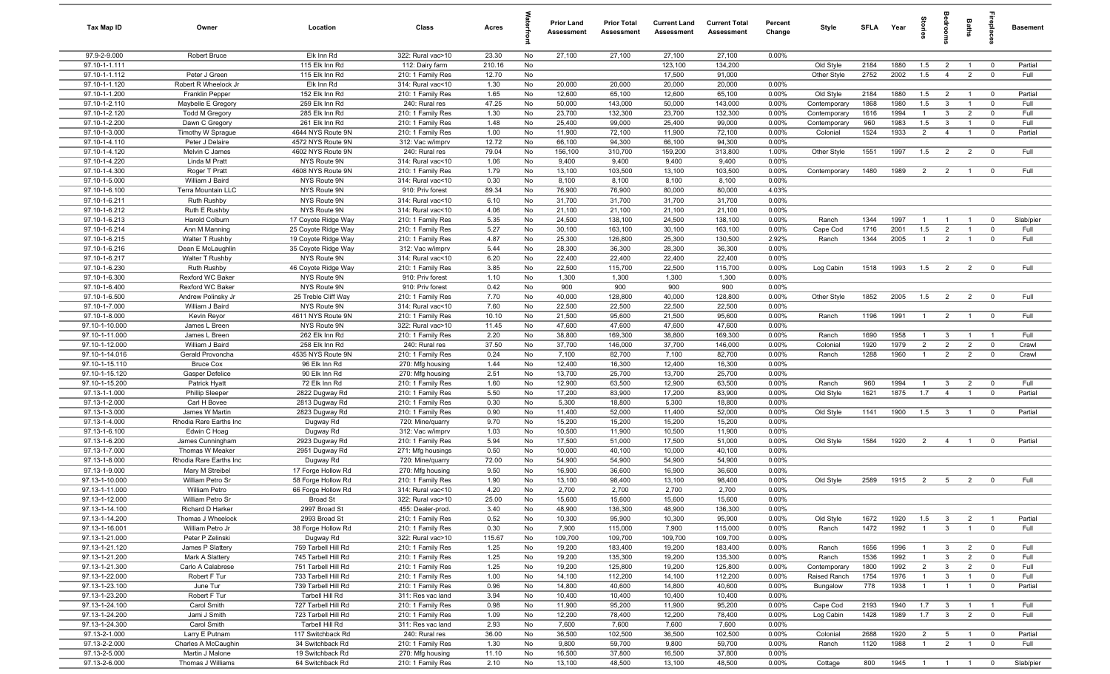| Tax Map ID                       | Owner                                       | Location                                   | Class                                  | Acres         |          | <b>Prior Land</b><br>Assessment | <b>Prior Total</b><br>Assessment | <b>Current Land</b><br>Assessment | <b>Current Total</b><br><b>Assessment</b> | Percent<br>Change | Style                     | <b>SFI A</b> | Year         | tories                           | edroo                            | Baths                            | repla                                  | <b>Basement</b>   |
|----------------------------------|---------------------------------------------|--------------------------------------------|----------------------------------------|---------------|----------|---------------------------------|----------------------------------|-----------------------------------|-------------------------------------------|-------------------|---------------------------|--------------|--------------|----------------------------------|----------------------------------|----------------------------------|----------------------------------------|-------------------|
| 97.9-2-9.000                     | Robert Bruce                                | Elk Inn Rd                                 | 322: Rural vac>10                      | 23.30         | No       | 27,100                          | 27,100                           | 27,100                            | 27,100                                    | 0.00%             |                           |              |              |                                  |                                  |                                  |                                        |                   |
| 97.10-1-1.111                    |                                             | 115 Elk Inn Rd                             | 112: Dairy farm                        | 210.16        | No       |                                 |                                  | 123,100                           | 134,200                                   |                   | Old Style                 | 2184         | 1880         | 1.5                              | $\overline{2}$                   | $\overline{1}$                   | $\overline{0}$                         | Partial           |
| 97.10-1-1.112                    | Peter J Green                               | 115 Elk Inn Rd                             | 210: 1 Family Res                      | 12.70         | No       |                                 |                                  | 17,500                            | 91,000                                    |                   | Other Style               | 2752         | 2002         | 1.5                              | $\overline{4}$                   | $\overline{2}$                   | $\mathbf 0$                            | Full              |
| 97.10-1-1.120                    | Robert R Wheelock Jr                        | Elk Inn Rd                                 | 314: Rural vac<10                      | 1.30          | No       | 20,000                          | 20,000                           | 20,000                            | 20,000                                    | 0.00%             |                           |              |              |                                  |                                  |                                  |                                        |                   |
| 97.10-1-1.200<br>97.10-1-2.110   | <b>Franklin Pepper</b>                      | 152 Elk Inn Rd<br>259 Elk Inn Rd           | 210: 1 Family Res<br>240: Rural res    | 1.65<br>47.25 | No<br>No | 12,600<br>50,000                | 65,100<br>143,000                | 12,600<br>50,000                  | 65,100<br>143,000                         | 0.00%<br>0.00%    | Old Style<br>Contemporary | 2184<br>1868 | 1880<br>1980 | 1.5<br>1.5                       | $\overline{2}$<br>$\mathbf{3}$   | $\overline{1}$<br>$\overline{1}$ | $\overline{\mathbf{0}}$<br>$\mathbf 0$ | Partial<br>Full   |
| 97.10-1-2.120                    | Maybelle E Gregory<br><b>Todd M Gregory</b> | 285 Elk Inn Rd                             | 210: 1 Family Res                      | 1.30          | No       | 23,700                          | 132,300                          | 23,700                            | 132,300                                   | 0.00%             | Contemporary              | 1616         | 1994         | $\overline{1}$                   | 3                                | $\overline{2}$                   | $\mathbf 0$                            | Full              |
| 97.10-1-2.200                    | Dawn C Gregory                              | 261 Elk Inn Rd                             | 210: 1 Family Res                      | 1.48          | No       | 25,400                          | 99,000                           | 25,400                            | 99,000                                    | 0.00%             | Contemporary              | 960          | 1983         | 1.5                              | $\mathbf{3}$                     | $\overline{1}$                   | $\mathbf 0$                            | Full              |
| 97.10-1-3.000                    | Timothy W Sprague                           | 4644 NYS Route 9N                          | 210: 1 Family Res                      | 1.00          | No       | 11,900                          | 72,100                           | 11,900                            | 72,100                                    | 0.00%             | Colonial                  | 1524         | 1933         | $\overline{2}$                   | $\overline{4}$                   | $\overline{1}$                   | $\overline{\mathbf{0}}$                | Partial           |
| 97.10-1-4.110                    | Peter J Delaire                             | 4572 NYS Route 9N                          | 312: Vac w/imprv                       | 12.72         | No       | 66,100                          | 94,300                           | 66,100                            | 94,300                                    | 0.00%             |                           |              |              |                                  |                                  |                                  |                                        |                   |
| 97.10-1-4.120                    | Melvin C James                              | 4602 NYS Route 9N                          | 240: Rural res                         | 79.04         | No       | 156,100                         | 310,700                          | 159,200                           | 313,800                                   | 1.00%             | Other Style               | 1551         | 1997         | 1.5                              | $\overline{2}$                   | $\overline{2}$                   | $\mathbf 0$                            | Full              |
| 97.10-1-4.220                    | Linda M Pratt                               | NYS Route 9N                               | 314: Rural vac<10                      | 1.06          | No       | 9,400                           | 9,400                            | 9,400                             | 9,400                                     | 0.00%             |                           |              |              |                                  |                                  |                                  |                                        |                   |
| 97.10-1-4.300                    | Roger T Pratt                               | 4608 NYS Route 9N                          | 210: 1 Family Res                      | 1.79          | No       | 13,100                          | 103,500                          | 13,100                            | 103,500                                   | 0.00%             | Contemporary              | 1480         | 1989         | 2                                | $\overline{2}$                   | $\overline{1}$                   | $\mathbf 0$                            | Full              |
| 97.10-1-5.000                    | William J Baird                             | NYS Route 9N                               | 314: Rural vac<10                      | 0.30          | No       | 8,100                           | 8,100                            | 8,100                             | 8,100                                     | 0.00%             |                           |              |              |                                  |                                  |                                  |                                        |                   |
| 97.10-1-6.100                    | Terra Mountain LLC                          | NYS Route 9N                               | 910: Priv forest                       | 89.34         | No       | 76,900                          | 76,900                           | 80,000                            | 80,000                                    | 4.03%             |                           |              |              |                                  |                                  |                                  |                                        |                   |
| 97.10-1-6.211                    | Ruth Rushby                                 | NYS Route 9N                               | 314: Rural vac<10                      | 6.10          | No       | 31,700                          | 31,700                           | 31,700                            | 31,700                                    | 0.00%             |                           |              |              |                                  |                                  |                                  |                                        |                   |
| 97.10-1-6.212                    | Ruth E Rushby                               | NYS Route 9N                               | 314: Rural vac<10                      | 4.06          | No       | 21,100                          | 21,100                           | 21,100                            | 21,100                                    | 0.00%             |                           |              |              |                                  |                                  |                                  |                                        |                   |
| 97.10-1-6.213<br>97.10-1-6.214   | Harold Colburn<br>Ann M Manning             | 17 Coyote Ridge Way<br>25 Coyote Ridge Way | 210: 1 Family Res<br>210: 1 Family Res | 5.35          | No<br>No | 24,500<br>30,100                | 138,100<br>163,100               | 24,500<br>30,100                  | 138,100<br>163,100                        | 0.00%<br>0.00%    | Ranch                     | 1344<br>1716 | 1997<br>2001 | $\overline{1}$<br>1.5            |                                  | $\mathbf{1}$<br>$\overline{1}$   | $\mathbf 0$<br>$\mathbf 0$             | Slab/pier<br>Full |
| 97.10-1-6.215                    | Walter T Rushby                             | 19 Coyote Ridge Way                        | 210: 1 Family Res                      | 5.27<br>4.87  | No       | 25,300                          | 126,800                          | 25,300                            | 130,500                                   | 2.92%             | Cape Cod<br>Ranch         | 1344         | 2005         | $\overline{1}$                   | $\overline{2}$<br>$\overline{2}$ | $\overline{1}$                   | $\mathbf 0$                            | Full              |
| 97.10-1-6.216                    | Dean E McLaughlin                           | 35 Coyote Ridge Way                        | 312: Vac w/imprv                       | 5.44          | No       | 28,300                          | 36,300                           | 28,300                            | 36,300                                    | 0.00%             |                           |              |              |                                  |                                  |                                  |                                        |                   |
| 97.10-1-6.217                    | Walter T Rushby                             | NYS Route 9N                               | 314: Rural vac<10                      | 6.20          | No       | 22,400                          | 22,400                           | 22,400                            | 22,400                                    | 0.00%             |                           |              |              |                                  |                                  |                                  |                                        |                   |
| 97.10-1-6.230                    | Ruth Rushby                                 | 46 Coyote Ridge Way                        | 210: 1 Family Res                      | 3.85          | No       | 22,500                          | 115,700                          | 22,500                            | 115,700                                   | 0.00%             | Log Cabin                 | 1518         | 1993         | 1.5                              | $\overline{2}$                   | $\overline{2}$                   | $\overline{0}$                         | Full              |
| 97.10-1-6.300                    | Rexford WC Baker                            | NYS Route 9N                               | 910: Priv forest                       | 1.10          | No       | 1,300                           | 1,300                            | 1,300                             | 1,300                                     | 0.00%             |                           |              |              |                                  |                                  |                                  |                                        |                   |
| 97.10-1-6.400                    | Rexford WC Baker                            | NYS Route 9N                               | 910: Priv forest                       | 0.42          | No       | 900                             | 900                              | 900                               | 900                                       | 0.00%             |                           |              |              |                                  |                                  |                                  |                                        |                   |
| 97.10-1-6.500                    | Andrew Polinsky Jr                          | 25 Treble Cliff Way                        | 210: 1 Family Res                      | 7.70          | No       | 40,000                          | 128,800                          | 40,000                            | 128,800                                   | 0.00%             | Other Style               | 1852         | 2005         | 1.5                              | $\overline{2}$                   | $\overline{2}$                   | $\mathbf 0$                            | Full              |
| 97.10-1-7.000                    | William J Baird                             | NYS Route 9N                               | 314: Rural vac<10                      | 7.60          | No       | 22,500                          | 22,500                           | 22,500                            | 22,500                                    | 0.00%             |                           |              |              |                                  |                                  |                                  |                                        |                   |
| 97.10-1-8.000                    | Kevin Reyor                                 | 4611 NYS Route 9N                          | 210: 1 Family Res                      | 10.10         | No       | 21,500                          | 95,600                           | 21,500                            | 95,600                                    | 0.00%             | Ranch                     | 1196         | 1991         | $\overline{1}$                   | $\overline{2}$                   | $\overline{1}$                   | $\overline{0}$                         | Full              |
| 97.10-1-10.000                   | James L Breen                               | NYS Route 9N                               | 322: Rural vac>10                      | 11.45         | No       | 47,600                          | 47,600                           | 47,600                            | 47,600                                    | 0.00%             |                           |              |              |                                  |                                  |                                  |                                        |                   |
| 97.10-1-11.000                   | James L Breen                               | 262 Elk Inn Rd                             | 210: 1 Family Res                      | 2.20          | No       | 38,800                          | 169,300                          | 38,800                            | 169,300                                   | 0.00%             | Ranch                     | 1690         | 1958         | $\overline{1}$                   | $\mathbf{3}$                     | $\overline{1}$                   | $\overline{1}$                         | Full              |
| 97.10-1-12.000<br>97.10-1-14.016 | William J Baird                             | 258 Elk Inn Rd<br>4535 NYS Route 9N        | 240: Rural res                         | 37.50<br>0.24 | No<br>No | 37,700<br>7,100                 | 146,000<br>82,700                | 37,700<br>7,100                   | 146,000<br>82,700                         | 0.00%<br>0.00%    | Colonial<br>Ranch         | 1920<br>1288 | 1979<br>1960 | $\overline{2}$<br>$\overline{1}$ | $\overline{2}$<br>$\overline{2}$ | $\overline{2}$<br>$\overline{2}$ | $\mathbf 0$<br>$\mathbf 0$             | Crawl<br>Crawl    |
| 97.10-1-15.110                   | Gerald Provoncha<br><b>Bruce Cox</b>        | 96 Elk Inn Rd                              | 210: 1 Family Res<br>270: Mfg housing  | 1.44          | No       | 12,400                          | 16,300                           | 12,400                            | 16,300                                    | 0.00%             |                           |              |              |                                  |                                  |                                  |                                        |                   |
| 97.10-1-15.120                   | Gasper Defelice                             | 90 Elk Inn Rd                              | 270: Mfg housing                       | 2.51          | No       | 13,700                          | 25,700                           | 13,700                            | 25,700                                    | 0.00%             |                           |              |              |                                  |                                  |                                  |                                        |                   |
| 97.10-1-15.200                   | Patrick Hyatt                               | 72 Elk Inn Rd                              | 210: 1 Family Res                      | 1.60          | No       | 12,900                          | 63,500                           | 12,900                            | 63,500                                    | 0.00%             | Ranch                     | 960          | 1994         | $\overline{1}$                   | $\mathbf{3}$                     | $\overline{2}$                   | $\mathbf 0$                            | Full              |
| 97.13-1-1.000                    | <b>Phillip Sleeper</b>                      | 2822 Dugway Rd                             | 210: 1 Family Res                      | 5.50          | No       | 17,200                          | 83,900                           | 17,200                            | 83,900                                    | 0.00%             | Old Style                 | 1621         | 1875         | 1.7                              | $\overline{4}$                   | $\overline{1}$                   | $\mathbf 0$                            | Partial           |
| 97.13-1-2.000                    | Carl H Bovee                                | 2813 Dugway Rd                             | 210: 1 Family Res                      | 0.30          | No       | 5,300                           | 18,800                           | 5,300                             | 18,800                                    | 0.00%             |                           |              |              |                                  |                                  |                                  |                                        |                   |
| 97.13-1-3.000                    | James W Martin                              | 2823 Dugway Rd                             | 210: 1 Family Res                      | 0.90          | No       | 11,400                          | 52,000                           | 11,400                            | 52,000                                    | 0.00%             | Old Style                 | 1141         | 1900         | 1.5                              | $\mathbf{3}$                     | $\overline{1}$                   | $\mathbf 0$                            | Partial           |
| 97.13-1-4.000                    | Rhodia Rare Earths Inc                      | Dugway Rd                                  | 720: Mine/quarry                       | 9.70          | No       | 15,200                          | 15,200                           | 15,200                            | 15,200                                    | 0.00%             |                           |              |              |                                  |                                  |                                  |                                        |                   |
| 97.13-1-6.100                    | Edwin C Hoag                                | Dugway Rd                                  | 312: Vac w/imprv                       | 1.03          | No       | 10,500                          | 11,900                           | 10,500                            | 11,900                                    | 0.00%             |                           |              |              |                                  |                                  |                                  |                                        |                   |
| 97.13-1-6.200                    | James Cunningham                            | 2923 Dugway Rd                             | 210: 1 Family Res                      | 5.94          | No       | 17,500                          | 51,000                           | 17,500                            | 51,000                                    | 0.00%             | Old Style                 | 1584         | 1920         | $\overline{2}$                   | $\overline{4}$                   | $\overline{1}$                   | $\mathbf 0$                            | Partial           |
| 97.13-1-7.000                    | Thomas W Meaker                             | 2951 Dugway Rd                             | 271: Mfg housings                      | 0.50          | No       | 10,000                          | 40,100                           | 10,000                            | 40,100                                    | 0.00%             |                           |              |              |                                  |                                  |                                  |                                        |                   |
| 97.13-1-8.000<br>97.13-1-9.000   | Rhodia Rare Earths Inc                      | Dugway Rd<br>17 Forge Hollow Rd            | 720: Mine/quarry<br>270: Mfg housing   | 72.00<br>9.50 | No<br>No | 54,900<br>16,900                | 54,900<br>36,600                 | 54,900<br>16,900                  | 54,900<br>36,600                          | 0.00%<br>0.00%    |                           |              |              |                                  |                                  |                                  |                                        |                   |
| 97.13-1-10.000                   | Mary M Streibel<br>William Petro Sr         | 58 Forge Hollow Rd                         | 210: 1 Family Res                      | 1.90          | No       | 13,100                          | 98,400                           | 13,100                            | 98,400                                    | 0.00%             | Old Style                 | 2589         | 1915         | $\overline{2}$                   | $5\overline{5}$                  | $\overline{2}$                   | $\mathbf 0$                            | Full              |
| 97.13-1-11.000                   | <b>William Petro</b>                        | 66 Forge Hollow Rd                         | 314: Rural vac<10                      | 4.20          | No       | 2,700                           | 2,700                            | 2,700                             | 2,700                                     | 0.00%             |                           |              |              |                                  |                                  |                                  |                                        |                   |
| 97.13-1-12.000                   | William Petro Sr                            | <b>Broad St</b>                            | 322: Rural vac>10                      | 25.00         | No       | 15,600                          | 15,600                           | 15,600                            | 15,600                                    | $0.00\%$          |                           |              |              |                                  |                                  |                                  |                                        |                   |
| 97.13-1-14.100                   | Richard D Harker                            | 2997 Broad St                              | 455: Dealer-prod.                      | 3.40          | No       | 48,900                          | 136,300                          | 48,900                            | 136,300                                   | 0.00%             |                           |              |              |                                  |                                  |                                  |                                        |                   |
| 97.13-1-14.200                   | Thomas J Wheelock                           | 2993 Broad St                              | 210: 1 Family Res                      | 0.52          | No       | 10,300                          | 95,900                           | 10,300                            | 95,900                                    | 0.00%             | Old Style                 | 1672         | 1920         | 1.5                              | $\mathbf{3}$                     | $\overline{2}$                   | $\overline{1}$                         | Partial           |
| 97.13-1-16.001                   | William Petro Jr                            | 38 Forge Hollow Rd                         | 210: 1 Family Res                      | 0.30          | No       | 7,900                           | 115,000                          | 7,900                             | 115,000                                   | 0.00%             | Ranch                     | 1472         | 1992         | $\overline{1}$                   | $\mathbf{3}$                     | $\mathbf{1}$                     | $\mathbf 0$                            | Full              |
| 97.13-1-21.000                   | Peter P Zelinski                            | Dugway Rd                                  | 322: Rural vac>10                      | 115.67        | No       | 109,700                         | 109,700                          | 109,700                           | 109,700                                   | 0.00%             |                           |              |              |                                  |                                  |                                  |                                        |                   |
| 97.13-1-21.120                   | James P Slattery                            | 759 Tarbell Hill Rd                        | 210: 1 Family Res                      | 1.25          | No       | 19,200                          | 183,400                          | 19,200                            | 183,400                                   | 0.00%             | Ranch                     | 1656         | 1996         | $\overline{1}$                   | $\mathbf{3}$                     | $\overline{2}$                   | $\mathbf 0$                            | Full              |
| 97.13-1-21.200                   | Mark A Slattery                             | 745 Tarbell Hill Rd                        | 210: 1 Family Res                      | 1.25          | No       | 19,200                          | 135,300                          | 19,200                            | 135,300                                   | 0.00%             | Ranch                     | 1536         | 1992         | $\overline{1}$                   | $\mathbf{3}$                     | $\overline{2}$                   | $\mathbf 0$                            | Full              |
| 97.13-1-21.300                   | Carlo A Calabrese                           | 751 Tarbell Hill Rd                        | 210: 1 Family Res                      | 1.25          | No       | 19,200                          | 125,800                          | 19,200                            | 125,800                                   | 0.00%             | Contemporary              | 1800         | 1992         | $\overline{2}$                   | $\mathbf{3}$                     | $\overline{2}$                   | $\mathbf 0$                            | Full              |
| 97.13-1-22.000<br>97.13-1-23.100 | Robert F Tur                                | 733 Tarbell Hill Rd                        | 210: 1 Family Res<br>210: 1 Family Res | 1.00          | No       | 14,100<br>14,800                | 112,200<br>40,600                | 14,100<br>14,800                  | 112,200<br>40,600                         | 0.00%<br>0.00%    | Raised Ranch              | 1754<br>778  | 1976<br>1938 | $\mathbf{1}$<br>$\overline{1}$   | $\overline{3}$<br>$\overline{1}$ | $\overline{1}$<br>$\overline{1}$ | $\mathbf 0$                            | Full<br>Partial   |
| 97.13-1-23.200                   | June Tur<br>Robert F Tur                    | 739 Tarbell Hill Rd<br>Tarbell Hill Rd     | 311: Res vac land                      | 0.96<br>3.94  | No<br>No | 10,400                          | 10,400                           | 10,400                            | 10,400                                    | 0.00%             | Bungalow                  |              |              |                                  |                                  |                                  | $\mathbf 0$                            |                   |
| 97.13-1-24.100                   | Carol Smith                                 | 727 Tarbell Hill Rd                        | 210: 1 Family Res                      | 0.98          | No       | 11,900                          | 95,200                           | 11,900                            | 95,200                                    | 0.00%             | Cape Cod                  | 2193         | 1940         | 1.7                              | $\overline{\mathbf{3}}$          | $\overline{1}$                   | $\overline{1}$                         | Full              |
| 97.13-1-24.200                   | Jami J Smith                                | 723 Tarbell Hill Rd                        | 210: 1 Family Res                      | 1.09          | No       | 12,200                          | 78,400                           | 12,200                            | 78,400                                    | 0.00%             | Log Cabin                 | 1428         | 1989         | 1.7                              | $\overline{\mathbf{3}}$          | $\overline{2}$                   | $\overline{\mathbf{0}}$                | Full              |
| 97.13-1-24.300                   | Carol Smith                                 | Tarbell Hill Rd                            | 311: Res vac land                      | 2.93          | No       | 7,600                           | 7,600                            | 7,600                             | 7,600                                     | 0.00%             |                           |              |              |                                  |                                  |                                  |                                        |                   |
| 97.13-2-1.000                    | Larry E Putnam                              | 117 Switchback Rd                          | 240: Rural res                         | 36.00         | No       | 36,500                          | 102,500                          | 36,500                            | 102,500                                   | 0.00%             | Colonial                  | 2688         | 1920         | $\overline{2}$                   | $5\overline{6}$                  | $\overline{1}$                   | $\overline{\mathbf{0}}$                | Partial           |
| 97.13-2-2.000                    | Charles A McCaughin                         | 34 Switchback Rd                           | 210: 1 Family Res                      | 1.30          | No       | 9,800                           | 59,700                           | 9,800                             | 59,700                                    | 0.00%             | Ranch                     | 1120         | 1988         | $\overline{1}$                   | $\overline{2}$                   | $\overline{1}$                   | $\mathbf 0$                            | Full              |
| 97.13-2-5.000                    | Martin J Malone                             | 19 Switchback Rd                           | 270: Mfg housing                       | 11.10         | No       | 16,500                          | 37,800                           | 16,500                            | 37,800                                    | 0.00%             |                           |              |              |                                  |                                  |                                  |                                        |                   |
| 97.13-2-6.000                    | Thomas J Williams                           | 64 Switchback Rd                           | 210: 1 Family Res                      | 2.10          | No       | 13,100                          | 48,500                           | 13,100                            | 48,500                                    | 0.00%             | Cottage                   | 800          | 1945         | $1 \quad 1$                      |                                  | $\overline{1}$                   | $\overline{\mathbf{0}}$                | Slab/pier         |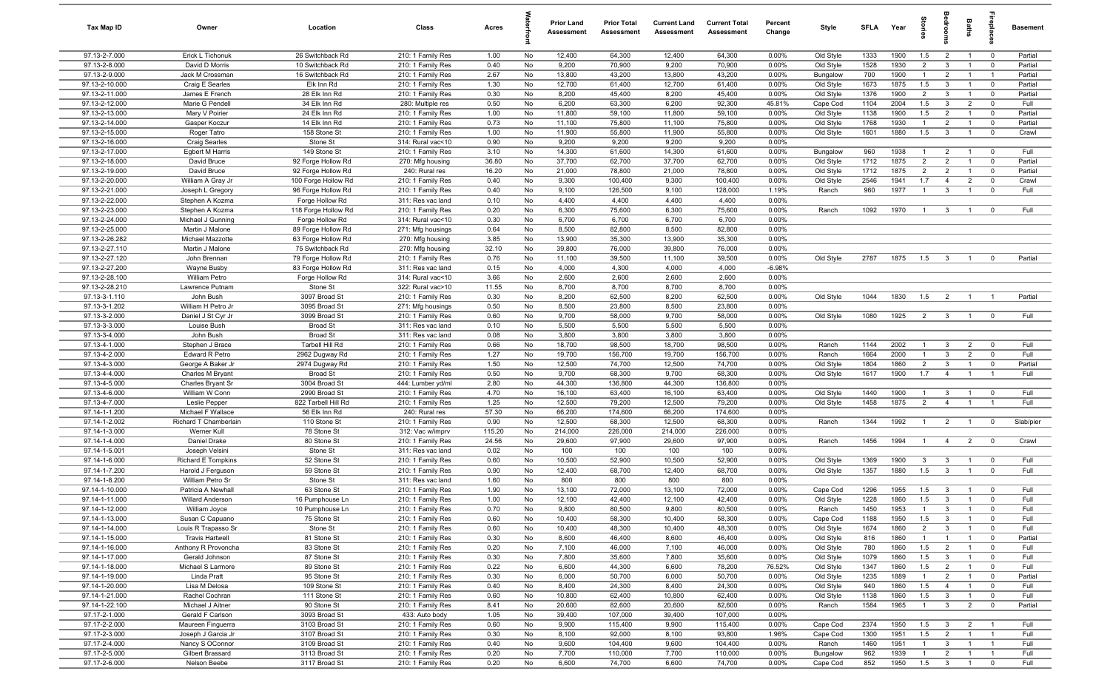| Tax Map ID                       | Owner                                 | Location                               | Class                                  | Acres         |          | <b>Prior Land</b><br>Assessment | <b>Prior Total</b><br>Assessment | <b>Current Land</b><br>Assessment | <b>Current Total</b><br>Assessment | Percent<br>Change | Style                  | <b>SFI A</b> | Year         | Stori                 | drooi                            | Baths                            | epla                          | Basement           |
|----------------------------------|---------------------------------------|----------------------------------------|----------------------------------------|---------------|----------|---------------------------------|----------------------------------|-----------------------------------|------------------------------------|-------------------|------------------------|--------------|--------------|-----------------------|----------------------------------|----------------------------------|-------------------------------|--------------------|
| 97.13-2-7.000                    | Erick L Tichonuk                      | 26 Switchback Rd                       | 210: 1 Family Res                      | 1.00          | No       | 12,400                          | 64,300                           | 12,400                            | 64,300                             | 0.00%             | Old Style              | 1333         | 1900         | 1.5                   | $\overline{2}$                   | $\overline{1}$                   | $\overline{0}$                | Partial            |
| 97.13-2-8.000                    | David D Morris                        | 10 Switchback Rd                       | 210: 1 Family Res                      | 0.40          | No       | 9,200                           | 70,900                           | 9,200                             | 70,900                             | 0.00%             | Old Style              | 1528         | 1930         | $\overline{2}$        | $\mathbf{3}$                     | $\overline{1}$                   | $\mathbf 0$                   | Partial            |
| 97.13-2-9.000                    | Jack M Crossman                       | 16 Switchback Rd                       | 210: 1 Family Res                      | 2.67          | No       | 13,800                          | 43,200                           | 13,800                            | 43,200                             | 0.00%             | Bungalow               | 700          | 1900         | $\mathbf{1}$          | $\overline{2}$                   | $\overline{1}$                   | $\overline{1}$                | Partial            |
| 97.13-2-10.000                   | Craig E Searles                       | Elk Inn Rd                             | 210: 1 Family Res                      | 1.30          | No       | 12,700                          | 61,400                           | 12,700                            | 61,400                             | 0.00%             | Old Style              | 1673         | 1875         | 1.5                   | $\mathbf{3}$                     |                                  | $\mathbf 0$                   | Partial            |
| 97.13-2-11.000                   | James E French                        | 28 Elk Inn Rd                          | 210: 1 Family Res                      | 0.30          | No       | 8,200                           | 45,400                           | 8,200                             | 45,400                             | 0.00%             | Old Style              | 1376         | 1900         | $\overline{2}$        | $\mathbf{3}$                     | $\overline{1}$                   | $^{\circ}$                    | Partial            |
| 97.13-2-12.000                   | Marie G Pendell                       | 34 Elk Inn Rd                          | 280: Multiple res                      | 0.50          | No       | 6,200                           | 63,300                           | 6,200                             | 92,300                             | 45.81%            | Cape Cod               | 1104         | 2004         | 1.5                   | $\mathbf{3}$                     | $\overline{2}$<br>$\overline{1}$ | $\mathbf 0$                   | Full               |
| 97.13-2-13.000<br>97.13-2-14.000 | Mary V Poirier<br>Gasper Koczur       | 24 Elk Inn Rd<br>14 Elk Inn Rd         | 210: 1 Family Res<br>210: 1 Family Res | 1.00<br>0.73  | No<br>No | 11,800<br>11,100                | 59,100<br>75,800                 | 11,800<br>11,100                  | 59,100<br>75,800                   | 0.00%<br>0.00%    | Old Style<br>Old Style | 1138<br>1768 | 1900<br>1930 | 1.5<br>$\overline{1}$ | $\overline{2}$<br>$\overline{2}$ | $\overline{1}$                   | $\mathbf 0$<br>$\mathbf 0$    | Partial<br>Partial |
| 97.13-2-15.000                   | Roger Tatro                           | 158 Stone St                           | 210: 1 Family Res                      | 1.00          | No       | 11,900                          | 55,800                           | 11,900                            | 55,800                             | 0.00%             | Old Style              | 1601         | 1880         | 1.5                   | $\mathbf{3}$                     | $\overline{1}$                   | $\overline{0}$                | Crawl              |
| 97.13-2-16.000                   | <b>Craig Searles</b>                  | Stone St                               | 314: Rural vac<10                      | 0.90          | No       | 9,200                           | 9,200                            | 9,200                             | 9,200                              | 0.00%             |                        |              |              |                       |                                  |                                  |                               |                    |
| 97.13-2-17.000                   | <b>Egbert M Harris</b>                | 149 Stone St                           | 210: 1 Family Res                      | 3.10          | No       | 14,300                          | 61,600                           | 14,300                            | 61,600                             | 0.00%             | Bungalow               | 960          | 1938         | $\overline{1}$        | $\overline{2}$                   | $\overline{1}$                   | $^{\circ}$                    | Full               |
| 97.13-2-18.000                   | David Bruce                           | 92 Forge Hollow Rd                     | 270: Mfg housing                       | 36.80         | No       | 37,700                          | 62,700                           | 37,700                            | 62,700                             | 0.00%             | Old Style              | 1712         | 1875         | $\overline{2}$        | $\overline{2}$                   | $\overline{1}$                   | $^{\circ}$                    | Partial            |
| 97.13-2-19.000                   | David Bruce                           | 92 Forge Hollow Rd                     | 240: Rural res                         | 16.20         | No       | 21,000                          | 78,800                           | 21,000                            | 78,800                             | 0.00%             | Old Style              | 1712         | 1875         | $\overline{2}$        | $\overline{2}$                   | $\overline{1}$                   | $\mathbf 0$                   | Partial            |
| 97.13-2-20.000                   | William A Gray Jr                     | 100 Forge Hollow Rd                    | 210: 1 Family Res                      | 0.40          | No       | 9,300                           | 100,400                          | 9,300                             | 100,400                            | 0.00%             | Old Style              | 2546         | 1941         | 1.7                   | $\overline{4}$                   | $\overline{2}$                   | $\mathbf 0$                   | Crawl              |
| 97.13-2-21.000                   | Joseph L Gregory                      | 96 Forge Hollow Rd                     | 210: 1 Family Res                      | 0.40          | No       | 9,100                           | 126,500                          | 9,100                             | 128,000                            | 1.19%             | Ranch                  | 960          | 1977         | $\overline{1}$        | $\mathbf{3}$                     | $\overline{1}$                   | $^{\circ}$                    | Full               |
| 97.13-2-22.000                   | Stephen A Kozma                       | Forge Hollow Rd                        | 311: Res vac land                      | 0.10          | No       | 4,400                           | 4,400                            | 4,400                             | 4,400                              | 0.00%             |                        |              |              |                       |                                  |                                  |                               |                    |
| 97.13-2-23.000                   | Stephen A Kozma                       | 118 Forge Hollow Rd                    | 210: 1 Family Res                      | 0.20          | No       | 6,300                           | 75,600                           | 6,300                             | 75,600                             | 0.00%             | Ranch                  | 1092         | 1970         | $\mathbf{1}$          | $\mathbf{3}$                     |                                  | $^{\circ}$                    | Full               |
| 97.13-2-24.000                   | Michael J Gunning                     | Forge Hollow Rd                        | 314: Rural vac<10                      | 0.30          | No       | 6,700                           | 6,700                            | 6,700                             | 6,700                              | 0.00%             |                        |              |              |                       |                                  |                                  |                               |                    |
| 97.13-2-25.000                   | Martin J Malone                       | 89 Forge Hollow Rd                     | 271: Mfg housings                      | 0.64          | No       | 8,500                           | 82,800                           | 8,500                             | 82,800                             | 0.00%             |                        |              |              |                       |                                  |                                  |                               |                    |
| 97.13-2-26.282<br>97.13-2-27.110 | Michael Mazzotte<br>Martin J Malone   | 63 Forge Hollow Rd<br>75 Switchback Rd | 270: Mfg housing                       | 3.85<br>32.10 | No<br>No | 13,900<br>39,800                | 35,300<br>76,000                 | 13,900<br>39,800                  | 35,300<br>76,000                   | 0.00%<br>0.00%    |                        |              |              |                       |                                  |                                  |                               |                    |
| 97.13-2-27.120                   | John Brennan                          | 79 Forge Hollow Rd                     | 270: Mfg housing<br>210: 1 Family Res  | 0.76          | No       | 11,100                          | 39,500                           | 11,100                            | 39,500                             | 0.00%             | Old Style              | 2787         | 1875         | 1.5                   | $\mathbf{3}$                     | $\overline{1}$                   | $^{\circ}$                    | Partial            |
| 97.13-2-27.200                   | Wayne Busby                           | 83 Forge Hollow Rd                     | 311: Res vac land                      | 0.15          | No       | 4,000                           | 4,300                            | 4,000                             | 4,000                              | $-6.98%$          |                        |              |              |                       |                                  |                                  |                               |                    |
| 97.13-2-28.100                   | <b>William Petro</b>                  | Forge Hollow Rd                        | 314: Rural vac<10                      | 3.66          | No       | 2,600                           | 2,600                            | 2,600                             | 2,600                              | 0.00%             |                        |              |              |                       |                                  |                                  |                               |                    |
| 97.13-2-28.210                   | Lawrence Putnam                       | Stone St                               | 322: Rural vac>10                      | 11.55         | No       | 8,700                           | 8,700                            | 8,700                             | 8,700                              | 0.00%             |                        |              |              |                       |                                  |                                  |                               |                    |
| 97.13-3-1.110                    | John Bush                             | 3097 Broad St                          | 210: 1 Family Res                      | 0.30          | No       | 8,200                           | 62,500                           | 8,200                             | 62,500                             | 0.00%             | Old Style              | 1044         | 1830         | 1.5                   | $\overline{2}$                   | $\overline{1}$                   |                               | Partial            |
| 97.13-3-1.202                    | William H Petro Jr                    | 3095 Broad St                          | 271: Mfg housings                      | 0.50          | No       | 8,500                           | 23,800                           | 8,500                             | 23,800                             | 0.00%             |                        |              |              |                       |                                  |                                  |                               |                    |
| 97.13-3-2.000                    | Daniel J St Cyr Jr                    | 3099 Broad St                          | 210: 1 Family Res                      | 0.60          | No       | 9,700                           | 58,000                           | 9,700                             | 58,000                             | 0.00%             | Old Style              | 1080         | 1925         | $\overline{2}$        | $\mathbf{3}$                     | $\overline{1}$                   | $^{\circ}$                    | Full               |
| 97.13-3-3.000                    | Louise Bush                           | <b>Broad St</b>                        | 311: Res vac land                      | 0.10          | No       | 5,500                           | 5,500                            | 5,500                             | 5,500                              | 0.00%             |                        |              |              |                       |                                  |                                  |                               |                    |
| 97.13-3-4.000                    | John Bush                             | <b>Broad St</b>                        | 311: Res vac land                      | 0.08          | No       | 3,800                           | 3,800                            | 3,800                             | 3,800                              | 0.00%             |                        |              |              |                       |                                  |                                  |                               |                    |
| 97.13-4-1.000                    | Stephen J Brace                       | Tarbell Hill Rd                        | 210: 1 Family Res                      | 0.66          | No       | 18,700                          | 98,500                           | 18,700                            | 98,500                             | 0.00%             | Ranch                  | 1144         | 2002         | $\mathbf{1}$          | $\mathbf{3}$                     | $\overline{2}$                   | $^{\circ}$                    | Full               |
| 97.13-4-2.000                    | Edward R Petro                        | 2962 Dugway Rd                         | 210: 1 Family Res                      | 1.27          | No       | 19,700                          | 156,700                          | 19,700                            | 156,700                            | 0.00%             | Ranch                  | 1664         | 2000         | $\overline{1}$        | $\mathbf{3}$                     | $\overline{2}$                   | $\mathbf 0$                   | Full               |
| 97.13-4-3.000<br>97.13-4-4.000   | George A Baker Jr                     | 2974 Dugway Rd<br><b>Broad St</b>      | 210: 1 Family Res                      | 1.50<br>0.50  | No<br>No | 12,500<br>9,700                 | 74,700<br>68,300                 | 12,500<br>9,700                   | 74,700<br>68,300                   | 0.00%<br>0.00%    | Old Style<br>Old Style | 1804<br>1617 | 1860<br>1900 | $\overline{2}$<br>1.7 | $\mathbf{3}$<br>$\overline{4}$   | $\overline{1}$<br>$\overline{1}$ | $\mathbf 0$<br>$\overline{1}$ | Partial<br>Full    |
| 97.13-4-5.000                    | Charles M Bryant<br>Charles Bryant Sr | 3004 Broad St                          | 210: 1 Family Res<br>444: Lumber yd/ml | 2.80          | No       | 44,300                          | 136,800                          | 44,300                            | 136,800                            | 0.00%             |                        |              |              |                       |                                  |                                  |                               |                    |
| 97.13-4-6.000                    | William W Conn                        | 2990 Broad St                          | 210: 1 Family Res                      | 4.70          | No       | 16,100                          | 63,400                           | 16,100                            | 63,400                             | 0.00%             | Old Style              | 1440         | 1900         | $\overline{1}$        | $\mathbf{3}$                     | $\overline{1}$                   | $\overline{0}$                | Full               |
| 97.13-4-7.000                    | Leslie Pepper                         | 822 Tarbell Hill Rd                    | 210: 1 Family Res                      | 1.25          | No       | 12,500                          | 79,200                           | 12,500                            | 79,200                             | 0.00%             | Old Style              | 1458         | 1875         | $\overline{2}$        | $\overline{4}$                   | $\overline{1}$                   | $\overline{1}$                | Full               |
| 97.14-1-1.200                    | Michael F Wallace                     | 56 Elk Inn Rd                          | 240: Rural res                         | 57.30         | No       | 66,200                          | 174,600                          | 66,200                            | 174,600                            | 0.00%             |                        |              |              |                       |                                  |                                  |                               |                    |
| 97.14-1-2.002                    | Richard T Chamberlain                 | 110 Stone St                           | 210: 1 Family Res                      | 0.90          | No       | 12,500                          | 68,300                           | 12,500                            | 68,300                             | 0.00%             | Ranch                  | 1344         | 1992         | $\overline{1}$        | $\overline{2}$                   | $\overline{1}$                   | $^{\circ}$                    | Slab/pier          |
| 97.14-1-3.000                    | Werner Kull                           | 78 Stone St                            | 312: Vac w/imprv                       | 115.20        | No       | 214,000                         | 226,000                          | 214,000                           | 226,000                            | 0.00%             |                        |              |              |                       |                                  |                                  |                               |                    |
| 97.14-1-4.000                    | Daniel Drake                          | 80 Stone St                            | 210: 1 Family Res                      | 24.56         | No       | 29,600                          | 97,900                           | 29,600                            | 97,900                             | 0.00%             | Ranch                  | 1456         | 1994         | $\overline{1}$        | $\overline{4}$                   | $\overline{2}$                   | $\overline{0}$                | Crawl              |
| 97.14-1-5.001                    | Joseph Velsini                        | Stone St                               | 311: Res vac land                      | 0.02          | No       | 100                             | 100                              | 100                               | 100                                | 0.00%             |                        |              |              |                       |                                  |                                  |                               |                    |
| 97.14-1-6.000                    | Richard E Tompkins                    | 52 Stone St                            | 210: 1 Family Res                      | 0.60          | No       | 10,500                          | 52,900                           | 10,500                            | 52,900                             | 0.00%             | Old Style              | 1369         | 1900         | $\mathbf{3}$          | $\mathbf{3}$                     |                                  | $^{\circ}$                    | Full               |
| 97.14-1-7.200<br>97.14-1-8.200   | Harold J Ferguson<br>William Petro Sr | 59 Stone St<br>Stone St                | 210: 1 Family Res<br>311: Res vac land | 0.90<br>1.60  | No<br>No | 12,400<br>800                   | 68,700<br>800                    | 12,400<br>800                     | 68,700<br>800                      | 0.00%<br>0.00%    | Old Style              | 1357         | 1880         | 1.5                   | $\mathbf{3}$                     | $\overline{1}$                   | $^{\circ}$                    | Full               |
| 97.14-1-10.000                   | Patricia A Newhall                    | 63 Stone St                            | 210: 1 Family Res                      | 1.90          | No       | 13,100                          | 72,000                           | 13,100                            | 72,000                             | 0.00%             | Cape Cod               | 1296         | 1955         | 1.5                   | $\mathbf{3}$                     | $\overline{1}$                   | $\mathbf 0$                   | Full               |
| 97.14-1-11.000                   | Willard Anderson                      | 16 Pumphouse Ln                        | 210: 1 Family Res                      | 1.00          | No       | 12,100                          | 42,400                           | 12,100                            | 42,400                             | $0.00\%$          | Old Style              | 1228         | 1860         | 1.5                   | $\mathbf{3}$                     | $\overline{1}$                   |                               | Full               |
| 97.14-1-12.000                   | William Joyce                         | 10 Pumphouse Ln                        | 210: 1 Family Res                      | 0.70          | No       | 9,800                           | 80,500                           | 9,800                             | 80,500                             | 0.00%             | Ranch                  | 1450         | 1953         | $\overline{1}$        | $\mathbf{3}$                     | $\mathbf{1}$                     | $\mathbf 0$                   | Full               |
| 97.14-1-13.000                   | Susan C Capuano                       | 75 Stone St                            | 210: 1 Family Res                      | 0.60          | No       | 10,400                          | 58,300                           | 10,400                            | 58,300                             | 0.00%             | Cape Cod               | 1188         | 1950         | 1.5                   | $\mathbf{3}$                     | $\overline{1}$                   | $\mathbf 0$                   | Full               |
| 97.14-1-14.000                   | Louis R Trapasso Sr                   | Stone St                               | 210: 1 Family Res                      | 0.60          | No       | 10,400                          | 48,300                           | 10,400                            | 48,300                             | 0.00%             | Old Style              | 1674         | 1860         | $\overline{2}$        | $\mathbf{3}$                     | $\overline{1}$                   | $\mathbf 0$                   | Full               |
| 97.14-1-15.000                   | <b>Travis Hartwell</b>                | 81 Stone St                            | 210: 1 Family Res                      | 0.30          | No       | 8,600                           | 46,400                           | 8,600                             | 46,400                             | 0.00%             | Old Style              | 816          | 1860         | $\mathbf{1}$          | $\overline{1}$                   | $\mathbf{1}$                     | $\mathbf 0$                   | Partial            |
| 97.14-1-16.000                   | Anthony R Provoncha                   | 83 Stone St                            | 210: 1 Family Res                      | 0.20          | No       | 7,100                           | 46,000                           | 7,100                             | 46,000                             | 0.00%             | Old Style              | 780          | 1860         | 1.5                   | $\overline{2}$                   | $\overline{1}$                   | $\mathbf 0$                   | Full               |
| 97.14-1-17.000                   | Gerald Johnson                        | 87 Stone St                            | 210: 1 Family Res                      | 0.30          | No       | 7,800                           | 35,600                           | 7,800                             | 35,600                             | 0.00%             | Old Style              | 1079         | 1860         | 1.5                   | $\mathbf{3}$                     | $\mathbf{1}$                     | $\mathbf 0$                   | Full               |
| 97.14-1-18.000                   | Michael S Larmore                     | 89 Stone St                            | 210: 1 Family Res                      | 0.22          | No       | 6,600                           | 44,300                           | 6,600                             | 78,200                             | 76.52%            | Old Style              | 1347         | 1860         | 1.5                   | $\overline{2}$                   |                                  | $\mathbf 0$                   | Full               |
| 97.14-1-19.000                   | Linda Pratt                           | 95 Stone St                            | 210: 1 Family Res                      | 0.30          | No       | 6,000                           | 50,700                           | 6,000                             | 50,700                             | 0.00%             | Old Style              | 1235         | 1889         | $\mathbf{1}$          | $\overline{2}$                   | $\overline{1}$                   | $\mathbf 0$                   | Partial            |
| 97.14-1-20.000<br>97.14-1-21.000 | Lisa M Delosa<br>Rachel Cochran       | 109 Stone St<br>111 Stone St           | 210: 1 Family Res                      | 0.40<br>0.60  | No<br>No | 8,400<br>10,800                 | 24,300<br>62,400                 | 8,400<br>10,800                   | 24,300<br>62,400                   | 0.00%             | Old Style              | 940          | 1860         | 1.5<br>1.5            | $\overline{4}$                   | $\overline{1}$                   | $\mathbf 0$                   | Full               |
| 97.14-1-22.100                   | Michael J Aitner                      | 90 Stone St                            | 210: 1 Family Res<br>210: 1 Family Res | 8.41          | No       | 20,600                          | 82,600                           | 20,600                            | 82,600                             | 0.00%<br>0.00%    | Old Style<br>Ranch     | 1138<br>1584 | 1860<br>1965 | $\mathbf{1}$          | $\mathbf{3}$<br>$\mathbf{3}$     | $\overline{2}$                   | $\overline{0}$<br>$\mathbf 0$ | Full<br>Partial    |
| 97.17-2-1.000                    | Gerald F Carlson                      | 3093 Broad St                          | 433: Auto body                         | 1.05          | No       | 39,400                          | 107,000                          | 39,400                            | 107,000                            | 0.00%             |                        |              |              |                       |                                  |                                  |                               |                    |
| 97.17-2-2.000                    | Maureen Finguerra                     | 3103 Broad St                          | 210: 1 Family Res                      | 0.60          | No       | 9,900                           | 115,400                          | 9,900                             | 115,400                            | 0.00%             | Cape Cod               | 2374         | 1950         | 1.5                   | $\mathbf{3}$                     | $\overline{2}$                   | $\overline{1}$                | Full               |
| 97.17-2-3.000                    | Joseph J Garcia Jr                    | 3107 Broad St                          | 210: 1 Family Res                      | 0.30          | No       | 8,100                           | 92,000                           | 8,100                             | 93,800                             | 1.96%             | Cape Cod               | 1300         | 1951         | 1.5                   | $\overline{2}$                   | $\overline{1}$                   | $\overline{1}$                | Full               |
| 97.17-2-4.000                    | Nancy S OConnor                       | 3109 Broad St                          | 210: 1 Family Res                      | 0.40          | No       | 9,600                           | 104,400                          | 9,600                             | 104,400                            | 0.00%             | Ranch                  | 1460         | 1951         | $\overline{1}$        | $\mathbf{3}$                     | $\overline{1}$                   | $\overline{1}$                | Full               |
| 97.17-2-5.000                    | Gilbert Brassard                      | 3113 Broad St                          | 210: 1 Family Res                      | 0.20          | No       | 7,700                           | 110,000                          | 7,700                             | 110,000                            | 0.00%             | Bungalow               | 962          | 1939         | $\overline{1}$        | $\overline{2}$                   | $\overline{1}$                   | $\overline{1}$                | Full               |
| 97.17-2-6.000                    | Nelson Beebe                          | 3117 Broad St                          | 210: 1 Family Res                      | 0.20          | No       | 6,600                           | 74,700                           | 6,600                             | 74,700                             | 0.00%             | Cape Cod               | 852          | 1950         | 1.5                   | $\overline{\mathbf{3}}$          | $\overline{1}$                   | $\mathbf 0$                   | Full               |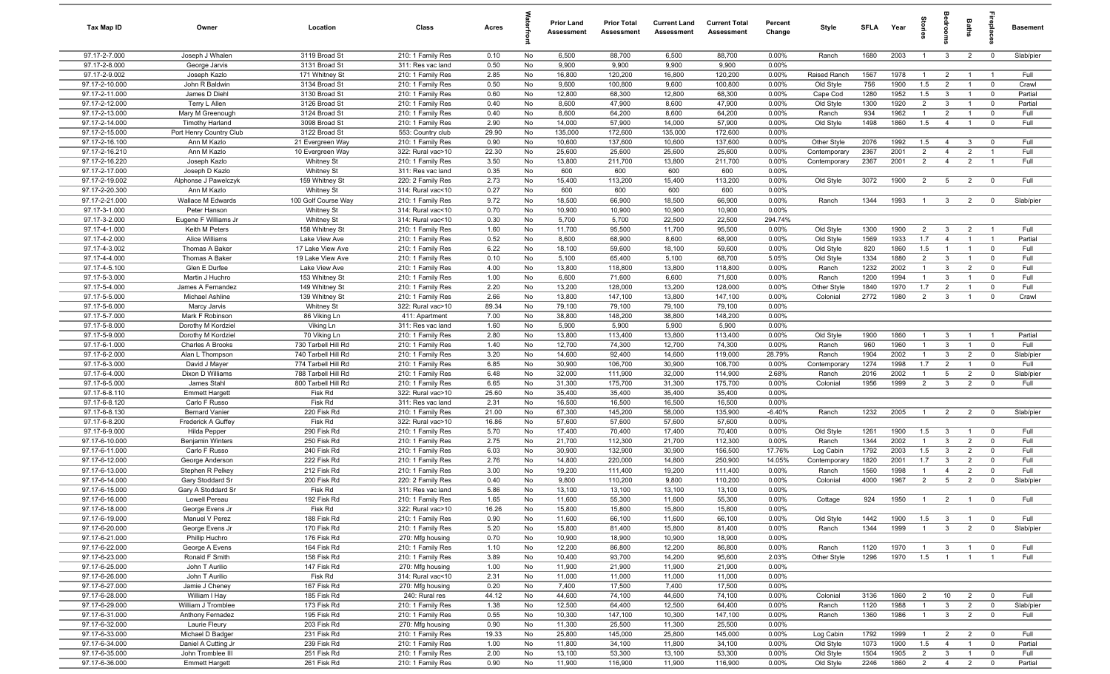| Tax Map ID                       | Owner                                  | Location                              | Class                                  | Acres         |          | <b>Prior Land</b><br>Assessment | <b>Prior Total</b><br>Assessment | <b>Current Land</b><br>Assessment | <b>Current Total</b><br>Assessment | Percent<br>Change | Style                        | <b>SFLA</b>  | Year         | Stori                 | groo                             | Baths                            | repia                            | Basement        |
|----------------------------------|----------------------------------------|---------------------------------------|----------------------------------------|---------------|----------|---------------------------------|----------------------------------|-----------------------------------|------------------------------------|-------------------|------------------------------|--------------|--------------|-----------------------|----------------------------------|----------------------------------|----------------------------------|-----------------|
| 97.17-2-7.000                    | Joseph J Whalen                        | 3119 Broad St                         | 210: 1 Family Res                      | 0.10          | No       | 6,500                           | 88,700                           | 6,500                             | 88,700                             | 0.00%             | Ranch                        | 1680         | 2003         | $\mathbf{1}$          | $\mathbf{3}$                     | $\overline{2}$                   | $\mathbf 0$                      | Slab/pier       |
| 97.17-2-8.000                    | George Jarvis                          | 3131 Broad St                         | 311: Res vac land                      | 0.50          | No       | 9,900                           | 9,900                            | 9,900                             | 9,900                              | 0.00%             |                              |              |              |                       |                                  |                                  |                                  |                 |
| 97.17-2-9.002<br>97.17-2-10.000  | Joseph Kazlo<br>John R Baldwin         | 171 Whitney St<br>3134 Broad St       | 210: 1 Family Res<br>210: 1 Family Res | 2.85<br>0.50  | No<br>No | 16,800<br>9,600                 | 120,200<br>100,800               | 16,800<br>9,600                   | 120,200<br>100,800                 | 0.00%<br>0.00%    | Raised Ranch<br>Old Style    | 1567<br>756  | 1978<br>1900 | $\overline{1}$<br>1.5 | $\overline{2}$<br>$\overline{2}$ | $\overline{1}$                   | - 1<br>$\mathbf 0$               | Full<br>Crawl   |
| 97.17-2-11.000                   | James D Diehl                          | 3130 Broad St                         | 210: 1 Family Res                      | 0.60          | No       | 12,800                          | 68,300                           | 12,800                            | 68,300                             | 0.00%             | Cape Cod                     | 1280         | 1952         | 1.5                   | $\mathbf{3}$                     | $\overline{1}$                   | $^{\circ}$                       | Partial         |
| 97.17-2-12.000                   | Terry L Allen                          | 3126 Broad St                         | 210: 1 Family Res                      | 0.40          | No       | 8,600                           | 47,900                           | 8,600                             | 47,900                             | 0.00%             | Old Style                    | 1300         | 1920         | $\overline{2}$        | $\mathbf{3}$                     |                                  | $\mathbf 0$                      | Partial         |
| 97.17-2-13.000                   | Mary M Greenough                       | 3124 Broad St                         | 210: 1 Family Res                      | 0.40          | No       | 8,600                           | 64,200                           | 8,600                             | 64,200                             | 0.00%             | Ranch                        | 934          | 1962         | $\overline{1}$        | $\overline{2}$                   | $\overline{1}$                   | $^{\circ}$                       | Full            |
| 97.17-2-14.000                   | <b>Timothy Harland</b>                 | 3098 Broad St                         | 210: 1 Family Res                      | 2.90          | No       | 14,000                          | 57,900                           | 14,000                            | 57,900                             | 0.00%             | Old Style                    | 1498         | 1860         | 1.5                   | $\overline{4}$                   | $\overline{1}$                   | $\mathbf 0$                      | Full            |
| 97.17-2-15.000                   | Port Henry Country Club                | 3122 Broad St                         | 553: Country club                      | 29.90         | No       | 135,000                         | 172,600                          | 135,000                           | 172,600                            | 0.00%             |                              |              |              |                       |                                  |                                  |                                  |                 |
| 97.17-2-16.100                   | Ann M Kazlo                            | 21 Evergreen Way                      | 210: 1 Family Res                      | 0.90          | No       | 10,600                          | 137,600                          | 10,600                            | 137,600                            | 0.00%             | Other Style                  | 2076         | 1992<br>2001 | 1.5<br>$\overline{2}$ | $\overline{4}$                   | $\mathbf{3}$                     | $\overline{0}$<br>$\overline{1}$ | Full            |
| 97.17-2-16.210<br>97.17-2-16.220 | Ann M Kazlo<br>Joseph Kazlo            | 10 Evergreen Way<br><b>Whitney St</b> | 322: Rural vac>10<br>210: 1 Family Res | 22.30<br>3.50 | No<br>No | 25,600<br>13,800                | 25,600<br>211,700                | 25,600<br>13,800                  | 25,600<br>211,700                  | 0.00%<br>0.00%    | Contemporary<br>Contemporary | 2367<br>2367 | 2001         | $\overline{2}$        | $\overline{4}$<br>$\overline{4}$ | $\overline{2}$<br>$\overline{2}$ | $\overline{1}$                   | Full<br>Full    |
| 97.17-2-17.000                   | Joseph D Kazlo                         | <b>Whitney St</b>                     | 311: Res vac land                      | 0.35          | No       | 600                             | 600                              | 600                               | 600                                | 0.00%             |                              |              |              |                       |                                  |                                  |                                  |                 |
| 97.17-2-19.002                   | Alphonse J Pawelczyk                   | 159 Whitney St                        | 220: 2 Family Res                      | 2.73          | No       | 15,400                          | 113,200                          | 15,400                            | 113,200                            | 0.00%             | Old Style                    | 3072         | 1900         | 2                     | $5\overline{5}$                  | $\overline{2}$                   | $\overline{0}$                   | Full            |
| 97.17-2-20.300                   | Ann M Kazlo                            | <b>Whitney St</b>                     | 314: Rural vac<10                      | 0.27          | No       | 600                             | 600                              | 600                               | 600                                | 0.00%             |                              |              |              |                       |                                  |                                  |                                  |                 |
| 97.17-2-21.000                   | Wallace M Edwards                      | 100 Golf Course Way                   | 210: 1 Family Res                      | 9.72          | No       | 18,500                          | 66,900                           | 18,500                            | 66,900                             | 0.00%             | Ranch                        | 1344         | 1993         | $\mathbf{1}$          | $\mathbf{3}$                     | $\overline{2}$                   | $\mathbf 0$                      | Slab/pier       |
| 97.17-3-1.000                    | Peter Hanson                           | Whitney St                            | 314: Rural vac<10                      | 0.70          | No       | 10,900                          | 10,900                           | 10,900                            | 10,900                             | 0.00%             |                              |              |              |                       |                                  |                                  |                                  |                 |
| 97.17-3-2.000                    | Eugene F Williams Jr<br>Keith M Peters | Whitney St                            | 314: Rural vac<10                      | 0.30          | No       | 5,700                           | 5,700                            | 22,500                            | 22,500                             | 294.74%           |                              |              |              |                       |                                  |                                  |                                  |                 |
| 97.17-4-1.000<br>97.17-4-2.000   | Alice Williams                         | 158 Whitney St<br>Lake View Ave       | 210: 1 Family Res<br>210: 1 Family Res | 1.60<br>0.52  | No<br>No | 11,700<br>8,600                 | 95,500<br>68,900                 | 11,700<br>8,600                   | 95,500<br>68,900                   | 0.00%<br>0.00%    | Old Style<br>Old Style       | 1300<br>1569 | 1900<br>1933 | $\overline{2}$<br>1.7 | $\mathbf{3}$<br>$\overline{4}$   | $\overline{2}$<br>$\overline{1}$ | $\overline{1}$<br>$\overline{1}$ | Full<br>Partial |
| 97.17-4-3.002                    | Thomas A Baker                         | 17 Lake View Ave                      | 210: 1 Family Res                      | 6.22          | No       | 18,100                          | 59,600                           | 18,100                            | 59,600                             | 0.00%             | Old Style                    | 820          | 1860         | 1.5                   | $\overline{1}$                   | $\overline{1}$                   | $\mathbf 0$                      | Full            |
| 97.17-4-4.000                    | Thomas A Baker                         | 19 Lake View Ave                      | 210: 1 Family Res                      | 0.10          | No       | 5,100                           | 65,400                           | 5,100                             | 68,700                             | 5.05%             | Old Style                    | 1334         | 1880         | $\overline{2}$        | $\mathbf{3}$                     | $\overline{1}$                   | $\mathbf 0$                      | Full            |
| 97.17-4-5.100                    | Glen E Durfee                          | Lake View Ave                         | 210: 1 Family Res                      | 4.00          | No       | 13,800                          | 118,800                          | 13,800                            | 118,800                            | 0.00%             | Ranch                        | 1232         | 2002         | $\mathbf{1}$          | $\mathbf{3}$                     | $\overline{2}$                   | $\mathbf 0$                      | Full            |
| 97.17-5-3.000                    | Martin J Huchro                        | 153 Whitney St                        | 210: 1 Family Res                      | 1.00          | No       | 6,600                           | 71,600                           | 6,600                             | 71,600                             | 0.00%             | Ranch                        | 1200         | 1994         | $\overline{1}$        | $\mathbf{3}$                     | $\overline{1}$                   | $^{\circ}$                       | Full            |
| 97.17-5-4.000                    | James A Fernandez                      | 149 Whitney St                        | 210: 1 Family Res                      | 2.20          | No       | 13,200                          | 128,000                          | 13,200                            | 128,000                            | 0.00%             | Other Style                  | 1840         | 1970         | 1.7                   | $\overline{2}$                   | $\overline{1}$                   | $\mathbf 0$                      | Full            |
| 97.17-5-5.000                    | <b>Michael Ashline</b>                 | 139 Whitney St                        | 210: 1 Family Res                      | 2.66          | No       | 13,800                          | 147,100                          | 13,800                            | 147,100                            | 0.00%             | Colonial                     | 2772         | 1980         | $\overline{2}$        | $\mathbf{3}$                     | $\overline{1}$                   | $^{\circ}$                       | Crawl           |
| 97.17-5-6.000<br>97.17-5-7.000   | Marcy Jarvis<br>Mark F Robinson        | <b>Whitney St</b><br>86 Viking Ln     | 322: Rural vac>10<br>411: Apartment    | 89.34<br>7.00 | No<br>No | 79,100<br>38,800                | 79,100<br>148,200                | 79,100<br>38,800                  | 79,100<br>148,200                  | 0.00%<br>0.00%    |                              |              |              |                       |                                  |                                  |                                  |                 |
| 97.17-5-8.000                    | Dorothy M Kordziel                     | Viking Ln                             | 311: Res vac land                      | 1.60          | No       | 5,900                           | 5,900                            | 5,900                             | 5,900                              | 0.00%             |                              |              |              |                       |                                  |                                  |                                  |                 |
| 97.17-5-9.000                    | Dorothy M Kordziel                     | 70 Viking Ln                          | 210: 1 Family Res                      | 2.80          | No       | 13,800                          | 113,400                          | 13,800                            | 113,400                            | 0.00%             | Old Style                    | 1900         | 1860         | $\overline{1}$        | $\mathbf{3}$                     |                                  | - 1                              | Partial         |
| 97.17-6-1.000                    | Charles A Brooks                       | 730 Tarbell Hill Rd                   | 210: 1 Family Res                      | 1.40          | No       | 12,700                          | 74,300                           | 12,700                            | 74,300                             | 0.00%             | Ranch                        | 960          | 1960         | $\overline{1}$        | $\mathbf{3}$                     |                                  | $\mathbf 0$                      | Full            |
| 97.17-6-2.000                    | Alan L Thompson                        | 740 Tarbell Hill Rd                   | 210: 1 Family Res                      | 3.20          | No       | 14,600                          | 92,400                           | 14,600                            | 119,000                            | 28.79%            | Ranch                        | 1904         | 2002         | $\overline{1}$        | $\mathbf{3}$                     | $\overline{2}$                   | $\mathbf 0$                      | Slab/pier       |
| 97.17-6-3.000                    | David J Mayer                          | 774 Tarbell Hill Rd                   | 210: 1 Family Res                      | 6.85          | No       | 30,900                          | 106,700                          | 30,900                            | 106,700                            | 0.00%             | Contemporary                 | 1274         | 1998         | 1.7                   | $\overline{2}$                   | $\overline{1}$                   | $\overline{0}$                   | Full            |
| 97.17-6-4.000                    | Dixon D Williams                       | 788 Tarbell Hill Rd                   | 210: 1 Family Res                      | 6.48          | No       | 32,000                          | 111,900                          | 32,000                            | 114,900                            | 2.68%             | Ranch                        | 2016         | 2002         | $\overline{1}$        | 5                                | $\overline{2}$                   | $\mathbf 0$                      | Slab/pier       |
| 97.17-6-5.000<br>97.17-6-8.110   | James Stahl<br><b>Emmett Hargett</b>   | 800 Tarbell Hill Rd<br>Fisk Rd        | 210: 1 Family Res<br>322: Rural vac>10 | 6.65<br>25.60 | No<br>No | 31,300<br>35,400                | 175,700<br>35,400                | 31,300<br>35,400                  | 175,700<br>35,400                  | 0.00%<br>0.00%    | Colonial                     | 1956         | 1999         | $\overline{2}$        | $\mathbf{3}$                     | $\overline{2}$                   | $\mathbf 0$                      | Full            |
| 97.17-6-8.120                    | Carlo F Russo                          | Fisk Rd                               | 311: Res vac land                      | 2.31          | No       | 16,500                          | 16,500                           | 16,500                            | 16,500                             | 0.00%             |                              |              |              |                       |                                  |                                  |                                  |                 |
| 97.17-6-8.130                    | <b>Bernard Vanier</b>                  | 220 Fisk Rd                           | 210: 1 Family Res                      | 21.00         | No       | 67,300                          | 145,200                          | 58,000                            | 135,900                            | $-6.40%$          | Ranch                        | 1232         | 2005         | $\overline{1}$        | 2                                | $\overline{2}$                   | $\mathbf 0$                      | Slab/pier       |
| 97.17-6-8.200                    | Frederick A Guffey                     | Fisk Rd                               | 322: Rural vac>10                      | 16.86         | No       | 57,600                          | 57,600                           | 57,600                            | 57,600                             | 0.00%             |                              |              |              |                       |                                  |                                  |                                  |                 |
| 97.17-6-9.000                    | Hilda Pepper                           | 290 Fisk Rd                           | 210: 1 Family Res                      | 5.70          | No       | 17,400                          | 70,400                           | 17,400                            | 70,400                             | 0.00%             | Old Style                    | 1261         | 1900         | 1.5                   | $\mathbf{3}$                     | $\overline{1}$                   | $\mathbf 0$                      | Full            |
| 97.17-6-10.000                   | <b>Benjamin Winters</b>                | 250 Fisk Rd                           | 210: 1 Family Res                      | 2.75          | No       | 21,700                          | 112,300                          | 21,700                            | 112,300                            | 0.00%             | Ranch                        | 1344         | 2002         | $\mathbf{1}$          | $\mathbf{3}$                     | $\overline{2}$                   | $^{\circ}$                       | Full            |
| 97.17-6-11.000                   | Carlo F Russo                          | 240 Fisk Rd                           | 210: 1 Family Res                      | 6.03          | No       | 30,900                          | 132,900                          | 30,900                            | 156,500                            | 17.76%            | Log Cabin                    | 1792         | 2003         | 1.5                   | $\mathbf{3}$                     | $\overline{2}$                   | $^{\circ}$                       | Full            |
| 97.17-6-12.000<br>97.17-6-13.000 | George Anderson<br>Stephen R Pelkey    | 222 Fisk Rd<br>212 Fisk Rd            | 210: 1 Family Res<br>210: 1 Family Res | 2.76<br>3.00  | No<br>No | 14,800<br>19,200                | 220,000<br>111,400               | 14,800<br>19,200                  | 250,900<br>111,400                 | 14.05%<br>0.00%   | Contemporary<br>Ranch        | 1820<br>1560 | 2001<br>1998 | 1.7<br>$\mathbf{1}$   | $\mathbf{3}$<br>$\overline{4}$   | $\overline{2}$<br>$\overline{2}$ | $^{\circ}$<br>$^{\circ}$         | Full<br>Full    |
| 97.17-6-14.000                   | Gary Stoddard Sr                       | 200 Fisk Rd                           | 220: 2 Family Res                      | 0.40          | No       | 9,800                           | 110,200                          | 9,800                             | 110,200                            | 0.00%             | Colonial                     | 4000         | 1967         | $\overline{2}$        | 5                                | $\overline{2}$                   | $\Omega$                         | Slab/pier       |
| 97.17-6-15.000                   | Gary A Stoddard Sr                     | Fisk Rd                               | 311: Res vac land                      | 5.86          | No       | 13,100                          | 13,100                           | 13,100                            | 13,100                             | 0.00%             |                              |              |              |                       |                                  |                                  |                                  |                 |
| 97.17-6-16.000                   | Lowell Pereau                          | 192 Fisk Rd                           | 210: 1 Family Res                      | 1.65          | No       | 11,600                          | 55,300                           | 11,600                            | 55,300                             | $0.00\%$          | Cottage                      | 924          | 1950         | $\overline{1}$        | $\overline{2}$                   | $\overline{1}$                   |                                  | Full            |
| 97.17-6-18.000                   | George Evens Jr                        | Fisk Rd                               | 322: Rural vac>10                      | 16.26         | No       | 15,800                          | 15,800                           | 15,800                            | 15,800                             | 0.00%             |                              |              |              |                       |                                  |                                  |                                  |                 |
| 97.17-6-19.000                   | Manuel V Perez                         | 188 Fisk Rd                           | 210: 1 Family Res                      | 0.90          | No       | 11,600                          | 66,100                           | 11,600                            | 66,100                             | 0.00%             | Old Style                    | 1442         | 1900         | 1.5                   | $\mathbf{3}$                     | $\overline{1}$                   | $\overline{0}$                   | Full            |
| 97.17-6-20.000                   | George Evens Jr                        | 170 Fisk Rd                           | 210: 1 Family Res                      | 5.20          | No       | 15,800                          | 81,400                           | 15,800                            | 81,400                             | 0.00%             | Ranch                        | 1344         | 1999         | $\overline{1}$        | $\mathbf{3}$                     | $\overline{2}$                   | $\mathbf 0$                      | Slab/pier       |
| 97.17-6-21.000                   | Phillip Huchro                         | 176 Fisk Rd                           | 270: Mfg housing                       | 0.70          | No       | 10,900                          | 18,900                           | 10,900                            | 18,900                             | 0.00%             |                              |              |              |                       |                                  |                                  |                                  |                 |
| 97.17-6-22.000<br>97.17-6-23.000 | George A Evens<br>Ronald F Smith       | 164 Fisk Rd<br>158 Fisk Rd            | 210: 1 Family Res<br>210: 1 Family Res | 1.10<br>3.89  | No<br>No | 12,200<br>10,400                | 86,800<br>93,700                 | 12,200<br>14,200                  | 86,800<br>95,600                   | 0.00%<br>2.03%    | Ranch<br>Other Style         | 1120<br>1296 | 1970<br>1970 | $\overline{1}$<br>1.5 | $\mathbf{3}$<br>$\overline{1}$   | $\mathbf{1}$<br>$\overline{1}$   | $\overline{0}$<br>$\overline{1}$ | Full<br>Full    |
| 97.17-6-25.000                   | John T Aurilio                         | 147 Fisk Rd                           | 270: Mfg housing                       | 1.00          | No       | 11,900                          | 21,900                           | 11,900                            | 21,900                             | 0.00%             |                              |              |              |                       |                                  |                                  |                                  |                 |
| 97.17-6-26.000                   | John T Aurilio                         | Fisk Rd                               | 314: Rural vac<10                      | 2.31          | No       | 11,000                          | 11,000                           | 11,000                            | 11,000                             | 0.00%             |                              |              |              |                       |                                  |                                  |                                  |                 |
| 97.17-6-27.000                   | Jamie J Cheney                         | 167 Fisk Rd                           | 270: Mfg housing                       | 0.20          | No       | 7,400                           | 17,500                           | 7,400                             | 17,500                             | 0.00%             |                              |              |              |                       |                                  |                                  |                                  |                 |
| 97.17-6-28.000                   | William I Hay                          | 185 Fisk Rd                           | 240: Rural res                         | 44.12         | No       | 44,600                          | 74,100                           | 44,600                            | 74,100                             | 0.00%             | Colonial                     | 3136         | 1860         | $\overline{2}$        | 10                               | $\overline{2}$                   | $\overline{0}$                   | Full            |
| 97.17-6-29.000                   | William J Tromblee                     | 173 Fisk Rd                           | 210: 1 Family Res                      | 1.38          | No       | 12,500                          | 64,400                           | 12,500                            | 64,400                             | 0.00%             | Ranch                        | 1120         | 1988         | $\mathbf{1}$          | $\mathbf{3}$                     | $\overline{2}$                   | $\overline{0}$                   | Slab/pier       |
| 97.17-6-31.000                   | Anthony Fernadez                       | 195 Fisk Rd                           | 210: 1 Family Res                      | 0.55          | No       | 10,300                          | 147,100                          | 10,300                            | 147,100                            | 0.00%             | Ranch                        | 1360         | 1986         | $\mathbf{1}$          | $\mathbf{3}$                     | $\overline{2}$                   | $\overline{0}$                   | Full            |
| 97.17-6-32.000<br>97.17-6-33.000 | Laurie Fleury<br>Michael D Badger      | 203 Fisk Rd<br>231 Fisk Rd            | 270: Mfg housing<br>210: 1 Family Res  | 0.90<br>19.33 | No<br>No | 11,300<br>25,800                | 25,500<br>145,000                | 11,300<br>25,800                  | 25,500<br>145,000                  | 0.00%<br>0.00%    | Log Cabin                    | 1792         | 1999         | $\overline{1}$        | $\overline{2}$                   | $\overline{2}$                   | $\overline{0}$                   | Full            |
| 97.17-6-34.000                   | Daniel A Cutting Jr                    | 239 Fisk Rd                           | 210: 1 Family Res                      | 1.00          | No       | 11,800                          | 34,100                           | 11,800                            | 34,100                             | 0.00%             | Old Style                    | 1073         | 1900         | 1.5                   | $\overline{4}$                   | $\mathbf{1}$                     | $\overline{0}$                   | Partial         |
| 97.17-6-35.000                   | John Tromblee III                      | 251 Fisk Rd                           | 210: 1 Family Res                      | 2.00          | No       | 13,100                          | 53,300                           | 13,100                            | 53,300                             | 0.00%             | Old Style                    | 1504         | 1905         | $\overline{2}$        | $\mathbf{3}$                     | $\overline{1}$                   | $\overline{0}$                   | Full            |
| 97.17-6-36.000                   | <b>Emmett Hargett</b>                  | 261 Fisk Rd                           | 210: 1 Family Res                      | 0.90          | No       | 11,900                          | 116,900                          | 11,900                            | 116,900                            | 0.00%             | Old Style                    | 2246         | 1860         | 2                     | $\overline{4}$                   | 2                                | $\overline{0}$                   | Partial         |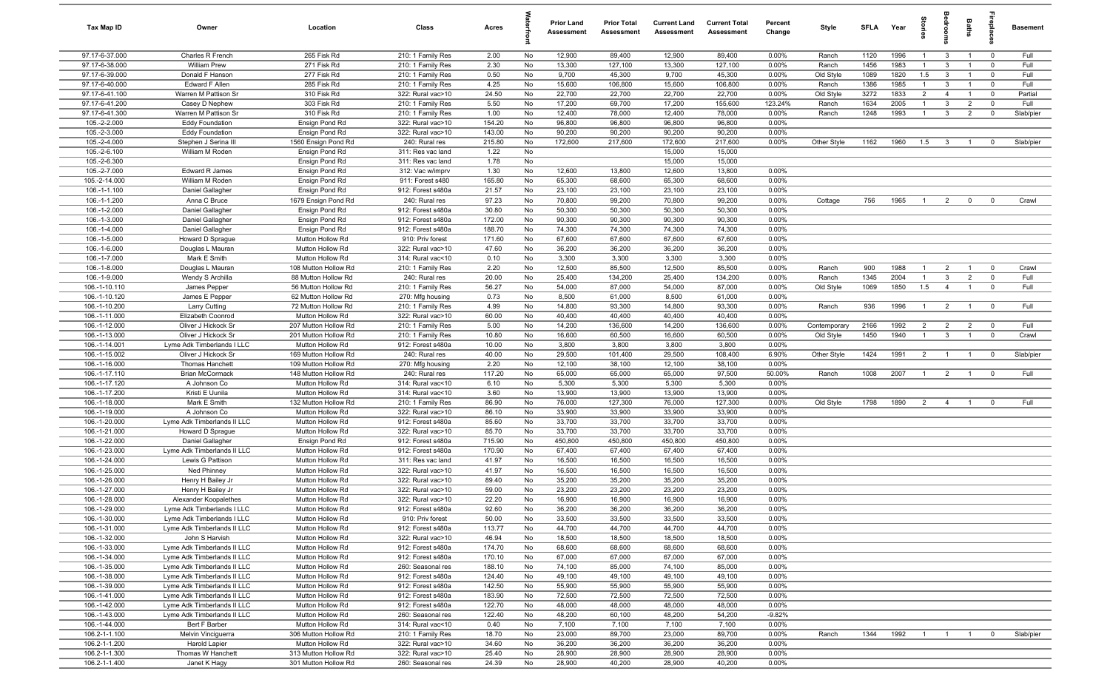| Tax Map ID                       | Owner                                                      | Location                                   | Class                                  | Acres            |           | <b>Prior Land</b><br>Assessment | <b>Prior Total</b><br>Assessment | <b>Current Land</b><br><b>Assessment</b> | <b>Current Total</b><br><b>Assessment</b> | Percent<br>Change | Style              | <b>SFLA</b>  | Year         | tories              | groo                | Baths          | epla                      | <b>Basement</b> |
|----------------------------------|------------------------------------------------------------|--------------------------------------------|----------------------------------------|------------------|-----------|---------------------------------|----------------------------------|------------------------------------------|-------------------------------------------|-------------------|--------------------|--------------|--------------|---------------------|---------------------|----------------|---------------------------|-----------------|
| 97.17-6-37.000                   | Charles R French                                           | 265 Fisk Rd                                | 210: 1 Family Res                      | 2.00             | No        | 12,900                          | 89,400                           | 12,900                                   | 89,400                                    | 0.00%             | Ranch              | 1120         | 1996         | $\mathbf{1}$        | $\mathbf{3}$        | $\overline{1}$ | $\mathbf 0$               | Full            |
| 97.17-6-38.000                   | William Prew                                               | 271 Fisk Rd                                | 210: 1 Family Res                      | 2.30             | No        | 13,300                          | 127,100                          | 13,300                                   | 127,100                                   | 0.00%             | Ranch              | 1456         | 1983         |                     | 3                   |                | $\mathbf 0$               | Full            |
| 97.17-6-39.000                   | Donald F Hanson                                            | 277 Fisk Rd                                | 210: 1 Family Res                      | 0.50             | No        | 9,700                           | 45,300                           | 9,700                                    | 45,300                                    | 0.00%             | Old Style          | 1089         | 1820         | 1.5                 | $\mathbf{3}$        |                | $\mathbf 0$               | Full            |
| 97.17-6-40.000<br>97.17-6-41.100 | Edward F Allen<br>Warren M Pattison Sr                     | 285 Fisk Rd<br>310 Fisk Rd                 | 210: 1 Family Res<br>322: Rural vac>10 | 4.25<br>24.50    | No<br>No  | 15,600<br>22,700                | 106,800<br>22,700                | 15,600<br>22,700                         | 106,800<br>22,700                         | 0.00%<br>0.00%    | Ranch<br>Old Style | 1386<br>3272 | 1985<br>1833 | $\overline{1}$<br>2 | 3<br>$\overline{4}$ | $\overline{1}$ | $^{\circ}$<br>$\mathbf 0$ | Full<br>Partial |
| 97.17-6-41.200                   | Casey D Nephew                                             | 303 Fisk Rd                                | 210: 1 Family Res                      | 5.50             | No        | 17,200                          | 69,700                           | 17,200                                   | 155,600                                   | 123.24%           | Ranch              | 1634         | 2005         | $\overline{1}$      | 3                   | $\overline{2}$ | $\mathbf 0$               | Full            |
| 97.17-6-41.300                   | Warren M Pattison Sr                                       | 310 Fisk Rd                                | 210: 1 Family Res                      | 1.00             | No        | 12,400                          | 78,000                           | 12,400                                   | 78,000                                    | 0.00%             | Ranch              | 1248         | 1993         | $\overline{1}$      | 3                   | $\overline{2}$ | $\mathbf 0$               | Slab/pier       |
| 105.-2-2.000                     | <b>Eddy Foundation</b>                                     | Ensign Pond Rd                             | 322: Rural vac>10                      | 154.20           | No        | 96,800                          | 96,800                           | 96,800                                   | 96,800                                    | 0.00%             |                    |              |              |                     |                     |                |                           |                 |
| 105.-2-3.000                     | <b>Eddy Foundation</b>                                     | Ensign Pond Rd                             | 322: Rural vac>10                      | 143.00           | No        | 90,200                          | 90,200                           | 90,200                                   | 90,200                                    | 0.00%             |                    |              |              |                     |                     |                |                           |                 |
| 105.-2-4.000                     | Stephen J Serina III                                       | 1560 Ensign Pond Rd                        | 240: Rural res                         | 215.80           | No        | 172,600                         | 217,600                          | 172,600                                  | 217,600                                   | 0.00%             | Other Style        | 1162         | 1960         | 1.5                 | $\mathbf{3}$        | $\overline{1}$ | $\mathbf{0}$              | Slab/pier       |
| 105.-2-6.100                     | William M Roden                                            | Ensign Pond Rd                             | 311: Res vac land                      | 1.22             | No        |                                 |                                  | 15,000                                   | 15,000                                    |                   |                    |              |              |                     |                     |                |                           |                 |
| 105.-2-6.300                     |                                                            | Ensign Pond Rd                             | 311: Res vac land                      | 1.78             | No        |                                 |                                  | 15,000                                   | 15,000                                    |                   |                    |              |              |                     |                     |                |                           |                 |
| 105.-2-7.000                     | Edward R James                                             | Ensign Pond Rd                             | 312: Vac w/imprv                       | 1.30             | No        | 12,600                          | 13,800                           | 12,600                                   | 13,800                                    | 0.00%             |                    |              |              |                     |                     |                |                           |                 |
| 105.-2-14.000                    | William M Roden                                            | Ensign Pond Rd                             | 911: Forest s480                       | 165.80           | No        | 65,300                          | 68,600                           | 65,300                                   | 68,600                                    | 0.00%             |                    |              |              |                     |                     |                |                           |                 |
| 106.-1-1.100<br>106.-1-1.200     | Daniel Gallagher<br>Anna C Bruce                           | Ensign Pond Rd<br>1679 Ensign Pond Rd      | 912: Forest s480a<br>240: Rural res    | 21.57<br>97.23   | No<br>No  | 23,100<br>70,800                | 23,100<br>99,200                 | 23,100<br>70,800                         | 23,100<br>99,200                          | 0.00%<br>0.00%    | Cottage            | 756          | 1965         | $\overline{1}$      | $\overline{2}$      | $\mathbf 0$    | $\overline{0}$            | Crawl           |
| 106.-1-2.000                     | Daniel Gallagher                                           | Ensign Pond Rd                             | 912: Forest s480a                      | 30.80            | No        | 50,300                          | 50,300                           | 50,300                                   | 50,300                                    | 0.00%             |                    |              |              |                     |                     |                |                           |                 |
| 106.-1-3.000                     | Daniel Gallagher                                           | Ensign Pond Rd                             | 912: Forest s480a                      | 172.00           | No        | 90,300                          | 90,300                           | 90,300                                   | 90,300                                    | 0.00%             |                    |              |              |                     |                     |                |                           |                 |
| 106.-1-4.000                     | Daniel Gallagher                                           | Ensign Pond Rd                             | 912: Forest s480a                      | 188.70           | No        | 74,300                          | 74,300                           | 74,300                                   | 74,300                                    | 0.00%             |                    |              |              |                     |                     |                |                           |                 |
| 106.-1-5.000                     | Howard D Sprague                                           | Mutton Hollow Rd                           | 910: Priv forest                       | 171.60           | No        | 67,600                          | 67,600                           | 67,600                                   | 67,600                                    | 0.00%             |                    |              |              |                     |                     |                |                           |                 |
| 106.-1-6.000                     | Douglas L Mauran                                           | Mutton Hollow Rd                           | 322: Rural vac>10                      | 47.60            | No        | 36,200                          | 36,200                           | 36,200                                   | 36,200                                    | 0.00%             |                    |              |              |                     |                     |                |                           |                 |
| 106.-1-7.000                     | Mark E Smith                                               | Mutton Hollow Rd                           | 314: Rural vac<10                      | 0.10             | No        | 3,300                           | 3,300                            | 3,300                                    | 3,300                                     | 0.00%             |                    |              |              |                     |                     |                |                           |                 |
| 106.-1-8.000                     | Douglas L Mauran                                           | 108 Mutton Hollow Rd                       | 210: 1 Family Res                      | 2.20             | No        | 12,500                          | 85,500                           | 12,500                                   | 85,500                                    | 0.00%             | Ranch              | 900          | 1988         | $\overline{1}$      | $\overline{2}$      | $\overline{1}$ | $\overline{0}$            | Crawl           |
| 106.-1-9.000                     | Wendy S Archilla                                           | 88 Mutton Hollow Rd                        | 240: Rural res                         | 20.00            | No        | 25,400                          | 134,200                          | 25,400                                   | 134,200                                   | 0.00%             | Ranch              | 1345         | 2004         | $\overline{1}$      | $\mathbf{3}$        | $\overline{2}$ | $\mathbf 0$               | Full            |
| 106.-1-10.110                    | James Pepper                                               | 56 Mutton Hollow Rd                        | 210: 1 Family Res                      | 56.27            | No        | 54,000                          | 87,000                           | 54,000                                   | 87,000                                    | 0.00%             | Old Style          | 1069         | 1850         | 1.5                 | $\overline{4}$      | $\overline{1}$ | $\mathbf 0$               | Full            |
| 106.-1-10.120<br>106.-1-10.200   | James E Pepper<br>Larry Cutting                            | 62 Mutton Hollow Rd<br>72 Mutton Hollow Rd | 270: Mfg housing<br>210: 1 Family Res  | 0.73<br>4.99     | No<br>No  | 8,500<br>14,800                 | 61,000<br>93,300                 | 8,500<br>14,800                          | 61,000<br>93,300                          | 0.00%<br>0.00%    | Ranch              | 936          | 1996         | $\overline{1}$      | $\overline{2}$      | $\overline{1}$ | $\overline{0}$            | Full            |
| 106.-1-11.000                    | Elizabeth Coonrod                                          | Mutton Hollow Rd                           | 322: Rural vac>10                      | 60.00            | No        | 40,400                          | 40,400                           | 40,400                                   | 40,400                                    | 0.00%             |                    |              |              |                     |                     |                |                           |                 |
| 106.-1-12.000                    | Oliver J Hickock Sr                                        | 207 Mutton Hollow Rd                       | 210: 1 Family Res                      | 5.00             | No        | 14,200                          | 136,600                          | 14,200                                   | 136,600                                   | 0.00%             | Contemporary       | 2166         | 1992         | $\overline{2}$      | $\overline{2}$      | $\overline{2}$ | $\overline{\mathbf{0}}$   | Full            |
| $106.-1-13.000$                  | Oliver J Hickock Sr                                        | 201 Mutton Hollow Rd                       | 210: 1 Family Res                      | 10.80            | No        | 16,600                          | 60,500                           | 16,600                                   | 60,500                                    | 0.00%             | Old Style          | 1450         | 1940         | $\overline{1}$      | $\mathbf{3}$        | $\overline{1}$ | $\overline{0}$            | Crawl           |
| 106.-1-14.001                    | Lyme Adk Timberlands I LLC                                 | Mutton Hollow Rd                           | 912: Forest s480a                      | 10.00            | No        | 3,800                           | 3,800                            | 3,800                                    | 3,800                                     | 0.00%             |                    |              |              |                     |                     |                |                           |                 |
| 106.-1-15.002                    | Oliver J Hickock Sr                                        | 169 Mutton Hollow Rd                       | 240: Rural res                         | 40.00            | No        | 29,500                          | 101,400                          | 29,500                                   | 108,400                                   | 6.90%             | Other Style        | 1424         | 1991         | $\overline{2}$      | $\overline{1}$      | $\overline{1}$ | $\overline{0}$            | Slab/pier       |
| 106.-1-16.000                    | Thomas Hanchett                                            | 109 Mutton Hollow Rd                       | 270: Mfg housing                       | 2.20             | No        | 12,100                          | 38,100                           | 12,100                                   | 38,100                                    | 0.00%             |                    |              |              |                     |                     |                |                           |                 |
| 106.-1-17.110                    | <b>Brian McCormack</b>                                     | 148 Mutton Hollow Rd                       | 240: Rural res                         | 117.20           | No        | 65,000                          | 65,000                           | 65,000                                   | 97,500                                    | 50.00%            | Ranch              | 1008         | 2007         | $\overline{1}$      | $\overline{2}$      | $\overline{1}$ | $\overline{0}$            | Full            |
| 106.-1-17.120                    | A Johnson Co                                               | Mutton Hollow Rd                           | 314: Rural vac<10                      | 6.10             | No        | 5,300                           | 5,300                            | 5,300                                    | 5,300                                     | 0.00%             |                    |              |              |                     |                     |                |                           |                 |
| 106.-1-17.200<br>106.-1-18.000   | Kristi E Uunila<br>Mark E Smith                            | Mutton Hollow Rd<br>132 Mutton Hollow Rd   | 314: Rural vac<10<br>210: 1 Family Res | 3.60<br>86.90    | No<br>No  | 13,900<br>76,000                | 13,900<br>127,300                | 13,900<br>76,000                         | 13,900<br>127,300                         | 0.00%<br>0.00%    | Old Style          | 1798         | 1890         | 2                   | $\overline{4}$      | $\overline{1}$ | $\mathbf 0$               | Full            |
| 106.-1-19.000                    | A Johnson Co                                               | Mutton Hollow Rd                           | 322: Rural vac>10                      | 86.10            | No        | 33,900                          | 33,900                           | 33,900                                   | 33,900                                    | 0.00%             |                    |              |              |                     |                     |                |                           |                 |
| 106.-1-20.000                    | Lyme Adk Timberlands II LLC                                | Mutton Hollow Rd                           | 912: Forest s480a                      | 85.60            | No        | 33,700                          | 33,700                           | 33,700                                   | 33,700                                    | 0.00%             |                    |              |              |                     |                     |                |                           |                 |
| 106.-1-21.000                    | Howard D Sprague                                           | Mutton Hollow Rd                           | 322: Rural vac>10                      | 85.70            | No        | 33,700                          | 33,700                           | 33,700                                   | 33,700                                    | 0.00%             |                    |              |              |                     |                     |                |                           |                 |
| 106.-1-22.000                    | Daniel Gallagher                                           | Ensign Pond Rd                             | 912: Forest s480a                      | 715.90           | No        | 450,800                         | 450,800                          | 450,800                                  | 450,800                                   | 0.00%             |                    |              |              |                     |                     |                |                           |                 |
| 106.-1-23.000                    | Lyme Adk Timberlands II LLC                                | Mutton Hollow Rd                           | 912: Forest s480a                      | 170.90           | No        | 67,400                          | 67,400                           | 67,400                                   | 67,400                                    | 0.00%             |                    |              |              |                     |                     |                |                           |                 |
| 106.-1-24.000                    | Lewis G Pattison                                           | Mutton Hollow Rd                           | 311: Res vac land                      | 41.97            | No        | 16,500                          | 16,500                           | 16,500                                   | 16,500                                    | 0.00%             |                    |              |              |                     |                     |                |                           |                 |
| 106.-1-25.000                    | Ned Phinney                                                | Mutton Hollow Rd                           | 322: Rural vac>10                      | 41.97            | No        | 16,500                          | 16,500                           | 16,500                                   | 16,500                                    | 0.00%             |                    |              |              |                     |                     |                |                           |                 |
| 106.-1-26.000                    | Henry H Bailey Jr                                          | Mutton Hollow Rd                           | 322: Rural vac>10<br>322: Rural vac>10 | 89.40            | No        | 35,200                          | 35,200<br>23,200                 | 35,200<br>23,200                         | 35,200                                    | 0.00%             |                    |              |              |                     |                     |                |                           |                 |
| 106.-1-27.000<br>106.-1-28.000   | Henry H Bailey Jr<br>Alexander Koopalethes                 | Mutton Hollow Rd<br>Mutton Hollow Rd       | 322: Rural vac>10                      | 59.00<br>22.20   | No<br>No. | 23,200<br>16,900                | 16,900                           | 16,900                                   | 23,200<br>16,900                          | 0.00%<br>0.00%    |                    |              |              |                     |                     |                |                           |                 |
| 106.-1-29.000                    | Lyme Adk Timberlands I LLC                                 | Mutton Hollow Rd                           | 912: Forest s480a                      | 92.60            | No        | 36,200                          | 36,200                           | 36,200                                   | 36,200                                    | 0.00%             |                    |              |              |                     |                     |                |                           |                 |
| 106.-1-30.000                    | Lyme Adk Timberlands I LLC                                 | Mutton Hollow Rd                           | 910: Priv forest                       | 50.00            | No        | 33,500                          | 33,500                           | 33,500                                   | 33,500                                    | 0.00%             |                    |              |              |                     |                     |                |                           |                 |
| 106.-1-31.000                    | Lyme Adk Timberlands II LLC                                | Mutton Hollow Rd                           | 912: Forest s480a                      | 113.77           | No        | 44,700                          | 44,700                           | 44,700                                   | 44,700                                    | 0.00%             |                    |              |              |                     |                     |                |                           |                 |
| 106.-1-32.000                    | John S Harvish                                             | Mutton Hollow Rd                           | 322: Rural vac>10                      | 46.94            | No        | 18,500                          | 18,500                           | 18,500                                   | 18,500                                    | 0.00%             |                    |              |              |                     |                     |                |                           |                 |
| 106.-1-33.000                    | Lyme Adk Timberlands II LLC                                | Mutton Hollow Rd                           | 912: Forest s480a                      | 174.70           | No        | 68,600                          | 68,600                           | 68,600                                   | 68,600                                    | 0.00%             |                    |              |              |                     |                     |                |                           |                 |
| 106.-1-34.000                    | Lyme Adk Timberlands II LLC                                | Mutton Hollow Rd                           | 912: Forest s480a                      | 170.10           | No        | 67,000                          | 67,000                           | 67,000                                   | 67,000                                    | 0.00%             |                    |              |              |                     |                     |                |                           |                 |
| 106.-1-35.000                    | Lyme Adk Timberlands II LLC                                | Mutton Hollow Rd                           | 260: Seasonal res                      | 188.10           | No        | 74,100                          | 85,000                           | 74,100                                   | 85,000                                    | 0.00%             |                    |              |              |                     |                     |                |                           |                 |
| 106.-1-38.000                    | Lyme Adk Timberlands II LLC                                | Mutton Hollow Rd                           | 912: Forest s480a                      | 124.40           | No        | 49,100                          | 49,100                           | 49,100                                   | 49,100                                    | 0.00%             |                    |              |              |                     |                     |                |                           |                 |
| 106.-1-39.000<br>106.-1-41.000   | Lyme Adk Timberlands II LLC<br>Lyme Adk Timberlands II LLC | Mutton Hollow Rd<br>Mutton Hollow Rd       | 912: Forest s480a<br>912: Forest s480a | 142.50<br>183.90 | No<br>No  | 55,900<br>72,500                | 55,900<br>72,500                 | 55,900<br>72,500                         | 55,900<br>72,500                          | 0.00%<br>0.00%    |                    |              |              |                     |                     |                |                           |                 |
| 106.-1-42.000                    | Lyme Adk Timberlands II LLC                                | Mutton Hollow Rd                           | 912: Forest s480a                      | 122.70           | No        | 48,000                          | 48,000                           | 48,000                                   | 48,000                                    | 0.00%             |                    |              |              |                     |                     |                |                           |                 |
| 106.-1-43.000                    | Lyme Adk Timberlands II LLC                                | Mutton Hollow Rd                           | 260: Seasonal res                      | 122.40           | No        | 48,200                          | 60,100                           | 48,200                                   | 54,200                                    | $-9.82%$          |                    |              |              |                     |                     |                |                           |                 |
| 106.-1-44.000                    | Bert F Barber                                              | Mutton Hollow Rd                           | 314: Rural vac<10                      | 0.40             | No        | 7,100                           | 7,100                            | 7,100                                    | 7,100                                     | 0.00%             |                    |              |              |                     |                     |                |                           |                 |
| 106.2-1-1.100                    | Melvin Vinciguerra                                         | 306 Mutton Hollow Rd                       | 210: 1 Family Res                      | 18.70            | No        | 23,000                          | 89,700                           | 23,000                                   | 89,700                                    | 0.00%             | Ranch              | 1344         | 1992         | $\overline{1}$      | $\overline{1}$      | $\overline{1}$ | $\mathbf 0$               | Slab/pier       |
| 106.2-1-1.200                    | Harold Lapier                                              | Mutton Hollow Rd                           | 322: Rural vac>10                      | 34.60            | No        | 36,200                          | 36,200                           | 36,200                                   | 36,200                                    | 0.00%             |                    |              |              |                     |                     |                |                           |                 |
| 106.2-1-1.300                    | Thomas W Hanchett                                          | 313 Mutton Hollow Rd                       | 322: Rural vac>10                      | 25.40            | No        | 28,900                          | 28,900                           | 28,900                                   | 28,900                                    | 0.00%             |                    |              |              |                     |                     |                |                           |                 |
| 106.2-1-1.400                    | Janet K Hagy                                               | 301 Mutton Hollow Rd                       | 260: Seasonal res                      | 24.39            | No        | 28,900                          | 40,200                           | 28,900                                   | 40,200                                    | 0.00%             |                    |              |              |                     |                     |                |                           |                 |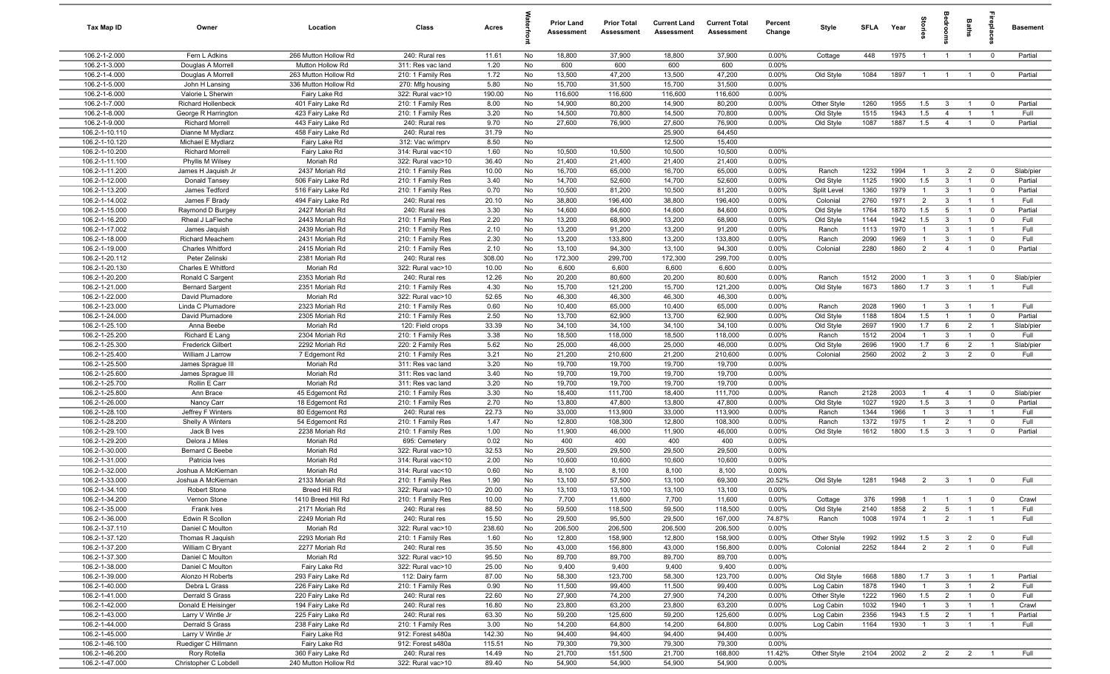| Tax Map ID                       | Owner                                      | Location                                     | Class                                  | Acres          |          | <b>Prior Land</b><br>Assessment | <b>Prior Total</b><br>Assessment | <b>Current Land</b><br>Assessment | <b>Current Total</b><br>Assessment | Percent<br>Change | Style                    | <b>SFLA</b>  | Year         | tories                | ledroo                         | Baths                            |                               | <b>Basement</b>    |
|----------------------------------|--------------------------------------------|----------------------------------------------|----------------------------------------|----------------|----------|---------------------------------|----------------------------------|-----------------------------------|------------------------------------|-------------------|--------------------------|--------------|--------------|-----------------------|--------------------------------|----------------------------------|-------------------------------|--------------------|
| 106.2-1-2.000                    | Fern L Adkins                              | 266 Mutton Hollow Rd                         | 240: Rural res                         | 11.61          | No       | 18,800                          | 37,900                           | 18,800                            | 37,900                             | 0.00%             | Cottage                  | 448          | 1975         | $\overline{1}$        | $\overline{1}$                 | $\overline{1}$                   | $\overline{0}$                | Partial            |
| 106.2-1-3.000                    | Douglas A Morrell                          | Mutton Hollow Rd                             | 311: Res vac land                      | 1.20           | No       | 600                             | 600                              | 600                               | 600                                | 0.00%             |                          |              |              |                       |                                |                                  |                               |                    |
| 106.2-1-4.000                    | Douglas A Morrell                          | 263 Mutton Hollow Rd<br>336 Mutton Hollow Rd | 210: 1 Family Res                      | 1.72           | No       | 13,500                          | 47,200<br>31,500                 | 13,500                            | 47,200<br>31,500                   | 0.00%<br>0.00%    | Old Style                | 1084         | 1897         | $\overline{1}$        | $\overline{1}$                 | $\overline{1}$                   | $\overline{0}$                | Partial            |
| 106.2-1-5.000<br>106.2-1-6.000   | John H Lansing<br>Valorie L Sherwin        | Fairy Lake Rd                                | 270: Mfg housing<br>322: Rural vac>10  | 5.80<br>190.00 | No<br>No | 15,700<br>116,600               | 116,600                          | 15,700<br>116,600                 | 116,600                            | 0.00%             |                          |              |              |                       |                                |                                  |                               |                    |
| 106.2-1-7.000                    | Richard Hollenbeck                         | 401 Fairy Lake Rd                            | 210: 1 Family Res                      | 8.00           | No       | 14,900                          | 80,200                           | 14,900                            | 80,200                             | 0.00%             | Other Style              | 1260         | 1955         | 1.5                   | $\mathbf{3}$                   | $\overline{1}$                   | $\overline{\mathbf{0}}$       | Partial            |
| 106.2-1-8.000                    | George R Harrington                        | 423 Fairy Lake Rd                            | 210: 1 Family Res                      | 3.20           | No       | 14,500                          | 70,800                           | 14,500                            | 70,800                             | 0.00%             | Old Style                | 1515         | 1943         | 1.5                   | $\overline{4}$                 | $\overline{1}$                   | $\overline{1}$                | Full               |
| 106.2-1-9.000                    | <b>Richard Morrell</b>                     | 443 Fairy Lake Rd                            | 240: Rural res                         | 9.70           | No       | 27,600                          | 76,900                           | 27,600                            | 76,900                             | 0.00%             | Old Style                | 1087         | 1887         | 1.5                   | $\overline{4}$                 | $\overline{1}$                   | $\mathbf{0}$                  | Partial            |
| 106.2-1-10.110                   | Dianne M Mydlarz                           | 458 Fairy Lake Rd                            | 240: Rural res                         | 31.79          | No       |                                 |                                  | 25,900                            | 64,450                             |                   |                          |              |              |                       |                                |                                  |                               |                    |
| 106.2-1-10.120                   | Michael E Mydlarz                          | Fairy Lake Rd                                | 312: Vac w/imprv                       | 8.50           | No       |                                 |                                  | 12,500                            | 15,400                             |                   |                          |              |              |                       |                                |                                  |                               |                    |
| 106.2-1-10.200                   | <b>Richard Morrell</b>                     | Fairy Lake Rd                                | 314: Rural vac<10                      | 1.60           | No       | 10,500                          | 10,500                           | 10,500                            | 10,500                             | 0.00%             |                          |              |              |                       |                                |                                  |                               |                    |
| 106.2-1-11.100                   | Phyllis M Wilsey                           | Moriah Rd                                    | 322: Rural vac>10                      | 36.40          | No       | 21,400                          | 21,400                           | 21,400                            | 21,400                             | 0.00%             |                          |              |              |                       |                                |                                  |                               |                    |
| 106.2-1-11.200                   | James H Jaquish Jr                         | 2437 Moriah Rd                               | 210: 1 Family Res                      | 10.00          | No       | 16,700                          | 65,000                           | 16,700                            | 65,000                             | 0.00%             | Ranch                    | 1232         | 1994         | $\overline{1}$        | $\mathbf{3}$                   | $\overline{2}$                   | $\overline{0}$                | Slab/pier          |
| 106.2-1-12.000<br>106.2-1-13.200 | Donald Tansey<br>James Tedford             | 506 Fairy Lake Rd<br>516 Fairy Lake Rd       | 210: 1 Family Res<br>210: 1 Family Res | 3.40<br>0.70   | No<br>No | 14,700<br>10,500                | 52,600<br>81,200                 | 14,700<br>10,500                  | 52,600<br>81,200                   | 0.00%<br>0.00%    | Old Style<br>Split Level | 1125<br>1360 | 1900<br>1979 | 1.5<br>$\overline{1}$ | $\mathbf{3}$<br>$\mathbf{3}$   | $\overline{1}$<br>$\overline{1}$ | $\mathbf 0$<br>$\mathbf 0$    | Partial<br>Partial |
| 106.2-1-14.002                   | James F Brady                              | 494 Fairy Lake Rd                            | 240: Rural res                         | 20.10          | No       | 38,800                          | 196,400                          | 38,800                            | 196,400                            | 0.00%             | Colonial                 | 2760         | 1971         | $\overline{2}$        | $\mathbf{3}$                   | $\overline{1}$                   | $\overline{1}$                | Full               |
| 106.2-1-15.000                   | Raymond D Burgey                           | 2427 Moriah Rd                               | 240: Rural res                         | 3.30           | No       | 14,600                          | 84,600                           | 14,600                            | 84,600                             | 0.00%             | Old Style                | 1764         | 1870         | 1.5                   | 5                              | $\mathbf{1}$                     | $\mathbf 0$                   | Partial            |
| 106.2-1-16.200                   | Rheal J LaFleche                           | 2443 Moriah Rd                               | 210: 1 Family Res                      | 2.20           | No       | 13,200                          | 68,900                           | 13,200                            | 68,900                             | 0.00%             | Old Style                | 1144         | 1942         | 1.5                   | $\mathbf{3}$                   | $\overline{1}$                   | $\mathbf 0$                   | Full               |
| 106.2-1-17.002                   | James Jaquish                              | 2439 Moriah Rd                               | 210: 1 Family Res                      | 2.10           | No       | 13,200                          | 91,200                           | 13,200                            | 91,200                             | 0.00%             | Ranch                    | 1113         | 1970         | $\overline{1}$        | $\overline{3}$                 | $\overline{1}$                   | $\overline{1}$                | Full               |
| 106.2-1-18.000                   | Richard Meachem                            | 2431 Moriah Rd                               | 210: 1 Family Res                      | 2.30           | No       | 13,200                          | 133,800                          | 13,200                            | 133,800                            | 0.00%             | Ranch                    | 2090         | 1969         | $\overline{1}$        | $\overline{\mathbf{3}}$        | $\overline{1}$                   | $\mathbf 0$                   | Full               |
| 106.2-1-19.000                   | Charles Whitford                           | 2415 Moriah Rd                               | 210: 1 Family Res                      | 2.10           | No       | 13,100                          | 94,300                           | 13,100                            | 94,300                             | 0.00%             | Colonial                 | 2280         | 1860         | $\overline{2}$        | $\overline{4}$                 | $\overline{1}$                   | $\mathbf 0$                   | Partial            |
| 106.2-1-20.112                   | Peter Zelinski                             | 2381 Moriah Rd                               | 240: Rural res                         | 308.00         | No       | 172,300                         | 299,700                          | 172,300                           | 299,700                            | 0.00%             |                          |              |              |                       |                                |                                  |                               |                    |
| 106.2-1-20.130                   | Charles E Whitford                         | Moriah Rd                                    | 322: Rural vac>10                      | 10.00          | No       | 6,600                           | 6,600                            | 6,600                             | 6,600                              | 0.00%             |                          |              |              |                       |                                |                                  |                               |                    |
| 106.2-1-20.200<br>106.2-1-21.000 | Ronald C Sargent<br><b>Bernard Sargent</b> | 2353 Moriah Rd<br>2351 Moriah Rd             | 240: Rural res<br>210: 1 Family Res    | 12.26<br>4.30  | No<br>No | 20,200<br>15,700                | 80,600<br>121,200                | 20,200<br>15,700                  | 80,600<br>121,200                  | 0.00%<br>0.00%    | Ranch<br>Old Style       | 1512<br>1673 | 2000<br>1860 | $\overline{1}$<br>1.7 | $\mathbf{3}$<br>$\overline{3}$ | $\overline{1}$<br>$\overline{1}$ | $\mathbf 0$<br>$\overline{1}$ | Slab/pier<br>Full  |
| 106.2-1-22.000                   | David Plumadore                            | Moriah Rd                                    | 322: Rural vac>10                      | 52.65          | No       | 46,300                          | 46,300                           | 46,300                            | 46,300                             | 0.00%             |                          |              |              |                       |                                |                                  |                               |                    |
| 106.2-1-23.000                   | Linda C Plumadore                          | 2323 Moriah Rd                               | 210: 1 Family Res                      | 0.60           | No       | 10,400                          | 65,000                           | 10,400                            | 65,000                             | 0.00%             | Ranch                    | 2028         | 1960         | $\overline{1}$        | $\mathbf{3}$                   | $\overline{1}$                   | $\overline{1}$                | Full               |
| 106.2-1-24.000                   | David Plumadore                            | 2305 Moriah Rd                               | 210: 1 Family Res                      | 2.50           | No       | 13,700                          | 62,900                           | 13,700                            | 62,900                             | 0.00%             | Old Style                | 1188         | 1804         | 1.5                   |                                | $\overline{1}$                   | $\mathbf 0$                   | Partial            |
| 106.2-1-25.100                   | Anna Beebe                                 | Moriah Rd                                    | 120: Field crops                       | 33.39          | No       | 34,100                          | 34,100                           | 34,100                            | 34,100                             | 0.00%             | Old Style                | 2697         | 1900         | 1.7                   | 6                              | $\overline{2}$                   | $\overline{1}$                | Slab/pier          |
| 106.2-1-25.200                   | Richard E Lang                             | 2304 Moriah Rd                               | 210: 1 Family Res                      | 3.38           | No       | 18,500                          | 118,000                          | 18,500                            | 118,000                            | 0.00%             | Ranch                    | 1512         | 2004         | $\overline{1}$        | 3                              | $\overline{1}$                   | $\overline{0}$                | Full               |
| 106.2-1-25.300                   | <b>Frederick Gilbert</b>                   | 2292 Moriah Rd                               | 220: 2 Family Res                      | 5.62           | No       | 25,000                          | 46,000                           | 25,000                            | 46,000                             | 0.00%             | Old Style                | 2696         | 1900         | 1.7                   | 6                              | $\overline{2}$                   | $\overline{1}$                | Slab/pier          |
| 106.2-1-25.400                   | William J Larrow                           | 7 Edgemont Rd                                | 210: 1 Family Res                      | 3.21           | No       | 21,200                          | 210,600                          | 21,200                            | 210,600                            | 0.00%             | Colonial                 | 2560         | 2002         | $\overline{2}$        | $\mathbf{3}$                   | $\overline{2}$                   | $\mathbf 0$                   | Full               |
| 106.2-1-25.500                   | James Sprague III                          | Moriah Rd                                    | 311: Res vac land                      | 3.20           | No       | 19,700                          | 19,700                           | 19,700                            | 19,700                             | 0.00%             |                          |              |              |                       |                                |                                  |                               |                    |
| 106.2-1-25.600<br>106.2-1-25.700 | James Sprague III                          | Moriah Rd<br>Moriah Rd                       | 311: Res vac land                      | 3.40<br>3.20   | No<br>No | 19,700                          | 19,700                           | 19,700                            | 19,700<br>19,700                   | 0.00%<br>0.00%    |                          |              |              |                       |                                |                                  |                               |                    |
| 106.2-1-25.800                   | Rollin E Carr<br>Ann Brace                 | 45 Edgemont Rd                               | 311: Res vac land<br>210: 1 Family Res | 3.30           | No       | 19,700<br>18,400                | 19,700<br>111,700                | 19,700<br>18,400                  | 111,700                            | 0.00%             | Ranch                    | 2128         | 2003         | $\overline{1}$        | $\overline{4}$                 | $\overline{1}$                   | $\mathbf 0$                   | Slab/pier          |
| 106.2-1-26.000                   | Nancy Carr                                 | 18 Edgemont Rd                               | 210: 1 Family Res                      | 2.70           | No       | 13,800                          | 47,800                           | 13,800                            | 47,800                             | 0.00%             | Old Style                | 1027         | 1920         | 1.5                   | $\mathbf{3}$                   | $\overline{1}$                   | $\mathbf 0$                   | Partial            |
| 106.2-1-28.100                   | Jeffrey F Winters                          | 80 Edgemont Rd                               | 240: Rural res                         | 22.73          | No       | 33,000                          | 113,900                          | 33,000                            | 113,900                            | 0.00%             | Ranch                    | 1344         | 1966         | $\overline{1}$        | $\mathbf{3}$                   | $\overline{1}$                   | $\overline{1}$                | Full               |
| 106.2-1-28.200                   | Shelly A Winters                           | 54 Edgemont Rd                               | 210: 1 Family Res                      | 1.47           | No       | 12,800                          | 108,300                          | 12,800                            | 108,300                            | 0.00%             | Ranch                    | 1372         | 1975         | $\overline{1}$        | $\overline{2}$                 | $\overline{1}$                   | $\mathbf 0$                   | Full               |
| 106.2-1-29.100                   | Jack B Ives                                | 2238 Moriah Rd                               | 210: 1 Family Res                      | 1.00           | No       | 11,900                          | 46,000                           | 11,900                            | 46,000                             | 0.00%             | Old Style                | 1612         | 1800         | 1.5                   | $\mathbf{3}$                   | $\overline{1}$                   | $\mathbf 0$                   | Partial            |
| 106.2-1-29.200                   | Delora J Miles                             | Moriah Rd                                    | 695: Cemetery                          | 0.02           | No       | 400                             | 400                              | 400                               | 400                                | 0.00%             |                          |              |              |                       |                                |                                  |                               |                    |
| 106.2-1-30.000                   | <b>Bernard C Beebe</b>                     | Moriah Rd                                    | 322: Rural vac>10                      | 32.53          | No       | 29,500                          | 29,500                           | 29,500                            | 29,500                             | 0.00%             |                          |              |              |                       |                                |                                  |                               |                    |
| 106.2-1-31.000                   | Patricia Ives                              | Moriah Rd                                    | 314: Rural vac<10                      | 2.00           | No       | 10,600                          | 10,600                           | 10,600                            | 10,600                             | 0.00%             |                          |              |              |                       |                                |                                  |                               |                    |
| 106.2-1-32.000<br>106.2-1-33.000 | Joshua A McKiernan<br>Joshua A McKiernan   | Moriah Rd<br>2133 Moriah Rd                  | 314: Rural vac<10<br>210: 1 Family Res | 0.60<br>1.90   | No<br>No | 8,100<br>13,100                 | 8,100<br>57,500                  | 8,100<br>13,100                   | 8,100<br>69,300                    | 0.00%<br>20.52%   | Old Style                | 1281         | 1948         | $\overline{2}$        | $\overline{\mathbf{3}}$        | $\overline{1}$                   | $\Omega$                      | Full               |
| 106.2-1-34.100                   | Robert Stone                               | Breed Hill Rd                                | 322: Rural vac>10                      | 20.00          | No       | 13,100                          | 13,100                           | 13,100                            | 13,100                             | 0.00%             |                          |              |              |                       |                                |                                  |                               |                    |
| 106.2-1-34.200                   | Vernon Stone                               | 1410 Breed Hill Rd                           | 210: 1 Family Res                      | 10.00          | No       | 7,700                           | 11,600                           | 7,700                             | 11,600                             | $0.00\%$          | Cottage                  | 376          | 1998         | $\overline{1}$        | $\overline{1}$                 | $\overline{1}$                   |                               | Crawl              |
| 106.2-1-35.000                   | Frank Ives                                 | 2171 Moriah Rd                               | 240: Rural res                         | 88.50          | No       | 59,500                          | 118,500                          | 59,500                            | 118,500                            | 0.00%             | Old Style                | 2140         | 1858         | $\overline{2}$        | $5\overline{5}$                | $\overline{1}$                   | $\overline{1}$                | Full               |
| 106.2-1-36.000                   | Edwin R Scollon                            | 2249 Moriah Rd                               | 240: Rural res                         | 15.50          | No       | 29,500                          | 95,500                           | 29,500                            | 167,000                            | 74.87%            | Ranch                    | 1008         | 1974         | $\overline{1}$        | $\overline{2}$                 | $\overline{1}$                   | $\overline{1}$                | Full               |
| 106.2-1-37.110                   | Daniel C Moulton                           | Moriah Rd                                    | 322: Rural vac>10                      | 238.60         | No       | 206,500                         | 206,500                          | 206,500                           | 206,500                            | 0.00%             |                          |              |              |                       |                                |                                  |                               |                    |
| 106.2-1-37.120                   | Thomas R Jaquish                           | 2293 Moriah Rd                               | 210: 1 Family Res                      | 1.60           | No       | 12,800                          | 158,900                          | 12,800                            | 158,900                            | 0.00%             | Other Style              | 1992         | 1992         | 1.5                   | $\overline{\mathbf{3}}$        | $\overline{2}$                   | $\overline{0}$                | Full               |
| 106.2-1-37.200                   | William C Bryant                           | 2277 Moriah Rd                               | 240: Rural res                         | 35.50          | No       | 43,000                          | 156,800                          | 43,000                            | 156,800                            | 0.00%             | Colonial                 | 2252         | 1844         | 2                     | $\overline{2}$                 | $\overline{1}$                   | $\overline{0}$                | Full               |
| 106.2-1-37.300                   | Daniel C Moulton                           | Moriah Rd                                    | 322: Rural vac>10                      | 95.50          | No       | 89,700                          | 89,700                           | 89,700                            | 89,700                             | 0.00%             |                          |              |              |                       |                                |                                  |                               |                    |
| 106.2-1-38.000<br>106.2-1-39.000 | Daniel C Moulton<br>Alonzo H Roberts       | Fairy Lake Rd<br>293 Fairy Lake Rd           | 322: Rural vac>10<br>112: Dairy farm   | 25.00<br>87.00 | No<br>No | 9,400<br>58,300                 | 9,400<br>123,700                 | 9,400<br>58,300                   | 9,400<br>123,700                   | 0.00%<br>0.00%    | Old Style                | 1668         | 1880         | 1.7                   | $\mathbf{3}$                   |                                  |                               | Partial            |
| 106.2-1-40.000                   | Debra L Grass                              | 226 Fairy Lake Rd                            | 210: 1 Family Res                      | 0.90           | No       | 11,500                          | 99,400                           | 11,500                            | 99,400                             | 0.00%             | Log Cabin                | 1878         | 1940         | $\overline{1}$        | $\mathbf{3}$                   | $\overline{1}$                   | $\overline{2}$                | Full               |
| 106.2-1-41.000                   | Derrald S Grass                            | 220 Fairy Lake Rd                            | 240: Rural res                         | 22.60          | No       | 27,900                          | 74,200                           | 27,900                            | 74,200                             | 0.00%             | Other Style              | 1222         | 1960         | 1.5                   | $\overline{2}$                 | $\overline{1}$                   | $\overline{\mathbf{0}}$       | Full               |
| 106.2-1-42.000                   | Donald E Heisinger                         | 194 Fairy Lake Rd                            | 240: Rural res                         | 16.80          | No       | 23,800                          | 63,200                           | 23,800                            | 63,200                             | 0.00%             | Log Cabin                | 1032         | 1940         | $\overline{1}$        | $\mathbf{3}$                   | $\overline{1}$                   | $\overline{1}$                | Crawl              |
| 106.2-1-43.000                   | Larry V Wintle Jr                          | 225 Fairy Lake Rd                            | 240: Rural res                         | 63.30          | No       | 59,200                          | 125,600                          | 59,200                            | 125,600                            | 0.00%             | Log Cabin                | 2356         | 1943         | 1.5                   | $\overline{2}$                 | $\overline{1}$                   | $\overline{1}$                | Partial            |
| 106.2-1-44.000                   | Derrald S Grass                            | 238 Fairy Lake Rd                            | 210: 1 Family Res                      | 3.00           | No       | 14,200                          | 64,800                           | 14,200                            | 64,800                             | 0.00%             | Log Cabin                | 1164         | 1930         | $\overline{1}$        | $\mathbf{3}$                   | $\overline{1}$                   | $\overline{1}$                | Full               |
| 106.2-1-45.000                   | Larry V Wintle Jr                          | Fairy Lake Rd                                | 912: Forest s480a                      | 142.30         | No       | 94,400                          | 94,400                           | 94,400                            | 94,400                             | 0.00%             |                          |              |              |                       |                                |                                  |                               |                    |
| 106.2-1-46.100                   | Ruediger C Hillmann                        | Fairy Lake Rd                                | 912: Forest s480a                      | 115.51         | No       | 79,300                          | 79,300                           | 79,300                            | 79,300                             | 0.00%             |                          |              |              |                       |                                |                                  |                               |                    |
| 106.2-1-46.200<br>106.2-1-47.000 | Rory Rotella<br>Christopher C Lobdell      | 360 Fairy Lake Rd<br>240 Mutton Hollow Rd    | 240: Rural res<br>322: Rural vac>10    | 14.49<br>89.40 | No<br>No | 21,700<br>54,900                | 151,500<br>54,900                | 21,700<br>54,900                  | 168,800<br>54,900                  | 11.42%<br>0.00%   | Other Style              | 2104         | 2002         | $\overline{2}$        | $\overline{\mathbf{2}}$        | $\overline{2}$                   | $\overline{1}$                | Full               |
|                                  |                                            |                                              |                                        |                |          |                                 |                                  |                                   |                                    |                   |                          |              |              |                       |                                |                                  |                               |                    |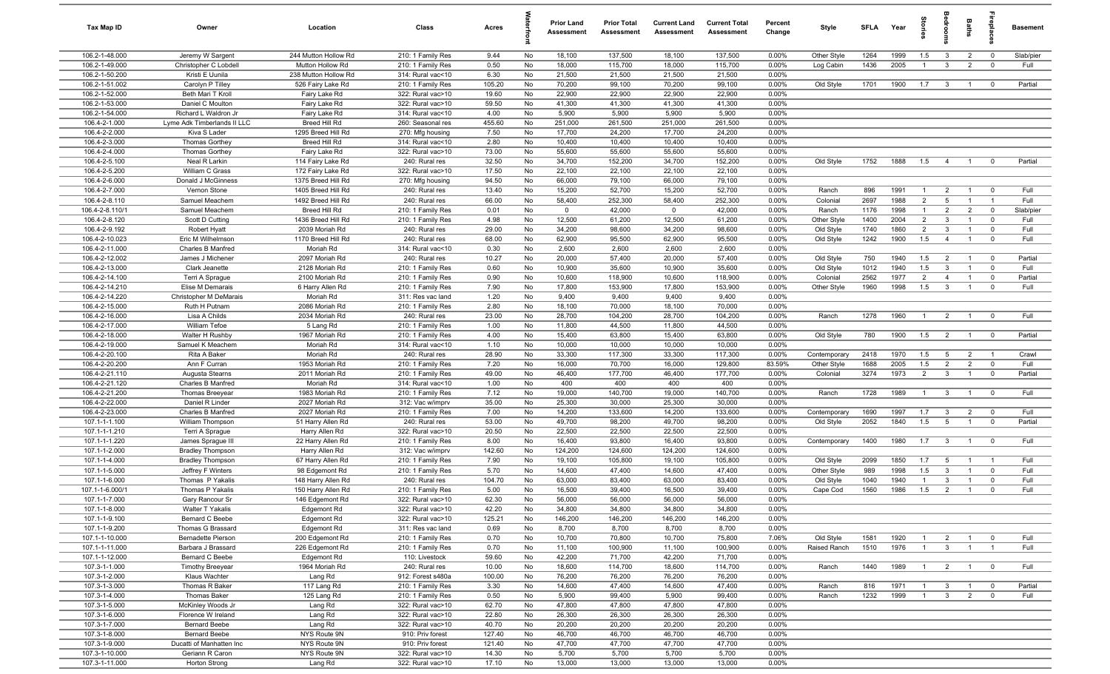| <b>Tax Map ID</b>                | Owner                                      | Location                                 | Class                                  | Acres           |          | <b>Prior Land</b><br>Assessment | <b>Prior Total</b><br>Assessment | <b>Current Land</b><br>Assessment | <b>Current Total</b><br>Assessment | Percent<br>Change | Style             | <b>SFLA</b> | Year         | tories                           |                                                    | Baths                            | epla                                   | <b>Basement</b> |
|----------------------------------|--------------------------------------------|------------------------------------------|----------------------------------------|-----------------|----------|---------------------------------|----------------------------------|-----------------------------------|------------------------------------|-------------------|-------------------|-------------|--------------|----------------------------------|----------------------------------------------------|----------------------------------|----------------------------------------|-----------------|
| 106.2-1-48.000                   | Jeremy W Sargent                           | 244 Mutton Hollow Rd                     | 210: 1 Family Res                      | 9.44            | No       | 18,100                          | 137,500                          | 18,100                            | 137,500                            | 0.00%             | Other Style       | 1264        | 1999         | 1.5                              | $\mathbf{3}$                                       | $\overline{2}$                   | $\mathbf 0$                            | Slab/pier       |
| 106.2-1-49.000                   | Christopher C Lobdell                      | Mutton Hollow Rd                         | 210: 1 Family Res                      | 0.50            | No       | 18,000                          | 115,700                          | 18,000                            | 115,700                            | 0.00%             | Log Cabin         | 1436        | 2005         | $\overline{1}$                   | $\mathbf{3}$                                       | $\overline{2}$                   | $\mathbf 0$                            | Full            |
| 106.2-1-50.200                   | Kristi E Uunila                            | 238 Mutton Hollow Rd                     | 314: Rural vac<10                      | 6.30            | No       | 21,500                          | 21,500                           | 21,500                            | 21,500                             | 0.00%             |                   |             |              |                                  |                                                    |                                  |                                        |                 |
| 106.2-1-51.002<br>106.2-1-52.000 | Carolyn P Tilley<br>Beth Mari T Kroll      | 526 Fairy Lake Rd                        | 210: 1 Family Res                      | 105.20<br>19.60 | No<br>No | 70,200<br>22,900                | 99,100<br>22,900                 | 70,200<br>22,900                  | 99,100<br>22,900                   | 0.00%<br>0.00%    | Old Style         | 1701        | 1900         | 1.7                              | $\overline{\mathbf{3}}$                            | $\overline{1}$                   | $\mathbf 0$                            | Partial         |
| 106.2-1-53.000                   | Daniel C Moulton                           | Fairy Lake Rd<br>Fairy Lake Rd           | 322: Rural vac>10<br>322: Rural vac>10 | 59.50           | No       | 41,300                          | 41,300                           | 41,300                            | 41,300                             | $0.00\%$          |                   |             |              |                                  |                                                    |                                  |                                        |                 |
| 106.2-1-54.000                   | Richard L Waldron Jr                       | Fairy Lake Rd                            | 314: Rural vac<10                      | 4.00            | No       | 5,900                           | 5,900                            | 5,900                             | 5,900                              | 0.00%             |                   |             |              |                                  |                                                    |                                  |                                        |                 |
| 106.4-2-1.000                    | Lyme Adk Timberlands II LLC                | Breed Hill Rd                            | 260: Seasonal res                      | 455.60          | No       | 251,000                         | 261,500                          | 251,000                           | 261,500                            | 0.00%             |                   |             |              |                                  |                                                    |                                  |                                        |                 |
| 106.4-2-2.000                    | Kiva S Lader                               | 1295 Breed Hill Rd                       | 270: Mfg housing                       | 7.50            | No       | 17,700                          | 24,200                           | 17,700                            | 24,200                             | 0.00%             |                   |             |              |                                  |                                                    |                                  |                                        |                 |
| 106.4-2-3.000                    | <b>Thomas Gorthey</b>                      | Breed Hill Rd                            | 314: Rural vac<10                      | 2.80            | No       | 10,400                          | 10,400                           | 10,400                            | 10,400                             | 0.00%             |                   |             |              |                                  |                                                    |                                  |                                        |                 |
| 106.4-2-4.000                    | <b>Thomas Gorthey</b>                      | Fairy Lake Rd                            | 322: Rural vac>10                      | 73.00           | No       | 55,600                          | 55,600                           | 55,600                            | 55,600                             | 0.00%             |                   |             |              |                                  |                                                    |                                  |                                        |                 |
| 106.4-2-5.100                    | Neal R Larkin                              | 114 Fairy Lake Rd                        | 240: Rural res                         | 32.50           | No       | 34,700                          | 152,200                          | 34,700                            | 152,200                            | 0.00%             | Old Style         | 1752        | 1888         | 1.5                              | $\overline{4}$                                     | $\overline{1}$                   | $\mathbf 0$                            | Partial         |
| 106.4-2-5.200                    | William C Grass                            | 172 Fairy Lake Rd                        | 322: Rural vac>10                      | 17.50           | No       | 22,100                          | 22,100                           | 22,100                            | 22,100                             | 0.00%             |                   |             |              |                                  |                                                    |                                  |                                        |                 |
| 106.4-2-6.000                    | Donald J McGinness                         | 1375 Breed Hill Rd                       | 270: Mfg housing                       | 94.50           | No       | 66,000                          | 79,100                           | 66,000                            | 79,100                             | 0.00%             |                   |             |              |                                  |                                                    |                                  |                                        |                 |
| 106.4-2-7.000<br>106.4-2-8.110   | Vernon Stone<br>Samuel Meachem             | 1405 Breed Hill Rd<br>1492 Breed Hill Rd | 240: Rural res<br>240: Rural res       | 13.40<br>66.00  | No<br>No | 15,200<br>58,400                | 52,700<br>252,300                | 15,200<br>58,400                  | 52,700<br>252,300                  | $0.00\%$<br>0.00% | Ranch<br>Colonial | 896<br>2697 | 1991<br>1988 | $\overline{1}$<br>$\overline{2}$ | $\overline{2}$<br>5                                | $\overline{1}$<br>$\overline{1}$ | $\mathbf 0$                            | Full<br>Full    |
| 106.4-2-8.110/1                  | Samuel Meachem                             | Breed Hill Rd                            | 210: 1 Family Res                      | 0.01            | No       | $\mathbf 0$                     | 42,000                           | $\mathbf 0$                       | 42,000                             | 0.00%             | Ranch             | 1176        | 1998         | $\mathbf{1}$                     | $\overline{2}$                                     | $\overline{2}$                   | $\mathbf 0$                            | Slab/pier       |
| 106.4-2-8.120                    | Scott D Cutting                            | 1436 Breed Hill Rd                       | 210: 1 Family Res                      | 4.98            | No       | 12,500                          | 61,200                           | 12,500                            | 61,200                             | 0.00%             | Other Style       | 1400        | 2004         | $2^{\circ}$                      | $\mathbf{3}$                                       | $\overline{1}$                   | $\Omega$                               | Full            |
| 106.4-2-9.192                    | <b>Robert Hyatt</b>                        | 2039 Moriah Rd                           | 240: Rural res                         | 29.00           | No       | 34,200                          | 98,600                           | 34,200                            | 98,600                             | 0.00%             | Old Style         | 1740        | 1860         | $\overline{2}$                   | 3                                                  | $\overline{1}$                   | $\Omega$                               | Full            |
| 106.4-2-10.023                   | Eric M Wilhelmson                          | 1170 Breed Hill Rd                       | 240: Rural res                         | 68.00           | No       | 62,900                          | 95,500                           | 62,900                            | 95,500                             | 0.00%             | Old Style         | 1242        | 1900         | 1.5                              | $\overline{4}$                                     | $\overline{1}$                   | $\mathbf 0$                            | Full            |
| 106.4-2-11.000                   | Charles B Manfred                          | Moriah Rd                                | 314: Rural vac<10                      | 0.30            | No       | 2,600                           | 2,600                            | 2,600                             | 2,600                              | 0.00%             |                   |             |              |                                  |                                                    |                                  |                                        |                 |
| 106.4-2-12.002                   | James J Michener                           | 2097 Moriah Rd                           | 240: Rural res                         | 10.27           | No       | 20,000                          | 57,400                           | 20,000                            | 57,400                             | 0.00%             | Old Style         | 750         | 1940         | 1.5                              | $\overline{2}$                                     | $\overline{1}$                   | $\mathbf 0$                            | Partial         |
| 106.4-2-13.000                   | Clark Jeanette                             | 2128 Moriah Rd                           | 210: 1 Family Res                      | 0.60            | No       | 10,900                          | 35,600                           | 10,900                            | 35,600                             | 0.00%             | Old Style         | 1012        | 1940         | 1.5                              | $\mathbf{3}$                                       | $\overline{1}$                   | $\overline{0}$                         | Full            |
| 106.4-2-14.100                   | Terri A Sprague                            | 2100 Moriah Rd                           | 210: 1 Family Res                      | 0.90            | No       | 10,600                          | 118,900                          | 10,600                            | 118,900                            | 0.00%             | Colonial          | 2562        | 1977         | 2                                | $\overline{4}$                                     | $\overline{1}$                   | $\mathbf 0$                            | Partial         |
| 106.4-2-14.210<br>106.4-2-14.220 | Elise M Demarais<br>Christopher M DeMarais | 6 Harry Allen Rd<br>Moriah Rd            | 210: 1 Family Res                      | 7.90<br>1.20    | No<br>No | 17,800<br>9,400                 | 153,900<br>9,400                 | 17,800<br>9,400                   | 153,900<br>9,400                   | 0.00%<br>0.00%    | Other Style       | 1960        | 1998         | 1.5                              | $\mathbf{3}$                                       | $\overline{1}$                   | $\mathbf 0$                            | Full            |
| 106.4-2-15.000                   | Ruth H Putnam                              | 2086 Moriah Rd                           | 311: Res vac land<br>210: 1 Family Res | 2.80            | No       | 18,100                          | 70,000                           | 18,100                            | 70,000                             | $0.00\%$          |                   |             |              |                                  |                                                    |                                  |                                        |                 |
| 106.4-2-16.000                   | Lisa A Childs                              | 2034 Moriah Rd                           | 240: Rural res                         | 23.00           | No       | 28,700                          | 104,200                          | 28,700                            | 104,200                            | 0.00%             | Ranch             | 1278        | 1960         | $\mathbf{1}$                     | $\overline{2}$                                     | $\overline{1}$                   | $\mathbf 0$                            | Full            |
| 106.4-2-17.000                   | William Tefoe                              | 5 Lang Rd                                | 210: 1 Family Res                      | 1.00            | No       | 11,800                          | 44,500                           | 11,800                            | 44,500                             | 0.00%             |                   |             |              |                                  |                                                    |                                  |                                        |                 |
| 106.4-2-18.000                   | Walter H Rushby                            | 1967 Moriah Rd                           | 210: 1 Family Res                      | 4.00            | No       | 15,400                          | 63,800                           | 15,400                            | 63,800                             | 0.00%             | Old Style         | 780         | 1900         | 1.5                              | $\overline{2}$                                     | $\overline{1}$                   | $\mathbf 0$                            | Partial         |
| 106.4-2-19.000                   | Samuel K Meachem                           | Moriah Rd                                | 314: Rural vac<10                      | 1.10            | No       | 10,000                          | 10,000                           | 10,000                            | 10,000                             | 0.00%             |                   |             |              |                                  |                                                    |                                  |                                        |                 |
| 106.4-2-20.100                   | Rita A Baker                               | Moriah Rd                                | 240: Rural res                         | 28.90           | No       | 33,300                          | 117,300                          | 33,300                            | 117,300                            | 0.00%             | Contemporary      | 2418        | 1970         | 1.5                              | 5                                                  | $\overline{2}$                   | $\overline{1}$                         | Crawl           |
| 106.4-2-20.200                   | Ann F Curran                               | 1953 Moriah Rd                           | 210: 1 Family Res                      | 7.20            | No       | 16,000                          | 70,700                           | 16,000                            | 129,800                            | 83.59%            | Other Style       | 1688        | 2005         | 1.5                              | $\overline{2}$                                     | $\overline{2}$                   | $\mathbf 0$                            | Full            |
| 106.4-2-21.110                   | Augusta Stearns                            | 2011 Moriah Rd                           | 210: 1 Family Res                      | 49.00           | No       | 46,400                          | 177,700                          | 46,400                            | 177,700                            | 0.00%             | Colonial          | 3274        | 1973         | $\overline{2}$                   | $\mathbf{3}$                                       | $\overline{1}$                   | $\mathbf 0$                            | Partial         |
| 106.4-2-21.120<br>106.4-2-21.200 | Charles B Manfred                          | Moriah Rd<br>1983 Moriah Rd              | 314: Rural vac<10<br>210: 1 Family Res | 1.00            | No       | 400<br>19,000                   | 400<br>140,700                   | 400                               | 400<br>140,700                     | 0.00%<br>0.00%    | Ranch             | 1728        | 1989         | $\overline{1}$                   |                                                    | $\overline{1}$                   | $\mathbf 0$                            | Full            |
| 106.4-2-22.000                   | <b>Thomas Breeyear</b><br>Daniel R Linder  | 2027 Moriah Rd                           | 312: Vac w/imprv                       | 7.12<br>35.00   | No<br>No | 25,300                          | 30,000                           | 19,000<br>25,300                  | 30,000                             | 0.00%             |                   |             |              |                                  | $\mathbf{3}$                                       |                                  |                                        |                 |
| 106.4-2-23.000                   | Charles B Manfred                          | 2027 Moriah Rd                           | 210: 1 Family Res                      | 7.00            | No       | 14,200                          | 133,600                          | 14,200                            | 133,600                            | 0.00%             | Contemporary      | 1690        | 1997         | 1.7                              | $\mathbf{3}$                                       | $\overline{2}$                   | $\mathbf 0$                            | Full            |
| 107.1-1-1.100                    | William Thompson                           | 51 Harry Allen Rd                        | 240: Rural res                         | 53.00           | No       | 49,700                          | 98,200                           | 49,700                            | 98,200                             | 0.00%             | Old Style         | 2052        | 1840         | 1.5                              | 5                                                  | $\overline{1}$                   | $\mathbf 0$                            | Partial         |
| 107.1-1-1.210                    | Terri A Sprague                            | Harry Allen Rd                           | 322: Rural vac>10                      | 20.50           | No       | 22,500                          | 22,500                           | 22,500                            | 22,500                             | 0.00%             |                   |             |              |                                  |                                                    |                                  |                                        |                 |
| 107.1-1-1.220                    | James Sprague III                          | 22 Harry Allen Rd                        | 210: 1 Family Res                      | 8.00            | No       | 16,400                          | 93,800                           | 16,400                            | 93,800                             | 0.00%             | Contemporary      | 1400        | 1980         | 1.7                              | $\overline{\mathbf{3}}$                            | $\overline{1}$                   | $\mathbf 0$                            | Full            |
| 107.1-1-2.000                    | <b>Bradley Thompson</b>                    | Harry Allen Rd                           | 312: Vac w/imprv                       | 142.60          | No       | 124,200                         | 124,600                          | 124,200                           | 124,600                            | 0.00%             |                   |             |              |                                  |                                                    |                                  |                                        |                 |
| 107.1-1-4.000                    | <b>Bradley Thompson</b>                    | 67 Harry Allen Rd                        | 210: 1 Family Res                      | 7.90            | No       | 19,100                          | 105,800                          | 19,100                            | 105,800                            | 0.00%             | Old Style         | 2099        | 1850         | 1.7                              | 5                                                  |                                  | $\overline{1}$                         | Full            |
| 107.1-1-5.000                    | Jeffrey F Winters                          | 98 Edgemont Rd                           | 210: 1 Family Res                      | 5.70            | No       | 14,600                          | 47,400                           | 14,600                            | 47,400                             | 0.00%             | Other Style       | 989         | 1998         | 1.5                              | $\mathbf{3}$                                       | $\overline{1}$                   | $\mathbf 0$                            | Full            |
| 107.1-1-6.000                    | Thomas P Yakalis                           | 148 Harry Allen Rd                       | 240: Rural res                         | 104.70          | No       | 63,000                          | 83,400                           | 63,000                            | 83,400                             | 0.00%             | Old Style         | 1040        | 1940         | $\overline{1}$                   | 3                                                  |                                  | $\mathbf 0$                            | Full            |
| 107.1-1-6.000/<br>107.1-1-7.000  | Thomas P Yakalis<br>Gary Rancour Sr        | 150 Harry Allen Rd<br>146 Edgemont Rd    | 210: 1 Family Res<br>322: Rural vac>10 | 5.00<br>62.30   | No<br>No | 16,500<br>56,000                | 39,400<br>56,000                 | 16,500<br>56,000                  | 39,400<br>56,000                   | 0.00%<br>0.00%    | Cape Cod          | 1560        | 1986         | 1.5                              | 2                                                  | $\overline{1}$                   | $\mathbf 0$                            | Full            |
| 107.1-1-8.000                    | Walter T Yakalis                           | Edgemont Rd                              | 322: Rural vac>10                      | 42.20           | No       | 34,800                          | 34,800                           | 34,800                            | 34,800                             | 0.00%             |                   |             |              |                                  |                                                    |                                  |                                        |                 |
| 107.1-1-9.100                    | Bernard C Beebe                            | Edgemont Rd                              | 322: Rural vac>10                      | 125.21          | No       | 146,200                         | 146,200                          | 146,200                           | 146,200                            | 0.00%             |                   |             |              |                                  |                                                    |                                  |                                        |                 |
| 107.1-1-9.200                    | Thomas G Brassard                          | Edgemont Rd                              | 311: Res vac land                      | 0.69            | No       | 8,700                           | 8,700                            | 8,700                             | 8,700                              | 0.00%             |                   |             |              |                                  |                                                    |                                  |                                        |                 |
| 107.1-1-10.000                   | <b>Bernadette Pierson</b>                  | 200 Edgemont Rd                          | 210: 1 Family Res                      | 0.70            | No       | 10,700                          | 70,800                           | 10,700                            | 75,800                             | 7.06%             | Old Style         | 1581        | 1920         | $\overline{1}$                   | $\overline{2}$                                     | $\overline{1}$                   | $\mathbf 0$                            | Full            |
| 107.1-1-11.000                   | Barbara J Brassard                         | 226 Edgemont Rd                          | 210: 1 Family Res                      | 0.70            | No       | 11,100                          | 100,900                          | 11,100                            | 100,900                            | 0.00%             | Raised Ranch      | 1510        | 1976         | $\overline{1}$                   | $\mathbf{3}$                                       | $\overline{1}$                   | $\overline{1}$                         | Full            |
| 107.1-1-12.000                   | Bernard C Beebe                            | Edgemont Rd                              | 110: Livestock                         | 59.60           | No       | 42,200                          | 71,700                           | 42,200                            | 71,700                             | $0.00\%$          |                   |             |              |                                  |                                                    |                                  |                                        |                 |
| 107.3-1-1.000                    | <b>Timothy Breeyear</b>                    | 1964 Moriah Rd                           | 240: Rural res                         | 10.00           | No       | 18,600                          | 114,700                          | 18,600                            | 114,700                            | 0.00%             | Ranch             | 1440        | 1989         | $\overline{1}$                   | $\overline{2}$                                     | $\overline{1}$                   | $\overline{0}$                         | Full            |
| 107.3-1-2.000                    | Klaus Wachter                              | Lang Rd                                  | 912: Forest s480a                      | 100.00<br>3.30  | No       | 76,200                          | 76,200<br>47,400                 | 76,200<br>14,600                  | 76,200<br>47,400                   | 0.00%<br>0.00%    |                   |             |              |                                  |                                                    |                                  |                                        |                 |
| 107.3-1-3.000<br>107.3-1-4.000   | Thomas R Baker<br>Thomas Baker             | 117 Lang Rd<br>125 Lang Rd               | 210: 1 Family Res<br>210: 1 Family Res | 0.50            | No<br>No | 14,600<br>5,900                 | 99,400                           | 5,900                             | 99,400                             | 0.00%             | Ranch<br>Ranch    | 816<br>1232 | 1971<br>1999 | $\overline{1}$                   | $\overline{\mathbf{3}}$<br>$\overline{\mathbf{3}}$ | $\overline{1}$<br>$\overline{2}$ | $\overline{\mathbf{0}}$<br>$\mathbf 0$ | Partial<br>Full |
| 107.3-1-5.000                    | McKinley Woods Jr                          | Lang Rd                                  | 322: Rural vac>10                      | 62.70           | No       | 47,800                          | 47,800                           | 47,800                            | 47,800                             | 0.00%             |                   |             |              |                                  |                                                    |                                  |                                        |                 |
| 107.3-1-6.000                    | Florence W Ireland                         | Lang Rd                                  | 322: Rural vac>10                      | 22.80           | No       | 26,300                          | 26,300                           | 26,300                            | 26,300                             | 0.00%             |                   |             |              |                                  |                                                    |                                  |                                        |                 |
| 107.3-1-7.000                    | <b>Bernard Beebe</b>                       | Lang Rd                                  | 322: Rural vac>10                      | 40.70           | No       | 20,200                          | 20,200                           | 20,200                            | 20,200                             | 0.00%             |                   |             |              |                                  |                                                    |                                  |                                        |                 |
| 107.3-1-8.000                    | <b>Bernard Beebe</b>                       | NYS Route 9N                             | 910: Priv forest                       | 127.40          | No       | 46,700                          | 46,700                           | 46,700                            | 46,700                             | 0.00%             |                   |             |              |                                  |                                                    |                                  |                                        |                 |
| 107.3-1-9.000                    | Ducatti of Manhatten Inc                   | NYS Route 9N                             | 910: Priv forest                       | 121.40          | No       | 47,700                          | 47,700                           | 47,700                            | 47,700                             | 0.00%             |                   |             |              |                                  |                                                    |                                  |                                        |                 |
| 107.3-1-10.000                   | Geriann R Caron                            | NYS Route 9N                             | 322: Rural vac>10                      | 14.30           | No       | 5,700                           | 5,700                            | 5,700                             | 5,700                              | 0.00%             |                   |             |              |                                  |                                                    |                                  |                                        |                 |
| 107.3-1-11.000                   | <b>Horton Strong</b>                       | Lang Rd                                  | 322: Rural vac>10                      | 17.10           | No       | 13,000                          | 13,000                           | 13,000                            | 13,000                             | $0.00\%$          |                   |             |              |                                  |                                                    |                                  |                                        |                 |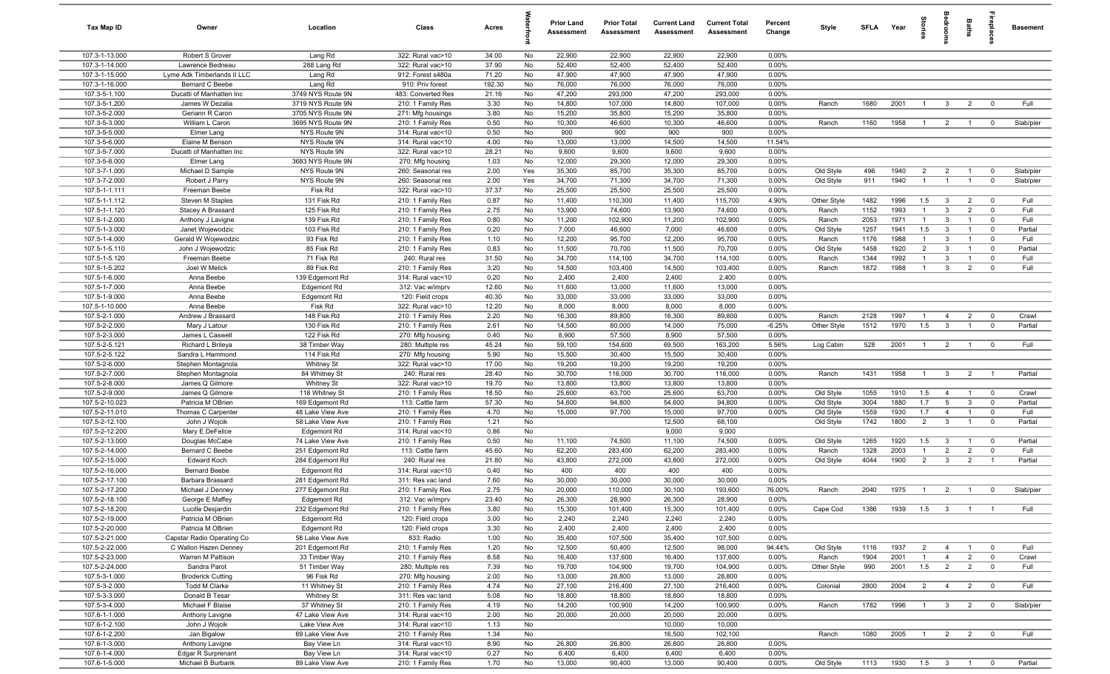| Tax Map ID                       | Owner                                              | Location                       | Class                                  | Acres           |          | <b>Prior Land</b><br>Assessment | <b>Prior Total</b><br>Assessment | <b>Current Land</b><br>Assessment | <b>Current Total</b><br>Assessment | Percent<br>Change  | Style              | <b>SFLA</b>  | Year            | tories                | eroo                         | Baths                            | <b>E</b>                   | <b>Basement</b> |
|----------------------------------|----------------------------------------------------|--------------------------------|----------------------------------------|-----------------|----------|---------------------------------|----------------------------------|-----------------------------------|------------------------------------|--------------------|--------------------|--------------|-----------------|-----------------------|------------------------------|----------------------------------|----------------------------|-----------------|
| 107.3-1-13.000                   | Robert S Grover                                    | Lang Rd                        | 322: Rural vac>10                      | 34.00           | No       | 22,900                          | 22,900                           | 22,900                            | 22,900                             | 0.00%              |                    |              |                 |                       |                              |                                  |                            |                 |
| 107.3-1-14.000                   | Lawrence Bedneau                                   | 288 Lang Rd                    | 322: Rural vac>10                      | 37.90           | No       | 52,400                          | 52,400                           | 52,400                            | 52,400                             | 0.00%              |                    |              |                 |                       |                              |                                  |                            |                 |
| 107.3-1-15.000                   | Lyme Adk Timberlands II LLC                        | Lang Rd                        | 912: Forest s480a                      | 71.20           | No       | 47,900                          | 47,900                           | 47,900                            | 47,900                             | 0.00%              |                    |              |                 |                       |                              |                                  |                            |                 |
| 107.3-1-16.000<br>107.3-5-1.100  | <b>Bernard C Beebe</b><br>Ducatti of Manhatten Inc | Lang Rd<br>3749 NYS Route 9N   | 910: Priv forest<br>483: Converted Res | 192.30<br>21.16 | No<br>No | 76,000<br>47,200                | 76,000<br>293,000                | 76,000<br>47,200                  | 76,000<br>293,000                  | 0.00%<br>0.00%     |                    |              |                 |                       |                              |                                  |                            |                 |
| 107.3-5-1.200                    | James W Dezalia                                    | 3719 NYS Route 9N              | 210: 1 Family Res                      | 3.30            | No       | 14,800                          | 107,000                          | 14,800                            | 107,000                            | 0.00%              | Ranch              | 1680         | 2001            | $\overline{1}$        | $\mathbf{3}$                 | $\overline{2}$                   | $\overline{0}$             | Full            |
| 107.3-5-2.000                    | Geriann R Caron                                    | 3705 NYS Route 9N              | 271: Mfg housings                      | 3.80            | No       | 15,200                          | 35,800                           | 15,200                            | 35,800                             | 0.00%              |                    |              |                 |                       |                              |                                  |                            |                 |
| 107.3-5-3.000                    | William L Caron                                    | 3695 NYS Route 9N              | 210: 1 Family Res                      | 0.50            | No       | 10,300                          | 46,600                           | 10,300                            | 46,600                             | 0.00%              | Ranch              | 1160         | 1958            | $\overline{1}$        | $\overline{2}$               | $\overline{1}$                   | $\mathbf 0$                | Slab/pier       |
| 107.3-5-5.000                    | Elmer Lang                                         | NYS Route 9N                   | 314: Rural vac<10                      | 0.50            | No       | 900                             | 900                              | 900                               | 900                                | 0.00%              |                    |              |                 |                       |                              |                                  |                            |                 |
| 107.3-5-6.000                    | Elaine M Benson                                    | NYS Route 9N                   | 314: Rural vac<10                      | 4.00            | No       | 13,000                          | 13,000                           | 14,500                            | 14,500                             | 11.54%             |                    |              |                 |                       |                              |                                  |                            |                 |
| 107.3-5-7.000                    | Ducatti of Manhatten Inc                           | NYS Route 9N                   | 322: Rural vac>10                      | 28.21           | No       | 9,600                           | 9,600                            | 9,600                             | 9,600                              | 0.00%              |                    |              |                 |                       |                              |                                  |                            |                 |
| 107.3-5-8.000                    | Elmer Lang                                         | 3683 NYS Route 9N              | 270: Mfg housing                       | 1.03            | No       | 12,000                          | 29,300                           | 12,000                            | 29,300                             | 0.00%              |                    |              |                 |                       |                              |                                  |                            |                 |
| 107.3-7-1.000                    | Michael D Sample                                   | NYS Route 9N                   | 260: Seasonal res                      | 2.00            | Yes      | 35,300                          | 85,700                           | 35,300                            | 85,700                             | 0.00%              | Old Style          | 496          | 1940            | 2                     | $\overline{2}$               | $\overline{1}$                   | $\overline{0}$             | Slab/pier       |
| 107.3-7-2.000                    | Robert J Parry                                     | NYS Route 9N                   | 260: Seasonal res                      | 2.00            | Yes      | 34,700                          | 71,300                           | 34,700                            | 71,300                             | 0.00%              | Old Style          | 911          | 1940            | $\overline{1}$        | $\overline{1}$               | $\overline{1}$                   | $\mathbf 0$                | Slab/pier       |
| 107.5-1-1.111                    | Freeman Beebe                                      | Fisk Rd                        | 322: Rural vac>10                      | 37.37           | No       | 25,500                          | 25,500                           | 25,500                            | 25,500                             | 0.00%              |                    |              |                 |                       |                              |                                  |                            |                 |
| 107.5-1-1.112                    | Steven M Staples                                   | 131 Fisk Rd                    | 210: 1 Family Res                      | 0.87            | No       | 11,400                          | 110,300                          | 11,400                            | 115,700                            | 4.90%              | Other Style        | 1482         | 1996            | 1.5                   | $\overline{\mathbf{3}}$      | $\overline{2}$                   | $\overline{0}$             | Full            |
| 107.5-1-1.120                    | Stacey A Brassard                                  | 125 Fisk Rd                    | 210: 1 Family Res                      | 2.75            | No       | 13,900                          | 74,600                           | 13,900                            | 74,600                             | 0.00%              | Ranch              | 1152         | 1993            | $\overline{1}$        | $\mathbf{3}$                 | $\overline{2}$                   | $\mathbf 0$                | Full<br>Full    |
| 107.5-1-2.000<br>107.5-1-3.000   | Anthony J Lavigne<br>Janet Wojewodzic              | 139 Fisk Rd<br>103 Fisk Rd     | 210: 1 Family Res<br>210: 1 Family Res | 0.80<br>0.20    | No<br>No | 11,200<br>7,000                 | 102,900<br>46,600                | 11,200<br>7,000                   | 102,900<br>46,600                  | 0.00%<br>0.00%     | Ranch<br>Old Style | 2053<br>1257 | 1971<br>1941    | $\overline{1}$<br>1.5 | $\mathbf{3}$<br>$\mathbf{3}$ | $\overline{1}$<br>$\overline{1}$ | $\mathbf 0$<br>$\mathbf 0$ | Partial         |
| 107.5-1-4.000                    | Gerald W Wojewodzic                                | 93 Fisk Rd                     | 210: 1 Family Res                      | 1.10            | No       | 12,200                          | 95,700                           | 12,200                            | 95,700                             | 0.00%              | Ranch              | 1176         | 1988            | $\overline{1}$        | 3                            | $\overline{1}$                   | $\mathbf 0$                | Full            |
| 107.5-1-5.110                    | John J Wojewodzic                                  | 85 Fisk Rd                     | 210: 1 Family Res                      | 0.83            | No       | 11,500                          | 70,700                           | 11,500                            | 70,700                             | 0.00%              | Old Style          | 1458         | 1920            | $\overline{2}$        | $\mathbf{3}$                 | $\overline{1}$                   | $\mathbf 0$                | Partial         |
| 107.5-1-5.120                    | Freeman Beebe                                      | 71 Fisk Rd                     | 240: Rural res                         | 31.50           | No       | 34,700                          | 114,100                          | 34,700                            | 114,100                            | 0.00%              | Ranch              | 1344         | 1992            | $\overline{1}$        | $\mathbf{3}$                 | $\overline{1}$                   | $\mathbf 0$                | Full            |
| 107.5-1-5.202                    | Joel W Melick                                      | 89 Fisk Rd                     | 210: 1 Family Res                      | 3.20            | No       | 14,500                          | 103,400                          | 14,500                            | 103,400                            | 0.00%              | Ranch              | 1872         | 1988            | $\overline{1}$        | $\mathbf{3}$                 | $\overline{2}$                   | $\mathbf{0}$               | Full            |
| 107.5-1-6.000                    | Anna Beebe                                         | 139 Edgemont Rd                | 314: Rural vac<10                      | 0.20            | No       | 2,400                           | 2,400                            | 2,400                             | 2,400                              | 0.00%              |                    |              |                 |                       |                              |                                  |                            |                 |
| 107.5-1-7.000                    | Anna Beebe                                         | <b>Edgemont Rd</b>             | 312: Vac w/imprv                       | 12.60           | No       | 11,600                          | 13,000                           | 11,600                            | 13,000                             | 0.00%              |                    |              |                 |                       |                              |                                  |                            |                 |
| 107.5-1-9.000                    | Anna Beebe                                         | Edgemont Rd                    | 120: Field crops                       | 40.30           | No       | 33,000                          | 33,000                           | 33,000                            | 33,000                             | 0.00%              |                    |              |                 |                       |                              |                                  |                            |                 |
| 107.5-1-10.000                   | Anna Beebe                                         | Fisk Rd                        | 322: Rural vac>10                      | 12.20           | No       | 8,000                           | 8,000                            | 8,000                             | 8,000                              | 0.00%              |                    |              |                 |                       |                              |                                  |                            |                 |
| 107.5-2-1.000                    | Andrew J Brassard                                  | 148 Fisk Rd                    | 210: 1 Family Res                      | 2.20            | No       | 16,300                          | 89,800                           | 16,300                            | 89,800                             | 0.00%              | Ranch              | 2128         | 1997            | $\overline{1}$        | $\overline{4}$               | $\overline{2}$                   | $\overline{0}$             | Crawl           |
| 107.5-2-2.000                    | Mary J Latour                                      | 130 Fisk Rd                    | 210: 1 Family Res                      | 2.61            | No       | 14,500                          | 80,000                           | 14,000                            | 75,000                             | $-6.25%$           | Other Style        | 1512         | 1970            | 1.5                   | $\mathbf{3}$                 | $\overline{1}$                   | $\mathbf 0$                | Partial         |
| 107.5-2-3.000                    | James L Caswell                                    | 122 Fisk Rd                    | 270: Mfg housing                       | 0.40            | No       | 8,900                           | 57,500                           | 8,900                             | 57,500                             | 0.00%              |                    |              |                 |                       |                              |                                  |                            |                 |
| 107.5-2-5.121                    | Richard L Brileya                                  | 38 Timber Way                  | 280: Multiple res                      | 45.24           | No       | 59,100                          | 154,600                          | 69,500                            | 163,200                            | 5.56%              | Log Cabin          | 528          | 2001            | $\overline{1}$        | $\overline{2}$               | $\overline{1}$                   | $\overline{\mathbf{0}}$    | Full            |
| 107.5-2-5.122<br>107.5-2-6.000   | Sandra L Hammond                                   | 114 Fisk Rd<br>Whitney St      | 270: Mfg housing                       | 5.90<br>17.00   | No<br>No | 15,500<br>19,200                | 30,400<br>19,200                 | 15,500<br>19,200                  | 30,400<br>19,200                   | 0.00%<br>0.00%     |                    |              |                 |                       |                              |                                  |                            |                 |
| 107.5-2-7.000                    | Stephen Montagnola                                 | 84 Whitney St                  | 322: Rural vac>10<br>240: Rural res    | 28.40           | No       | 30,700                          | 116,000                          | 30,700                            | 116,000                            | 0.00%              | Ranch              | 1431         | 1958            | $\overline{1}$        | $\mathbf{3}$                 | $\overline{2}$                   | $\overline{1}$             | Partial         |
| 107.5-2-8.000                    | Stephen Montagnola<br>James Q Gilmore              | Whitney St                     | 322: Rural vac>10                      | 19.70           | No       | 13,800                          | 13,800                           | 13,800                            | 13,800                             | 0.00%              |                    |              |                 |                       |                              |                                  |                            |                 |
| 107.5-2-9.000                    | James Q Gilmore                                    | 118 Whitney St                 | 210: 1 Family Res                      | 18.50           | No       | 25,600                          | 63,700                           | 25,600                            | 63,700                             | 0.00%              | Old Style          | 1055         | 1910            | 1.5                   | $\overline{4}$               | $\overline{1}$                   | $\overline{\mathbf{0}}$    | Crawl           |
| 107.5-2-10.023                   | Patricia M OBrien                                  | 169 Edgemont Rd                | 113: Cattle farm                       | 57.30           | No       | 54,600                          | 94,800                           | 54,600                            | 94,800                             | 0.00%              | Old Style          | 3004         | 1880            | 1.7                   | $5^{\circ}$                  | 3                                | $\mathbf 0$                | Partial         |
| 107.5-2-11.010                   | Thomas C Carpenter                                 | 48 Lake View Ave               | 210: 1 Family Res                      | 4.70            | No       | 15,000                          | 97,700                           | 15,000                            | 97,700                             | 0.00%              | Old Style          | 1559         | 1930            | 1.7                   | $\overline{4}$               | $\overline{1}$                   | $\mathbf 0$                | Full            |
| 107.5-2-12.100                   | John J Wojcik                                      | 58 Lake View Ave               | 210: 1 Family Res                      | 1.21            | No       |                                 |                                  | 12,500                            | 68,100                             |                    | Old Style          | 1742         | 1800            | $\overline{2}$        | $\mathbf{3}$                 | $\overline{1}$                   | $\mathbf 0$                | Partial         |
| 107.5-2-12.200                   | Mary E DeFelice                                    | Edgemont Rd                    | 314: Rural vac<10                      | 0.86            | No       |                                 |                                  | 9,000                             | 9,000                              |                    |                    |              |                 |                       |                              |                                  |                            |                 |
| 107.5-2-13.000                   | Douglas McCabe                                     | 74 Lake View Ave               | 210: 1 Family Res                      | 0.50            | No       | 11,100                          | 74,500                           | 11,100                            | 74,500                             | 0.00%              | Old Style          | 1265         | 1920            | 1.5                   | $\overline{\mathbf{3}}$      | $\overline{1}$                   | $\mathbf 0$                | Partial         |
| 107.5-2-14.000                   | Bernard C Beebe                                    | 251 Edgemont Rd                | 113: Cattle farm                       | 45.60           | No       | 62,200                          | 283,400                          | 62,200                            | 283,400                            | 0.00%              | Ranch              | 1328         | 2003            | $\overline{1}$        | $\overline{2}$               | $\overline{2}$                   | $\mathbf 0$                | Full            |
| 107.5-2-15.000                   | <b>Edward Koch</b>                                 | 284 Edgemont Rd                | 240: Rural res                         | 21.80           | No       | 43,800                          | 272,000                          | 43,800                            | 272,000                            | 0.00%              | Old Style          | 4044         | 1900            | $\overline{2}$        | $\mathbf{3}$                 | $\overline{2}$                   |                            | Partial         |
| 107.5-2-16.000                   | <b>Bernard Beebe</b>                               | Edgemont Rd                    | 314: Rural vac<10                      | 0.40            | No       | 400                             | 400                              | 400                               | 400                                | 0.00%              |                    |              |                 |                       |                              |                                  |                            |                 |
| 107.5-2-17.100                   | Barbara Brassard                                   | 281 Edgemont Rd                | 311: Res vac land                      | 7.60            | No       | 30,000                          | 30,000                           | 30,000                            | 30,000                             | 0.00%              |                    |              |                 |                       |                              |                                  |                            |                 |
| 107.5-2-17.200<br>107.5-2-18.100 | Michael J Denney                                   | 277 Edgemont Rd                | 210: 1 Family Res<br>312: Vac w/imprv  | 2.75<br>23.40   | No       | 20,000<br>26,300                | 110,000<br>28,900                | 30,100<br>26,300                  | 193,600<br>28,900                  | 76.00%<br>$0.00\%$ | Ranch              | 2040         | 1975            | $\overline{1}$        | $\overline{2}$               | $\overline{1}$                   | $\mathbf 0$                | Slab/pier       |
| 107.5-2-18.200                   | George E Maffey<br>Lucille Desjardin               | Edgemont Rd<br>232 Edgemont Rd | 210: 1 Family Res                      | 3.80            | No<br>No | 15,300                          | 101,400                          | 15,300                            | 101,400                            | 0.00%              | Cape Cod           | 1386         | 1939            | $1.5\qquad 3$         |                              | $\overline{1}$                   | $\overline{1}$             | Full            |
| 107.5-2-19.000                   | Patricia M OBrien                                  | Edgemont Rd                    | 120: Field crops                       | 3.00            | No       | 2,240                           | 2,240                            | 2,240                             | 2,240                              | 0.00%              |                    |              |                 |                       |                              |                                  |                            |                 |
| 107.5-2-20.000                   | Patricia M OBrien                                  | Edgemont Rd                    | 120: Field crops                       | 3.30            | No       | 2,400                           | 2,400                            | 2,400                             | 2,400                              | 0.00%              |                    |              |                 |                       |                              |                                  |                            |                 |
| 107.5-2-21.000                   | Capstar Radio Operating Co                         | 58 Lake View Ave               | 833: Radio                             | 1.00            | No       | 35,400                          | 107,500                          | 35,400                            | 107,500                            | 0.00%              |                    |              |                 |                       |                              |                                  |                            |                 |
| 107.5-2-22.000                   | C Wallon Hazen Denney                              | 201 Edgemont Rd                | 210: 1 Family Res                      | 1.20            | No       | 12,500                          | 50,400                           | 12,500                            | 98,000                             | 94.44%             | Old Style          | 1116         | 1937            | $\overline{2}$        | $\overline{4}$               | $\overline{1}$                   | $\overline{0}$             | Full            |
| 107.5-2-23.000                   | Warren M Pattison                                  | 33 Timber Way                  | 210: 1 Family Res                      | 8.58            | No       | 16,400                          | 137,600                          | 16,400                            | 137,600                            | 0.00%              | Ranch              | 1904         | 2001            | $\overline{1}$        | $\overline{4}$               | $\overline{2}$                   | $\mathbf 0$                | Crawl           |
| 107.5-2-24.000                   | Sandra Parot                                       | 51 Timber Way                  | 280: Multiple res                      | 7.39            | No       | 19,700                          | 104,900                          | 19,700                            | 104,900                            | 0.00%              | Other Style        | 990          | 2001            | 1.5                   | $\overline{2}$               | $\overline{2}$                   | $\mathbf 0$                | Full            |
| 107.5-3-1.000                    | <b>Broderick Cutting</b>                           | 96 Fisk Rd                     | 270: Mfg housing                       | 2.00            | No       | 13,000                          | 28,800                           | 13,000                            | 28,800                             | 0.00%              |                    |              |                 |                       |                              |                                  |                            |                 |
| 107.5-3-2.000                    | Todd M Clarke                                      | 11 Whitney St                  | 210: 1 Family Res                      | 4.74            | No       | 27,100                          | 216,400                          | 27,100                            | 216,400                            | 0.00%              | Colonial           | 2800         | 2004            | $\overline{2}$        | $\overline{4}$               | $\overline{2}$                   | $\overline{0}$             | Full            |
| 107.5-3-3.000                    | Donald B Tesar                                     | <b>Whitney St</b>              | 311: Res vac land                      | 5.08            | No       | 18,800                          | 18,800                           | 18,800                            | 18,800                             | 0.00%              |                    |              |                 |                       |                              |                                  |                            |                 |
| 107.5-3-4.000                    | Michael F Blaise                                   | 37 Whitney St                  | 210: 1 Family Res                      | 4.19            | No       | 14,200                          | 100,900                          | 14,200                            | 100,900                            | 0.00%              | Ranch              | 1782         | 1996            | $\overline{1}$        | $\overline{\mathbf{3}}$      | $\overline{2}$                   | $\overline{0}$             | Slab/pier       |
| 107.6-1-1.000                    | Anthony Lavigne                                    | 47 Lake View Ave               | 314: Rural vac<10                      | 2.00            | No       | 20,000                          | 20,000                           | 20,000                            | 20,000                             | 0.00%              |                    |              |                 |                       |                              |                                  |                            |                 |
| 107.6-1-2.100                    | John J Wojcik                                      | Lake View Ave                  | 314: Rural vac<10                      | 1.13            | No       |                                 |                                  | 10,000                            | 10,000                             |                    |                    |              |                 |                       |                              |                                  |                            |                 |
| 107.6-1-2.200<br>107.6-1-3.000   | Jan Bigalow                                        | 69 Lake View Ave               | 210: 1 Family Res                      | 1.34<br>8.90    | No       |                                 |                                  | 16,500                            | 102,100                            | 0.00%              | Ranch              | 1080         | 2005            | $\overline{1}$        | $\overline{2}$               | $\overline{2}$                   | $\mathbf 0$                | Full            |
| 107.6-1-4.000                    | Anthony Lavigne<br>Edgar R Surprenant              | Bay View Ln<br>Bay View Ln     | 314: Rural vac<10<br>314: Rural vac<10 | 0.27            | No<br>No | 26,800<br>6,400                 | 26,800<br>6,400                  | 26,800<br>6,400                   | 26,800<br>6,400                    | 0.00%              |                    |              |                 |                       |                              |                                  |                            |                 |
| 107.6-1-5.000                    | Michael B Burbank                                  | 89 Lake View Ave               | 210: 1 Family Res                      | 1.70            | No       | 13,000                          | 90,400                           | 13,000                            | 90,400                             | $0.00\%$           | Old Style          | 1113         | 1930  1.5  3  1 |                       |                              |                                  | $\overline{\mathbf{0}}$    | Partial         |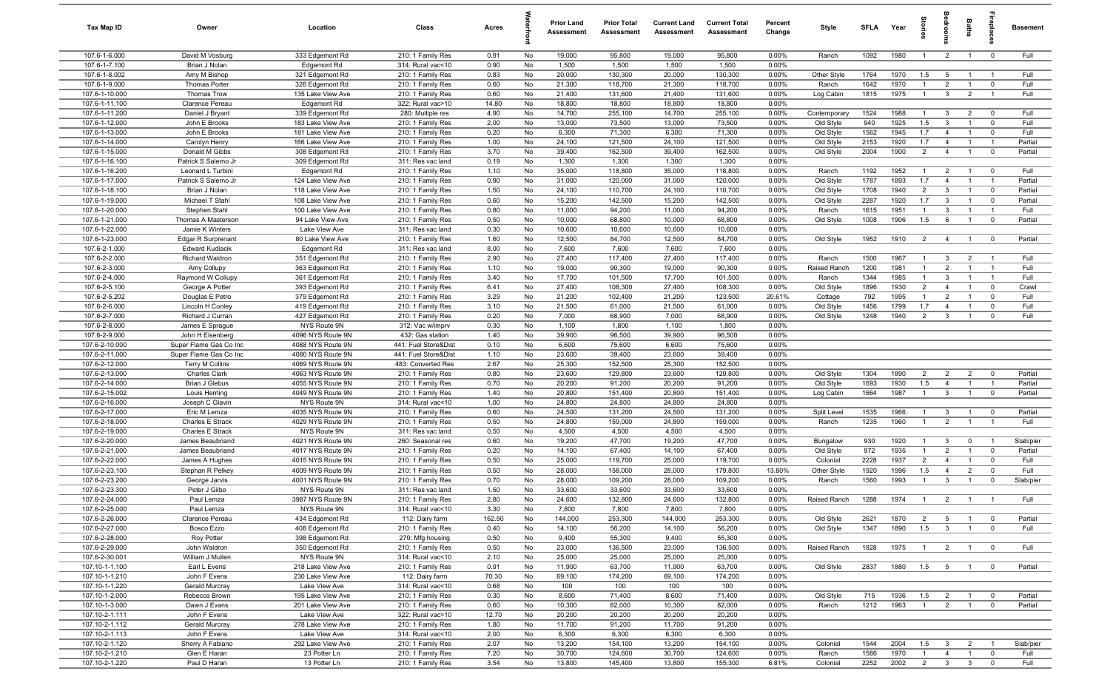| Tax Map ID                       | Owner                                      | Location                               | Class                                    | Acres         |          | <b>Prior Land</b><br>Assessment | <b>Prior Total</b><br>Assessment | <b>Current Land</b><br>Assessment | <b>Current Total</b><br>Assessment | Percent<br>Change | Style                   | <b>SFI A</b> | Year         | ĝ                              | groo                             | Baths          | ireplace                  | <b>Basement</b> |
|----------------------------------|--------------------------------------------|----------------------------------------|------------------------------------------|---------------|----------|---------------------------------|----------------------------------|-----------------------------------|------------------------------------|-------------------|-------------------------|--------------|--------------|--------------------------------|----------------------------------|----------------|---------------------------|-----------------|
| 107.6-1-6.000                    | David M Vosburg                            | 333 Edgemont Rd                        | 210: 1 Family Res                        | 0.91          | No       | 19,000                          | 95,800                           | 19,000                            | 95,800                             | 0.00%             | Ranch                   | 1092         | 1980         | $\overline{1}$                 | $\overline{2}$                   | $\overline{1}$ | $\overline{0}$            | Full            |
| 107.6-1-7.100                    | Brian J Nolan                              | Edgemont Rd                            | 314: Rural vac<10                        | 0.90          | No       | 1,500                           | 1,500                            | 1,500                             | 1,500                              | 0.00%             |                         |              |              |                                |                                  |                |                           |                 |
| 107.6-1-8.002                    | Amy M Bishop                               | 321 Edgemont Rd                        | 210: 1 Family Res                        | 0.83          | No       | 20,000                          | 130,300                          | 20,000                            | 130,300                            | 0.00%             | Other Style             | 1764         | 1970         | 1.5                            | 5                                | $\overline{1}$ | $\overline{1}$            | Full            |
| 107.6-1-9.000                    | <b>Thomas Porter</b>                       | 326 Edgemont Rd                        | 210: 1 Family Res                        | 0.60          | No       | 21,300                          | 118,700                          | 21,300                            | 118,700                            | 0.00%             | Ranch                   | 1642         | 1970         | $\overline{1}$                 | $\overline{2}$                   | $\overline{1}$ | $\mathbf 0$               | Full            |
| 107.6-1-10.000<br>107.6-1-11.100 | Thomas Trow<br>Clarence Pereau             | 135 Lake View Ave<br>Edgemont Rd       | 210: 1 Family Res<br>322: Rural vac>10   | 0.60<br>14.80 | No<br>No | 21,400<br>18,800                | 131,600<br>18,800                | 21,400<br>18,800                  | 131,600<br>18,800                  | 0.00%<br>0.00%    | Log Cabin               | 1815         | 1975         | $\overline{1}$                 | $\mathbf{3}$                     | $\overline{2}$ | $\overline{1}$            | Full            |
| 107.6-1-11.200                   | Daniel J Bryant                            | 339 Edgemont Rd                        | 280: Multiple res                        | 4.90          | No       | 14,700                          | 255,100                          | 14,700                            | 255,100                            | 0.00%             | Contemporary            | 1524         | 1988         | -1                             | $\mathbf{3}$                     | $\overline{2}$ | $^{\circ}$                | Full            |
| 107.6-1-12.000                   | John E Brooks                              | 183 Lake View Ave                      | 210: 1 Family Res                        | 2.00          | No       | 13,000                          | 73,500                           | 13,000                            | 73,500                             | 0.00%             | Old Style               | 940          | 1925         | 1.5                            | $\mathbf{3}$                     |                | $\mathbf 0$               | Full            |
| 107.6-1-13.000                   | John E Brooks                              | 181 Lake View Ave                      | 210: 1 Family Res                        | 0.20          | No       | 6,300                           | 71,300                           | 6,300                             | 71,300                             | 0.00%             | Old Style               | 1562         | 1945         | 1.7                            | $\overline{4}$                   | $\overline{1}$ | $\mathbf 0$               | Full            |
| 107.6-1-14.000                   | Carolyn Henry                              | 166 Lake View Ave                      | 210: 1 Family Res                        | 1.00          | No       | 24,100                          | 121,500                          | 24,100                            | 121,500                            | 0.00%             | Old Style               | 2153         | 1920         | 1.7                            | $\overline{4}$                   | $\overline{1}$ | $\overline{1}$            | Partial         |
| 107.6-1-15.000                   | Donald M Gibbs                             | 308 Edgemont Rd                        | 210: 1 Family Res                        | 3.70          | No       | 39,400                          | 162,500                          | 39,400                            | 162,500                            | 0.00%             | Old Style               | 2004         | 1900         | $\overline{2}$                 | $\overline{4}$                   | $\overline{1}$ | $\overline{0}$            | Partial         |
| 107.6-1-16.100                   | Patrick S Salerno Jr                       | 309 Edgemont Rd                        | 311: Res vac land                        | 0.19          | No       | 1,300                           | 1,300                            | 1,300                             | 1,300                              | 0.00%             |                         |              |              |                                |                                  |                |                           |                 |
| 107.6-1-16.200                   | Leonard L Turbini                          | Edgemont Rd                            | 210: 1 Family Res                        | 1.10          | No       | 35,000                          | 118,800                          | 35,000                            | 118,800                            | 0.00%             | Ranch                   | 1192         | 1952         | $\overline{1}$                 | $\overline{2}$                   | $\overline{1}$ | $^{\circ}$                | Full            |
| 107.6-1-17.000                   | Patrick S Salerno Jr                       | 124 Lake View Ave                      | 210: 1 Family Res                        | 0.90          | No       | 31,000                          | 120,000                          | 31,000                            | 120,000                            | 0.00%             | Old Style               | 1787         | 1893         | 1.7                            | $\overline{4}$                   | $\overline{1}$ | $\overline{1}$            | Partial         |
| 107.6-1-18.100                   | Brian J Nolan                              | 118 Lake View Ave                      | 210: 1 Family Res                        | 1.50          | No       | 24,100                          | 110,700                          | 24,100                            | 110,700                            | 0.00%             | Old Style               | 1708         | 1940         | $\overline{2}$                 | $\mathbf{3}$                     | $\overline{1}$ | $\mathbf 0$               | Partial         |
| 107.6-1-19.000                   | Michael T Stahl                            | 108 Lake View Ave                      | 210: 1 Family Res                        | 0.60          | No       | 15,200                          | 142,500                          | 15,200                            | 142,500                            | 0.00%             | Old Style               | 2287         | 1920         | 1.7                            | $\overline{3}$                   | $\overline{1}$ | $\mathbf 0$               | Partial         |
| 107.6-1-20.000                   | Stephen Stahl                              | 100 Lake View Ave                      | 210: 1 Family Res                        | 0.80          | No       | 11,000                          | 94,200                           | 11,000                            | 94,200                             | 0.00%             | Ranch                   | 1615         | 1951         | $\mathbf{1}$                   | $\mathbf{3}$<br>6                |                | - 1                       | Full<br>Partial |
| 107.6-1-21.000<br>107.6-1-22.000 | Thomas A Masterson<br>Jamie K Winters      | 94 Lake View Ave<br>Lake View Ave      | 210: 1 Family Res<br>311: Res vac land   | 0.50<br>0.30  | No<br>No | 10,000<br>10,600                | 68,800<br>10,600                 | 10,000<br>10,600                  | 68,800<br>10,600                   | 0.00%<br>0.00%    | Old Style               | 1008         | 1906         | 1.5                            |                                  |                | $\mathbf 0$               |                 |
| 107.6-1-23.000                   | Edgar R Surprenant                         | 80 Lake View Ave                       | 210: 1 Family Res                        | 1.60          | No       | 12,500                          | 84,700                           | 12,500                            | 84,700                             | 0.00%             | Old Style               | 1952         | 1910         | $\overline{2}$                 | $\overline{4}$                   | $\overline{1}$ | $\overline{\mathbf{0}}$   | Partial         |
| 107.6-2-1.000                    | <b>Edward Kudlacik</b>                     | Edgemont Rd                            | 311: Res vac land                        | 8.00          | No       | 7,600                           | 7,600                            | 7,600                             | 7,600                              | 0.00%             |                         |              |              |                                |                                  |                |                           |                 |
| 107.6-2-2.000                    | Richard Waldron                            | 351 Edgemont Rd                        | 210: 1 Family Res                        | 2.90          | No       | 27,400                          | 117,400                          | 27,400                            | 117,400                            | 0.00%             | Ranch                   | 1500         | 1967         | $\overline{1}$                 | 3                                | $\overline{2}$ | $\overline{1}$            | Full            |
| 107.6-2-3.000                    | Amy Collupy                                | 363 Edgemont Rd                        | 210: 1 Family Res                        | 1.10          | No       | 19,000                          | 90,300                           | 19,000                            | 90,300                             | 0.00%             | Raised Ranch            | 1200         | 1981         | $\overline{1}$                 | $\overline{2}$                   | $\overline{1}$ | $\overline{1}$            | Full            |
| 107.6-2-4.000                    | Raymond W Collupy                          | 361 Edgemont Rd                        | 210: 1 Family Res                        | 3.40          | No       | 17,700                          | 101,500                          | 17,700                            | 101,500                            | 0.00%             | Ranch                   | 1344         | 1985         | $\overline{1}$                 | $\mathbf{3}$                     | $\overline{1}$ | $\overline{1}$            | Full            |
| 107.6-2-5.100                    | George A Potter                            | 393 Edgemont Rd                        | 210: 1 Family Res                        | 6.41          | No       | 27,400                          | 108,300                          | 27,400                            | 108,300                            | 0.00%             | Old Style               | 1896         | 1930         | $\overline{2}$                 | $\overline{4}$                   | $\overline{1}$ | $^{\circ}$                | Crawl           |
| 107.6-2-5.202                    | Douglas E Petro                            | 379 Edgemont Rd                        | 210: 1 Family Res                        | 3.29          | No       | 21,200                          | 102,400                          | 21,200                            | 123,500                            | 20.61%            | Cottage                 | 792          | 1995         | $\overline{1}$                 | $\overline{2}$                   | $\overline{1}$ | $^{\circ}$                | Full            |
| 107.6-2-6.000                    | Lincoln H Conley                           | 419 Edgemont Rd                        | 210: 1 Family Res                        | 3.10          | No       | 21,500                          | 61,000                           | 21,500                            | 61,000                             | 0.00%             | Old Style               | 1456         | 1799         | 1.7                            | $\overline{4}$                   | $\overline{1}$ | $^{\circ}$                | Full            |
| 107.6-2-7.000                    | Richard J Curran                           | 427 Edgemont Rd                        | 210: 1 Family Res                        | 0.20          | No       | 7,000                           | 68,900                           | 7,000                             | 68,900                             | 0.00%             | Old Style               | 1248         | 1940         | $\overline{2}$                 | $\mathbf{3}$                     |                | $\mathbf 0$               | Full            |
| 107.6-2-8.000                    | James E Sprague                            | NYS Route 9N                           | 312: Vac w/imprv                         | 0.30          | No       | 1,100                           | 1,800                            | 1,100                             | 1,800                              | 0.00%             |                         |              |              |                                |                                  |                |                           |                 |
| 107.6-2-9.000<br>107.6-2-10.000  | John H Eisenberg<br>Super Flame Gas Co Inc | 4096 NYS Route 9N<br>4088 NYS Route 9N | 432: Gas station<br>441: Fuel Store&Dist | 1.40<br>0.10  | No<br>No | 39,900<br>6,600                 | 96,500<br>75,600                 | 39,900<br>6,600                   | 96,500<br>75,600                   | 0.00%<br>0.00%    |                         |              |              |                                |                                  |                |                           |                 |
| 107.6-2-11.000                   | Super Flame Gas Co Inc                     | 4080 NYS Route 9N                      | 441: Fuel Store&Dist                     | 1.10          | No       | 23,600                          | 39,400                           | 23,600                            | 39,400                             | 0.00%             |                         |              |              |                                |                                  |                |                           |                 |
| 107.6-2-12.000                   | <b>Terry M Collins</b>                     | 4069 NYS Route 9N                      | 483: Converted Res                       | 2.67          | No       | 25,300                          | 152,500                          | 25,300                            | 152,500                            | 0.00%             |                         |              |              |                                |                                  |                |                           |                 |
| 107.6-2-13.000                   | <b>Charles Clark</b>                       | 4063 NYS Route 9N                      | 210: 1 Family Res                        | 0.80          | No       | 23,600                          | 129,800                          | 23,600                            | 129,800                            | 0.00%             | Old Style               | 1304         | 1890         | 2                              | $\overline{2}$                   | $\overline{2}$ | $\mathbf 0$               | Partial         |
| 107.6-2-14.000                   | Brian J Glebus                             | 4055 NYS Route 9N                      | 210: 1 Family Res                        | 0.70          | No       | 20,200                          | 91,200                           | 20,200                            | 91,200                             | 0.00%             | Old Style               | 1693         | 1930         | 1.5                            | $\overline{4}$                   | $\overline{1}$ | $\overline{1}$            | Partial         |
| 107.6-2-15.002                   | Louis Herrling                             | 4049 NYS Route 9N                      | 210: 1 Family Res                        | 1.40          | No       | 20,800                          | 151,400                          | 20,800                            | 151,400                            | 0.00%             | Log Cabin               | 1664         | 1987         | $\overline{1}$                 | $\mathbf{3}$                     | $\overline{1}$ | $\mathbf 0$               | Partial         |
| 107.6-2-16.000                   | Joseph C Glavin                            | NYS Route 9N                           | 314: Rural vac<10                        | 1.00          | No       | 24,800                          | 24,800                           | 24,800                            | 24,800                             | 0.00%             |                         |              |              |                                |                                  |                |                           |                 |
| 107.6-2-17.000                   | Eric M Lemza                               | 4035 NYS Route 9N                      | 210: 1 Family Res                        | 0.60          | No       | 24,500                          | 131,200                          | 24,500                            | 131,200                            | 0.00%             | Split Level             | 1535         | 1966         | $\overline{1}$                 | $\mathbf{3}$                     | $\overline{1}$ | $\overline{\mathbf{0}}$   | Partial         |
| 107.6-2-18.000                   | Charles E Strack                           | 4029 NYS Route 9N                      | 210: 1 Family Res                        | 0.50          | No       | 24,800                          | 159,000                          | 24,800                            | 159,000                            | 0.00%             | Ranch                   | 1235         | 1960         | $\overline{1}$                 | $\overline{2}$                   | $\overline{1}$ | $\overline{1}$            | Full            |
| 107.6-2-19.000                   | Charles E Strack                           | NYS Route 9N                           | 311: Res vac land                        | 0.50          | No       | 4,500                           | 4,500                            | 4,500                             | 4,500                              | 0.00%             |                         |              |              |                                |                                  |                |                           |                 |
| 107.6-2-20.000                   | James Beaubriand                           | 4021 NYS Route 9N                      | 260: Seasonal res                        | 0.60          | No       | 19,200                          | 47,700                           | 19,200                            | 47,700                             | 0.00%             | Bungalow                | 930          | 1920         | $\overline{1}$                 | $\mathbf{3}$                     | $\mathbf 0$    | $\overline{1}$            | Slab/pier       |
| 107.6-2-21.000<br>107.6-2-22.000 | James Beaubriand<br>James A Hughes         | 4017 NYS Route 9N                      | 210: 1 Family Res                        | 0.20          | No       | 14,100                          | 67,400                           | 14,100                            | 67,400                             | 0.00%             | Old Style               | 972          | 1935<br>1937 | $\mathbf{1}$<br>$\overline{2}$ | $\overline{2}$                   |                | $\mathbf 0$<br>$^{\circ}$ | Partial<br>Full |
| 107.6-2-23.100                   | Stephan R Pelkey                           | 4015 NYS Route 9N<br>4009 NYS Route 9N | 210: 1 Family Res<br>210: 1 Family Res   | 0.50<br>0.50  | No<br>No | 25,000<br>28,000                | 119,700<br>158,000               | 25,000<br>28,000                  | 119,700<br>179,800                 | 0.00%<br>13.80%   | Colonial<br>Other Style | 2228<br>1920 | 1996         | 1.5                            | $\overline{4}$<br>$\overline{4}$ | $\overline{2}$ | $\Omega$                  | Full            |
| 107.6-2-23.200                   | George Jarvis                              | 4001 NYS Route 9N                      | 210: 1 Family Res                        | 0.70          | No       | 28,000                          | 109,200                          | 28,000                            | 109,200                            | 0.00%             | Ranch                   | 1560         | 1993         | -1                             | $\mathbf{3}$                     |                | $\Omega$                  | Slab/pier       |
| 107.6-2-23.300                   | Peter J Gilbo                              | NYS Route 9N                           | 311: Res vac land                        | 1.50          | No       | 33,600                          | 33,600                           | 33,600                            | 33,600                             | 0.00%             |                         |              |              |                                |                                  |                |                           |                 |
| 107.6-2-24.000                   | Paul Lemza                                 | 3987 NYS Route 9N                      | 210: 1 Family Res                        | 2.80          | No       | 24,600                          | 132,800                          | 24,600                            | 132,800                            | $0.00\%$          | Raised Ranch            | 1288         | 1974         | $\overline{1}$                 | $\mathcal{D}$                    |                |                           | Full            |
| 107.6-2-25.000                   | Paul Lemza                                 | NYS Route 9N                           | 314: Rural vac<10                        | 3.30          | No       | 7,800                           | 7,800                            | 7,800                             | 7,800                              | 0.00%             |                         |              |              |                                |                                  |                |                           |                 |
| 107.6-2-26.000                   | Clarence Pereau                            | 434 Edgemont Rd                        | 112: Dairy farm                          | 162.50        | No       | 144,000                         | 253,300                          | 144,000                           | 253,300                            | 0.00%             | Old Style               | 2621         | 1870         | $\overline{2}$                 | 5                                | $\overline{1}$ | $\overline{\mathbf{0}}$   | Partial         |
| 107.6-2-27.000                   | Bosco Ezzo                                 | 408 Edgemont Rd                        | 210: 1 Family Res                        | 0.40          | No       | 14,100                          | 56,200                           | 14,100                            | 56,200                             | 0.00%             | Old Style               | 1347         | 1890         | 1.5                            | $\mathbf{3}$                     | $\mathbf{1}$   | $\overline{0}$            | Full            |
| 107.6-2-28.000                   | <b>Roy Potter</b>                          | 398 Edgemont Rd                        | 270: Mfg housing                         | 0.50          | No       | 9,400                           | 55,300                           | 9,400                             | 55,300                             | 0.00%             |                         |              |              |                                |                                  |                |                           |                 |
| 107.6-2-29.000                   | John Waldron                               | 350 Edgemont Rd                        | 210: 1 Family Res                        | 0.50          | No       | 23,000                          | 136,500                          | 23,000                            | 136,500                            | 0.00%             | Raised Ranch            | 1828         | 1975         | $\mathbf{1}$                   | $\overline{2}$                   | $\overline{1}$ | $\overline{0}$            | Full            |
| 107.6-2-30.001                   | William J Mullen                           | NYS Route 9N                           | 314: Rural vac<10                        | 2.10          | No       | 25,000                          | 25,000                           | 25,000                            | 25,000                             | 0.00%             |                         |              |              |                                |                                  |                |                           |                 |
| 107.10-1-1.100<br>107.10-1-1.210 | Earl L Evens                               | 218 Lake View Ave<br>230 Lake View Ave | 210: 1 Family Res                        | 0.91<br>70.30 | No<br>No | 11,900                          | 63,700                           | 11,900                            | 63,700<br>174,200                  | 0.00%<br>0.00%    | Old Style               | 2837         | 1880         | 1.5                            | $5^{\circ}$                      | $\overline{1}$ | $\overline{0}$            | Partial         |
| 107.10-1-1.220                   | John F Evens<br>Gerald Murcray             | Lake View Ave                          | 112: Dairy farm<br>314: Rural vac<10     | 0.68          | No       | 69,100<br>100                   | 174,200<br>100                   | 69,100<br>100                     | 100                                | 0.00%             |                         |              |              |                                |                                  |                |                           |                 |
| 107.10-1-2.000                   | Rebecca Brown                              | 195 Lake View Ave                      | 210: 1 Family Res                        | 0.30          | No       | 8,600                           | 71,400                           | 8,600                             | 71,400                             | 0.00%             | Old Style               | 715          | 1936         | 1.5                            | $\overline{2}$                   | $\overline{1}$ | $\overline{0}$            | Partial         |
| 107.10-1-3.000                   | Dawn J Evans                               | 201 Lake View Ave                      | 210: 1 Family Res                        | 0.60          | No       | 10,300                          | 82,000                           | 10,300                            | 82,000                             | 0.00%             | Ranch                   | 1212         | 1963         | $\mathbf{1}$                   | $\overline{2}$                   | $\overline{1}$ | $\mathbf 0$               | Partial         |
| 107.10-2-1.111                   | John F Evens                               | Lake View Ave                          | 322: Rural vac>10                        | 12.70         | No       | 20,200                          | 20,200                           | 20,200                            | 20,200                             | 0.00%             |                         |              |              |                                |                                  |                |                           |                 |
| 107.10-2-1.112                   | Gerald Murcray                             | 278 Lake View Ave                      | 210: 1 Family Res                        | 1.80          | No       | 11,700                          | 91,200                           | 11,700                            | 91,200                             | 0.00%             |                         |              |              |                                |                                  |                |                           |                 |
| 107.10-2-1.113                   | John F Evens                               | Lake View Ave                          | 314: Rural vac<10                        | 2.00          | No       | 6,300                           | 6,300                            | 6,300                             | 6,300                              | 0.00%             |                         |              |              |                                |                                  |                |                           |                 |
| 107.10-2-1.120                   | Sherry A Fabiano                           | 292 Lake View Ave                      | 210: 1 Family Res                        | 2.07          | No       | 13,200                          | 154,100                          | 13,200                            | 154,100                            | 0.00%             | Colonial                | 1544         | 2004         | 1.5                            | $\mathbf{3}$                     | $\overline{2}$ | $\overline{1}$            | Slab/pier       |
| 107.10-2-1.210                   | Glen E Haran                               | 23 Potter Ln                           | 210: 1 Family Res                        | 7.20          | No       | 30,700                          | 124,600                          | 30,700                            | 124,600                            | 0.00%             | Ranch                   | 1586         | 1970         | $\mathbf{1}$                   | $\overline{4}$                   | $\mathbf{1}$   | $\mathbf 0$               | Full            |
| 107.10-2-1.220                   | Paul D Haran                               | 13 Potter Ln                           | 210: 1 Family Res                        | 3.54          | No       | 13,800                          | 145,400                          | 13,800                            | 155,300                            | 6.81%             | Colonial                | 2252         | 2002         | $\overline{2}$                 | 3 <sup>3</sup>                   | $\mathbf{3}$   | $\mathbf 0$               | Full            |